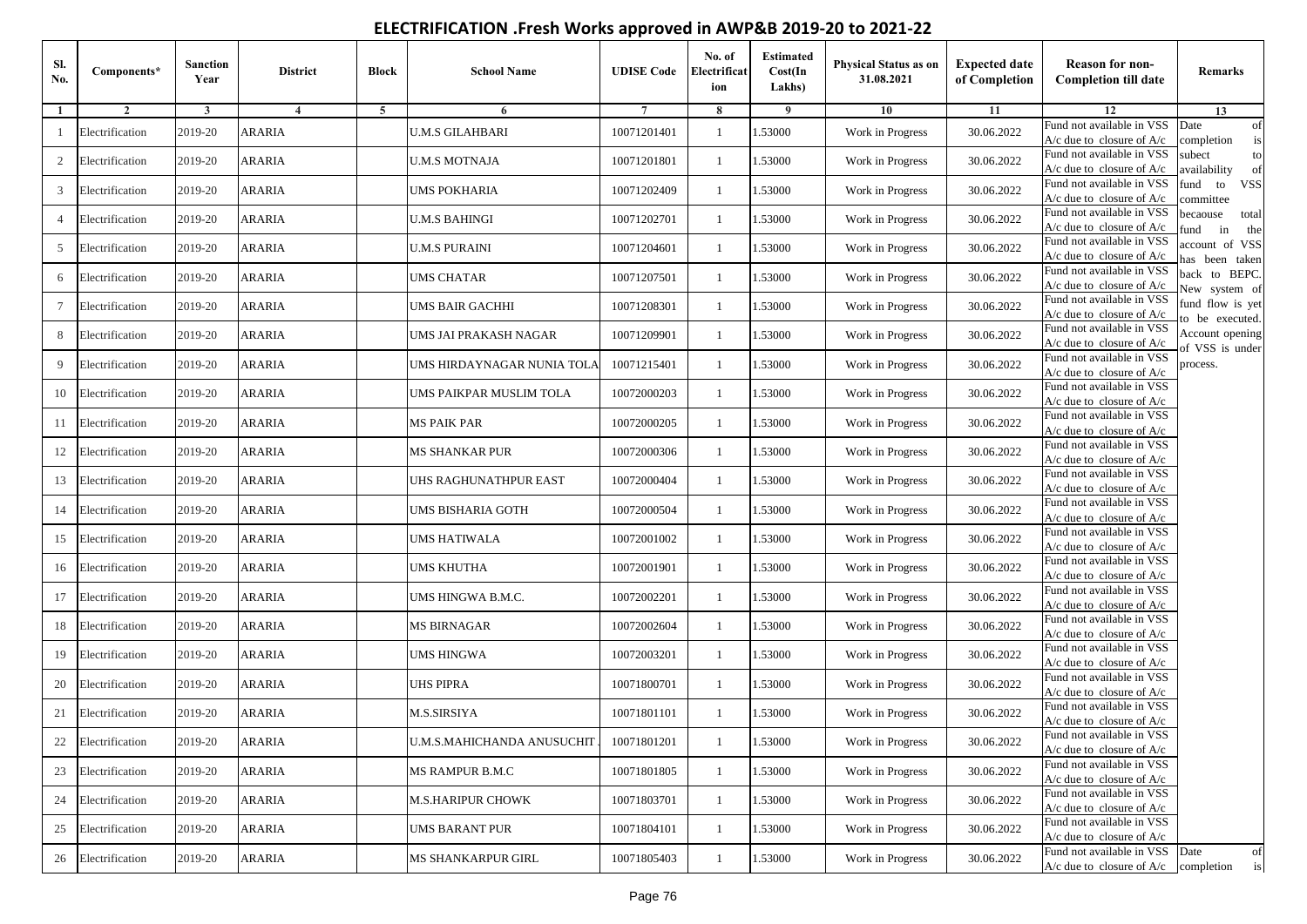## **ELECTRIFICATION .Fresh Works approved in AWP&B 2019-20 to 2021-22**

| SI.<br>No. | Components*     | <b>Sanction</b><br>Year | <b>District</b> | <b>Block</b> | <b>School Name</b>           | <b>UDISE Code</b> | No. of<br>Electrificat<br>ion | <b>Estimated</b><br>Cost(In<br>Lakhs) | Physical Status as on<br>31.08.2021 | <b>Expected date</b><br>of Completion | <b>Reason for non-</b><br><b>Completion till date</b>                 | Remarks                               |
|------------|-----------------|-------------------------|-----------------|--------------|------------------------------|-------------------|-------------------------------|---------------------------------------|-------------------------------------|---------------------------------------|-----------------------------------------------------------------------|---------------------------------------|
| -1         | $\overline{2}$  | $\mathbf{3}$            | $\overline{4}$  | $5^{\circ}$  | 6                            | $\tau$            | 8                             | 9                                     | 10                                  | 11                                    | 12                                                                    | 13                                    |
| -1         | Electrification | 2019-20                 | ARARIA          |              | <b>U.M.S GILAHBARI</b>       | 10071201401       | $\overline{1}$                | .53000                                | Work in Progress                    | 30.06.2022                            | Fund not available in VSS<br>$A/c$ due to closure of $A/c$            | Date<br>of<br>completion<br>is        |
| 2          | Electrification | 2019-20                 | ARARIA          |              | <b>U.M.S MOTNAJA</b>         | 10071201801       | -1                            | .53000                                | Work in Progress                    | 30.06.2022                            | Fund not available in VSS<br>A/c due to closure of A/c                | subect<br>to<br>vailability<br>of     |
| 3          | Electrification | 2019-20                 | ARARIA          |              | UMS POKHARIA                 | 10071202409       | $\mathbf{1}$                  | .53000                                | Work in Progress                    | 30.06.2022                            | Fund not available in VSS<br>A/c due to closure of A/c                | und to<br><b>VSS</b><br>ommittee      |
| 4          | Electrification | 2019-20                 | ARARIA          |              | U.M.S BAHINGI                | 10071202701       |                               | 1.53000                               | Work in Progress                    | 30.06.2022                            | Fund not available in VSS<br>$A/c$ due to closure of $A/c$            | pecaouse<br>total<br>und<br>in<br>the |
| 5          | Electrification | 2019-20                 | ARARIA          |              | <b>U.M.S PURAINI</b>         | 10071204601       | -1                            | .53000                                | Work in Progress                    | 30.06.2022                            | Fund not available in VSS<br>$A/c$ due to closure of $A/c$            | account of VSS<br>as been taken       |
| 6          | Electrification | 2019-20                 | ARARIA          |              | UMS CHATAR                   | 10071207501       | 1                             | .53000                                | Work in Progress                    | 30.06.2022                            | Fund not available in VSS<br>A/c due to closure of $A/c$              | back to BEPC.<br>New system of        |
| $\tau$     | Electrification | 2019-20                 | ARARIA          |              | UMS BAIR GACHHI              | 10071208301       | $\mathbf{1}$                  | .53000                                | Work in Progress                    | 30.06.2022                            | Fund not available in VSS<br>A/c due to closure of $A/c$              | fund flow is yet<br>o be executed.    |
| 8          | Electrification | 2019-20                 | ARARIA          |              | UMS JAI PRAKASH NAGAR        | 10071209901       |                               | .53000                                | Work in Progress                    | 30.06.2022                            | Fund not available in VSS<br>$A/c$ due to closure of $A/c$            | Account opening<br>f VSS is under     |
| 9          | Electrification | 2019-20                 | ARARIA          |              | UMS HIRDAYNAGAR NUNIA TOLA   | 10071215401       | $\overline{1}$                | .53000                                | Work in Progress                    | 30.06.2022                            | Fund not available in VSS<br>$A/c$ due to closure of $A/c$            | rocess.                               |
| 10         | Electrification | 2019-20                 | ARARIA          |              | UMS PAIKPAR MUSLIM TOLA      | 10072000203       |                               | .53000                                | Work in Progress                    | 30.06.2022                            | Fund not available in VSS<br>$A/c$ due to closure of $A/c$            |                                       |
| 11         | Electrification | 2019-20                 | ARARIA          |              | MS PAIK PAR                  | 10072000205       |                               | .53000                                | Work in Progress                    | 30.06.2022                            | Fund not available in VSS<br>A/c due to closure of A/c                |                                       |
| 12         | Electrification | 2019-20                 | ARARIA          |              | MS SHANKAR PUR               | 10072000306       |                               | .53000                                | Work in Progress                    | 30.06.2022                            | Fund not available in VSS<br>$A/c$ due to closure of $A/c$            |                                       |
| 13         | Electrification | 2019-20                 | ARARIA          |              | UHS RAGHUNATHPUR EAST        | 10072000404       | -1                            | .53000                                | Work in Progress                    | 30.06.2022                            | Fund not available in VSS<br>$A/c$ due to closure of $A/c$            |                                       |
| 14         | Electrification | 2019-20                 | ARARIA          |              | UMS BISHARIA GOTH            | 10072000504       | -1                            | .53000                                | Work in Progress                    | 30.06.2022                            | Fund not available in VSS<br>$A/c$ due to closure of $A/c$            |                                       |
| 15         | Electrification | 2019-20                 | ARARIA          |              | UMS HATIWALA                 | 10072001002       | 1                             | .53000                                | Work in Progress                    | 30.06.2022                            | Fund not available in VSS<br>$A/c$ due to closure of $A/c$            |                                       |
| 16         | Electrification | 2019-20                 | ARARIA          |              | UMS KHUTHA                   | 10072001901       |                               | .53000                                | Work in Progress                    | 30.06.2022                            | Fund not available in VSS<br>$A/c$ due to closure of $A/c$            |                                       |
| 17         | Electrification | 2019-20                 | ARARIA          |              | UMS HINGWA B.M.C.            | 10072002201       | -1                            | .53000                                | Work in Progress                    | 30.06.2022                            | Fund not available in VSS<br>$A/c$ due to closure of $A/c$            |                                       |
| 18         | Electrification | 2019-20                 | ARARIA          |              | MS BIRNAGAR                  | 10072002604       | -1                            | .53000                                | Work in Progress                    | 30.06.2022                            | Fund not available in VSS<br>$A/c$ due to closure of $A/c$            |                                       |
| 19         | Electrification | 2019-20                 | ARARIA          |              | <b>UMS HINGWA</b>            | 10072003201       |                               | .53000                                | Work in Progress                    | 30.06.2022                            | Fund not available in VSS<br>$A/c$ due to closure of $A/c$            |                                       |
| 20         | Electrification | 2019-20                 | ARARIA          |              | UHS PIPRA                    | 10071800701       |                               | 1.53000                               | Work in Progress                    | 30.06.2022                            | Fund not available in VSS<br>$A/c$ due to closure of $A/c$            |                                       |
| 21         | Electrification | 2019-20                 | ARARIA          |              | M.S.SIRSIYA                  | 10071801101       | -1                            | .53000                                | Work in Progress                    | 30.06.2022                            | Fund not available in VSS<br>$A/c$ due to closure of $A/c$            |                                       |
| 22         | Electrification | 2019-20                 | ARARIA          |              | U.M.S.MAHICHANDA ANUSUCHIT I | 10071801201       |                               | 1.53000                               | Work in Progress                    | 30.06.2022                            | Fund not available in VSS<br>A/c due to closure of A/c                |                                       |
| 23         | Electrification | 2019-20                 | ARARIA          |              | MS RAMPUR B.M.C              | 10071801805       | $\mathbf{1}$                  | 1.53000                               | Work in Progress                    | 30.06.2022                            | Fund not available in VSS<br>A/c due to closure of A/c                |                                       |
| 24         | Electrification | 2019-20                 | <b>ARARIA</b>   |              | M.S.HARIPUR CHOWK            | 10071803701       | -1                            | 1.53000                               | Work in Progress                    | 30.06.2022                            | Fund not available in VSS<br>A/c due to closure of A/c                |                                       |
| 25         | Electrification | 2019-20                 | <b>ARARIA</b>   |              | UMS BARANT PUR               | 10071804101       |                               | 1.53000                               | Work in Progress                    | 30.06.2022                            | Fund not available in VSS<br>$A/c$ due to closure of $A/c$            |                                       |
| 26         | Electrification | 2019-20                 | ARARIA          |              | MS SHANKARPUR GIRL           | 10071805403       |                               | 1.53000                               | Work in Progress                    | 30.06.2022                            | Fund not available in VSS<br>$A/c$ due to closure of $A/c$ completion | Date<br>of<br>is                      |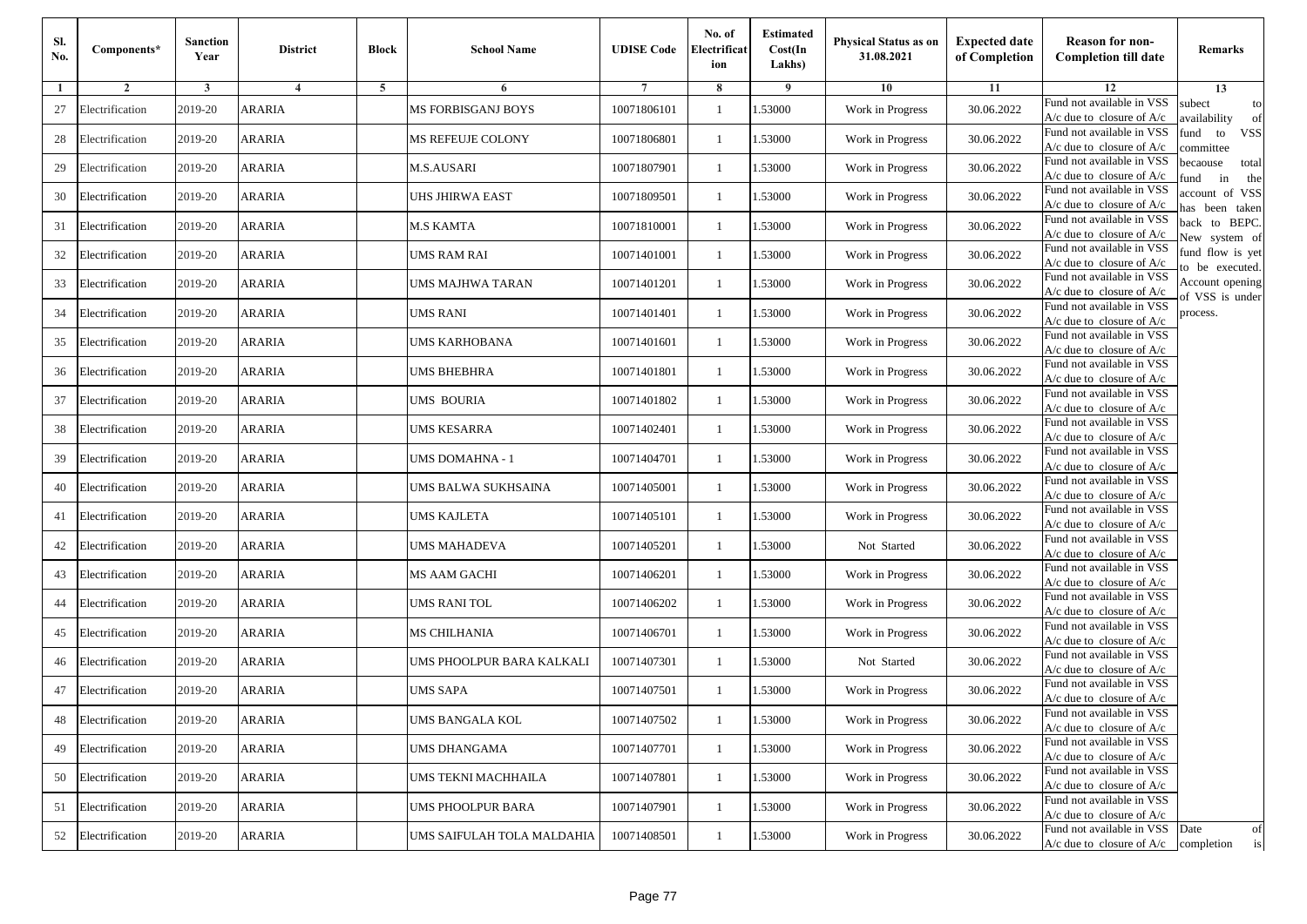| Sl.<br>No. | Components*     | <b>Sanction</b><br>Year | <b>District</b> | <b>Block</b> | <b>School Name</b>         | <b>UDISE Code</b> | No. of<br>Electrificat<br>ion | <b>Estimated</b><br>Cost(In<br>Lakhs) | Physical Status as on<br>31.08.2021 | <b>Expected date</b><br>of Completion | <b>Reason for non-</b><br><b>Completion till date</b>                 | Remarks                               |
|------------|-----------------|-------------------------|-----------------|--------------|----------------------------|-------------------|-------------------------------|---------------------------------------|-------------------------------------|---------------------------------------|-----------------------------------------------------------------------|---------------------------------------|
| 1          | $\overline{2}$  | 3                       | $\overline{4}$  | 5            | 6                          |                   | 8                             | 9                                     | 10                                  | 11                                    | 12                                                                    | 13                                    |
| 27         | Electrification | 2019-20                 | ARARIA          |              | <b>MS FORBISGANJ BOYS</b>  | 10071806101       | $\mathbf{1}$                  | 1.53000                               | Work in Progress                    | 30.06.2022                            | Fund not available in VSS<br>$A/c$ due to closure of $A/c$            | subect<br>to<br>wailability<br>of     |
| 28         | Electrification | 2019-20                 | <b>ARARIA</b>   |              | MS REFEUJE COLONY          | 10071806801       | $\mathbf{1}$                  | 1.53000                               | Work in Progress                    | 30.06.2022                            | Fund not available in VSS<br>A/c due to closure of A/c                | fund to<br><b>VSS</b><br>ommittee     |
| 29         | Electrification | 2019-20                 | ARARIA          |              | <b>M.S.AUSARI</b>          | 10071807901       | 1                             | 1.53000                               | Work in Progress                    | 30.06.2022                            | Fund not available in VSS<br>$A/c$ due to closure of $A/c$            | pecaouse<br>total<br>in<br>und<br>the |
| 30         | Electrification | 2019-20                 | ARARIA          |              | UHS JHIRWA EAST            | 10071809501       | 1                             | .53000                                | Work in Progress                    | 30.06.2022                            | Fund not available in VSS<br>$A/c$ due to closure of $A/c$            | ccount of VSS<br>as been taken        |
| 31         | Electrification | 2019-20                 | ARARIA          |              | <b>M.S KAMTA</b>           | 10071810001       | $\mathbf{1}$                  | .53000                                | Work in Progress                    | 30.06.2022                            | Fund not available in VSS<br>$A/c$ due to closure of $A/c$            | back to BEPC.<br>New system of        |
| 32         | Electrification | 2019-20                 | ARARIA          |              | <b>UMS RAM RAI</b>         | 10071401001       | 1                             | .53000                                | Work in Progress                    | 30.06.2022                            | Fund not available in VSS<br>$A/c$ due to closure of $A/c$            | fund flow is yet<br>o be executed.    |
| 33         | Electrification | 2019-20                 | ARARIA          |              | UMS MAJHWA TARAN           | 10071401201       | 1                             | 1.53000                               | Work in Progress                    | 30.06.2022                            | Fund not available in VSS<br>$A/c$ due to closure of $A/c$            | Account opening<br>of VSS is under    |
| 34         | Electrification | 2019-20                 | ARARIA          |              | <b>UMS RANI</b>            | 10071401401       | 1                             | .53000                                | Work in Progress                    | 30.06.2022                            | Fund not available in VSS<br>$A/c$ due to closure of $A/c$            | process.                              |
| 35         | Electrification | 2019-20                 | ARARIA          |              | UMS KARHOBANA              | 10071401601       | 1                             | 1.53000                               | Work in Progress                    | 30.06.2022                            | Fund not available in VSS<br>$A/c$ due to closure of $A/c$            |                                       |
| 36         | Electrification | 2019-20                 | ARARIA          |              | <b>UMS BHEBHRA</b>         | 10071401801       | $\mathbf{1}$                  | 1.53000                               | Work in Progress                    | 30.06.2022                            | Fund not available in VSS<br>$A/c$ due to closure of $A/c$            |                                       |
| 37         | Electrification | 2019-20                 | ARARIA          |              | <b>UMS BOURIA</b>          | 10071401802       | 1                             | 1.53000                               | Work in Progress                    | 30.06.2022                            | Fund not available in VSS<br>$A/c$ due to closure of $A/c$            |                                       |
| 38         | Electrification | 2019-20                 | ARARIA          |              | <b>UMS KESARRA</b>         | 10071402401       | 1                             | .53000                                | Work in Progress                    | 30.06.2022                            | Fund not available in VSS<br>$A/c$ due to closure of $A/c$            |                                       |
| 39         | Electrification | 2019-20                 | ARARIA          |              | UMS DOMAHNA - 1            | 10071404701       | 1                             | .53000                                | Work in Progress                    | 30.06.2022                            | Fund not available in VSS<br>A/c due to closure of A/c                |                                       |
| 40         | Electrification | 2019-20                 | ARARIA          |              | UMS BALWA SUKHSAINA        | 10071405001       | 1                             | .53000                                | Work in Progress                    | 30.06.2022                            | Fund not available in VSS<br>$A/c$ due to closure of $A/c$            |                                       |
| 41         | Electrification | 2019-20                 | ARARIA          |              | <b>UMS KAJLETA</b>         | 10071405101       | 1                             | 1.53000                               | Work in Progress                    | 30.06.2022                            | Fund not available in VSS<br>$A/c$ due to closure of $A/c$            |                                       |
| 42         | Electrification | 2019-20                 | ARARIA          |              | <b>UMS MAHADEVA</b>        | 10071405201       | 1                             | 1.53000                               | Not Started                         | 30.06.2022                            | Fund not available in VSS<br>$A/c$ due to closure of $A/c$            |                                       |
| 43         | Electrification | 2019-20                 | ARARIA          |              | <b>MS AAM GACHI</b>        | 10071406201       | 1                             | .53000                                | Work in Progress                    | 30.06.2022                            | Fund not available in VSS<br>$A/c$ due to closure of $A/c$            |                                       |
| 44         | Electrification | 2019-20                 | ARARIA          |              | <b>UMS RANITOL</b>         | 10071406202       | $\mathbf{1}$                  | 1.53000                               | Work in Progress                    | 30.06.2022                            | Fund not available in VSS<br>A/c due to closure of A/c                |                                       |
| 45         | Electrification | 2019-20                 | ARARIA          |              | <b>MS CHILHANIA</b>        | 10071406701       | 1                             | 1.53000                               | Work in Progress                    | 30.06.2022                            | Fund not available in VSS<br>$A/c$ due to closure of $A/c$            |                                       |
| 46         | Electrification | 2019-20                 | ARARIA          |              | UMS PHOOLPUR BARA KALKALI  | 10071407301       | 1                             | .53000                                | Not Started                         | 30.06.2022                            | Fund not available in VSS<br>$A/c$ due to closure of $A/c$            |                                       |
| 47         | Electrification | 2019-20                 | ARARIA          |              | UMS SAPA                   | 10071407501       | 1                             | .53000                                | Work in Progress                    | 30.06.2022                            | Fund not available in VSS<br>A/c due to closure of A/c                |                                       |
| 48         | Electrification | 2019-20                 | <b>ARARIA</b>   |              | <b>UMS BANGALA KOL</b>     | 10071407502       | $\mathbf{1}$                  | 1.53000                               | Work in Progress                    | 30.06.2022                            | Fund not available in VSS<br>A/c due to closure of A/c                |                                       |
| 49         | Electrification | 2019-20                 | ARARIA          |              | <b>UMS DHANGAMA</b>        | 10071407701       | $\mathbf{1}$                  | 1.53000                               | Work in Progress                    | 30.06.2022                            | Fund not available in VSS<br>$A/c$ due to closure of $A/c$            |                                       |
| 50         | Electrification | 2019-20                 | <b>ARARIA</b>   |              | UMS TEKNI MACHHAILA        | 10071407801       | 1                             | 1.53000                               | Work in Progress                    | 30.06.2022                            | Fund not available in VSS<br>A/c due to closure of A/c                |                                       |
| 51         | Electrification | 2019-20                 | ARARIA          |              | <b>UMS PHOOLPUR BARA</b>   | 10071407901       | 1                             | 1.53000                               | Work in Progress                    | 30.06.2022                            | Fund not available in VSS<br>A/c due to closure of A/c                |                                       |
| 52         | Electrification | 2019-20                 | ARARIA          |              | UMS SAIFULAH TOLA MALDAHIA | 10071408501       | $\mathbf{1}$                  | 1.53000                               | Work in Progress                    | 30.06.2022                            | Fund not available in VSS<br>$A/c$ due to closure of $A/c$ completion | Date<br>of<br>is                      |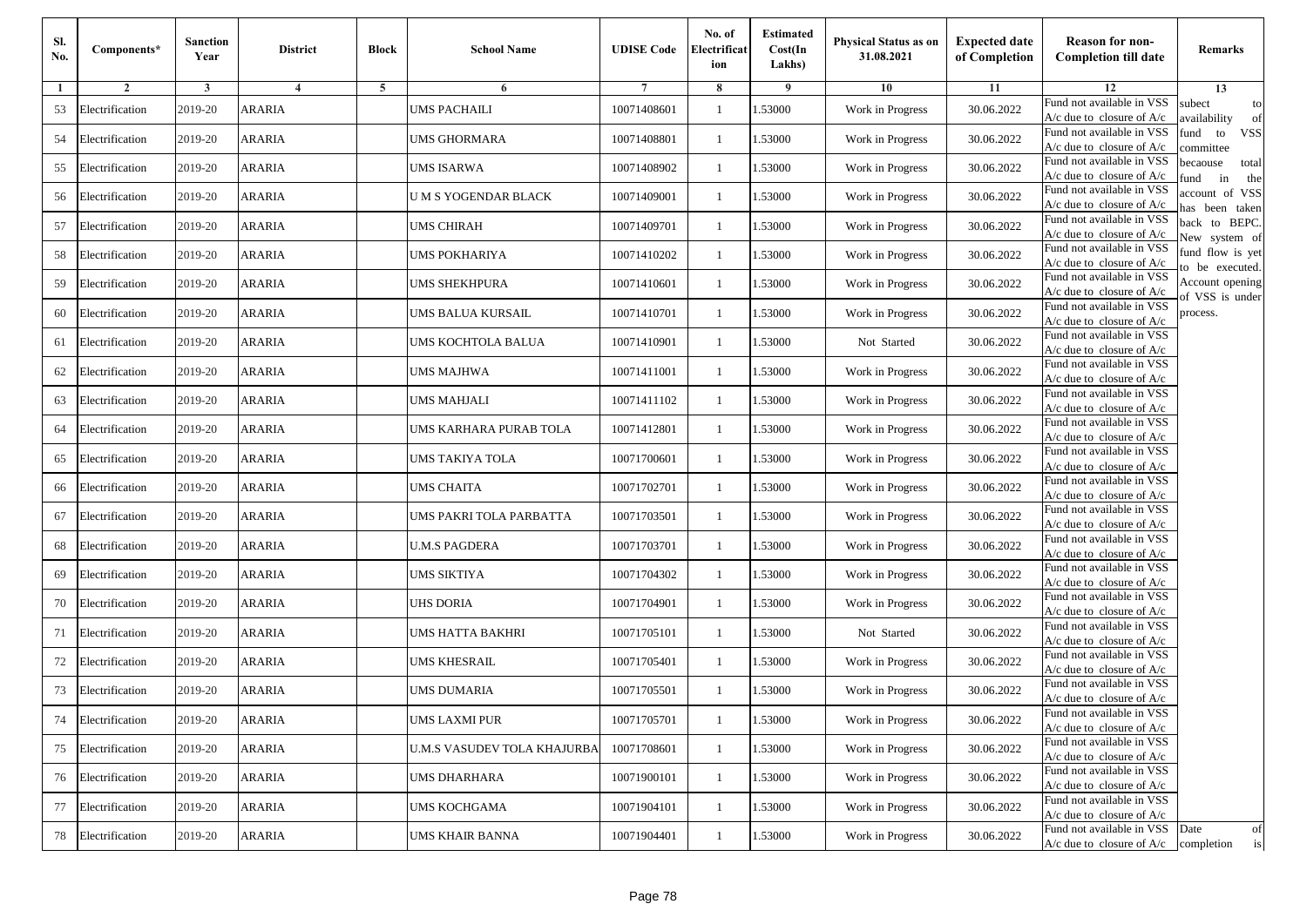| Sl.<br>No.   | Components*     | <b>Sanction</b><br>Year | <b>District</b> | <b>Block</b> | <b>School Name</b>                 | <b>UDISE Code</b> | No. of<br>Electrificat<br>ion | <b>Estimated</b><br>Cost(In<br>Lakhs) | Physical Status as on<br>31.08.2021 | <b>Expected date</b><br>of Completion | <b>Reason for non-</b><br><b>Completion till date</b>                 | Remarks                               |
|--------------|-----------------|-------------------------|-----------------|--------------|------------------------------------|-------------------|-------------------------------|---------------------------------------|-------------------------------------|---------------------------------------|-----------------------------------------------------------------------|---------------------------------------|
| $\mathbf{1}$ | $\overline{2}$  | 3                       | $\overline{4}$  | 5            | 6                                  |                   | 8                             | 9                                     | 10                                  | 11                                    | 12                                                                    | 13                                    |
| 53           | Electrification | 2019-20                 | ARARIA          |              | <b>UMS PACHAILI</b>                | 10071408601       | 1                             | .53000                                | Work in Progress                    | 30.06.2022                            | Fund not available in VSS<br>$A/c$ due to closure of $A/c$            | subect<br>to<br>wailability<br>of     |
| 54           | Electrification | 2019-20                 | <b>ARARIA</b>   |              | <b>UMS GHORMARA</b>                | 10071408801       | $\mathbf{1}$                  | 1.53000                               | Work in Progress                    | 30.06.2022                            | Fund not available in VSS<br>A/c due to closure of A/c                | fund<br>to<br><b>VSS</b><br>ommittee  |
| 55           | Electrification | 2019-20                 | ARARIA          |              | <b>UMS ISARWA</b>                  | 10071408902       | 1                             | 1.53000                               | Work in Progress                    | 30.06.2022                            | Fund not available in VSS<br>A/c due to closure of A/c                | pecaouse<br>total<br>in<br>und<br>the |
| 56           | Electrification | 2019-20                 | ARARIA          |              | <b>UMS YOGENDAR BLACK</b>          | 10071409001       | 1                             | .53000                                | Work in Progress                    | 30.06.2022                            | Fund not available in VSS<br>A/c due to closure of $A/c$              | account of VSS<br>as been taken       |
| 57           | Electrification | 2019-20                 | ARARIA          |              | UMS CHIRAH                         | 10071409701       | 1                             | .53000                                | Work in Progress                    | 30.06.2022                            | Fund not available in VSS<br>$A/c$ due to closure of $A/c$            | back to BEPC.<br>New system of        |
| 58           | Electrification | 2019-20                 | ARARIA          |              | <b>UMS POKHARIYA</b>               | 10071410202       | $\mathbf{1}$                  | 1.53000                               | Work in Progress                    | 30.06.2022                            | Fund not available in VSS<br>$A/c$ due to closure of $A/c$            | fund flow is yet<br>o be executed.    |
| 59           | Electrification | 2019-20                 | ARARIA          |              | <b>UMS SHEKHPURA</b>               | 10071410601       | 1                             | 1.53000                               | Work in Progress                    | 30.06.2022                            | Fund not available in VSS<br>$A/c$ due to closure of $A/c$            | Account opening<br>f VSS is under     |
| 60           | Electrification | 2019-20                 | ARARIA          |              | UMS BALUA KURSAIL                  | 10071410701       | 1                             | 1.53000                               | Work in Progress                    | 30.06.2022                            | Fund not available in VSS<br>$A/c$ due to closure of $A/c$            | process.                              |
| 61           | Electrification | 2019-20                 | <b>ARARIA</b>   |              | UMS KOCHTOLA BALUA                 | 10071410901       | 1                             | .53000                                | Not Started                         | 30.06.2022                            | Fund not available in VSS<br>$A/c$ due to closure of $A/c$            |                                       |
| 62           | Electrification | 2019-20                 | ARARIA          |              | <b>UMS MAJHWA</b>                  | 10071411001       | $\mathbf{1}$                  | 1.53000                               | Work in Progress                    | 30.06.2022                            | Fund not available in VSS<br>A/c due to closure of $A/c$              |                                       |
| 63           | Electrification | 2019-20                 | <b>ARARIA</b>   |              | <b>UMS MAHJALI</b>                 | 10071411102       | $\mathbf{1}$                  | 1.53000                               | Work in Progress                    | 30.06.2022                            | Fund not available in VSS<br>$A/c$ due to closure of $A/c$            |                                       |
| 64           | Electrification | 2019-20                 | ARARIA          |              | UMS KARHARA PURAB TOLA             | 10071412801       | 1                             | 1.53000                               | Work in Progress                    | 30.06.2022                            | Fund not available in VSS<br>$A/c$ due to closure of $A/c$            |                                       |
| 65           | Electrification | 2019-20                 | ARARIA          |              | UMS TAKIYA TOLA                    | 10071700601       | 1                             | .53000                                | Work in Progress                    | 30.06.2022                            | Fund not available in VSS<br>$A/c$ due to closure of $A/c$            |                                       |
| 66           | Electrification | 2019-20                 | <b>ARARIA</b>   |              | <b>UMS CHAITA</b>                  | 10071702701       | 1                             | .53000                                | Work in Progress                    | 30.06.2022                            | Fund not available in VSS<br>$A/c$ due to closure of $A/c$            |                                       |
| 67           | Electrification | 2019-20                 | ARARIA          |              | UMS PAKRI TOLA PARBATTA            | 10071703501       | 1                             | 1.53000                               | Work in Progress                    | 30.06.2022                            | Fund not available in VSS<br>$A/c$ due to closure of $A/c$            |                                       |
| 68           | Electrification | 2019-20                 | ARARIA          |              | <b>U.M.S PAGDERA</b>               | 10071703701       | 1                             | 1.53000                               | Work in Progress                    | 30.06.2022                            | Fund not available in VSS<br>A/c due to closure of A/c                |                                       |
| 69           | Electrification | 2019-20                 | ARARIA          |              | <b>UMS SIKTIYA</b>                 | 10071704302       | 1                             | .53000                                | Work in Progress                    | 30.06.2022                            | Fund not available in VSS<br>$A/c$ due to closure of $A/c$            |                                       |
| 70           | Electrification | 2019-20                 | ARARIA          |              | <b>UHS DORIA</b>                   | 10071704901       | $\mathbf{1}$                  | 1.53000                               | Work in Progress                    | 30.06.2022                            | Fund not available in VSS<br>$A/c$ due to closure of $A/c$            |                                       |
| 71           | Electrification | 2019-20                 | ARARIA          |              | <b>UMS HATTA BAKHRI</b>            | 10071705101       | $\mathbf{1}$                  | 1.53000                               | Not Started                         | 30.06.2022                            | Fund not available in VSS<br>A/c due to closure of A/c                |                                       |
| 72           | Electrification | 2019-20                 | ARARIA          |              | <b>UMS KHESRAIL</b>                | 10071705401       | 1                             | 1.53000                               | Work in Progress                    | 30.06.2022                            | Fund not available in VSS<br>A/c due to closure of A/c                |                                       |
| 73           | Electrification | 2019-20                 | ARARIA          |              | UMS DUMARIA                        | 10071705501       | 1                             | .53000                                | Work in Progress                    | 30.06.2022                            | Fund not available in VSS<br>A/c due to closure of A/c                |                                       |
| 74           | Electrification | 2019-20                 | ARARIA          |              | UMS LAXMI PUR                      | 10071705701       |                               | 1.53000                               | Work in Progress                    | 30.06.2022                            | Fund not available in VSS<br>A/c due to closure of A/c                |                                       |
| 75           | Electrification | 2019-20                 | ARARIA          |              | <b>U.M.S VASUDEV TOLA KHAJURBA</b> | 10071708601       | $\mathbf{1}$                  | 1.53000                               | Work in Progress                    | 30.06.2022                            | Fund not available in VSS<br>$A/c$ due to closure of $A/c$            |                                       |
| 76           | Electrification | 2019-20                 | <b>ARARIA</b>   |              | <b>UMS DHARHARA</b>                | 10071900101       | 1                             | 1.53000                               | Work in Progress                    | 30.06.2022                            | Fund not available in VSS<br>$A/c$ due to closure of $A/c$            |                                       |
| 77           | Electrification | 2019-20                 | ARARIA          |              | <b>UMS KOCHGAMA</b>                | 10071904101       | 1                             | 1.53000                               | Work in Progress                    | 30.06.2022                            | Fund not available in VSS<br>$A/c$ due to closure of $A/c$            |                                       |
| 78           | Electrification | 2019-20                 | <b>ARARIA</b>   |              | <b>UMS KHAIR BANNA</b>             | 10071904401       | 1                             | 1.53000                               | Work in Progress                    | 30.06.2022                            | Fund not available in VSS<br>$A/c$ due to closure of $A/c$ completion | Date<br>of<br>$\mathrm{is}$           |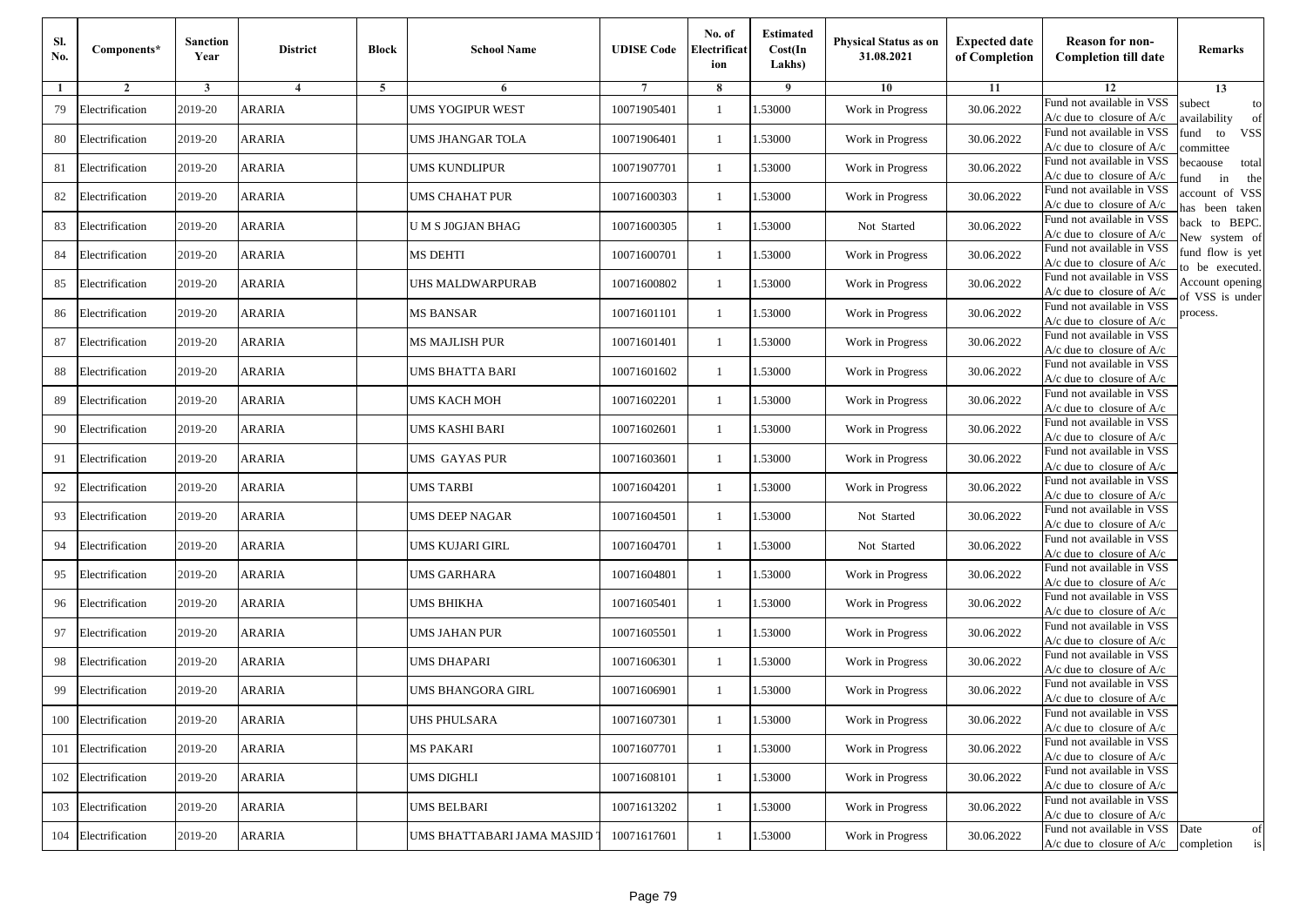| Sl.<br>No. | Components*         | <b>Sanction</b><br>Year | <b>District</b> | <b>Block</b> | <b>School Name</b>         | <b>UDISE Code</b> | No. of<br>Electrificat<br>ion | <b>Estimated</b><br>Cost(In<br>Lakhs) | Physical Status as on<br>31.08.2021 | <b>Expected date</b><br>of Completion | <b>Reason for non-</b><br><b>Completion till date</b>                 | Remarks                               |
|------------|---------------------|-------------------------|-----------------|--------------|----------------------------|-------------------|-------------------------------|---------------------------------------|-------------------------------------|---------------------------------------|-----------------------------------------------------------------------|---------------------------------------|
| 1          | $\overline{2}$      | 3                       | $\overline{4}$  | 5            | 6                          |                   | 8                             | 9                                     | 10                                  | 11                                    | 12                                                                    | 13                                    |
| 79         | Electrification     | 2019-20                 | ARARIA          |              | <b>UMS YOGIPUR WEST</b>    | 10071905401       | 1                             | 1.53000                               | Work in Progress                    | 30.06.2022                            | Fund not available in VSS<br>$A/c$ due to closure of $A/c$            | subect<br>to<br>wailability<br>of     |
| 80         | Electrification     | 2019-20                 | <b>ARARIA</b>   |              | UMS JHANGAR TOLA           | 10071906401       | $\mathbf{1}$                  | 1.53000                               | Work in Progress                    | 30.06.2022                            | Fund not available in VSS<br>A/c due to closure of $A/c$              | fund<br>to<br><b>VSS</b><br>ommittee  |
| 81         | Electrification     | 2019-20                 | ARARIA          |              | <b>UMS KUNDLIPUR</b>       | 10071907701       | 1                             | 1.53000                               | Work in Progress                    | 30.06.2022                            | Fund not available in VSS<br>$A/c$ due to closure of $A/c$            | pecaouse<br>total<br>und<br>in<br>the |
| 82         | Electrification     | 2019-20                 | ARARIA          |              | UMS CHAHAT PUR             | 10071600303       | 1                             | .53000                                | Work in Progress                    | 30.06.2022                            | Fund not available in VSS<br>A/c due to closure of A/c                | ccount of VSS<br>as been taken        |
| 83         | Electrification     | 2019-20                 | ARARIA          |              | U M S J0GJAN BHAG          | 10071600305       | $\mathbf{1}$                  | .53000                                | Not Started                         | 30.06.2022                            | Fund not available in VSS<br>$A/c$ due to closure of $A/c$            | back to BEPC.<br>New system of        |
| 84         | Electrification     | 2019-20                 | ARARIA          |              | <b>MS DEHTI</b>            | 10071600701       | 1                             | .53000                                | Work in Progress                    | 30.06.2022                            | Fund not available in VSS<br>$A/c$ due to closure of $A/c$            | fund flow is yet                      |
| 85         | Electrification     | 2019-20                 | ARARIA          |              | UHS MALDWARPURAB           | 10071600802       | 1                             | 1.53000                               | Work in Progress                    | 30.06.2022                            | Fund not available in VSS<br>$A/c$ due to closure of $A/c$            | o be executed.<br>Account opening     |
| 86         | Electrification     | 2019-20                 | ARARIA          |              | <b>MS BANSAR</b>           | 10071601101       | 1                             | .53000                                | Work in Progress                    | 30.06.2022                            | Fund not available in VSS<br>$A/c$ due to closure of $A/c$            | of VSS is under<br>process.           |
| 87         | Electrification     | 2019-20                 | <b>ARARIA</b>   |              | <b>MS MAJLISH PUR</b>      | 10071601401       | 1                             | 1.53000                               | Work in Progress                    | 30.06.2022                            | Fund not available in VSS<br>$A/c$ due to closure of $A/c$            |                                       |
| 88         | Electrification     | 2019-20                 | ARARIA          |              | <b>UMS BHATTA BARI</b>     | 10071601602       | $\mathbf{1}$                  | 1.53000                               | Work in Progress                    | 30.06.2022                            | Fund not available in VSS<br>$A/c$ due to closure of $A/c$            |                                       |
| 89         | Electrification     | 2019-20                 | ARARIA          |              | UMS KACH MOH               | 10071602201       | 1                             | 1.53000                               | Work in Progress                    | 30.06.2022                            | Fund not available in VSS<br>$A/c$ due to closure of $A/c$            |                                       |
| 90         | Electrification     | 2019-20                 | ARARIA          |              | UMS KASHI BARI             | 10071602601       | 1                             | .53000                                | Work in Progress                    | 30.06.2022                            | Fund not available in VSS<br>$A/c$ due to closure of $A/c$            |                                       |
| 91         | Electrification     | 2019-20                 | ARARIA          |              | UMS GAYAS PUR              | 10071603601       | 1                             | .53000                                | Work in Progress                    | 30.06.2022                            | Fund not available in VSS<br>$A/c$ due to closure of $A/c$            |                                       |
| 92         | Electrification     | 2019-20                 | ARARIA          |              | <b>UMS TARBI</b>           | 10071604201       | 1                             | .53000                                | Work in Progress                    | 30.06.2022                            | Fund not available in VSS<br>$A/c$ due to closure of $A/c$            |                                       |
| 93         | Electrification     | 2019-20                 | ARARIA          |              | <b>UMS DEEP NAGAR</b>      | 10071604501       | 1                             | 1.53000                               | Not Started                         | 30.06.2022                            | Fund not available in VSS<br>$A/c$ due to closure of $A/c$            |                                       |
| 94         | Electrification     | 2019-20                 | ARARIA          |              | <b>UMS KUJARI GIRL</b>     | 10071604701       | 1                             | 1.53000                               | Not Started                         | 30.06.2022                            | Fund not available in VSS<br>$A/c$ due to closure of $A/c$            |                                       |
| 95         | Electrification     | 2019-20                 | ARARIA          |              | <b>UMS GARHARA</b>         | 10071604801       | 1                             | .53000                                | Work in Progress                    | 30.06.2022                            | Fund not available in VSS<br>$A/c$ due to closure of $A/c$            |                                       |
| 96         | Electrification     | 2019-20                 | ARARIA          |              | <b>UMS BHIKHA</b>          | 10071605401       | $\mathbf{1}$                  | 1.53000                               | Work in Progress                    | 30.06.2022                            | Fund not available in VSS<br>A/c due to closure of A/c                |                                       |
| 97         | Electrification     | 2019-20                 | ARARIA          |              | <b>UMS JAHAN PUR</b>       | 10071605501       | 1                             | 1.53000                               | Work in Progress                    | 30.06.2022                            | Fund not available in VSS<br>$A/c$ due to closure of $A/c$            |                                       |
| 98         | Electrification     | 2019-20                 | ARARIA          |              | <b>UMS DHAPARI</b>         | 10071606301       | 1                             | .53000                                | Work in Progress                    | 30.06.2022                            | Fund not available in VSS<br>$A/c$ due to closure of $A/c$            |                                       |
| 99         | Electrification     | 2019-20                 | ARARIA          |              | JMS BHANGORA GIRL          | 10071606901       | 1                             | .53000                                | Work in Progress                    | 30.06.2022                            | Fund not available in VSS<br>A/c due to closure of A/c                |                                       |
|            | 100 Electrification | 2019-20                 | <b>ARARIA</b>   |              | <b>UHS PHULSARA</b>        | 10071607301       | $\mathbf{1}$                  | 1.53000                               | Work in Progress                    | 30.06.2022                            | Fund not available in VSS<br>A/c due to closure of A/c                |                                       |
|            | 101 Electrification | 2019-20                 | ARARIA          |              | <b>MS PAKARI</b>           | 10071607701       | $\mathbf{1}$                  | 1.53000                               | Work in Progress                    | 30.06.2022                            | Fund not available in VSS<br>$A/c$ due to closure of $A/c$            |                                       |
|            | 102 Electrification | 2019-20                 | <b>ARARIA</b>   |              | <b>UMS DIGHLI</b>          | 10071608101       | 1                             | 1.53000                               | Work in Progress                    | 30.06.2022                            | Fund not available in VSS<br>A/c due to closure of A/c                |                                       |
| 103        | Electrification     | 2019-20                 | ARARIA          |              | <b>UMS BELBARI</b>         | 10071613202       | 1                             | 1.53000                               | Work in Progress                    | 30.06.2022                            | Fund not available in VSS<br>A/c due to closure of A/c                |                                       |
| 104        | Electrification     | 2019-20                 | ARARIA          |              | UMS BHATTABARI JAMA MASJID | 10071617601       | $\mathbf{1}$                  | 1.53000                               | Work in Progress                    | 30.06.2022                            | Fund not available in VSS<br>$A/c$ due to closure of $A/c$ completion | Date<br>of<br>is                      |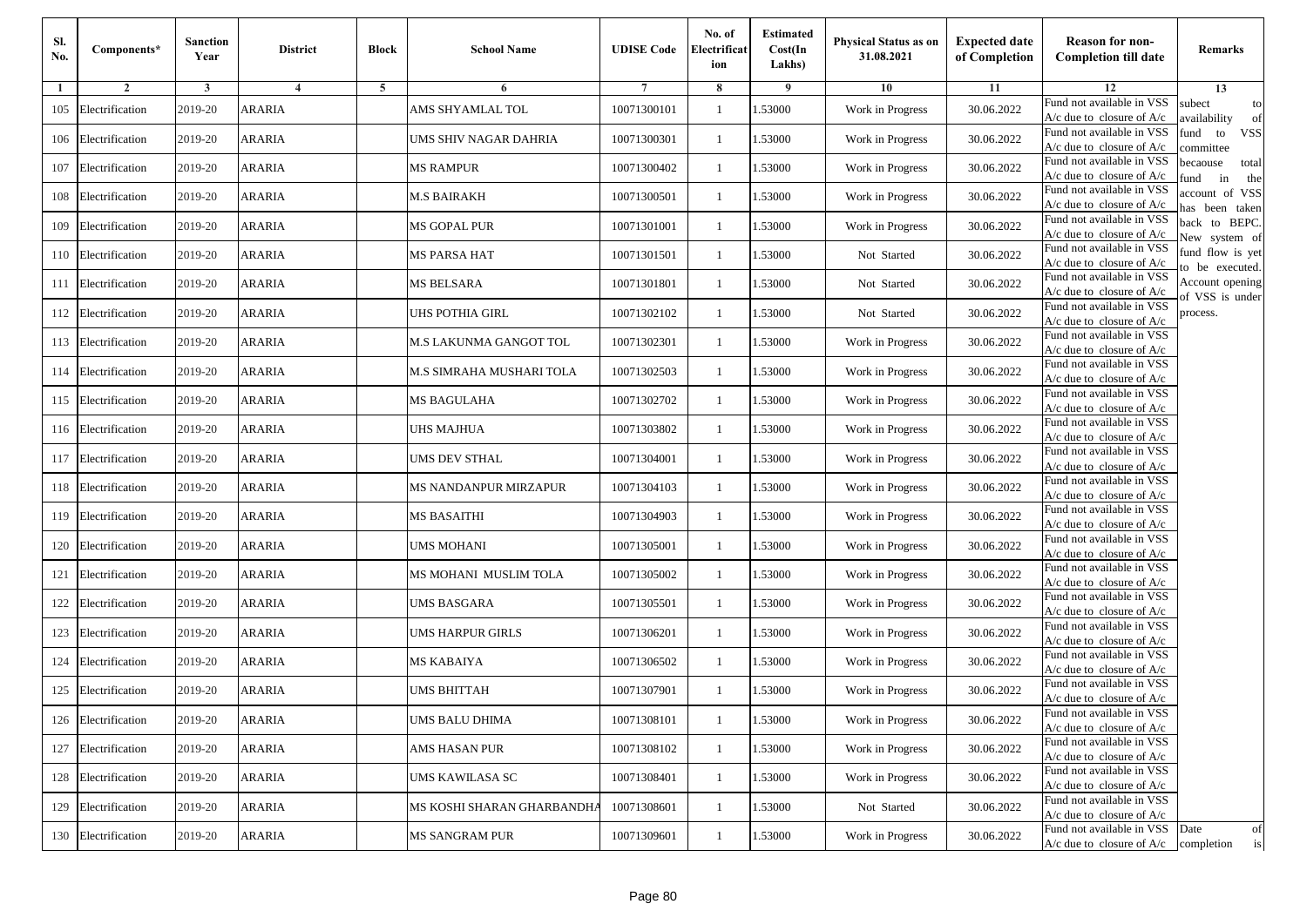| SI.<br>No. | Components*         | <b>Sanction</b><br>Year | <b>District</b> | <b>Block</b> | <b>School Name</b>        | <b>UDISE Code</b> | No. of<br>Electrificat<br>ion | <b>Estimated</b><br>Cost(In<br>Lakhs) | Physical Status as on<br>31.08.2021 | <b>Expected date</b><br>of Completion | <b>Reason for non-</b><br><b>Completion till date</b>                 | Remarks                               |
|------------|---------------------|-------------------------|-----------------|--------------|---------------------------|-------------------|-------------------------------|---------------------------------------|-------------------------------------|---------------------------------------|-----------------------------------------------------------------------|---------------------------------------|
| 1          | $\overline{2}$      | 3                       | 4               | 5            | 6                         |                   | 8                             | 9                                     | 10                                  | 11                                    | 12                                                                    | 13                                    |
| 105        | Electrification     | 2019-20                 | ARARIA          |              | AMS SHYAMLAL TOL          | 10071300101       | $\mathbf{1}$                  | 1.53000                               | Work in Progress                    | 30.06.2022                            | Fund not available in VSS<br>$A/c$ due to closure of $A/c$            | subect<br>to<br>wailability<br>of     |
| 106        | Electrification     | 2019-20                 | <b>ARARIA</b>   |              | UMS SHIV NAGAR DAHRIA     | 10071300301       | 1                             | 1.53000                               | Work in Progress                    | 30.06.2022                            | Fund not available in VSS<br>$A/c$ due to closure of $A/c$            | und<br>to<br><b>VSS</b><br>ommittee   |
| 107        | Electrification     | 2019-20                 | ARARIA          |              | <b>MS RAMPUR</b>          | 10071300402       | $\overline{1}$                | 1.53000                               | Work in Progress                    | 30.06.2022                            | Fund not available in VSS<br>$A/c$ due to closure of $A/c$            | pecaouse<br>total<br>und<br>in<br>the |
| 108        | Electrification     | 2019-20                 | ARARIA          |              | M.S BAIRAKH               | 10071300501       | -1                            | .53000                                | Work in Progress                    | 30.06.2022                            | Fund not available in VSS<br>$A/c$ due to closure of $A/c$            | ccount of VSS<br>as been taken        |
| 109        | Electrification     | 2019-20                 | ARARIA          |              | MS GOPAL PUR              | 10071301001       | 1                             | 1.53000                               | Work in Progress                    | 30.06.2022                            | Fund not available in VSS<br>A/c due to closure of $A/c$              | back to BEPC.<br>New system of        |
| 110        | Electrification     | 2019-20                 | ARARIA          |              | MS PARSA HAT              | 10071301501       | -1                            | 1.53000                               | Not Started                         | 30.06.2022                            | Fund not available in VSS<br>A/c due to closure of $A/c$              | fund flow is yet<br>o be executed.    |
| 111        | Electrification     | 2019-20                 | ARARIA          |              | MS BELSARA                | 10071301801       | -1                            | 1.53000                               | Not Started                         | 30.06.2022                            | Fund not available in VSS<br>$A/c$ due to closure of $A/c$            | Account opening<br>of VSS is under    |
| 112        | Electrification     | 2019-20                 | <b>ARARIA</b>   |              | UHS POTHIA GIRL           | 10071302102       | -1                            | 1.53000                               | Not Started                         | 30.06.2022                            | Fund not available in VSS<br>$A/c$ due to closure of $A/c$            | process.                              |
| 113        | Electrification     | 2019-20                 | <b>ARARIA</b>   |              | M.S LAKUNMA GANGOT TOL    | 10071302301       | $\overline{1}$                | 1.53000                               | Work in Progress                    | 30.06.2022                            | Fund not available in VSS<br>$A/c$ due to closure of $A/c$            |                                       |
| 114        | Electrification     | 2019-20                 | <b>ARARIA</b>   |              | M.S SIMRAHA MUSHARI TOLA  | 10071302503       | $\mathbf{1}$                  | 1.53000                               | Work in Progress                    | 30.06.2022                            | Fund not available in VSS<br>$A/c$ due to closure of $A/c$            |                                       |
| 115        | Electrification     | 2019-20                 | <b>ARARIA</b>   |              | MS BAGULAHA               | 10071302702       | -1                            | 1.53000                               | Work in Progress                    | 30.06.2022                            | Fund not available in VSS<br>$A/c$ due to closure of $A/c$            |                                       |
| 116        | Electrification     | 2019-20                 | ARARIA          |              | UHS MAJHUA                | 10071303802       | $\overline{1}$                | .53000                                | Work in Progress                    | 30.06.2022                            | Fund not available in VSS<br>$A/c$ due to closure of $A/c$            |                                       |
| 117        | Electrification     | 2019-20                 | ARARIA          |              | UMS DEV STHAL             | 10071304001       | -1                            | .53000                                | Work in Progress                    | 30.06.2022                            | Fund not available in VSS<br>A/c due to closure of A/c                |                                       |
| 118        | Electrification     | 2019-20                 | ARARIA          |              | MS NANDANPUR MIRZAPUR     | 10071304103       | 1                             | 1.53000                               | Work in Progress                    | 30.06.2022                            | Fund not available in VSS<br>$A/c$ due to closure of $A/c$            |                                       |
| 119        | Electrification     | 2019-20                 | <b>ARARIA</b>   |              | MS BASAITHI               | 10071304903       | -1                            | 1.53000                               | Work in Progress                    | 30.06.2022                            | Fund not available in VSS<br>$A/c$ due to closure of $A/c$            |                                       |
| 120        | Electrification     | 2019-20                 | <b>ARARIA</b>   |              | UMS MOHANI                | 10071305001       | -1                            | 1.53000                               | Work in Progress                    | 30.06.2022                            | Fund not available in VSS<br>A/c due to closure of A/c                |                                       |
| 121        | Electrification     | 2019-20                 | <b>ARARIA</b>   |              | MS MOHANI MUSLIM TOLA     | 10071305002       | $\overline{1}$                | 1.53000                               | Work in Progress                    | 30.06.2022                            | Fund not available in VSS<br>$A/c$ due to closure of $A/c$            |                                       |
| 122        | Electrification     | 2019-20                 | <b>ARARIA</b>   |              | UMS BASGARA               | 10071305501       | 1                             | 1.53000                               | Work in Progress                    | 30.06.2022                            | Fund not available in VSS<br>$A/c$ due to closure of $A/c$            |                                       |
| 123        | Electrification     | 2019-20                 | <b>ARARIA</b>   |              | UMS HARPUR GIRLS          | 10071306201       | -1                            | 1.53000                               | Work in Progress                    | 30.06.2022                            | Fund not available in VSS<br>$A/c$ due to closure of $A/c$            |                                       |
| 124        | Electrification     | 2019-20                 | <b>ARARIA</b>   |              | MS KABAIYA                | 10071306502       | $\overline{1}$                | .53000                                | Work in Progress                    | 30.06.2022                            | Fund not available in VSS<br>$A/c$ due to closure of $A/c$            |                                       |
| 125        | Electrification     | 2019-20                 | ARARIA          |              | <b>JMS BHITTAH</b>        | 10071307901       | -1                            | .53000                                | Work in Progress                    | 30.06.2022                            | Fund not available in VSS<br>A/c due to closure of A/c                |                                       |
|            | 126 Electrification | 2019-20                 | <b>ARARIA</b>   |              | UMS BALU DHIMA            | 10071308101       | $\mathbf{1}$                  | 1.53000                               | Work in Progress                    | 30.06.2022                            | Fund not available in VSS<br>A/c due to closure of A/c                |                                       |
|            | 127 Electrification | 2019-20                 | <b>ARARIA</b>   |              | AMS HASAN PUR             | 10071308102       | 1                             | 1.53000                               | Work in Progress                    | 30.06.2022                            | Fund not available in VSS<br>$A/c$ due to closure of $A/c$            |                                       |
|            | 128 Electrification | 2019-20                 | <b>ARARIA</b>   |              | UMS KAWILASA SC           | 10071308401       | -1                            | 1.53000                               | Work in Progress                    | 30.06.2022                            | Fund not available in VSS<br>A/c due to closure of A/c                |                                       |
| 129        | Electrification     | 2019-20                 | <b>ARARIA</b>   |              | MS KOSHI SHARAN GHARBANDH | 10071308601       | $\overline{1}$                | 1.53000                               | Not Started                         | 30.06.2022                            | Fund not available in VSS<br>A/c due to closure of A/c                |                                       |
|            | 130 Electrification | 2019-20                 | ARARIA          |              | MS SANGRAM PUR            | 10071309601       | $\mathbf{1}$                  | 1.53000                               | Work in Progress                    | 30.06.2022                            | Fund not available in VSS<br>$A/c$ due to closure of $A/c$ completion | Date<br>of<br>is                      |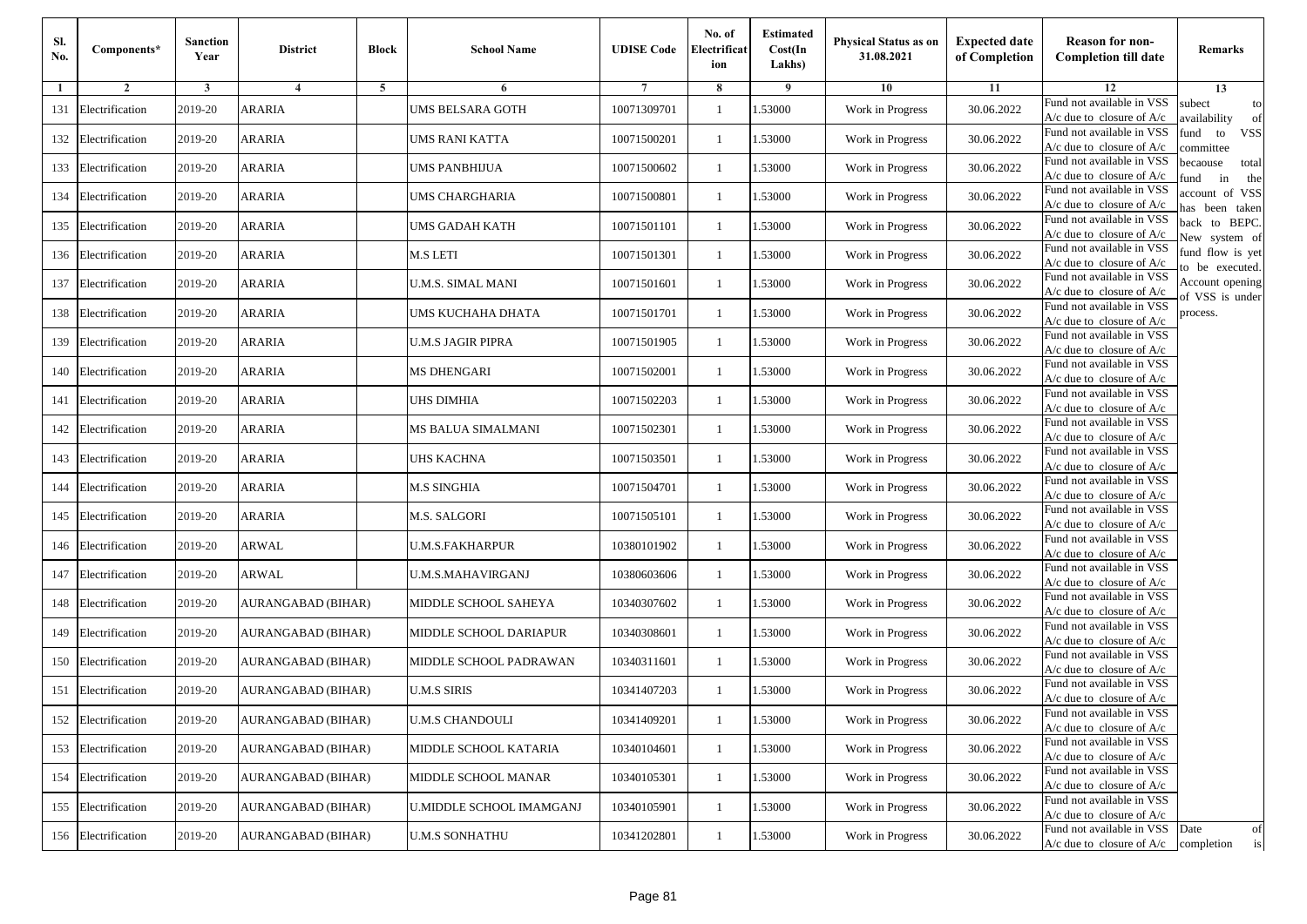| SI.<br>No. | Components*         | <b>Sanction</b><br>Year | <b>District</b>    | <b>Block</b> | <b>School Name</b>              | <b>UDISE Code</b> | No. of<br>Electrificat<br>ion | <b>Estimated</b><br>Cost(In<br>Lakhs) | Physical Status as on<br>31.08.2021 | <b>Expected date</b><br>of Completion | <b>Reason for non-</b><br><b>Completion till date</b>                 | Remarks                               |
|------------|---------------------|-------------------------|--------------------|--------------|---------------------------------|-------------------|-------------------------------|---------------------------------------|-------------------------------------|---------------------------------------|-----------------------------------------------------------------------|---------------------------------------|
| 1          | $\overline{2}$      | 3                       | 4                  | 5            | 6                               |                   | 8                             | 9                                     | 10                                  | 11                                    | 12                                                                    | 13                                    |
| 131        | Electrification     | 2019-20                 | ARARIA             |              | UMS BELSARA GOTH                | 10071309701       | $\mathbf{1}$                  | 1.53000                               | Work in Progress                    | 30.06.2022                            | Fund not available in VSS<br>$A/c$ due to closure of $A/c$            | subect<br>to<br>availability<br>of    |
| 132        | Electrification     | 2019-20                 | <b>ARARIA</b>      |              | UMS RANI KATTA                  | 10071500201       | 1                             | 1.53000                               | Work in Progress                    | 30.06.2022                            | Fund not available in VSS<br>$A/c$ due to closure of $A/c$            | und<br>to<br><b>VSS</b><br>ommittee   |
| 133        | Electrification     | 2019-20                 | ARARIA             |              | UMS PANBHIJUA                   | 10071500602       | $\overline{1}$                | 1.53000                               | Work in Progress                    | 30.06.2022                            | Fund not available in VSS<br>$A/c$ due to closure of $A/c$            | pecaouse<br>total<br>und<br>in<br>the |
| 134        | Electrification     | 2019-20                 | ARARIA             |              | UMS CHARGHARIA                  | 10071500801       | -1                            | .53000                                | Work in Progress                    | 30.06.2022                            | Fund not available in VSS<br>$A/c$ due to closure of $A/c$            | ccount of VSS<br>as been taken        |
| 135        | Electrification     | 2019-20                 | ARARIA             |              | UMS GADAH KATH                  | 10071501101       | 1                             | 1.53000                               | Work in Progress                    | 30.06.2022                            | Fund not available in VSS<br>A/c due to closure of $A/c$              | back to BEPC.<br>New system of        |
| 136        | Electrification     | 2019-20                 | ARARIA             |              | M.S LETI                        | 10071501301       | -1                            | 1.53000                               | Work in Progress                    | 30.06.2022                            | Fund not available in VSS<br>A/c due to closure of $A/c$              | fund flow is yet<br>o be executed.    |
| 137        | Electrification     | 2019-20                 | ARARIA             |              | U.M.S. SIMAL MANI               | 10071501601       | -1                            | 1.53000                               | Work in Progress                    | 30.06.2022                            | Fund not available in VSS<br>$A/c$ due to closure of $A/c$            | Account opening<br>of VSS is under    |
| 138        | Electrification     | 2019-20                 | <b>ARARIA</b>      |              | UMS KUCHAHA DHATA               | 10071501701       | -1                            | 1.53000                               | Work in Progress                    | 30.06.2022                            | Fund not available in VSS<br>$A/c$ due to closure of $A/c$            | process.                              |
| 139        | Electrification     | 2019-20                 | <b>ARARIA</b>      |              | U.M.S JAGIR PIPRA               | 10071501905       | $\overline{1}$                | 1.53000                               | Work in Progress                    | 30.06.2022                            | Fund not available in VSS<br>$A/c$ due to closure of $A/c$            |                                       |
| 140        | Electrification     | 2019-20                 | ARARIA             |              | <b>MS DHENGARI</b>              | 10071502001       | $\mathbf{1}$                  | 1.53000                               | Work in Progress                    | 30.06.2022                            | Fund not available in VSS<br>$A/c$ due to closure of $A/c$            |                                       |
| 141        | Electrification     | 2019-20                 | <b>ARARIA</b>      |              | UHS DIMHIA                      | 10071502203       | -1                            | 1.53000                               | Work in Progress                    | 30.06.2022                            | Fund not available in VSS<br>$A/c$ due to closure of $A/c$            |                                       |
| 142        | Electrification     | 2019-20                 | ARARIA             |              | MS BALUA SIMALMANI              | 10071502301       | $\overline{1}$                | .53000                                | Work in Progress                    | 30.06.2022                            | Fund not available in VSS<br>$A/c$ due to closure of $A/c$            |                                       |
| 143        | Electrification     | 2019-20                 | ARARIA             |              | UHS KACHNA                      | 10071503501       | -1                            | .53000                                | Work in Progress                    | 30.06.2022                            | Fund not available in VSS<br>A/c due to closure of A/c                |                                       |
| 144        | Electrification     | 2019-20                 | ARARIA             |              | <b>M.S SINGHIA</b>              | 10071504701       | 1                             | 1.53000                               | Work in Progress                    | 30.06.2022                            | Fund not available in VSS<br>$A/c$ due to closure of $A/c$            |                                       |
| 145        | Electrification     | 2019-20                 | <b>ARARIA</b>      |              | M.S. SALGORI                    | 10071505101       | -1                            | 1.53000                               | Work in Progress                    | 30.06.2022                            | Fund not available in VSS<br>$A/c$ due to closure of $A/c$            |                                       |
| 146        | Electrification     | 2019-20                 | <b>ARWAL</b>       |              | U.M.S.FAKHARPUR                 | 10380101902       | -1                            | 1.53000                               | Work in Progress                    | 30.06.2022                            | Fund not available in VSS<br>A/c due to closure of A/c                |                                       |
| 147        | Electrification     | 2019-20                 | <b>ARWAL</b>       |              | <b>U.M.S.MAHAVIRGANJ</b>        | 10380603606       | $\overline{1}$                | 1.53000                               | Work in Progress                    | 30.06.2022                            | Fund not available in VSS<br>$A/c$ due to closure of $A/c$            |                                       |
| 148        | Electrification     | 2019-20                 | AURANGABAD (BIHAR) |              | MIDDLE SCHOOL SAHEYA            | 10340307602       | 1                             | 1.53000                               | Work in Progress                    | 30.06.2022                            | Fund not available in VSS<br>$A/c$ due to closure of $A/c$            |                                       |
| 149        | Electrification     | 2019-20                 | AURANGABAD (BIHAR) |              | MIDDLE SCHOOL DARIAPUR          | 10340308601       | $\overline{1}$                | 1.53000                               | Work in Progress                    | 30.06.2022                            | Fund not available in VSS<br>$A/c$ due to closure of $A/c$            |                                       |
| 150        | Electrification     | 2019-20                 | AURANGABAD (BIHAR) |              | MIDDLE SCHOOL PADRAWAN          | 10340311601       | $\overline{1}$                | .53000                                | Work in Progress                    | 30.06.2022                            | Fund not available in VSS<br>$A/c$ due to closure of $A/c$            |                                       |
| 151        | Electrification     | 2019-20                 | AURANGABAD (BIHAR) |              | U.M.S SIRIS                     | 10341407203       | -1                            | .53000                                | Work in Progress                    | 30.06.2022                            | Fund not available in VSS<br>A/c due to closure of A/c                |                                       |
|            | 152 Electrification | 2019-20                 | AURANGABAD (BIHAR) |              | <b>U.M.S CHANDOULI</b>          | 10341409201       | $\mathbf{1}$                  | 1.53000                               | Work in Progress                    | 30.06.2022                            | Fund not available in VSS<br>A/c due to closure of A/c                |                                       |
|            | 153 Electrification | 2019-20                 | AURANGABAD (BIHAR) |              | MIDDLE SCHOOL KATARIA           | 10340104601       | $\overline{1}$                | 1.53000                               | Work in Progress                    | 30.06.2022                            | Fund not available in VSS<br>$A/c$ due to closure of $A/c$            |                                       |
|            | 154 Electrification | 2019-20                 | AURANGABAD (BIHAR) |              | MIDDLE SCHOOL MANAR             | 10340105301       | -1                            | 1.53000                               | Work in Progress                    | 30.06.2022                            | Fund not available in VSS<br>$A/c$ due to closure of $A/c$            |                                       |
| 155        | Electrification     | 2019-20                 | AURANGABAD (BIHAR) |              | <b>U.MIDDLE SCHOOL IMAMGANJ</b> | 10340105901       | -1                            | 1.53000                               | Work in Progress                    | 30.06.2022                            | Fund not available in VSS<br>$A/c$ due to closure of $A/c$            |                                       |
|            | 156 Electrification | 2019-20                 | AURANGABAD (BIHAR) |              | <b>U.M.S SONHATHU</b>           | 10341202801       | $\mathbf{1}$                  | 1.53000                               | Work in Progress                    | 30.06.2022                            | Fund not available in VSS<br>$A/c$ due to closure of $A/c$ completion | Date<br>of<br>is                      |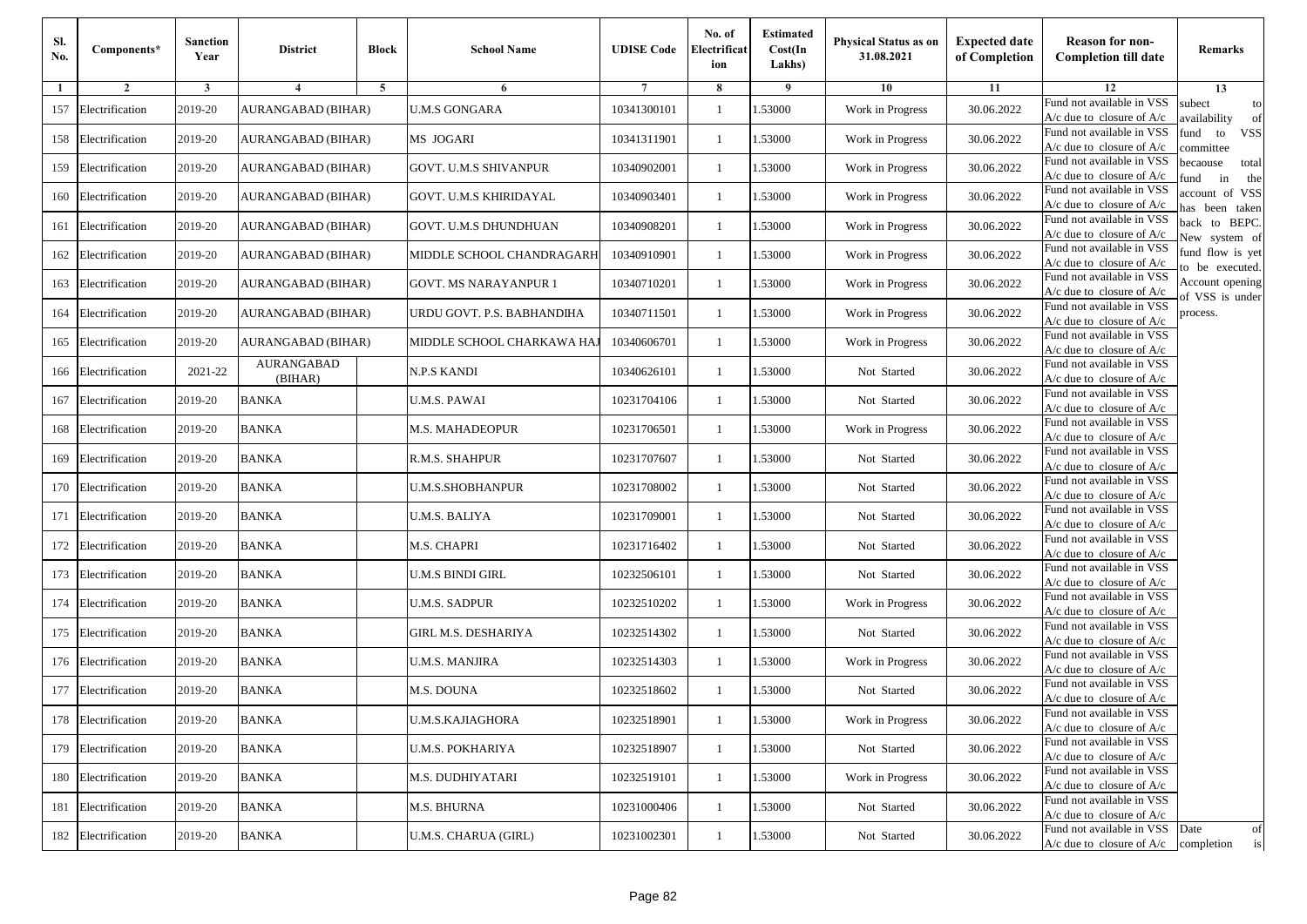| Sl.<br>No. | Components*         | <b>Sanction</b><br>Year | <b>District</b>       | <b>Block</b> | <b>School Name</b>           | <b>UDISE Code</b> | No. of<br>Electrificat<br>ion | <b>Estimated</b><br>Cost(In<br>Lakhs) | Physical Status as on<br>31.08.2021 | <b>Expected date</b><br>of Completion | <b>Reason for non-</b><br><b>Completion till date</b>                 | Remarks                               |
|------------|---------------------|-------------------------|-----------------------|--------------|------------------------------|-------------------|-------------------------------|---------------------------------------|-------------------------------------|---------------------------------------|-----------------------------------------------------------------------|---------------------------------------|
| 1          | $\overline{2}$      | 3                       | $\overline{4}$        | 5            | 6                            |                   | 8                             | 9                                     | 10                                  | 11                                    | 12                                                                    | 13                                    |
| 157        | Electrification     | 2019-20                 | AURANGABAD (BIHAR)    |              | <b>U.M.S GONGARA</b>         | 10341300101       | -1                            | 1.53000                               | Work in Progress                    | 30.06.2022                            | Fund not available in VSS<br>$A/c$ due to closure of $A/c$            | subect<br>to<br>wailability<br>of     |
| 158        | Electrification     | 2019-20                 | AURANGABAD (BIHAR)    |              | MS JOGARI                    | 10341311901       | $\mathbf{1}$                  | 1.53000                               | Work in Progress                    | 30.06.2022                            | Fund not available in VSS<br>$A/c$ due to closure of $A/c$            | fund<br>to<br><b>VSS</b><br>ommittee  |
| 159        | Electrification     | 2019-20                 | AURANGABAD (BIHAR)    |              | GOVT. U.M.S SHIVANPUR        | 10340902001       | $\mathbf{1}$                  | 1.53000                               | Work in Progress                    | 30.06.2022                            | Fund not available in VSS<br>$A/c$ due to closure of $A/c$            | pecaouse<br>total<br>und<br>in<br>the |
| 160        | Electrification     | 2019-20                 | AURANGABAD (BIHAR)    |              | GOVT. U.M.S KHIRIDAYAL       | 10340903401       | -1                            | 1.53000                               | Work in Progress                    | 30.06.2022                            | Fund not available in VSS<br>$A/c$ due to closure of $A/c$            | ccount of VSS<br>as been taken        |
| 161        | Electrification     | 2019-20                 | AURANGABAD (BIHAR)    |              | <b>GOVT. U.M.S DHUNDHUAN</b> | 10340908201       | $\mathbf{1}$                  | 1.53000                               | Work in Progress                    | 30.06.2022                            | Fund not available in VSS<br>A/c due to closure of $A/c$              | back to BEPC.<br>New system of        |
| 162        | Electrification     | 2019-20                 | AURANGABAD (BIHAR)    |              | MIDDLE SCHOOL CHANDRAGARH    | 10340910901       | -1                            | 1.53000                               | Work in Progress                    | 30.06.2022                            | Fund not available in VSS<br>A/c due to closure of $A/c$              | fund flow is yet<br>o be executed.    |
| 163        | Electrification     | 2019-20                 | AURANGABAD (BIHAR)    |              | <b>GOVT. MS NARAYANPUR 1</b> | 10340710201       | -1                            | 1.53000                               | Work in Progress                    | 30.06.2022                            | Fund not available in VSS<br>$A/c$ due to closure of $A/c$            | Account opening<br>of VSS is under    |
| 164        | Electrification     | 2019-20                 | AURANGABAD (BIHAR)    |              | URDU GOVT. P.S. BABHANDIHA   | 10340711501       | -1                            | 1.53000                               | Work in Progress                    | 30.06.2022                            | Fund not available in VSS<br>$A/c$ due to closure of $A/c$            | process.                              |
| 165        | Electrification     | 2019-20                 | AURANGABAD (BIHAR)    |              | MIDDLE SCHOOL CHARKAWA HAJ   | 10340606701       | -1                            | 1.53000                               | Work in Progress                    | 30.06.2022                            | Fund not available in VSS<br>$A/c$ due to closure of $A/c$            |                                       |
| 166        | Electrification     | 2021-22                 | AURANGABAD<br>(BIHAR) |              | <b>N.P.S KANDI</b>           | 10340626101       | $\mathbf{1}$                  | 1.53000                               | Not Started                         | 30.06.2022                            | Fund not available in VSS<br>$A/c$ due to closure of $A/c$            |                                       |
| 167        | Electrification     | 2019-20                 | <b>BANKA</b>          |              | U.M.S. PAWAI                 | 10231704106       | -1                            | 1.53000                               | Not Started                         | 30.06.2022                            | Fund not available in VSS<br>$A/c$ due to closure of $A/c$            |                                       |
| 168        | Electrification     | 2019-20                 | <b>BANKA</b>          |              | M.S. MAHADEOPUR              | 10231706501       | -1                            | 1.53000                               | Work in Progress                    | 30.06.2022                            | Fund not available in VSS<br>$A/c$ due to closure of $A/c$            |                                       |
| 169        | Electrification     | 2019-20                 | <b>BANKA</b>          |              | R.M.S. SHAHPUR               | 10231707607       | -1                            | 1.53000                               | Not Started                         | 30.06.2022                            | Fund not available in VSS<br>$A/c$ due to closure of $A/c$            |                                       |
| 170        | Electrification     | 2019-20                 | <b>BANKA</b>          |              | U.M.S.SHOBHANPUR             | 10231708002       | $\mathbf{1}$                  | 1.53000                               | Not Started                         | 30.06.2022                            | Fund not available in VSS<br>$A/c$ due to closure of $A/c$            |                                       |
| 171        | Electrification     | 2019-20                 | <b>BANKA</b>          |              | U.M.S. BALIYA                | 10231709001       | -1                            | 1.53000                               | Not Started                         | 30.06.2022                            | Fund not available in VSS<br>$A/c$ due to closure of $A/c$            |                                       |
| 172        | Electrification     | 2019-20                 | <b>BANKA</b>          |              | M.S. CHAPRI                  | 10231716402       | -1                            | 1.53000                               | Not Started                         | 30.06.2022                            | Fund not available in VSS<br>A/c due to closure of A/c                |                                       |
| 173        | Electrification     | 2019-20                 | <b>BANKA</b>          |              | U.M.S BINDI GIRL             | 10232506101       | $\mathbf{1}$                  | 1.53000                               | Not Started                         | 30.06.2022                            | Fund not available in VSS<br>$A/c$ due to closure of $A/c$            |                                       |
| 174        | Electrification     | 2019-20                 | <b>BANKA</b>          |              | U.M.S. SADPUR                | 10232510202       | $\mathbf{1}$                  | 1.53000                               | Work in Progress                    | 30.06.2022                            | Fund not available in VSS<br>$A/c$ due to closure of $A/c$            |                                       |
| 175        | Electrification     | 2019-20                 | <b>BANKA</b>          |              | <b>GIRL M.S. DESHARIYA</b>   | 10232514302       | -1                            | 1.53000                               | Not Started                         | 30.06.2022                            | Fund not available in VSS<br>$A/c$ due to closure of $A/c$            |                                       |
| 176        | Electrification     | 2019-20                 | <b>BANKA</b>          |              | U.M.S. MANJIRA               | 10232514303       | -1                            | 1.53000                               | Work in Progress                    | 30.06.2022                            | Fund not available in VSS<br>$A/c$ due to closure of $A/c$            |                                       |
| 177        | Electrification     | 2019-20                 | <b>BANKA</b>          |              | M.S. DOUNA                   | 10232518602       | -1                            | 1.53000                               | Not Started                         | 30.06.2022                            | Fund not available in VSS<br>A/c due to closure of A/c                |                                       |
|            | 178 Electrification | 2019-20                 | <b>BANKA</b>          |              | U.M.S.KAJIAGHORA             | 10232518901       | $\mathbf{1}$                  | 1.53000                               | Work in Progress                    | 30.06.2022                            | Fund not available in VSS<br>A/c due to closure of A/c                |                                       |
|            | 179 Electrification | 2019-20                 | <b>BANKA</b>          |              | <b>U.M.S. POKHARIYA</b>      | 10232518907       | $\mathbf{1}$                  | 1.53000                               | Not Started                         | 30.06.2022                            | Fund not available in VSS<br>$A/c$ due to closure of $A/c$            |                                       |
|            | 180 Electrification | 2019-20                 | <b>BANKA</b>          |              | M.S. DUDHIYATARI             | 10232519101       | -1                            | 1.53000                               | Work in Progress                    | 30.06.2022                            | Fund not available in VSS<br>A/c due to closure of $A/c$              |                                       |
| 181        | Electrification     | 2019-20                 | <b>BANKA</b>          |              | M.S. BHURNA                  | 10231000406       | -1                            | 1.53000                               | Not Started                         | 30.06.2022                            | Fund not available in VSS<br>A/c due to closure of A/c                |                                       |
| 182        | Electrification     | 2019-20                 | <b>BANKA</b>          |              | U.M.S. CHARUA (GIRL)         | 10231002301       | $\mathbf{1}$                  | 1.53000                               | Not Started                         | 30.06.2022                            | Fund not available in VSS<br>$A/c$ due to closure of $A/c$ completion | Date<br>of<br>is                      |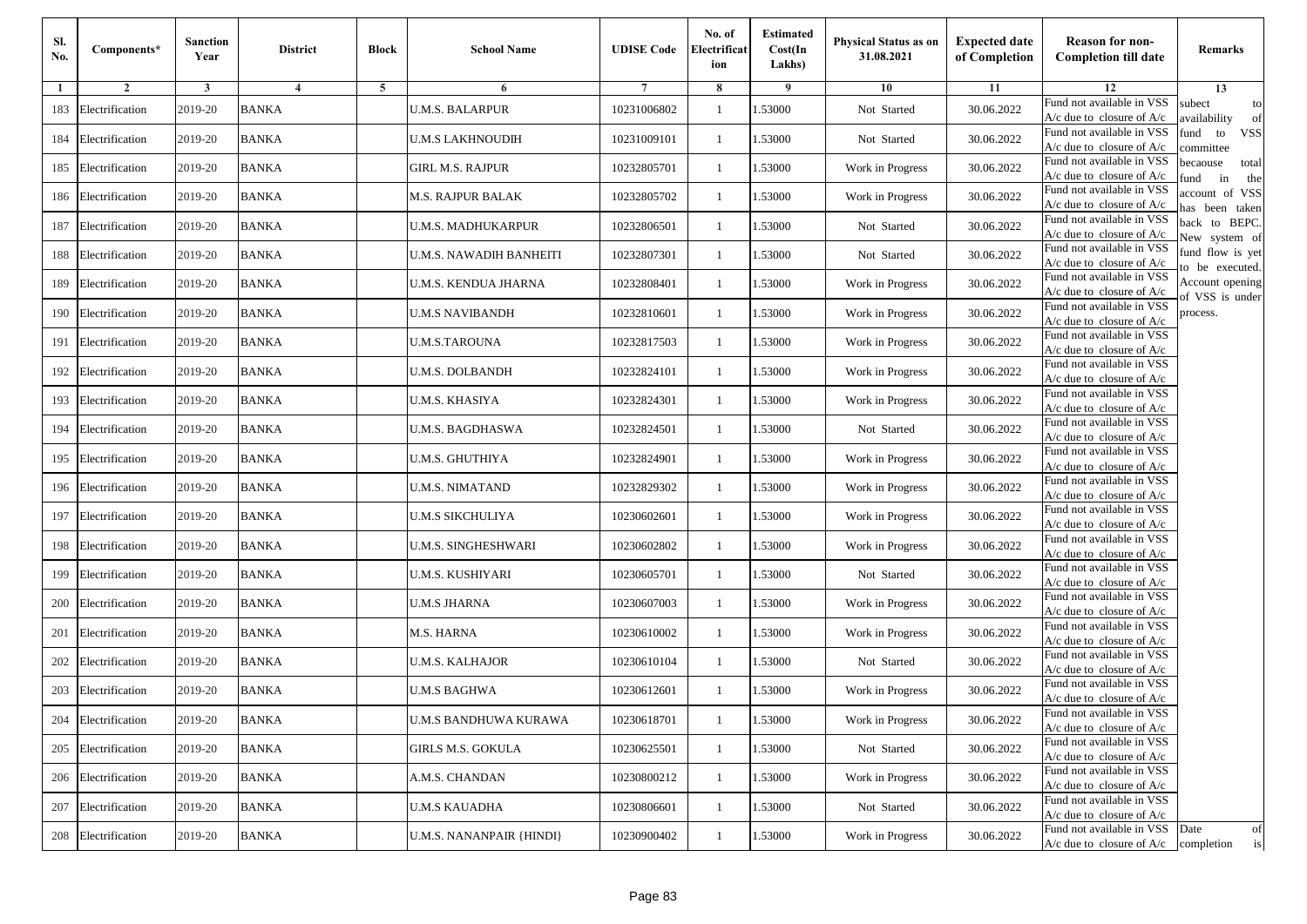| SI.<br>No. | Components*         | <b>Sanction</b><br>Year | <b>District</b> | <b>Block</b> | <b>School Name</b>              | <b>UDISE Code</b> | No. of<br>Electrificat<br>ion | <b>Estimated</b><br>Cost(In<br>Lakhs) | Physical Status as on<br>31.08.2021 | <b>Expected date</b><br>of Completion | <b>Reason for non-</b><br><b>Completion till date</b>                 | Remarks                               |
|------------|---------------------|-------------------------|-----------------|--------------|---------------------------------|-------------------|-------------------------------|---------------------------------------|-------------------------------------|---------------------------------------|-----------------------------------------------------------------------|---------------------------------------|
| 1          | $\overline{2}$      | 3                       | $\overline{4}$  | 5            | 6                               |                   | 8                             | 9                                     | 10                                  | 11                                    | 12                                                                    | 13                                    |
| 183        | Electrification     | 2019-20                 | <b>BANKA</b>    |              | <b>U.M.S. BALARPUR</b>          | 10231006802       | $\mathbf{1}$                  | 1.53000                               | Not Started                         | 30.06.2022                            | Fund not available in VSS<br>$A/c$ due to closure of $A/c$            | subect<br>to<br>wailability<br>of     |
| 184        | Electrification     | 2019-20                 | <b>BANKA</b>    |              | U.M.S LAKHNOUDIH                | 10231009101       | 1                             | 1.53000                               | Not Started                         | 30.06.2022                            | Fund not available in VSS<br>$A/c$ due to closure of $A/c$            | fund<br>to<br><b>VSS</b><br>ommittee  |
| 185        | Electrification     | 2019-20                 | <b>BANKA</b>    |              | GIRL M.S. RAJPUR                | 10232805701       | $\overline{1}$                | 1.53000                               | Work in Progress                    | 30.06.2022                            | Fund not available in VSS<br>$A/c$ due to closure of $A/c$            | pecaouse<br>total<br>und<br>in<br>the |
| 186        | Electrification     | 2019-20                 | <b>BANKA</b>    |              | M.S. RAJPUR BALAK               | 10232805702       | -1                            | .53000                                | Work in Progress                    | 30.06.2022                            | Fund not available in VSS<br>$A/c$ due to closure of $A/c$            | ccount of VSS<br>as been taken        |
| 187        | Electrification     | 2019-20                 | <b>BANKA</b>    |              | U.M.S. MADHUKARPUR              | 10232806501       | $\mathbf{1}$                  | 1.53000                               | Not Started                         | 30.06.2022                            | Fund not available in VSS<br>A/c due to closure of $A/c$              | back to BEPC.<br>New system of        |
| 188        | Electrification     | 2019-20                 | <b>BANKA</b>    |              | U.M.S. NAWADIH BANHEITI         | 10232807301       | -1                            | 1.53000                               | Not Started                         | 30.06.2022                            | Fund not available in VSS<br>A/c due to closure of $A/c$              | fund flow is yet<br>o be executed.    |
| 189        | Electrification     | 2019-20                 | <b>BANKA</b>    |              | U.M.S. KENDUA JHARNA            | 10232808401       | -1                            | 1.53000                               | Work in Progress                    | 30.06.2022                            | Fund not available in VSS<br>$A/c$ due to closure of $A/c$            | Account opening<br>of VSS is under    |
| 190        | Electrification     | 2019-20                 | <b>BANKA</b>    |              | <b>U.M.S NAVIBANDH</b>          | 10232810601       | -1                            | 1.53000                               | Work in Progress                    | 30.06.2022                            | Fund not available in VSS<br>$A/c$ due to closure of $A/c$            | process.                              |
| 191        | Electrification     | 2019-20                 | <b>BANKA</b>    |              | <b>U.M.S.TAROUNA</b>            | 10232817503       | -1                            | 1.53000                               | Work in Progress                    | 30.06.2022                            | Fund not available in VSS<br>$A/c$ due to closure of $A/c$            |                                       |
| 192        | Electrification     | 2019-20                 | <b>BANKA</b>    |              | <b>U.M.S. DOLBANDH</b>          | 10232824101       | $\mathbf{1}$                  | 1.53000                               | Work in Progress                    | 30.06.2022                            | Fund not available in VSS<br>$A/c$ due to closure of $A/c$            |                                       |
| 193        | Electrification     | 2019-20                 | <b>BANKA</b>    |              | U.M.S. KHASIYA                  | 10232824301       | -1                            | 1.53000                               | Work in Progress                    | 30.06.2022                            | Fund not available in VSS<br>$A/c$ due to closure of $A/c$            |                                       |
| 194        | Electrification     | 2019-20                 | <b>BANKA</b>    |              | U.M.S. BAGDHASWA                | 10232824501       | $\overline{1}$                | .53000                                | Not Started                         | 30.06.2022                            | Fund not available in VSS<br>$A/c$ due to closure of $A/c$            |                                       |
| 195        | Electrification     | 2019-20                 | <b>BANKA</b>    |              | U.M.S. GHUTHIYA                 | 10232824901       | -1                            | .53000                                | Work in Progress                    | 30.06.2022                            | Fund not available in VSS<br>A/c due to closure of A/c                |                                       |
| 196        | Electrification     | 2019-20                 | <b>BANKA</b>    |              | <b>U.M.S. NIMATAND</b>          | 10232829302       | 1                             | 1.53000                               | Work in Progress                    | 30.06.2022                            | Fund not available in VSS<br>$A/c$ due to closure of $A/c$            |                                       |
| 197        | Electrification     | 2019-20                 | <b>BANKA</b>    |              | U.M.S SIKCHULIYA                | 10230602601       | -1                            | 1.53000                               | Work in Progress                    | 30.06.2022                            | Fund not available in VSS<br>$A/c$ due to closure of $A/c$            |                                       |
| 198        | Electrification     | 2019-20                 | <b>BANKA</b>    |              | U.M.S. SINGHESHWARI             | 10230602802       | -1                            | 1.53000                               | Work in Progress                    | 30.06.2022                            | Fund not available in VSS<br>A/c due to closure of A/c                |                                       |
| 199        | Electrification     | 2019-20                 | <b>BANKA</b>    |              | U.M.S. KUSHIYARI                | 10230605701       | $\overline{1}$                | 1.53000                               | Not Started                         | 30.06.2022                            | Fund not available in VSS<br>$A/c$ due to closure of $A/c$            |                                       |
| 200        | Electrification     | 2019-20                 | <b>BANKA</b>    |              | <b>U.M.S JHARNA</b>             | 10230607003       | 1                             | 1.53000                               | Work in Progress                    | 30.06.2022                            | Fund not available in VSS<br>$A/c$ due to closure of $A/c$            |                                       |
| 201        | Electrification     | 2019-20                 | <b>BANKA</b>    |              | M.S. HARNA                      | 10230610002       | -1                            | 1.53000                               | Work in Progress                    | 30.06.2022                            | Fund not available in VSS<br>$A/c$ due to closure of $A/c$            |                                       |
| 202        | Electrification     | 2019-20                 | <b>BANKA</b>    |              | U.M.S. KALHAJOR                 | 10230610104       | $\overline{1}$                | .53000                                | Not Started                         | 30.06.2022                            | Fund not available in VSS<br>$A/c$ due to closure of $A/c$            |                                       |
| 203        | Electrification     | 2019-20                 | <b>BANKA</b>    |              | U.M.S BAGHWA                    | 10230612601       | -1                            | .53000                                | Work in Progress                    | 30.06.2022                            | Fund not available in VSS<br>A/c due to closure of A/c                |                                       |
|            | 204 Electrification | 2019-20                 | <b>BANKA</b>    |              | U.M.S BANDHUWA KURAWA           | 10230618701       | $\mathbf{1}$                  | 1.53000                               | Work in Progress                    | 30.06.2022                            | Fund not available in VSS<br>A/c due to closure of A/c                |                                       |
|            | 205 Electrification | 2019-20                 | <b>BANKA</b>    |              | GIRLS M.S. GOKULA               | 10230625501       | 1                             | 1.53000                               | Not Started                         | 30.06.2022                            | Fund not available in VSS<br>$A/c$ due to closure of $A/c$            |                                       |
|            | 206 Electrification | 2019-20                 | <b>BANKA</b>    |              | A.M.S. CHANDAN                  | 10230800212       | -1                            | 1.53000                               | Work in Progress                    | 30.06.2022                            | Fund not available in VSS<br>A/c due to closure of $A/c$              |                                       |
| 207        | Electrification     | 2019-20                 | <b>BANKA</b>    |              | <b>U.M.S KAUADHA</b>            | 10230806601       | -1                            | 1.53000                               | Not Started                         | 30.06.2022                            | Fund not available in VSS<br>A/c due to closure of A/c                |                                       |
| 208        | Electrification     | 2019-20                 | <b>BANKA</b>    |              | <b>U.M.S. NANANPAIR {HINDI}</b> | 10230900402       | $\mathbf{1}$                  | 1.53000                               | Work in Progress                    | 30.06.2022                            | Fund not available in VSS<br>$A/c$ due to closure of $A/c$ completion | Date<br>of<br>is                      |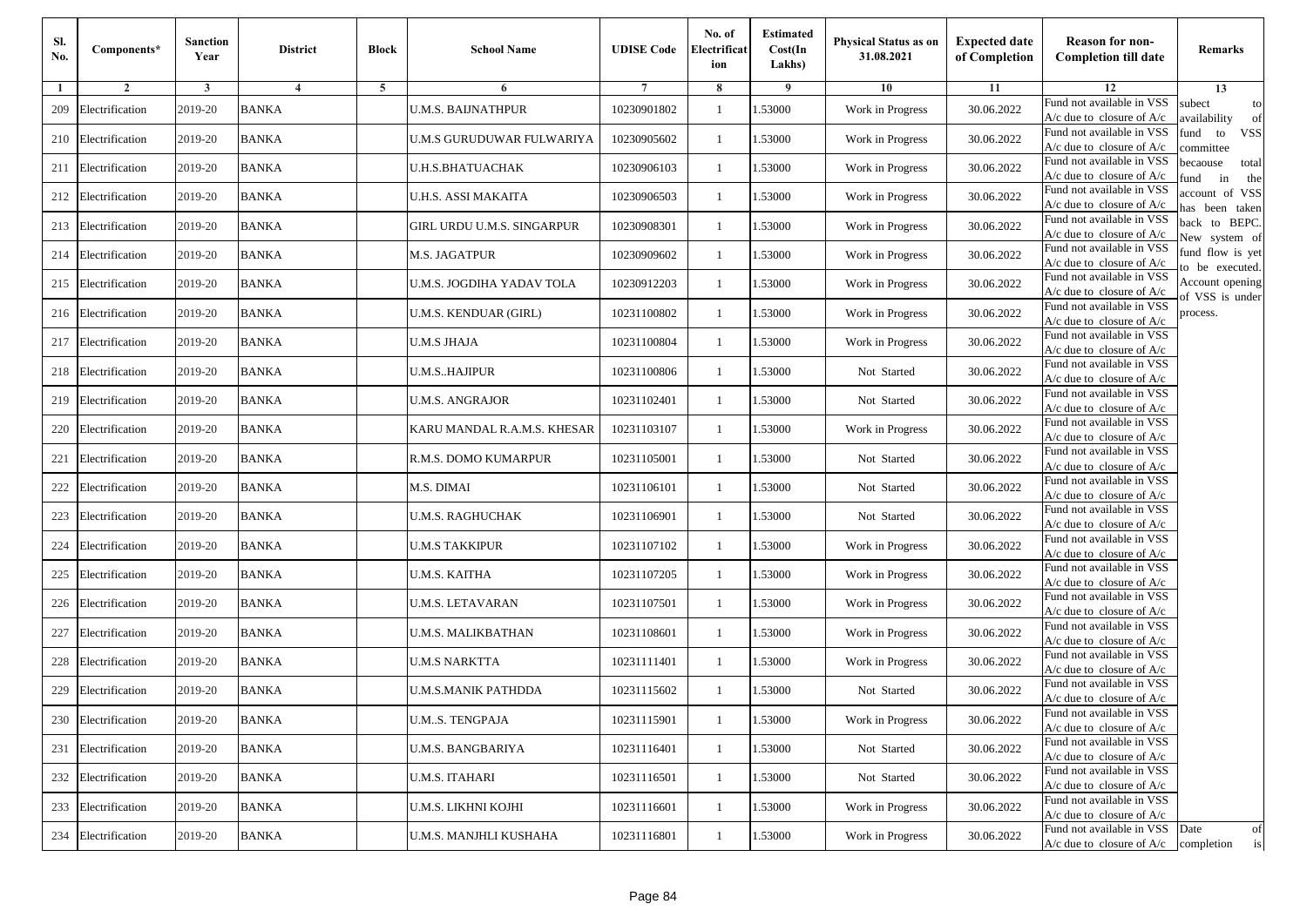| Sl.<br>No. | Components*         | <b>Sanction</b><br>Year | <b>District</b> | <b>Block</b>   | <b>School Name</b>          | <b>UDISE Code</b> | No. of<br>Electrificat<br>ion | <b>Estimated</b><br>Cost(In<br>Lakhs) | <b>Physical Status as on</b><br>31.08.2021 | <b>Expected date</b><br>of Completion | <b>Reason for non-</b><br><b>Completion till date</b>                      | Remarks                               |
|------------|---------------------|-------------------------|-----------------|----------------|-----------------------------|-------------------|-------------------------------|---------------------------------------|--------------------------------------------|---------------------------------------|----------------------------------------------------------------------------|---------------------------------------|
| -1         | $\overline{2}$      | 3                       | $\overline{4}$  | $\overline{5}$ | 6                           |                   | 8                             | 9                                     | 10                                         | 11                                    | 12                                                                         | 13                                    |
| 209        | Electrification     | 2019-20                 | <b>BANKA</b>    |                | <b>U.M.S. BAIJNATHPUR</b>   | 10230901802       | $\mathbf{1}$                  | .53000                                | Work in Progress                           | 30.06.2022                            | Fund not available in VSS<br>$A/c$ due to closure of $A/c$                 | subect<br>to<br>availability<br>of    |
| 210        | Electrification     | 2019-20                 | <b>BANKA</b>    |                | U.M.S GURUDUWAR FULWARIYA   | 10230905602       | 1                             | 1.53000                               | Work in Progress                           | 30.06.2022                            | Fund not available in VSS<br>A/c due to closure of $A/c$                   | fund<br>to<br><b>VSS</b><br>ommittee  |
| 211        | Electrification     | 2019-20                 | <b>BANKA</b>    |                | <b>U.H.S.BHATUACHAK</b>     | 10230906103       | 1                             | 1.53000                               | Work in Progress                           | 30.06.2022                            | Fund not available in VSS<br>$A/c$ due to closure of $A/c$                 | pecaouse<br>total<br>und<br>in<br>the |
| 212        | Electrification     | 2019-20                 | <b>BANKA</b>    |                | U.H.S. ASSI MAKAITA         | 10230906503       | 1                             | .53000                                | Work in Progress                           | 30.06.2022                            | Fund not available in VSS<br>$A/c$ due to closure of $A/c$                 | account of VSS<br>nas been taken      |
| 213        | Electrification     | 2019-20                 | <b>BANKA</b>    |                | GIRL URDU U.M.S. SINGARPUR  | 10230908301       | $\mathbf{1}$                  | .53000                                | Work in Progress                           | 30.06.2022                            | Fund not available in VSS<br>$A/c$ due to closure of $A/c$                 | back to BEPC.<br>New system of        |
| 214        | Electrification     | 2019-20                 | <b>BANKA</b>    |                | M.S. JAGATPUR               | 10230909602       | 1                             | .53000                                | Work in Progress                           | 30.06.2022                            | Fund not available in VSS<br>$A/c$ due to closure of $A/c$                 | fund flow is yet<br>o be executed.    |
| 215        | Electrification     | 2019-20                 | <b>BANKA</b>    |                | U.M.S. JOGDIHA YADAV TOLA   | 10230912203       | 1                             | .53000                                | Work in Progress                           | 30.06.2022                            | Fund not available in VSS<br>$A/c$ due to closure of $A/c$                 | Account opening<br>of VSS is under    |
| 216        | Electrification     | 2019-20                 | <b>BANKA</b>    |                | U.M.S. KENDUAR (GIRL)       | 10231100802       | 1                             | .53000                                | Work in Progress                           | 30.06.2022                            | Fund not available in VSS<br>$A/c$ due to closure of $A/c$                 | process.                              |
| 217        | Electrification     | 2019-20                 | <b>BANKA</b>    |                | <b>U.M.S JHAJA</b>          | 10231100804       | 1                             | .53000                                | Work in Progress                           | 30.06.2022                            | Fund not available in VSS<br>$A/c$ due to closure of $A/c$                 |                                       |
| 218        | Electrification     | 2019-20                 | <b>BANKA</b>    |                | <b>U.M.S., HAJIPUR</b>      | 10231100806       | 1                             | 1.53000                               | Not Started                                | 30.06.2022                            | Fund not available in VSS<br>$A/c$ due to closure of $A/c$                 |                                       |
| 219        | Electrification     | 2019-20                 | <b>BANKA</b>    |                | U.M.S. ANGRAJOR             | 10231102401       | 1                             | 1.53000                               | Not Started                                | 30.06.2022                            | Fund not available in VSS<br>$A/c$ due to closure of $A/c$                 |                                       |
| 220        | Electrification     | 2019-20                 | <b>BANKA</b>    |                | KARU MANDAL R.A.M.S. KHESAR | 10231103107       | $\mathbf{1}$                  | .53000                                | Work in Progress                           | 30.06.2022                            | Fund not available in VSS<br>$A/c$ due to closure of $A/c$                 |                                       |
| 221        | Electrification     | 2019-20                 | <b>BANKA</b>    |                | R.M.S. DOMO KUMARPUR        | 10231105001       | 1                             | .53000                                | Not Started                                | 30.06.2022                            | Fund not available in VSS<br>$A/c$ due to closure of $A/c$                 |                                       |
| 222        | Electrification     | 2019-20                 | <b>BANKA</b>    |                | M.S. DIMAI                  | 10231106101       | $\mathbf{1}$                  | .53000                                | Not Started                                | 30.06.2022                            | Fund not available in VSS<br>$A/c$ due to closure of $A/c$                 |                                       |
| 223        | Electrification     | 2019-20                 | <b>BANKA</b>    |                | U.M.S. RAGHUCHAK            | 10231106901       | 1                             | 1.53000                               | Not Started                                | 30.06.2022                            | Fund not available in VSS<br>$A/c$ due to closure of $A/c$                 |                                       |
| 224        | Electrification     | 2019-20                 | <b>BANKA</b>    |                | <b>U.M.S TAKKIPUR</b>       | 10231107102       | 1                             | .53000                                | Work in Progress                           | 30.06.2022                            | Fund not available in VSS<br>$A/c$ due to closure of $A/c$                 |                                       |
| 225        | Electrification     | 2019-20                 | <b>BANKA</b>    |                | U.M.S. KAITHA               | 10231107205       | 1                             | .53000                                | Work in Progress                           | 30.06.2022                            | Fund not available in VSS<br>$A/c$ due to closure of $A/c$                 |                                       |
| 226        | Electrification     | 2019-20                 | <b>BANKA</b>    |                | U.M.S. LETAVARAN            | 10231107501       | 1                             | 1.53000                               | Work in Progress                           | 30.06.2022                            | Fund not available in VSS<br>A/c due to closure of A/c                     |                                       |
| 227        | Electrification     | 2019-20                 | <b>BANKA</b>    |                | U.M.S. MALIKBATHAN          | 10231108601       | 1                             | 1.53000                               | Work in Progress                           | 30.06.2022                            | Fund not available in VSS<br>$A/c$ due to closure of $A/c$                 |                                       |
| 228        | Electrification     | 2019-20                 | <b>BANKA</b>    |                | U.M.S NARKTTA               | 10231111401       | $\mathbf{1}$                  | .53000                                | Work in Progress                           | 30.06.2022                            | Fund not available in VSS<br>$A/c$ due to closure of $A/c$                 |                                       |
| 229        | Electrification     | 2019-20                 | <b>BANKA</b>    |                | U.M.S.MANIK PATHDDA         | 10231115602       | 1                             | .53000                                | Not Started                                | 30.06.2022                            | Fund not available in VSS<br>A/c due to closure of A/c                     |                                       |
|            | 230 Electrification | 2019-20                 | <b>BANKA</b>    |                | U.MS. TENGPAJA              | 10231115901       |                               | 1.53000                               | Work in Progress                           | 30.06.2022                            | Fund not available in VSS<br>A/c due to closure of A/c                     |                                       |
|            | 231 Electrification | 2019-20                 | <b>BANKA</b>    |                | <b>U.M.S. BANGBARIYA</b>    | 10231116401       | $\mathbf{1}$                  | 1.53000                               | Not Started                                | 30.06.2022                            | Fund not available in VSS<br>$A/c$ due to closure of $A/c$                 |                                       |
|            | 232 Electrification | 2019-20                 | <b>BANKA</b>    |                | <b>U.M.S. ITAHARI</b>       | 10231116501       | 1                             | 1.53000                               | Not Started                                | 30.06.2022                            | Fund not available in VSS<br>$A/c$ due to closure of $A/c$                 |                                       |
| 233        | Electrification     | 2019-20                 | <b>BANKA</b>    |                | U.M.S. LIKHNI KOJHI         | 10231116601       | 1                             | 1.53000                               | Work in Progress                           | 30.06.2022                            | Fund not available in VSS<br>$A/c$ due to closure of $A/c$                 |                                       |
|            | 234 Electrification | 2019-20                 | <b>BANKA</b>    |                | U.M.S. MANJHLI KUSHAHA      | 10231116801       | $\mathbf{1}$                  | 1.53000                               | Work in Progress                           | 30.06.2022                            | Fund not available in VSS Date<br>$A/c$ due to closure of $A/c$ completion | of<br>is                              |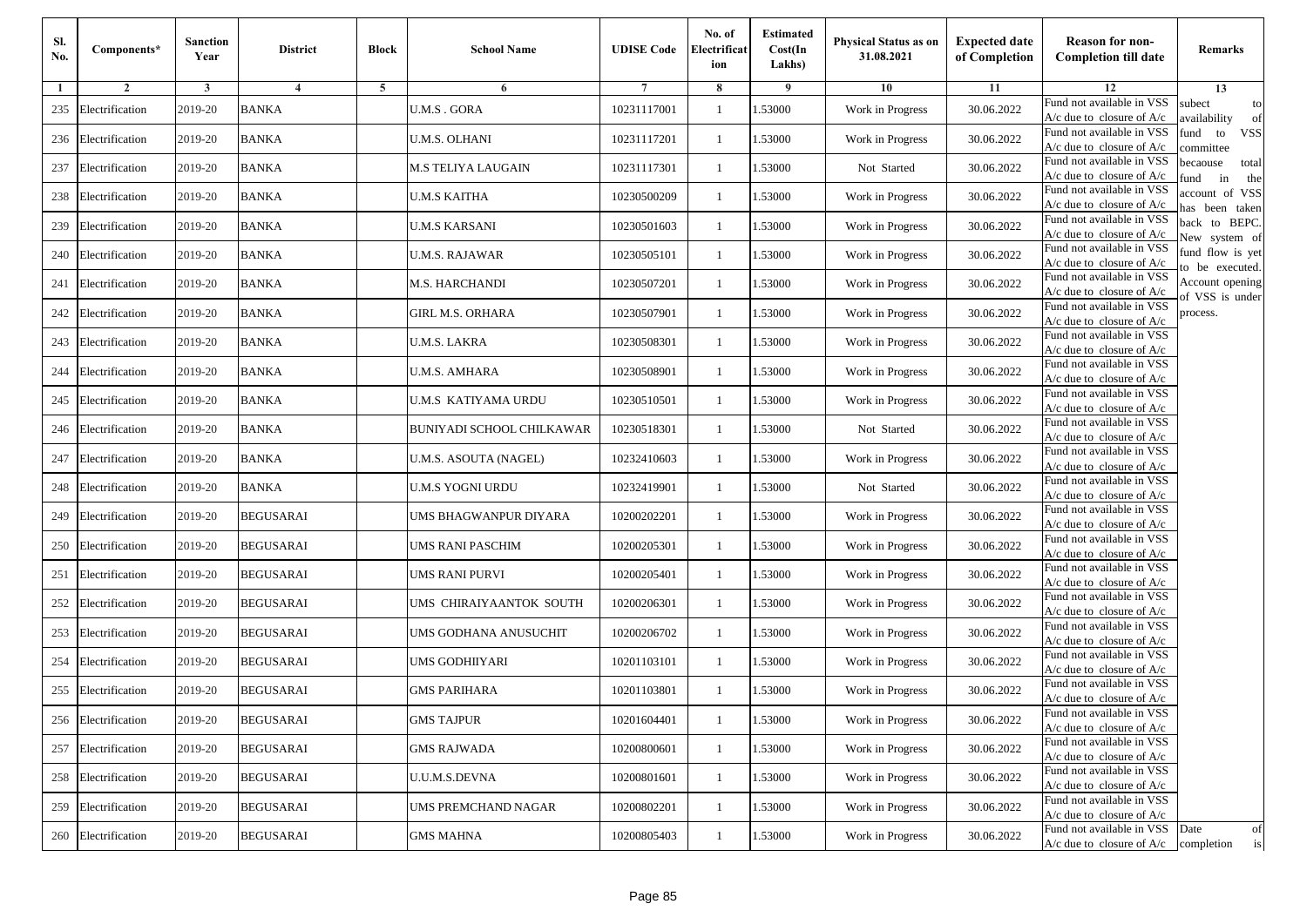| Sl.<br>No. | Components*         | <b>Sanction</b><br>Year | <b>District</b>  | <b>Block</b> | <b>School Name</b>        | <b>UDISE Code</b> | No. of<br>Electrificat<br>ion | <b>Estimated</b><br>Cost(In<br>Lakhs) | Physical Status as on<br>31.08.2021 | <b>Expected date</b><br>of Completion | <b>Reason for non-</b><br><b>Completion till date</b>                 | Remarks                               |
|------------|---------------------|-------------------------|------------------|--------------|---------------------------|-------------------|-------------------------------|---------------------------------------|-------------------------------------|---------------------------------------|-----------------------------------------------------------------------|---------------------------------------|
| 1          | $\overline{2}$      | 3                       | $\overline{4}$   | 5            | 6                         | 7                 | 8                             | 9                                     | 10                                  | 11                                    | 12                                                                    | 13                                    |
| 235        | Electrification     | 2019-20                 | <b>BANKA</b>     |              | <b>U.M.S. GORA</b>        | 10231117001       | -1                            | 1.53000                               | Work in Progress                    | 30.06.2022                            | Fund not available in VSS<br>$A/c$ due to closure of $A/c$            | subect<br>to<br>wailability<br>of     |
| 236        | Electrification     | 2019-20                 | <b>BANKA</b>     |              | U.M.S. OLHANI             | 10231117201       | $\mathbf{1}$                  | 1.53000                               | Work in Progress                    | 30.06.2022                            | Fund not available in VSS<br>$A/c$ due to closure of $A/c$            | fund<br>to<br><b>VSS</b><br>ommittee  |
| 237        | Electrification     | 2019-20                 | <b>BANKA</b>     |              | M.S TELIYA LAUGAIN        | 10231117301       | $\mathbf{1}$                  | 1.53000                               | Not Started                         | 30.06.2022                            | Fund not available in VSS<br>$A/c$ due to closure of $A/c$            | pecaouse<br>total<br>und<br>in<br>the |
| 238        | Electrification     | 2019-20                 | <b>BANKA</b>     |              | U.M.S KAITHA              | 10230500209       | -1                            | 1.53000                               | Work in Progress                    | 30.06.2022                            | Fund not available in VSS<br>$A/c$ due to closure of $A/c$            | ccount of VSS<br>as been taken        |
| 239        | Electrification     | 2019-20                 | <b>BANKA</b>     |              | U.M.S KARSANI             | 10230501603       | $\mathbf{1}$                  | 1.53000                               | Work in Progress                    | 30.06.2022                            | Fund not available in VSS<br>A/c due to closure of $A/c$              | back to BEPC.<br>New system of        |
| 240        | Electrification     | 2019-20                 | <b>BANKA</b>     |              | U.M.S. RAJAWAR            | 10230505101       | -1                            | 1.53000                               | Work in Progress                    | 30.06.2022                            | Fund not available in VSS<br>A/c due to closure of $A/c$              | fund flow is yet<br>o be executed.    |
| 241        | Electrification     | 2019-20                 | <b>BANKA</b>     |              | M.S. HARCHANDI            | 10230507201       | -1                            | 1.53000                               | Work in Progress                    | 30.06.2022                            | Fund not available in VSS<br>A/c due to closure of A/c                | Account opening<br>of VSS is under    |
| 242        | Electrification     | 2019-20                 | <b>BANKA</b>     |              | GIRL M.S. ORHARA          | 10230507901       | -1                            | 1.53000                               | Work in Progress                    | 30.06.2022                            | Fund not available in VSS<br>$A/c$ due to closure of $A/c$            | process.                              |
| 243        | Electrification     | 2019-20                 | <b>BANKA</b>     |              | U.M.S. LAKRA              | 10230508301       | -1                            | 1.53000                               | Work in Progress                    | 30.06.2022                            | Fund not available in VSS<br>$A/c$ due to closure of $A/c$            |                                       |
| 244        | Electrification     | 2019-20                 | <b>BANKA</b>     |              | U.M.S. AMHARA             | 10230508901       | $\mathbf{1}$                  | 1.53000                               | Work in Progress                    | 30.06.2022                            | Fund not available in VSS<br>$A/c$ due to closure of $A/c$            |                                       |
| 245        | Electrification     | 2019-20                 | <b>BANKA</b>     |              | U.M.S KATIYAMA URDU       | 10230510501       | -1                            | 1.53000                               | Work in Progress                    | 30.06.2022                            | Fund not available in VSS<br>$A/c$ due to closure of $A/c$            |                                       |
| 246        | Electrification     | 2019-20                 | <b>BANKA</b>     |              | BUNIYADI SCHOOL CHILKAWAR | 10230518301       | -1                            | 1.53000                               | Not Started                         | 30.06.2022                            | Fund not available in VSS<br>$A/c$ due to closure of $A/c$            |                                       |
| 247        | Electrification     | 2019-20                 | <b>BANKA</b>     |              | U.M.S. ASOUTA (NAGEL)     | 10232410603       | -1                            | 1.53000                               | Work in Progress                    | 30.06.2022                            | Fund not available in VSS<br>$A/c$ due to closure of $A/c$            |                                       |
| 248        | Electrification     | 2019-20                 | <b>BANKA</b>     |              | U.M.S YOGNI URDU          | 10232419901       | $\mathbf{1}$                  | 1.53000                               | Not Started                         | 30.06.2022                            | Fund not available in VSS<br>$A/c$ due to closure of $A/c$            |                                       |
| 249        | Electrification     | 2019-20                 | <b>BEGUSARAI</b> |              | UMS BHAGWANPUR DIYARA     | 10200202201       | -1                            | 1.53000                               | Work in Progress                    | 30.06.2022                            | Fund not available in VSS<br>$A/c$ due to closure of $A/c$            |                                       |
| 250        | Electrification     | 2019-20                 | <b>BEGUSARAI</b> |              | UMS RANI PASCHIM          | 10200205301       | -1                            | 1.53000                               | Work in Progress                    | 30.06.2022                            | Fund not available in VSS<br>$A/c$ due to closure of $A/c$            |                                       |
| 251        | Electrification     | 2019-20                 | <b>BEGUSARAI</b> |              | UMS RANI PURVI            | 10200205401       | $\mathbf{1}$                  | 1.53000                               | Work in Progress                    | 30.06.2022                            | Fund not available in VSS<br>$A/c$ due to closure of $A/c$            |                                       |
| 252        | Electrification     | 2019-20                 | <b>BEGUSARAI</b> |              | UMS CHIRAIYAANTOK SOUTH   | 10200206301       | $\mathbf{1}$                  | 1.53000                               | Work in Progress                    | 30.06.2022                            | Fund not available in VSS<br>$A/c$ due to closure of $A/c$            |                                       |
| 253        | Electrification     | 2019-20                 | <b>BEGUSARAI</b> |              | UMS GODHANA ANUSUCHIT     | 10200206702       | -1                            | 1.53000                               | Work in Progress                    | 30.06.2022                            | Fund not available in VSS<br>$A/c$ due to closure of $A/c$            |                                       |
| 254        | Electrification     | 2019-20                 | <b>BEGUSARAI</b> |              | UMS GODHIIYARI            | 10201103101       | -1                            | 1.53000                               | Work in Progress                    | 30.06.2022                            | Fund not available in VSS<br>$A/c$ due to closure of $A/c$            |                                       |
| 255        | Electrification     | 2019-20                 | <b>BEGUSARAI</b> |              | GMS PARIHARA              | 10201103801       | -1                            | .53000                                | Work in Progress                    | 30.06.2022                            | Fund not available in VSS<br>A/c due to closure of A/c                |                                       |
|            | 256 Electrification | 2019-20                 | <b>BEGUSARAI</b> |              | <b>GMS TAJPUR</b>         | 10201604401       | $\mathbf{1}$                  | 1.53000                               | Work in Progress                    | 30.06.2022                            | Fund not available in VSS<br>A/c due to closure of A/c                |                                       |
|            | 257 Electrification | 2019-20                 | <b>BEGUSARAI</b> |              | <b>GMS RAJWADA</b>        | 10200800601       | $\mathbf{1}$                  | 1.53000                               | Work in Progress                    | 30.06.2022                            | Fund not available in VSS<br>$A/c$ due to closure of $A/c$            |                                       |
| 258        | Electrification     | 2019-20                 | <b>BEGUSARAI</b> |              | U.U.M.S.DEVNA             | 10200801601       | -1                            | 1.53000                               | Work in Progress                    | 30.06.2022                            | Fund not available in VSS<br>A/c due to closure of $A/c$              |                                       |
| 259        | Electrification     | 2019-20                 | <b>BEGUSARAI</b> |              | UMS PREMCHAND NAGAR       | 10200802201       | $\mathbf{1}$                  | 1.53000                               | Work in Progress                    | 30.06.2022                            | Fund not available in VSS<br>A/c due to closure of A/c                |                                       |
| 260        | Electrification     | 2019-20                 | <b>BEGUSARAI</b> |              | <b>GMS MAHNA</b>          | 10200805403       | $\mathbf{1}$                  | 1.53000                               | Work in Progress                    | 30.06.2022                            | Fund not available in VSS<br>$A/c$ due to closure of $A/c$ completion | Date<br>of<br>is                      |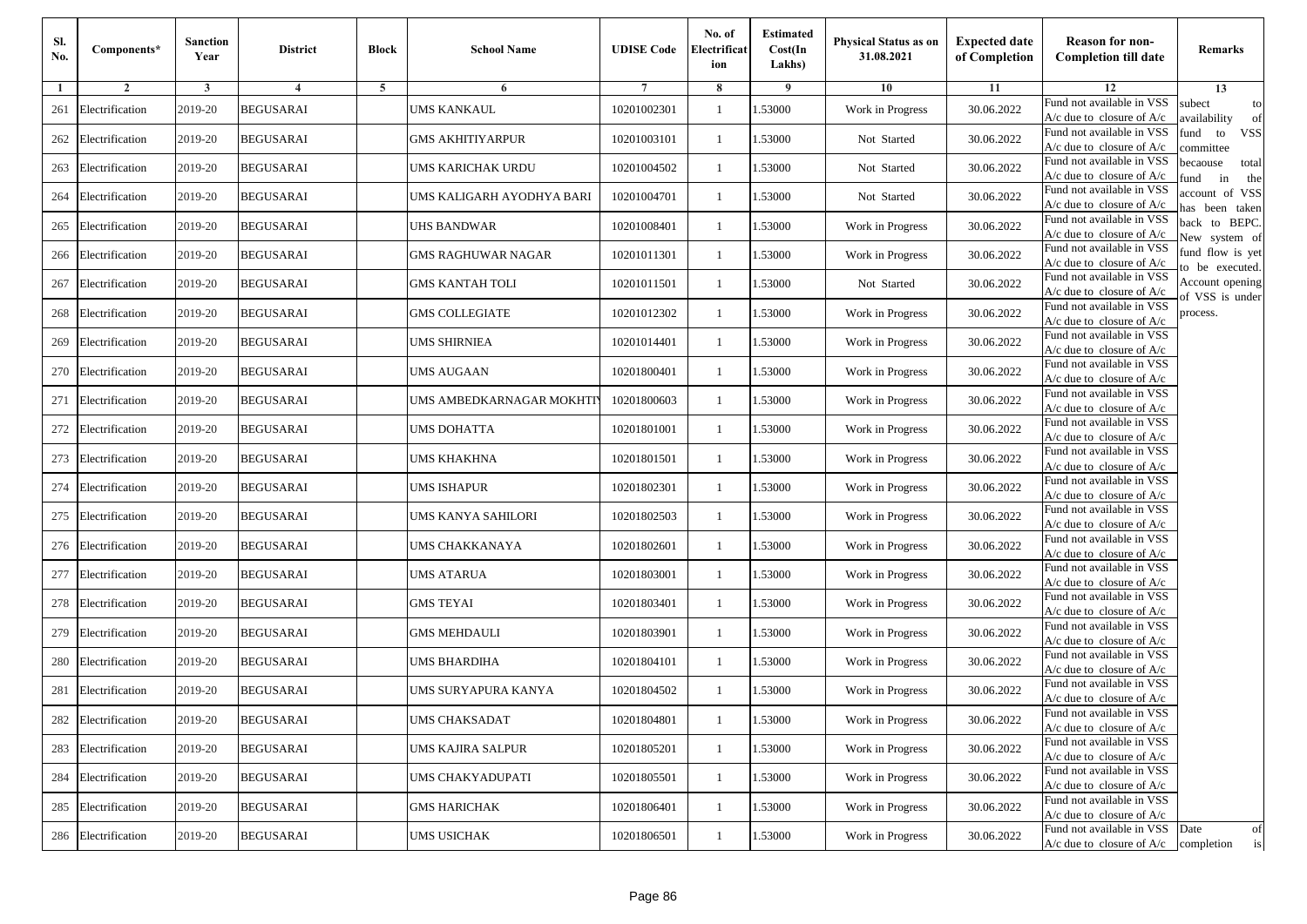| Sl.<br>No. | Components*         | <b>Sanction</b><br>Year | <b>District</b>  | <b>Block</b> | <b>School Name</b>        | <b>UDISE Code</b> | No. of<br>Electrificat<br>ion | <b>Estimated</b><br>Cost(In<br>Lakhs) | <b>Physical Status as on</b><br>31.08.2021 | <b>Expected date</b><br>of Completion | <b>Reason for non-</b><br><b>Completion till date</b>      | Remarks                               |
|------------|---------------------|-------------------------|------------------|--------------|---------------------------|-------------------|-------------------------------|---------------------------------------|--------------------------------------------|---------------------------------------|------------------------------------------------------------|---------------------------------------|
| -1         | $\overline{2}$      | 3                       | $\overline{4}$   | 5            | 6                         |                   | 8                             | 9                                     | 10                                         | 11                                    | 12                                                         | 13                                    |
| 261        | Electrification     | 2019-20                 | <b>BEGUSARAI</b> |              | <b>UMS KANKAUL</b>        | 10201002301       | $\mathbf{1}$                  | .53000                                | Work in Progress                           | 30.06.2022                            | Fund not available in VSS<br>$A/c$ due to closure of $A/c$ | subect<br>to<br>availability<br>of    |
| 262        | Electrification     | 2019-20                 | <b>BEGUSARAI</b> |              | <b>GMS AKHITIYARPUR</b>   | 10201003101       | 1                             | 1.53000                               | Not Started                                | 30.06.2022                            | Fund not available in VSS<br>$A/c$ due to closure of $A/c$ | fund<br>to<br><b>VSS</b><br>committee |
| 263        | Electrification     | 2019-20                 | <b>BEGUSARAI</b> |              | UMS KARICHAK URDU         | 10201004502       | 1                             | 1.53000                               | Not Started                                | 30.06.2022                            | Fund not available in VSS<br>$A/c$ due to closure of $A/c$ | becaouse<br>total<br>und<br>in<br>the |
| 264        | Electrification     | 2019-20                 | <b>BEGUSARAI</b> |              | UMS KALIGARH AYODHYA BARI | 10201004701       | $\mathbf{1}$                  | .53000                                | Not Started                                | 30.06.2022                            | Fund not available in VSS<br>A/c due to closure of A/c     | account of VSS<br>as been taken       |
| 265        | Electrification     | 2019-20                 | <b>BEGUSARAI</b> |              | UHS BANDWAR               | 10201008401       | $\mathbf{1}$                  | .53000                                | Work in Progress                           | 30.06.2022                            | Fund not available in VSS<br>A/c due to closure of $A/c$   | back to BEPC.<br>New system of        |
| 266        | Electrification     | 2019-20                 | <b>BEGUSARAI</b> |              | GMS RAGHUWAR NAGAR        | 10201011301       | $\mathbf{1}$                  | .53000                                | Work in Progress                           | 30.06.2022                            | Fund not available in VSS<br>A/c due to closure of $A/c$   | fund flow is yet<br>o be executed.    |
| 267        | Electrification     | 2019-20                 | <b>BEGUSARAI</b> |              | <b>GMS KANTAH TOLI</b>    | 10201011501       | $\mathbf{1}$                  | 1.53000                               | Not Started                                | 30.06.2022                            | Fund not available in VSS<br>$A/c$ due to closure of $A/c$ | Account opening<br>of VSS is under    |
| 268        | Electrification     | 2019-20                 | <b>BEGUSARAI</b> |              | <b>GMS COLLEGIATE</b>     | 10201012302       | $\mathbf{1}$                  | .53000                                | Work in Progress                           | 30.06.2022                            | Fund not available in VSS<br>$A/c$ due to closure of $A/c$ | process.                              |
| 269        | Electrification     | 2019-20                 | <b>BEGUSARAI</b> |              | <b>UMS SHIRNIEA</b>       | 10201014401       | 1                             | .53000                                | Work in Progress                           | 30.06.2022                            | Fund not available in VSS<br>$A/c$ due to closure of $A/c$ |                                       |
| 270        | Electrification     | 2019-20                 | <b>BEGUSARAI</b> |              | <b>UMS AUGAAN</b>         | 10201800401       | $\mathbf{1}$                  | .53000                                | Work in Progress                           | 30.06.2022                            | Fund not available in VSS<br>$A/c$ due to closure of $A/c$ |                                       |
| 271        | Electrification     | 2019-20                 | <b>BEGUSARAI</b> |              | UMS AMBEDKARNAGAR MOKHTI  | 10201800603       | 1                             | 1.53000                               | Work in Progress                           | 30.06.2022                            | Fund not available in VSS<br>$A/c$ due to closure of $A/c$ |                                       |
| 272        | Electrification     | 2019-20                 | <b>BEGUSARAI</b> |              | <b>UMS DOHATTA</b>        | 10201801001       | 1                             | .53000                                | Work in Progress                           | 30.06.2022                            | Fund not available in VSS<br>$A/c$ due to closure of $A/c$ |                                       |
| 273        | Electrification     | 2019-20                 | <b>BEGUSARAI</b> |              | UMS KHAKHNA               | 10201801501       | $\mathbf{1}$                  | .53000                                | Work in Progress                           | 30.06.2022                            | Fund not available in VSS<br>$A/c$ due to closure of $A/c$ |                                       |
| 274        | Electrification     | 2019-20                 | <b>BEGUSARAI</b> |              | <b>UMS ISHAPUR</b>        | 10201802301       | $\mathbf{1}$                  | .53000                                | Work in Progress                           | 30.06.2022                            | Fund not available in VSS<br>$A/c$ due to closure of $A/c$ |                                       |
| 275        | Electrification     | 2019-20                 | <b>BEGUSARAI</b> |              | UMS KANYA SAHILORI        | 10201802503       | 1                             | 1.53000                               | Work in Progress                           | 30.06.2022                            | Fund not available in VSS<br>$A/c$ due to closure of $A/c$ |                                       |
| 276        | Electrification     | 2019-20                 | <b>BEGUSARAI</b> |              | UMS CHAKKANAYA            | 10201802601       | $\mathbf{1}$                  | .53000                                | Work in Progress                           | 30.06.2022                            | Fund not available in VSS<br>$A/c$ due to closure of $A/c$ |                                       |
| 277        | Electrification     | 2019-20                 | <b>BEGUSARAI</b> |              | <b>UMS ATARUA</b>         | 10201803001       | 1                             | .53000                                | Work in Progress                           | 30.06.2022                            | Fund not available in VSS<br>$A/c$ due to closure of $A/c$ |                                       |
| 278        | Electrification     | 2019-20                 | <b>BEGUSARAI</b> |              | <b>GMS TEYAI</b>          | 10201803401       | $\mathbf{1}$                  | 1.53000                               | Work in Progress                           | 30.06.2022                            | Fund not available in VSS<br>$A/c$ due to closure of $A/c$ |                                       |
| 279        | Electrification     | 2019-20                 | <b>BEGUSARAI</b> |              | <b>GMS MEHDAULI</b>       | 10201803901       | 1                             | 1.53000                               | Work in Progress                           | 30.06.2022                            | Fund not available in VSS<br>$A/c$ due to closure of $A/c$ |                                       |
| 280        | Electrification     | 2019-20                 | <b>BEGUSARAI</b> |              | UMS BHARDIHA              | 10201804101       | 1                             | .53000                                | Work in Progress                           | 30.06.2022                            | Fund not available in VSS<br>$A/c$ due to closure of $A/c$ |                                       |
| 281        | Electrification     | 2019-20                 | BEGUSARAI        |              | UMS SURYAPURA KANYA       | 10201804502       | 1                             | .53000                                | Work in Progress                           | 30.06.2022                            | Fund not available in VSS<br>A/c due to closure of A/c     |                                       |
|            | 282 Electrification | 2019-20                 | <b>BEGUSARAI</b> |              | <b>UMS CHAKSADAT</b>      | 10201804801       |                               | 1.53000                               | Work in Progress                           | 30.06.2022                            | Fund not available in VSS<br>A/c due to closure of A/c     |                                       |
|            | 283 Electrification | 2019-20                 | <b>BEGUSARAI</b> |              | <b>UMS KAJIRA SALPUR</b>  | 10201805201       | $\mathbf{1}$                  | 1.53000                               | Work in Progress                           | 30.06.2022                            | Fund not available in VSS<br>$A/c$ due to closure of $A/c$ |                                       |
| 284        | Electrification     | 2019-20                 | <b>BEGUSARAI</b> |              | UMS CHAKYADUPATI          | 10201805501       | $\mathbf{1}$                  | 1.53000                               | Work in Progress                           | 30.06.2022                            | Fund not available in VSS<br>$A/c$ due to closure of $A/c$ |                                       |
| 285        | Electrification     | 2019-20                 | <b>BEGUSARAI</b> |              | <b>GMS HARICHAK</b>       | 10201806401       | 1                             | 1.53000                               | Work in Progress                           | 30.06.2022                            | Fund not available in VSS<br>A/c due to closure of $A/c$   |                                       |
|            | 286 Electrification | 2019-20                 | <b>BEGUSARAI</b> |              | <b>UMS USICHAK</b>        | 10201806501       | $\mathbf{1}$                  | 1.53000                               | Work in Progress                           | 30.06.2022                            | Fund not available in VSS<br>$A/c$ due to closure of $A/c$ | Date<br>of<br>completion<br>is        |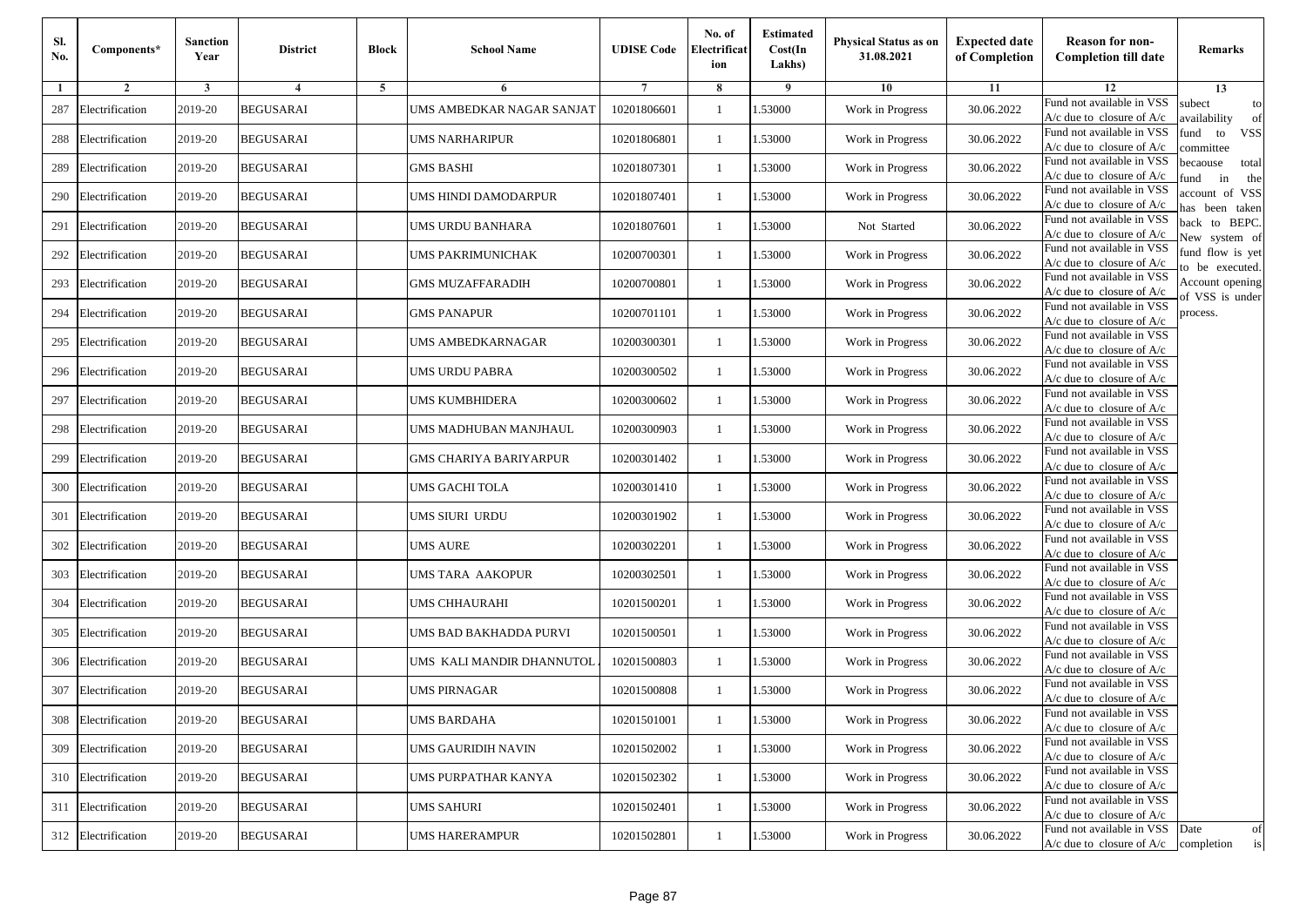| Sl.<br>No. | Components*         | <b>Sanction</b><br>Year | <b>District</b>  | <b>Block</b> | <b>School Name</b>        | <b>UDISE Code</b> | No. of<br>Electrificat<br>ion | <b>Estimated</b><br>Cost(In<br>Lakhs) | <b>Physical Status as on</b><br>31.08.2021 | <b>Expected date</b><br>of Completion | <b>Reason for non-</b><br><b>Completion till date</b>                 | Remarks                               |
|------------|---------------------|-------------------------|------------------|--------------|---------------------------|-------------------|-------------------------------|---------------------------------------|--------------------------------------------|---------------------------------------|-----------------------------------------------------------------------|---------------------------------------|
| -1         | $\overline{2}$      | 3                       | $\overline{4}$   | 5            | 6                         |                   | 8                             | 9                                     | 10                                         | 11                                    | 12                                                                    | 13                                    |
| 287        | Electrification     | 2019-20                 | <b>BEGUSARAI</b> |              | UMS AMBEDKAR NAGAR SANJAT | 10201806601       | $\mathbf{1}$                  | .53000                                | Work in Progress                           | 30.06.2022                            | Fund not available in VSS<br>$A/c$ due to closure of $A/c$            | subect<br>to<br>availability<br>of    |
| 288        | Electrification     | 2019-20                 | <b>BEGUSARAI</b> |              | UMS NARHARIPUR            | 10201806801       | 1                             | 1.53000                               | Work in Progress                           | 30.06.2022                            | Fund not available in VSS<br>$A/c$ due to closure of $A/c$            | fund<br>to<br><b>VSS</b><br>committee |
| 289        | Electrification     | 2019-20                 | <b>BEGUSARAI</b> |              | <b>GMS BASHI</b>          | 10201807301       | 1                             | .53000                                | Work in Progress                           | 30.06.2022                            | Fund not available in VSS<br>$A/c$ due to closure of $A/c$            | becaouse<br>total<br>in<br>und<br>the |
| 290        | Electrification     | 2019-20                 | <b>BEGUSARAI</b> |              | UMS HINDI DAMODARPUR      | 10201807401       | $\mathbf{1}$                  | .53000                                | Work in Progress                           | 30.06.2022                            | Fund not available in VSS<br>A/c due to closure of A/c                | account of VSS<br>as been taken       |
| 291        | Electrification     | 2019-20                 | <b>BEGUSARAI</b> |              | <b>UMS URDU BANHARA</b>   | 10201807601       | $\mathbf{1}$                  | .53000                                | Not Started                                | 30.06.2022                            | Fund not available in VSS<br>$A/c$ due to closure of $A/c$            | back to BEPC.<br>New system of        |
| 292        | Electrification     | 2019-20                 | <b>BEGUSARAI</b> |              | UMS PAKRIMUNICHAK         | 10200700301       | 1                             | .53000                                | Work in Progress                           | 30.06.2022                            | Fund not available in VSS<br>A/c due to closure of $A/c$              | fund flow is yet<br>o be executed.    |
| 293        | Electrification     | 2019-20                 | <b>BEGUSARAI</b> |              | <b>GMS MUZAFFARADIH</b>   | 10200700801       | 1                             | .53000                                | Work in Progress                           | 30.06.2022                            | Fund not available in VSS<br>$A/c$ due to closure of $A/c$            | Account opening<br>of VSS is under    |
| 294        | Electrification     | 2019-20                 | <b>BEGUSARAI</b> |              | <b>GMS PANAPUR</b>        | 10200701101       | $\mathbf{1}$                  | .53000                                | Work in Progress                           | 30.06.2022                            | Fund not available in VSS<br>$A/c$ due to closure of $A/c$            | process.                              |
| 295        | Electrification     | 2019-20                 | <b>BEGUSARAI</b> |              | UMS AMBEDKARNAGAR         | 10200300301       | 1                             | .53000                                | Work in Progress                           | 30.06.2022                            | Fund not available in VSS<br>$A/c$ due to closure of $A/c$            |                                       |
| 296        | Electrification     | 2019-20                 | <b>BEGUSARAI</b> |              | <b>UMS URDU PABRA</b>     | 10200300502       | $\mathbf{1}$                  | .53000                                | Work in Progress                           | 30.06.2022                            | Fund not available in VSS<br>$A/c$ due to closure of $A/c$            |                                       |
| 297        | Electrification     | 2019-20                 | <b>BEGUSARAI</b> |              | UMS KUMBHIDERA            | 10200300602       | 1                             | 1.53000                               | Work in Progress                           | 30.06.2022                            | Fund not available in VSS<br>$A/c$ due to closure of $A/c$            |                                       |
| 298        | Electrification     | 2019-20                 | <b>BEGUSARAI</b> |              | UMS MADHUBAN MANJHAUL     | 10200300903       | 1                             | .53000                                | Work in Progress                           | 30.06.2022                            | Fund not available in VSS<br>$A/c$ due to closure of $A/c$            |                                       |
| 299        | Electrification     | 2019-20                 | <b>BEGUSARAI</b> |              | GMS CHARIYA BARIYARPUR    | 10200301402       | $\mathbf{1}$                  | .53000                                | Work in Progress                           | 30.06.2022                            | Fund not available in VSS<br>$A/c$ due to closure of $A/c$            |                                       |
| 300        | Electrification     | 2019-20                 | <b>BEGUSARAI</b> |              | UMS GACHI TOLA            | 10200301410       | $\mathbf{1}$                  | .53000                                | Work in Progress                           | 30.06.2022                            | Fund not available in VSS<br>$A/c$ due to closure of $A/c$            |                                       |
| 301        | Electrification     | 2019-20                 | <b>BEGUSARAI</b> |              | UMS SIURI URDU            | 10200301902       | 1                             | 1.53000                               | Work in Progress                           | 30.06.2022                            | Fund not available in VSS<br>$A/c$ due to closure of $A/c$            |                                       |
| 302        | Electrification     | 2019-20                 | <b>BEGUSARAI</b> |              | <b>UMS AURE</b>           | 10200302201       | 1                             | .53000                                | Work in Progress                           | 30.06.2022                            | Fund not available in VSS<br>$A/c$ due to closure of $A/c$            |                                       |
| 303        | Electrification     | 2019-20                 | <b>BEGUSARAI</b> |              | UMS TARA AAKOPUR          | 10200302501       | 1                             | .53000                                | Work in Progress                           | 30.06.2022                            | Fund not available in VSS<br>$A/c$ due to closure of $A/c$            |                                       |
| 304        | Electrification     | 2019-20                 | <b>BEGUSARAI</b> |              | UMS CHHAURAHI             | 10201500201       | 1                             | 1.53000                               | Work in Progress                           | 30.06.2022                            | Fund not available in VSS<br>$A/c$ due to closure of $A/c$            |                                       |
| 305        | Electrification     | 2019-20                 | <b>BEGUSARAI</b> |              | UMS BAD BAKHADDA PURVI    | 10201500501       | 1                             | 1.53000                               | Work in Progress                           | 30.06.2022                            | Fund not available in VSS<br>$A/c$ due to closure of $A/c$            |                                       |
|            | 306 Electrification | 2019-20                 | <b>BEGUSARAI</b> |              | UMS KALI MANDIR DHANNUTOL | 10201500803       | 1                             | .53000                                | Work in Progress                           | 30.06.2022                            | Fund not available in VSS<br>$A/c$ due to closure of $A/c$            |                                       |
| 307        | Electrification     | 2019-20                 | BEGUSARAI        |              | UMS PIRNAGAR              | 10201500808       | 1                             | .53000                                | Work in Progress                           | 30.06.2022                            | Fund not available in VSS<br>A/c due to closure of A/c                |                                       |
|            | 308 Electrification | 2019-20                 | <b>BEGUSARAI</b> |              | <b>UMS BARDAHA</b>        | 10201501001       |                               | 1.53000                               | Work in Progress                           | 30.06.2022                            | Fund not available in VSS<br>A/c due to closure of A/c                |                                       |
|            | 309 Electrification | 2019-20                 | <b>BEGUSARAI</b> |              | UMS GAURIDIH NAVIN        | 10201502002       | $\mathbf{1}$                  | 1.53000                               | Work in Progress                           | 30.06.2022                            | Fund not available in VSS<br>$A/c$ due to closure of $A/c$            |                                       |
|            | 310 Electrification | 2019-20                 | <b>BEGUSARAI</b> |              | UMS PURPATHAR KANYA       | 10201502302       | $\mathbf{1}$                  | 1.53000                               | Work in Progress                           | 30.06.2022                            | Fund not available in VSS<br>$A/c$ due to closure of $A/c$            |                                       |
| 311        | Electrification     | 2019-20                 | <b>BEGUSARAI</b> |              | <b>UMS SAHURI</b>         | 10201502401       | 1                             | 1.53000                               | Work in Progress                           | 30.06.2022                            | Fund not available in VSS<br>A/c due to closure of $A/c$              |                                       |
|            | 312 Electrification | 2019-20                 | <b>BEGUSARAI</b> |              | <b>UMS HARERAMPUR</b>     | 10201502801       | $\mathbf{1}$                  | 1.53000                               | Work in Progress                           | 30.06.2022                            | Fund not available in VSS<br>$A/c$ due to closure of $A/c$ completion | Date<br>of<br>is                      |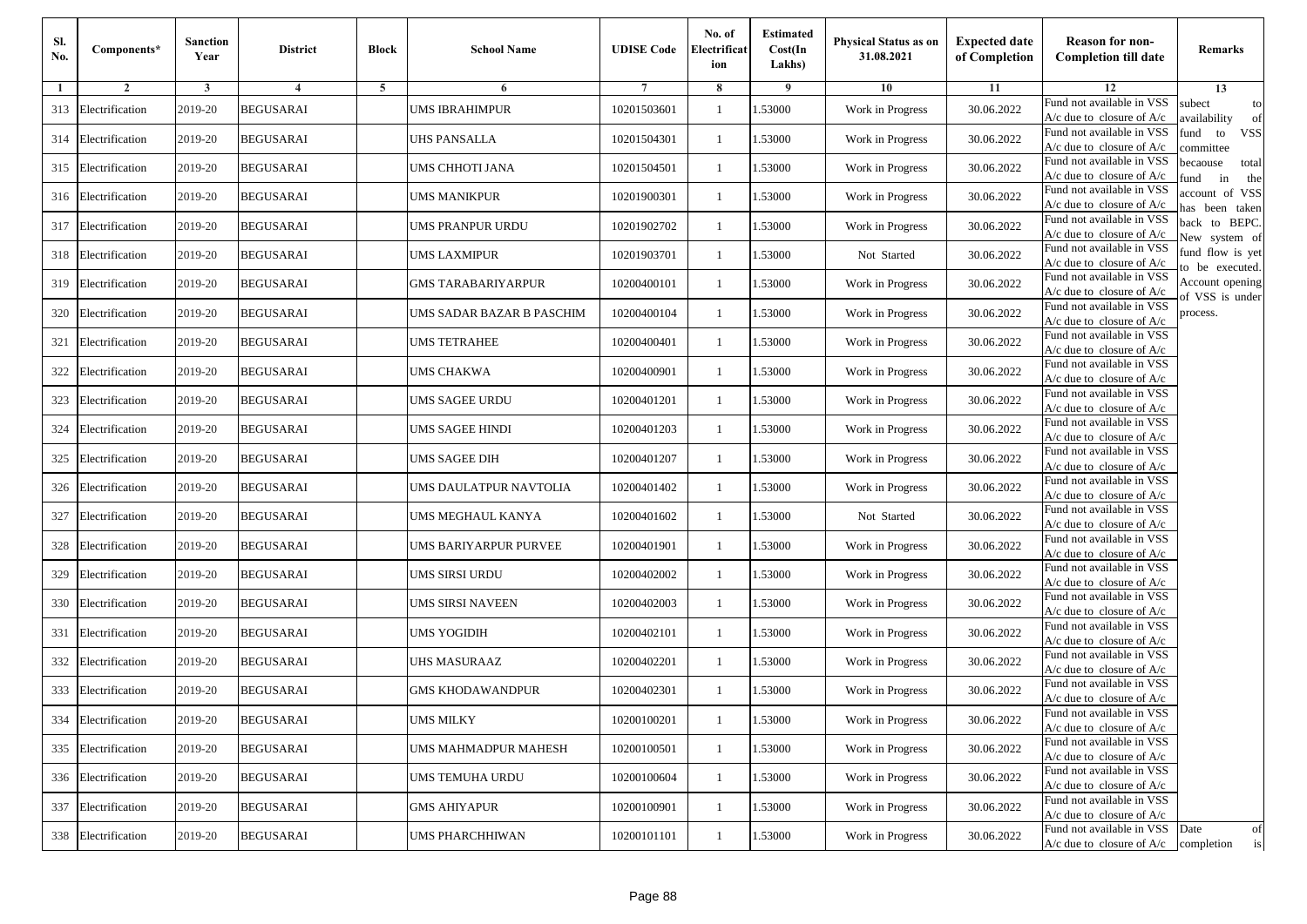| Sl.<br>No. | Components*         | <b>Sanction</b><br>Year | <b>District</b>  | <b>Block</b> | <b>School Name</b>        | <b>UDISE Code</b> | No. of<br>Electrificat<br>ion | <b>Estimated</b><br>Cost(In<br>Lakhs) | <b>Physical Status as on</b><br>31.08.2021 | <b>Expected date</b><br>of Completion | <b>Reason for non-</b><br><b>Completion till date</b>      | Remarks                               |
|------------|---------------------|-------------------------|------------------|--------------|---------------------------|-------------------|-------------------------------|---------------------------------------|--------------------------------------------|---------------------------------------|------------------------------------------------------------|---------------------------------------|
| -1         | $\overline{2}$      | 3                       | $\overline{4}$   | 5            | 6                         |                   | 8                             | 9                                     | 10                                         | 11                                    | 12                                                         | 13                                    |
| 313        | Electrification     | 2019-20                 | <b>BEGUSARAI</b> |              | <b>UMS IBRAHIMPUR</b>     | 10201503601       | $\mathbf{1}$                  | .53000                                | Work in Progress                           | 30.06.2022                            | Fund not available in VSS<br>$A/c$ due to closure of $A/c$ | subect<br>to<br>availability<br>of    |
| 314        | Electrification     | 2019-20                 | <b>BEGUSARAI</b> |              | UHS PANSALLA              | 10201504301       | 1                             | 1.53000                               | Work in Progress                           | 30.06.2022                            | Fund not available in VSS<br>$A/c$ due to closure of $A/c$ | fund<br>to<br><b>VSS</b><br>ommittee  |
|            | 315 Electrification | 2019-20                 | <b>BEGUSARAI</b> |              | UMS CHHOTI JANA           | 10201504501       | 1                             | .53000                                | Work in Progress                           | 30.06.2022                            | Fund not available in VSS<br>$A/c$ due to closure of $A/c$ | becaouse<br>total<br>in<br>und<br>the |
|            | 316 Electrification | 2019-20                 | <b>BEGUSARAI</b> |              | <b>UMS MANIKPUR</b>       | 10201900301       | $\mathbf{1}$                  | .53000                                | Work in Progress                           | 30.06.2022                            | Fund not available in VSS<br>A/c due to closure of A/c     | account of VSS<br>as been taken       |
| 317        | Electrification     | 2019-20                 | <b>BEGUSARAI</b> |              | <b>UMS PRANPUR URDU</b>   | 10201902702       | $\mathbf{1}$                  | .53000                                | Work in Progress                           | 30.06.2022                            | Fund not available in VSS<br>$A/c$ due to closure of $A/c$ | back to BEPC.<br>New system of        |
| 318        | Electrification     | 2019-20                 | <b>BEGUSARAI</b> |              | UMS LAXMIPUR              | 10201903701       | 1                             | .53000                                | Not Started                                | 30.06.2022                            | Fund not available in VSS<br>A/c due to closure of $A/c$   | fund flow is yet<br>o be executed.    |
| 319        | Electrification     | 2019-20                 | <b>BEGUSARAI</b> |              | <b>GMS TARABARIYARPUR</b> | 10200400101       | $\mathbf{1}$                  | .53000                                | Work in Progress                           | 30.06.2022                            | Fund not available in VSS<br>$A/c$ due to closure of $A/c$ | Account opening<br>of VSS is under    |
| 320        | Electrification     | 2019-20                 | <b>BEGUSARAI</b> |              | UMS SADAR BAZAR B PASCHIM | 10200400104       | $\mathbf{1}$                  | .53000                                | Work in Progress                           | 30.06.2022                            | Fund not available in VSS<br>$A/c$ due to closure of $A/c$ | process.                              |
| 321        | Electrification     | 2019-20                 | <b>BEGUSARAI</b> |              | <b>UMS TETRAHEE</b>       | 10200400401       | 1                             | .53000                                | Work in Progress                           | 30.06.2022                            | Fund not available in VSS<br>$A/c$ due to closure of $A/c$ |                                       |
| 322        | Electrification     | 2019-20                 | <b>BEGUSARAI</b> |              | <b>UMS CHAKWA</b>         | 10200400901       | $\mathbf{1}$                  | .53000                                | Work in Progress                           | 30.06.2022                            | Fund not available in VSS<br>$A/c$ due to closure of $A/c$ |                                       |
| 323        | Electrification     | 2019-20                 | <b>BEGUSARAI</b> |              | UMS SAGEE URDU            | 10200401201       | 1                             | 1.53000                               | Work in Progress                           | 30.06.2022                            | Fund not available in VSS<br>$A/c$ due to closure of $A/c$ |                                       |
| 324        | Electrification     | 2019-20                 | <b>BEGUSARAI</b> |              | UMS SAGEE HINDI           | 10200401203       | 1                             | .53000                                | Work in Progress                           | 30.06.2022                            | Fund not available in VSS<br>$A/c$ due to closure of $A/c$ |                                       |
| 325        | Electrification     | 2019-20                 | <b>BEGUSARAI</b> |              | UMS SAGEE DIH             | 10200401207       | $\mathbf{1}$                  | .53000                                | Work in Progress                           | 30.06.2022                            | Fund not available in VSS<br>$A/c$ due to closure of $A/c$ |                                       |
| 326        | Electrification     | 2019-20                 | <b>BEGUSARAI</b> |              | UMS DAULATPUR NAVTOLIA    | 10200401402       | $\mathbf{1}$                  | .53000                                | Work in Progress                           | 30.06.2022                            | Fund not available in VSS<br>$A/c$ due to closure of $A/c$ |                                       |
| 327        | Electrification     | 2019-20                 | <b>BEGUSARAI</b> |              | UMS MEGHAUL KANYA         | 10200401602       | 1                             | 1.53000                               | Not Started                                | 30.06.2022                            | Fund not available in VSS<br>$A/c$ due to closure of $A/c$ |                                       |
| 328        | Electrification     | 2019-20                 | <b>BEGUSARAI</b> |              | UMS BARIYARPUR PURVEE     | 10200401901       | $\mathbf{1}$                  | .53000                                | Work in Progress                           | 30.06.2022                            | Fund not available in VSS<br>$A/c$ due to closure of $A/c$ |                                       |
| 329        | Electrification     | 2019-20                 | <b>BEGUSARAI</b> |              | UMS SIRSI URDU            | 10200402002       | 1                             | .53000                                | Work in Progress                           | 30.06.2022                            | Fund not available in VSS<br>$A/c$ due to closure of $A/c$ |                                       |
| 330        | Electrification     | 2019-20                 | <b>BEGUSARAI</b> |              | UMS SIRSI NAVEEN          | 10200402003       | $\mathbf{1}$                  | 1.53000                               | Work in Progress                           | 30.06.2022                            | Fund not available in VSS<br>$A/c$ due to closure of $A/c$ |                                       |
| 331        | Electrification     | 2019-20                 | <b>BEGUSARAI</b> |              | <b>UMS YOGIDIH</b>        | 10200402101       | 1                             | 1.53000                               | Work in Progress                           | 30.06.2022                            | Fund not available in VSS<br>$A/c$ due to closure of $A/c$ |                                       |
|            | 332 Electrification | 2019-20                 | <b>BEGUSARAI</b> |              | UHS MASURAAZ              | 10200402201       | 1                             | .53000                                | Work in Progress                           | 30.06.2022                            | Fund not available in VSS<br>$A/c$ due to closure of $A/c$ |                                       |
| 333        | Electrification     | 2019-20                 | BEGUSARAI        |              | GMS KHODAWANDPUR          | 10200402301       | 1                             | .53000                                | Work in Progress                           | 30.06.2022                            | Fund not available in VSS<br>A/c due to closure of A/c     |                                       |
|            | 334 Electrification | 2019-20                 | <b>BEGUSARAI</b> |              | <b>UMS MILKY</b>          | 10200100201       |                               | 1.53000                               | Work in Progress                           | 30.06.2022                            | Fund not available in VSS<br>A/c due to closure of A/c     |                                       |
|            | 335 Electrification | 2019-20                 | <b>BEGUSARAI</b> |              | UMS MAHMADPUR MAHESH      | 10200100501       | $\mathbf{1}$                  | 1.53000                               | Work in Progress                           | 30.06.2022                            | Fund not available in VSS<br>$A/c$ due to closure of $A/c$ |                                       |
|            | 336 Electrification | 2019-20                 | <b>BEGUSARAI</b> |              | UMS TEMUHA URDU           | 10200100604       | $\mathbf{1}$                  | 1.53000                               | Work in Progress                           | 30.06.2022                            | Fund not available in VSS<br>$A/c$ due to closure of $A/c$ |                                       |
| 337        | Electrification     | 2019-20                 | <b>BEGUSARAI</b> |              | <b>GMS AHIYAPUR</b>       | 10200100901       | 1                             | 1.53000                               | Work in Progress                           | 30.06.2022                            | Fund not available in VSS<br>A/c due to closure of $A/c$   |                                       |
|            | 338 Electrification | 2019-20                 | <b>BEGUSARAI</b> |              | UMS PHARCHHIWAN           | 10200101101       | $\mathbf{1}$                  | 1.53000                               | Work in Progress                           | 30.06.2022                            | Fund not available in VSS<br>$A/c$ due to closure of $A/c$ | Date<br>of<br>is<br>completion        |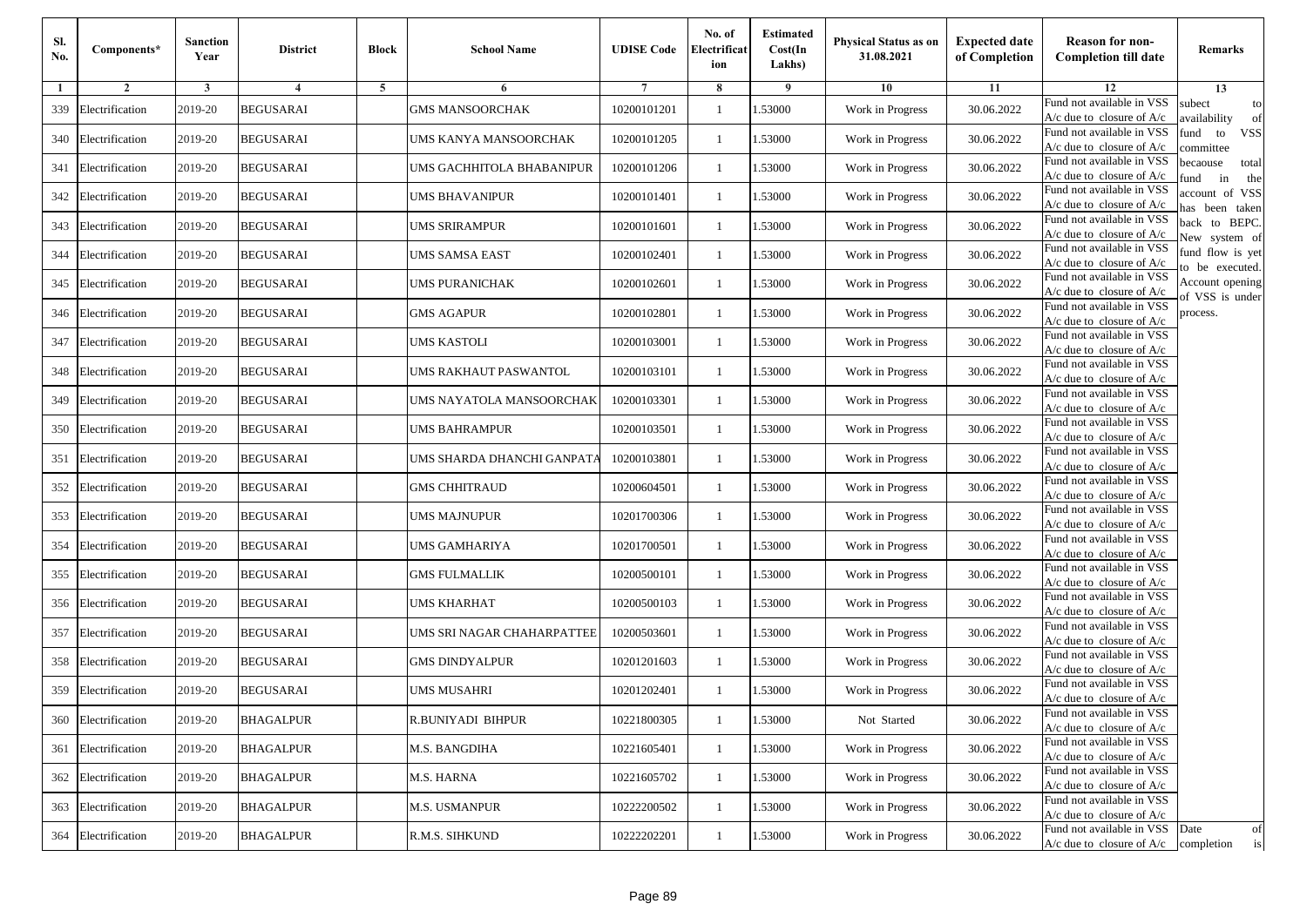| Sl.<br>No. | Components*         | <b>Sanction</b><br>Year | <b>District</b>  | <b>Block</b> | <b>School Name</b>           | <b>UDISE Code</b> | No. of<br>Electrificat<br>ion | <b>Estimated</b><br>Cost(In<br>Lakhs) | <b>Physical Status as on</b><br>31.08.2021 | <b>Expected date</b><br>of Completion | <b>Reason for non-</b><br><b>Completion till date</b>      | Remarks                               |
|------------|---------------------|-------------------------|------------------|--------------|------------------------------|-------------------|-------------------------------|---------------------------------------|--------------------------------------------|---------------------------------------|------------------------------------------------------------|---------------------------------------|
| -1         | $\overline{2}$      | 3                       | $\overline{4}$   | 5            | 6                            |                   | 8                             | 9                                     | 10                                         | 11                                    | 12                                                         | 13                                    |
| 339        | Electrification     | 2019-20                 | <b>BEGUSARAI</b> |              | <b>GMS MANSOORCHAK</b>       | 10200101201       | $\mathbf{1}$                  | .53000                                | Work in Progress                           | 30.06.2022                            | Fund not available in VSS<br>$A/c$ due to closure of $A/c$ | subect<br>to<br>availability<br>of    |
| 340        | Electrification     | 2019-20                 | <b>BEGUSARAI</b> |              | UMS KANYA MANSOORCHAK        | 10200101205       | 1                             | 1.53000                               | Work in Progress                           | 30.06.2022                            | Fund not available in VSS<br>$A/c$ due to closure of $A/c$ | fund<br>to<br><b>VSS</b><br>committee |
| 341        | Electrification     | 2019-20                 | <b>BEGUSARAI</b> |              | UMS GACHHITOLA BHABANIPUR    | 10200101206       | 1                             | .53000                                | Work in Progress                           | 30.06.2022                            | Fund not available in VSS<br>$A/c$ due to closure of $A/c$ | becaouse<br>total<br>in<br>und<br>the |
| 342        | Electrification     | 2019-20                 | <b>BEGUSARAI</b> |              | UMS BHAVANIPUR               | 10200101401       | $\mathbf{1}$                  | .53000                                | Work in Progress                           | 30.06.2022                            | Fund not available in VSS<br>A/c due to closure of A/c     | account of VSS<br>as been taken       |
| 343        | Electrification     | 2019-20                 | <b>BEGUSARAI</b> |              | <b>UMS SRIRAMPUR</b>         | 10200101601       | $\mathbf{1}$                  | .53000                                | Work in Progress                           | 30.06.2022                            | Fund not available in VSS<br>$A/c$ due to closure of $A/c$ | back to BEPC.<br>New system of        |
| 344        | Electrification     | 2019-20                 | <b>BEGUSARAI</b> |              | UMS SAMSA EAST               | 10200102401       | $\mathbf{1}$                  | .53000                                | Work in Progress                           | 30.06.2022                            | Fund not available in VSS<br>A/c due to closure of $A/c$   | fund flow is yet<br>o be executed.    |
| 345        | Electrification     | 2019-20                 | <b>BEGUSARAI</b> |              | UMS PURANICHAK               | 10200102601       | $\mathbf{1}$                  | 1.53000                               | Work in Progress                           | 30.06.2022                            | Fund not available in VSS<br>$A/c$ due to closure of $A/c$ | Account opening<br>of VSS is under    |
| 346        | Electrification     | 2019-20                 | <b>BEGUSARAI</b> |              | <b>GMS AGAPUR</b>            | 10200102801       | 1                             | .53000                                | Work in Progress                           | 30.06.2022                            | Fund not available in VSS<br>$A/c$ due to closure of $A/c$ | process.                              |
| 347        | Electrification     | 2019-20                 | <b>BEGUSARAI</b> |              | UMS KASTOLI                  | 10200103001       | 1                             | .53000                                | Work in Progress                           | 30.06.2022                            | Fund not available in VSS<br>$A/c$ due to closure of $A/c$ |                                       |
| 348        | Electrification     | 2019-20                 | <b>BEGUSARAI</b> |              | <b>UMS RAKHAUT PASWANTOL</b> | 10200103101       | $\mathbf{1}$                  | .53000                                | Work in Progress                           | 30.06.2022                            | Fund not available in VSS<br>$A/c$ due to closure of $A/c$ |                                       |
| 349        | Electrification     | 2019-20                 | <b>BEGUSARAI</b> |              | UMS NAYATOLA MANSOORCHAK     | 10200103301       | 1                             | 1.53000                               | Work in Progress                           | 30.06.2022                            | Fund not available in VSS<br>$A/c$ due to closure of $A/c$ |                                       |
| 350        | Electrification     | 2019-20                 | <b>BEGUSARAI</b> |              | <b>UMS BAHRAMPUR</b>         | 10200103501       | 1                             | .53000                                | Work in Progress                           | 30.06.2022                            | Fund not available in VSS<br>$A/c$ due to closure of $A/c$ |                                       |
| 351        | Electrification     | 2019-20                 | <b>BEGUSARAI</b> |              | UMS SHARDA DHANCHI GANPATA   | 10200103801       | $\mathbf{1}$                  | .53000                                | Work in Progress                           | 30.06.2022                            | Fund not available in VSS<br>$A/c$ due to closure of $A/c$ |                                       |
| 352        | Electrification     | 2019-20                 | <b>BEGUSARAI</b> |              | <b>GMS CHHITRAUD</b>         | 10200604501       | $\mathbf{1}$                  | .53000                                | Work in Progress                           | 30.06.2022                            | Fund not available in VSS<br>$A/c$ due to closure of $A/c$ |                                       |
| 353        | Electrification     | 2019-20                 | <b>BEGUSARAI</b> |              | <b>UMS MAJNUPUR</b>          | 10201700306       | 1                             | 1.53000                               | Work in Progress                           | 30.06.2022                            | Fund not available in VSS<br>$A/c$ due to closure of $A/c$ |                                       |
| 354        | Electrification     | 2019-20                 | <b>BEGUSARAI</b> |              | UMS GAMHARIYA                | 10201700501       | $\mathbf{1}$                  | .53000                                | Work in Progress                           | 30.06.2022                            | Fund not available in VSS<br>$A/c$ due to closure of $A/c$ |                                       |
| 355        | Electrification     | 2019-20                 | <b>BEGUSARAI</b> |              | <b>GMS FULMALLIK</b>         | 10200500101       | 1                             | .53000                                | Work in Progress                           | 30.06.2022                            | Fund not available in VSS<br>$A/c$ due to closure of $A/c$ |                                       |
| 356        | Electrification     | 2019-20                 | <b>BEGUSARAI</b> |              | <b>UMS KHARHAT</b>           | 10200500103       | 1                             | 1.53000                               | Work in Progress                           | 30.06.2022                            | Fund not available in VSS<br>$A/c$ due to closure of $A/c$ |                                       |
| 357        | Electrification     | 2019-20                 | <b>BEGUSARAI</b> |              | UMS SRI NAGAR CHAHARPATTEE   | 10200503601       | 1                             | 1.53000                               | Work in Progress                           | 30.06.2022                            | Fund not available in VSS<br>$A/c$ due to closure of $A/c$ |                                       |
| 358        | Electrification     | 2019-20                 | <b>BEGUSARAI</b> |              | <b>GMS DINDYALPUR</b>        | 10201201603       | 1                             | .53000                                | Work in Progress                           | 30.06.2022                            | Fund not available in VSS<br>$A/c$ due to closure of $A/c$ |                                       |
| 359        | Electrification     | 2019-20                 | BEGUSARAI        |              | UMS MUSAHRI                  | 10201202401       | 1                             | .53000                                | Work in Progress                           | 30.06.2022                            | Fund not available in VSS<br>A/c due to closure of A/c     |                                       |
|            | 360 Electrification | 2019-20                 | <b>BHAGALPUR</b> |              | R.BUNIYADI BIHPUR            | 10221800305       |                               | 1.53000                               | Not Started                                | 30.06.2022                            | Fund not available in VSS<br>A/c due to closure of A/c     |                                       |
| 361        | Electrification     | 2019-20                 | <b>BHAGALPUR</b> |              | M.S. BANGDIHA                | 10221605401       | $\mathbf{1}$                  | 1.53000                               | Work in Progress                           | 30.06.2022                            | Fund not available in VSS<br>$A/c$ due to closure of $A/c$ |                                       |
|            | 362 Electrification | 2019-20                 | <b>BHAGALPUR</b> |              | M.S. HARNA                   | 10221605702       | $\mathbf{1}$                  | 1.53000                               | Work in Progress                           | 30.06.2022                            | Fund not available in VSS<br>$A/c$ due to closure of $A/c$ |                                       |
| 363        | Electrification     | 2019-20                 | <b>BHAGALPUR</b> |              | <b>M.S. USMANPUR</b>         | 10222200502       | 1                             | 1.53000                               | Work in Progress                           | 30.06.2022                            | Fund not available in VSS<br>A/c due to closure of $A/c$   |                                       |
| 364        | Electrification     | 2019-20                 | <b>BHAGALPUR</b> |              | R.M.S. SIHKUND               | 10222202201       | $\mathbf{1}$                  | 1.53000                               | Work in Progress                           | 30.06.2022                            | Fund not available in VSS<br>$A/c$ due to closure of $A/c$ | Date<br>of<br>is<br>completion        |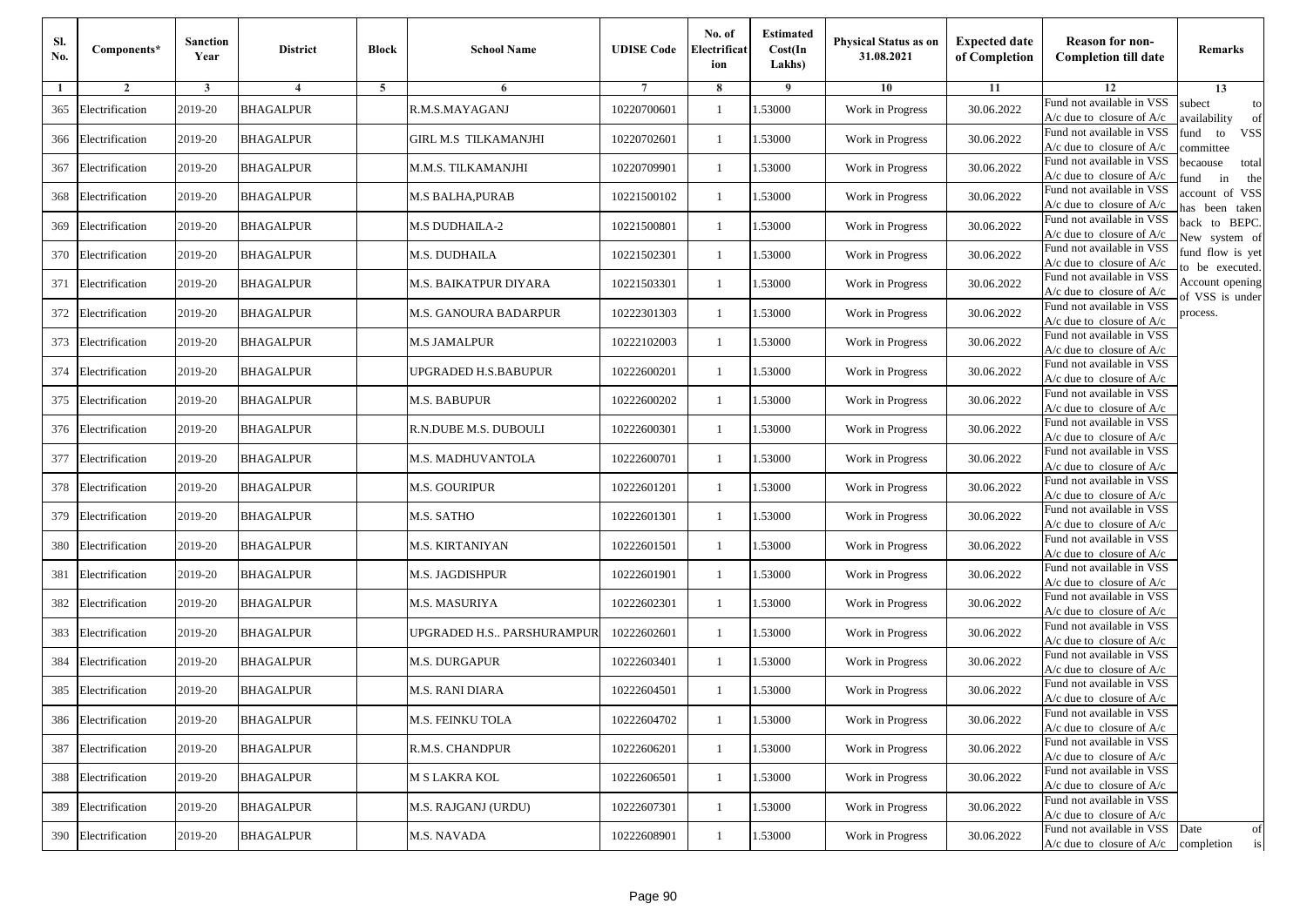| Sl.<br>No. | Components*         | <b>Sanction</b><br>Year | <b>District</b>  | <b>Block</b> | <b>School Name</b>          | <b>UDISE Code</b> | No. of<br>Electrificat<br>ion | <b>Estimated</b><br>Cost(In<br>Lakhs) | <b>Physical Status as on</b><br>31.08.2021 | <b>Expected date</b><br>of Completion | <b>Reason for non-</b><br><b>Completion till date</b>      | Remarks                               |
|------------|---------------------|-------------------------|------------------|--------------|-----------------------------|-------------------|-------------------------------|---------------------------------------|--------------------------------------------|---------------------------------------|------------------------------------------------------------|---------------------------------------|
| -1         | $\overline{2}$      | 3                       | 4                | 5            | 6                           |                   | 8                             | 9                                     | 10                                         | 11                                    | 12                                                         | 13                                    |
| 365        | Electrification     | 2019-20                 | <b>BHAGALPUR</b> |              | R.M.S.MAYAGANJ              | 10220700601       | $\mathbf{1}$                  | .53000                                | Work in Progress                           | 30.06.2022                            | Fund not available in VSS<br>$A/c$ due to closure of $A/c$ | subect<br>to<br>availability<br>of    |
| 366        | Electrification     | 2019-20                 | <b>BHAGALPUR</b> |              | <b>GIRL M.S TILKAMANJHI</b> | 10220702601       | 1                             | 1.53000                               | Work in Progress                           | 30.06.2022                            | Fund not available in VSS<br>$A/c$ due to closure of $A/c$ | fund<br>to<br><b>VSS</b><br>committee |
| 367        | Electrification     | 2019-20                 | <b>BHAGALPUR</b> |              | M.M.S. TILKAMANJHI          | 10220709901       | 1                             | 1.53000                               | Work in Progress                           | 30.06.2022                            | Fund not available in VSS<br>$A/c$ due to closure of $A/c$ | becaouse<br>total<br>in<br>und<br>the |
| 368        | Electrification     | 2019-20                 | <b>BHAGALPUR</b> |              | M.S BALHA,PURAB             | 10221500102       | $\mathbf{1}$                  | .53000                                | Work in Progress                           | 30.06.2022                            | Fund not available in VSS<br>A/c due to closure of A/c     | account of VSS<br>as been taken       |
| 369        | Electrification     | 2019-20                 | <b>BHAGALPUR</b> |              | <b>M.S DUDHAILA-2</b>       | 10221500801       | $\mathbf{1}$                  | .53000                                | Work in Progress                           | 30.06.2022                            | Fund not available in VSS<br>$A/c$ due to closure of $A/c$ | back to BEPC.<br>New system of        |
| 370        | Electrification     | 2019-20                 | <b>BHAGALPUR</b> |              | M.S. DUDHAILA               | 10221502301       | $\mathbf{1}$                  | .53000                                | Work in Progress                           | 30.06.2022                            | Fund not available in VSS<br>A/c due to closure of $A/c$   | fund flow is yet<br>o be executed.    |
| 371        | Electrification     | 2019-20                 | <b>BHAGALPUR</b> |              | M.S. BAIKATPUR DIYARA       | 10221503301       | $\mathbf{1}$                  | 1.53000                               | Work in Progress                           | 30.06.2022                            | Fund not available in VSS<br>A/c due to closure of $A/c$   | Account opening<br>of VSS is under    |
| 372        | Electrification     | 2019-20                 | <b>BHAGALPUR</b> |              | M.S. GANOURA BADARPUR       | 10222301303       | $\mathbf{1}$                  | .53000                                | Work in Progress                           | 30.06.2022                            | Fund not available in VSS<br>$A/c$ due to closure of $A/c$ | process.                              |
| 373        | Electrification     | 2019-20                 | <b>BHAGALPUR</b> |              | <b>M.S JAMALPUR</b>         | 10222102003       | 1                             | .53000                                | Work in Progress                           | 30.06.2022                            | Fund not available in VSS<br>$A/c$ due to closure of $A/c$ |                                       |
| 374        | Electrification     | 2019-20                 | <b>BHAGALPUR</b> |              | UPGRADED H.S.BABUPUR        | 10222600201       | $\mathbf{1}$                  | .53000                                | Work in Progress                           | 30.06.2022                            | Fund not available in VSS<br>$A/c$ due to closure of $A/c$ |                                       |
| 375        | Electrification     | 2019-20                 | <b>BHAGALPUR</b> |              | M.S. BABUPUR                | 10222600202       | 1                             | 1.53000                               | Work in Progress                           | 30.06.2022                            | Fund not available in VSS<br>$A/c$ due to closure of $A/c$ |                                       |
|            | 376 Electrification | 2019-20                 | <b>BHAGALPUR</b> |              | R.N.DUBE M.S. DUBOULI       | 10222600301       | 1                             | .53000                                | Work in Progress                           | 30.06.2022                            | Fund not available in VSS<br>$A/c$ due to closure of $A/c$ |                                       |
| 377        | Electrification     | 2019-20                 | <b>BHAGALPUR</b> |              | M.S. MADHUVANTOLA           | 10222600701       | $\mathbf{1}$                  | .53000                                | Work in Progress                           | 30.06.2022                            | Fund not available in VSS<br>$A/c$ due to closure of $A/c$ |                                       |
| 378        | Electrification     | 2019-20                 | <b>BHAGALPUR</b> |              | M.S. GOURIPUR               | 10222601201       | $\mathbf{1}$                  | .53000                                | Work in Progress                           | 30.06.2022                            | Fund not available in VSS<br>$A/c$ due to closure of $A/c$ |                                       |
| 379        | Electrification     | 2019-20                 | <b>BHAGALPUR</b> |              | M.S. SATHO                  | 10222601301       | 1                             | 1.53000                               | Work in Progress                           | 30.06.2022                            | Fund not available in VSS<br>$A/c$ due to closure of $A/c$ |                                       |
| 380        | Electrification     | 2019-20                 | <b>BHAGALPUR</b> |              | <b>M.S. KIRTANIYAN</b>      | 10222601501       | $\mathbf{1}$                  | .53000                                | Work in Progress                           | 30.06.2022                            | Fund not available in VSS<br>$A/c$ due to closure of $A/c$ |                                       |
| 381        | Electrification     | 2019-20                 | <b>BHAGALPUR</b> |              | M.S. JAGDISHPUR             | 10222601901       | 1                             | .53000                                | Work in Progress                           | 30.06.2022                            | Fund not available in VSS<br>A/c due to closure of A/c     |                                       |
| 382        | Electrification     | 2019-20                 | <b>BHAGALPUR</b> |              | M.S. MASURIYA               | 10222602301       | 1                             | 1.53000                               | Work in Progress                           | 30.06.2022                            | Fund not available in VSS<br>$A/c$ due to closure of $A/c$ |                                       |
| 383        | Electrification     | 2019-20                 | <b>BHAGALPUR</b> |              | UPGRADED H.S PARSHURAMPUR   | 10222602601       | 1                             | 1.53000                               | Work in Progress                           | 30.06.2022                            | Fund not available in VSS<br>$A/c$ due to closure of $A/c$ |                                       |
| 384        | Electrification     | 2019-20                 | <b>BHAGALPUR</b> |              | <b>M.S. DURGAPUR</b>        | 10222603401       | 1                             | .53000                                | Work in Progress                           | 30.06.2022                            | Fund not available in VSS<br>$A/c$ due to closure of $A/c$ |                                       |
| 385        | Electrification     | 2019-20                 | BHAGALPUR        |              | M.S. RANI DIARA             | 10222604501       | 1                             | .53000                                | Work in Progress                           | 30.06.2022                            | Fund not available in VSS<br>A/c due to closure of A/c     |                                       |
|            | 386 Electrification | 2019-20                 | <b>BHAGALPUR</b> |              | M.S. FEINKU TOLA            | 10222604702       |                               | 1.53000                               | Work in Progress                           | 30.06.2022                            | Fund not available in VSS<br>A/c due to closure of A/c     |                                       |
| 387        | Electrification     | 2019-20                 | <b>BHAGALPUR</b> |              | R.M.S. CHANDPUR             | 10222606201       | $\mathbf{1}$                  | 1.53000                               | Work in Progress                           | 30.06.2022                            | Fund not available in VSS<br>$A/c$ due to closure of $A/c$ |                                       |
|            | 388 Electrification | 2019-20                 | <b>BHAGALPUR</b> |              | M S LAKRA KOL               | 10222606501       | $\mathbf{1}$                  | 1.53000                               | Work in Progress                           | 30.06.2022                            | Fund not available in VSS<br>$A/c$ due to closure of $A/c$ |                                       |
| 389        | Electrification     | 2019-20                 | <b>BHAGALPUR</b> |              | M.S. RAJGANJ (URDU)         | 10222607301       | 1                             | 1.53000                               | Work in Progress                           | 30.06.2022                            | Fund not available in VSS<br>A/c due to closure of A/c     |                                       |
| 390        | Electrification     | 2019-20                 | <b>BHAGALPUR</b> |              | M.S. NAVADA                 | 10222608901       | $\mathbf{1}$                  | 1.53000                               | Work in Progress                           | 30.06.2022                            | Fund not available in VSS<br>$A/c$ due to closure of $A/c$ | Date<br>of<br>$\,$ is<br>completion   |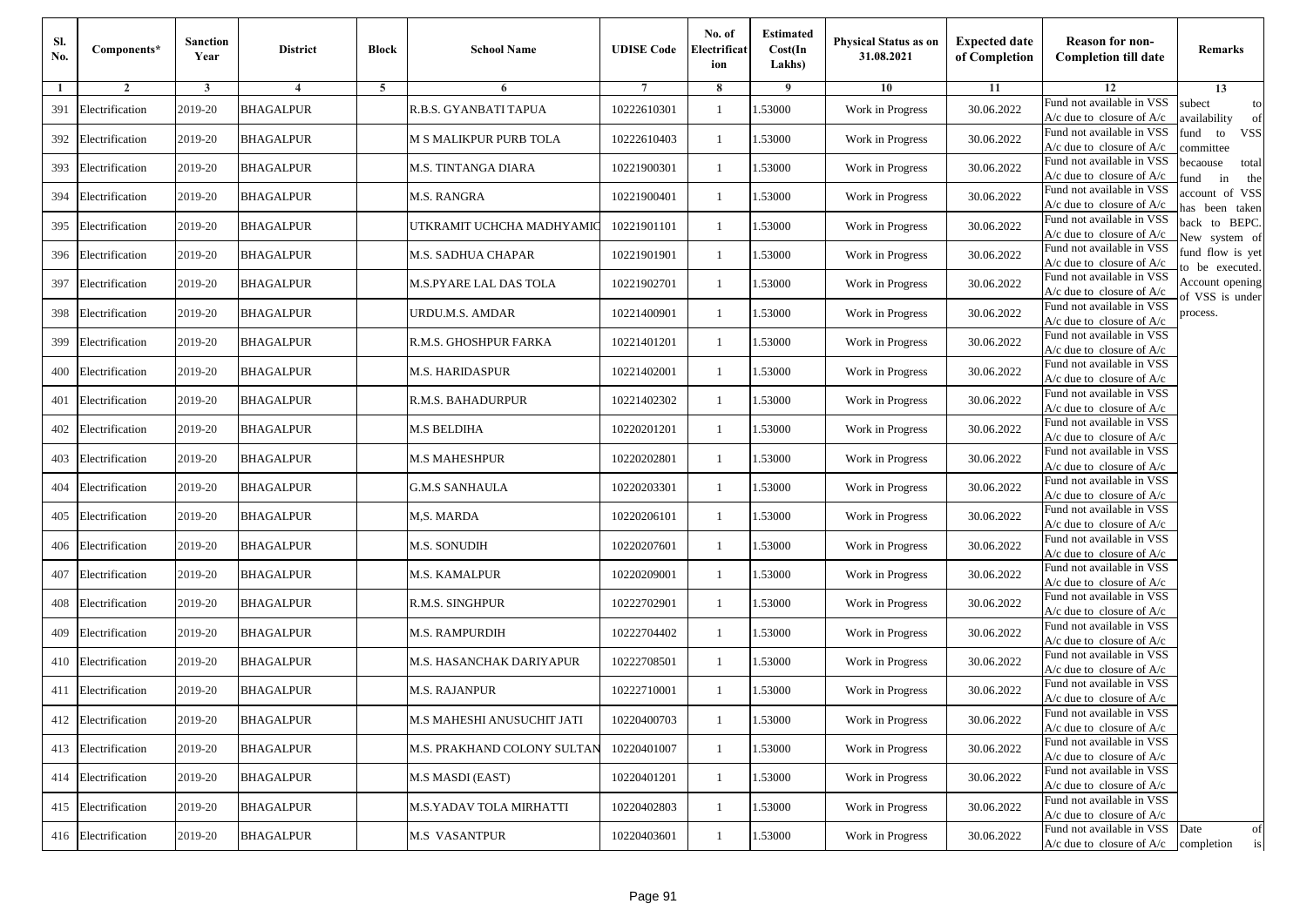| Sl.<br>No. | Components*         | <b>Sanction</b><br>Year | <b>District</b>  | <b>Block</b> | <b>School Name</b>          | <b>UDISE Code</b> | No. of<br>Electrificat<br>ion | <b>Estimated</b><br>Cost(In<br>Lakhs) | <b>Physical Status as on</b><br>31.08.2021 | <b>Expected date</b><br>of Completion | <b>Reason for non-</b><br><b>Completion till date</b>                 | Remarks                               |
|------------|---------------------|-------------------------|------------------|--------------|-----------------------------|-------------------|-------------------------------|---------------------------------------|--------------------------------------------|---------------------------------------|-----------------------------------------------------------------------|---------------------------------------|
| -1         | $\overline{2}$      | 3                       | 4                | 5            | 6                           |                   | 8                             | 9                                     | 10                                         | 11                                    | 12                                                                    | 13                                    |
| 391        | Electrification     | 2019-20                 | <b>BHAGALPUR</b> |              | R.B.S. GYANBATI TAPUA       | 10222610301       | $\mathbf{1}$                  | .53000                                | Work in Progress                           | 30.06.2022                            | Fund not available in VSS<br>$A/c$ due to closure of $A/c$            | subect<br>to<br>availability<br>of    |
| 392        | Electrification     | 2019-20                 | <b>BHAGALPUR</b> |              | M S MALIKPUR PURB TOLA      | 10222610403       | 1                             | 1.53000                               | Work in Progress                           | 30.06.2022                            | Fund not available in VSS<br>$A/c$ due to closure of $A/c$            | fund<br>to<br><b>VSS</b><br>committee |
| 393        | Electrification     | 2019-20                 | <b>BHAGALPUR</b> |              | M.S. TINTANGA DIARA         | 10221900301       | 1                             | 1.53000                               | Work in Progress                           | 30.06.2022                            | Fund not available in VSS<br>$A/c$ due to closure of $A/c$            | becaouse<br>total<br>und<br>in<br>the |
| 394        | Electrification     | 2019-20                 | <b>BHAGALPUR</b> |              | M.S. RANGRA                 | 10221900401       | $\mathbf{1}$                  | .53000                                | Work in Progress                           | 30.06.2022                            | Fund not available in VSS<br>A/c due to closure of A/c                | account of VSS<br>as been taken       |
| 395        | Electrification     | 2019-20                 | <b>BHAGALPUR</b> |              | UTKRAMIT UCHCHA MADHYAMIC   | 10221901101       | $\mathbf{1}$                  | .53000                                | Work in Progress                           | 30.06.2022                            | Fund not available in VSS<br>A/c due to closure of $A/c$              | back to BEPC.<br>New system of        |
| 396        | Electrification     | 2019-20                 | <b>BHAGALPUR</b> |              | M.S. SADHUA CHAPAR          | 10221901901       | $\mathbf{1}$                  | .53000                                | Work in Progress                           | 30.06.2022                            | Fund not available in VSS<br>A/c due to closure of $A/c$              | fund flow is yet<br>o be executed.    |
| 397        | Electrification     | 2019-20                 | <b>BHAGALPUR</b> |              | M.S.PYARE LAL DAS TOLA      | 10221902701       | $\mathbf{1}$                  | 1.53000                               | Work in Progress                           | 30.06.2022                            | Fund not available in VSS<br>$A/c$ due to closure of $A/c$            | Account opening<br>of VSS is under    |
| 398        | Electrification     | 2019-20                 | <b>BHAGALPUR</b> |              | URDU.M.S. AMDAR             | 10221400901       | $\mathbf{1}$                  | .53000                                | Work in Progress                           | 30.06.2022                            | Fund not available in VSS<br>$A/c$ due to closure of $A/c$            | process.                              |
| 399        | Electrification     | 2019-20                 | <b>BHAGALPUR</b> |              | R.M.S. GHOSHPUR FARKA       | 10221401201       | 1                             | .53000                                | Work in Progress                           | 30.06.2022                            | Fund not available in VSS<br>$A/c$ due to closure of $A/c$            |                                       |
| 400        | Electrification     | 2019-20                 | <b>BHAGALPUR</b> |              | M.S. HARIDASPUR             | 10221402001       | $\mathbf{1}$                  | .53000                                | Work in Progress                           | 30.06.2022                            | Fund not available in VSS<br>$A/c$ due to closure of $A/c$            |                                       |
| 401        | Electrification     | 2019-20                 | <b>BHAGALPUR</b> |              | R.M.S. BAHADURPUR           | 10221402302       | 1                             | 1.53000                               | Work in Progress                           | 30.06.2022                            | Fund not available in VSS<br>$A/c$ due to closure of $A/c$            |                                       |
| 402        | Electrification     | 2019-20                 | <b>BHAGALPUR</b> |              | <b>M.S BELDIHA</b>          | 10220201201       | 1                             | .53000                                | Work in Progress                           | 30.06.2022                            | Fund not available in VSS<br>$A/c$ due to closure of $A/c$            |                                       |
| 403        | Electrification     | 2019-20                 | <b>BHAGALPUR</b> |              | M.S MAHESHPUR               | 10220202801       | $\mathbf{1}$                  | .53000                                | Work in Progress                           | 30.06.2022                            | Fund not available in VSS<br>$A/c$ due to closure of $A/c$            |                                       |
| 404        | Electrification     | 2019-20                 | <b>BHAGALPUR</b> |              | <b>G.M.S SANHAULA</b>       | 10220203301       | $\mathbf{1}$                  | .53000                                | Work in Progress                           | 30.06.2022                            | Fund not available in VSS<br>$A/c$ due to closure of $A/c$            |                                       |
| 405        | Electrification     | 2019-20                 | <b>BHAGALPUR</b> |              | M,S. MARDA                  | 10220206101       | 1                             | 1.53000                               | Work in Progress                           | 30.06.2022                            | Fund not available in VSS<br>$A/c$ due to closure of $A/c$            |                                       |
| 406        | Electrification     | 2019-20                 | <b>BHAGALPUR</b> |              | <b>M.S. SONUDIH</b>         | 10220207601       | $\mathbf{1}$                  | .53000                                | Work in Progress                           | 30.06.2022                            | Fund not available in VSS<br>$A/c$ due to closure of $A/c$            |                                       |
| 407        | Electrification     | 2019-20                 | <b>BHAGALPUR</b> |              | M.S. KAMALPUR               | 10220209001       | 1                             | .53000                                | Work in Progress                           | 30.06.2022                            | Fund not available in VSS<br>A/c due to closure of A/c                |                                       |
| 408        | Electrification     | 2019-20                 | <b>BHAGALPUR</b> |              | R.M.S. SINGHPUR             | 10222702901       | $\mathbf{1}$                  | 1.53000                               | Work in Progress                           | 30.06.2022                            | Fund not available in VSS<br>$A/c$ due to closure of $A/c$            |                                       |
| 409        | Electrification     | 2019-20                 | <b>BHAGALPUR</b> |              | M.S. RAMPURDIH              | 10222704402       | 1                             | 1.53000                               | Work in Progress                           | 30.06.2022                            | Fund not available in VSS<br>$A/c$ due to closure of $A/c$            |                                       |
|            | 410 Electrification | 2019-20                 | <b>BHAGALPUR</b> |              | M.S. HASANCHAK DARIYAPUR    | 10222708501       | 1                             | .53000                                | Work in Progress                           | 30.06.2022                            | Fund not available in VSS<br>$A/c$ due to closure of $A/c$            |                                       |
| 411        | Electrification     | 2019-20                 | BHAGALPUR        |              | M.S. RAJANPUR               | 10222710001       | 1                             | .53000                                | Work in Progress                           | 30.06.2022                            | Fund not available in VSS<br>A/c due to closure of A/c                |                                       |
|            | 412 Electrification | 2019-20                 | <b>BHAGALPUR</b> |              | M.S MAHESHI ANUSUCHIT JATI  | 10220400703       |                               | 1.53000                               | Work in Progress                           | 30.06.2022                            | Fund not available in VSS<br>A/c due to closure of A/c                |                                       |
|            | 413 Electrification | 2019-20                 | <b>BHAGALPUR</b> |              | M.S. PRAKHAND COLONY SULTAN | 10220401007       | $\mathbf{1}$                  | 1.53000                               | Work in Progress                           | 30.06.2022                            | Fund not available in VSS<br>$A/c$ due to closure of $A/c$            |                                       |
|            | 414 Electrification | 2019-20                 | <b>BHAGALPUR</b> |              | M.S MASDI (EAST)            | 10220401201       | $\mathbf{1}$                  | 1.53000                               | Work in Progress                           | 30.06.2022                            | Fund not available in VSS<br>$A/c$ due to closure of $A/c$            |                                       |
|            | 415 Electrification | 2019-20                 | <b>BHAGALPUR</b> |              | M.S.YADAV TOLA MIRHATTI     | 10220402803       | 1                             | 1.53000                               | Work in Progress                           | 30.06.2022                            | Fund not available in VSS<br>A/c due to closure of A/c                |                                       |
|            | 416 Electrification | 2019-20                 | <b>BHAGALPUR</b> |              | <b>M.S VASANTPUR</b>        | 10220403601       | $\mathbf{1}$                  | 1.53000                               | Work in Progress                           | 30.06.2022                            | Fund not available in VSS<br>$A/c$ due to closure of $A/c$ completion | Date<br>of<br>is                      |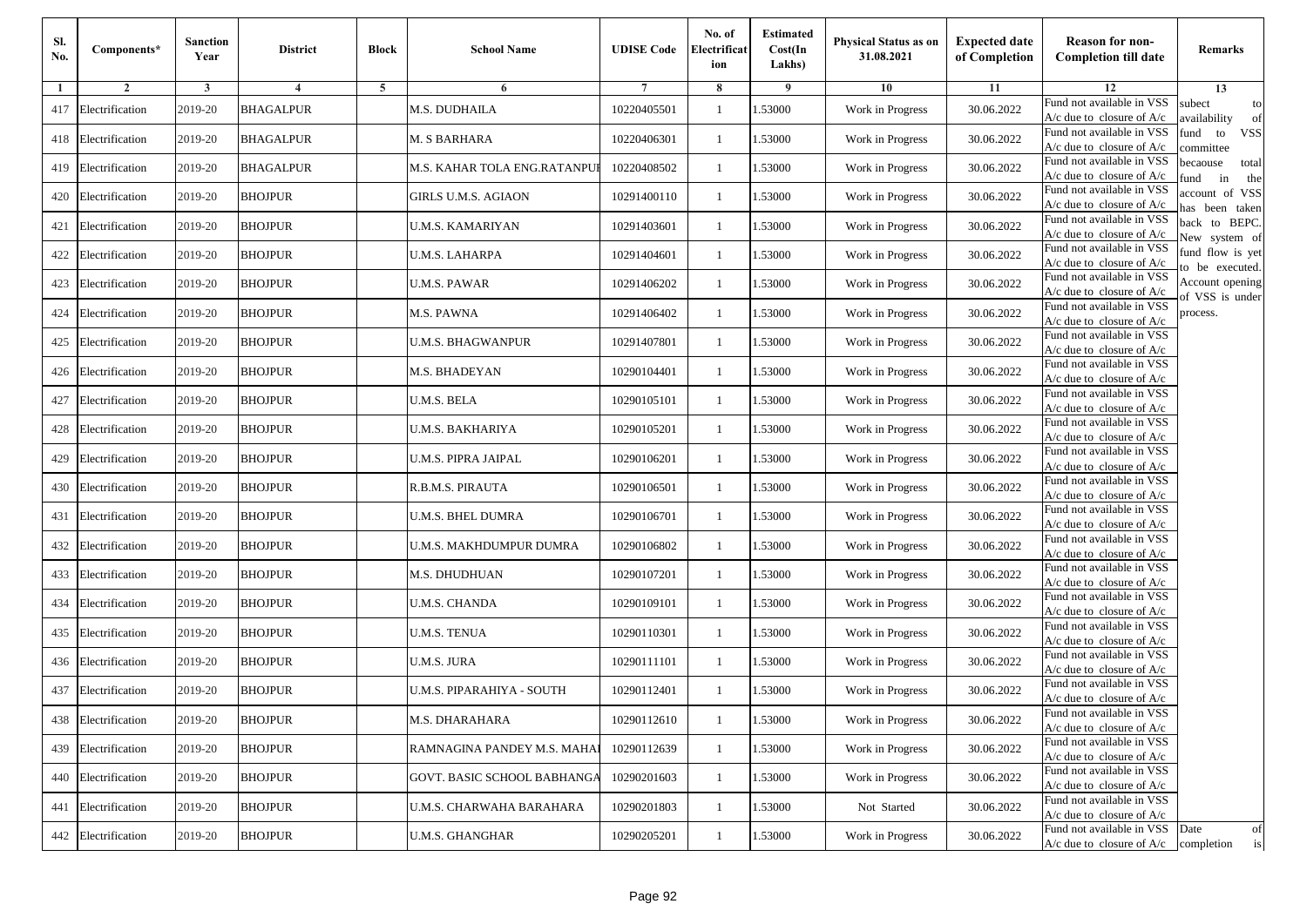| Sl.<br>No. | Components*         | <b>Sanction</b><br>Year | <b>District</b>  | <b>Block</b> | <b>School Name</b>           | <b>UDISE Code</b> | No. of<br>Electrificat<br>ion | <b>Estimated</b><br>Cost(In<br>Lakhs) | <b>Physical Status as on</b><br>31.08.2021 | <b>Expected date</b><br>of Completion | <b>Reason for non-</b><br><b>Completion till date</b>      | Remarks                               |
|------------|---------------------|-------------------------|------------------|--------------|------------------------------|-------------------|-------------------------------|---------------------------------------|--------------------------------------------|---------------------------------------|------------------------------------------------------------|---------------------------------------|
| -1         | $\overline{2}$      | 3                       | 4                | 5            | 6                            |                   | 8                             | 9                                     | 10                                         | 11                                    | 12                                                         | 13                                    |
| 417        | Electrification     | 2019-20                 | <b>BHAGALPUR</b> |              | M.S. DUDHAILA                | 10220405501       | $\mathbf{1}$                  | .53000                                | Work in Progress                           | 30.06.2022                            | Fund not available in VSS<br>$A/c$ due to closure of $A/c$ | subect<br>to<br>availability<br>of    |
| 418        | Electrification     | 2019-20                 | <b>BHAGALPUR</b> |              | M. S BARHARA                 | 10220406301       | 1                             | 1.53000                               | Work in Progress                           | 30.06.2022                            | Fund not available in VSS<br>$A/c$ due to closure of $A/c$ | fund<br>to<br><b>VSS</b><br>committee |
| 419        | Electrification     | 2019-20                 | <b>BHAGALPUR</b> |              | M.S. KAHAR TOLA ENG.RATANPUI | 10220408502       | 1                             | 1.53000                               | Work in Progress                           | 30.06.2022                            | Fund not available in VSS<br>$A/c$ due to closure of $A/c$ | becaouse<br>total<br>und<br>in<br>the |
|            | 420 Electrification | 2019-20                 | <b>BHOJPUR</b>   |              | GIRLS U.M.S. AGIAON          | 10291400110       | $\mathbf{1}$                  | .53000                                | Work in Progress                           | 30.06.2022                            | Fund not available in VSS<br>A/c due to closure of A/c     | account of VSS<br>as been taken       |
| 421        | Electrification     | 2019-20                 | <b>BHOJPUR</b>   |              | U.M.S. KAMARIYAN             | 10291403601       | $\mathbf{1}$                  | .53000                                | Work in Progress                           | 30.06.2022                            | Fund not available in VSS<br>$A/c$ due to closure of $A/c$ | back to BEPC.<br>New system of        |
| 422        | Electrification     | 2019-20                 | <b>BHOJPUR</b>   |              | U.M.S. LAHARPA               | 10291404601       | $\mathbf{1}$                  | 1.53000                               | Work in Progress                           | 30.06.2022                            | Fund not available in VSS<br>A/c due to closure of $A/c$   | fund flow is yet<br>o be executed.    |
| 423        | Electrification     | 2019-20                 | <b>BHOJPUR</b>   |              | <b>U.M.S. PAWAR</b>          | 10291406202       | $\mathbf{1}$                  | 1.53000                               | Work in Progress                           | 30.06.2022                            | Fund not available in VSS<br>$A/c$ due to closure of $A/c$ | Account opening<br>of VSS is under    |
| 424        | Electrification     | 2019-20                 | <b>BHOJPUR</b>   |              | M.S. PAWNA                   | 10291406402       | $\mathbf{1}$                  | .53000                                | Work in Progress                           | 30.06.2022                            | Fund not available in VSS<br>$A/c$ due to closure of $A/c$ | process.                              |
| 425        | Electrification     | 2019-20                 | <b>BHOJPUR</b>   |              | <b>U.M.S. BHAGWANPUR</b>     | 10291407801       | 1                             | .53000                                | Work in Progress                           | 30.06.2022                            | Fund not available in VSS<br>$A/c$ due to closure of $A/c$ |                                       |
| 426        | Electrification     | 2019-20                 | <b>BHOJPUR</b>   |              | M.S. BHADEYAN                | 10290104401       | $\mathbf{1}$                  | .53000                                | Work in Progress                           | 30.06.2022                            | Fund not available in VSS<br>$A/c$ due to closure of $A/c$ |                                       |
| 427        | Electrification     | 2019-20                 | <b>BHOJPUR</b>   |              | U.M.S. BELA                  | 10290105101       | 1                             | 1.53000                               | Work in Progress                           | 30.06.2022                            | Fund not available in VSS<br>$A/c$ due to closure of $A/c$ |                                       |
| 428        | Electrification     | 2019-20                 | <b>BHOJPUR</b>   |              | <b>U.M.S. BAKHARIYA</b>      | 10290105201       | 1                             | .53000                                | Work in Progress                           | 30.06.2022                            | Fund not available in VSS<br>$A/c$ due to closure of $A/c$ |                                       |
| 429        | Electrification     | 2019-20                 | <b>BHOJPUR</b>   |              | U.M.S. PIPRA JAIPAL          | 10290106201       | $\mathbf{1}$                  | .53000                                | Work in Progress                           | 30.06.2022                            | Fund not available in VSS<br>$A/c$ due to closure of $A/c$ |                                       |
| 430        | Electrification     | 2019-20                 | <b>BHOJPUR</b>   |              | R.B.M.S. PIRAUTA             | 10290106501       | $\mathbf{1}$                  | .53000                                | Work in Progress                           | 30.06.2022                            | Fund not available in VSS<br>$A/c$ due to closure of $A/c$ |                                       |
| 431        | Electrification     | 2019-20                 | <b>BHOJPUR</b>   |              | U.M.S. BHEL DUMRA            | 10290106701       | 1                             | 1.53000                               | Work in Progress                           | 30.06.2022                            | Fund not available in VSS<br>$A/c$ due to closure of $A/c$ |                                       |
| 432        | Electrification     | 2019-20                 | <b>BHOJPUR</b>   |              | U.M.S. MAKHDUMPUR DUMRA      | 10290106802       | $\mathbf{1}$                  | .53000                                | Work in Progress                           | 30.06.2022                            | Fund not available in VSS<br>$A/c$ due to closure of $A/c$ |                                       |
| 433        | Electrification     | 2019-20                 | <b>BHOJPUR</b>   |              | M.S. DHUDHUAN                | 10290107201       | 1                             | .53000                                | Work in Progress                           | 30.06.2022                            | Fund not available in VSS<br>A/c due to closure of A/c     |                                       |
| 434        | Electrification     | 2019-20                 | <b>BHOJPUR</b>   |              | <b>U.M.S. CHANDA</b>         | 10290109101       | $\mathbf{1}$                  | 1.53000                               | Work in Progress                           | 30.06.2022                            | Fund not available in VSS<br>$A/c$ due to closure of $A/c$ |                                       |
| 435        | Electrification     | 2019-20                 | <b>BHOJPUR</b>   |              | <b>U.M.S. TENUA</b>          | 10290110301       | 1                             | 1.53000                               | Work in Progress                           | 30.06.2022                            | Fund not available in VSS<br>$A/c$ due to closure of $A/c$ |                                       |
|            | 436 Electrification | 2019-20                 | <b>BHOJPUR</b>   |              | U.M.S. JURA                  | 10290111101       | $\mathbf{1}$                  | .53000                                | Work in Progress                           | 30.06.2022                            | Fund not available in VSS<br>$A/c$ due to closure of $A/c$ |                                       |
| 437        | Electrification     | 2019-20                 | <b>BHOJPUR</b>   |              | U.M.S. PIPARAHIYA - SOUTH    | 10290112401       | 1                             | .53000                                | Work in Progress                           | 30.06.2022                            | Fund not available in VSS<br>A/c due to closure of A/c     |                                       |
|            | 438 Electrification | 2019-20                 | <b>BHOJPUR</b>   |              | M.S. DHARAHARA               | 10290112610       | $\mathbf{1}$                  | 1.53000                               | Work in Progress                           | 30.06.2022                            | Fund not available in VSS<br>A/c due to closure of A/c     |                                       |
|            | 439 Electrification | 2019-20                 | <b>BHOJPUR</b>   |              | RAMNAGINA PANDEY M.S. MAHA   | 10290112639       | $\mathbf{1}$                  | 1.53000                               | Work in Progress                           | 30.06.2022                            | Fund not available in VSS<br>$A/c$ due to closure of $A/c$ |                                       |
|            | 440 Electrification | 2019-20                 | <b>BHOJPUR</b>   |              | GOVT. BASIC SCHOOL BABHANGA  | 10290201603       | $\mathbf{1}$                  | 1.53000                               | Work in Progress                           | 30.06.2022                            | Fund not available in VSS<br>$A/c$ due to closure of $A/c$ |                                       |
| 441        | Electrification     | 2019-20                 | <b>BHOJPUR</b>   |              | U.M.S. CHARWAHA BARAHARA     | 10290201803       | $\mathbf{1}$                  | 1.53000                               | Not Started                                | 30.06.2022                            | Fund not available in VSS<br>A/c due to closure of A/c     |                                       |
|            | 442 Electrification | 2019-20                 | <b>BHOJPUR</b>   |              | <b>U.M.S. GHANGHAR</b>       | 10290205201       | $\mathbf{1}$                  | 1.53000                               | Work in Progress                           | 30.06.2022                            | Fund not available in VSS<br>$A/c$ due to closure of $A/c$ | Date<br>of<br>completion<br>is        |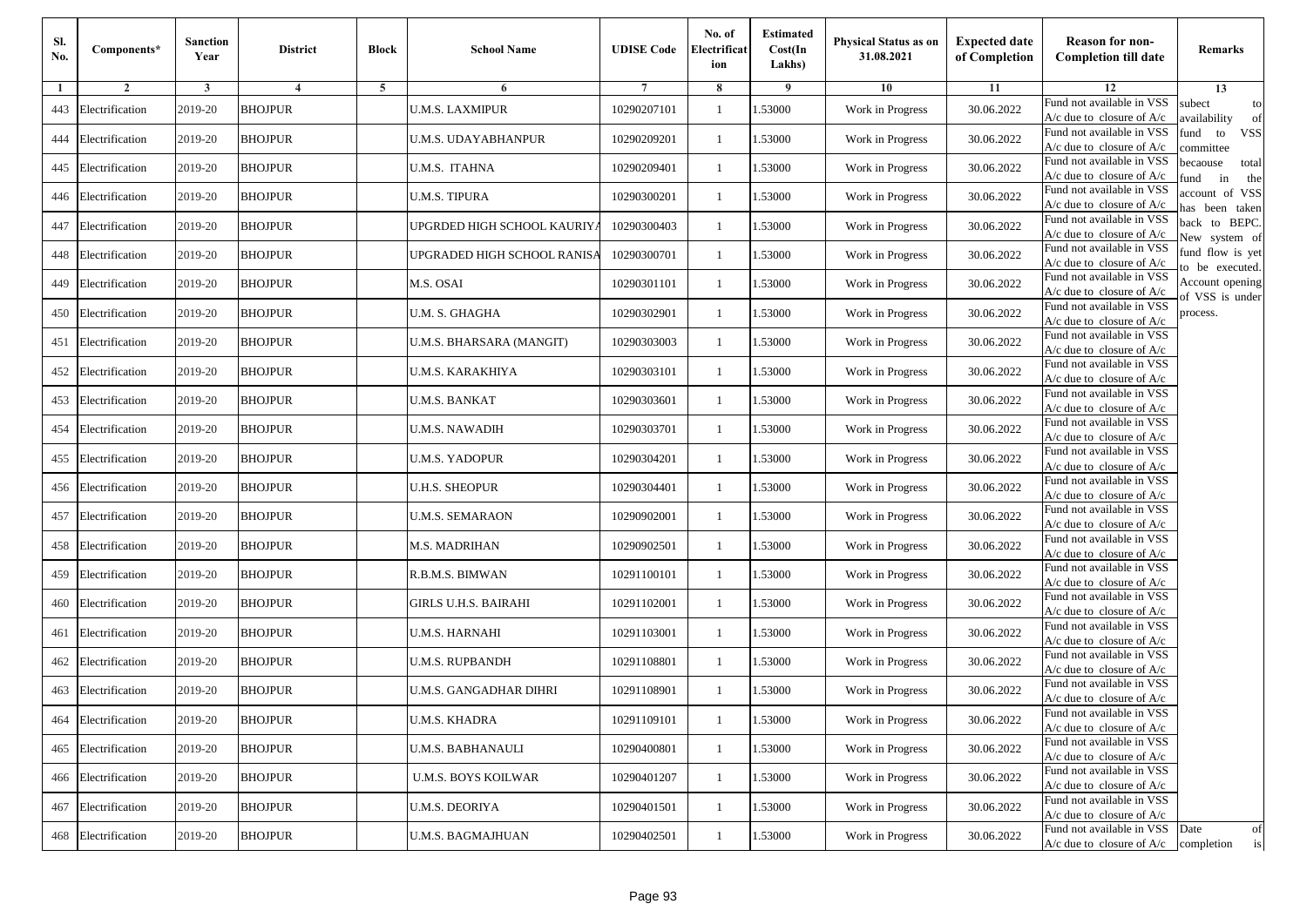| Sl.<br>No. | Components*         | <b>Sanction</b><br>Year | <b>District</b> | <b>Block</b> | <b>School Name</b>          | <b>UDISE Code</b> | No. of<br>Electrificat<br>ion | <b>Estimated</b><br>Cost(In<br>Lakhs) | Physical Status as on<br>31.08.2021 | <b>Expected date</b><br>of Completion | <b>Reason for non-</b><br><b>Completion till date</b>                 | Remarks                               |
|------------|---------------------|-------------------------|-----------------|--------------|-----------------------------|-------------------|-------------------------------|---------------------------------------|-------------------------------------|---------------------------------------|-----------------------------------------------------------------------|---------------------------------------|
| 1          | $\overline{2}$      | 3                       | $\overline{4}$  | 5            | 6                           |                   | 8                             | 9                                     | 10                                  | 11                                    | 12                                                                    | 13                                    |
| 443        | Electrification     | 2019-20                 | <b>BHOJPUR</b>  |              | <b>U.M.S. LAXMIPUR</b>      | 10290207101       | -1                            | 1.53000                               | Work in Progress                    | 30.06.2022                            | Fund not available in VSS<br>$A/c$ due to closure of $A/c$            | subect<br>to<br>wailability<br>of     |
| 444        | Electrification     | 2019-20                 | <b>BHOJPUR</b>  |              | U.M.S. UDAYABHANPUR         | 10290209201       | $\mathbf{1}$                  | 1.53000                               | Work in Progress                    | 30.06.2022                            | Fund not available in VSS<br>$A/c$ due to closure of $A/c$            | fund<br>to<br><b>VSS</b><br>ommittee  |
| 445        | Electrification     | 2019-20                 | <b>BHOJPUR</b>  |              | U.M.S. ITAHNA               | 10290209401       | $\mathbf{1}$                  | 1.53000                               | Work in Progress                    | 30.06.2022                            | Fund not available in VSS<br>$A/c$ due to closure of $A/c$            | pecaouse<br>total<br>und<br>in<br>the |
| 446        | Electrification     | 2019-20                 | <b>BHOJPUR</b>  |              | U.M.S. TIPURA               | 10290300201       | -1                            | 1.53000                               | Work in Progress                    | 30.06.2022                            | Fund not available in VSS<br>$A/c$ due to closure of $A/c$            | ccount of VSS<br>as been taken        |
| 447        | Electrification     | 2019-20                 | <b>BHOJPUR</b>  |              | JPGRDED HIGH SCHOOL KAURIY. | 10290300403       | $\mathbf{1}$                  | 1.53000                               | Work in Progress                    | 30.06.2022                            | Fund not available in VSS<br>A/c due to closure of $A/c$              | back to BEPC.<br>New system of        |
| 448        | Electrification     | 2019-20                 | <b>BHOJPUR</b>  |              | UPGRADED HIGH SCHOOL RANISA | 10290300701       | -1                            | 1.53000                               | Work in Progress                    | 30.06.2022                            | Fund not available in VSS<br>A/c due to closure of $A/c$              | fund flow is yet<br>o be executed.    |
| 449        | Electrification     | 2019-20                 | <b>BHOJPUR</b>  |              | M.S. OSAI                   | 10290301101       | -1                            | 1.53000                               | Work in Progress                    | 30.06.2022                            | Fund not available in VSS<br>A/c due to closure of A/c                | Account opening<br>of VSS is under    |
| 450        | Electrification     | 2019-20                 | <b>BHOJPUR</b>  |              | U.M. S. GHAGHA              | 10290302901       | -1                            | 1.53000                               | Work in Progress                    | 30.06.2022                            | Fund not available in VSS<br>$A/c$ due to closure of $A/c$            | process.                              |
| 451        | Electrification     | 2019-20                 | <b>BHOJPUR</b>  |              | U.M.S. BHARSARA (MANGIT)    | 10290303003       | -1                            | 1.53000                               | Work in Progress                    | 30.06.2022                            | Fund not available in VSS<br>$A/c$ due to closure of $A/c$            |                                       |
| 452        | Electrification     | 2019-20                 | <b>BHOJPUR</b>  |              | U.M.S. KARAKHIYA            | 10290303101       | $\mathbf{1}$                  | 1.53000                               | Work in Progress                    | 30.06.2022                            | Fund not available in VSS<br>$A/c$ due to closure of $A/c$            |                                       |
| 453        | Electrification     | 2019-20                 | <b>BHOJPUR</b>  |              | U.M.S. BANKAT               | 10290303601       | -1                            | 1.53000                               | Work in Progress                    | 30.06.2022                            | Fund not available in VSS<br>$A/c$ due to closure of $A/c$            |                                       |
| 454        | Electrification     | 2019-20                 | <b>BHOJPUR</b>  |              | U.M.S. NAWADIH              | 10290303701       | $\mathbf{1}$                  | 1.53000                               | Work in Progress                    | 30.06.2022                            | Fund not available in VSS<br>$A/c$ due to closure of $A/c$            |                                       |
| 455        | Electrification     | 2019-20                 | <b>BHOJPUR</b>  |              | U.M.S. YADOPUR              | 10290304201       | -1                            | 1.53000                               | Work in Progress                    | 30.06.2022                            | Fund not available in VSS<br>$A/c$ due to closure of $A/c$            |                                       |
| 456        | Electrification     | 2019-20                 | <b>BHOJPUR</b>  |              | U.H.S. SHEOPUR              | 10290304401       | $\mathbf{1}$                  | 1.53000                               | Work in Progress                    | 30.06.2022                            | Fund not available in VSS<br>$A/c$ due to closure of $A/c$            |                                       |
| 457        | Electrification     | 2019-20                 | <b>BHOJPUR</b>  |              | U.M.S. SEMARAON             | 10290902001       | -1                            | 1.53000                               | Work in Progress                    | 30.06.2022                            | Fund not available in VSS<br>$A/c$ due to closure of $A/c$            |                                       |
| 458        | Electrification     | 2019-20                 | <b>BHOJPUR</b>  |              | M.S. MADRIHAN               | 10290902501       | -1                            | 1.53000                               | Work in Progress                    | 30.06.2022                            | Fund not available in VSS<br>$A/c$ due to closure of $A/c$            |                                       |
| 459        | Electrification     | 2019-20                 | <b>BHOJPUR</b>  |              | R.B.M.S. BIMWAN             | 10291100101       | -1                            | 1.53000                               | Work in Progress                    | 30.06.2022                            | Fund not available in VSS<br>$A/c$ due to closure of $A/c$            |                                       |
| 460        | Electrification     | 2019-20                 | <b>BHOJPUR</b>  |              | GIRLS U.H.S. BAIRAHI        | 10291102001       | $\mathbf{1}$                  | 1.53000                               | Work in Progress                    | 30.06.2022                            | Fund not available in VSS<br>$A/c$ due to closure of $A/c$            |                                       |
| 461        | Electrification     | 2019-20                 | <b>BHOJPUR</b>  |              | U.M.S. HARNAHI              | 10291103001       | -1                            | 1.53000                               | Work in Progress                    | 30.06.2022                            | Fund not available in VSS<br>$A/c$ due to closure of $A/c$            |                                       |
| 462        | Electrification     | 2019-20                 | <b>BHOJPUR</b>  |              | U.M.S. RUPBANDH             | 10291108801       | $\mathbf{1}$                  | 1.53000                               | Work in Progress                    | 30.06.2022                            | Fund not available in VSS<br>$A/c$ due to closure of $A/c$            |                                       |
| 463        | Electrification     | 2019-20                 | <b>BHOJPUR</b>  |              | U.M.S. GANGADHAR DIHRI      | 10291108901       | -1                            | .53000                                | Work in Progress                    | 30.06.2022                            | Fund not available in VSS<br>A/c due to closure of A/c                |                                       |
|            | 464 Electrification | 2019-20                 | <b>BHOJPUR</b>  |              | <b>U.M.S. KHADRA</b>        | 10291109101       | $\mathbf{1}$                  | 1.53000                               | Work in Progress                    | 30.06.2022                            | Fund not available in VSS<br>A/c due to closure of A/c                |                                       |
|            | 465 Electrification | 2019-20                 | <b>BHOJPUR</b>  |              | U.M.S. BABHANAULI           | 10290400801       | $\mathbf{1}$                  | 1.53000                               | Work in Progress                    | 30.06.2022                            | Fund not available in VSS<br>$A/c$ due to closure of $A/c$            |                                       |
| 466        | Electrification     | 2019-20                 | <b>BHOJPUR</b>  |              | <b>U.M.S. BOYS KOILWAR</b>  | 10290401207       | -1                            | 1.53000                               | Work in Progress                    | 30.06.2022                            | Fund not available in VSS<br>$A/c$ due to closure of $A/c$            |                                       |
| 467        | Electrification     | 2019-20                 | <b>BHOJPUR</b>  |              | <b>U.M.S. DEORIYA</b>       | 10290401501       | $\mathbf{1}$                  | 1.53000                               | Work in Progress                    | 30.06.2022                            | Fund not available in VSS<br>A/c due to closure of A/c                |                                       |
| 468        | Electrification     | 2019-20                 | <b>BHOJPUR</b>  |              | U.M.S. BAGMAJHUAN           | 10290402501       | $\mathbf{1}$                  | 1.53000                               | Work in Progress                    | 30.06.2022                            | Fund not available in VSS<br>$A/c$ due to closure of $A/c$ completion | Date<br>of<br>is                      |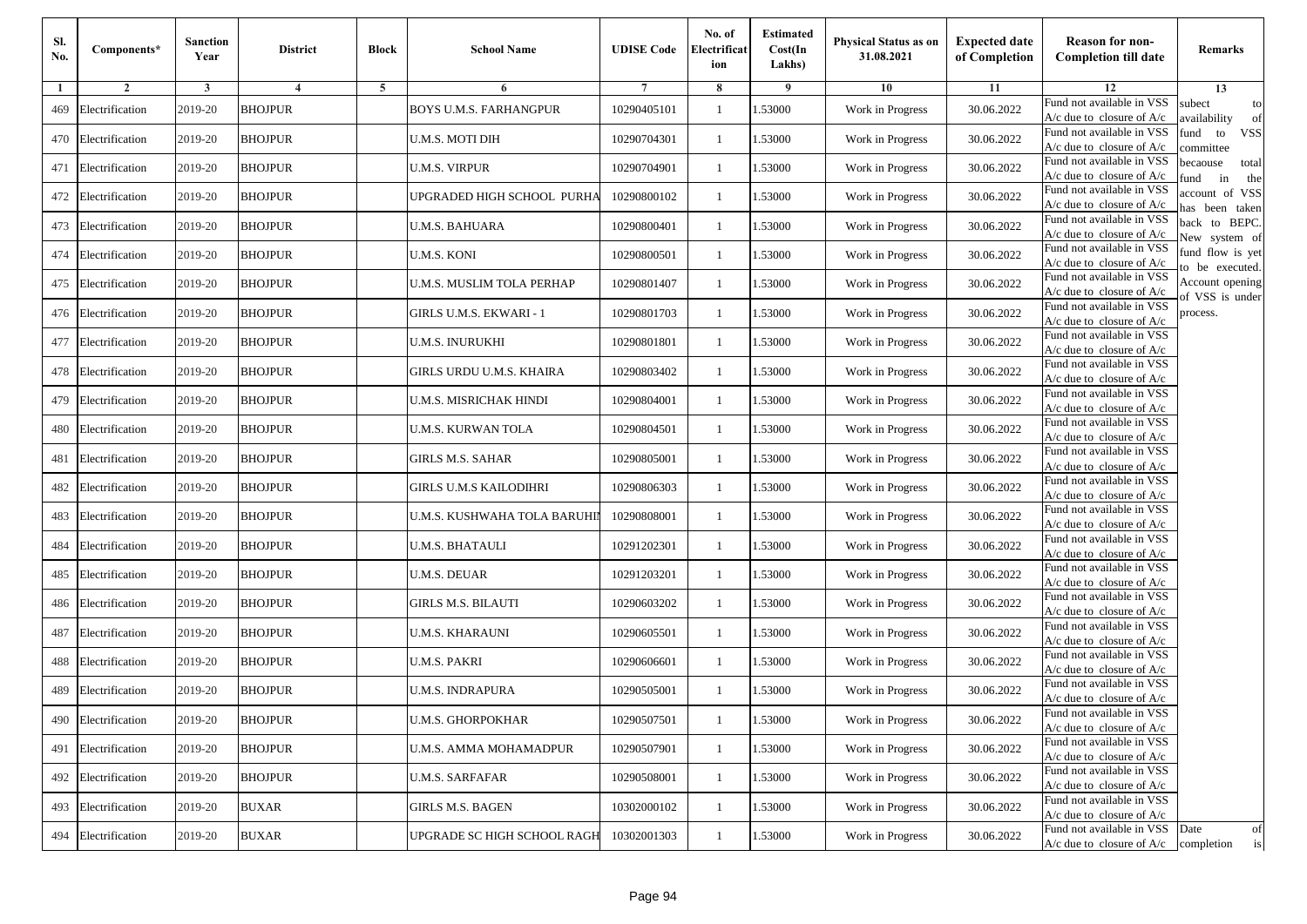| Sl.<br>No. | Components*         | <b>Sanction</b><br>Year | <b>District</b> | <b>Block</b> | <b>School Name</b>              | <b>UDISE Code</b> | No. of<br>Electrificat<br>ion | <b>Estimated</b><br>Cost(In<br>Lakhs) | <b>Physical Status as on</b><br>31.08.2021 | <b>Expected date</b><br>of Completion | <b>Reason for non-</b><br><b>Completion till date</b>      | Remarks                               |
|------------|---------------------|-------------------------|-----------------|--------------|---------------------------------|-------------------|-------------------------------|---------------------------------------|--------------------------------------------|---------------------------------------|------------------------------------------------------------|---------------------------------------|
| -1         | $\overline{2}$      | 3                       | $\overline{4}$  | 5            | 6                               |                   | 8                             | 9                                     | 10                                         | 11                                    | 12                                                         | 13                                    |
| 469        | Electrification     | 2019-20                 | <b>BHOJPUR</b>  |              | <b>BOYS U.M.S. FARHANGPUR</b>   | 10290405101       | $\mathbf{1}$                  | .53000                                | Work in Progress                           | 30.06.2022                            | Fund not available in VSS<br>$A/c$ due to closure of $A/c$ | subect<br>to<br>availability<br>of    |
| 470        | Electrification     | 2019-20                 | <b>BHOJPUR</b>  |              | U.M.S. MOTI DIH                 | 10290704301       | 1                             | 1.53000                               | Work in Progress                           | 30.06.2022                            | Fund not available in VSS<br>$A/c$ due to closure of $A/c$ | fund<br>to<br><b>VSS</b><br>committee |
| 471        | Electrification     | 2019-20                 | <b>BHOJPUR</b>  |              | <b>U.M.S. VIRPUR</b>            | 10290704901       | 1                             | .53000                                | Work in Progress                           | 30.06.2022                            | Fund not available in VSS<br>$A/c$ due to closure of $A/c$ | becaouse<br>total<br>in<br>und<br>the |
|            | 472 Electrification | 2019-20                 | <b>BHOJPUR</b>  |              | UPGRADED HIGH SCHOOL  PURHA     | 10290800102       | $\mathbf{1}$                  | .53000                                | Work in Progress                           | 30.06.2022                            | Fund not available in VSS<br>A/c due to closure of A/c     | account of VSS<br>as been taken       |
| 473        | Electrification     | 2019-20                 | <b>BHOJPUR</b>  |              | U.M.S. BAHUARA                  | 10290800401       | $\mathbf{1}$                  | .53000                                | Work in Progress                           | 30.06.2022                            | Fund not available in VSS<br>$A/c$ due to closure of $A/c$ | back to BEPC.<br>New system of        |
| 474        | Electrification     | 2019-20                 | <b>BHOJPUR</b>  |              | U.M.S. KONI                     | 10290800501       | 1                             | .53000                                | Work in Progress                           | 30.06.2022                            | Fund not available in VSS<br>A/c due to closure of $A/c$   | fund flow is yet<br>o be executed.    |
| 475        | Electrification     | 2019-20                 | <b>BHOJPUR</b>  |              | U.M.S. MUSLIM TOLA PERHAP       | 10290801407       | $\mathbf{1}$                  | 1.53000                               | Work in Progress                           | 30.06.2022                            | Fund not available in VSS<br>A/c due to closure of $A/c$   | Account opening<br>of VSS is under    |
|            | 476 Electrification | 2019-20                 | <b>BHOJPUR</b>  |              | <b>GIRLS U.M.S. EKWARI - 1</b>  | 10290801703       | $\mathbf{1}$                  | .53000                                | Work in Progress                           | 30.06.2022                            | Fund not available in VSS<br>$A/c$ due to closure of $A/c$ | process.                              |
| 477        | Electrification     | 2019-20                 | <b>BHOJPUR</b>  |              | U.M.S. INURUKHI                 | 10290801801       | 1                             | .53000                                | Work in Progress                           | 30.06.2022                            | Fund not available in VSS<br>$A/c$ due to closure of $A/c$ |                                       |
| 478        | Electrification     | 2019-20                 | <b>BHOJPUR</b>  |              | <b>GIRLS URDU U.M.S. KHAIRA</b> | 10290803402       | $\mathbf{1}$                  | .53000                                | Work in Progress                           | 30.06.2022                            | Fund not available in VSS<br>$A/c$ due to closure of $A/c$ |                                       |
| 479        | Electrification     | 2019-20                 | <b>BHOJPUR</b>  |              | U.M.S. MISRICHAK HINDI          | 10290804001       | 1                             | 1.53000                               | Work in Progress                           | 30.06.2022                            | Fund not available in VSS<br>$A/c$ due to closure of $A/c$ |                                       |
| 480        | Electrification     | 2019-20                 | <b>BHOJPUR</b>  |              | <b>U.M.S. KURWAN TOLA</b>       | 10290804501       | 1                             | .53000                                | Work in Progress                           | 30.06.2022                            | Fund not available in VSS<br>$A/c$ due to closure of $A/c$ |                                       |
| 481        | Electrification     | 2019-20                 | <b>BHOJPUR</b>  |              | GIRLS M.S. SAHAR                | 10290805001       | $\mathbf{1}$                  | .53000                                | Work in Progress                           | 30.06.2022                            | Fund not available in VSS<br>$A/c$ due to closure of $A/c$ |                                       |
| 482        | Electrification     | 2019-20                 | <b>BHOJPUR</b>  |              | GIRLS U.M.S KAILODIHRI          | 10290806303       | $\mathbf{1}$                  | .53000                                | Work in Progress                           | 30.06.2022                            | Fund not available in VSS<br>$A/c$ due to closure of $A/c$ |                                       |
| 483        | Electrification     | 2019-20                 | <b>BHOJPUR</b>  |              | U.M.S. KUSHWAHA TOLA BARUHI     | 10290808001       | 1                             | 1.53000                               | Work in Progress                           | 30.06.2022                            | Fund not available in VSS<br>$A/c$ due to closure of $A/c$ |                                       |
| 484        | Electrification     | 2019-20                 | <b>BHOJPUR</b>  |              | <b>U.M.S. BHATAULI</b>          | 10291202301       | $\mathbf{1}$                  | .53000                                | Work in Progress                           | 30.06.2022                            | Fund not available in VSS<br>$A/c$ due to closure of $A/c$ |                                       |
| 485        | Electrification     | 2019-20                 | <b>BHOJPUR</b>  |              | <b>U.M.S. DEUAR</b>             | 10291203201       | 1                             | .53000                                | Work in Progress                           | 30.06.2022                            | Fund not available in VSS<br>A/c due to closure of A/c     |                                       |
| 486        | Electrification     | 2019-20                 | <b>BHOJPUR</b>  |              | <b>GIRLS M.S. BILAUTI</b>       | 10290603202       | $\mathbf{1}$                  | 1.53000                               | Work in Progress                           | 30.06.2022                            | Fund not available in VSS<br>$A/c$ due to closure of $A/c$ |                                       |
| 487        | Electrification     | 2019-20                 | <b>BHOJPUR</b>  |              | U.M.S. KHARAUNI                 | 10290605501       | 1                             | 1.53000                               | Work in Progress                           | 30.06.2022                            | Fund not available in VSS<br>$A/c$ due to closure of $A/c$ |                                       |
| 488        | Electrification     | 2019-20                 | <b>BHOJPUR</b>  |              | <b>U.M.S. PAKRI</b>             | 10290606601       | 1                             | .53000                                | Work in Progress                           | 30.06.2022                            | Fund not available in VSS<br>$A/c$ due to closure of $A/c$ |                                       |
| 489        | Electrification     | 2019-20                 | <b>BHOJPUR</b>  |              | U.M.S. INDRAPURA                | 10290505001       | 1                             | .53000                                | Work in Progress                           | 30.06.2022                            | Fund not available in VSS<br>A/c due to closure of A/c     |                                       |
|            | 490 Electrification | 2019-20                 | <b>BHOJPUR</b>  |              | <b>U.M.S. GHORPOKHAR</b>        | 10290507501       |                               | 1.53000                               | Work in Progress                           | 30.06.2022                            | Fund not available in VSS<br>A/c due to closure of A/c     |                                       |
| 491        | Electrification     | 2019-20                 | <b>BHOJPUR</b>  |              | U.M.S. AMMA MOHAMADPUR          | 10290507901       | $\mathbf{1}$                  | 1.53000                               | Work in Progress                           | 30.06.2022                            | Fund not available in VSS<br>$A/c$ due to closure of $A/c$ |                                       |
|            | 492 Electrification | 2019-20                 | <b>BHOJPUR</b>  |              | <b>U.M.S. SARFAFAR</b>          | 10290508001       | $\mathbf{1}$                  | 1.53000                               | Work in Progress                           | 30.06.2022                            | Fund not available in VSS<br>$A/c$ due to closure of $A/c$ |                                       |
| 493        | Electrification     | 2019-20                 | <b>BUXAR</b>    |              | <b>GIRLS M.S. BAGEN</b>         | 10302000102       | 1                             | 1.53000                               | Work in Progress                           | 30.06.2022                            | Fund not available in VSS<br>A/c due to closure of A/c     |                                       |
| 494        | Electrification     | 2019-20                 | <b>BUXAR</b>    |              | UPGRADE SC HIGH SCHOOL RAGH     | 10302001303       | $\mathbf{1}$                  | 1.53000                               | Work in Progress                           | 30.06.2022                            | Fund not available in VSS<br>$A/c$ due to closure of $A/c$ | Date<br>of<br>is<br>completion        |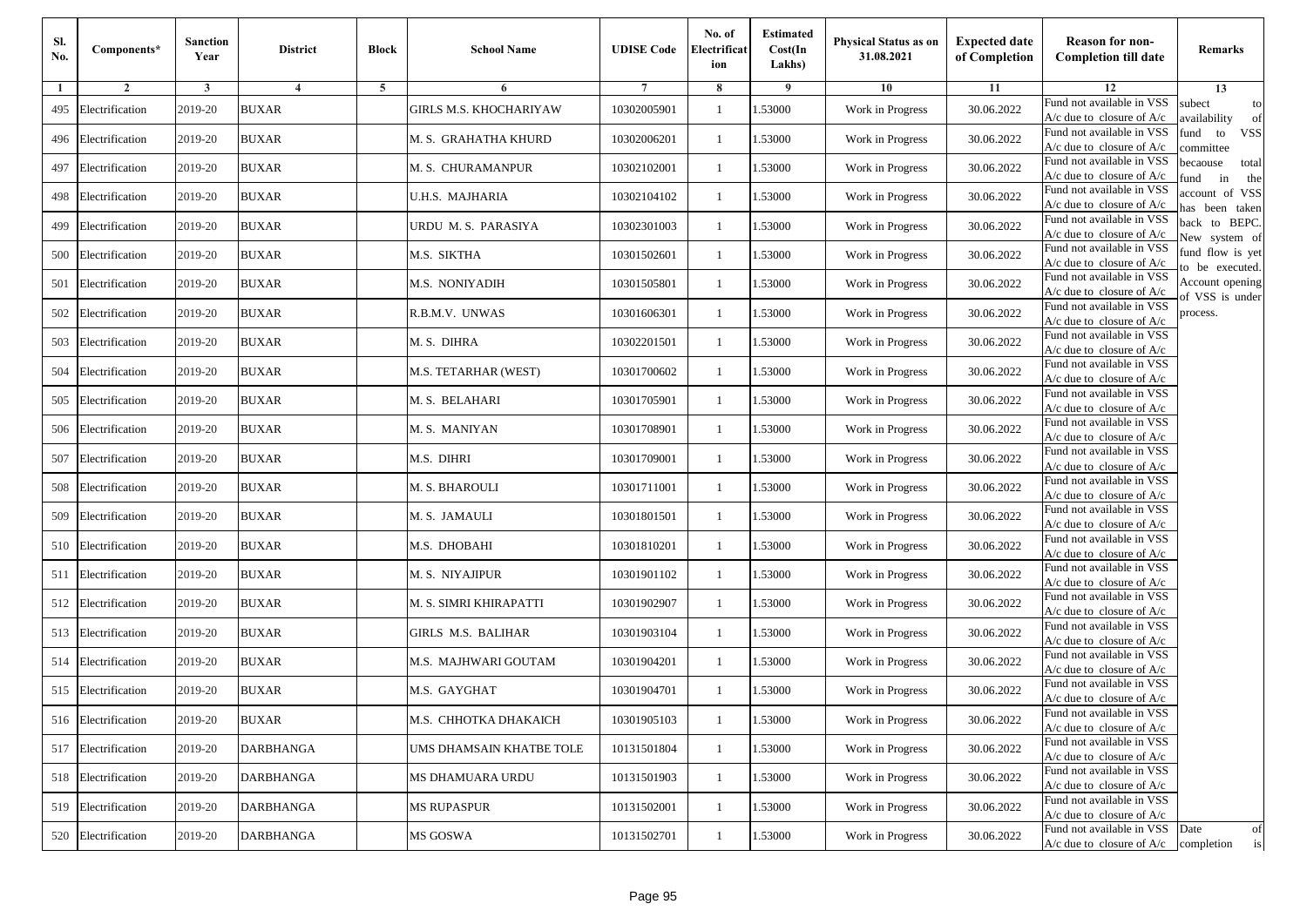| Sl.<br>No. | Components*         | <b>Sanction</b><br>Year | <b>District</b>         | <b>Block</b> | <b>School Name</b>            | <b>UDISE Code</b> | No. of<br>Electrificat<br>ion | <b>Estimated</b><br>Cost(In<br>Lakhs) | Physical Status as on<br>31.08.2021 | <b>Expected date</b><br>of Completion | <b>Reason for non-</b><br><b>Completion till date</b>                 | Remarks                               |
|------------|---------------------|-------------------------|-------------------------|--------------|-------------------------------|-------------------|-------------------------------|---------------------------------------|-------------------------------------|---------------------------------------|-----------------------------------------------------------------------|---------------------------------------|
| 1          | $\overline{2}$      | 3                       | $\overline{\mathbf{4}}$ | 5            | 6                             |                   | 8                             | 9                                     | 10                                  | 11                                    | 12                                                                    | 13                                    |
| 495        | Electrification     | 2019-20                 | <b>BUXAR</b>            |              | <b>GIRLS M.S. KHOCHARIYAW</b> | 10302005901       | -1                            | 1.53000                               | Work in Progress                    | 30.06.2022                            | Fund not available in VSS<br>$A/c$ due to closure of $A/c$            | subect<br>to<br>wailability<br>of     |
| 496        | Electrification     | 2019-20                 | <b>BUXAR</b>            |              | M. S.  GRAHATHA KHURD         | 10302006201       | $\mathbf{1}$                  | 1.53000                               | Work in Progress                    | 30.06.2022                            | Fund not available in VSS<br>$A/c$ due to closure of $A/c$            | fund<br>to<br><b>VSS</b><br>ommittee  |
| 497        | Electrification     | 2019-20                 | <b>BUXAR</b>            |              | M. S. CHURAMANPUR             | 10302102001       | $\mathbf{1}$                  | 1.53000                               | Work in Progress                    | 30.06.2022                            | Fund not available in VSS<br>$A/c$ due to closure of $A/c$            | pecaouse<br>total<br>und<br>in<br>the |
| 498        | Electrification     | 2019-20                 | <b>BUXAR</b>            |              | U.H.S. MAJHARIA               | 10302104102       | -1                            | 1.53000                               | Work in Progress                    | 30.06.2022                            | Fund not available in VSS<br>A/c due to closure of A/c                | ccount of VSS<br>as been taken        |
| 499        | Electrification     | 2019-20                 | <b>BUXAR</b>            |              | URDU M.S. PARASIYA            | 10302301003       | $\mathbf{1}$                  | 1.53000                               | Work in Progress                    | 30.06.2022                            | Fund not available in VSS<br>A/c due to closure of $A/c$              | back to BEPC.<br>New system of        |
| 500        | Electrification     | 2019-20                 | <b>BUXAR</b>            |              | M.S. SIKTHA                   | 10301502601       | -1                            | 1.53000                               | Work in Progress                    | 30.06.2022                            | Fund not available in VSS<br>A/c due to closure of $A/c$              | fund flow is yet<br>o be executed.    |
| 501        | Electrification     | 2019-20                 | <b>BUXAR</b>            |              | M.S. NONIYADIH                | 10301505801       | -1                            | 1.53000                               | Work in Progress                    | 30.06.2022                            | Fund not available in VSS<br>A/c due to closure of A/c                | Account opening<br>of VSS is under    |
| 502        | Electrification     | 2019-20                 | <b>BUXAR</b>            |              | R.B.M.V. UNWAS                | 10301606301       | -1                            | 1.53000                               | Work in Progress                    | 30.06.2022                            | Fund not available in VSS<br>$A/c$ due to closure of $A/c$            | process.                              |
| 503        | Electrification     | 2019-20                 | <b>BUXAR</b>            |              | M.S. DIHRA                    | 10302201501       | -1                            | 1.53000                               | Work in Progress                    | 30.06.2022                            | Fund not available in VSS<br>$A/c$ due to closure of $A/c$            |                                       |
| 504        | Electrification     | 2019-20                 | <b>BUXAR</b>            |              | M.S. TETARHAR (WEST)          | 10301700602       | $\mathbf{1}$                  | 1.53000                               | Work in Progress                    | 30.06.2022                            | Fund not available in VSS<br>$A/c$ due to closure of $A/c$            |                                       |
| 505        | Electrification     | 2019-20                 | <b>BUXAR</b>            |              | M. S.  BELAHARI               | 10301705901       | -1                            | 1.53000                               | Work in Progress                    | 30.06.2022                            | Fund not available in VSS<br>$A/c$ due to closure of $A/c$            |                                       |
| 506        | Electrification     | 2019-20                 | <b>BUXAR</b>            |              | M. S. MANIYAN                 | 10301708901       | $\mathbf{1}$                  | 1.53000                               | Work in Progress                    | 30.06.2022                            | Fund not available in VSS<br>A/c due to closure of A/c                |                                       |
| 507        | Electrification     | 2019-20                 | <b>BUXAR</b>            |              | M.S. DIHRI                    | 10301709001       | -1                            | 1.53000                               | Work in Progress                    | 30.06.2022                            | Fund not available in VSS<br>A/c due to closure of A/c                |                                       |
| 508        | Electrification     | 2019-20                 | <b>BUXAR</b>            |              | M. S. BHAROULI                | 10301711001       | $\mathbf{1}$                  | 1.53000                               | Work in Progress                    | 30.06.2022                            | Fund not available in VSS<br>$A/c$ due to closure of $A/c$            |                                       |
| 509        | Electrification     | 2019-20                 | <b>BUXAR</b>            |              | M. S. JAMAULI                 | 10301801501       | -1                            | 1.53000                               | Work in Progress                    | 30.06.2022                            | Fund not available in VSS<br>$A/c$ due to closure of $A/c$            |                                       |
| 510        | Electrification     | 2019-20                 | <b>BUXAR</b>            |              | M.S. DHOBAHI                  | 10301810201       | -1                            | 1.53000                               | Work in Progress                    | 30.06.2022                            | Fund not available in VSS<br>$A/c$ due to closure of $A/c$            |                                       |
| 511        | Electrification     | 2019-20                 | <b>BUXAR</b>            |              | M. S. NIYAJIPUR               | 10301901102       | $\mathbf{1}$                  | 1.53000                               | Work in Progress                    | 30.06.2022                            | Fund not available in VSS<br>A/c due to closure of A/c                |                                       |
| 512        | Electrification     | 2019-20                 | <b>BUXAR</b>            |              | M. S. SIMRI KHIRAPATTI        | 10301902907       | $\mathbf{1}$                  | 1.53000                               | Work in Progress                    | 30.06.2022                            | Fund not available in VSS<br>$A/c$ due to closure of $A/c$            |                                       |
| 513        | Electrification     | 2019-20                 | <b>BUXAR</b>            |              | GIRLS M.S. BALIHAR            | 10301903104       | -1                            | 1.53000                               | Work in Progress                    | 30.06.2022                            | Fund not available in VSS<br>$A/c$ due to closure of $A/c$            |                                       |
| 514        | Electrification     | 2019-20                 | <b>BUXAR</b>            |              | M.S. MAJHWARI GOUTAM          | 10301904201       | $\mathbf{1}$                  | 1.53000                               | Work in Progress                    | 30.06.2022                            | Fund not available in VSS<br>$A/c$ due to closure of $A/c$            |                                       |
| 515        | Electrification     | 2019-20                 | <b>BUXAR</b>            |              | M.S. GAYGHAT                  | 10301904701       | -1                            | .53000                                | Work in Progress                    | 30.06.2022                            | Fund not available in VSS<br>A/c due to closure of $A/c$              |                                       |
|            | 516 Electrification | 2019-20                 | <b>BUXAR</b>            |              | M.S. CHHOTKA DHAKAICH         | 10301905103       | $\mathbf{1}$                  | 1.53000                               | Work in Progress                    | 30.06.2022                            | Fund not available in VSS<br>A/c due to closure of A/c                |                                       |
|            | 517 Electrification | 2019-20                 | <b>DARBHANGA</b>        |              | UMS DHAMSAIN KHATBE TOLE      | 10131501804       | $\mathbf{1}$                  | 1.53000                               | Work in Progress                    | 30.06.2022                            | Fund not available in VSS<br>$A/c$ due to closure of $A/c$            |                                       |
|            | 518 Electrification | 2019-20                 | <b>DARBHANGA</b>        |              | MS DHAMUARA URDU              | 10131501903       | -1                            | 1.53000                               | Work in Progress                    | 30.06.2022                            | Fund not available in VSS<br>$A/c$ due to closure of $A/c$            |                                       |
| 519        | Electrification     | 2019-20                 | <b>DARBHANGA</b>        |              | <b>MS RUPASPUR</b>            | 10131502001       | -1                            | 1.53000                               | Work in Progress                    | 30.06.2022                            | Fund not available in VSS<br>A/c due to closure of A/c                |                                       |
|            | 520 Electrification | 2019-20                 | DARBHANGA               |              | MS GOSWA                      | 10131502701       | $\mathbf{1}$                  | 1.53000                               | Work in Progress                    | 30.06.2022                            | Fund not available in VSS<br>$A/c$ due to closure of $A/c$ completion | Date<br>of<br>is                      |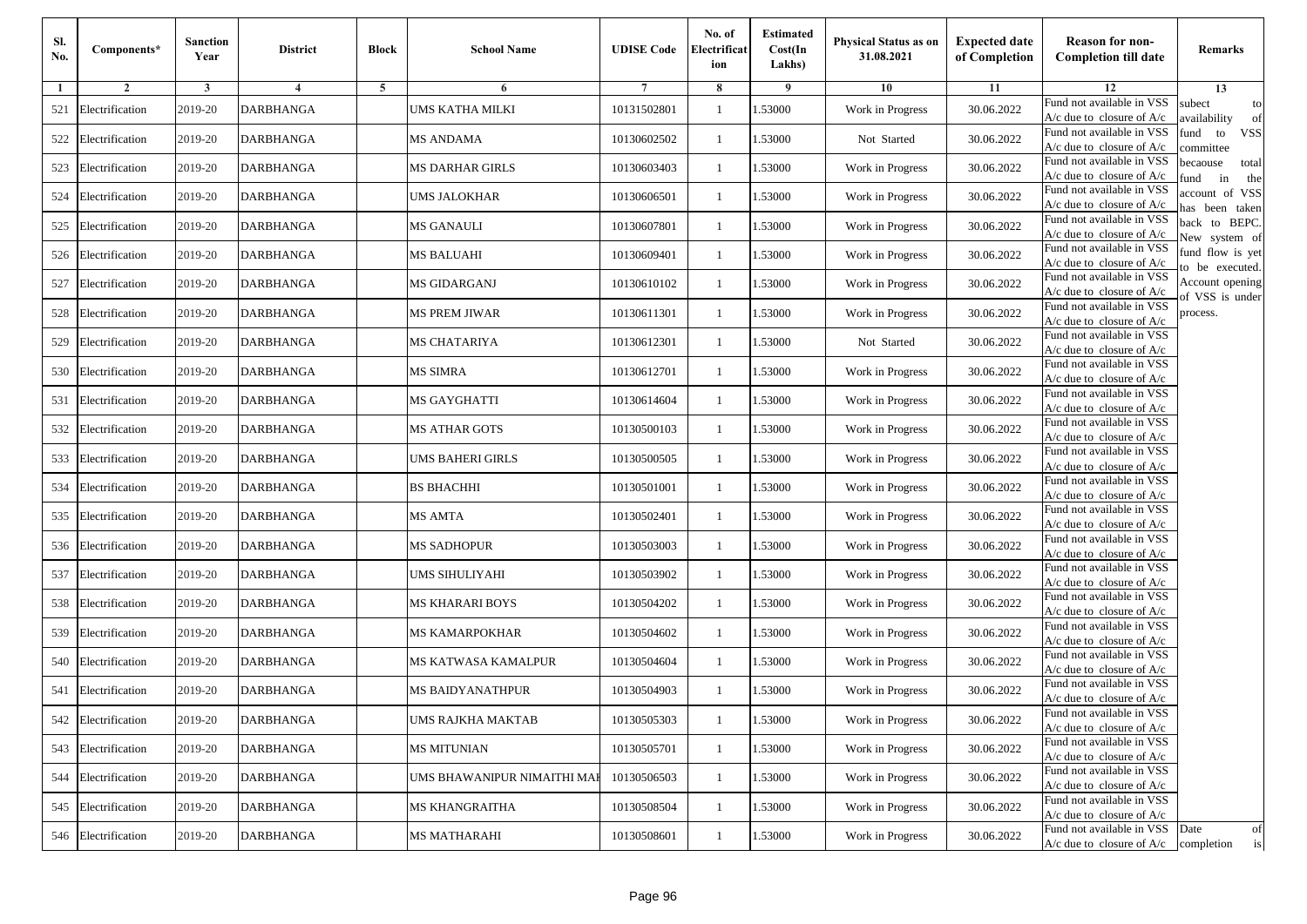| Sl.<br>No. | Components*         | <b>Sanction</b><br>Year | <b>District</b>  | <b>Block</b> | <b>School Name</b>          | <b>UDISE Code</b> | No. of<br>Electrificat<br>ion | <b>Estimated</b><br>Cost(In<br>Lakhs) | <b>Physical Status as on</b><br>31.08.2021 | <b>Expected date</b><br>of Completion | <b>Reason for non-</b><br><b>Completion till date</b>      | Remarks                               |
|------------|---------------------|-------------------------|------------------|--------------|-----------------------------|-------------------|-------------------------------|---------------------------------------|--------------------------------------------|---------------------------------------|------------------------------------------------------------|---------------------------------------|
| -1         | $\overline{2}$      | 3                       | $\overline{4}$   | 5            | 6                           |                   | 8                             | 9                                     | 10                                         | 11                                    | 12                                                         | 13                                    |
| 521        | Electrification     | 2019-20                 | <b>DARBHANGA</b> |              | UMS KATHA MILKI             | 10131502801       | $\mathbf{1}$                  | .53000                                | Work in Progress                           | 30.06.2022                            | Fund not available in VSS<br>$A/c$ due to closure of $A/c$ | subect<br>to<br>availability<br>of    |
| 522        | Electrification     | 2019-20                 | <b>DARBHANGA</b> |              | <b>MS ANDAMA</b>            | 10130602502       | 1                             | 1.53000                               | Not Started                                | 30.06.2022                            | Fund not available in VSS<br>$A/c$ due to closure of $A/c$ | fund<br>to<br><b>VSS</b><br>ommittee  |
| 523        | Electrification     | 2019-20                 | <b>DARBHANGA</b> |              | <b>MS DARHAR GIRLS</b>      | 10130603403       | 1                             | .53000                                | Work in Progress                           | 30.06.2022                            | Fund not available in VSS<br>$A/c$ due to closure of $A/c$ | becaouse<br>total<br>und<br>in<br>the |
| 524        | Electrification     | 2019-20                 | <b>DARBHANGA</b> |              | <b>UMS JALOKHAR</b>         | 10130606501       | $\mathbf{1}$                  | .53000                                | Work in Progress                           | 30.06.2022                            | Fund not available in VSS<br>A/c due to closure of A/c     | account of VSS<br>as been taken       |
| 525        | Electrification     | 2019-20                 | <b>DARBHANGA</b> |              | <b>MS GANAULI</b>           | 10130607801       | $\mathbf{1}$                  | .53000                                | Work in Progress                           | 30.06.2022                            | Fund not available in VSS<br>A/c due to closure of $A/c$   | back to BEPC.<br>New system of        |
| 526        | Electrification     | 2019-20                 | <b>DARBHANGA</b> |              | MS BALUAHI                  | 10130609401       | 1                             | .53000                                | Work in Progress                           | 30.06.2022                            | Fund not available in VSS<br>A/c due to closure of $A/c$   | fund flow is yet<br>o be executed.    |
| 527        | Electrification     | 2019-20                 | <b>DARBHANGA</b> |              | MS GIDARGANJ                | 10130610102       | $\mathbf{1}$                  | 1.53000                               | Work in Progress                           | 30.06.2022                            | Fund not available in VSS<br>$A/c$ due to closure of $A/c$ | Account opening<br>of VSS is under    |
| 528        | Electrification     | 2019-20                 | <b>DARBHANGA</b> |              | <b>MS PREM JIWAR</b>        | 10130611301       | $\mathbf{1}$                  | .53000                                | Work in Progress                           | 30.06.2022                            | Fund not available in VSS<br>$A/c$ due to closure of $A/c$ | process.                              |
| 529        | Electrification     | 2019-20                 | DARBHANGA        |              | MS CHATARIYA                | 10130612301       | 1                             | .53000                                | Not Started                                | 30.06.2022                            | Fund not available in VSS<br>$A/c$ due to closure of $A/c$ |                                       |
| 530        | Electrification     | 2019-20                 | <b>DARBHANGA</b> |              | MS SIMRA                    | 10130612701       | $\mathbf{1}$                  | .53000                                | Work in Progress                           | 30.06.2022                            | Fund not available in VSS<br>$A/c$ due to closure of $A/c$ |                                       |
| 531        | Electrification     | 2019-20                 | <b>DARBHANGA</b> |              | MS GAYGHATTI                | 10130614604       | 1                             | 1.53000                               | Work in Progress                           | 30.06.2022                            | Fund not available in VSS<br>$A/c$ due to closure of $A/c$ |                                       |
| 532        | Electrification     | 2019-20                 | <b>DARBHANGA</b> |              | MS ATHAR GOTS               | 10130500103       | 1                             | .53000                                | Work in Progress                           | 30.06.2022                            | Fund not available in VSS<br>$A/c$ due to closure of $A/c$ |                                       |
| 533        | Electrification     | 2019-20                 | DARBHANGA        |              | UMS BAHERI GIRLS            | 10130500505       | $\mathbf{1}$                  | .53000                                | Work in Progress                           | 30.06.2022                            | Fund not available in VSS<br>$A/c$ due to closure of $A/c$ |                                       |
| 534        | Electrification     | 2019-20                 | <b>DARBHANGA</b> |              | <b>BS BHACHHI</b>           | 10130501001       | $\mathbf{1}$                  | .53000                                | Work in Progress                           | 30.06.2022                            | Fund not available in VSS<br>$A/c$ due to closure of $A/c$ |                                       |
| 535        | Electrification     | 2019-20                 | <b>DARBHANGA</b> |              | MS AMTA                     | 10130502401       | 1                             | 1.53000                               | Work in Progress                           | 30.06.2022                            | Fund not available in VSS<br>$A/c$ due to closure of $A/c$ |                                       |
| 536        | Electrification     | 2019-20                 | <b>DARBHANGA</b> |              | <b>MS SADHOPUR</b>          | 10130503003       | $\mathbf{1}$                  | .53000                                | Work in Progress                           | 30.06.2022                            | Fund not available in VSS<br>$A/c$ due to closure of $A/c$ |                                       |
| 537        | Electrification     | 2019-20                 | DARBHANGA        |              | UMS SIHULIYAHI              | 10130503902       | 1                             | .53000                                | Work in Progress                           | 30.06.2022                            | Fund not available in VSS<br>A/c due to closure of A/c     |                                       |
| 538        | Electrification     | 2019-20                 | <b>DARBHANGA</b> |              | MS KHARARI BOYS             | 10130504202       | $\mathbf{1}$                  | 1.53000                               | Work in Progress                           | 30.06.2022                            | Fund not available in VSS<br>$A/c$ due to closure of $A/c$ |                                       |
| 539        | Electrification     | 2019-20                 | DARBHANGA        |              | MS KAMARPOKHAR              | 10130504602       | 1                             | 1.53000                               | Work in Progress                           | 30.06.2022                            | Fund not available in VSS<br>$A/c$ due to closure of $A/c$ |                                       |
|            | 540 Electrification | 2019-20                 | <b>DARBHANGA</b> |              | MS KATWASA KAMALPUR         | 10130504604       | 1                             | .53000                                | Work in Progress                           | 30.06.2022                            | Fund not available in VSS<br>$A/c$ due to closure of $A/c$ |                                       |
| 541        | Electrification     | 2019-20                 | DARBHANGA        |              | MS BAIDYANATHPUR            | 10130504903       | 1                             | .53000                                | Work in Progress                           | 30.06.2022                            | Fund not available in VSS<br>A/c due to closure of A/c     |                                       |
|            | 542 Electrification | 2019-20                 | <b>DARBHANGA</b> |              | <b>UMS RAJKHA MAKTAB</b>    | 10130505303       |                               | 1.53000                               | Work in Progress                           | 30.06.2022                            | Fund not available in VSS<br>A/c due to closure of A/c     |                                       |
|            | 543 Electrification | 2019-20                 | <b>DARBHANGA</b> |              | <b>MS MITUNIAN</b>          | 10130505701       | $\mathbf{1}$                  | 1.53000                               | Work in Progress                           | 30.06.2022                            | Fund not available in VSS<br>$A/c$ due to closure of $A/c$ |                                       |
| 544        | Electrification     | 2019-20                 | <b>DARBHANGA</b> |              | UMS BHAWANIPUR NIMAITHI MAI | 10130506503       | $\mathbf{1}$                  | 1.53000                               | Work in Progress                           | 30.06.2022                            | Fund not available in VSS<br>$A/c$ due to closure of $A/c$ |                                       |
| 545        | Electrification     | 2019-20                 | <b>DARBHANGA</b> |              | <b>MS KHANGRAITHA</b>       | 10130508504       | 1                             | 1.53000                               | Work in Progress                           | 30.06.2022                            | Fund not available in VSS<br>A/c due to closure of A/c     |                                       |
|            | 546 Electrification | 2019-20                 | <b>DARBHANGA</b> |              | <b>MS MATHARAHI</b>         | 10130508601       | $\mathbf{1}$                  | 1.53000                               | Work in Progress                           | 30.06.2022                            | Fund not available in VSS<br>$A/c$ due to closure of $A/c$ | Date<br>of<br>completion<br>is        |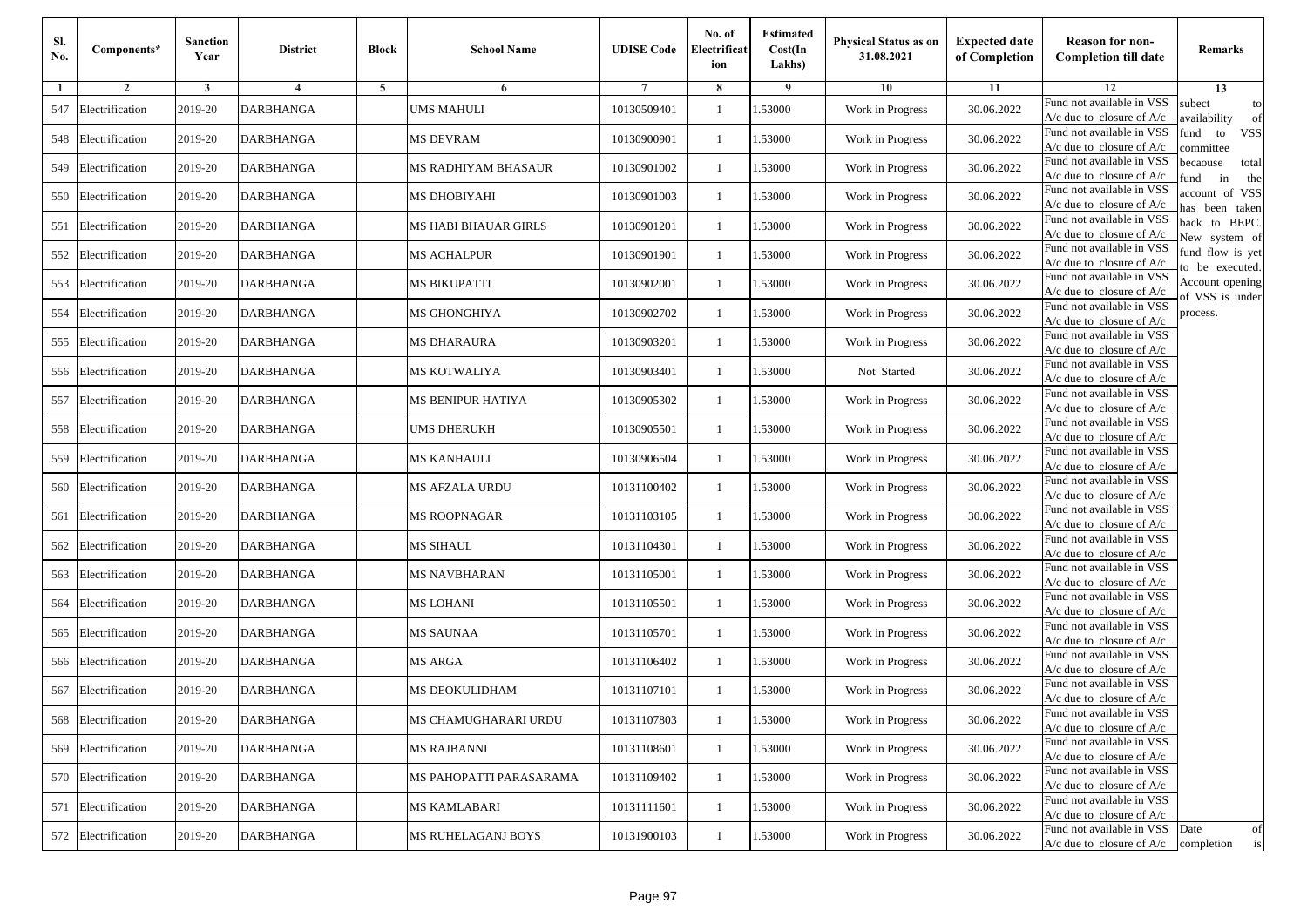| Sl.<br>No. | Components*         | <b>Sanction</b><br>Year | <b>District</b>  | <b>Block</b> | <b>School Name</b>        | <b>UDISE Code</b> | No. of<br>Electrificat<br>ion | <b>Estimated</b><br>Cost(In<br>Lakhs) | <b>Physical Status as on</b><br>31.08.2021 | <b>Expected date</b><br>of Completion | <b>Reason for non-</b><br><b>Completion till date</b>      | Remarks                               |
|------------|---------------------|-------------------------|------------------|--------------|---------------------------|-------------------|-------------------------------|---------------------------------------|--------------------------------------------|---------------------------------------|------------------------------------------------------------|---------------------------------------|
| -1         | $\overline{2}$      | 3                       | $\overline{4}$   | 5            | 6                         |                   | 8                             | 9                                     | 10                                         | 11                                    | 12                                                         | 13                                    |
| 547        | Electrification     | 2019-20                 | <b>DARBHANGA</b> |              | <b>UMS MAHULI</b>         | 10130509401       | $\mathbf{1}$                  | .53000                                | Work in Progress                           | 30.06.2022                            | Fund not available in VSS<br>$A/c$ due to closure of $A/c$ | subect<br>to<br>availability<br>of    |
| 548        | Electrification     | 2019-20                 | <b>DARBHANGA</b> |              | <b>MS DEVRAM</b>          | 10130900901       | 1                             | 1.53000                               | Work in Progress                           | 30.06.2022                            | Fund not available in VSS<br>$A/c$ due to closure of $A/c$ | fund<br>to<br><b>VSS</b><br>ommittee  |
| 549        | Electrification     | 2019-20                 | <b>DARBHANGA</b> |              | MS RADHIYAM BHASAUR       | 10130901002       | 1                             | 1.53000                               | Work in Progress                           | 30.06.2022                            | Fund not available in VSS<br>$A/c$ due to closure of $A/c$ | becaouse<br>total<br>in<br>und<br>the |
| 550        | Electrification     | 2019-20                 | <b>DARBHANGA</b> |              | MS DHOBIYAHI              | 10130901003       | $\mathbf{1}$                  | .53000                                | Work in Progress                           | 30.06.2022                            | Fund not available in VSS<br>A/c due to closure of A/c     | account of VSS<br>as been taken       |
| 551        | Electrification     | 2019-20                 | <b>DARBHANGA</b> |              | MS HABI BHAUAR GIRLS      | 10130901201       | $\mathbf{1}$                  | .53000                                | Work in Progress                           | 30.06.2022                            | Fund not available in VSS<br>$A/c$ due to closure of $A/c$ | back to BEPC.<br>New system of        |
| 552        | Electrification     | 2019-20                 | <b>DARBHANGA</b> |              | <b>MS ACHALPUR</b>        | 10130901901       | 1                             | .53000                                | Work in Progress                           | 30.06.2022                            | Fund not available in VSS<br>A/c due to closure of $A/c$   | fund flow is yet<br>o be executed.    |
| 553        | Electrification     | 2019-20                 | <b>DARBHANGA</b> |              | <b>MS BIKUPATTI</b>       | 10130902001       | $\mathbf{1}$                  | 1.53000                               | Work in Progress                           | 30.06.2022                            | Fund not available in VSS<br>$A/c$ due to closure of $A/c$ | Account opening<br>of VSS is under    |
| 554        | Electrification     | 2019-20                 | <b>DARBHANGA</b> |              | MS GHONGHIYA              | 10130902702       | $\mathbf{1}$                  | .53000                                | Work in Progress                           | 30.06.2022                            | Fund not available in VSS<br>$A/c$ due to closure of $A/c$ | process.                              |
| 555        | Electrification     | 2019-20                 | DARBHANGA        |              | MS DHARAURA               | 10130903201       | 1                             | .53000                                | Work in Progress                           | 30.06.2022                            | Fund not available in VSS<br>$A/c$ due to closure of $A/c$ |                                       |
| 556        | Electrification     | 2019-20                 | <b>DARBHANGA</b> |              | <b>MS KOTWALIYA</b>       | 10130903401       | $\mathbf{1}$                  | .53000                                | Not Started                                | 30.06.2022                            | Fund not available in VSS<br>$A/c$ due to closure of $A/c$ |                                       |
| 557        | Electrification     | 2019-20                 | <b>DARBHANGA</b> |              | MS BENIPUR HATIYA         | 10130905302       | 1                             | 1.53000                               | Work in Progress                           | 30.06.2022                            | Fund not available in VSS<br>$A/c$ due to closure of $A/c$ |                                       |
| 558        | Electrification     | 2019-20                 | <b>DARBHANGA</b> |              | UMS DHERUKH               | 10130905501       | 1                             | .53000                                | Work in Progress                           | 30.06.2022                            | Fund not available in VSS<br>$A/c$ due to closure of $A/c$ |                                       |
| 559        | Electrification     | 2019-20                 | DARBHANGA        |              | MS KANHAULI               | 10130906504       | $\mathbf{1}$                  | .53000                                | Work in Progress                           | 30.06.2022                            | Fund not available in VSS<br>$A/c$ due to closure of $A/c$ |                                       |
| 560        | Electrification     | 2019-20                 | <b>DARBHANGA</b> |              | MS AFZALA URDU            | 10131100402       | $\mathbf{1}$                  | .53000                                | Work in Progress                           | 30.06.2022                            | Fund not available in VSS<br>$A/c$ due to closure of $A/c$ |                                       |
| 561        | Electrification     | 2019-20                 | DARBHANGA        |              | <b>MS ROOPNAGAR</b>       | 10131103105       | 1                             | 1.53000                               | Work in Progress                           | 30.06.2022                            | Fund not available in VSS<br>$A/c$ due to closure of $A/c$ |                                       |
| 562        | Electrification     | 2019-20                 | <b>DARBHANGA</b> |              | MS SIHAUL                 | 10131104301       | $\mathbf{1}$                  | .53000                                | Work in Progress                           | 30.06.2022                            | Fund not available in VSS<br>$A/c$ due to closure of $A/c$ |                                       |
| 563        | Electrification     | 2019-20                 | DARBHANGA        |              | MS NAVBHARAN              | 10131105001       | 1                             | .53000                                | Work in Progress                           | 30.06.2022                            | Fund not available in VSS<br>A/c due to closure of A/c     |                                       |
| 564        | Electrification     | 2019-20                 | <b>DARBHANGA</b> |              | MS LOHANI                 | 10131105501       | $\mathbf{1}$                  | 1.53000                               | Work in Progress                           | 30.06.2022                            | Fund not available in VSS<br>$A/c$ due to closure of $A/c$ |                                       |
| 565        | Electrification     | 2019-20                 | DARBHANGA        |              | MS SAUNAA                 | 10131105701       | 1                             | 1.53000                               | Work in Progress                           | 30.06.2022                            | Fund not available in VSS<br>$A/c$ due to closure of $A/c$ |                                       |
|            | 566 Electrification | 2019-20                 | <b>DARBHANGA</b> |              | MS ARGA                   | 10131106402       | 1                             | .53000                                | Work in Progress                           | 30.06.2022                            | Fund not available in VSS<br>$A/c$ due to closure of $A/c$ |                                       |
| 567        | Electrification     | 2019-20                 | DARBHANGA        |              | MS DEOKULIDHAM            | 10131107101       | 1                             | .53000                                | Work in Progress                           | 30.06.2022                            | Fund not available in VSS<br>A/c due to closure of A/c     |                                       |
|            | 568 Electrification | 2019-20                 | <b>DARBHANGA</b> |              | MS CHAMUGHARARI URDU      | 10131107803       |                               | 1.53000                               | Work in Progress                           | 30.06.2022                            | Fund not available in VSS<br>A/c due to closure of A/c     |                                       |
|            | 569 Electrification | 2019-20                 | <b>DARBHANGA</b> |              | MS RAJBANNI               | 10131108601       | $\mathbf{1}$                  | 1.53000                               | Work in Progress                           | 30.06.2022                            | Fund not available in VSS<br>$A/c$ due to closure of $A/c$ |                                       |
|            | 570 Electrification | 2019-20                 | <b>DARBHANGA</b> |              | MS PAHOPATTI PARASARAMA   | 10131109402       | $\mathbf{1}$                  | 1.53000                               | Work in Progress                           | 30.06.2022                            | Fund not available in VSS<br>$A/c$ due to closure of $A/c$ |                                       |
| 571        | Electrification     | 2019-20                 | <b>DARBHANGA</b> |              | MS KAMLABARI              | 10131111601       | 1                             | 1.53000                               | Work in Progress                           | 30.06.2022                            | Fund not available in VSS<br>A/c due to closure of A/c     |                                       |
|            | 572 Electrification | 2019-20                 | <b>DARBHANGA</b> |              | <b>MS RUHELAGANJ BOYS</b> | 10131900103       | $\mathbf{1}$                  | 1.53000                               | Work in Progress                           | 30.06.2022                            | Fund not available in VSS<br>$A/c$ due to closure of $A/c$ | Date<br>of<br>is<br>completion        |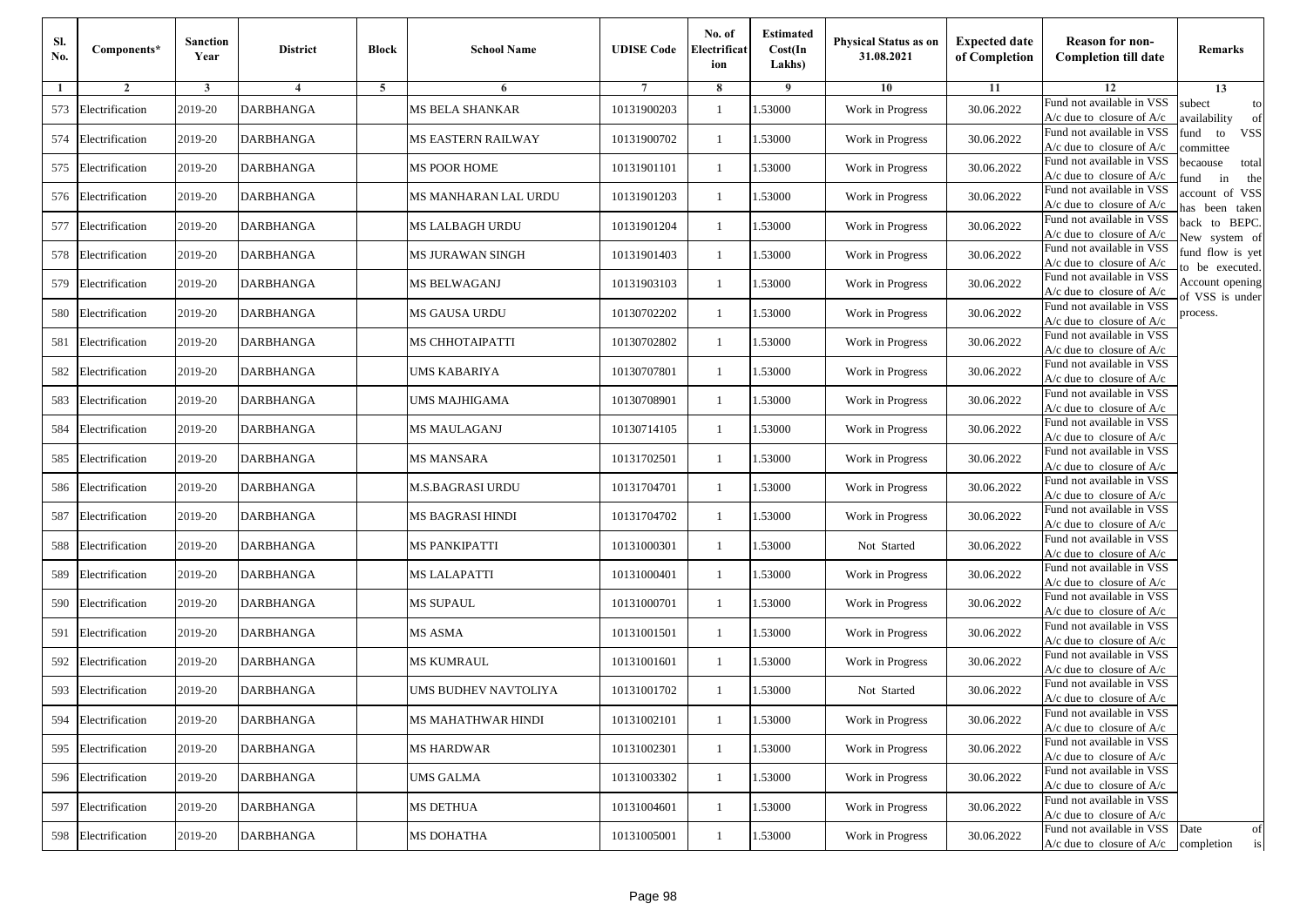| Sl.<br>No. | Components*         | <b>Sanction</b><br>Year | <b>District</b>  | <b>Block</b> | <b>School Name</b>     | <b>UDISE Code</b> | No. of<br>Electrificat<br>ion | <b>Estimated</b><br>Cost(In<br>Lakhs) | <b>Physical Status as on</b><br>31.08.2021 | <b>Expected date</b><br>of Completion | <b>Reason for non-</b><br><b>Completion till date</b>      | Remarks                               |
|------------|---------------------|-------------------------|------------------|--------------|------------------------|-------------------|-------------------------------|---------------------------------------|--------------------------------------------|---------------------------------------|------------------------------------------------------------|---------------------------------------|
| -1         | $\overline{2}$      | 3                       | $\overline{4}$   | 5            | 6                      |                   | 8                             | 9                                     | 10                                         | 11                                    | 12                                                         | 13                                    |
| 573        | Electrification     | 2019-20                 | <b>DARBHANGA</b> |              | <b>MS BELA SHANKAR</b> | 10131900203       | $\mathbf{1}$                  | .53000                                | Work in Progress                           | 30.06.2022                            | Fund not available in VSS<br>$A/c$ due to closure of $A/c$ | subect<br>to<br>availability<br>of    |
| 574        | Electrification     | 2019-20                 | <b>DARBHANGA</b> |              | MS EASTERN RAILWAY     | 10131900702       | 1                             | 1.53000                               | Work in Progress                           | 30.06.2022                            | Fund not available in VSS<br>$A/c$ due to closure of $A/c$ | fund<br>to<br><b>VSS</b><br>ommittee  |
|            | 575 Electrification | 2019-20                 | <b>DARBHANGA</b> |              | MS POOR HOME           | 10131901101       | 1                             | 1.53000                               | Work in Progress                           | 30.06.2022                            | Fund not available in VSS<br>$A/c$ due to closure of $A/c$ | becaouse<br>total<br>und<br>in<br>the |
|            | 576 Electrification | 2019-20                 | <b>DARBHANGA</b> |              | MS MANHARAN LAL URDU   | 10131901203       | $\mathbf{1}$                  | .53000                                | Work in Progress                           | 30.06.2022                            | Fund not available in VSS<br>A/c due to closure of A/c     | account of VSS<br>as been taken       |
| 577        | Electrification     | 2019-20                 | <b>DARBHANGA</b> |              | <b>MS LALBAGH URDU</b> | 10131901204       | $\mathbf{1}$                  | .53000                                | Work in Progress                           | 30.06.2022                            | Fund not available in VSS<br>$A/c$ due to closure of $A/c$ | back to BEPC.<br>New system of        |
| 578        | Electrification     | 2019-20                 | <b>DARBHANGA</b> |              | MS JURAWAN SINGH       | 10131901403       | $\mathbf{1}$                  | .53000                                | Work in Progress                           | 30.06.2022                            | Fund not available in VSS<br>A/c due to closure of $A/c$   | fund flow is yet<br>o be executed.    |
| 579        | Electrification     | 2019-20                 | <b>DARBHANGA</b> |              | <b>MS BELWAGANJ</b>    | 10131903103       | $\mathbf{1}$                  | 1.53000                               | Work in Progress                           | 30.06.2022                            | Fund not available in VSS<br>$A/c$ due to closure of $A/c$ | Account opening<br>of VSS is under    |
| 580        | Electrification     | 2019-20                 | <b>DARBHANGA</b> |              | MS GAUSA URDU          | 10130702202       | $\mathbf{1}$                  | .53000                                | Work in Progress                           | 30.06.2022                            | Fund not available in VSS<br>$A/c$ due to closure of $A/c$ | process.                              |
| 581        | Electrification     | 2019-20                 | DARBHANGA        |              | MS CHHOTAIPATTI        | 10130702802       | 1                             | .53000                                | Work in Progress                           | 30.06.2022                            | Fund not available in VSS<br>$A/c$ due to closure of $A/c$ |                                       |
| 582        | Electrification     | 2019-20                 | <b>DARBHANGA</b> |              | UMS KABARIYA           | 10130707801       | $\mathbf{1}$                  | .53000                                | Work in Progress                           | 30.06.2022                            | Fund not available in VSS<br>$A/c$ due to closure of $A/c$ |                                       |
| 583        | Electrification     | 2019-20                 | <b>DARBHANGA</b> |              | UMS MAJHIGAMA          | 10130708901       | 1                             | 1.53000                               | Work in Progress                           | 30.06.2022                            | Fund not available in VSS<br>$A/c$ due to closure of $A/c$ |                                       |
| 584        | Electrification     | 2019-20                 | <b>DARBHANGA</b> |              | MS MAULAGANJ           | 10130714105       | 1                             | .53000                                | Work in Progress                           | 30.06.2022                            | Fund not available in VSS<br>$A/c$ due to closure of $A/c$ |                                       |
| 585        | Electrification     | 2019-20                 | DARBHANGA        |              | MS MANSARA             | 10131702501       | $\mathbf{1}$                  | .53000                                | Work in Progress                           | 30.06.2022                            | Fund not available in VSS<br>$A/c$ due to closure of $A/c$ |                                       |
| 586        | Electrification     | 2019-20                 | <b>DARBHANGA</b> |              | M.S.BAGRASI URDU       | 10131704701       | $\mathbf{1}$                  | .53000                                | Work in Progress                           | 30.06.2022                            | Fund not available in VSS<br>$A/c$ due to closure of $A/c$ |                                       |
| 587        | Electrification     | 2019-20                 | DARBHANGA        |              | MS BAGRASI HINDI       | 10131704702       | 1                             | 1.53000                               | Work in Progress                           | 30.06.2022                            | Fund not available in VSS<br>$A/c$ due to closure of $A/c$ |                                       |
| 588        | Electrification     | 2019-20                 | <b>DARBHANGA</b> |              | <b>MS PANKIPATTI</b>   | 10131000301       | $\mathbf{1}$                  | .53000                                | Not Started                                | 30.06.2022                            | Fund not available in VSS<br>$A/c$ due to closure of $A/c$ |                                       |
| 589        | Electrification     | 2019-20                 | DARBHANGA        |              | <b>MS LALAPATTI</b>    | 10131000401       | 1                             | .53000                                | Work in Progress                           | 30.06.2022                            | Fund not available in VSS<br>A/c due to closure of A/c     |                                       |
| 590        | Electrification     | 2019-20                 | <b>DARBHANGA</b> |              | <b>MS SUPAUL</b>       | 10131000701       | 1                             | 1.53000                               | Work in Progress                           | 30.06.2022                            | Fund not available in VSS<br>$A/c$ due to closure of $A/c$ |                                       |
| 591        | Electrification     | 2019-20                 | DARBHANGA        |              | MS ASMA                | 10131001501       | 1                             | 1.53000                               | Work in Progress                           | 30.06.2022                            | Fund not available in VSS<br>$A/c$ due to closure of $A/c$ |                                       |
| 592        | Electrification     | 2019-20                 | <b>DARBHANGA</b> |              | MS KUMRAUL             | 10131001601       | 1                             | .53000                                | Work in Progress                           | 30.06.2022                            | Fund not available in VSS<br>$A/c$ due to closure of $A/c$ |                                       |
| 593        | Electrification     | 2019-20                 | DARBHANGA        |              | UMS BUDHEV NAVTOLIYA   | 10131001702       | 1                             | .53000                                | Not Started                                | 30.06.2022                            | Fund not available in VSS<br>A/c due to closure of A/c     |                                       |
|            | 594 Electrification | 2019-20                 | <b>DARBHANGA</b> |              | MS MAHATHWAR HINDI     | 10131002101       |                               | 1.53000                               | Work in Progress                           | 30.06.2022                            | Fund not available in VSS<br>A/c due to closure of A/c     |                                       |
|            | 595 Electrification | 2019-20                 | <b>DARBHANGA</b> |              | <b>MS HARDWAR</b>      | 10131002301       | $\mathbf{1}$                  | 1.53000                               | Work in Progress                           | 30.06.2022                            | Fund not available in VSS<br>$A/c$ due to closure of $A/c$ |                                       |
|            | 596 Electrification | 2019-20                 | <b>DARBHANGA</b> |              | <b>UMS GALMA</b>       | 10131003302       | $\mathbf{1}$                  | 1.53000                               | Work in Progress                           | 30.06.2022                            | Fund not available in VSS<br>$A/c$ due to closure of $A/c$ |                                       |
| 597        | Electrification     | 2019-20                 | <b>DARBHANGA</b> |              | MS DETHUA              | 10131004601       | 1                             | 1.53000                               | Work in Progress                           | 30.06.2022                            | Fund not available in VSS<br>A/c due to closure of A/c     |                                       |
| 598        | Electrification     | 2019-20                 | <b>DARBHANGA</b> |              | <b>MS DOHATHA</b>      | 10131005001       | $\mathbf{1}$                  | 1.53000                               | Work in Progress                           | 30.06.2022                            | Fund not available in VSS<br>$A/c$ due to closure of $A/c$ | Date<br>of<br>completion<br>is        |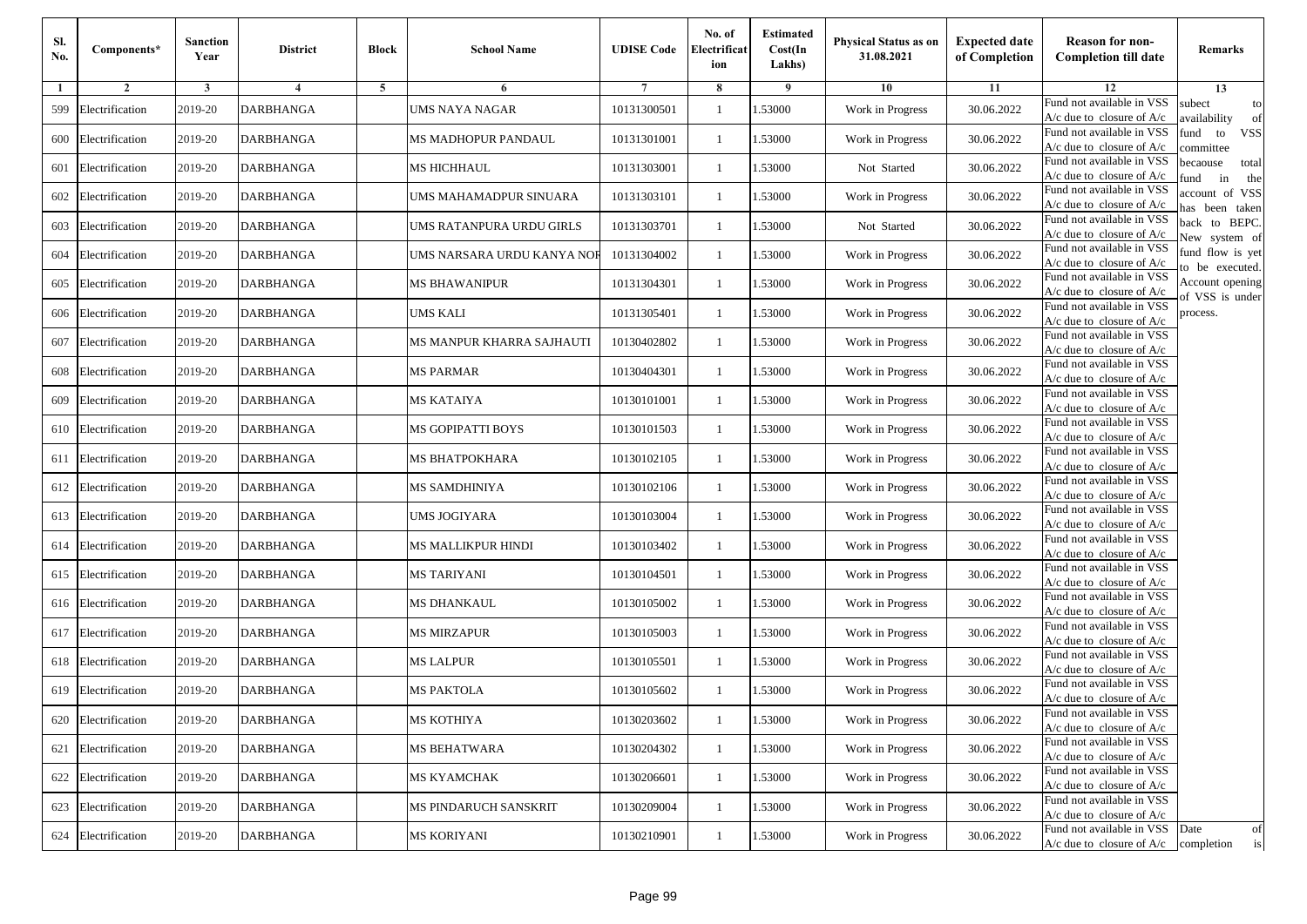| Sl.<br>No. | Components*         | <b>Sanction</b><br>Year | <b>District</b>  | <b>Block</b> | <b>School Name</b>         | <b>UDISE Code</b> | No. of<br>Electrificat<br>ion | <b>Estimated</b><br>Cost(In<br>Lakhs) | <b>Physical Status as on</b><br>31.08.2021 | <b>Expected date</b><br>of Completion | <b>Reason for non-</b><br><b>Completion till date</b>      | Remarks                               |
|------------|---------------------|-------------------------|------------------|--------------|----------------------------|-------------------|-------------------------------|---------------------------------------|--------------------------------------------|---------------------------------------|------------------------------------------------------------|---------------------------------------|
| -1         | $\overline{2}$      | 3                       | 4                | 5            | 6                          |                   | 8                             | 9                                     | 10                                         | 11                                    | 12                                                         | 13                                    |
| 599        | Electrification     | 2019-20                 | <b>DARBHANGA</b> |              | <b>UMS NAYA NAGAR</b>      | 10131300501       | $\mathbf{1}$                  | .53000                                | Work in Progress                           | 30.06.2022                            | Fund not available in VSS<br>$A/c$ due to closure of $A/c$ | subect<br>to<br>availability<br>of    |
| 600        | Electrification     | 2019-20                 | <b>DARBHANGA</b> |              | MS MADHOPUR PANDAUL        | 10131301001       | 1                             | 1.53000                               | Work in Progress                           | 30.06.2022                            | Fund not available in VSS<br>$A/c$ due to closure of $A/c$ | fund<br>to<br><b>VSS</b><br>committee |
| 601        | Electrification     | 2019-20                 | <b>DARBHANGA</b> |              | <b>MS HICHHAUL</b>         | 10131303001       | 1                             | 1.53000                               | Not Started                                | 30.06.2022                            | Fund not available in VSS<br>$A/c$ due to closure of $A/c$ | becaouse<br>total<br>und<br>in<br>the |
| 602        | Electrification     | 2019-20                 | <b>DARBHANGA</b> |              | UMS MAHAMADPUR SINUARA     | 10131303101       | $\mathbf{1}$                  | .53000                                | Work in Progress                           | 30.06.2022                            | Fund not available in VSS<br>A/c due to closure of A/c     | account of VSS<br>as been taken       |
| 603        | Electrification     | 2019-20                 | <b>DARBHANGA</b> |              | UMS RATANPURA URDU GIRLS   | 10131303701       | $\mathbf{1}$                  | .53000                                | Not Started                                | 30.06.2022                            | Fund not available in VSS<br>A/c due to closure of $A/c$   | back to BEPC.<br>New system of        |
| 604        | Electrification     | 2019-20                 | <b>DARBHANGA</b> |              | UMS NARSARA URDU KANYA NOF | 10131304002       | $\mathbf{1}$                  | .53000                                | Work in Progress                           | 30.06.2022                            | Fund not available in VSS<br>A/c due to closure of $A/c$   | fund flow is yet<br>o be executed.    |
| 605        | Electrification     | 2019-20                 | <b>DARBHANGA</b> |              | <b>MS BHAWANIPUR</b>       | 10131304301       | $\mathbf{1}$                  | 1.53000                               | Work in Progress                           | 30.06.2022                            | Fund not available in VSS<br>$A/c$ due to closure of $A/c$ | Account opening<br>of VSS is under    |
| 606        | Electrification     | 2019-20                 | <b>DARBHANGA</b> |              | <b>UMS KALI</b>            | 10131305401       | $\mathbf{1}$                  | .53000                                | Work in Progress                           | 30.06.2022                            | Fund not available in VSS<br>$A/c$ due to closure of $A/c$ | process.                              |
| 607        | Electrification     | 2019-20                 | DARBHANGA        |              | MS MANPUR KHARRA SAJHAUTI  | 10130402802       | 1                             | .53000                                | Work in Progress                           | 30.06.2022                            | Fund not available in VSS<br>$A/c$ due to closure of $A/c$ |                                       |
| 608        | Electrification     | 2019-20                 | <b>DARBHANGA</b> |              | <b>MS PARMAR</b>           | 10130404301       | $\mathbf{1}$                  | .53000                                | Work in Progress                           | 30.06.2022                            | Fund not available in VSS<br>$A/c$ due to closure of $A/c$ |                                       |
| 609        | Electrification     | 2019-20                 | <b>DARBHANGA</b> |              | MS KATAIYA                 | 10130101001       | 1                             | 1.53000                               | Work in Progress                           | 30.06.2022                            | Fund not available in VSS<br>$A/c$ due to closure of $A/c$ |                                       |
|            | 610 Electrification | 2019-20                 | <b>DARBHANGA</b> |              | <b>MS GOPIPATTI BOYS</b>   | 10130101503       | 1                             | .53000                                | Work in Progress                           | 30.06.2022                            | Fund not available in VSS<br>$A/c$ due to closure of $A/c$ |                                       |
| 611        | Electrification     | 2019-20                 | DARBHANGA        |              | MS BHATPOKHARA             | 10130102105       | $\mathbf{1}$                  | .53000                                | Work in Progress                           | 30.06.2022                            | Fund not available in VSS<br>$A/c$ due to closure of $A/c$ |                                       |
| 612        | Electrification     | 2019-20                 | <b>DARBHANGA</b> |              | MS SAMDHINIYA              | 10130102106       | $\mathbf{1}$                  | .53000                                | Work in Progress                           | 30.06.2022                            | Fund not available in VSS<br>$A/c$ due to closure of $A/c$ |                                       |
| 613        | Electrification     | 2019-20                 | DARBHANGA        |              | UMS JOGIYARA               | 10130103004       | 1                             | 1.53000                               | Work in Progress                           | 30.06.2022                            | Fund not available in VSS<br>$A/c$ due to closure of $A/c$ |                                       |
| 614        | Electrification     | 2019-20                 | <b>DARBHANGA</b> |              | MS MALLIKPUR HINDI         | 10130103402       | $\mathbf{1}$                  | .53000                                | Work in Progress                           | 30.06.2022                            | Fund not available in VSS<br>$A/c$ due to closure of $A/c$ |                                       |
| 615        | Electrification     | 2019-20                 | DARBHANGA        |              | MS TARIYANI                | 10130104501       | 1                             | .53000                                | Work in Progress                           | 30.06.2022                            | Fund not available in VSS<br>A/c due to closure of A/c     |                                       |
| 616        | Electrification     | 2019-20                 | <b>DARBHANGA</b> |              | MS DHANKAUL                | 10130105002       | $\mathbf{1}$                  | 1.53000                               | Work in Progress                           | 30.06.2022                            | Fund not available in VSS<br>$A/c$ due to closure of $A/c$ |                                       |
| 617        | Electrification     | 2019-20                 | DARBHANGA        |              | MS MIRZAPUR                | 10130105003       | 1                             | 1.53000                               | Work in Progress                           | 30.06.2022                            | Fund not available in VSS<br>$A/c$ due to closure of $A/c$ |                                       |
|            | 618 Electrification | 2019-20                 | <b>DARBHANGA</b> |              | <b>MS LALPUR</b>           | 10130105501       | 1                             | .53000                                | Work in Progress                           | 30.06.2022                            | Fund not available in VSS<br>$A/c$ due to closure of $A/c$ |                                       |
| 619        | Electrification     | 2019-20                 | DARBHANGA        |              | MS PAKTOLA                 | 10130105602       | 1                             | .53000                                | Work in Progress                           | 30.06.2022                            | Fund not available in VSS<br>A/c due to closure of A/c     |                                       |
|            | 620 Electrification | 2019-20                 | <b>DARBHANGA</b> |              | MS KOTHIYA                 | 10130203602       |                               | 1.53000                               | Work in Progress                           | 30.06.2022                            | Fund not available in VSS<br>A/c due to closure of A/c     |                                       |
|            | 621 Electrification | 2019-20                 | <b>DARBHANGA</b> |              | MS BEHATWARA               | 10130204302       | $\mathbf{1}$                  | 1.53000                               | Work in Progress                           | 30.06.2022                            | Fund not available in VSS<br>$A/c$ due to closure of $A/c$ |                                       |
|            | 622 Electrification | 2019-20                 | <b>DARBHANGA</b> |              | <b>MS KYAMCHAK</b>         | 10130206601       | $\mathbf{1}$                  | 1.53000                               | Work in Progress                           | 30.06.2022                            | Fund not available in VSS<br>$A/c$ due to closure of $A/c$ |                                       |
|            | 623 Electrification | 2019-20                 | <b>DARBHANGA</b> |              | MS PINDARUCH SANSKRIT      | 10130209004       | 1                             | 1.53000                               | Work in Progress                           | 30.06.2022                            | Fund not available in VSS<br>A/c due to closure of $A/c$   |                                       |
| 624        | Electrification     | 2019-20                 | <b>DARBHANGA</b> |              | <b>MS KORIYANI</b>         | 10130210901       | $\mathbf{1}$                  | 1.53000                               | Work in Progress                           | 30.06.2022                            | Fund not available in VSS<br>$A/c$ due to closure of $A/c$ | Date<br>of<br>is<br>completion        |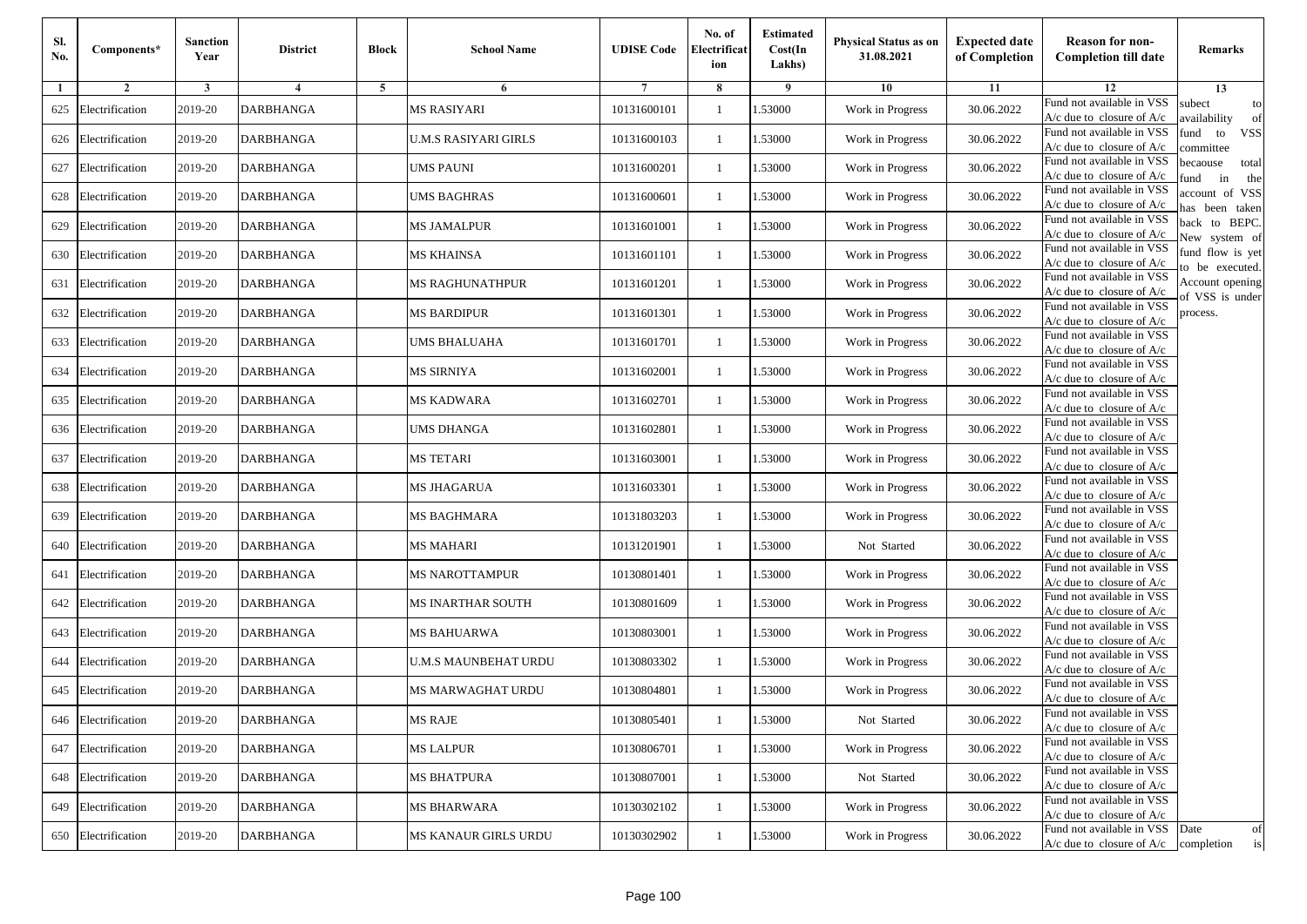| Sl.<br>No. | Components*         | <b>Sanction</b><br>Year | <b>District</b>         | <b>Block</b> | <b>School Name</b>     | <b>UDISE Code</b> | No. of<br>Electrificat<br>ion | <b>Estimated</b><br>Cost(In<br>Lakhs) | <b>Physical Status as on</b><br>31.08.2021 | <b>Expected date</b><br>of Completion | <b>Reason for non-</b><br><b>Completion till date</b>      | Remarks                               |
|------------|---------------------|-------------------------|-------------------------|--------------|------------------------|-------------------|-------------------------------|---------------------------------------|--------------------------------------------|---------------------------------------|------------------------------------------------------------|---------------------------------------|
| -1         | $\overline{2}$      | 3                       | $\overline{\mathbf{4}}$ | 5            | 6                      |                   | 8                             | 9                                     | 10                                         | 11                                    | 12                                                         | 13                                    |
| 625        | Electrification     | 2019-20                 | <b>DARBHANGA</b>        |              | <b>MS RASIYARI</b>     | 10131600101       | $\mathbf{1}$                  | .53000                                | Work in Progress                           | 30.06.2022                            | Fund not available in VSS<br>$A/c$ due to closure of $A/c$ | subect<br>to<br>availability<br>of    |
| 626        | Electrification     | 2019-20                 | <b>DARBHANGA</b>        |              | U.M.S RASIYARI GIRLS   | 10131600103       | 1                             | 1.53000                               | Work in Progress                           | 30.06.2022                            | Fund not available in VSS<br>$A/c$ due to closure of $A/c$ | fund<br>to<br><b>VSS</b><br>ommittee  |
| 627        | Electrification     | 2019-20                 | <b>DARBHANGA</b>        |              | <b>UMS PAUNI</b>       | 10131600201       | 1                             | .53000                                | Work in Progress                           | 30.06.2022                            | Fund not available in VSS<br>$A/c$ due to closure of $A/c$ | becaouse<br>total<br>in<br>und<br>the |
| 628        | Electrification     | 2019-20                 | <b>DARBHANGA</b>        |              | UMS BAGHRAS            | 10131600601       | $\mathbf{1}$                  | .53000                                | Work in Progress                           | 30.06.2022                            | Fund not available in VSS<br>A/c due to closure of A/c     | account of VSS<br>as been taken       |
| 629        | Electrification     | 2019-20                 | <b>DARBHANGA</b>        |              | <b>MS JAMALPUR</b>     | 10131601001       | $\mathbf{1}$                  | .53000                                | Work in Progress                           | 30.06.2022                            | Fund not available in VSS<br>$A/c$ due to closure of $A/c$ | back to BEPC.<br>New system of        |
| 630        | Electrification     | 2019-20                 | <b>DARBHANGA</b>        |              | MS KHAINSA             | 10131601101       | $\mathbf{1}$                  | .53000                                | Work in Progress                           | 30.06.2022                            | Fund not available in VSS<br>A/c due to closure of $A/c$   | fund flow is yet<br>o be executed.    |
| 631        | Electrification     | 2019-20                 | <b>DARBHANGA</b>        |              | <b>MS RAGHUNATHPUR</b> | 10131601201       | $\mathbf{1}$                  | 1.53000                               | Work in Progress                           | 30.06.2022                            | Fund not available in VSS<br>A/c due to closure of $A/c$   | Account opening<br>of VSS is under    |
| 632        | Electrification     | 2019-20                 | <b>DARBHANGA</b>        |              | <b>MS BARDIPUR</b>     | 10131601301       | $\mathbf{1}$                  | .53000                                | Work in Progress                           | 30.06.2022                            | Fund not available in VSS<br>$A/c$ due to closure of $A/c$ | process.                              |
| 633        | Electrification     | 2019-20                 | DARBHANGA               |              | UMS BHALUAHA           | 10131601701       | 1                             | .53000                                | Work in Progress                           | 30.06.2022                            | Fund not available in VSS<br>$A/c$ due to closure of $A/c$ |                                       |
| 634        | Electrification     | 2019-20                 | <b>DARBHANGA</b>        |              | MS SIRNIYA             | 10131602001       | $\mathbf{1}$                  | .53000                                | Work in Progress                           | 30.06.2022                            | Fund not available in VSS<br>$A/c$ due to closure of $A/c$ |                                       |
| 635        | Electrification     | 2019-20                 | <b>DARBHANGA</b>        |              | MS KADWARA             | 10131602701       | 1                             | 1.53000                               | Work in Progress                           | 30.06.2022                            | Fund not available in VSS<br>$A/c$ due to closure of $A/c$ |                                       |
|            | 636 Electrification | 2019-20                 | <b>DARBHANGA</b>        |              | <b>UMS DHANGA</b>      | 10131602801       | 1                             | .53000                                | Work in Progress                           | 30.06.2022                            | Fund not available in VSS<br>$A/c$ due to closure of $A/c$ |                                       |
| 637        | Electrification     | 2019-20                 | DARBHANGA               |              | MS TETARI              | 10131603001       | $\mathbf{1}$                  | .53000                                | Work in Progress                           | 30.06.2022                            | Fund not available in VSS<br>$A/c$ due to closure of $A/c$ |                                       |
| 638        | Electrification     | 2019-20                 | <b>DARBHANGA</b>        |              | MS JHAGARUA            | 10131603301       | $\mathbf{1}$                  | .53000                                | Work in Progress                           | 30.06.2022                            | Fund not available in VSS<br>$A/c$ due to closure of $A/c$ |                                       |
| 639        | Electrification     | 2019-20                 | DARBHANGA               |              | <b>MS BAGHMARA</b>     | 10131803203       | 1                             | 1.53000                               | Work in Progress                           | 30.06.2022                            | Fund not available in VSS<br>$A/c$ due to closure of $A/c$ |                                       |
| 640        | Electrification     | 2019-20                 | <b>DARBHANGA</b>        |              | <b>MS MAHARI</b>       | 10131201901       | $\mathbf{1}$                  | .53000                                | Not Started                                | 30.06.2022                            | Fund not available in VSS<br>$A/c$ due to closure of $A/c$ |                                       |
| 641        | Electrification     | 2019-20                 | DARBHANGA               |              | MS NAROTTAMPUR         | 10130801401       | 1                             | .53000                                | Work in Progress                           | 30.06.2022                            | Fund not available in VSS<br>A/c due to closure of A/c     |                                       |
| 642        | Electrification     | 2019-20                 | <b>DARBHANGA</b>        |              | MS INARTHAR SOUTH      | 10130801609       | $\mathbf{1}$                  | 1.53000                               | Work in Progress                           | 30.06.2022                            | Fund not available in VSS<br>$A/c$ due to closure of $A/c$ |                                       |
| 643        | Electrification     | 2019-20                 | DARBHANGA               |              | MS BAHUARWA            | 10130803001       | 1                             | 1.53000                               | Work in Progress                           | 30.06.2022                            | Fund not available in VSS<br>$A/c$ due to closure of $A/c$ |                                       |
| 644        | Electrification     | 2019-20                 | <b>DARBHANGA</b>        |              | U.M.S MAUNBEHAT URDU   | 10130803302       | 1                             | .53000                                | Work in Progress                           | 30.06.2022                            | Fund not available in VSS<br>$A/c$ due to closure of $A/c$ |                                       |
| 645        | Electrification     | 2019-20                 | DARBHANGA               |              | MS MARWAGHAT URDU      | 10130804801       | 1                             | .53000                                | Work in Progress                           | 30.06.2022                            | Fund not available in VSS<br>A/c due to closure of A/c     |                                       |
|            | 646 Electrification | 2019-20                 | <b>DARBHANGA</b>        |              | <b>MS RAJE</b>         | 10130805401       |                               | 1.53000                               | Not Started                                | 30.06.2022                            | Fund not available in VSS<br>A/c due to closure of A/c     |                                       |
| 647        | Electrification     | 2019-20                 | <b>DARBHANGA</b>        |              | <b>MS LALPUR</b>       | 10130806701       | $\mathbf{1}$                  | 1.53000                               | Work in Progress                           | 30.06.2022                            | Fund not available in VSS<br>$A/c$ due to closure of $A/c$ |                                       |
|            | 648 Electrification | 2019-20                 | <b>DARBHANGA</b>        |              | <b>MS BHATPURA</b>     | 10130807001       | $\mathbf{1}$                  | 1.53000                               | Not Started                                | 30.06.2022                            | Fund not available in VSS<br>$A/c$ due to closure of $A/c$ |                                       |
| 649        | Electrification     | 2019-20                 | <b>DARBHANGA</b>        |              | MS BHARWARA            | 10130302102       | 1                             | .53000                                | Work in Progress                           | 30.06.2022                            | Fund not available in VSS<br>A/c due to closure of A/c     |                                       |
|            | 650 Electrification | 2019-20                 | <b>DARBHANGA</b>        |              | MS KANAUR GIRLS URDU   | 10130302902       | $\mathbf{1}$                  | 1.53000                               | Work in Progress                           | 30.06.2022                            | Fund not available in VSS<br>$A/c$ due to closure of $A/c$ | Date<br>of<br>is<br>completion        |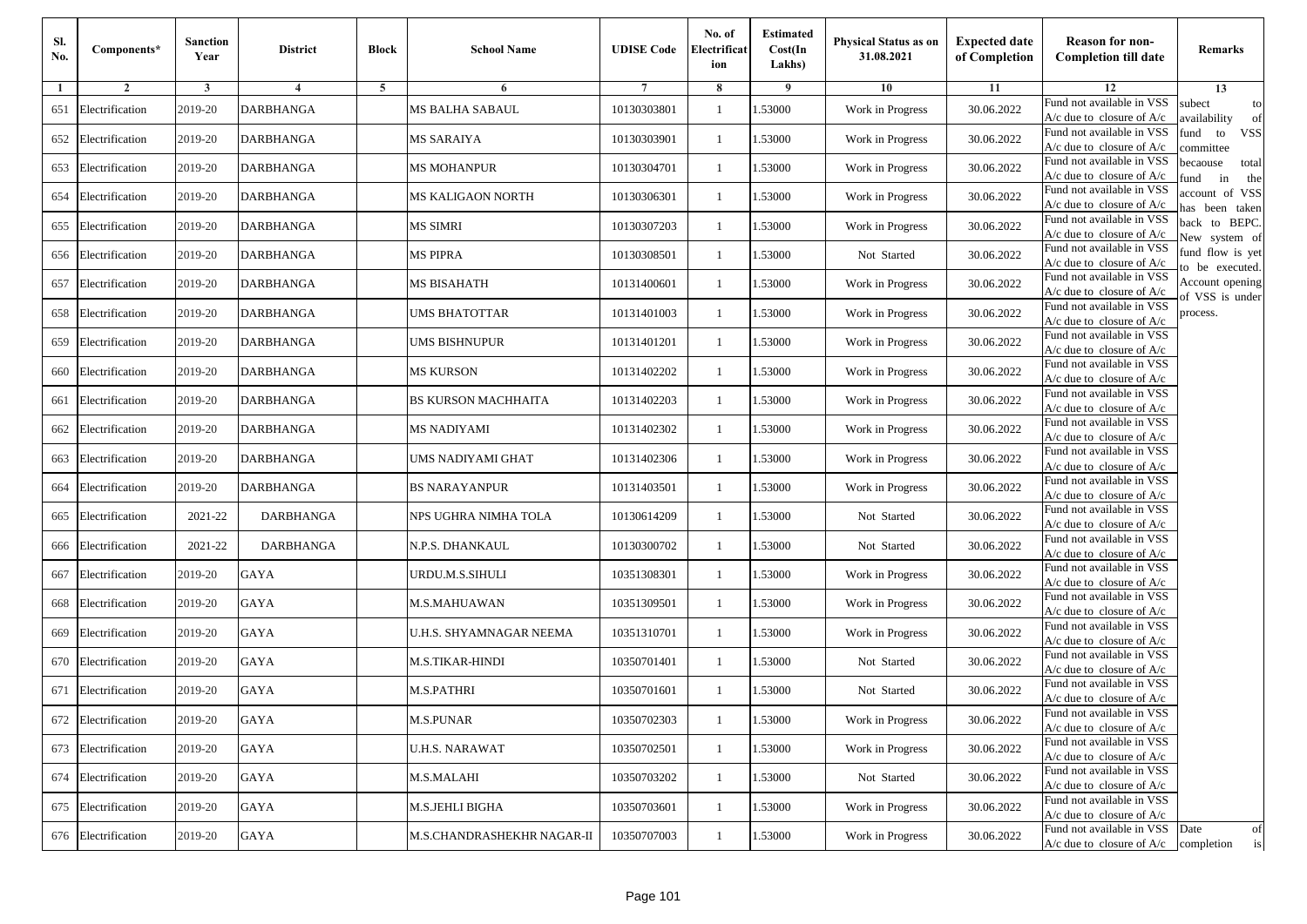| Sl.<br>No. | Components*         | <b>Sanction</b><br>Year | <b>District</b>  | <b>Block</b> | <b>School Name</b>         | <b>UDISE Code</b> | No. of<br>Electrificat<br>ion | <b>Estimated</b><br>Cost(In<br>Lakhs) | <b>Physical Status as on</b><br>31.08.2021 | <b>Expected date</b><br>of Completion | <b>Reason for non-</b><br><b>Completion till date</b>                 | Remarks                               |
|------------|---------------------|-------------------------|------------------|--------------|----------------------------|-------------------|-------------------------------|---------------------------------------|--------------------------------------------|---------------------------------------|-----------------------------------------------------------------------|---------------------------------------|
| -1         | $\overline{2}$      | 3                       | 4                | 5            | 6                          |                   | 8                             | 9                                     | 10                                         | 11                                    | 12                                                                    | 13                                    |
| 651        | Electrification     | 2019-20                 | <b>DARBHANGA</b> |              | MS BALHA SABAUL            | 10130303801       | $\mathbf{1}$                  | .53000                                | Work in Progress                           | 30.06.2022                            | Fund not available in VSS<br>$A/c$ due to closure of $A/c$            | subect<br>to<br>availability<br>of    |
| 652        | Electrification     | 2019-20                 | <b>DARBHANGA</b> |              | MS SARAIYA                 | 10130303901       | 1                             | 1.53000                               | Work in Progress                           | 30.06.2022                            | Fund not available in VSS<br>$A/c$ due to closure of $A/c$            | fund<br>to<br><b>VSS</b><br>committee |
| 653        | Electrification     | 2019-20                 | <b>DARBHANGA</b> |              | <b>MS MOHANPUR</b>         | 10130304701       | 1                             | 1.53000                               | Work in Progress                           | 30.06.2022                            | Fund not available in VSS<br>$A/c$ due to closure of $A/c$            | becaouse<br>total<br>in<br>und<br>the |
| 654        | Electrification     | 2019-20                 | <b>DARBHANGA</b> |              | <b>MS KALIGAON NORTH</b>   | 10130306301       | $\mathbf{1}$                  | .53000                                | Work in Progress                           | 30.06.2022                            | Fund not available in VSS<br>A/c due to closure of A/c                | account of VSS<br>as been taken       |
| 655        | Electrification     | 2019-20                 | <b>DARBHANGA</b> |              | <b>MS SIMRI</b>            | 10130307203       | $\mathbf{1}$                  | .53000                                | Work in Progress                           | 30.06.2022                            | Fund not available in VSS<br>A/c due to closure of $A/c$              | back to BEPC.<br>New system of        |
| 656        | Electrification     | 2019-20                 | <b>DARBHANGA</b> |              | <b>MS PIPRA</b>            | 10130308501       | $\mathbf{1}$                  | 1.53000                               | Not Started                                | 30.06.2022                            | Fund not available in VSS<br>A/c due to closure of $A/c$              | fund flow is yet<br>o be executed.    |
| 657        | Electrification     | 2019-20                 | <b>DARBHANGA</b> |              | MS BISAHATH                | 10131400601       | $\mathbf{1}$                  | 1.53000                               | Work in Progress                           | 30.06.2022                            | Fund not available in VSS<br>$A/c$ due to closure of $A/c$            | Account opening<br>of VSS is under    |
| 658        | Electrification     | 2019-20                 | <b>DARBHANGA</b> |              | <b>UMS BHATOTTAR</b>       | 10131401003       | $\mathbf{1}$                  | .53000                                | Work in Progress                           | 30.06.2022                            | Fund not available in VSS<br>$A/c$ due to closure of $A/c$            | process.                              |
| 659        | Electrification     | 2019-20                 | DARBHANGA        |              | <b>UMS BISHNUPUR</b>       | 10131401201       | 1                             | .53000                                | Work in Progress                           | 30.06.2022                            | Fund not available in VSS<br>$A/c$ due to closure of $A/c$            |                                       |
| 660        | Electrification     | 2019-20                 | <b>DARBHANGA</b> |              | MS KURSON                  | 10131402202       | $\mathbf{1}$                  | .53000                                | Work in Progress                           | 30.06.2022                            | Fund not available in VSS<br>$A/c$ due to closure of $A/c$            |                                       |
| 661        | Electrification     | 2019-20                 | <b>DARBHANGA</b> |              | <b>BS KURSON MACHHAITA</b> | 10131402203       | 1                             | 1.53000                               | Work in Progress                           | 30.06.2022                            | Fund not available in VSS<br>$A/c$ due to closure of $A/c$            |                                       |
| 662        | Electrification     | 2019-20                 | <b>DARBHANGA</b> |              | MS NADIYAMI                | 10131402302       | 1                             | .53000                                | Work in Progress                           | 30.06.2022                            | Fund not available in VSS<br>$A/c$ due to closure of $A/c$            |                                       |
| 663        | Electrification     | 2019-20                 | DARBHANGA        |              | UMS NADIYAMI GHAT          | 10131402306       | $\mathbf{1}$                  | .53000                                | Work in Progress                           | 30.06.2022                            | Fund not available in VSS<br>$A/c$ due to closure of $A/c$            |                                       |
| 664        | Electrification     | 2019-20                 | <b>DARBHANGA</b> |              | <b>BS NARAYANPUR</b>       | 10131403501       | $\mathbf{1}$                  | .53000                                | Work in Progress                           | 30.06.2022                            | Fund not available in VSS<br>$A/c$ due to closure of $A/c$            |                                       |
| 665        | Electrification     | 2021-22                 | <b>DARBHANGA</b> |              | NPS UGHRA NIMHA TOLA       | 10130614209       | 1                             | 1.53000                               | Not Started                                | 30.06.2022                            | Fund not available in VSS<br>$A/c$ due to closure of $A/c$            |                                       |
| 666        | Electrification     | 2021-22                 | <b>DARBHANGA</b> |              | N.P.S. DHANKAUL            | 10130300702       | $\mathbf{1}$                  | .53000                                | Not Started                                | 30.06.2022                            | Fund not available in VSS<br>$A/c$ due to closure of $A/c$            |                                       |
| 667        | Electrification     | 2019-20                 | <b>GAYA</b>      |              | URDU.M.S.SIHULI            | 10351308301       | 1                             | .53000                                | Work in Progress                           | 30.06.2022                            | Fund not available in VSS<br>A/c due to closure of A/c                |                                       |
| 668        | Electrification     | 2019-20                 | <b>GAYA</b>      |              | M.S.MAHUAWAN               | 10351309501       | $\mathbf{1}$                  | 1.53000                               | Work in Progress                           | 30.06.2022                            | Fund not available in VSS<br>$A/c$ due to closure of $A/c$            |                                       |
| 669        | Electrification     | 2019-20                 | <b>GAYA</b>      |              | U.H.S. SHYAMNAGAR NEEMA    | 10351310701       | 1                             | 1.53000                               | Work in Progress                           | 30.06.2022                            | Fund not available in VSS<br>$A/c$ due to closure of $A/c$            |                                       |
|            | 670 Electrification | 2019-20                 | <b>GAYA</b>      |              | M.S.TIKAR-HINDI            | 10350701401       | 1                             | .53000                                | Not Started                                | 30.06.2022                            | Fund not available in VSS<br>$A/c$ due to closure of $A/c$            |                                       |
| 671        | Electrification     | 2019-20                 | GAYA             |              | M.S.PATHRI                 | 10350701601       | 1                             | .53000                                | Not Started                                | 30.06.2022                            | Fund not available in VSS<br>A/c due to closure of A/c                |                                       |
|            | 672 Electrification | 2019-20                 | GAYA             |              | <b>M.S.PUNAR</b>           | 10350702303       |                               | 1.53000                               | Work in Progress                           | 30.06.2022                            | Fund not available in VSS<br>A/c due to closure of A/c                |                                       |
|            | 673 Electrification | 2019-20                 | GAYA             |              | <b>U.H.S. NARAWAT</b>      | 10350702501       | $\mathbf{1}$                  | 1.53000                               | Work in Progress                           | 30.06.2022                            | Fund not available in VSS<br>$A/c$ due to closure of $A/c$            |                                       |
|            | 674 Electrification | 2019-20                 | GAYA             |              | M.S.MALAHI                 | 10350703202       | $\mathbf{1}$                  | 1.53000                               | Not Started                                | 30.06.2022                            | Fund not available in VSS<br>$A/c$ due to closure of $A/c$            |                                       |
|            | 675 Electrification | 2019-20                 | GAYA             |              | M.S.JEHLI BIGHA            | 10350703601       | 1                             | 1.53000                               | Work in Progress                           | 30.06.2022                            | Fund not available in VSS<br>$A/c$ due to closure of $A/c$            |                                       |
|            | 676 Electrification | 2019-20                 | GAYA             |              | M.S.CHANDRASHEKHR NAGAR-II | 10350707003       | $\mathbf{1}$                  | 1.53000                               | Work in Progress                           | 30.06.2022                            | Fund not available in VSS<br>$A/c$ due to closure of $A/c$ completion | Date<br>of<br>is                      |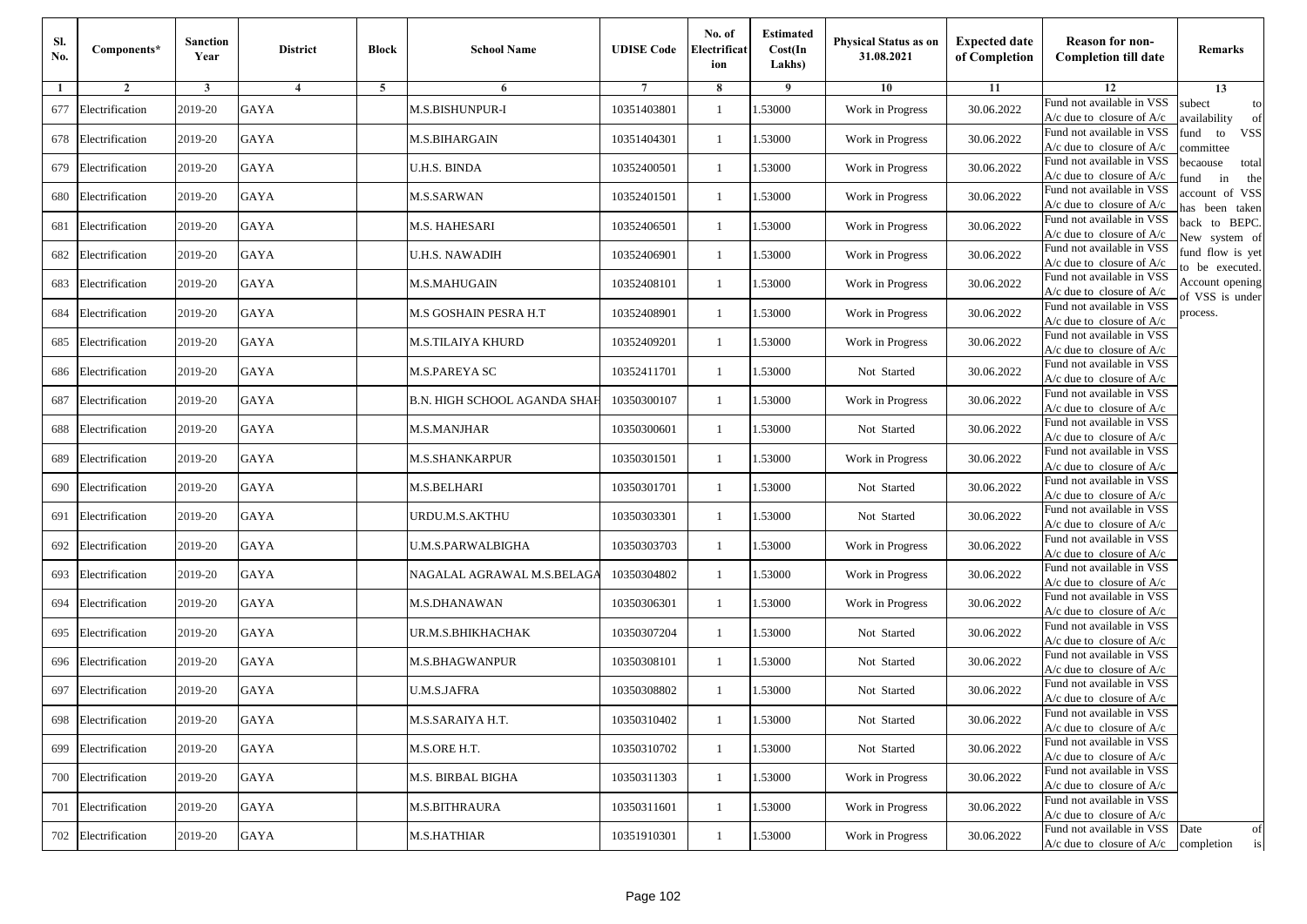| Sl.<br>No. | Components*         | Sanction<br>Year | <b>District</b> | <b>Block</b> | <b>School Name</b>                  | <b>UDISE Code</b> | No. of<br>Electrificat<br>ion | <b>Estimated</b><br>Cost(In<br>Lakhs) | Physical Status as on<br>31.08.2021 | <b>Expected date</b><br>of Completion | <b>Reason for non-</b><br><b>Completion till date</b>                 | Remarks                               |
|------------|---------------------|------------------|-----------------|--------------|-------------------------------------|-------------------|-------------------------------|---------------------------------------|-------------------------------------|---------------------------------------|-----------------------------------------------------------------------|---------------------------------------|
|            | $\overline{2}$      | 3                | $\overline{4}$  | 5            | 6                                   |                   | 8                             | -9                                    | 10                                  | 11                                    | 12                                                                    | 13                                    |
| 677        | Electrification     | 2019-20          | <b>GAYA</b>     |              | M.S.BISHUNPUR-I                     | 10351403801       | $\overline{1}$                | .53000                                | Work in Progress                    | 30.06.2022                            | Fund not available in VSS<br>$A/c$ due to closure of $A/c$            | subect<br>to<br>wailability<br>of     |
| 678        | Electrification     | 2019-20          | <b>GAYA</b>     |              | M.S.BIHARGAIN                       | 10351404301       | 1                             | 1.53000                               | Work in Progress                    | 30.06.2022                            | Fund not available in VSS<br>$A/c$ due to closure of $A/c$            | fund<br><b>VSS</b><br>to<br>ommittee  |
| 679        | Electrification     | 2019-20          | GAYA            |              | U.H.S. BINDA                        | 10352400501       | -1                            | 1.53000                               | Work in Progress                    | 30.06.2022                            | Fund not available in VSS<br>$A/c$ due to closure of $A/c$            | pecaouse<br>total<br>in<br>und<br>the |
| 680        | Electrification     | 2019-20          | <b>GAYA</b>     |              | M.S.SARWAN                          | 10352401501       | $\overline{1}$                | .53000                                | Work in Progress                    | 30.06.2022                            | Fund not available in VSS<br>A/c due to closure of $A/c$              | account of VSS<br>as been taken       |
| 681        | Electrification     | 2019-20          | GAYA            |              | M.S. HAHESARI                       | 10352406501       | -1                            | .53000                                | Work in Progress                    | 30.06.2022                            | Fund not available in VSS<br>A/c due to closure of $A/c$              | back to BEPC.<br>Vew system of        |
| 682        | Electrification     | 2019-20          | <b>GAYA</b>     |              | U.H.S. NAWADIH                      | 10352406901       | 1                             | 1.53000                               | Work in Progress                    | 30.06.2022                            | Fund not available in VSS<br>$A/c$ due to closure of $A/c$            | fund flow is yet<br>o be executed.    |
| 683        | Electrification     | 2019-20          | GAYA            |              | M.S.MAHUGAIN                        | 10352408101       | -1                            | 1.53000                               | Work in Progress                    | 30.06.2022                            | Fund not available in VSS<br>$A/c$ due to closure of $A/c$            | Account opening<br>of VSS is under    |
| 684        | Electrification     | 2019-20          | <b>GAYA</b>     |              | M.S GOSHAIN PESRA H.T               | 10352408901       | -1                            | 1.53000                               | Work in Progress                    | 30.06.2022                            | Fund not available in VSS<br>$A/c$ due to closure of $A/c$            | process.                              |
| 685        | Electrification     | 2019-20          | <b>GAYA</b>     |              | M.S.TILAIYA KHURD                   | 10352409201       | -1                            | .53000                                | Work in Progress                    | 30.06.2022                            | Fund not available in VSS<br>$A/c$ due to closure of $A/c$            |                                       |
| 686        | Electrification     | 2019-20          | <b>GAYA</b>     |              | M.S.PAREYA SC                       | 10352411701       | $\mathbf{1}$                  | 1.53000                               | Not Started                         | 30.06.2022                            | Fund not available in VSS<br>$A/c$ due to closure of $A/c$            |                                       |
| 687        | Electrification     | 2019-20          | <b>GAYA</b>     |              | <b>B.N. HIGH SCHOOL AGANDA SHAF</b> | 10350300107       | 1                             | 1.53000                               | Work in Progress                    | 30.06.2022                            | Fund not available in VSS<br>$A/c$ due to closure of $A/c$            |                                       |
| 688        | Electrification     | 2019-20          | GAYA            |              | M.S.MANJHAR                         | 10350300601       | $\overline{1}$                | 1.53000                               | Not Started                         | 30.06.2022                            | Fund not available in VSS<br>$A/c$ due to closure of $A/c$            |                                       |
| 689        | Electrification     | 2019-20          | <b>GAYA</b>     |              | M.S.SHANKARPUR                      | 10350301501       | $\mathbf{1}$                  | .53000                                | Work in Progress                    | 30.06.2022                            | Fund not available in VSS<br>$A/c$ due to closure of $A/c$            |                                       |
| 690        | Electrification     | 2019-20          | GAYA            |              | M.S.BELHARI                         | 10350301701       | $\mathbf{1}$                  | 1.53000                               | Not Started                         | 30.06.2022                            | Fund not available in VSS<br>$A/c$ due to closure of $A/c$            |                                       |
| 691        | Electrification     | 2019-20          | <b>GAYA</b>     |              | URDU.M.S.AKTHU                      | 10350303301       | 1                             | 1.53000                               | Not Started                         | 30.06.2022                            | Fund not available in VSS<br>$A/c$ due to closure of $A/c$            |                                       |
| 692        | Electrification     | 2019-20          | GAYA            |              | U.M.S.PARWALBIGHA                   | 10350303703       | -1                            | 1.53000                               | Work in Progress                    | 30.06.2022                            | Fund not available in VSS<br>$A/c$ due to closure of $A/c$            |                                       |
| 693        | Electrification     | 2019-20          | <b>GAYA</b>     |              | NAGALAL AGRAWAL M.S.BELAGA          | 10350304802       | $\overline{1}$                | .53000                                | Work in Progress                    | 30.06.2022                            | Fund not available in VSS<br>$A/c$ due to closure of $A/c$            |                                       |
| 694        | Electrification     | 2019-20          | <b>GAYA</b>     |              | M.S.DHANAWAN                        | 10350306301       | 1                             | 1.53000                               | Work in Progress                    | 30.06.2022                            | Fund not available in VSS<br>A/c due to closure of A/c                |                                       |
| 695        | Electrification     | 2019-20          | <b>GAYA</b>     |              | UR.M.S.BHIKHACHAK                   | 10350307204       | $\mathbf{1}$                  | 1.53000                               | Not Started                         | 30.06.2022                            | Fund not available in VSS<br>$A/c$ due to closure of $A/c$            |                                       |
| 696        | Electrification     | 2019-20          | GAYA            |              | M.S.BHAGWANPUR                      | 10350308101       | -1                            | 1.53000                               | Not Started                         | 30.06.2022                            | Fund not available in VSS<br>A/c due to closure of A/c                |                                       |
| 697        | Electrification     | 2019-20          | <b>GAYA</b>     |              | U.M.S.JAFRA                         | 10350308802       | $\overline{1}$                | .53000                                | Not Started                         | 30.06.2022                            | Fund not available in VSS<br>A/c due to closure of A/c                |                                       |
|            | 698 Electrification | 2019-20          | GAYA            |              | M.S.SARAIYA H.T.                    | 10350310402       |                               | 1.53000                               | Not Started                         | 30.06.2022                            | Fund not available in VSS<br>A/c due to closure of A/c                |                                       |
|            | 699 Electrification | 2019-20          | GAYA            |              | M.S.ORE H.T.                        | 10350310702       | 1                             | 1.53000                               | Not Started                         | 30.06.2022                            | Fund not available in VSS<br>$A/c$ due to closure of $A/c$            |                                       |
|            | 700 Electrification | 2019-20          | GAYA            |              | M.S. BIRBAL BIGHA                   | 10350311303       | -1                            | 1.53000                               | Work in Progress                    | 30.06.2022                            | Fund not available in VSS<br>$A/c$ due to closure of $A/c$            |                                       |
|            | 701 Electrification | 2019-20          | <b>GAYA</b>     |              | M.S.BITHRAURA                       | 10350311601       | $\overline{1}$                | 1.53000                               | Work in Progress                    | 30.06.2022                            | Fund not available in VSS<br>A/c due to closure of A/c                |                                       |
| 702        | Electrification     | 2019-20          | GAYA            |              | M.S.HATHIAR                         | 10351910301       | -1                            | 1.53000                               | Work in Progress                    | 30.06.2022                            | Fund not available in VSS<br>$A/c$ due to closure of $A/c$ completion | Date<br>of<br>is                      |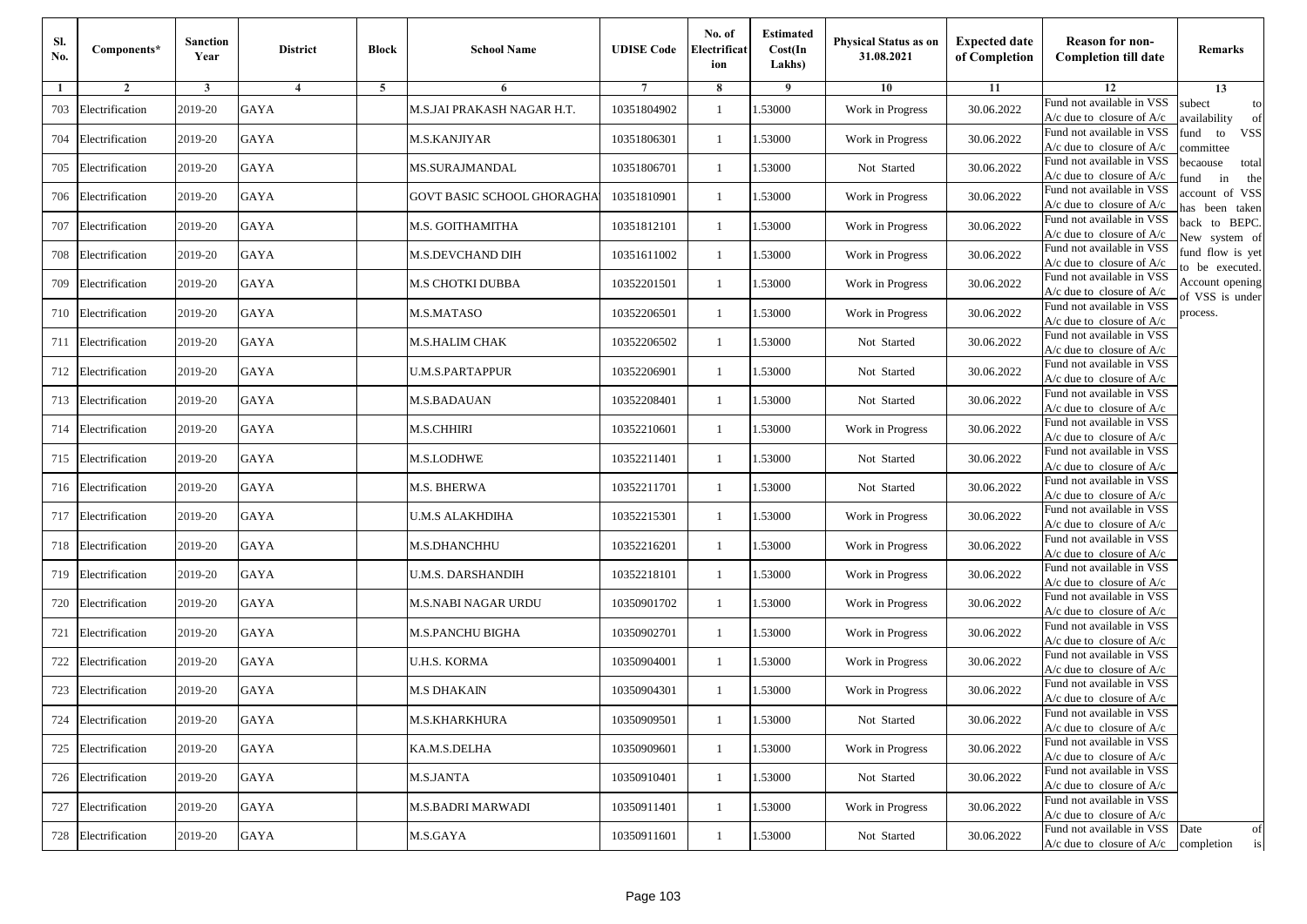| SI.<br>No. | Components*         | <b>Sanction</b><br>Year | <b>District</b> | <b>Block</b> | <b>School Name</b>         | <b>UDISE Code</b> | No. of<br>Electrificat<br>ion | <b>Estimated</b><br>Cost(In<br>Lakhs) | Physical Status as on<br>31.08.2021 | <b>Expected date</b><br>of Completion | <b>Reason for non-</b><br><b>Completion till date</b>                 | Remarks                               |
|------------|---------------------|-------------------------|-----------------|--------------|----------------------------|-------------------|-------------------------------|---------------------------------------|-------------------------------------|---------------------------------------|-----------------------------------------------------------------------|---------------------------------------|
| 1          | $\overline{2}$      | 3                       | $\overline{4}$  | 5            | 6                          |                   | 8                             | 9                                     | 10                                  | 11                                    | 12                                                                    | 13                                    |
| 703        | Electrification     | 2019-20                 | <b>GAYA</b>     |              | M.S.JAI PRAKASH NAGAR H.T. | 10351804902       | $\mathbf{1}$                  | 1.53000                               | Work in Progress                    | 30.06.2022                            | Fund not available in VSS<br>$A/c$ due to closure of $A/c$            | subect<br>to<br>wailability<br>of     |
| 704        | Electrification     | 2019-20                 | <b>GAYA</b>     |              | M.S.KANJIYAR               | 10351806301       | 1                             | 1.53000                               | Work in Progress                    | 30.06.2022                            | Fund not available in VSS<br>$A/c$ due to closure of $A/c$            | fund<br>to<br><b>VSS</b><br>ommittee  |
| 705        | Electrification     | 2019-20                 | <b>GAYA</b>     |              | MS.SURAJMANDAL             | 10351806701       | $\overline{1}$                | 1.53000                               | Not Started                         | 30.06.2022                            | Fund not available in VSS<br>$A/c$ due to closure of $A/c$            | pecaouse<br>total<br>und<br>in<br>the |
| 706        | Electrification     | 2019-20                 | GAYA            |              | GOVT BASIC SCHOOL GHORAGHA | 10351810901       | -1                            | .53000                                | Work in Progress                    | 30.06.2022                            | Fund not available in VSS<br>$A/c$ due to closure of $A/c$            | ccount of VSS<br>as been taken        |
| 707        | Electrification     | 2019-20                 | <b>GAYA</b>     |              | M.S. GOITHAMITHA           | 10351812101       | 1                             | 1.53000                               | Work in Progress                    | 30.06.2022                            | Fund not available in VSS<br>A/c due to closure of $A/c$              | back to BEPC.<br>New system of        |
| 708        | Electrification     | 2019-20                 | <b>GAYA</b>     |              | M.S.DEVCHAND DIH           | 10351611002       | -1                            | 1.53000                               | Work in Progress                    | 30.06.2022                            | Fund not available in VSS<br>A/c due to closure of $A/c$              | fund flow is yet<br>o be executed.    |
| 709        | Electrification     | 2019-20                 | GAYA            |              | M.S CHOTKI DUBBA           | 10352201501       | -1                            | 1.53000                               | Work in Progress                    | 30.06.2022                            | Fund not available in VSS<br>$A/c$ due to closure of $A/c$            | Account opening<br>of VSS is under    |
| 710        | Electrification     | 2019-20                 | <b>GAYA</b>     |              | M.S.MATASO                 | 10352206501       | -1                            | 1.53000                               | Work in Progress                    | 30.06.2022                            | Fund not available in VSS<br>$A/c$ due to closure of $A/c$            | process.                              |
| 711        | Electrification     | 2019-20                 | <b>GAYA</b>     |              | M.S.HALIM CHAK             | 10352206502       | $\overline{1}$                | 1.53000                               | Not Started                         | 30.06.2022                            | Fund not available in VSS<br>$A/c$ due to closure of $A/c$            |                                       |
| 712        | Electrification     | 2019-20                 | <b>GAYA</b>     |              | <b>U.M.S.PARTAPPUR</b>     | 10352206901       | $\mathbf{1}$                  | 1.53000                               | Not Started                         | 30.06.2022                            | Fund not available in VSS<br>$A/c$ due to closure of $A/c$            |                                       |
| 713        | Electrification     | 2019-20                 | GAYA            |              | M.S.BADAUAN                | 10352208401       | -1                            | 1.53000                               | Not Started                         | 30.06.2022                            | Fund not available in VSS<br>$A/c$ due to closure of $A/c$            |                                       |
| 714        | Electrification     | 2019-20                 | <b>GAYA</b>     |              | <b>M.S.CHHIRI</b>          | 10352210601       | $\overline{1}$                | .53000                                | Work in Progress                    | 30.06.2022                            | Fund not available in VSS<br>$A/c$ due to closure of $A/c$            |                                       |
| 715        | Electrification     | 2019-20                 | GAYA            |              | M.S.LODHWE                 | 10352211401       | 1                             | .53000                                | Not Started                         | 30.06.2022                            | Fund not available in VSS<br>$A/c$ due to closure of $A/c$            |                                       |
| 716        | Electrification     | 2019-20                 | <b>GAYA</b>     |              | <b>M.S. BHERWA</b>         | 10352211701       | 1                             | 1.53000                               | Not Started                         | 30.06.2022                            | Fund not available in VSS<br>$A/c$ due to closure of $A/c$            |                                       |
| 717        | Electrification     | 2019-20                 | <b>GAYA</b>     |              | <b>U.M.S ALAKHDIHA</b>     | 10352215301       | -1                            | 1.53000                               | Work in Progress                    | 30.06.2022                            | Fund not available in VSS<br>$A/c$ due to closure of $A/c$            |                                       |
| 718        | Electrification     | 2019-20                 | <b>GAYA</b>     |              | M.S.DHANCHHU               | 10352216201       | -1                            | 1.53000                               | Work in Progress                    | 30.06.2022                            | Fund not available in VSS<br>$A/c$ due to closure of $A/c$            |                                       |
| 719        | Electrification     | 2019-20                 | <b>GAYA</b>     |              | U.M.S. DARSHANDIH          | 10352218101       | $\overline{1}$                | 1.53000                               | Work in Progress                    | 30.06.2022                            | Fund not available in VSS<br>$A/c$ due to closure of $A/c$            |                                       |
| 720        | Electrification     | 2019-20                 | <b>GAYA</b>     |              | M.S.NABI NAGAR URDU        | 10350901702       | 1                             | 1.53000                               | Work in Progress                    | 30.06.2022                            | Fund not available in VSS<br>A/c due to closure of A/c                |                                       |
| 721        | Electrification     | 2019-20                 | GAYA            |              | M.S.PANCHU BIGHA           | 10350902701       | -1                            | 1.53000                               | Work in Progress                    | 30.06.2022                            | Fund not available in VSS<br>$A/c$ due to closure of $A/c$            |                                       |
| 722        | Electrification     | 2019-20                 | <b>GAYA</b>     |              | U.H.S. KORMA               | 10350904001       | $\overline{1}$                | .53000                                | Work in Progress                    | 30.06.2022                            | Fund not available in VSS<br>$A/c$ due to closure of $A/c$            |                                       |
| 723        | Electrification     | 2019-20                 | GAYA            |              | M.S DHAKAIN                | 10350904301       | -1                            | .53000                                | Work in Progress                    | 30.06.2022                            | Fund not available in VSS<br>A/c due to closure of A/c                |                                       |
|            | 724 Electrification | 2019-20                 | GAYA            |              | M.S.KHARKHURA              | 10350909501       | $\mathbf{1}$                  | 1.53000                               | Not Started                         | 30.06.2022                            | Fund not available in VSS<br>A/c due to closure of A/c                |                                       |
|            | 725 Electrification | 2019-20                 | GAYA            |              | KA.M.S.DELHA               | 10350909601       | 1                             | 1.53000                               | Work in Progress                    | 30.06.2022                            | Fund not available in VSS<br>$A/c$ due to closure of $A/c$            |                                       |
|            | 726 Electrification | 2019-20                 | GAYA            |              | M.S.JANTA                  | 10350910401       | -1                            | 1.53000                               | Not Started                         | 30.06.2022                            | Fund not available in VSS<br>$A/c$ due to closure of $A/c$            |                                       |
| 727        | Electrification     | 2019-20                 | <b>GAYA</b>     |              | <b>M.S.BADRI MARWADI</b>   | 10350911401       | -1                            | 1.53000                               | Work in Progress                    | 30.06.2022                            | Fund not available in VSS<br>$A/c$ due to closure of $A/c$            |                                       |
| 728        | Electrification     | 2019-20                 | GAYA            |              | M.S.GAYA                   | 10350911601       | $\mathbf{1}$                  | 1.53000                               | Not Started                         | 30.06.2022                            | Fund not available in VSS<br>$A/c$ due to closure of $A/c$ completion | Date<br>of<br>is                      |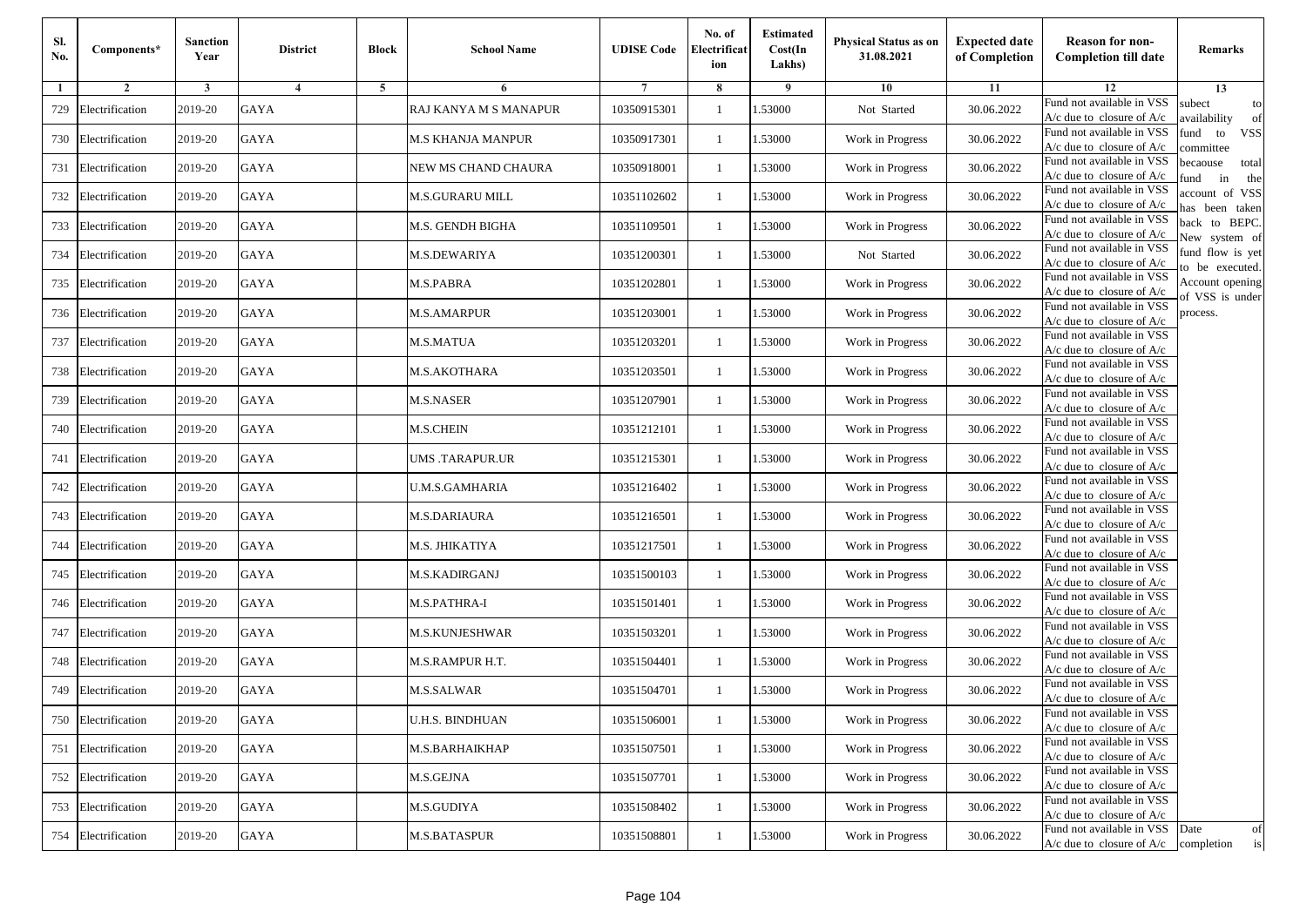| SI.<br>No. | Components*         | <b>Sanction</b><br>Year | <b>District</b> | <b>Block</b> | <b>School Name</b>     | <b>UDISE Code</b> | No. of<br>Electrificat<br>ion | <b>Estimated</b><br>Cost(In<br>Lakhs) | Physical Status as on<br>31.08.2021 | <b>Expected date</b><br>of Completion | <b>Reason for non-</b><br><b>Completion till date</b>                 | Remarks                               |
|------------|---------------------|-------------------------|-----------------|--------------|------------------------|-------------------|-------------------------------|---------------------------------------|-------------------------------------|---------------------------------------|-----------------------------------------------------------------------|---------------------------------------|
| 1          | $\overline{2}$      | 3                       | $\overline{4}$  | 5            | 6                      |                   | 8                             | 9                                     | 10                                  | 11                                    | 12                                                                    | 13                                    |
| 729        | Electrification     | 2019-20                 | <b>GAYA</b>     |              | RAJ KANYA M S MANAPUR  | 10350915301       | $\mathbf{1}$                  | 1.53000                               | Not Started                         | 30.06.2022                            | Fund not available in VSS<br>$A/c$ due to closure of $A/c$            | subect<br>to<br>wailability<br>of     |
| 730        | Electrification     | 2019-20                 | <b>GAYA</b>     |              | M.S KHANJA MANPUR      | 10350917301       | 1                             | 1.53000                               | Work in Progress                    | 30.06.2022                            | Fund not available in VSS<br>$A/c$ due to closure of $A/c$            | fund<br>to<br><b>VSS</b><br>ommittee  |
| 731        | Electrification     | 2019-20                 | <b>GAYA</b>     |              | NEW MS CHAND CHAURA    | 10350918001       | $\overline{1}$                | 1.53000                               | Work in Progress                    | 30.06.2022                            | Fund not available in VSS<br>$A/c$ due to closure of $A/c$            | pecaouse<br>total<br>und<br>in<br>the |
| 732        | Electrification     | 2019-20                 | GAYA            |              | M.S.GURARU MILL        | 10351102602       | -1                            | .53000                                | Work in Progress                    | 30.06.2022                            | Fund not available in VSS<br>$A/c$ due to closure of $A/c$            | ccount of VSS<br>as been taken        |
| 733        | Electrification     | 2019-20                 | <b>GAYA</b>     |              | M.S. GENDH BIGHA       | 10351109501       | 1                             | 1.53000                               | Work in Progress                    | 30.06.2022                            | Fund not available in VSS<br>A/c due to closure of $A/c$              | back to BEPC.<br>New system of        |
| 734        | Electrification     | 2019-20                 | <b>GAYA</b>     |              | M.S.DEWARIYA           | 10351200301       | -1                            | 1.53000                               | Not Started                         | 30.06.2022                            | Fund not available in VSS<br>A/c due to closure of $A/c$              | fund flow is yet<br>o be executed.    |
| 735        | Electrification     | 2019-20                 | GAYA            |              | M.S.PABRA              | 10351202801       | -1                            | 1.53000                               | Work in Progress                    | 30.06.2022                            | Fund not available in VSS<br>$A/c$ due to closure of $A/c$            | Account opening<br>of VSS is under    |
| 736        | Electrification     | 2019-20                 | <b>GAYA</b>     |              | <b>M.S.AMARPUR</b>     | 10351203001       | $\overline{1}$                | 1.53000                               | Work in Progress                    | 30.06.2022                            | Fund not available in VSS<br>$A/c$ due to closure of $A/c$            | process.                              |
| 737        | Electrification     | 2019-20                 | <b>GAYA</b>     |              | M.S.MATUA              | 10351203201       | -1                            | 1.53000                               | Work in Progress                    | 30.06.2022                            | Fund not available in VSS<br>$A/c$ due to closure of $A/c$            |                                       |
| 738        | Electrification     | 2019-20                 | <b>GAYA</b>     |              | M.S.AKOTHARA           | 10351203501       | $\mathbf{1}$                  | 1.53000                               | Work in Progress                    | 30.06.2022                            | Fund not available in VSS<br>$A/c$ due to closure of $A/c$            |                                       |
| 739        | Electrification     | 2019-20                 | GAYA            |              | M.S.NASER              | 10351207901       | -1                            | 1.53000                               | Work in Progress                    | 30.06.2022                            | Fund not available in VSS<br>$A/c$ due to closure of $A/c$            |                                       |
| 740        | Electrification     | 2019-20                 | <b>GAYA</b>     |              | <b>M.S.CHEIN</b>       | 10351212101       | $\overline{1}$                | .53000                                | Work in Progress                    | 30.06.2022                            | Fund not available in VSS<br>$A/c$ due to closure of $A/c$            |                                       |
| 741        | Electrification     | 2019-20                 | GAYA            |              | UMS .TARAPUR.UR        | 10351215301       | 1                             | .53000                                | Work in Progress                    | 30.06.2022                            | Fund not available in VSS<br>$A/c$ due to closure of $A/c$            |                                       |
| 742        | Electrification     | 2019-20                 | <b>GAYA</b>     |              | U.M.S.GAMHARIA         | 10351216402       | 1                             | 1.53000                               | Work in Progress                    | 30.06.2022                            | Fund not available in VSS<br>$A/c$ due to closure of $A/c$            |                                       |
| 743        | Electrification     | 2019-20                 | <b>GAYA</b>     |              | M.S.DARIAURA           | 10351216501       | -1                            | 1.53000                               | Work in Progress                    | 30.06.2022                            | Fund not available in VSS<br>$A/c$ due to closure of $A/c$            |                                       |
| 744        | Electrification     | 2019-20                 | <b>GAYA</b>     |              | M.S. JHIKATIYA         | 10351217501       | -1                            | 1.53000                               | Work in Progress                    | 30.06.2022                            | Fund not available in VSS<br>$A/c$ due to closure of $A/c$            |                                       |
| 745        | Electrification     | 2019-20                 | <b>GAYA</b>     |              | M.S.KADIRGANJ          | 10351500103       | $\overline{1}$                | 1.53000                               | Work in Progress                    | 30.06.2022                            | Fund not available in VSS<br>$A/c$ due to closure of $A/c$            |                                       |
| 746        | Electrification     | 2019-20                 | <b>GAYA</b>     |              | M.S.PATHRA-I           | 10351501401       | 1                             | 1.53000                               | Work in Progress                    | 30.06.2022                            | Fund not available in VSS<br>$A/c$ due to closure of $A/c$            |                                       |
| 747        | Electrification     | 2019-20                 | GAYA            |              | M.S.KUNJESHWAR         | 10351503201       | -1                            | 1.53000                               | Work in Progress                    | 30.06.2022                            | Fund not available in VSS<br>$A/c$ due to closure of $A/c$            |                                       |
| 748        | Electrification     | 2019-20                 | <b>GAYA</b>     |              | M.S.RAMPUR H.T.        | 10351504401       | $\overline{1}$                | .53000                                | Work in Progress                    | 30.06.2022                            | Fund not available in VSS<br>$A/c$ due to closure of $A/c$            |                                       |
| 749        | Electrification     | 2019-20                 | GAYA            |              | M.S.SALWAR             | 10351504701       | -1                            | .53000                                | Work in Progress                    | 30.06.2022                            | Fund not available in VSS<br>A/c due to closure of A/c                |                                       |
|            | 750 Electrification | 2019-20                 | <b>GAYA</b>     |              | <b>U.H.S. BINDHUAN</b> | 10351506001       | 1                             | 1.53000                               | Work in Progress                    | 30.06.2022                            | Fund not available in VSS<br>A/c due to closure of A/c                |                                       |
|            | 751 Electrification | 2019-20                 | GAYA            |              | M.S.BARHAIKHAP         | 10351507501       | 1                             | 1.53000                               | Work in Progress                    | 30.06.2022                            | Fund not available in VSS<br>$A/c$ due to closure of $A/c$            |                                       |
|            | 752 Electrification | 2019-20                 | <b>GAYA</b>     |              | M.S.GEJNA              | 10351507701       | -1                            | 1.53000                               | Work in Progress                    | 30.06.2022                            | Fund not available in VSS<br>A/c due to closure of A/c                |                                       |
| 753        | Electrification     | 2019-20                 | <b>GAYA</b>     |              | M.S.GUDIYA             | 10351508402       | $\overline{1}$                | 1.53000                               | Work in Progress                    | 30.06.2022                            | Fund not available in VSS<br>A/c due to closure of A/c                |                                       |
|            | 754 Electrification | 2019-20                 | GAYA            |              | M.S.BATASPUR           | 10351508801       | 1                             | 1.53000                               | Work in Progress                    | 30.06.2022                            | Fund not available in VSS<br>$A/c$ due to closure of $A/c$ completion | Date<br>of<br>is                      |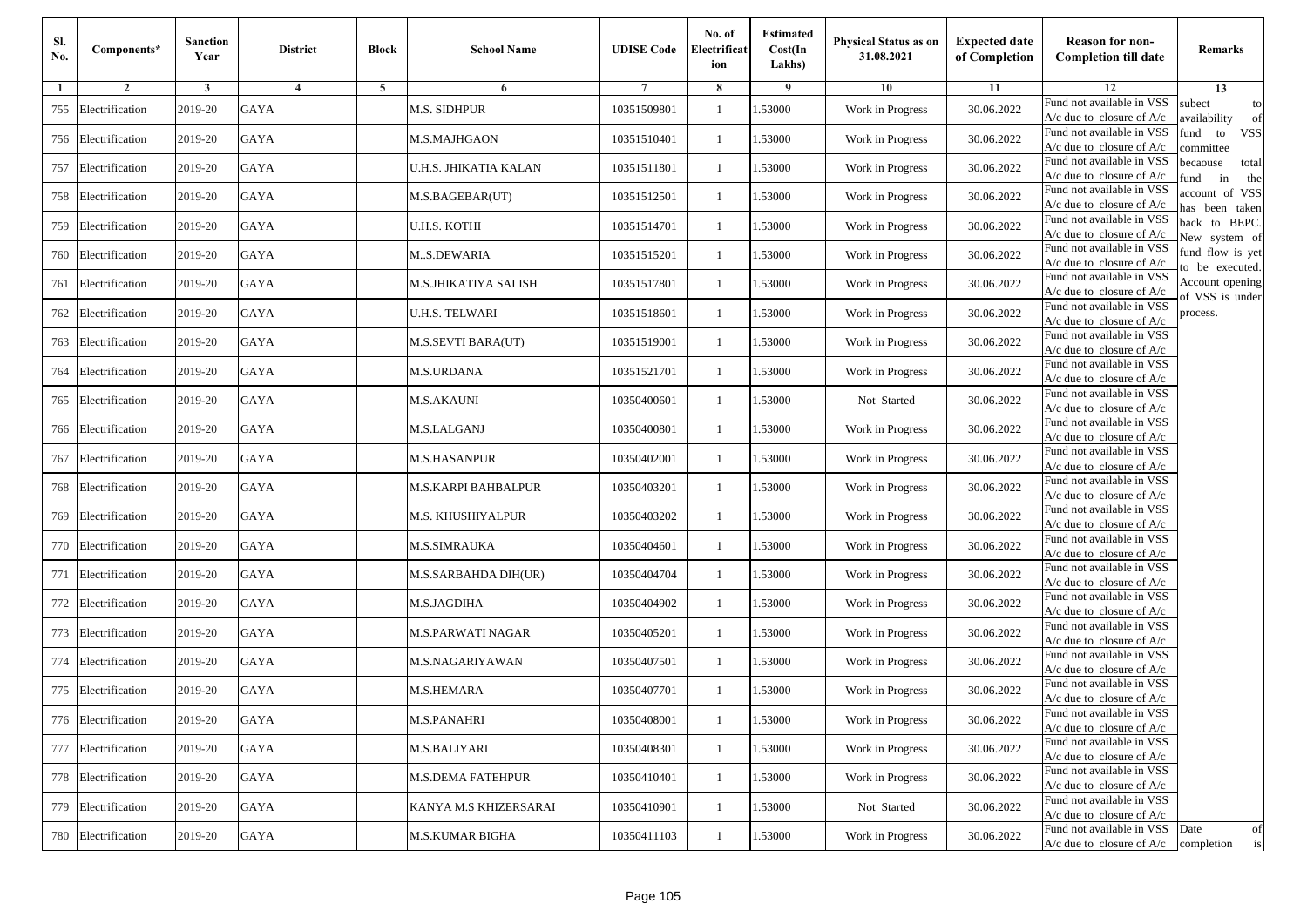| SI.<br>No. | Components*         | <b>Sanction</b><br>Year | <b>District</b> | <b>Block</b> | <b>School Name</b>    | <b>UDISE Code</b> | No. of<br>Electrificat<br>ion | <b>Estimated</b><br>Cost(In<br>Lakhs) | Physical Status as on<br>31.08.2021 | <b>Expected date</b><br>of Completion | <b>Reason for non-</b><br><b>Completion till date</b>                 | Remarks                               |
|------------|---------------------|-------------------------|-----------------|--------------|-----------------------|-------------------|-------------------------------|---------------------------------------|-------------------------------------|---------------------------------------|-----------------------------------------------------------------------|---------------------------------------|
| 1          | $\overline{2}$      | 3                       | $\overline{4}$  | 5            | 6                     |                   | 8                             | 9                                     | 10                                  | 11                                    | 12                                                                    | 13                                    |
| 755        | Electrification     | 2019-20                 | <b>GAYA</b>     |              | <b>M.S. SIDHPUR</b>   | 10351509801       | $\mathbf{1}$                  | 1.53000                               | Work in Progress                    | 30.06.2022                            | Fund not available in VSS<br>$A/c$ due to closure of $A/c$            | subect<br>to<br>wailability<br>of     |
| 756        | Electrification     | 2019-20                 | <b>GAYA</b>     |              | M.S.MAJHGAON          | 10351510401       | 1                             | 1.53000                               | Work in Progress                    | 30.06.2022                            | Fund not available in VSS<br>$A/c$ due to closure of $A/c$            | fund<br>to<br><b>VSS</b><br>ommittee  |
| 757        | Electrification     | 2019-20                 | <b>GAYA</b>     |              | U.H.S. JHIKATIA KALAN | 10351511801       | $\overline{1}$                | 1.53000                               | Work in Progress                    | 30.06.2022                            | Fund not available in VSS<br>$A/c$ due to closure of $A/c$            | pecaouse<br>total<br>und<br>in<br>the |
| 758        | Electrification     | 2019-20                 | GAYA            |              | M.S.BAGEBAR(UT)       | 10351512501       | -1                            | .53000                                | Work in Progress                    | 30.06.2022                            | Fund not available in VSS<br>$A/c$ due to closure of $A/c$            | ccount of VSS<br>as been taken        |
| 759        | Electrification     | 2019-20                 | <b>GAYA</b>     |              | U.H.S. KOTHI          | 10351514701       | 1                             | 1.53000                               | Work in Progress                    | 30.06.2022                            | Fund not available in VSS<br>A/c due to closure of $A/c$              | back to BEPC.<br>New system of        |
| 760        | Electrification     | 2019-20                 | <b>GAYA</b>     |              | MS.DEWARIA            | 10351515201       | -1                            | 1.53000                               | Work in Progress                    | 30.06.2022                            | Fund not available in VSS<br>A/c due to closure of $A/c$              | fund flow is yet<br>o be executed.    |
| 761        | Electrification     | 2019-20                 | GAYA            |              | M.S.JHIKATIYA SALISH  | 10351517801       | -1                            | 1.53000                               | Work in Progress                    | 30.06.2022                            | Fund not available in VSS<br>$A/c$ due to closure of $A/c$            | Account opening<br>of VSS is under    |
| 762        | Electrification     | 2019-20                 | <b>GAYA</b>     |              | U.H.S. TELWARI        | 10351518601       | -1                            | 1.53000                               | Work in Progress                    | 30.06.2022                            | Fund not available in VSS<br>$A/c$ due to closure of $A/c$            | process.                              |
| 763        | Electrification     | 2019-20                 | <b>GAYA</b>     |              | M.S.SEVTI BARA(UT)    | 10351519001       | -1                            | 1.53000                               | Work in Progress                    | 30.06.2022                            | Fund not available in VSS<br>$A/c$ due to closure of $A/c$            |                                       |
| 764        | Electrification     | 2019-20                 | <b>GAYA</b>     |              | M.S.URDANA            | 10351521701       | $\mathbf{1}$                  | 1.53000                               | Work in Progress                    | 30.06.2022                            | Fund not available in VSS<br>$A/c$ due to closure of $A/c$            |                                       |
| 765        | Electrification     | 2019-20                 | GAYA            |              | M.S.AKAUNI            | 10350400601       | -1                            | 1.53000                               | Not Started                         | 30.06.2022                            | Fund not available in VSS<br>$A/c$ due to closure of $A/c$            |                                       |
| 766        | Electrification     | 2019-20                 | <b>GAYA</b>     |              | M.S.LALGANJ           | 10350400801       | $\overline{1}$                | .53000                                | Work in Progress                    | 30.06.2022                            | Fund not available in VSS<br>$A/c$ due to closure of $A/c$            |                                       |
| 767        | Electrification     | 2019-20                 | GAYA            |              | M.S.HASANPUR          | 10350402001       | -1                            | .53000                                | Work in Progress                    | 30.06.2022                            | Fund not available in VSS<br>$A/c$ due to closure of $A/c$            |                                       |
| 768        | Electrification     | 2019-20                 | <b>GAYA</b>     |              | M.S.KARPI BAHBALPUR   | 10350403201       | 1                             | 1.53000                               | Work in Progress                    | 30.06.2022                            | Fund not available in VSS<br>$A/c$ due to closure of $A/c$            |                                       |
| 769        | Electrification     | 2019-20                 | <b>GAYA</b>     |              | M.S. KHUSHIYALPUR     | 10350403202       | -1                            | 1.53000                               | Work in Progress                    | 30.06.2022                            | Fund not available in VSS<br>$A/c$ due to closure of $A/c$            |                                       |
| 770        | Electrification     | 2019-20                 | <b>GAYA</b>     |              | M.S.SIMRAUKA          | 10350404601       | -1                            | 1.53000                               | Work in Progress                    | 30.06.2022                            | Fund not available in VSS<br>$A/c$ due to closure of $A/c$            |                                       |
| 771        | Electrification     | 2019-20                 | <b>GAYA</b>     |              | M.S.SARBAHDA DIH(UR)  | 10350404704       | $\overline{1}$                | 1.53000                               | Work in Progress                    | 30.06.2022                            | Fund not available in VSS<br>$A/c$ due to closure of $A/c$            |                                       |
| 772        | Electrification     | 2019-20                 | <b>GAYA</b>     |              | M.S.JAGDIHA           | 10350404902       | 1                             | 1.53000                               | Work in Progress                    | 30.06.2022                            | Fund not available in VSS<br>A/c due to closure of A/c                |                                       |
| 773        | Electrification     | 2019-20                 | GAYA            |              | M.S.PARWATI NAGAR     | 10350405201       | -1                            | 1.53000                               | Work in Progress                    | 30.06.2022                            | Fund not available in VSS<br>$A/c$ due to closure of $A/c$            |                                       |
| 774        | Electrification     | 2019-20                 | <b>GAYA</b>     |              | M.S.NAGARIYAWAN       | 10350407501       | $\overline{1}$                | .53000                                | Work in Progress                    | 30.06.2022                            | Fund not available in VSS<br>$A/c$ due to closure of $A/c$            |                                       |
| 775        | Electrification     | 2019-20                 | GAYA            |              | M.S.HEMARA            | 10350407701       | -1                            | .53000                                | Work in Progress                    | 30.06.2022                            | Fund not available in VSS<br>A/c due to closure of A/c                |                                       |
|            | 776 Electrification | 2019-20                 | GAYA            |              | <b>M.S.PANAHRI</b>    | 10350408001       | 1                             | 1.53000                               | Work in Progress                    | 30.06.2022                            | Fund not available in VSS<br>A/c due to closure of A/c                |                                       |
|            | 777 Electrification | 2019-20                 | GAYA            |              | M.S.BALIYARI          | 10350408301       | 1                             | 1.53000                               | Work in Progress                    | 30.06.2022                            | Fund not available in VSS<br>$A/c$ due to closure of $A/c$            |                                       |
|            | 778 Electrification | 2019-20                 | <b>GAYA</b>     |              | M.S.DEMA FATEHPUR     | 10350410401       | -1                            | 1.53000                               | Work in Progress                    | 30.06.2022                            | Fund not available in VSS<br>$A/c$ due to closure of $A/c$            |                                       |
| 779        | Electrification     | 2019-20                 | <b>GAYA</b>     |              | KANYA M.S KHIZERSARAI | 10350410901       | $\overline{1}$                | 1.53000                               | Not Started                         | 30.06.2022                            | Fund not available in VSS<br>A/c due to closure of A/c                |                                       |
| 780        | Electrification     | 2019-20                 | GAYA            |              | M.S.KUMAR BIGHA       | 10350411103       | $\mathbf{1}$                  | 1.53000                               | Work in Progress                    | 30.06.2022                            | Fund not available in VSS<br>$A/c$ due to closure of $A/c$ completion | Date<br>of<br>is                      |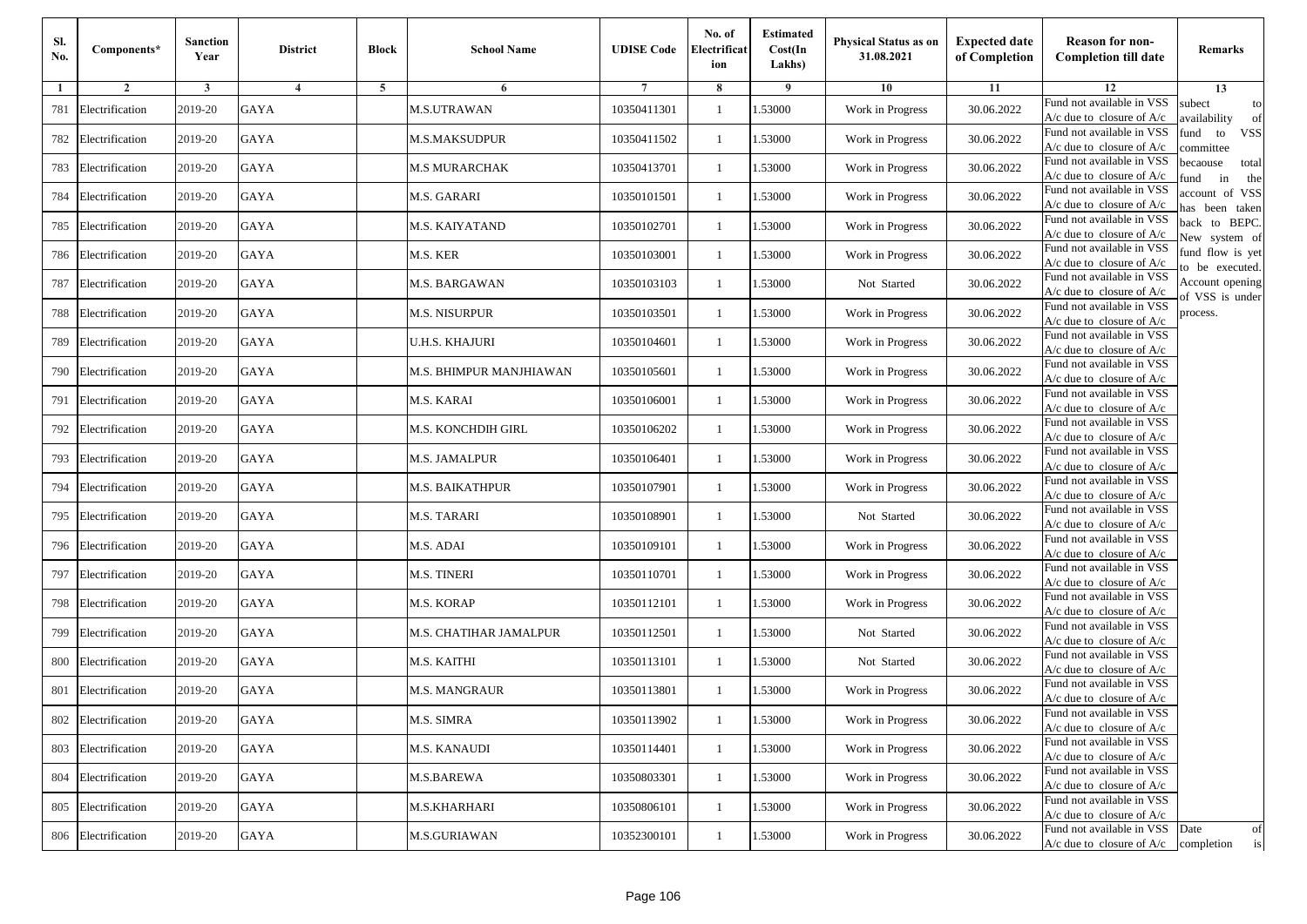| Sl.<br>No. | Components*         | <b>Sanction</b><br>Year | <b>District</b> | <b>Block</b> | <b>School Name</b>      | <b>UDISE Code</b> | No. of<br>Electrificat<br>ion | <b>Estimated</b><br>Cost(In<br>Lakhs) | Physical Status as on<br>31.08.2021 | <b>Expected date</b><br>of Completion | <b>Reason for non-</b><br><b>Completion till date</b>                 | Remarks                               |
|------------|---------------------|-------------------------|-----------------|--------------|-------------------------|-------------------|-------------------------------|---------------------------------------|-------------------------------------|---------------------------------------|-----------------------------------------------------------------------|---------------------------------------|
|            | $\overline{2}$      | 3                       | $\overline{4}$  | 5            | 6                       |                   | 8                             | -9                                    | 10                                  | 11                                    | 12                                                                    | 13                                    |
| 781        | Electrification     | 2019-20                 | <b>GAYA</b>     |              | <b>M.S.UTRAWAN</b>      | 10350411301       | $\overline{1}$                | .53000                                | Work in Progress                    | 30.06.2022                            | Fund not available in VSS<br>$A/c$ due to closure of $A/c$            | subect<br>to<br>wailability<br>of     |
| 782        | Electrification     | 2019-20                 | <b>GAYA</b>     |              | M.S.MAKSUDPUR           | 10350411502       | 1                             | 1.53000                               | Work in Progress                    | 30.06.2022                            | Fund not available in VSS<br>A/c due to closure of A/c                | fund<br><b>VSS</b><br>to<br>ommittee  |
| 783        | Electrification     | 2019-20                 | <b>GAYA</b>     |              | M.S MURARCHAK           | 10350413701       | -1                            | 1.53000                               | Work in Progress                    | 30.06.2022                            | Fund not available in VSS<br>$A/c$ due to closure of $A/c$            | pecaouse<br>total<br>in<br>und<br>the |
| 784        | Electrification     | 2019-20                 | <b>GAYA</b>     |              | M.S. GARARI             | 10350101501       | 1                             | .53000                                | Work in Progress                    | 30.06.2022                            | Fund not available in VSS<br>$A/c$ due to closure of $A/c$            | account of VSS<br>as been taken       |
| 785        | Electrification     | 2019-20                 | GAYA            |              | M.S. KAIYATAND          | 10350102701       | -1                            | .53000                                | Work in Progress                    | 30.06.2022                            | Fund not available in VSS<br>A/c due to closure of $A/c$              | back to BEPC.<br>Vew system of        |
| 786        | Electrification     | 2019-20                 | <b>GAYA</b>     |              | M.S. KER                | 10350103001       | 1                             | 1.53000                               | Work in Progress                    | 30.06.2022                            | Fund not available in VSS<br>$A/c$ due to closure of $A/c$            | fund flow is yet<br>o be executed.    |
| 787        | Electrification     | 2019-20                 | GAYA            |              | M.S. BARGAWAN           | 10350103103       | -1                            | 1.53000                               | Not Started                         | 30.06.2022                            | Fund not available in VSS<br>$A/c$ due to closure of $A/c$            | Account opening<br>of VSS is under    |
| 788        | Electrification     | 2019-20                 | <b>GAYA</b>     |              | M.S. NISURPUR           | 10350103501       | -1                            | 1.53000                               | Work in Progress                    | 30.06.2022                            | Fund not available in VSS<br>$A/c$ due to closure of $A/c$            | process.                              |
| 789        | Electrification     | 2019-20                 | <b>GAYA</b>     |              | U.H.S. KHAJURI          | 10350104601       | -1                            | .53000                                | Work in Progress                    | 30.06.2022                            | Fund not available in VSS<br>$A/c$ due to closure of $A/c$            |                                       |
| 790        | Electrification     | 2019-20                 | <b>GAYA</b>     |              | M.S. BHIMPUR MANJHIAWAN | 10350105601       | $\mathbf{1}$                  | 1.53000                               | Work in Progress                    | 30.06.2022                            | Fund not available in VSS<br>$A/c$ due to closure of $A/c$            |                                       |
| 791        | Electrification     | 2019-20                 | <b>GAYA</b>     |              | M.S. KARAI              | 10350106001       | 1                             | 1.53000                               | Work in Progress                    | 30.06.2022                            | Fund not available in VSS<br>$A/c$ due to closure of $A/c$            |                                       |
| 792        | Electrification     | 2019-20                 | GAYA            |              | M.S. KONCHDIH GIRL      | 10350106202       | $\overline{1}$                | 1.53000                               | Work in Progress                    | 30.06.2022                            | Fund not available in VSS<br>$A/c$ due to closure of $A/c$            |                                       |
| 793        | Electrification     | 2019-20                 | <b>GAYA</b>     |              | M.S. JAMALPUR           | 10350106401       | $\mathbf{1}$                  | .53000                                | Work in Progress                    | 30.06.2022                            | Fund not available in VSS<br>$A/c$ due to closure of $A/c$            |                                       |
| 794        | Electrification     | 2019-20                 | GAYA            |              | M.S. BAIKATHPUR         | 10350107901       | -1                            | 1.53000                               | Work in Progress                    | 30.06.2022                            | Fund not available in VSS<br>$A/c$ due to closure of $A/c$            |                                       |
| 795        | Electrification     | 2019-20                 | GAYA            |              | M.S. TARARI             | 10350108901       | 1                             | 1.53000                               | Not Started                         | 30.06.2022                            | Fund not available in VSS<br>$A/c$ due to closure of $A/c$            |                                       |
| 796        | Electrification     | 2019-20                 | GAYA            |              | M.S. ADAI               | 10350109101       | -1                            | 1.53000                               | Work in Progress                    | 30.06.2022                            | Fund not available in VSS<br>$A/c$ due to closure of $A/c$            |                                       |
| 797        | Electrification     | 2019-20                 | <b>GAYA</b>     |              | <b>M.S. TINERI</b>      | 10350110701       | $\overline{1}$                | .53000                                | Work in Progress                    | 30.06.2022                            | Fund not available in VSS<br>$A/c$ due to closure of $A/c$            |                                       |
| 798        | Electrification     | 2019-20                 | <b>GAYA</b>     |              | M.S. KORAP              | 10350112101       | 1                             | 1.53000                               | Work in Progress                    | 30.06.2022                            | Fund not available in VSS<br>A/c due to closure of A/c                |                                       |
| 799        | Electrification     | 2019-20                 | <b>GAYA</b>     |              | M.S. CHATIHAR JAMALPUR  | 10350112501       | $\mathbf{1}$                  | 1.53000                               | Not Started                         | 30.06.2022                            | Fund not available in VSS<br>$A/c$ due to closure of $A/c$            |                                       |
| 800        | Electrification     | 2019-20                 | GAYA            |              | M.S. KAITHI             | 10350113101       | -1                            | 1.53000                               | Not Started                         | 30.06.2022                            | Fund not available in VSS<br>$A/c$ due to closure of $A/c$            |                                       |
| 801        | Electrification     | 2019-20                 | <b>GAYA</b>     |              | M.S. MANGRAUR           | 10350113801       | $\overline{1}$                | .53000                                | Work in Progress                    | 30.06.2022                            | Fund not available in VSS<br>A/c due to closure of A/c                |                                       |
|            | 802 Electrification | 2019-20                 | GAYA            |              | M.S. SIMRA              | 10350113902       |                               | 1.53000                               | Work in Progress                    | 30.06.2022                            | Fund not available in VSS<br>A/c due to closure of A/c                |                                       |
|            | 803 Electrification | 2019-20                 | GAYA            |              | <b>M.S. KANAUDI</b>     | 10350114401       | 1                             | 1.53000                               | Work in Progress                    | 30.06.2022                            | Fund not available in VSS<br>$A/c$ due to closure of $A/c$            |                                       |
|            | 804 Electrification | 2019-20                 | GAYA            |              | M.S.BAREWA              | 10350803301       | -1                            | 1.53000                               | Work in Progress                    | 30.06.2022                            | Fund not available in VSS<br>$A/c$ due to closure of $A/c$            |                                       |
| 805        | Electrification     | 2019-20                 | <b>GAYA</b>     |              | M.S.KHARHARI            | 10350806101       | $\overline{1}$                | 1.53000                               | Work in Progress                    | 30.06.2022                            | Fund not available in VSS<br>$A/c$ due to closure of $A/c$            |                                       |
|            | 806 Electrification | 2019-20                 | GAYA            |              | <b>M.S.GURIAWAN</b>     | 10352300101       | -1                            | 1.53000                               | Work in Progress                    | 30.06.2022                            | Fund not available in VSS<br>$A/c$ due to closure of $A/c$ completion | Date<br>of<br>is                      |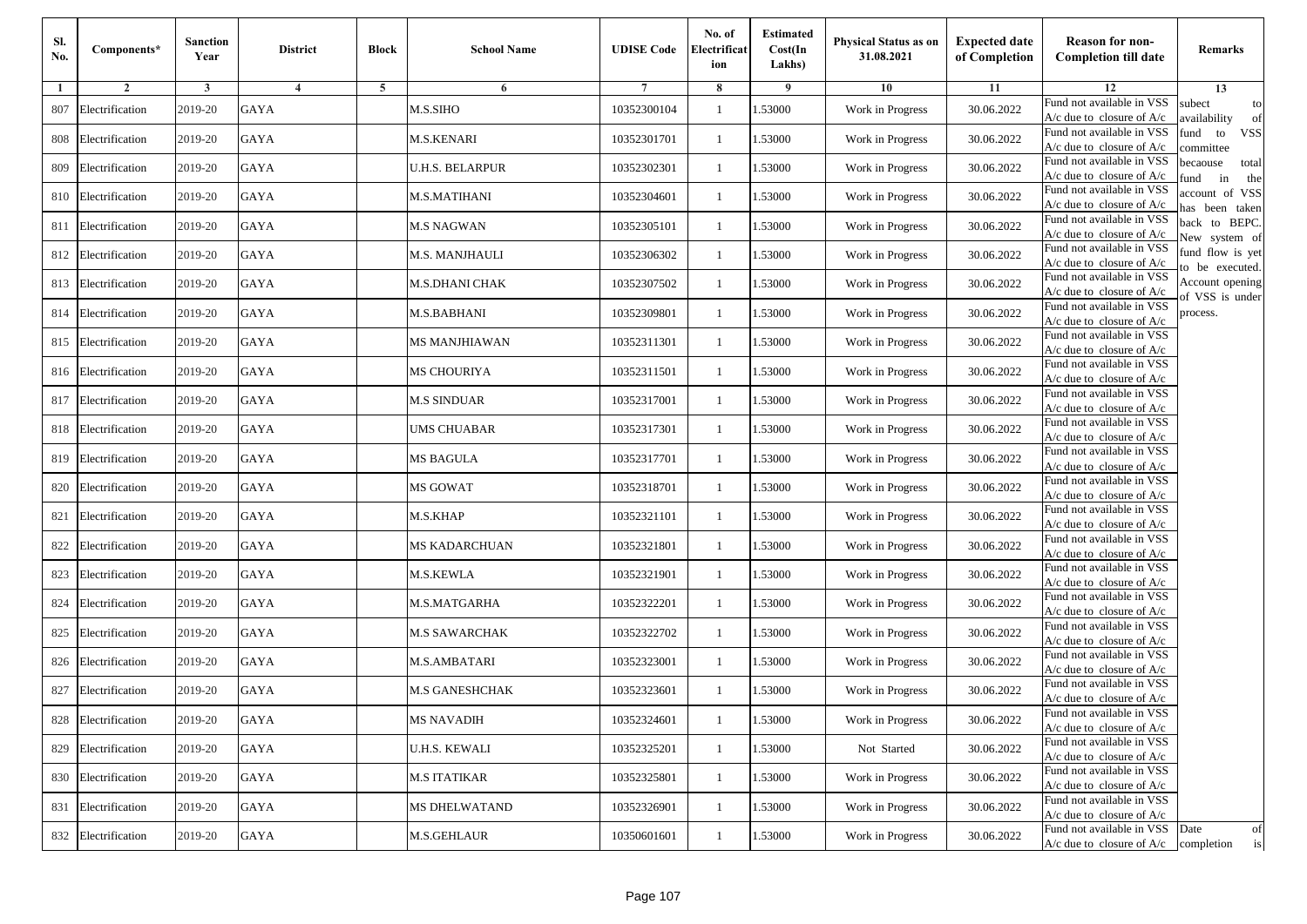| SI.<br>No. | Components*         | <b>Sanction</b><br>Year | <b>District</b> | <b>Block</b> | <b>School Name</b>     | <b>UDISE Code</b> | No. of<br>Electrificat<br>ion | <b>Estimated</b><br>Cost(In<br>Lakhs) | Physical Status as on<br>31.08.2021 | <b>Expected date</b><br>of Completion | <b>Reason for non-</b><br><b>Completion till date</b>                 | Remarks                               |
|------------|---------------------|-------------------------|-----------------|--------------|------------------------|-------------------|-------------------------------|---------------------------------------|-------------------------------------|---------------------------------------|-----------------------------------------------------------------------|---------------------------------------|
| 1          | $\overline{2}$      | 3                       | $\overline{4}$  | 5            | 6                      |                   | 8                             | 9                                     | 10                                  | 11                                    | 12                                                                    | 13                                    |
| 807        | Electrification     | 2019-20                 | <b>GAYA</b>     |              | M.S.SIHO               | 10352300104       | $\mathbf{1}$                  | 1.53000                               | Work in Progress                    | 30.06.2022                            | Fund not available in VSS<br>$A/c$ due to closure of $A/c$            | subect<br>to<br>wailability<br>of     |
| 808        | Electrification     | 2019-20                 | <b>GAYA</b>     |              | M.S.KENARI             | 10352301701       | 1                             | 1.53000                               | Work in Progress                    | 30.06.2022                            | Fund not available in VSS<br>$A/c$ due to closure of $A/c$            | fund<br>to<br><b>VSS</b><br>ommittee  |
| 809        | Electrification     | 2019-20                 | <b>GAYA</b>     |              | <b>U.H.S. BELARPUR</b> | 10352302301       | $\overline{1}$                | 1.53000                               | Work in Progress                    | 30.06.2022                            | Fund not available in VSS<br>$A/c$ due to closure of $A/c$            | pecaouse<br>total<br>und<br>in<br>the |
| 810        | Electrification     | 2019-20                 | GAYA            |              | M.S.MATIHANI           | 10352304601       | -1                            | .53000                                | Work in Progress                    | 30.06.2022                            | Fund not available in VSS<br>$A/c$ due to closure of $A/c$            | ccount of VSS<br>as been taken        |
| 811        | Electrification     | 2019-20                 | <b>GAYA</b>     |              | <b>M.S NAGWAN</b>      | 10352305101       | 1                             | 1.53000                               | Work in Progress                    | 30.06.2022                            | Fund not available in VSS<br>A/c due to closure of $A/c$              | back to BEPC.<br>New system of        |
| 812        | Electrification     | 2019-20                 | <b>GAYA</b>     |              | M.S. MANJHAULI         | 10352306302       | -1                            | 1.53000                               | Work in Progress                    | 30.06.2022                            | Fund not available in VSS<br>A/c due to closure of $A/c$              | fund flow is yet<br>o be executed.    |
| 813        | Electrification     | 2019-20                 | GAYA            |              | M.S.DHANI CHAK         | 10352307502       | -1                            | 1.53000                               | Work in Progress                    | 30.06.2022                            | Fund not available in VSS<br>$A/c$ due to closure of $A/c$            | Account opening<br>of VSS is under    |
| 814        | Electrification     | 2019-20                 | <b>GAYA</b>     |              | M.S.BABHANI            | 10352309801       | -1                            | 1.53000                               | Work in Progress                    | 30.06.2022                            | Fund not available in VSS<br>$A/c$ due to closure of $A/c$            | process.                              |
| 815        | Electrification     | 2019-20                 | <b>GAYA</b>     |              | MS MANJHIAWAN          | 10352311301       | -1                            | 1.53000                               | Work in Progress                    | 30.06.2022                            | Fund not available in VSS<br>$A/c$ due to closure of $A/c$            |                                       |
| 816        | Electrification     | 2019-20                 | <b>GAYA</b>     |              | MS CHOURIYA            | 10352311501       | $\mathbf{1}$                  | 1.53000                               | Work in Progress                    | 30.06.2022                            | Fund not available in VSS<br>$A/c$ due to closure of $A/c$            |                                       |
| 817        | Electrification     | 2019-20                 | <b>GAYA</b>     |              | M.S SINDUAR            | 10352317001       | -1                            | 1.53000                               | Work in Progress                    | 30.06.2022                            | Fund not available in VSS<br>$A/c$ due to closure of $A/c$            |                                       |
| 818        | Electrification     | 2019-20                 | <b>GAYA</b>     |              | UMS CHUABAR            | 10352317301       | $\overline{1}$                | .53000                                | Work in Progress                    | 30.06.2022                            | Fund not available in VSS<br>$A/c$ due to closure of $A/c$            |                                       |
| 819        | Electrification     | 2019-20                 | GAYA            |              | MS BAGULA              | 10352317701       | -1                            | .53000                                | Work in Progress                    | 30.06.2022                            | Fund not available in VSS<br>A/c due to closure of A/c                |                                       |
| 820        | Electrification     | 2019-20                 | <b>GAYA</b>     |              | <b>MS GOWAT</b>        | 10352318701       | 1                             | 1.53000                               | Work in Progress                    | 30.06.2022                            | Fund not available in VSS<br>$A/c$ due to closure of $A/c$            |                                       |
| 821        | Electrification     | 2019-20                 | <b>GAYA</b>     |              | M.S.KHAP               | 10352321101       | -1                            | 1.53000                               | Work in Progress                    | 30.06.2022                            | Fund not available in VSS<br>$A/c$ due to closure of $A/c$            |                                       |
| 822        | Electrification     | 2019-20                 | <b>GAYA</b>     |              | MS KADARCHUAN          | 10352321801       | -1                            | 1.53000                               | Work in Progress                    | 30.06.2022                            | Fund not available in VSS<br>$A/c$ due to closure of $A/c$            |                                       |
| 823        | Electrification     | 2019-20                 | <b>GAYA</b>     |              | M.S.KEWLA              | 10352321901       | $\overline{1}$                | 1.53000                               | Work in Progress                    | 30.06.2022                            | Fund not available in VSS<br>$A/c$ due to closure of $A/c$            |                                       |
| 824        | Electrification     | 2019-20                 | <b>GAYA</b>     |              | M.S.MATGARHA           | 10352322201       | 1                             | 1.53000                               | Work in Progress                    | 30.06.2022                            | Fund not available in VSS<br>$A/c$ due to closure of $A/c$            |                                       |
| 825        | Electrification     | 2019-20                 | GAYA            |              | M.S SAWARCHAK          | 10352322702       | -1                            | 1.53000                               | Work in Progress                    | 30.06.2022                            | Fund not available in VSS<br>$A/c$ due to closure of $A/c$            |                                       |
| 826        | Electrification     | 2019-20                 | <b>GAYA</b>     |              | M.S.AMBATARI           | 10352323001       | $\overline{1}$                | .53000                                | Work in Progress                    | 30.06.2022                            | Fund not available in VSS<br>$A/c$ due to closure of $A/c$            |                                       |
| 827        | Electrification     | 2019-20                 | GAYA            |              | M.S GANESHCHAK         | 10352323601       | -1                            | .53000                                | Work in Progress                    | 30.06.2022                            | Fund not available in VSS<br>A/c due to closure of A/c                |                                       |
|            | 828 Electrification | 2019-20                 | <b>GAYA</b>     |              | MS NAVADIH             | 10352324601       | $\mathbf{1}$                  | 1.53000                               | Work in Progress                    | 30.06.2022                            | Fund not available in VSS<br>A/c due to closure of A/c                |                                       |
|            | 829 Electrification | 2019-20                 | GAYA            |              | <b>U.H.S. KEWALI</b>   | 10352325201       | 1                             | 1.53000                               | Not Started                         | 30.06.2022                            | Fund not available in VSS<br>$A/c$ due to closure of $A/c$            |                                       |
|            | 830 Electrification | 2019-20                 | <b>GAYA</b>     |              | <b>M.S ITATIKAR</b>    | 10352325801       | -1                            | 1.53000                               | Work in Progress                    | 30.06.2022                            | Fund not available in VSS<br>A/c due to closure of A/c                |                                       |
| 831        | Electrification     | 2019-20                 | <b>GAYA</b>     |              | <b>MS DHELWATAND</b>   | 10352326901       | -1                            | 1.53000                               | Work in Progress                    | 30.06.2022                            | Fund not available in VSS<br>A/c due to closure of A/c                |                                       |
|            | 832 Electrification | 2019-20                 | GAYA            |              | M.S.GEHLAUR            | 10350601601       | $\mathbf{1}$                  | 1.53000                               | Work in Progress                    | 30.06.2022                            | Fund not available in VSS<br>$A/c$ due to closure of $A/c$ completion | Date<br>of<br>is                      |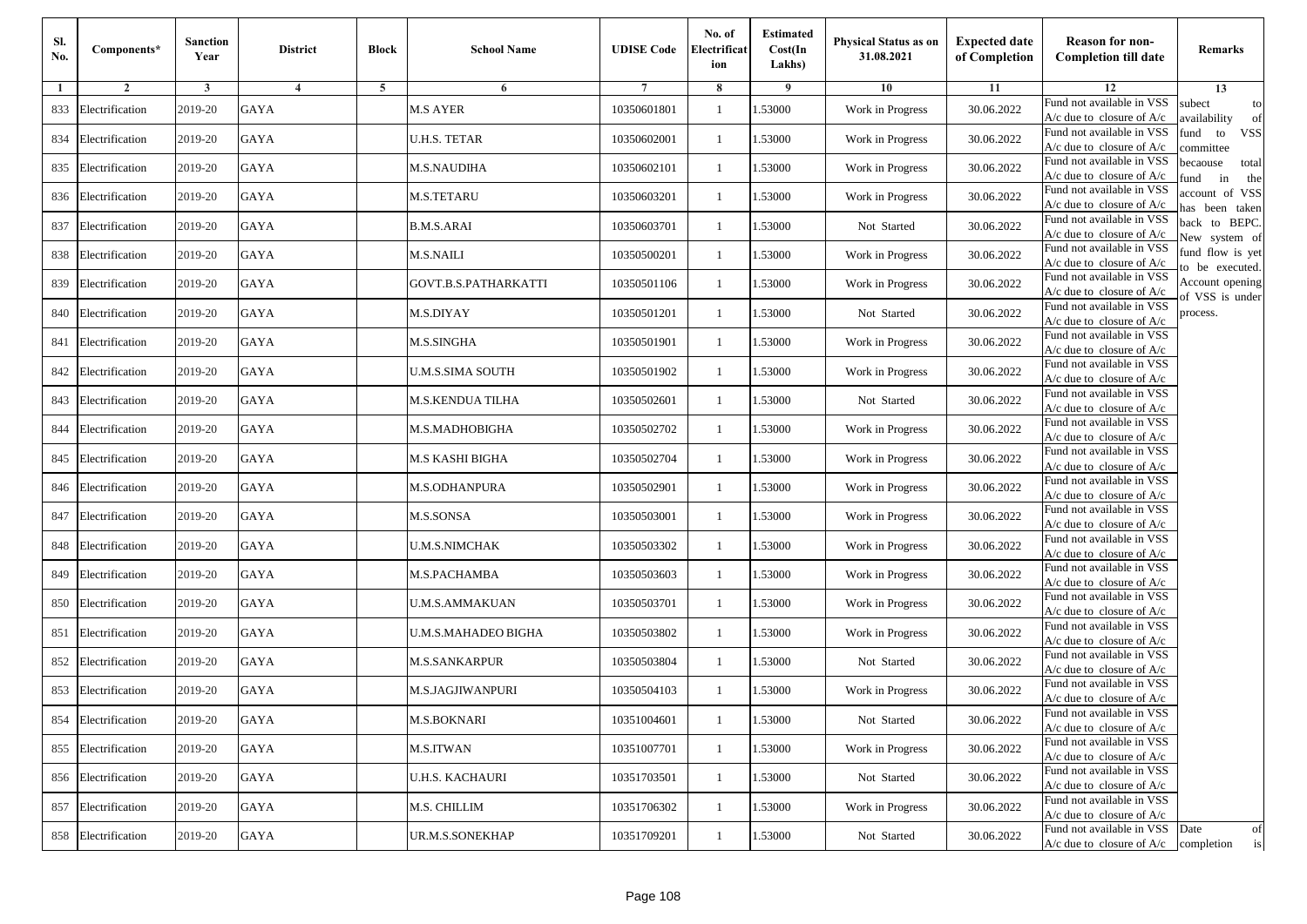| Sl.<br>No. | Components*         | <b>Sanction</b><br>Year | <b>District</b> | <b>Block</b> | <b>School Name</b>      | <b>UDISE Code</b> | No. of<br>Electrificat<br>ion | <b>Estimated</b><br>Cost(In<br>Lakhs) | Physical Status as on<br>31.08.2021 | <b>Expected date</b><br>of Completion | <b>Reason for non-</b><br><b>Completion till date</b>                 | Remarks                               |
|------------|---------------------|-------------------------|-----------------|--------------|-------------------------|-------------------|-------------------------------|---------------------------------------|-------------------------------------|---------------------------------------|-----------------------------------------------------------------------|---------------------------------------|
| 1          | $\overline{2}$      | 3                       | $\overline{4}$  | 5            | 6                       |                   | 8                             | 9                                     | 10                                  | 11                                    | 12                                                                    | 13                                    |
| 833        | Electrification     | 2019-20                 | <b>GAYA</b>     |              | <b>M.S AYER</b>         | 10350601801       | $\mathbf{1}$                  | 1.53000                               | Work in Progress                    | 30.06.2022                            | Fund not available in VSS<br>$A/c$ due to closure of $A/c$            | subect<br>to<br>wailability<br>of     |
| 834        | Electrification     | 2019-20                 | <b>GAYA</b>     |              | <b>U.H.S. TETAR</b>     | 10350602001       | $\mathbf{1}$                  | 1.53000                               | Work in Progress                    | 30.06.2022                            | Fund not available in VSS<br>$A/c$ due to closure of $A/c$            | fund to<br><b>VSS</b><br>ommittee     |
| 835        | Electrification     | 2019-20                 | GAYA            |              | <b>M.S.NAUDIHA</b>      | 10350602101       | 1                             | 1.53000                               | Work in Progress                    | 30.06.2022                            | Fund not available in VSS<br>$A/c$ due to closure of $A/c$            | pecaouse<br>total<br>und<br>in<br>the |
| 836        | Electrification     | 2019-20                 | GAYA            |              | <b>M.S.TETARU</b>       | 10350603201       | 1                             | .53000                                | Work in Progress                    | 30.06.2022                            | Fund not available in VSS<br>A/c due to closure of A/c                | ccount of VSS<br>as been taken        |
| 837        | Electrification     | 2019-20                 | GAYA            |              | <b>B.M.S.ARAI</b>       | 10350603701       | $\mathbf{1}$                  | .53000                                | Not Started                         | 30.06.2022                            | Fund not available in VSS<br>$A/c$ due to closure of $A/c$            | back to BEPC.<br>New system of        |
| 838        | Electrification     | 2019-20                 | GAYA            |              | <b>M.S.NAILI</b>        | 10350500201       | 1                             | .53000                                | Work in Progress                    | 30.06.2022                            | Fund not available in VSS<br>$A/c$ due to closure of $A/c$            | fund flow is yet                      |
| 839        | Electrification     | 2019-20                 | GAYA            |              | GOVT.B.S.PATHARKATTI    | 10350501106       | 1                             | 1.53000                               | Work in Progress                    | 30.06.2022                            | Fund not available in VSS<br>$A/c$ due to closure of $A/c$            | o be executed.<br>Account opening     |
| 840        | Electrification     | 2019-20                 | <b>GAYA</b>     |              | M.S.DIYAY               | 10350501201       | 1                             | 1.53000                               | Not Started                         | 30.06.2022                            | Fund not available in VSS<br>$A/c$ due to closure of $A/c$            | of VSS is under<br>process.           |
| 841        | Electrification     | 2019-20                 | <b>GAYA</b>     |              | <b>M.S.SINGHA</b>       | 10350501901       | 1                             | 1.53000                               | Work in Progress                    | 30.06.2022                            | Fund not available in VSS<br>$A/c$ due to closure of $A/c$            |                                       |
| 842        | Electrification     | 2019-20                 | <b>GAYA</b>     |              | <b>U.M.S.SIMA SOUTH</b> | 10350501902       | $\mathbf{1}$                  | 1.53000                               | Work in Progress                    | 30.06.2022                            | Fund not available in VSS<br>$A/c$ due to closure of $A/c$            |                                       |
| 843        | Electrification     | 2019-20                 | GAYA            |              | <b>M.S.KENDUA TILHA</b> | 10350502601       | 1                             | 1.53000                               | Not Started                         | 30.06.2022                            | Fund not available in VSS<br>$A/c$ due to closure of $A/c$            |                                       |
| 844        | Electrification     | 2019-20                 | GAYA            |              | M.S.MADHOBIGHA          | 10350502702       | 1                             | .53000                                | Work in Progress                    | 30.06.2022                            | Fund not available in VSS<br>$A/c$ due to closure of $A/c$            |                                       |
| 845        | Electrification     | 2019-20                 | GAYA            |              | M.S KASHI BIGHA         | 10350502704       | 1                             | .53000                                | Work in Progress                    | 30.06.2022                            | Fund not available in VSS<br>A/c due to closure of A/c                |                                       |
| 846        | Electrification     | 2019-20                 | GAYA            |              | M.S.ODHANPURA           | 10350502901       | 1                             | 1.53000                               | Work in Progress                    | 30.06.2022                            | Fund not available in VSS<br>$A/c$ due to closure of $A/c$            |                                       |
| 847        | Electrification     | 2019-20                 | GAYA            |              | M.S.SONSA               | 10350503001       | 1                             | 1.53000                               | Work in Progress                    | 30.06.2022                            | Fund not available in VSS<br>$A/c$ due to closure of $A/c$            |                                       |
| 848        | Electrification     | 2019-20                 | <b>GAYA</b>     |              | <b>U.M.S.NIMCHAK</b>    | 10350503302       | 1                             | .53000                                | Work in Progress                    | 30.06.2022                            | Fund not available in VSS<br>$A/c$ due to closure of $A/c$            |                                       |
| 849        | Electrification     | 2019-20                 | <b>GAYA</b>     |              | M.S.PACHAMBA            | 10350503603       | 1                             | .53000                                | Work in Progress                    | 30.06.2022                            | Fund not available in VSS<br>$A/c$ due to closure of $A/c$            |                                       |
| 850        | Electrification     | 2019-20                 | <b>GAYA</b>     |              | <b>U.M.S.AMMAKUAN</b>   | 10350503701       | $\mathbf{1}$                  | 1.53000                               | Work in Progress                    | 30.06.2022                            | Fund not available in VSS<br>A/c due to closure of A/c                |                                       |
| 851        | Electrification     | 2019-20                 | GAYA            |              | U.M.S.MAHADEO BIGHA     | 10350503802       | 1                             | 1.53000                               | Work in Progress                    | 30.06.2022                            | Fund not available in VSS<br>$A/c$ due to closure of $A/c$            |                                       |
| 852        | Electrification     | 2019-20                 | GAYA            |              | <b>M.S.SANKARPUR</b>    | 10350503804       | 1                             | .53000                                | Not Started                         | 30.06.2022                            | Fund not available in VSS<br>$A/c$ due to closure of $A/c$            |                                       |
| 853        | Electrification     | 2019-20                 | GAYA            |              | M.S.JAGJIWANPURI        | 10350504103       | 1                             | .53000                                | Work in Progress                    | 30.06.2022                            | Fund not available in VSS<br>A/c due to closure of A/c                |                                       |
|            | 854 Electrification | 2019-20                 | GAYA            |              | <b>M.S.BOKNARI</b>      | 10351004601       | $\mathbf{1}$                  | 1.53000                               | Not Started                         | 30.06.2022                            | Fund not available in VSS<br>A/c due to closure of A/c                |                                       |
|            | 855 Electrification | 2019-20                 | GAYA            |              | <b>M.S.ITWAN</b>        | 10351007701       | $\mathbf{1}$                  | 1.53000                               | Work in Progress                    | 30.06.2022                            | Fund not available in VSS<br>$A/c$ due to closure of $A/c$            |                                       |
|            | 856 Electrification | 2019-20                 | <b>GAYA</b>     |              | <b>U.H.S. KACHAURI</b>  | 10351703501       | 1                             | 1.53000                               | Not Started                         | 30.06.2022                            | Fund not available in VSS<br>$A/c$ due to closure of $A/c$            |                                       |
| 857        | Electrification     | 2019-20                 | GAYA            |              | M.S. CHILLIM            | 10351706302       | 1                             | 1.53000                               | Work in Progress                    | 30.06.2022                            | Fund not available in VSS<br>A/c due to closure of A/c                |                                       |
|            | 858 Electrification | 2019-20                 | GAYA            |              | UR.M.S.SONEKHAP         | 10351709201       | 1                             | 1.53000                               | Not Started                         | 30.06.2022                            | Fund not available in VSS<br>$A/c$ due to closure of $A/c$ completion | Date<br>of<br>is                      |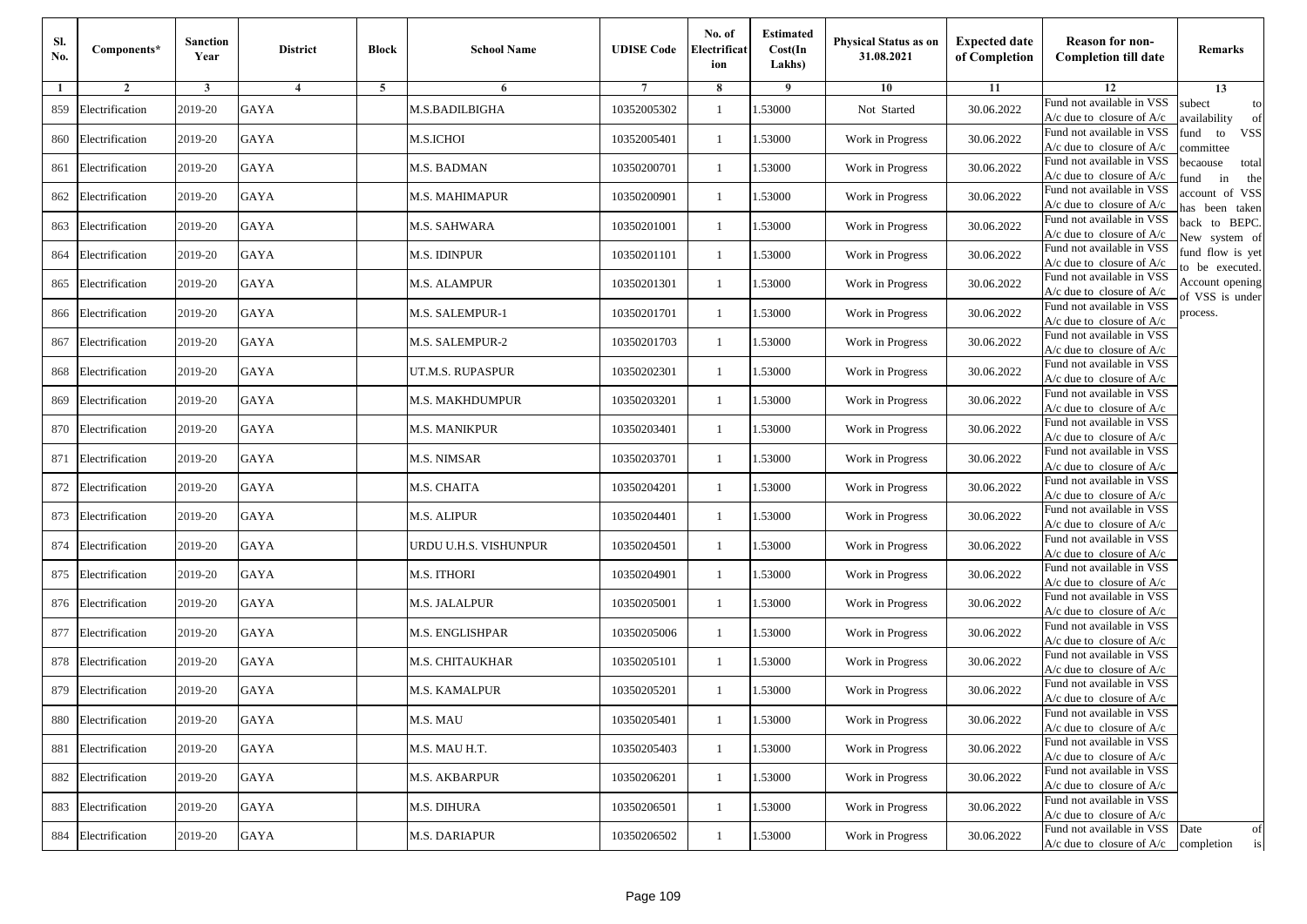| Sl.<br>No. | Components*         | <b>Sanction</b><br>Year | <b>District</b> | <b>Block</b> | <b>School Name</b>     | <b>UDISE Code</b> | No. of<br>Electrificat<br>ion | <b>Estimated</b><br>Cost(In<br>Lakhs) | Physical Status as on<br>31.08.2021 | <b>Expected date</b><br>of Completion | <b>Reason for non-</b><br><b>Completion till date</b>                 | Remarks                               |
|------------|---------------------|-------------------------|-----------------|--------------|------------------------|-------------------|-------------------------------|---------------------------------------|-------------------------------------|---------------------------------------|-----------------------------------------------------------------------|---------------------------------------|
| 1          | $\overline{2}$      | 3                       | $\overline{4}$  | 5            | 6                      |                   | 8                             | 9                                     | 10                                  | 11                                    | 12                                                                    | 13                                    |
| 859        | Electrification     | 2019-20                 | GAYA            |              | M.S.BADILBIGHA         | 10352005302       | $\mathbf{1}$                  | 1.53000                               | Not Started                         | 30.06.2022                            | Fund not available in VSS<br>$A/c$ due to closure of $A/c$            | subect<br>to<br>wailability<br>of     |
| 860        | Electrification     | 2019-20                 | <b>GAYA</b>     |              | <b>M.S.ICHOI</b>       | 10352005401       | $\mathbf{1}$                  | 1.53000                               | Work in Progress                    | 30.06.2022                            | Fund not available in VSS<br>$A/c$ due to closure of $A/c$            | fund to<br><b>VSS</b><br>ommittee     |
| 861        | Electrification     | 2019-20                 | GAYA            |              | M.S. BADMAN            | 10350200701       | 1                             | 1.53000                               | Work in Progress                    | 30.06.2022                            | Fund not available in VSS<br>$A/c$ due to closure of $A/c$            | pecaouse<br>total<br>und<br>in<br>the |
| 862        | Electrification     | 2019-20                 | GAYA            |              | <b>M.S. MAHIMAPUR</b>  | 10350200901       | 1                             | .53000                                | Work in Progress                    | 30.06.2022                            | Fund not available in VSS<br>A/c due to closure of A/c                | ccount of VSS<br>as been taken        |
| 863        | Electrification     | 2019-20                 | GAYA            |              | M.S. SAHWARA           | 10350201001       | $\mathbf{1}$                  | .53000                                | Work in Progress                    | 30.06.2022                            | Fund not available in VSS<br>$A/c$ due to closure of $A/c$            | back to BEPC.<br>New system of        |
| 864        | Electrification     | 2019-20                 | GAYA            |              | <b>M.S. IDINPUR</b>    | 10350201101       | 1                             | 1.53000                               | Work in Progress                    | 30.06.2022                            | Fund not available in VSS<br>$A/c$ due to closure of $A/c$            | fund flow is yet                      |
| 865        | Electrification     | 2019-20                 | GAYA            |              | <b>M.S. ALAMPUR</b>    | 10350201301       | 1                             | 1.53000                               | Work in Progress                    | 30.06.2022                            | Fund not available in VSS<br>$A/c$ due to closure of $A/c$            | o be executed.<br>Account opening     |
| 866        | Electrification     | 2019-20                 | <b>GAYA</b>     |              | M.S. SALEMPUR-1        | 10350201701       | 1                             | 1.53000                               | Work in Progress                    | 30.06.2022                            | Fund not available in VSS<br>$A/c$ due to closure of $A/c$            | of VSS is under<br>process.           |
| 867        | Electrification     | 2019-20                 | <b>GAYA</b>     |              | M.S. SALEMPUR-2        | 10350201703       | 1                             | 1.53000                               | Work in Progress                    | 30.06.2022                            | Fund not available in VSS<br>$A/c$ due to closure of $A/c$            |                                       |
| 868        | Electrification     | 2019-20                 | <b>GAYA</b>     |              | UT.M.S. RUPASPUR       | 10350202301       | $\mathbf{1}$                  | 1.53000                               | Work in Progress                    | 30.06.2022                            | Fund not available in VSS<br>$A/c$ due to closure of $A/c$            |                                       |
| 869        | Electrification     | 2019-20                 | GAYA            |              | <b>M.S. MAKHDUMPUR</b> | 10350203201       | 1                             | 1.53000                               | Work in Progress                    | 30.06.2022                            | Fund not available in VSS<br>$A/c$ due to closure of $A/c$            |                                       |
| 870        | Electrification     | 2019-20                 | GAYA            |              | <b>M.S. MANIKPUR</b>   | 10350203401       | 1                             | .53000                                | Work in Progress                    | 30.06.2022                            | Fund not available in VSS<br>$A/c$ due to closure of $A/c$            |                                       |
| 871        | Electrification     | 2019-20                 | GAYA            |              | M.S. NIMSAR            | 10350203701       | 1                             | .53000                                | Work in Progress                    | 30.06.2022                            | Fund not available in VSS<br>$A/c$ due to closure of $A/c$            |                                       |
| 872        | Electrification     | 2019-20                 | GAYA            |              | M.S. CHAITA            | 10350204201       | 1                             | 1.53000                               | Work in Progress                    | 30.06.2022                            | Fund not available in VSS<br>$A/c$ due to closure of $A/c$            |                                       |
| 873        | Electrification     | 2019-20                 | GAYA            |              | <b>M.S. ALIPUR</b>     | 10350204401       | 1                             | 1.53000                               | Work in Progress                    | 30.06.2022                            | Fund not available in VSS<br>$A/c$ due to closure of $A/c$            |                                       |
| 874        | Electrification     | 2019-20                 | <b>GAYA</b>     |              | URDU U.H.S. VISHUNPUR  | 10350204501       | 1                             | 1.53000                               | Work in Progress                    | 30.06.2022                            | Fund not available in VSS<br>$A/c$ due to closure of $A/c$            |                                       |
| 875        | Electrification     | 2019-20                 | <b>GAYA</b>     |              | M.S. ITHORI            | 10350204901       | 1                             | 1.53000                               | Work in Progress                    | 30.06.2022                            | Fund not available in VSS<br>$A/c$ due to closure of $A/c$            |                                       |
| 876        | Electrification     | 2019-20                 | <b>GAYA</b>     |              | M.S. JALALPUR          | 10350205001       | $\mathbf{1}$                  | 1.53000                               | Work in Progress                    | 30.06.2022                            | Fund not available in VSS<br>A/c due to closure of A/c                |                                       |
| 877        | Electrification     | 2019-20                 | GAYA            |              | M.S. ENGLISHPAR        | 10350205006       | 1                             | 1.53000                               | Work in Progress                    | 30.06.2022                            | Fund not available in VSS<br>$A/c$ due to closure of $A/c$            |                                       |
| 878        | Electrification     | 2019-20                 | GAYA            |              | <b>M.S. CHITAUKHAR</b> | 10350205101       | 1                             | .53000                                | Work in Progress                    | 30.06.2022                            | Fund not available in VSS<br>$A/c$ due to closure of $A/c$            |                                       |
| 879        | Electrification     | 2019-20                 | GAYA            |              | <b>M.S. KAMALPUR</b>   | 10350205201       | 1                             | .53000                                | Work in Progress                    | 30.06.2022                            | Fund not available in VSS<br>A/c due to closure of A/c                |                                       |
|            | 880 Electrification | 2019-20                 | GAYA            |              | M.S. MAU               | 10350205401       | $\mathbf{1}$                  | 1.53000                               | Work in Progress                    | 30.06.2022                            | Fund not available in VSS<br>A/c due to closure of A/c                |                                       |
| 881        | Electrification     | 2019-20                 | GAYA            |              | M.S. MAU H.T.          | 10350205403       | $\mathbf{1}$                  | 1.53000                               | Work in Progress                    | 30.06.2022                            | Fund not available in VSS<br>$A/c$ due to closure of $A/c$            |                                       |
| 882        | Electrification     | 2019-20                 | <b>GAYA</b>     |              | <b>M.S. AKBARPUR</b>   | 10350206201       | 1                             | 1.53000                               | Work in Progress                    | 30.06.2022                            | Fund not available in VSS<br>A/c due to closure of A/c                |                                       |
| 883        | Electrification     | 2019-20                 | <b>GAYA</b>     |              | M.S. DIHURA            | 10350206501       | 1                             | 1.53000                               | Work in Progress                    | 30.06.2022                            | Fund not available in VSS<br>A/c due to closure of A/c                |                                       |
| 884        | Electrification     | 2019-20                 | GAYA            |              | <b>M.S. DARIAPUR</b>   | 10350206502       | $\mathbf{1}$                  | 1.53000                               | Work in Progress                    | 30.06.2022                            | Fund not available in VSS<br>$A/c$ due to closure of $A/c$ completion | Date<br>of<br>is                      |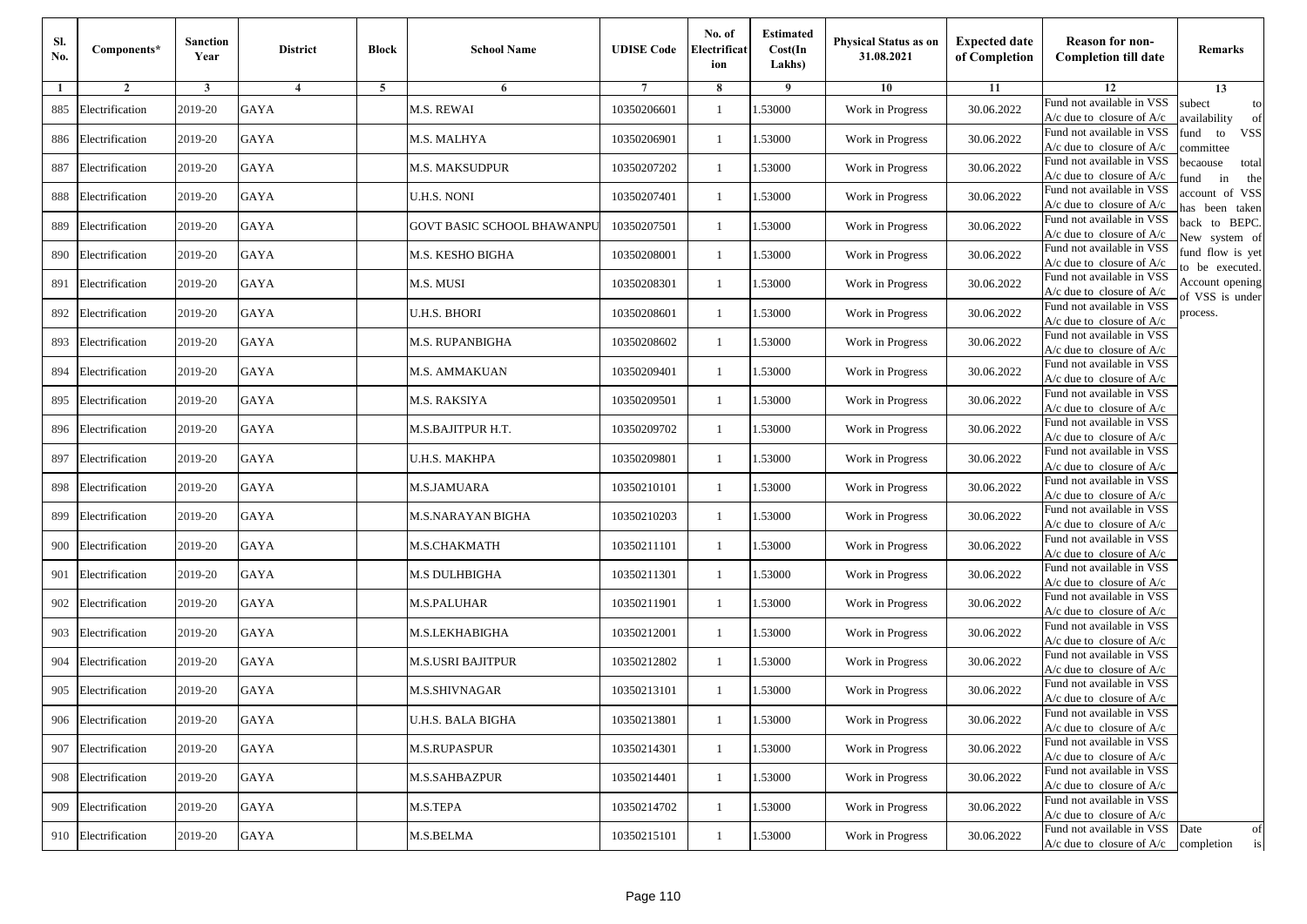| SI.<br>No. | Components*         | <b>Sanction</b><br>Year | <b>District</b> | <b>Block</b> | <b>School Name</b>         | <b>UDISE Code</b> | No. of<br>Electrificat<br>ion | <b>Estimated</b><br>Cost(In<br>Lakhs) | Physical Status as on<br>31.08.2021 | <b>Expected date</b><br>of Completion | <b>Reason for non-</b><br><b>Completion till date</b>                 | Remarks                               |
|------------|---------------------|-------------------------|-----------------|--------------|----------------------------|-------------------|-------------------------------|---------------------------------------|-------------------------------------|---------------------------------------|-----------------------------------------------------------------------|---------------------------------------|
| 1          | $\overline{2}$      | 3                       | 4               | 5            | 6                          |                   | 8                             | 9                                     | 10                                  | 11                                    | 12                                                                    | 13                                    |
| 885        | Electrification     | 2019-20                 | <b>GAYA</b>     |              | M.S. REWAI                 | 10350206601       | $\mathbf{1}$                  | 1.53000                               | Work in Progress                    | 30.06.2022                            | Fund not available in VSS<br>$A/c$ due to closure of $A/c$            | subect<br>to<br>wailability<br>of     |
| 886        | Electrification     | 2019-20                 | <b>GAYA</b>     |              | M.S. MALHYA                | 10350206901       | 1                             | 1.53000                               | Work in Progress                    | 30.06.2022                            | Fund not available in VSS<br>$A/c$ due to closure of $A/c$            | fund<br>to<br><b>VSS</b><br>ommittee  |
| 887        | Electrification     | 2019-20                 | <b>GAYA</b>     |              | M.S. MAKSUDPUR             | 10350207202       | $\overline{1}$                | 1.53000                               | Work in Progress                    | 30.06.2022                            | Fund not available in VSS<br>$A/c$ due to closure of $A/c$            | pecaouse<br>total<br>und<br>in<br>the |
| 888        | Electrification     | 2019-20                 | GAYA            |              | U.H.S. NONI                | 10350207401       | -1                            | .53000                                | Work in Progress                    | 30.06.2022                            | Fund not available in VSS<br>$A/c$ due to closure of $A/c$            | ccount of VSS<br>as been taken        |
| 889        | Electrification     | 2019-20                 | <b>GAYA</b>     |              | GOVT BASIC SCHOOL BHAWANPU | 10350207501       | 1                             | 1.53000                               | Work in Progress                    | 30.06.2022                            | Fund not available in VSS<br>A/c due to closure of $A/c$              | back to BEPC.<br>New system of        |
| 890        | Electrification     | 2019-20                 | <b>GAYA</b>     |              | M.S. KESHO BIGHA           | 10350208001       | -1                            | 1.53000                               | Work in Progress                    | 30.06.2022                            | Fund not available in VSS<br>A/c due to closure of $A/c$              | fund flow is yet<br>o be executed.    |
| 891        | Electrification     | 2019-20                 | GAYA            |              | M.S. MUSI                  | 10350208301       | -1                            | 1.53000                               | Work in Progress                    | 30.06.2022                            | Fund not available in VSS<br>$A/c$ due to closure of $A/c$            | Account opening<br>of VSS is under    |
| 892        | Electrification     | 2019-20                 | <b>GAYA</b>     |              | U.H.S. BHORI               | 10350208601       | -1                            | 1.53000                               | Work in Progress                    | 30.06.2022                            | Fund not available in VSS<br>$A/c$ due to closure of $A/c$            | process.                              |
| 893        | Electrification     | 2019-20                 | <b>GAYA</b>     |              | M.S. RUPANBIGHA            | 10350208602       | $\overline{1}$                | 1.53000                               | Work in Progress                    | 30.06.2022                            | Fund not available in VSS<br>$A/c$ due to closure of $A/c$            |                                       |
| 894        | Electrification     | 2019-20                 | <b>GAYA</b>     |              | M.S. AMMAKUAN              | 10350209401       | $\mathbf{1}$                  | 1.53000                               | Work in Progress                    | 30.06.2022                            | Fund not available in VSS<br>$A/c$ due to closure of $A/c$            |                                       |
| 895        | Electrification     | 2019-20                 | <b>GAYA</b>     |              | M.S. RAKSIYA               | 10350209501       | -1                            | 1.53000                               | Work in Progress                    | 30.06.2022                            | Fund not available in VSS<br>$A/c$ due to closure of $A/c$            |                                       |
| 896        | Electrification     | 2019-20                 | <b>GAYA</b>     |              | M.S.BAJITPUR H.T.          | 10350209702       | $\overline{1}$                | .53000                                | Work in Progress                    | 30.06.2022                            | Fund not available in VSS<br>$A/c$ due to closure of $A/c$            |                                       |
| 897        | Electrification     | 2019-20                 | GAYA            |              | U.H.S. MAKHPA              | 10350209801       | -1                            | .53000                                | Work in Progress                    | 30.06.2022                            | Fund not available in VSS<br>A/c due to closure of A/c                |                                       |
| 898        | Electrification     | 2019-20                 | <b>GAYA</b>     |              | M.S.JAMUARA                | 10350210101       | 1                             | 1.53000                               | Work in Progress                    | 30.06.2022                            | Fund not available in VSS<br>$A/c$ due to closure of $A/c$            |                                       |
| 899        | Electrification     | 2019-20                 | <b>GAYA</b>     |              | M.S.NARAYAN BIGHA          | 10350210203       | -1                            | 1.53000                               | Work in Progress                    | 30.06.2022                            | Fund not available in VSS<br>$A/c$ due to closure of $A/c$            |                                       |
| 900        | Electrification     | 2019-20                 | <b>GAYA</b>     |              | M.S.CHAKMATH               | 10350211101       | -1                            | 1.53000                               | Work in Progress                    | 30.06.2022                            | Fund not available in VSS<br>$A/c$ due to closure of $A/c$            |                                       |
| 901        | Electrification     | 2019-20                 | <b>GAYA</b>     |              | M.S DULHBIGHA              | 10350211301       | $\overline{1}$                | 1.53000                               | Work in Progress                    | 30.06.2022                            | Fund not available in VSS<br>$A/c$ due to closure of $A/c$            |                                       |
| 902        | Electrification     | 2019-20                 | <b>GAYA</b>     |              | M.S.PALUHAR                | 10350211901       | 1                             | 1.53000                               | Work in Progress                    | 30.06.2022                            | Fund not available in VSS<br>$A/c$ due to closure of $A/c$            |                                       |
| 903        | Electrification     | 2019-20                 | GAYA            |              | M.S.LEKHABIGHA             | 10350212001       | -1                            | 1.53000                               | Work in Progress                    | 30.06.2022                            | Fund not available in VSS<br>$A/c$ due to closure of $A/c$            |                                       |
| 904        | Electrification     | 2019-20                 | <b>GAYA</b>     |              | M.S.USRI BAJITPUR          | 10350212802       | $\overline{1}$                | .53000                                | Work in Progress                    | 30.06.2022                            | Fund not available in VSS<br>$A/c$ due to closure of $A/c$            |                                       |
| 905        | Electrification     | 2019-20                 | GAYA            |              | M.S.SHIVNAGAR              | 10350213101       | -1                            | .53000                                | Work in Progress                    | 30.06.2022                            | Fund not available in VSS<br>A/c due to closure of A/c                |                                       |
|            | 906 Electrification | 2019-20                 | <b>GAYA</b>     |              | U.H.S. BALA BIGHA          | 10350213801       | $\mathbf{1}$                  | 1.53000                               | Work in Progress                    | 30.06.2022                            | Fund not available in VSS<br>A/c due to closure of A/c                |                                       |
|            | 907 Electrification | 2019-20                 | GAYA            |              | <b>M.S.RUPASPUR</b>        | 10350214301       | 1                             | 1.53000                               | Work in Progress                    | 30.06.2022                            | Fund not available in VSS<br>$A/c$ due to closure of $A/c$            |                                       |
| 908        | Electrification     | 2019-20                 | <b>GAYA</b>     |              | M.S.SAHBAZPUR              | 10350214401       | -1                            | 1.53000                               | Work in Progress                    | 30.06.2022                            | Fund not available in VSS<br>A/c due to closure of A/c                |                                       |
| 909        | Electrification     | 2019-20                 | <b>GAYA</b>     |              | M.S.TEPA                   | 10350214702       | -1                            | 1.53000                               | Work in Progress                    | 30.06.2022                            | Fund not available in VSS<br>A/c due to closure of A/c                |                                       |
|            | 910 Electrification | 2019-20                 | GAYA            |              | M.S.BELMA                  | 10350215101       | $\mathbf{1}$                  | 1.53000                               | Work in Progress                    | 30.06.2022                            | Fund not available in VSS<br>$A/c$ due to closure of $A/c$ completion | Date<br>of<br>is                      |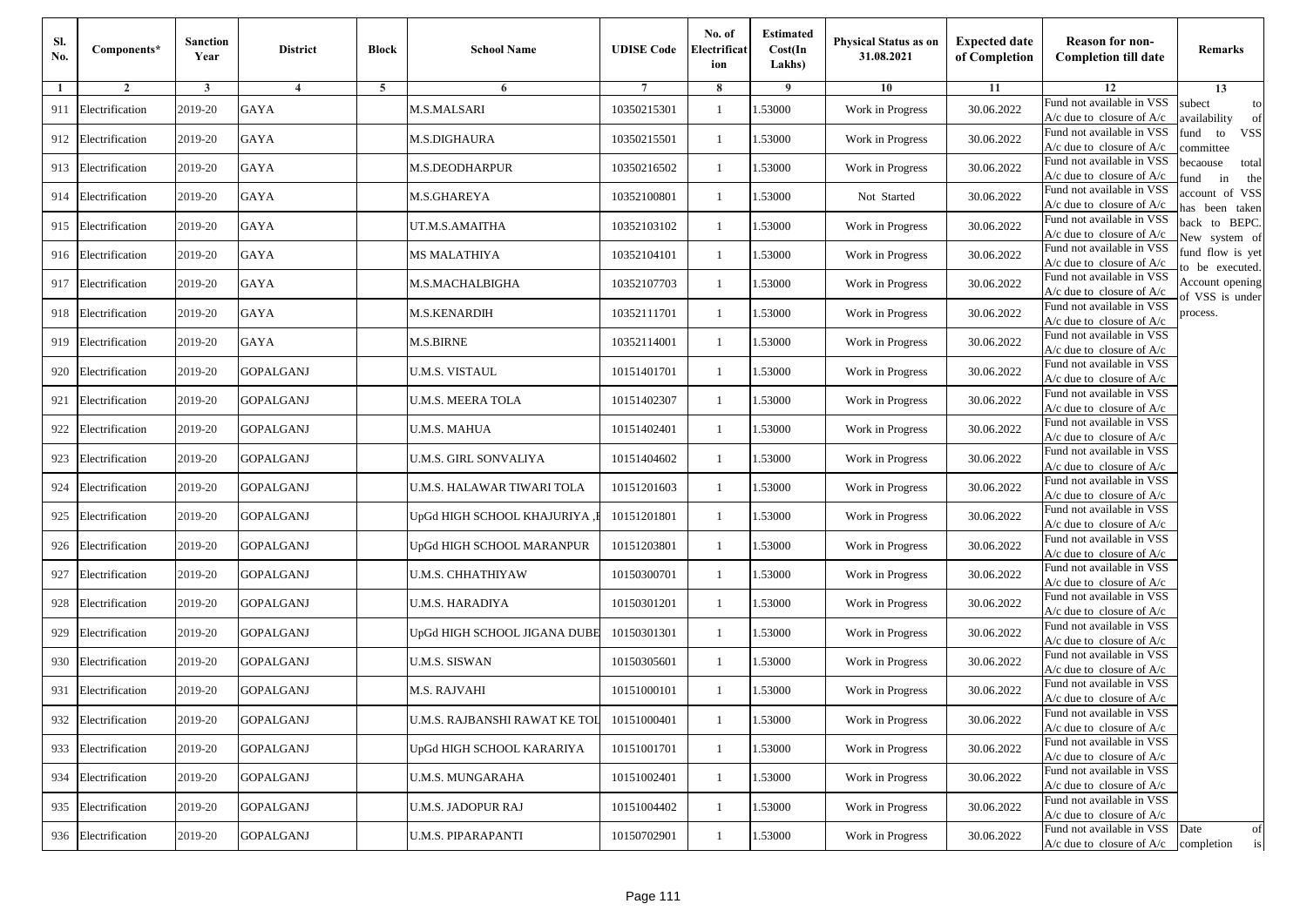| Sl.<br>No. | Components*         | <b>Sanction</b><br>Year | <b>District</b>  | <b>Block</b> | <b>School Name</b>            | <b>UDISE Code</b> | No. of<br>Electrificat<br>ion | <b>Estimated</b><br>Cost(In<br>Lakhs) | Physical Status as on<br>31.08.2021 | <b>Expected date</b><br>of Completion | <b>Reason for non-</b><br><b>Completion till date</b>                 | Remarks                               |
|------------|---------------------|-------------------------|------------------|--------------|-------------------------------|-------------------|-------------------------------|---------------------------------------|-------------------------------------|---------------------------------------|-----------------------------------------------------------------------|---------------------------------------|
| 1          | $\overline{2}$      | 3                       | $\overline{4}$   | 5            | 6                             |                   | 8                             | 9                                     | 10                                  | 11                                    | 12                                                                    | 13                                    |
| 911        | Electrification     | 2019-20                 | <b>GAYA</b>      |              | <b>M.S.MALSARI</b>            | 10350215301       | -1                            | 1.53000                               | Work in Progress                    | 30.06.2022                            | Fund not available in VSS<br>$A/c$ due to closure of $A/c$            | subect<br>to<br>wailability<br>of     |
| 912        | Electrification     | 2019-20                 | <b>GAYA</b>      |              | M.S.DIGHAURA                  | 10350215501       | $\mathbf{1}$                  | 1.53000                               | Work in Progress                    | 30.06.2022                            | Fund not available in VSS<br>$A/c$ due to closure of $A/c$            | fund<br>to<br><b>VSS</b><br>ommittee  |
| 913        | Electrification     | 2019-20                 | <b>GAYA</b>      |              | M.S.DEODHARPUR                | 10350216502       | $\mathbf{1}$                  | 1.53000                               | Work in Progress                    | 30.06.2022                            | Fund not available in VSS<br>$A/c$ due to closure of $A/c$            | pecaouse<br>total<br>und<br>in<br>the |
| 914        | Electrification     | 2019-20                 | <b>GAYA</b>      |              | M.S.GHAREYA                   | 10352100801       | -1                            | 1.53000                               | Not Started                         | 30.06.2022                            | Fund not available in VSS<br>A/c due to closure of A/c                | ccount of VSS<br>as been taken        |
| 915        | Electrification     | 2019-20                 | GAYA             |              | UT.M.S.AMAITHA                | 10352103102       | $\mathbf{1}$                  | 1.53000                               | Work in Progress                    | 30.06.2022                            | Fund not available in VSS<br>A/c due to closure of $A/c$              | back to BEPC.<br>New system of        |
| 916        | Electrification     | 2019-20                 | <b>GAYA</b>      |              | MS MALATHIYA                  | 10352104101       | -1                            | 1.53000                               | Work in Progress                    | 30.06.2022                            | Fund not available in VSS<br>A/c due to closure of $A/c$              | fund flow is yet<br>o be executed.    |
| 917        | Electrification     | 2019-20                 | <b>GAYA</b>      |              | M.S.MACHALBIGHA               | 10352107703       | -1                            | 1.53000                               | Work in Progress                    | 30.06.2022                            | Fund not available in VSS<br>A/c due to closure of A/c                | Account opening<br>of VSS is under    |
| 918        | Electrification     | 2019-20                 | <b>GAYA</b>      |              | <b>M.S.KENARDIH</b>           | 10352111701       | -1                            | 1.53000                               | Work in Progress                    | 30.06.2022                            | Fund not available in VSS<br>$A/c$ due to closure of $A/c$            | process.                              |
| 919        | Electrification     | 2019-20                 | <b>GAYA</b>      |              | <b>M.S.BIRNE</b>              | 10352114001       | -1                            | 1.53000                               | Work in Progress                    | 30.06.2022                            | Fund not available in VSS<br>$A/c$ due to closure of $A/c$            |                                       |
| 920        | Electrification     | 2019-20                 | <b>GOPALGANJ</b> |              | <b>U.M.S. VISTAUL</b>         | 10151401701       | $\mathbf{1}$                  | 1.53000                               | Work in Progress                    | 30.06.2022                            | Fund not available in VSS<br>$A/c$ due to closure of $A/c$            |                                       |
| 921        | Electrification     | 2019-20                 | GOPALGANJ        |              | U.M.S. MEERA TOLA             | 10151402307       | -1                            | 1.53000                               | Work in Progress                    | 30.06.2022                            | Fund not available in VSS<br>$A/c$ due to closure of $A/c$            |                                       |
| 922        | Electrification     | 2019-20                 | <b>GOPALGANJ</b> |              | U.M.S. MAHUA                  | 10151402401       | $\mathbf{1}$                  | 1.53000                               | Work in Progress                    | 30.06.2022                            | Fund not available in VSS<br>$A/c$ due to closure of $A/c$            |                                       |
| 923        | Electrification     | 2019-20                 | <b>GOPALGANJ</b> |              | U.M.S. GIRL SONVALIYA         | 10151404602       | -1                            | 1.53000                               | Work in Progress                    | 30.06.2022                            | Fund not available in VSS<br>$A/c$ due to closure of $A/c$            |                                       |
| 924        | Electrification     | 2019-20                 | <b>GOPALGANJ</b> |              | U.M.S. HALAWAR TIWARI TOLA    | 10151201603       | $\mathbf{1}$                  | 1.53000                               | Work in Progress                    | 30.06.2022                            | Fund not available in VSS<br>$A/c$ due to closure of $A/c$            |                                       |
| 925        | Electrification     | 2019-20                 | <b>GOPALGANJ</b> |              | JpGd HIGH SCHOOL KHAJURIYA ,] | 10151201801       | $\overline{1}$                | 1.53000                               | Work in Progress                    | 30.06.2022                            | Fund not available in VSS<br>$A/c$ due to closure of $A/c$            |                                       |
| 926        | Electrification     | 2019-20                 | <b>GOPALGANJ</b> |              | JpGd HIGH SCHOOL MARANPUR     | 10151203801       | -1                            | 1.53000                               | Work in Progress                    | 30.06.2022                            | Fund not available in VSS<br>$A/c$ due to closure of $A/c$            |                                       |
| 927        | Electrification     | 2019-20                 | <b>GOPALGANJ</b> |              | U.M.S. CHHATHIYAW             | 10150300701       | $\mathbf{1}$                  | 1.53000                               | Work in Progress                    | 30.06.2022                            | Fund not available in VSS<br>$A/c$ due to closure of $A/c$            |                                       |
| 928        | Electrification     | 2019-20                 | <b>GOPALGANJ</b> |              | U.M.S. HARADIYA               | 10150301201       | $\mathbf{1}$                  | 1.53000                               | Work in Progress                    | 30.06.2022                            | Fund not available in VSS<br>$A/c$ due to closure of $A/c$            |                                       |
| 929        | Electrification     | 2019-20                 | <b>GOPALGANJ</b> |              | JpGd HIGH SCHOOL JIGANA DUBE  | 10150301301       | $\overline{1}$                | 1.53000                               | Work in Progress                    | 30.06.2022                            | Fund not available in VSS<br>$A/c$ due to closure of $A/c$            |                                       |
| 930        | Electrification     | 2019-20                 | <b>GOPALGANJ</b> |              | U.M.S. SISWAN                 | 10150305601       | $\overline{1}$                | 1.53000                               | Work in Progress                    | 30.06.2022                            | Fund not available in VSS<br>$A/c$ due to closure of $A/c$            |                                       |
| 931        | Electrification     | 2019-20                 | <b>GOPALGANJ</b> |              | M.S. RAJVAHI                  | 10151000101       | $\overline{1}$                | .53000                                | Work in Progress                    | 30.06.2022                            | Fund not available in VSS<br>A/c due to closure of $A/c$              |                                       |
|            | 932 Electrification | 2019-20                 | <b>GOPALGANJ</b> |              | U.M.S. RAJBANSHI RAWAT KE TOL | 10151000401       | $\mathbf{1}$                  | 1.53000                               | Work in Progress                    | 30.06.2022                            | Fund not available in VSS<br>A/c due to closure of A/c                |                                       |
|            | 933 Electrification | 2019-20                 | <b>GOPALGANJ</b> |              | JpGd HIGH SCHOOL KARARIYA     | 10151001701       | $\mathbf{1}$                  | 1.53000                               | Work in Progress                    | 30.06.2022                            | Fund not available in VSS<br>$A/c$ due to closure of $A/c$            |                                       |
| 934        | Electrification     | 2019-20                 | <b>GOPALGANJ</b> |              | U.M.S. MUNGARAHA              | 10151002401       | -1                            | 1.53000                               | Work in Progress                    | 30.06.2022                            | Fund not available in VSS<br>A/c due to closure of A/c                |                                       |
| 935        | Electrification     | 2019-20                 | <b>GOPALGANJ</b> |              | <b>U.M.S. JADOPUR RAJ</b>     | 10151004402       | -1                            | 1.53000                               | Work in Progress                    | 30.06.2022                            | Fund not available in VSS<br>A/c due to closure of A/c                |                                       |
|            | 936 Electrification | 2019-20                 | <b>GOPALGANJ</b> |              | <b>U.M.S. PIPARAPANTI</b>     | 10150702901       | $\mathbf{1}$                  | 1.53000                               | Work in Progress                    | 30.06.2022                            | Fund not available in VSS<br>$A/c$ due to closure of $A/c$ completion | Date<br>of<br>is                      |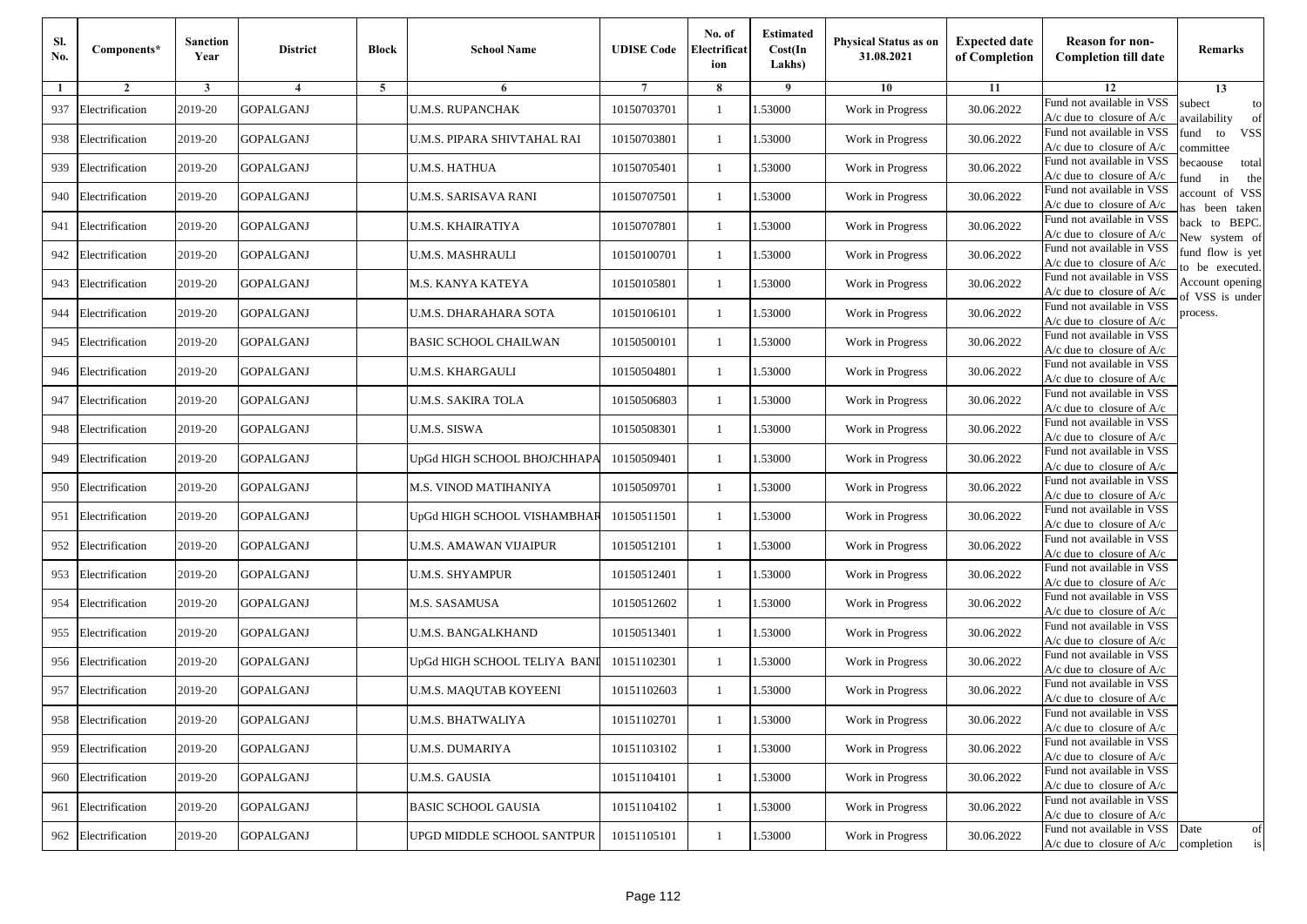| Sl.<br>No. | Components*         | <b>Sanction</b><br>Year | <b>District</b>  | <b>Block</b> | <b>School Name</b>           | <b>UDISE Code</b> | No. of<br>Electrificat<br>ion | <b>Estimated</b><br>Cost(In<br>Lakhs) | <b>Physical Status as on</b><br>31.08.2021 | <b>Expected date</b><br>of Completion | <b>Reason for non-</b><br><b>Completion till date</b>      | Remarks                               |
|------------|---------------------|-------------------------|------------------|--------------|------------------------------|-------------------|-------------------------------|---------------------------------------|--------------------------------------------|---------------------------------------|------------------------------------------------------------|---------------------------------------|
| -1         | $\overline{2}$      | 3                       | $\overline{4}$   | 5            | 6                            |                   | 8                             | 9                                     | 10                                         | 11                                    | 12                                                         | 13                                    |
| 937        | Electrification     | 2019-20                 | <b>GOPALGANJ</b> |              | <b>U.M.S. RUPANCHAK</b>      | 10150703701       | $\mathbf{1}$                  | .53000                                | Work in Progress                           | 30.06.2022                            | Fund not available in VSS<br>$A/c$ due to closure of $A/c$ | subect<br>to<br>availability<br>of    |
| 938        | Electrification     | 2019-20                 | <b>GOPALGANJ</b> |              | U.M.S. PIPARA SHIVTAHAL RAI  | 10150703801       | 1                             | 1.53000                               | Work in Progress                           | 30.06.2022                            | Fund not available in VSS<br>$A/c$ due to closure of $A/c$ | fund<br>to<br><b>VSS</b><br>committee |
| 939        | Electrification     | 2019-20                 | <b>GOPALGANJ</b> |              | <b>U.M.S. HATHUA</b>         | 10150705401       | 1                             | 1.53000                               | Work in Progress                           | 30.06.2022                            | Fund not available in VSS<br>$A/c$ due to closure of $A/c$ | becaouse<br>total<br>in<br>und<br>the |
|            | 940 Electrification | 2019-20                 | <b>GOPALGANJ</b> |              | U.M.S. SARISAVA RANI         | 10150707501       | $\mathbf{1}$                  | .53000                                | Work in Progress                           | 30.06.2022                            | Fund not available in VSS<br>A/c due to closure of A/c     | account of VSS<br>as been taken       |
| 941        | Electrification     | 2019-20                 | <b>GOPALGANJ</b> |              | U.M.S. KHAIRATIYA            | 10150707801       | $\mathbf{1}$                  | .53000                                | Work in Progress                           | 30.06.2022                            | Fund not available in VSS<br>$A/c$ due to closure of $A/c$ | back to BEPC.<br>New system of        |
| 942        | Electrification     | 2019-20                 | <b>GOPALGANJ</b> |              | U.M.S. MASHRAULI             | 10150100701       | 1                             | .53000                                | Work in Progress                           | 30.06.2022                            | Fund not available in VSS<br>A/c due to closure of $A/c$   | fund flow is yet<br>o be executed.    |
| 943        | Electrification     | 2019-20                 | <b>GOPALGANJ</b> |              | M.S. KANYA KATEYA            | 10150105801       | $\mathbf{1}$                  | 1.53000                               | Work in Progress                           | 30.06.2022                            | Fund not available in VSS<br>$A/c$ due to closure of $A/c$ | Account opening<br>of VSS is under    |
| 944        | Electrification     | 2019-20                 | <b>GOPALGANJ</b> |              | U.M.S. DHARAHARA SOTA        | 10150106101       | $\mathbf{1}$                  | .53000                                | Work in Progress                           | 30.06.2022                            | Fund not available in VSS<br>$A/c$ due to closure of $A/c$ | process.                              |
| 945        | Electrification     | 2019-20                 | <b>GOPALGANJ</b> |              | <b>BASIC SCHOOL CHAILWAN</b> | 10150500101       | 1                             | .53000                                | Work in Progress                           | 30.06.2022                            | Fund not available in VSS<br>$A/c$ due to closure of $A/c$ |                                       |
| 946        | Electrification     | 2019-20                 | <b>GOPALGANJ</b> |              | <b>U.M.S. KHARGAULI</b>      | 10150504801       | $\mathbf{1}$                  | .53000                                | Work in Progress                           | 30.06.2022                            | Fund not available in VSS<br>$A/c$ due to closure of $A/c$ |                                       |
| 947        | Electrification     | 2019-20                 | <b>GOPALGANJ</b> |              | U.M.S. SAKIRA TOLA           | 10150506803       | 1                             | 1.53000                               | Work in Progress                           | 30.06.2022                            | Fund not available in VSS<br>$A/c$ due to closure of $A/c$ |                                       |
| 948        | Electrification     | 2019-20                 | <b>GOPALGANJ</b> |              | <b>U.M.S. SISWA</b>          | 10150508301       | 1                             | .53000                                | Work in Progress                           | 30.06.2022                            | Fund not available in VSS<br>$A/c$ due to closure of $A/c$ |                                       |
| 949        | Electrification     | 2019-20                 | <b>GOPALGANJ</b> |              | UpGd HIGH SCHOOL BHOJCHHAPA  | 10150509401       | $\mathbf{1}$                  | .53000                                | Work in Progress                           | 30.06.2022                            | Fund not available in VSS<br>$A/c$ due to closure of $A/c$ |                                       |
| 950        | Electrification     | 2019-20                 | <b>GOPALGANJ</b> |              | M.S. VINOD MATIHANIYA        | 10150509701       | $\mathbf{1}$                  | .53000                                | Work in Progress                           | 30.06.2022                            | Fund not available in VSS<br>$A/c$ due to closure of $A/c$ |                                       |
| 951        | Electrification     | 2019-20                 | <b>GOPALGANJ</b> |              | UpGd HIGH SCHOOL VISHAMBHAF  | 10150511501       | 1                             | 1.53000                               | Work in Progress                           | 30.06.2022                            | Fund not available in VSS<br>$A/c$ due to closure of $A/c$ |                                       |
| 952        | Electrification     | 2019-20                 | <b>GOPALGANJ</b> |              | U.M.S. AMAWAN VIJAIPUR       | 10150512101       | $\mathbf{1}$                  | .53000                                | Work in Progress                           | 30.06.2022                            | Fund not available in VSS<br>$A/c$ due to closure of $A/c$ |                                       |
| 953        | Electrification     | 2019-20                 | <b>GOPALGANJ</b> |              | <b>U.M.S. SHYAMPUR</b>       | 10150512401       | 1                             | .53000                                | Work in Progress                           | 30.06.2022                            | Fund not available in VSS<br>A/c due to closure of A/c     |                                       |
| 954        | Electrification     | 2019-20                 | <b>GOPALGANJ</b> |              | M.S. SASAMUSA                | 10150512602       | $\mathbf{1}$                  | 1.53000                               | Work in Progress                           | 30.06.2022                            | Fund not available in VSS<br>$A/c$ due to closure of $A/c$ |                                       |
| 955        | Electrification     | 2019-20                 | <b>GOPALGANJ</b> |              | U.M.S. BANGALKHAND           | 10150513401       | 1                             | 1.53000                               | Work in Progress                           | 30.06.2022                            | Fund not available in VSS<br>$A/c$ due to closure of $A/c$ |                                       |
|            | 956 Electrification | 2019-20                 | <b>GOPALGANJ</b> |              | UpGd HIGH SCHOOL TELIYA BANI | 10151102301       | $\mathbf{1}$                  | .53000                                | Work in Progress                           | 30.06.2022                            | Fund not available in VSS<br>$A/c$ due to closure of $A/c$ |                                       |
| 957        | Electrification     | 2019-20                 | GOPALGANJ        |              | U.M.S. MAQUTAB KOYEENI       | 10151102603       | 1                             | .53000                                | Work in Progress                           | 30.06.2022                            | Fund not available in VSS<br>A/c due to closure of A/c     |                                       |
|            | 958 Electrification | 2019-20                 | <b>GOPALGANJ</b> |              | <b>U.M.S. BHATWALIYA</b>     | 10151102701       |                               | 1.53000                               | Work in Progress                           | 30.06.2022                            | Fund not available in VSS<br>A/c due to closure of A/c     |                                       |
| 959        | Electrification     | 2019-20                 | <b>GOPALGANJ</b> |              | <b>U.M.S. DUMARIYA</b>       | 10151103102       | $\mathbf{1}$                  | 1.53000                               | Work in Progress                           | 30.06.2022                            | Fund not available in VSS<br>$A/c$ due to closure of $A/c$ |                                       |
|            | 960 Electrification | 2019-20                 | <b>GOPALGANJ</b> |              | <b>U.M.S. GAUSIA</b>         | 10151104101       | $\mathbf{1}$                  | 1.53000                               | Work in Progress                           | 30.06.2022                            | Fund not available in VSS<br>$A/c$ due to closure of $A/c$ |                                       |
| 961        | Electrification     | 2019-20                 | <b>GOPALGANJ</b> |              | <b>BASIC SCHOOL GAUSIA</b>   | 10151104102       | 1                             | 1.53000                               | Work in Progress                           | 30.06.2022                            | Fund not available in VSS<br>A/c due to closure of $A/c$   |                                       |
| 962        | Electrification     | 2019-20                 | <b>GOPALGANJ</b> |              | UPGD MIDDLE SCHOOL SANTPUR   | 10151105101       | $\mathbf{1}$                  | 1.53000                               | Work in Progress                           | 30.06.2022                            | Fund not available in VSS<br>$A/c$ due to closure of $A/c$ | Date<br>of<br>is<br>completion        |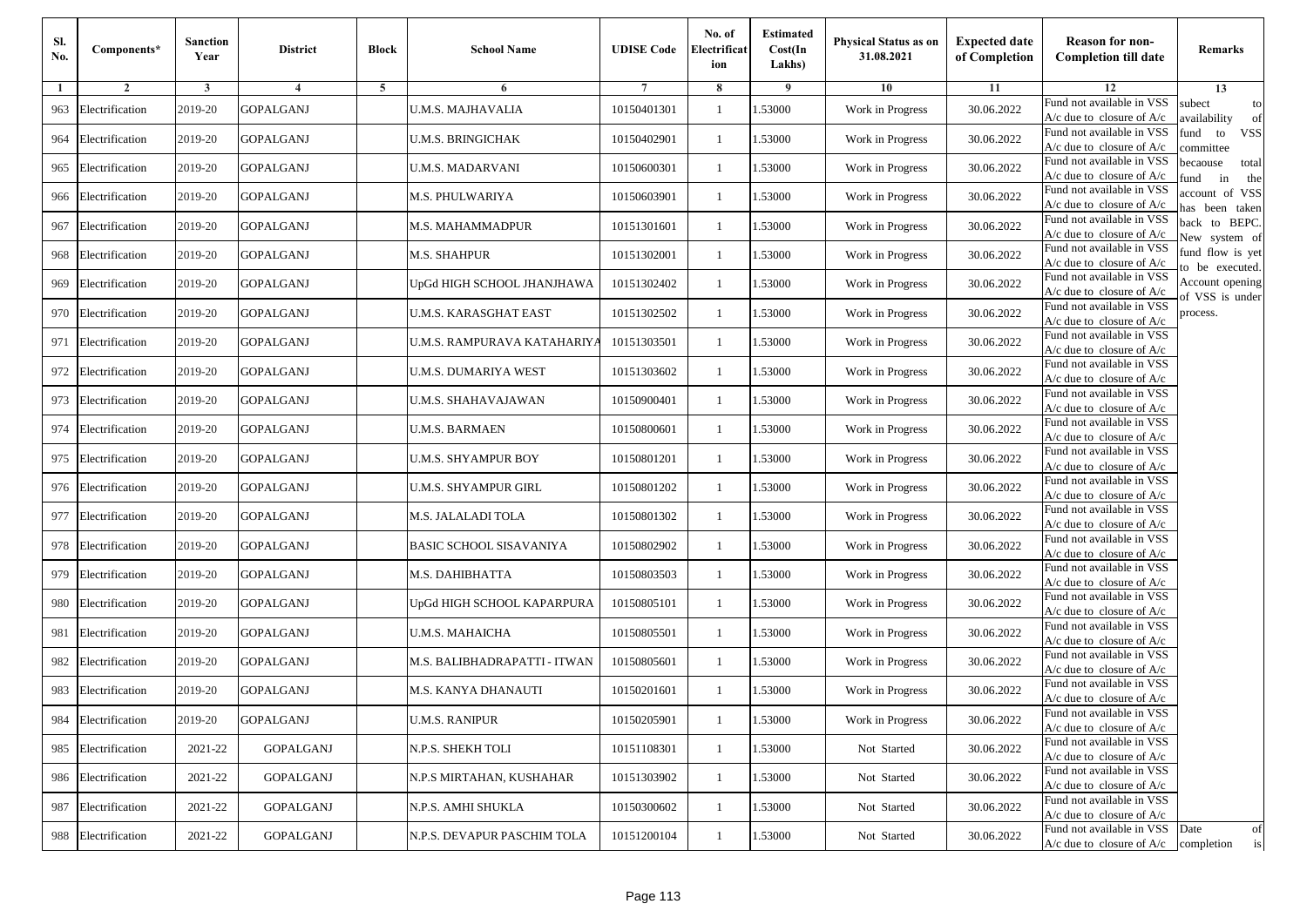| Sl.<br>No. | Components*         | <b>Sanction</b><br>Year | <b>District</b>  | <b>Block</b> | <b>School Name</b>             | <b>UDISE Code</b> | No. of<br>Electrificat<br>ion | <b>Estimated</b><br>Cost(In<br>Lakhs) | <b>Physical Status as on</b><br>31.08.2021 | <b>Expected date</b><br>of Completion | <b>Reason for non-</b><br><b>Completion till date</b>                 | Remarks                               |
|------------|---------------------|-------------------------|------------------|--------------|--------------------------------|-------------------|-------------------------------|---------------------------------------|--------------------------------------------|---------------------------------------|-----------------------------------------------------------------------|---------------------------------------|
| -1         | $\overline{2}$      | 3                       | $\overline{4}$   | 5            | 6                              |                   | 8                             | 9                                     | 10                                         | 11                                    | 12                                                                    | 13                                    |
| 963        | Electrification     | 2019-20                 | <b>GOPALGANJ</b> |              | <b>U.M.S. MAJHAVALIA</b>       | 10150401301       | $\mathbf{1}$                  | 1.53000                               | Work in Progress                           | 30.06.2022                            | Fund not available in VSS<br>$A/c$ due to closure of $A/c$            | subect<br>to<br>wailability<br>of     |
| 964        | Electrification     | 2019-20                 | <b>GOPALGANJ</b> |              | U.M.S. BRINGICHAK              | 10150402901       | $\mathbf{1}$                  | 1.53000                               | Work in Progress                           | 30.06.2022                            | Fund not available in VSS<br>$A/c$ due to closure of $A/c$            | fund<br>to<br><b>VSS</b><br>ommittee  |
| 965        | Electrification     | 2019-20                 | <b>GOPALGANJ</b> |              | U.M.S. MADARVANI               | 10150600301       | -1                            | 1.53000                               | Work in Progress                           | 30.06.2022                            | Fund not available in VSS<br>$A/c$ due to closure of $A/c$            | becaouse<br>total<br>und<br>in<br>the |
| 966        | Electrification     | 2019-20                 | <b>GOPALGANJ</b> |              | M.S. PHULWARIYA                | 10150603901       | -1                            | 1.53000                               | Work in Progress                           | 30.06.2022                            | Fund not available in VSS<br>A/c due to closure of A/c                | ccount of VSS<br>as been taken        |
| 967        | Electrification     | 2019-20                 | <b>GOPALGANJ</b> |              | M.S. MAHAMMADPUR               | 10151301601       | $\mathbf{1}$                  | 1.53000                               | Work in Progress                           | 30.06.2022                            | Fund not available in VSS<br>A/c due to closure of $A/c$              | back to BEPC.<br>New system of        |
| 968        | Electrification     | 2019-20                 | <b>GOPALGANJ</b> |              | M.S. SHAHPUR                   | 10151302001       | -1                            | 1.53000                               | Work in Progress                           | 30.06.2022                            | Fund not available in VSS<br>A/c due to closure of $A/c$              | fund flow is yet<br>o be executed.    |
| 969        | Electrification     | 2019-20                 | <b>GOPALGANJ</b> |              | UpGd HIGH SCHOOL JHANJHAWA     | 10151302402       | -1                            | 1.53000                               | Work in Progress                           | 30.06.2022                            | Fund not available in VSS<br>A/c due to closure of $A/c$              | Account opening<br>of VSS is under    |
| 970        | Electrification     | 2019-20                 | <b>GOPALGANJ</b> |              | U.M.S. KARASGHAT EAST          | 10151302502       | 1                             | 1.53000                               | Work in Progress                           | 30.06.2022                            | Fund not available in VSS<br>$A/c$ due to closure of $A/c$            | process.                              |
| 971        | Electrification     | 2019-20                 | <b>GOPALGANJ</b> |              | U.M.S. RAMPURAVA KATAHARIYA    | 10151303501       | -1                            | 1.53000                               | Work in Progress                           | 30.06.2022                            | Fund not available in VSS<br>$A/c$ due to closure of $A/c$            |                                       |
| 972        | Electrification     | 2019-20                 | <b>GOPALGANJ</b> |              | U.M.S. DUMARIYA WEST           | 10151303602       | $\mathbf{1}$                  | 1.53000                               | Work in Progress                           | 30.06.2022                            | Fund not available in VSS<br>$A/c$ due to closure of $A/c$            |                                       |
| 973        | Electrification     | 2019-20                 | <b>GOPALGANJ</b> |              | U.M.S. SHAHAVAJAWAN            | 10150900401       | 1                             | 1.53000                               | Work in Progress                           | 30.06.2022                            | Fund not available in VSS<br>$A/c$ due to closure of $A/c$            |                                       |
| 974        | Electrification     | 2019-20                 | <b>GOPALGANJ</b> |              | U.M.S. BARMAEN                 | 10150800601       | 1                             | 1.53000                               | Work in Progress                           | 30.06.2022                            | Fund not available in VSS<br>$A/c$ due to closure of $A/c$            |                                       |
| 975        | Electrification     | 2019-20                 | <b>GOPALGANJ</b> |              | U.M.S. SHYAMPUR BOY            | 10150801201       | -1                            | 1.53000                               | Work in Progress                           | 30.06.2022                            | Fund not available in VSS<br>$A/c$ due to closure of $A/c$            |                                       |
| 976        | Electrification     | 2019-20                 | <b>GOPALGANJ</b> |              | U.M.S. SHYAMPUR GIRL           | 10150801202       | $\mathbf{1}$                  | 1.53000                               | Work in Progress                           | 30.06.2022                            | Fund not available in VSS<br>$A/c$ due to closure of $A/c$            |                                       |
| 977        | Electrification     | 2019-20                 | <b>GOPALGANJ</b> |              | M.S. JALALADI TOLA             | 10150801302       | -1                            | 1.53000                               | Work in Progress                           | 30.06.2022                            | Fund not available in VSS<br>$A/c$ due to closure of $A/c$            |                                       |
| 978        | Electrification     | 2019-20                 | <b>GOPALGANJ</b> |              | <b>BASIC SCHOOL SISAVANIYA</b> | 10150802902       | -1                            | 1.53000                               | Work in Progress                           | 30.06.2022                            | Fund not available in VSS<br>$A/c$ due to closure of $A/c$            |                                       |
| 979        | Electrification     | 2019-20                 | <b>GOPALGANJ</b> |              | M.S. DAHIBHATTA                | 10150803503       | -1                            | 1.53000                               | Work in Progress                           | 30.06.2022                            | Fund not available in VSS<br>$A/c$ due to closure of $A/c$            |                                       |
| 980        | Electrification     | 2019-20                 | <b>GOPALGANJ</b> |              | UpGd HIGH SCHOOL KAPARPURA     | 10150805101       | $\mathbf{1}$                  | 1.53000                               | Work in Progress                           | 30.06.2022                            | Fund not available in VSS<br>$A/c$ due to closure of $A/c$            |                                       |
| 981        | Electrification     | 2019-20                 | <b>GOPALGANJ</b> |              | U.M.S. MAHAICHA                | 10150805501       | -1                            | 1.53000                               | Work in Progress                           | 30.06.2022                            | Fund not available in VSS<br>$A/c$ due to closure of $A/c$            |                                       |
| 982        | Electrification     | 2019-20                 | <b>GOPALGANJ</b> |              | M.S. BALIBHADRAPATTI - ITWAN   | 10150805601       | -1                            | 1.53000                               | Work in Progress                           | 30.06.2022                            | Fund not available in VSS<br>$A/c$ due to closure of $A/c$            |                                       |
| 983        | Electrification     | 2019-20                 | <b>GOPALGANJ</b> |              | M.S. KANYA DHANAUTI            | 10150201601       | -1                            | .53000                                | Work in Progress                           | 30.06.2022                            | Fund not available in VSS<br>A/c due to closure of A/c                |                                       |
|            | 984 Electrification | 2019-20                 | <b>GOPALGANJ</b> |              | <b>U.M.S. RANIPUR</b>          | 10150205901       | $\mathbf{1}$                  | 1.53000                               | Work in Progress                           | 30.06.2022                            | Fund not available in VSS<br>A/c due to closure of A/c                |                                       |
|            | 985 Electrification | 2021-22                 | <b>GOPALGANJ</b> |              | N.P.S. SHEKH TOLI              | 10151108301       | $\mathbf{1}$                  | 1.53000                               | Not Started                                | 30.06.2022                            | Fund not available in VSS<br>$A/c$ due to closure of $A/c$            |                                       |
| 986        | Electrification     | 2021-22                 | GOPALGANJ        |              | N.P.S MIRTAHAN, KUSHAHAR       | 10151303902       | -1                            | 1.53000                               | Not Started                                | 30.06.2022                            | Fund not available in VSS<br>$A/c$ due to closure of $A/c$            |                                       |
| 987        | Electrification     | 2021-22                 | <b>GOPALGANJ</b> |              | N.P.S. AMHI SHUKLA             | 10150300602       | -1                            | 1.53000                               | Not Started                                | 30.06.2022                            | Fund not available in VSS<br>A/c due to closure of A/c                |                                       |
|            | 988 Electrification | 2021-22                 | GOPALGANJ        |              | N.P.S. DEVAPUR PASCHIM TOLA    | 10151200104       | $\mathbf{1}$                  | 1.53000                               | Not Started                                | 30.06.2022                            | Fund not available in VSS<br>$A/c$ due to closure of $A/c$ completion | Date<br>of<br>is                      |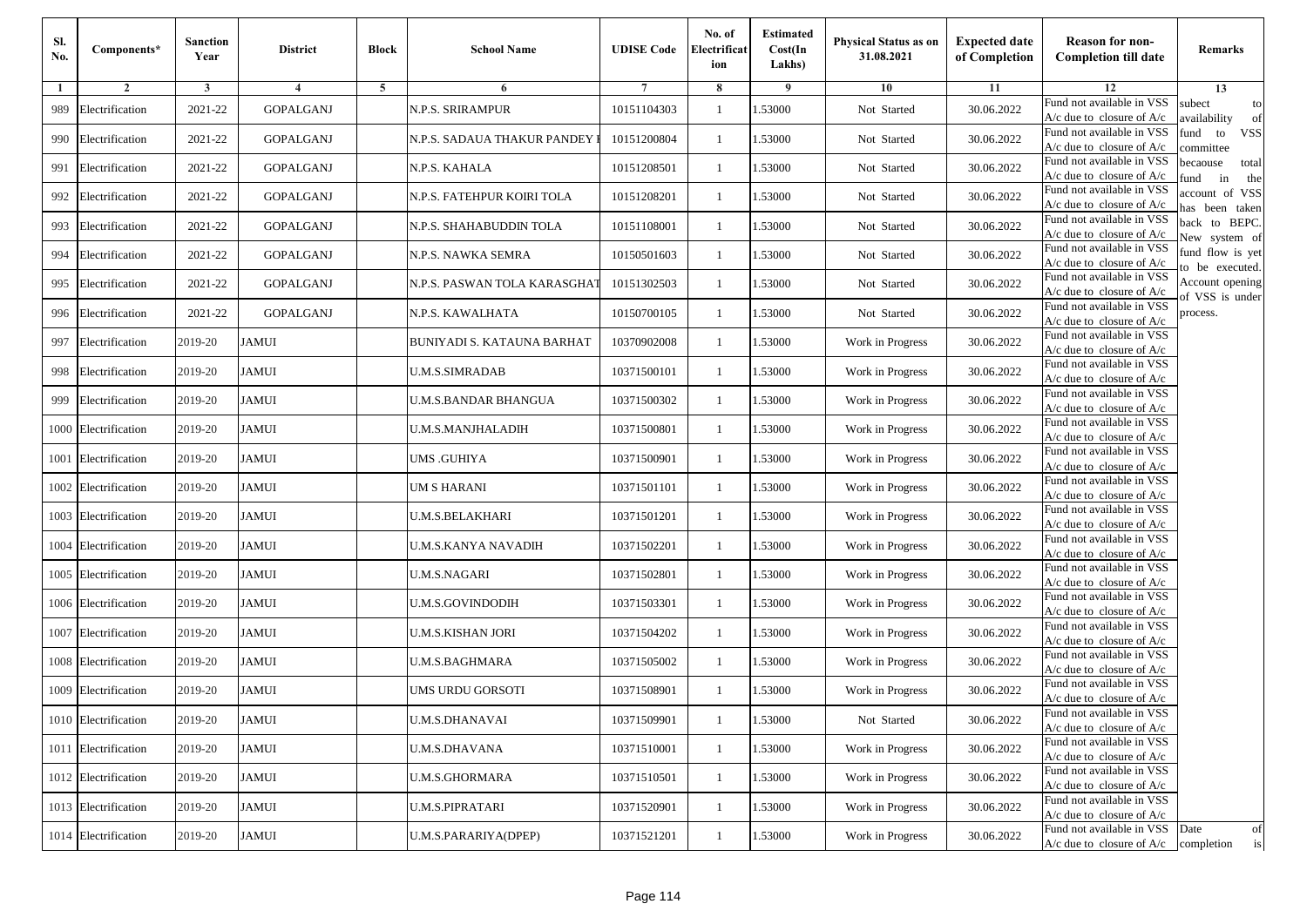| Sl.<br>No. | Components*          | <b>Sanction</b><br>Year | <b>District</b>  | <b>Block</b> | <b>School Name</b>           | <b>UDISE Code</b> | No. of<br>Electrificat<br>ion | <b>Estimated</b><br>Cost(In<br>Lakhs) | Physical Status as on<br>31.08.2021 | <b>Expected date</b><br>of Completion | <b>Reason for non-</b><br><b>Completion till date</b>                 | Remarks                               |
|------------|----------------------|-------------------------|------------------|--------------|------------------------------|-------------------|-------------------------------|---------------------------------------|-------------------------------------|---------------------------------------|-----------------------------------------------------------------------|---------------------------------------|
| 1          | $\overline{2}$       | 3                       | $\overline{4}$   | 5            | 6                            | 7                 | 8                             | 9                                     | 10                                  | 11                                    | 12                                                                    | 13                                    |
| 989        | Electrification      | 2021-22                 | <b>GOPALGANJ</b> |              | N.P.S. SRIRAMPUR             | 10151104303       | -1                            | 1.53000                               | Not Started                         | 30.06.2022                            | Fund not available in VSS<br>$A/c$ due to closure of $A/c$            | subect<br>to<br>wailability<br>of     |
| 990        | Electrification      | 2021-22                 | <b>GOPALGANJ</b> |              | N.P.S. SADAUA THAKUR PANDEY  | 10151200804       | $\mathbf{1}$                  | 1.53000                               | Not Started                         | 30.06.2022                            | Fund not available in VSS<br>$A/c$ due to closure of $A/c$            | fund<br>to<br><b>VSS</b><br>ommittee  |
| 991        | Electrification      | 2021-22                 | <b>GOPALGANJ</b> |              | N.P.S. KAHALA                | 10151208501       | $\mathbf{1}$                  | 1.53000                               | Not Started                         | 30.06.2022                            | Fund not available in VSS<br>$A/c$ due to closure of $A/c$            | pecaouse<br>total<br>und<br>in<br>the |
| 992        | Electrification      | 2021-22                 | GOPALGANJ        |              | N.P.S. FATEHPUR KOIRI TOLA   | 10151208201       | -1                            | 1.53000                               | Not Started                         | 30.06.2022                            | Fund not available in VSS<br>$A/c$ due to closure of $A/c$            | ccount of VSS<br>as been taken        |
| 993        | Electrification      | 2021-22                 | <b>GOPALGANJ</b> |              | N.P.S. SHAHABUDDIN TOLA      | 10151108001       | $\mathbf{1}$                  | 1.53000                               | Not Started                         | 30.06.2022                            | Fund not available in VSS<br>A/c due to closure of $A/c$              | back to BEPC.<br>New system of        |
| 994        | Electrification      | 2021-22                 | <b>GOPALGANJ</b> |              | N.P.S. NAWKA SEMRA           | 10150501603       | -1                            | 1.53000                               | Not Started                         | 30.06.2022                            | Fund not available in VSS<br>A/c due to closure of $A/c$              | fund flow is yet<br>o be executed.    |
| 995        | Electrification      | 2021-22                 | <b>GOPALGANJ</b> |              | N.P.S. PASWAN TOLA KARASGHAT | 10151302503       | -1                            | 1.53000                               | Not Started                         | 30.06.2022                            | Fund not available in VSS<br>$A/c$ due to closure of $A/c$            | Account opening<br>of VSS is under    |
| 996        | Electrification      | 2021-22                 | <b>GOPALGANJ</b> |              | N.P.S. KAWALHATA             | 10150700105       | -1                            | 1.53000                               | Not Started                         | 30.06.2022                            | Fund not available in VSS<br>$A/c$ due to closure of $A/c$            | process.                              |
| 997        | Electrification      | 2019-20                 | <b>JAMUI</b>     |              | BUNIYADI S. KATAUNA BARHAT   | 10370902008       | -1                            | 1.53000                               | Work in Progress                    | 30.06.2022                            | Fund not available in VSS<br>$A/c$ due to closure of $A/c$            |                                       |
| 998        | Electrification      | 2019-20                 | <b>JAMUI</b>     |              | <b>U.M.S.SIMRADAB</b>        | 10371500101       | $\mathbf{1}$                  | 1.53000                               | Work in Progress                    | 30.06.2022                            | Fund not available in VSS<br>$A/c$ due to closure of $A/c$            |                                       |
| 999        | Electrification      | 2019-20                 | <b>JAMUI</b>     |              | U.M.S.BANDAR BHANGUA         | 10371500302       | -1                            | 1.53000                               | Work in Progress                    | 30.06.2022                            | Fund not available in VSS<br>$A/c$ due to closure of $A/c$            |                                       |
| 1000       | Electrification      | 2019-20                 | <b>JAMUI</b>     |              | U.M.S.MANJHALADIH            | 10371500801       | -1                            | 1.53000                               | Work in Progress                    | 30.06.2022                            | Fund not available in VSS<br>$A/c$ due to closure of $A/c$            |                                       |
| 1001       | Electrification      | 2019-20                 | <b>JAMUI</b>     |              | UMS .GUHIYA                  | 10371500901       | -1                            | 1.53000                               | Work in Progress                    | 30.06.2022                            | Fund not available in VSS<br>$A/c$ due to closure of $A/c$            |                                       |
|            | 1002 Electrification | 2019-20                 | <b>JAMUI</b>     |              | UM S HARANI                  | 10371501101       | $\mathbf{1}$                  | 1.53000                               | Work in Progress                    | 30.06.2022                            | Fund not available in VSS<br>$A/c$ due to closure of $A/c$            |                                       |
|            | 1003 Electrification | 2019-20                 | <b>JAMUI</b>     |              | U.M.S.BELAKHARI              | 10371501201       | -1                            | 1.53000                               | Work in Progress                    | 30.06.2022                            | Fund not available in VSS<br>$A/c$ due to closure of $A/c$            |                                       |
| 1004       | Electrification      | 2019-20                 | <b>JAMUI</b>     |              | U.M.S.KANYA NAVADIH          | 10371502201       | -1                            | 1.53000                               | Work in Progress                    | 30.06.2022                            | Fund not available in VSS<br>A/c due to closure of A/c                |                                       |
| 1005       | Electrification      | 2019-20                 | <b>JAMUI</b>     |              | U.M.S.NAGARI                 | 10371502801       | $\mathbf{1}$                  | 1.53000                               | Work in Progress                    | 30.06.2022                            | Fund not available in VSS<br>$A/c$ due to closure of $A/c$            |                                       |
|            | 1006 Electrification | 2019-20                 | <b>JAMUI</b>     |              | U.M.S.GOVINDODIH             | 10371503301       | $\mathbf{1}$                  | 1.53000                               | Work in Progress                    | 30.06.2022                            | Fund not available in VSS<br>$A/c$ due to closure of $A/c$            |                                       |
| 1007       | Electrification      | 2019-20                 | <b>JAMUI</b>     |              | U.M.S.KISHAN JORI            | 10371504202       | -1                            | 1.53000                               | Work in Progress                    | 30.06.2022                            | Fund not available in VSS<br>$A/c$ due to closure of $A/c$            |                                       |
|            | 1008 Electrification | 2019-20                 | <b>JAMUI</b>     |              | U.M.S.BAGHMARA               | 10371505002       | -1                            | 1.53000                               | Work in Progress                    | 30.06.2022                            | Fund not available in VSS<br>$A/c$ due to closure of $A/c$            |                                       |
| 1009       | Electrification      | 2019-20                 | JAMUI            |              | UMS URDU GORSOTI             | 10371508901       | -1                            | .53000                                | Work in Progress                    | 30.06.2022                            | Fund not available in VSS<br>A/c due to closure of A/c                |                                       |
|            | 1010 Electrification | 2019-20                 | <b>JAMUI</b>     |              | <b>U.M.S.DHANAVAI</b>        | 10371509901       | $\mathbf{1}$                  | 1.53000                               | Not Started                         | 30.06.2022                            | Fund not available in VSS<br>A/c due to closure of A/c                |                                       |
|            | 1011 Electrification | 2019-20                 | <b>JAMUI</b>     |              | <b>U.M.S.DHAVANA</b>         | 10371510001       | $\mathbf{1}$                  | 1.53000                               | Work in Progress                    | 30.06.2022                            | Fund not available in VSS<br>$A/c$ due to closure of $A/c$            |                                       |
|            | 1012 Electrification | 2019-20                 | <b>JAMUI</b>     |              | <b>U.M.S.GHORMARA</b>        | 10371510501       | -1                            | 1.53000                               | Work in Progress                    | 30.06.2022                            | Fund not available in VSS<br>$A/c$ due to closure of $A/c$            |                                       |
|            | 1013 Electrification | 2019-20                 | <b>JAMUI</b>     |              | <b>U.M.S.PIPRATARI</b>       | 10371520901       | -1                            | 1.53000                               | Work in Progress                    | 30.06.2022                            | Fund not available in VSS<br>A/c due to closure of A/c                |                                       |
|            | 1014 Electrification | 2019-20                 | <b>JAMUI</b>     |              | U.M.S.PARARIYA(DPEP)         | 10371521201       | $\mathbf{1}$                  | 1.53000                               | Work in Progress                    | 30.06.2022                            | Fund not available in VSS<br>$A/c$ due to closure of $A/c$ completion | Date<br>of<br>is                      |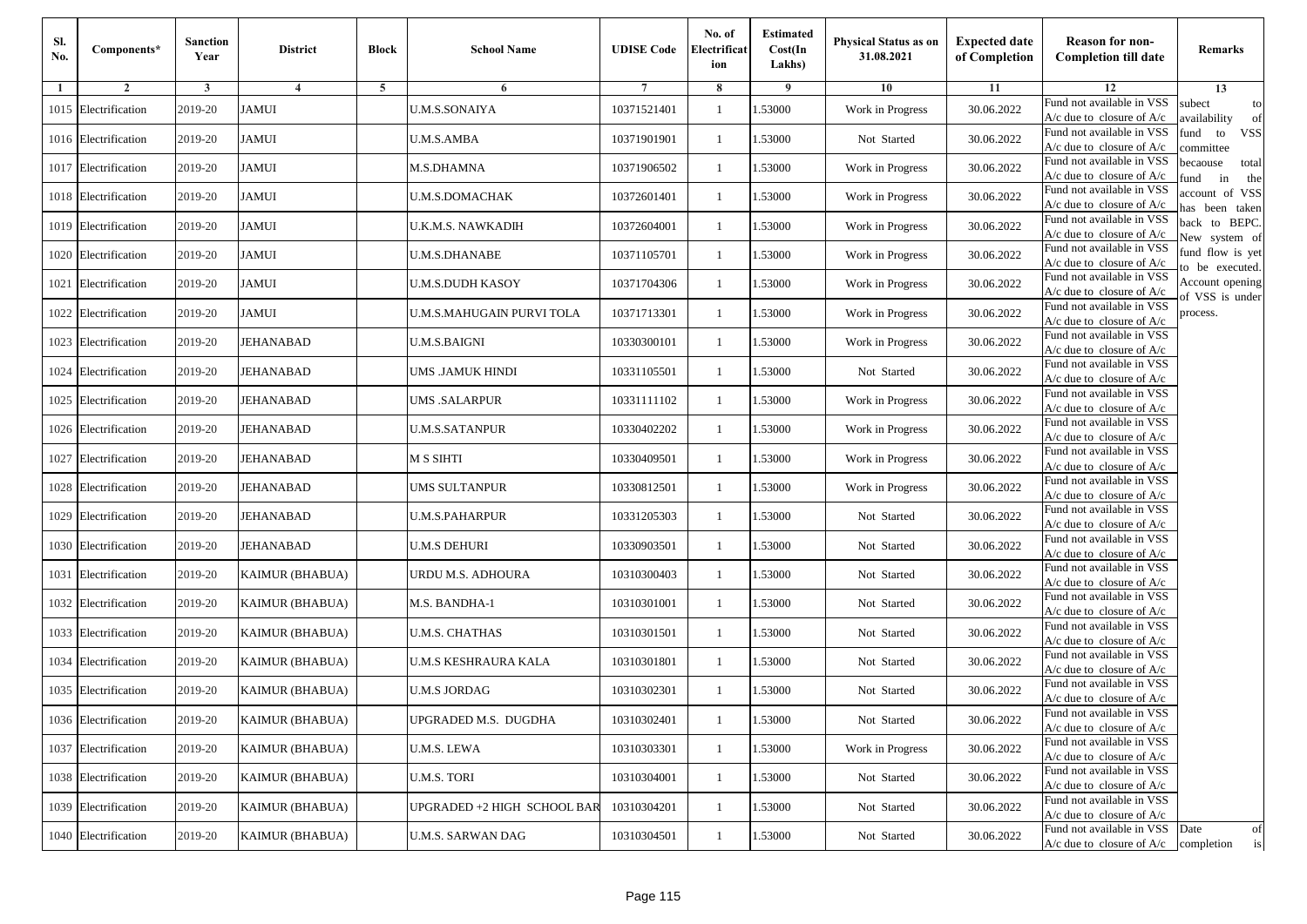| Sl.<br>No. | Components*          | <b>Sanction</b><br>Year | <b>District</b>        | <b>Block</b> | <b>School Name</b>          | <b>UDISE Code</b> | No. of<br>Electrificat<br>ion | <b>Estimated</b><br>Cost(In<br>Lakhs) | <b>Physical Status as on</b><br>31.08.2021 | <b>Expected date</b><br>of Completion | <b>Reason for non-</b><br><b>Completion till date</b>                 | Remarks                               |
|------------|----------------------|-------------------------|------------------------|--------------|-----------------------------|-------------------|-------------------------------|---------------------------------------|--------------------------------------------|---------------------------------------|-----------------------------------------------------------------------|---------------------------------------|
| -1         | $\overline{2}$       | 3                       | $\overline{4}$         | 5            | 6                           |                   | 8                             | 9                                     | 10                                         | 11                                    | 12                                                                    | 13                                    |
|            | 1015 Electrification | 2019-20                 | <b>JAMUI</b>           |              | <b>U.M.S.SONAIYA</b>        | 10371521401       | $\mathbf{1}$                  | 1.53000                               | Work in Progress                           | 30.06.2022                            | Fund not available in VSS<br>$A/c$ due to closure of $A/c$            | subect<br>to<br>wailability<br>of     |
|            | 1016 Electrification | 2019-20                 | <b>JAMUI</b>           |              | <b>U.M.S.AMBA</b>           | 10371901901       | $\mathbf{1}$                  | 1.53000                               | Not Started                                | 30.06.2022                            | Fund not available in VSS<br>$A/c$ due to closure of $A/c$            | fund<br>to<br><b>VSS</b><br>ommittee  |
|            | 1017 Electrification | 2019-20                 | <b>JAMUI</b>           |              | M.S.DHAMNA                  | 10371906502       | -1                            | 1.53000                               | Work in Progress                           | 30.06.2022                            | Fund not available in VSS<br>$A/c$ due to closure of $A/c$            | becaouse<br>total<br>in<br>und<br>the |
|            | 1018 Electrification | 2019-20                 | <b>JAMUI</b>           |              | U.M.S.DOMACHAK              | 10372601401       | -1                            | 1.53000                               | Work in Progress                           | 30.06.2022                            | Fund not available in VSS<br>A/c due to closure of A/c                | ccount of VSS<br>as been taken        |
|            | 1019 Electrification | 2019-20                 | <b>JAMUI</b>           |              | U.K.M.S. NAWKADIH           | 10372604001       | $\mathbf{1}$                  | 1.53000                               | Work in Progress                           | 30.06.2022                            | Fund not available in VSS<br>A/c due to closure of $A/c$              | back to BEPC.<br>New system of        |
|            | 1020 Electrification | 2019-20                 | <b>JAMUI</b>           |              | U.M.S.DHANABE               | 10371105701       | 1                             | 1.53000                               | Work in Progress                           | 30.06.2022                            | Fund not available in VSS<br>A/c due to closure of $A/c$              | fund flow is yet<br>o be executed.    |
| 1021       | Electrification      | 2019-20                 | <b>JAMUI</b>           |              | U.M.S.DUDH KASOY            | 10371704306       | -1                            | 1.53000                               | Work in Progress                           | 30.06.2022                            | Fund not available in VSS<br>$A/c$ due to closure of $A/c$            | Account opening<br>of VSS is under    |
|            | 1022 Electrification | 2019-20                 | <b>JAMUI</b>           |              | U.M.S.MAHUGAIN PURVI TOLA   | 10371713301       | 1                             | 1.53000                               | Work in Progress                           | 30.06.2022                            | Fund not available in VSS<br>$A/c$ due to closure of $A/c$            | process.                              |
| 1023       | Electrification      | 2019-20                 | <b>JEHANABAD</b>       |              | U.M.S.BAIGNI                | 10330300101       | -1                            | 1.53000                               | Work in Progress                           | 30.06.2022                            | Fund not available in VSS<br>$A/c$ due to closure of $A/c$            |                                       |
| 1024       | Electrification      | 2019-20                 | <b>JEHANABAD</b>       |              | UMS .JAMUK HINDI            | 10331105501       | $\mathbf{1}$                  | 1.53000                               | Not Started                                | 30.06.2022                            | Fund not available in VSS<br>$A/c$ due to closure of $A/c$            |                                       |
|            | 1025 Electrification | 2019-20                 | <b>JEHANABAD</b>       |              | UMS .SALARPUR               | 10331111102       | 1                             | 1.53000                               | Work in Progress                           | 30.06.2022                            | Fund not available in VSS<br>$A/c$ due to closure of $A/c$            |                                       |
|            | 1026 Electrification | 2019-20                 | <b>JEHANABAD</b>       |              | U.M.S.SATANPUR              | 10330402202       | 1                             | 1.53000                               | Work in Progress                           | 30.06.2022                            | Fund not available in VSS<br>$A/c$ due to closure of $A/c$            |                                       |
| 1027       | Electrification      | 2019-20                 | JEHANABAD              |              | M S SIHTI                   | 10330409501       | -1                            | 1.53000                               | Work in Progress                           | 30.06.2022                            | Fund not available in VSS<br>$A/c$ due to closure of $A/c$            |                                       |
|            | 1028 Electrification | 2019-20                 | <b>JEHANABAD</b>       |              | UMS SULTANPUR               | 10330812501       | $\mathbf{1}$                  | 1.53000                               | Work in Progress                           | 30.06.2022                            | Fund not available in VSS<br>$A/c$ due to closure of $A/c$            |                                       |
|            | 1029 Electrification | 2019-20                 | <b>JEHANABAD</b>       |              | U.M.S.PAHARPUR              | 10331205303       | -1                            | 1.53000                               | Not Started                                | 30.06.2022                            | Fund not available in VSS<br>$A/c$ due to closure of $A/c$            |                                       |
|            | 1030 Electrification | 2019-20                 | <b>JEHANABAD</b>       |              | U.M.S DEHURI                | 10330903501       | -1                            | 1.53000                               | Not Started                                | 30.06.2022                            | Fund not available in VSS<br>$A/c$ due to closure of $A/c$            |                                       |
| 1031       | Electrification      | 2019-20                 | <b>KAIMUR (BHABUA)</b> |              | JRDU M.S. ADHOURA           | 10310300403       | -1                            | 1.53000                               | Not Started                                | 30.06.2022                            | Fund not available in VSS<br>$A/c$ due to closure of $A/c$            |                                       |
|            | 1032 Electrification | 2019-20                 | <b>KAIMUR (BHABUA)</b> |              | M.S. BANDHA-1               | 10310301001       | $\mathbf{1}$                  | 1.53000                               | Not Started                                | 30.06.2022                            | Fund not available in VSS<br>$A/c$ due to closure of $A/c$            |                                       |
|            | 1033 Electrification | 2019-20                 | <b>KAIMUR (BHABUA)</b> |              | <b>U.M.S. CHATHAS</b>       | 10310301501       | -1                            | 1.53000                               | Not Started                                | 30.06.2022                            | Fund not available in VSS<br>$A/c$ due to closure of $A/c$            |                                       |
|            | 1034 Electrification | 2019-20                 | <b>KAIMUR (BHABUA)</b> |              | U.M.S KESHRAURA KALA        | 10310301801       | 1                             | 1.53000                               | Not Started                                | 30.06.2022                            | Fund not available in VSS<br>$A/c$ due to closure of $A/c$            |                                       |
|            | 1035 Electrification | 2019-20                 | <b>KAIMUR (BHABUA)</b> |              | U.M.S JORDAG                | 10310302301       | -1                            | .53000                                | Not Started                                | 30.06.2022                            | Fund not available in VSS<br>A/c due to closure of A/c                |                                       |
|            | 1036 Electrification | 2019-20                 | <b>KAIMUR (BHABUA)</b> |              | UPGRADED M.S. DUGDHA        | 10310302401       | $\mathbf{1}$                  | 1.53000                               | Not Started                                | 30.06.2022                            | Fund not available in VSS<br>A/c due to closure of A/c                |                                       |
|            | 1037 Electrification | 2019-20                 | <b>KAIMUR (BHABUA)</b> |              | <b>U.M.S. LEWA</b>          | 10310303301       | $\mathbf{1}$                  | 1.53000                               | Work in Progress                           | 30.06.2022                            | Fund not available in VSS<br>$A/c$ due to closure of $A/c$            |                                       |
|            | 1038 Electrification | 2019-20                 | <b>KAIMUR (BHABUA)</b> |              | <b>U.M.S. TORI</b>          | 10310304001       | -1                            | 1.53000                               | Not Started                                | 30.06.2022                            | Fund not available in VSS<br>$A/c$ due to closure of $A/c$            |                                       |
|            | 1039 Electrification | 2019-20                 | <b>KAIMUR (BHABUA)</b> |              | UPGRADED +2 HIGH SCHOOL BAR | 10310304201       | -1                            | 1.53000                               | Not Started                                | 30.06.2022                            | Fund not available in VSS<br>A/c due to closure of A/c                |                                       |
|            | 1040 Electrification | 2019-20                 | <b>KAIMUR (BHABUA)</b> |              | U.M.S. SARWAN DAG           | 10310304501       | $\mathbf{1}$                  | 1.53000                               | Not Started                                | 30.06.2022                            | Fund not available in VSS<br>$A/c$ due to closure of $A/c$ completion | Date<br>of<br>is                      |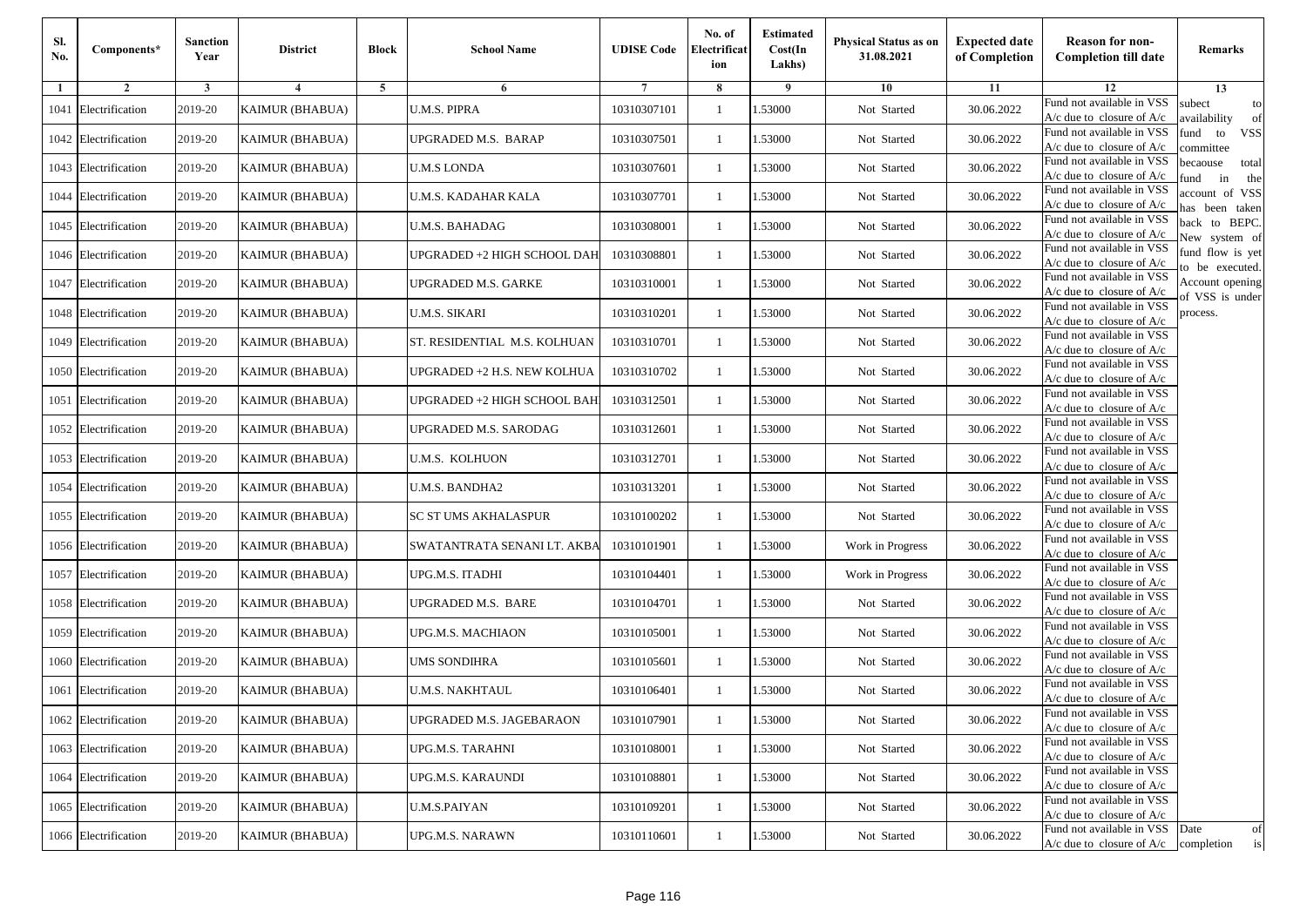| Sl.<br>No. | Components*          | <b>Sanction</b><br>Year | <b>District</b>        | <b>Block</b> | <b>School Name</b>           | <b>UDISE Code</b> | No. of<br>Electrificat<br>ion | <b>Estimated</b><br>Cost(In<br>Lakhs) | <b>Physical Status as on</b><br>31.08.2021 | <b>Expected date</b><br>of Completion | <b>Reason for non-</b><br><b>Completion till date</b>                 | Remarks                               |
|------------|----------------------|-------------------------|------------------------|--------------|------------------------------|-------------------|-------------------------------|---------------------------------------|--------------------------------------------|---------------------------------------|-----------------------------------------------------------------------|---------------------------------------|
| -1         | $\overline{2}$       | 3                       | 4                      | 5            | 6                            |                   | 8                             | 9                                     | 10                                         | 11                                    | 12                                                                    | 13                                    |
|            | 1041 Electrification | 2019-20                 | <b>KAIMUR (BHABUA)</b> |              | <b>U.M.S. PIPRA</b>          | 10310307101       | $\mathbf{1}$                  | .53000                                | Not Started                                | 30.06.2022                            | Fund not available in VSS<br>$A/c$ due to closure of $A/c$            | subect<br>to<br>availability<br>of    |
|            | 1042 Electrification | 2019-20                 | <b>KAIMUR (BHABUA)</b> |              | UPGRADED M.S. BARAP          | 10310307501       | 1                             | 1.53000                               | Not Started                                | 30.06.2022                            | Fund not available in VSS<br>$A/c$ due to closure of $A/c$            | fund<br><b>VSS</b><br>to<br>ommittee  |
|            | 1043 Electrification | 2019-20                 | <b>KAIMUR (BHABUA)</b> |              | <b>U.M.S LONDA</b>           | 10310307601       | 1                             | 1.53000                               | Not Started                                | 30.06.2022                            | Fund not available in VSS<br>$A/c$ due to closure of $A/c$            | becaouse<br>total<br>in<br>und<br>the |
|            | 1044 Electrification | 2019-20                 | <b>KAIMUR (BHABUA)</b> |              | U.M.S. KADAHAR KALA          | 10310307701       | $\mathbf{1}$                  | 1.53000                               | Not Started                                | 30.06.2022                            | Fund not available in VSS<br>$A/c$ due to closure of $A/c$            | account of VSS<br>as been taken       |
|            | 1045 Electrification | 2019-20                 | KAIMUR (BHABUA)        |              | U.M.S. BAHADAG               | 10310308001       | $\mathbf{1}$                  | 1.53000                               | Not Started                                | 30.06.2022                            | Fund not available in VSS<br>A/c due to closure of $A/c$              | back to BEPC.<br>New system of        |
|            | 1046 Electrification | 2019-20                 | <b>KAIMUR (BHABUA)</b> |              | UPGRADED +2 HIGH SCHOOL DAH  | 10310308801       | 1                             | 1.53000                               | Not Started                                | 30.06.2022                            | Fund not available in VSS<br>$A/c$ due to closure of $A/c$            | fund flow is yet<br>o be executed.    |
|            | 1047 Electrification | 2019-20                 | <b>KAIMUR (BHABUA)</b> |              | UPGRADED M.S. GARKE          | 10310310001       | 1                             | 1.53000                               | Not Started                                | 30.06.2022                            | Fund not available in VSS<br>$A/c$ due to closure of $A/c$            | Account opening<br>of VSS is under    |
|            | 1048 Electrification | 2019-20                 | <b>KAIMUR (BHABUA)</b> |              | <b>U.M.S. SIKARI</b>         | 10310310201       | $\mathbf{1}$                  | .53000                                | Not Started                                | 30.06.2022                            | Fund not available in VSS<br>$A/c$ due to closure of $A/c$            | process.                              |
|            | 1049 Electrification | 2019-20                 | <b>KAIMUR (BHABUA)</b> |              | ST. RESIDENTIAL M.S. KOLHUAN | 10310310701       | 1                             | .53000                                | Not Started                                | 30.06.2022                            | Fund not available in VSS<br>$A/c$ due to closure of $A/c$            |                                       |
|            | 1050 Electrification | 2019-20                 | <b>KAIMUR (BHABUA)</b> |              | UPGRADED +2 H.S. NEW KOLHUA  | 10310310702       | $\mathbf{1}$                  | 1.53000                               | Not Started                                | 30.06.2022                            | Fund not available in VSS<br>$A/c$ due to closure of $A/c$            |                                       |
|            | 1051 Electrification | 2019-20                 | <b>KAIMUR (BHABUA)</b> |              | UPGRADED +2 HIGH SCHOOL BAH  | 10310312501       | 1                             | 1.53000                               | Not Started                                | 30.06.2022                            | Fund not available in VSS<br>$A/c$ due to closure of $A/c$            |                                       |
|            | 1052 Electrification | 2019-20                 | <b>KAIMUR (BHABUA)</b> |              | UPGRADED M.S. SARODAG        | 10310312601       | $\mathbf{1}$                  | 1.53000                               | Not Started                                | 30.06.2022                            | Fund not available in VSS<br>$A/c$ due to closure of $A/c$            |                                       |
|            | 1053 Electrification | 2019-20                 | <b>KAIMUR (BHABUA)</b> |              | U.M.S. KOLHUON               | 10310312701       | $\mathbf{1}$                  | .53000                                | Not Started                                | 30.06.2022                            | Fund not available in VSS<br>$A/c$ due to closure of $A/c$            |                                       |
|            | 1054 Electrification | 2019-20                 | <b>KAIMUR (BHABUA)</b> |              | <b>U.M.S. BANDHA2</b>        | 10310313201       | $\mathbf{1}$                  | 1.53000                               | Not Started                                | 30.06.2022                            | Fund not available in VSS<br>$A/c$ due to closure of $A/c$            |                                       |
|            | 1055 Electrification | 2019-20                 | <b>KAIMUR (BHABUA)</b> |              | SC ST UMS AKHALASPUR         | 10310100202       | 1                             | 1.53000                               | Not Started                                | 30.06.2022                            | Fund not available in VSS<br>$A/c$ due to closure of $A/c$            |                                       |
|            | 1056 Electrification | 2019-20                 | <b>KAIMUR (BHABUA)</b> |              | SWATANTRATA SENANI LT. AKBA  | 10310101901       | $\mathbf{1}$                  | .53000                                | Work in Progress                           | 30.06.2022                            | Fund not available in VSS<br>$A/c$ due to closure of $A/c$            |                                       |
|            | 1057 Electrification | 2019-20                 | <b>KAIMUR (BHABUA)</b> |              | UPG.M.S. ITADHI              | 10310104401       | 1                             | .53000                                | Work in Progress                           | 30.06.2022                            | Fund not available in VSS<br>$A/c$ due to closure of $A/c$            |                                       |
|            | 1058 Electrification | 2019-20                 | <b>KAIMUR (BHABUA)</b> |              | UPGRADED M.S. BARE           | 10310104701       | $\mathbf{1}$                  | 1.53000                               | Not Started                                | 30.06.2022                            | Fund not available in VSS<br>$A/c$ due to closure of $A/c$            |                                       |
|            | 1059 Electrification | 2019-20                 | <b>KAIMUR (BHABUA)</b> |              | UPG.M.S. MACHIAON            | 10310105001       | 1                             | 1.53000                               | Not Started                                | 30.06.2022                            | Fund not available in VSS<br>$A/c$ due to closure of $A/c$            |                                       |
|            | 1060 Electrification | 2019-20                 | <b>KAIMUR (BHABUA)</b> |              | UMS SONDIHRA                 | 10310105601       | 1                             | 1.53000                               | Not Started                                | 30.06.2022                            | Fund not available in VSS<br>$A/c$ due to closure of $A/c$            |                                       |
|            | 1061 Electrification | 2019-20                 | KAIMUR (BHABUA)        |              | U.M.S. NAKHTAUL              | 10310106401       | 1                             | .53000                                | Not Started                                | 30.06.2022                            | Fund not available in VSS<br>A/c due to closure of A/c                |                                       |
|            | 1062 Electrification | 2019-20                 | <b>KAIMUR (BHABUA)</b> |              | UPGRADED M.S. JAGEBARAON     | 10310107901       | $\mathbf{1}$                  | 1.53000                               | Not Started                                | 30.06.2022                            | Fund not available in VSS<br>A/c due to closure of A/c                |                                       |
|            | 1063 Electrification | 2019-20                 | <b>KAIMUR (BHABUA)</b> |              | UPG.M.S. TARAHNI             | 10310108001       | $\mathbf{1}$                  | 1.53000                               | Not Started                                | 30.06.2022                            | Fund not available in VSS<br>$A/c$ due to closure of $A/c$            |                                       |
|            | 1064 Electrification | 2019-20                 | <b>KAIMUR (BHABUA)</b> |              | UPG.M.S. KARAUNDI            | 10310108801       | 1                             | 1.53000                               | Not Started                                | 30.06.2022                            | Fund not available in VSS<br>$A/c$ due to closure of $A/c$            |                                       |
|            | 1065 Electrification | 2019-20                 | <b>KAIMUR (BHABUA)</b> |              | <b>U.M.S.PAIYAN</b>          | 10310109201       | 1                             | 1.53000                               | Not Started                                | 30.06.2022                            | Fund not available in VSS<br>A/c due to closure of A/c                |                                       |
|            | 1066 Electrification | 2019-20                 | <b>KAIMUR (BHABUA)</b> |              | UPG.M.S. NARAWN              | 10310110601       | $\mathbf{1}$                  | 1.53000                               | Not Started                                | 30.06.2022                            | Fund not available in VSS<br>$A/c$ due to closure of $A/c$ completion | Date<br>of<br>is                      |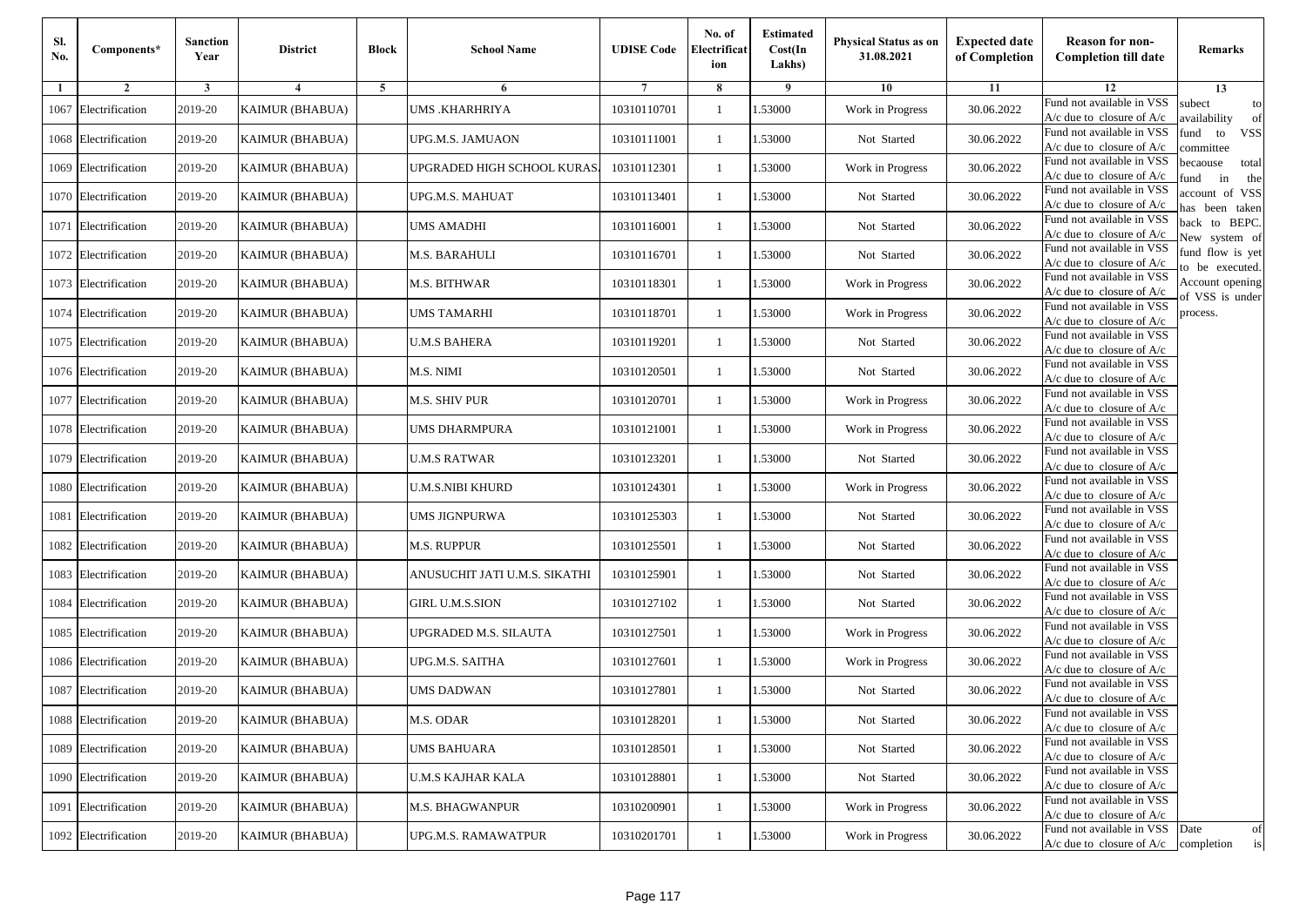| Sl.<br>No. | Components*          | <b>Sanction</b><br>Year | <b>District</b>        | <b>Block</b> | <b>School Name</b>            | <b>UDISE Code</b> | No. of<br>Electrificat<br>ion | <b>Estimated</b><br>Cost(In<br>Lakhs) | <b>Physical Status as on</b><br>31.08.2021 | <b>Expected date</b><br>of Completion | <b>Reason for non-</b><br><b>Completion till date</b>      | Remarks                               |
|------------|----------------------|-------------------------|------------------------|--------------|-------------------------------|-------------------|-------------------------------|---------------------------------------|--------------------------------------------|---------------------------------------|------------------------------------------------------------|---------------------------------------|
| -1         | $\overline{2}$       | 3                       | 4                      | 5            | 6                             |                   | 8                             | 9                                     | 10                                         | 11                                    | 12                                                         | 13                                    |
|            | 1067 Electrification | 2019-20                 | <b>KAIMUR (BHABUA)</b> |              | <b>UMS .KHARHRIYA</b>         | 10310110701       | $\mathbf{1}$                  | .53000                                | Work in Progress                           | 30.06.2022                            | Fund not available in VSS<br>$A/c$ due to closure of $A/c$ | subect<br>to<br>wailability<br>of     |
|            | 1068 Electrification | 2019-20                 | <b>KAIMUR (BHABUA)</b> |              | UPG.M.S. JAMUAON              | 10310111001       | 1                             | 1.53000                               | Not Started                                | 30.06.2022                            | Fund not available in VSS<br>$A/c$ due to closure of $A/c$ | fund<br><b>VSS</b><br>to<br>committee |
|            | 1069 Electrification | 2019-20                 | <b>KAIMUR (BHABUA)</b> |              | UPGRADED HIGH SCHOOL KURAS.   | 10310112301       | 1                             | 1.53000                               | Work in Progress                           | 30.06.2022                            | Fund not available in VSS<br>$A/c$ due to closure of $A/c$ | becaouse<br>total<br>in<br>und<br>the |
|            | 1070 Electrification | 2019-20                 | <b>KAIMUR (BHABUA)</b> |              | UPG.M.S. MAHUAT               | 10310113401       | $\mathbf{1}$                  | .53000                                | Not Started                                | 30.06.2022                            | Fund not available in VSS<br>A/c due to closure of A/c     | account of VSS<br>as been taken       |
|            | 1071 Electrification | 2019-20                 | KAIMUR (BHABUA)        |              | UMS AMADHI                    | 10310116001       | $\mathbf{1}$                  | .53000                                | Not Started                                | 30.06.2022                            | Fund not available in VSS<br>A/c due to closure of $A/c$   | back to BEPC.<br>New system of        |
|            | 1072 Electrification | 2019-20                 | <b>KAIMUR (BHABUA)</b> |              | M.S. BARAHULI                 | 10310116701       | $\mathbf{1}$                  | 1.53000                               | Not Started                                | 30.06.2022                            | Fund not available in VSS<br>A/c due to closure of $A/c$   | fund flow is yet<br>o be executed.    |
|            | 1073 Electrification | 2019-20                 | <b>KAIMUR (BHABUA)</b> |              | M.S. BITHWAR                  | 10310118301       | $\mathbf{1}$                  | 1.53000                               | Work in Progress                           | 30.06.2022                            | Fund not available in VSS<br>$A/c$ due to closure of $A/c$ | Account opening<br>of VSS is under    |
|            | 1074 Electrification | 2019-20                 | <b>KAIMUR (BHABUA)</b> |              | <b>UMS TAMARHI</b>            | 10310118701       | $\mathbf{1}$                  | .53000                                | Work in Progress                           | 30.06.2022                            | Fund not available in VSS<br>$A/c$ due to closure of $A/c$ | process.                              |
|            | 1075 Electrification | 2019-20                 | <b>KAIMUR (BHABUA)</b> |              | <b>U.M.S BAHERA</b>           | 10310119201       | 1                             | .53000                                | Not Started                                | 30.06.2022                            | Fund not available in VSS<br>$A/c$ due to closure of $A/c$ |                                       |
|            | 1076 Electrification | 2019-20                 | <b>KAIMUR (BHABUA)</b> |              | M.S. NIMI                     | 10310120501       | $\mathbf{1}$                  | 1.53000                               | Not Started                                | 30.06.2022                            | Fund not available in VSS<br>$A/c$ due to closure of $A/c$ |                                       |
|            | 1077 Electrification | 2019-20                 | <b>KAIMUR (BHABUA)</b> |              | M.S. SHIV PUR                 | 10310120701       | 1                             | 1.53000                               | Work in Progress                           | 30.06.2022                            | Fund not available in VSS<br>$A/c$ due to closure of $A/c$ |                                       |
|            | 1078 Electrification | 2019-20                 | <b>KAIMUR (BHABUA)</b> |              | UMS DHARMPURA                 | 10310121001       | 1                             | .53000                                | Work in Progress                           | 30.06.2022                            | Fund not available in VSS<br>$A/c$ due to closure of $A/c$ |                                       |
|            | 1079 Electrification | 2019-20                 | <b>KAIMUR (BHABUA)</b> |              | U.M.S RATWAR                  | 10310123201       | $\mathbf{1}$                  | .53000                                | Not Started                                | 30.06.2022                            | Fund not available in VSS<br>$A/c$ due to closure of $A/c$ |                                       |
|            | 1080 Electrification | 2019-20                 | <b>KAIMUR (BHABUA)</b> |              | <b>U.M.S.NIBI KHURD</b>       | 10310124301       | $\mathbf{1}$                  | .53000                                | Work in Progress                           | 30.06.2022                            | Fund not available in VSS<br>$A/c$ due to closure of $A/c$ |                                       |
|            | 1081 Electrification | 2019-20                 | <b>KAIMUR (BHABUA)</b> |              | UMS JIGNPURWA                 | 10310125303       | 1                             | 1.53000                               | Not Started                                | 30.06.2022                            | Fund not available in VSS<br>$A/c$ due to closure of $A/c$ |                                       |
|            | 1082 Electrification | 2019-20                 | <b>KAIMUR (BHABUA)</b> |              | <b>M.S. RUPPUR</b>            | 10310125501       | $\mathbf{1}$                  | .53000                                | Not Started                                | 30.06.2022                            | Fund not available in VSS<br>$A/c$ due to closure of $A/c$ |                                       |
|            | 1083 Electrification | 2019-20                 | <b>KAIMUR (BHABUA)</b> |              | ANUSUCHIT JATI U.M.S. SIKATHI | 10310125901       | 1                             | .53000                                | Not Started                                | 30.06.2022                            | Fund not available in VSS<br>A/c due to closure of A/c     |                                       |
|            | 1084 Electrification | 2019-20                 | <b>KAIMUR (BHABUA)</b> |              | <b>GIRL U.M.S.SION</b>        | 10310127102       | $\mathbf{1}$                  | 1.53000                               | Not Started                                | 30.06.2022                            | Fund not available in VSS<br>$A/c$ due to closure of $A/c$ |                                       |
|            | 1085 Electrification | 2019-20                 | <b>KAIMUR (BHABUA)</b> |              | UPGRADED M.S. SILAUTA         | 10310127501       | 1                             | 1.53000                               | Work in Progress                           | 30.06.2022                            | Fund not available in VSS<br>$A/c$ due to closure of $A/c$ |                                       |
|            | 1086 Electrification | 2019-20                 | <b>KAIMUR (BHABUA)</b> |              | UPG.M.S. SAITHA               | 10310127601       | $\mathbf{1}$                  | .53000                                | Work in Progress                           | 30.06.2022                            | Fund not available in VSS<br>$A/c$ due to closure of $A/c$ |                                       |
|            | 1087 Electrification | 2019-20                 | KAIMUR (BHABUA)        |              | UMS DADWAN                    | 10310127801       | 1                             | .53000                                | Not Started                                | 30.06.2022                            | Fund not available in VSS<br>A/c due to closure of A/c     |                                       |
|            | 1088 Electrification | 2019-20                 | <b>KAIMUR (BHABUA)</b> |              | M.S. ODAR                     | 10310128201       |                               | 1.53000                               | Not Started                                | 30.06.2022                            | Fund not available in VSS<br>A/c due to closure of A/c     |                                       |
|            | 1089 Electrification | 2019-20                 | <b>KAIMUR (BHABUA)</b> |              | <b>UMS BAHUARA</b>            | 10310128501       | $\mathbf{1}$                  | 1.53000                               | Not Started                                | 30.06.2022                            | Fund not available in VSS<br>$A/c$ due to closure of $A/c$ |                                       |
|            | 1090 Electrification | 2019-20                 | <b>KAIMUR (BHABUA)</b> |              | <b>U.M.S KAJHAR KALA</b>      | 10310128801       | $\mathbf{1}$                  | 1.53000                               | Not Started                                | 30.06.2022                            | Fund not available in VSS<br>$A/c$ due to closure of $A/c$ |                                       |
|            | 1091 Electrification | 2019-20                 | <b>KAIMUR (BHABUA)</b> |              | <b>M.S. BHAGWANPUR</b>        | 10310200901       | 1                             | .53000                                | Work in Progress                           | 30.06.2022                            | Fund not available in VSS<br>A/c due to closure of A/c     |                                       |
|            | 1092 Electrification | 2019-20                 | <b>KAIMUR (BHABUA)</b> |              | UPG.M.S. RAMAWATPUR           | 10310201701       | $\mathbf{1}$                  | 1.53000                               | Work in Progress                           | 30.06.2022                            | Fund not available in VSS<br>$A/c$ due to closure of $A/c$ | Date<br>of<br>is<br>completion        |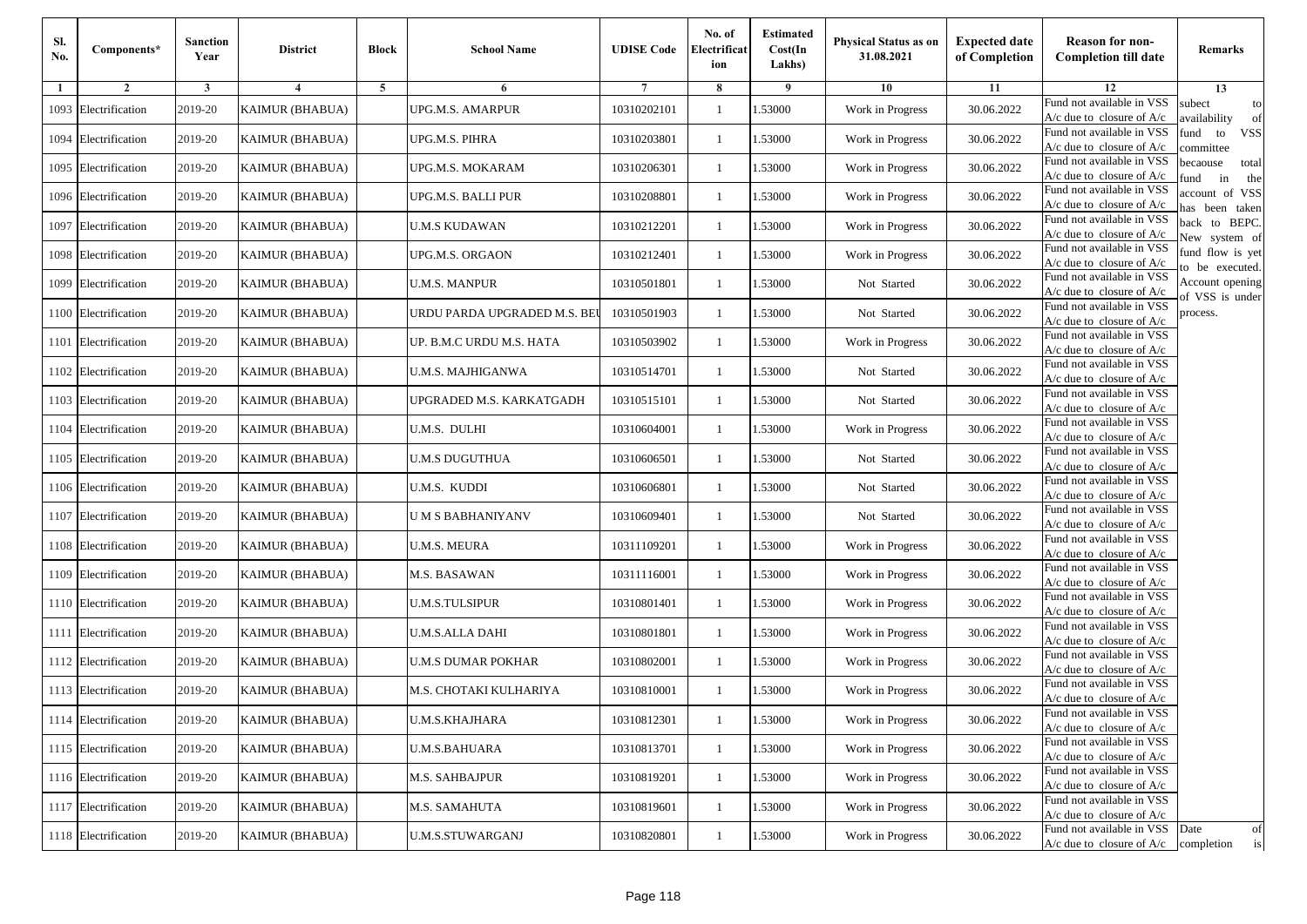| Sl.<br>No. | Components*          | <b>Sanction</b><br>Year | <b>District</b>        | <b>Block</b> | <b>School Name</b>           | <b>UDISE Code</b> | No. of<br>Electrificat<br>ion | <b>Estimated</b><br>Cost(In<br>Lakhs) | <b>Physical Status as on</b><br>31.08.2021 | <b>Expected date</b><br>of Completion | <b>Reason for non-</b><br><b>Completion till date</b>      | Remarks                               |
|------------|----------------------|-------------------------|------------------------|--------------|------------------------------|-------------------|-------------------------------|---------------------------------------|--------------------------------------------|---------------------------------------|------------------------------------------------------------|---------------------------------------|
| -1         | $\overline{2}$       | 3                       | $\overline{4}$         | 5            | 6                            |                   | 8                             | 9                                     | 10                                         | 11                                    | 12                                                         | 13                                    |
|            | 1093 Electrification | 2019-20                 | <b>KAIMUR (BHABUA)</b> |              | UPG.M.S. AMARPUR             | 10310202101       | $\mathbf{1}$                  | .53000                                | Work in Progress                           | 30.06.2022                            | Fund not available in VSS<br>$A/c$ due to closure of $A/c$ | subect<br>to<br>availability<br>of    |
|            | 1094 Electrification | 2019-20                 | <b>KAIMUR (BHABUA)</b> |              | UPG.M.S. PIHRA               | 10310203801       | 1                             | 1.53000                               | Work in Progress                           | 30.06.2022                            | Fund not available in VSS<br>$A/c$ due to closure of $A/c$ | fund<br><b>VSS</b><br>to<br>committee |
|            | 1095 Electrification | 2019-20                 | <b>KAIMUR (BHABUA)</b> |              | UPG.M.S. MOKARAM             | 10310206301       | 1                             | 1.53000                               | Work in Progress                           | 30.06.2022                            | Fund not available in VSS<br>$A/c$ due to closure of $A/c$ | becaouse<br>total<br>in<br>und<br>the |
|            | 1096 Electrification | 2019-20                 | <b>KAIMUR (BHABUA)</b> |              | UPG.M.S. BALLI PUR           | 10310208801       | $\mathbf{1}$                  | .53000                                | Work in Progress                           | 30.06.2022                            | Fund not available in VSS<br>A/c due to closure of A/c     | account of VSS<br>as been taken       |
|            | 1097 Electrification | 2019-20                 | KAIMUR (BHABUA)        |              | <b>U.M.S KUDAWAN</b>         | 10310212201       | $\mathbf{1}$                  | .53000                                | Work in Progress                           | 30.06.2022                            | Fund not available in VSS<br>$A/c$ due to closure of $A/c$ | back to BEPC.<br>New system of        |
|            | 1098 Electrification | 2019-20                 | <b>KAIMUR (BHABUA)</b> |              | UPG.M.S. ORGAON              | 10310212401       | $\mathbf{1}$                  | 1.53000                               | Work in Progress                           | 30.06.2022                            | Fund not available in VSS<br>A/c due to closure of $A/c$   | fund flow is yet<br>o be executed.    |
|            | 1099 Electrification | 2019-20                 | <b>KAIMUR (BHABUA)</b> |              | <b>U.M.S. MANPUR</b>         | 10310501801       | $\mathbf{1}$                  | 1.53000                               | Not Started                                | 30.06.2022                            | Fund not available in VSS<br>$A/c$ due to closure of $A/c$ | Account opening<br>of VSS is under    |
|            | 1100 Electrification | 2019-20                 | <b>KAIMUR (BHABUA)</b> |              | URDU PARDA UPGRADED M.S. BEI | 10310501903       | $\mathbf{1}$                  | .53000                                | Not Started                                | 30.06.2022                            | Fund not available in VSS<br>$A/c$ due to closure of $A/c$ | process.                              |
|            | 1101 Electrification | 2019-20                 | <b>KAIMUR (BHABUA)</b> |              | UP. B.M.C URDU M.S. HATA     | 10310503902       | 1                             | .53000                                | Work in Progress                           | 30.06.2022                            | Fund not available in VSS<br>$A/c$ due to closure of $A/c$ |                                       |
|            | 1102 Electrification | 2019-20                 | <b>KAIMUR (BHABUA)</b> |              | U.M.S. MAJHIGANWA            | 10310514701       | $\mathbf{1}$                  | 1.53000                               | Not Started                                | 30.06.2022                            | Fund not available in VSS<br>$A/c$ due to closure of $A/c$ |                                       |
|            | 1103 Electrification | 2019-20                 | <b>KAIMUR (BHABUA)</b> |              | UPGRADED M.S. KARKATGADH     | 10310515101       | 1                             | 1.53000                               | Not Started                                | 30.06.2022                            | Fund not available in VSS<br>A/c due to closure of $A/c$   |                                       |
|            | 1104 Electrification | 2019-20                 | <b>KAIMUR (BHABUA)</b> |              | U.M.S. DULHI                 | 10310604001       | 1                             | .53000                                | Work in Progress                           | 30.06.2022                            | Fund not available in VSS<br>$A/c$ due to closure of $A/c$ |                                       |
|            | 1105 Electrification | 2019-20                 | <b>KAIMUR (BHABUA)</b> |              | U.M.S DUGUTHUA               | 10310606501       | $\mathbf{1}$                  | .53000                                | Not Started                                | 30.06.2022                            | Fund not available in VSS<br>$A/c$ due to closure of $A/c$ |                                       |
|            | 1106 Electrification | 2019-20                 | <b>KAIMUR (BHABUA)</b> |              | U.M.S. KUDDI                 | 10310606801       | $\mathbf{1}$                  | 1.53000                               | Not Started                                | 30.06.2022                            | Fund not available in VSS<br>$A/c$ due to closure of $A/c$ |                                       |
|            | 1107 Electrification | 2019-20                 | <b>KAIMUR (BHABUA)</b> |              | U M S BABHANIYANV            | 10310609401       | 1                             | 1.53000                               | Not Started                                | 30.06.2022                            | Fund not available in VSS<br>$A/c$ due to closure of $A/c$ |                                       |
|            | 1108 Electrification | 2019-20                 | <b>KAIMUR (BHABUA)</b> |              | <b>U.M.S. MEURA</b>          | 10311109201       | $\mathbf{1}$                  | .53000                                | Work in Progress                           | 30.06.2022                            | Fund not available in VSS<br>$A/c$ due to closure of $A/c$ |                                       |
|            | 1109 Electrification | 2019-20                 | <b>KAIMUR (BHABUA)</b> |              | M.S. BASAWAN                 | 10311116001       | 1                             | .53000                                | Work in Progress                           | 30.06.2022                            | Fund not available in VSS<br>$A/c$ due to closure of $A/c$ |                                       |
|            | 1110 Electrification | 2019-20                 | <b>KAIMUR (BHABUA)</b> |              | <b>U.M.S.TULSIPUR</b>        | 10310801401       | $\mathbf{1}$                  | 1.53000                               | Work in Progress                           | 30.06.2022                            | Fund not available in VSS<br>$A/c$ due to closure of $A/c$ |                                       |
|            | 1111 Electrification | 2019-20                 | <b>KAIMUR (BHABUA)</b> |              | U.M.S.ALLA DAHI              | 10310801801       | 1                             | 1.53000                               | Work in Progress                           | 30.06.2022                            | Fund not available in VSS<br>$A/c$ due to closure of $A/c$ |                                       |
|            | 1112 Electrification | 2019-20                 | <b>KAIMUR (BHABUA)</b> |              | <b>U.M.S DUMAR POKHAR</b>    | 10310802001       | 1                             | .53000                                | Work in Progress                           | 30.06.2022                            | Fund not available in VSS<br>$A/c$ due to closure of $A/c$ |                                       |
|            | 1113 Electrification | 2019-20                 | KAIMUR (BHABUA)        |              | M.S. CHOTAKI KULHARIYA       | 10310810001       | 1                             | .53000                                | Work in Progress                           | 30.06.2022                            | Fund not available in VSS<br>A/c due to closure of A/c     |                                       |
|            | 1114 Electrification | 2019-20                 | <b>KAIMUR (BHABUA)</b> |              | <b>U.M.S.KHAJHARA</b>        | 10310812301       |                               | 1.53000                               | Work in Progress                           | 30.06.2022                            | Fund not available in VSS<br>A/c due to closure of A/c     |                                       |
|            | 1115 Electrification | 2019-20                 | <b>KAIMUR (BHABUA)</b> |              | <b>U.M.S.BAHUARA</b>         | 10310813701       | $\mathbf{1}$                  | 1.53000                               | Work in Progress                           | 30.06.2022                            | Fund not available in VSS<br>$A/c$ due to closure of $A/c$ |                                       |
|            | 1116 Electrification | 2019-20                 | <b>KAIMUR (BHABUA)</b> |              | <b>M.S. SAHBAJPUR</b>        | 10310819201       | $\mathbf{1}$                  | 1.53000                               | Work in Progress                           | 30.06.2022                            | Fund not available in VSS<br>$A/c$ due to closure of $A/c$ |                                       |
|            | 1117 Electrification | 2019-20                 | <b>KAIMUR (BHABUA)</b> |              | M.S. SAMAHUTA                | 10310819601       | 1                             | 1.53000                               | Work in Progress                           | 30.06.2022                            | Fund not available in VSS<br>A/c due to closure of $A/c$   |                                       |
|            | 1118 Electrification | 2019-20                 | <b>KAIMUR (BHABUA)</b> |              | <b>U.M.S.STUWARGANJ</b>      | 10310820801       | $\mathbf{1}$                  | 1.53000                               | Work in Progress                           | 30.06.2022                            | Fund not available in VSS<br>$A/c$ due to closure of $A/c$ | Date<br>of<br>is<br>completion        |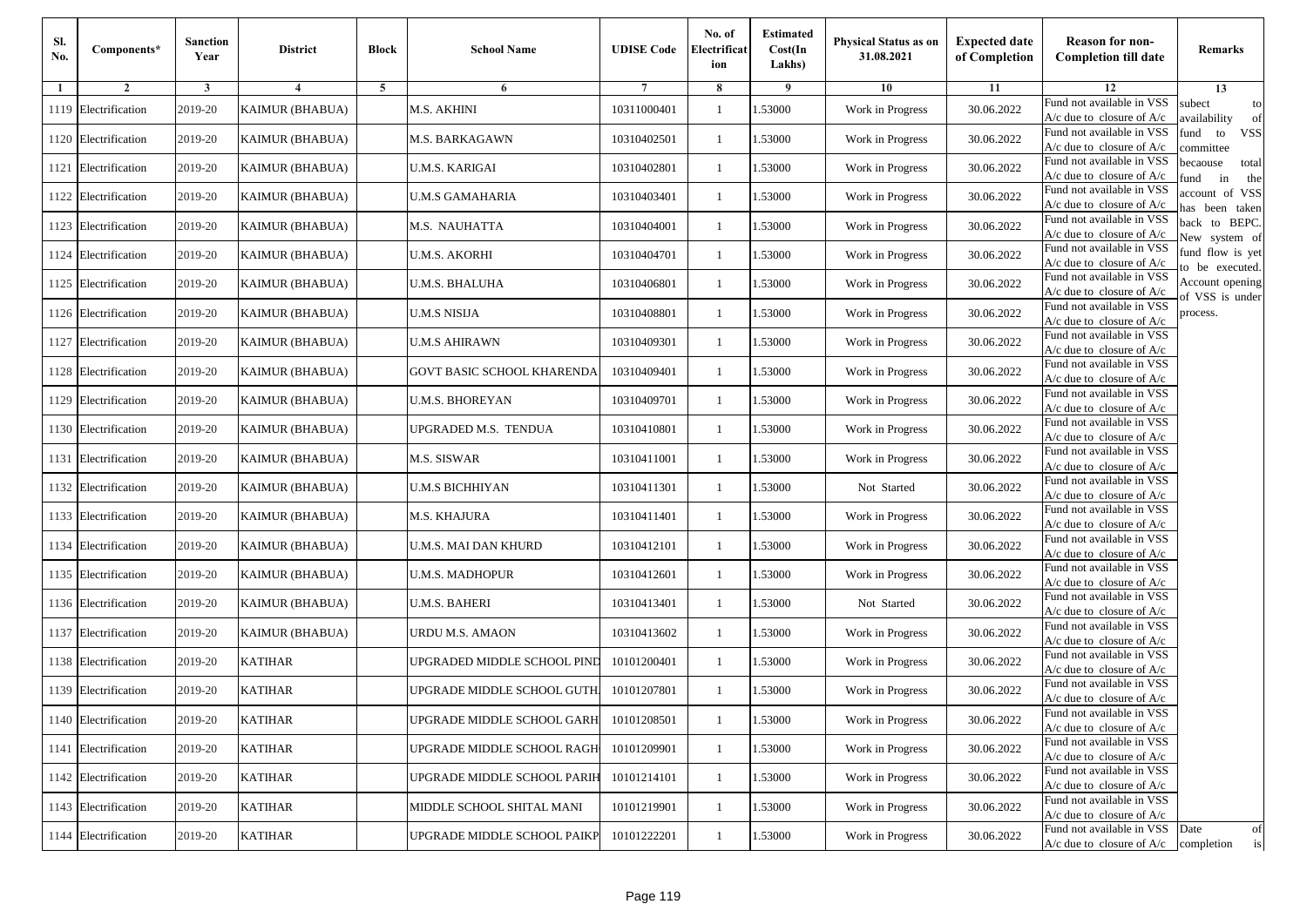| Sl.<br>No. | Components*          | <b>Sanction</b><br>Year | <b>District</b>        | <b>Block</b>   | <b>School Name</b>                | <b>UDISE Code</b> | No. of<br>Electrificat<br>ion | <b>Estimated</b><br>Cost(In<br>Lakhs) | <b>Physical Status as on</b><br>31.08.2021 | <b>Expected date</b><br>of Completion | <b>Reason for non-</b><br><b>Completion till date</b>                 | Remarks                               |
|------------|----------------------|-------------------------|------------------------|----------------|-----------------------------------|-------------------|-------------------------------|---------------------------------------|--------------------------------------------|---------------------------------------|-----------------------------------------------------------------------|---------------------------------------|
| -1         | $\overline{2}$       | 3                       | $\boldsymbol{4}$       | $\overline{5}$ | 6                                 |                   | 8                             | -9                                    | 10                                         | 11                                    | 12                                                                    | 13                                    |
|            | 1119 Electrification | 2019-20                 | <b>KAIMUR (BHABUA)</b> |                | M.S. AKHINI                       | 10311000401       | 1                             | .53000                                | Work in Progress                           | 30.06.2022                            | Fund not available in VSS<br>A/c due to closure of A/c                | subect<br>to<br>availability<br>of    |
|            | 1120 Electrification | 2019-20                 | <b>KAIMUR (BHABUA)</b> |                | M.S. BARKAGAWN                    | 10310402501       | 1                             | 1.53000                               | Work in Progress                           | 30.06.2022                            | Fund not available in VSS<br>$A/c$ due to closure of $A/c$            | <b>VSS</b><br>fund<br>to<br>ommittee  |
|            | 1121 Electrification | 2019-20                 | <b>KAIMUR (BHABUA)</b> |                | U.M.S. KARIGAI                    | 10310402801       | 1                             | 1.53000                               | Work in Progress                           | 30.06.2022                            | Fund not available in VSS<br>$A/c$ due to closure of $A/c$            | becaouse<br>total<br>in<br>und<br>the |
|            | 1122 Electrification | 2019-20                 | <b>KAIMUR (BHABUA)</b> |                | <b>U.M.S GAMAHARIA</b>            | 10310403401       | 1                             | .53000                                | Work in Progress                           | 30.06.2022                            | Fund not available in VSS<br>$A/c$ due to closure of $A/c$            | account of VSS<br>as been taken       |
|            | 1123 Electrification | 2019-20                 | KAIMUR (BHABUA)        |                | M.S. NAUHATTA                     | 10310404001       | $\mathbf{1}$                  | .53000                                | Work in Progress                           | 30.06.2022                            | Fund not available in VSS<br>A/c due to closure of A/c                | back to BEPC.<br>New system of        |
|            | 1124 Electrification | 2019-20                 | <b>KAIMUR (BHABUA)</b> |                | <b>U.M.S. AKORHI</b>              | 10310404701       | $\mathbf{1}$                  | .53000                                | Work in Progress                           | 30.06.2022                            | Fund not available in VSS<br>A/c due to closure of A/c                | fund flow is yet<br>o be executed.    |
|            | 1125 Electrification | 2019-20                 | <b>KAIMUR (BHABUA)</b> |                | U.M.S. BHALUHA                    | 10310406801       | 1                             | 1.53000                               | Work in Progress                           | 30.06.2022                            | Fund not available in VSS<br>A/c due to closure of A/c                | Account opening<br>f VSS is under     |
|            | 1126 Electrification | 2019-20                 | <b>KAIMUR (BHABUA)</b> |                | <b>U.M.S NISIJA</b>               | 10310408801       | 1                             | 1.53000                               | Work in Progress                           | 30.06.2022                            | Fund not available in VSS<br>$A/c$ due to closure of $A/c$            | process.                              |
|            | 1127 Electrification | 2019-20                 | <b>KAIMUR (BHABUA)</b> |                | <b>U.M.S AHIRAWN</b>              | 10310409301       | $\mathbf{1}$                  | .53000                                | Work in Progress                           | 30.06.2022                            | Fund not available in VSS<br>A/c due to closure of A/c                |                                       |
|            | 1128 Electrification | 2019-20                 | <b>KAIMUR (BHABUA)</b> |                | <b>GOVT BASIC SCHOOL KHARENDA</b> | 10310409401       | $\mathbf{1}$                  | 1.53000                               | Work in Progress                           | 30.06.2022                            | Fund not available in VSS<br>$A/c$ due to closure of $A/c$            |                                       |
|            | 1129 Electrification | 2019-20                 | <b>KAIMUR (BHABUA)</b> |                | U.M.S. BHOREYAN                   | 10310409701       | 1                             | 1.53000                               | Work in Progress                           | 30.06.2022                            | Fund not available in VSS<br>$A/c$ due to closure of $A/c$            |                                       |
|            | 1130 Electrification | 2019-20                 | <b>KAIMUR (BHABUA)</b> |                | UPGRADED M.S. TENDUA              | 10310410801       | 1                             | 1.53000                               | Work in Progress                           | 30.06.2022                            | Fund not available in VSS<br>$A/c$ due to closure of $A/c$            |                                       |
|            | 1131 Electrification | 2019-20                 | <b>KAIMUR (BHABUA)</b> |                | M.S. SISWAR                       | 10310411001       | 1                             | .53000                                | Work in Progress                           | 30.06.2022                            | Fund not available in VSS<br>$A/c$ due to closure of $A/c$            |                                       |
|            | 1132 Electrification | 2019-20                 | KAIMUR (BHABUA)        |                | <b>U.M.S BICHHIYAN</b>            | 10310411301       | $\mathbf{1}$                  | 1.53000                               | Not Started                                | 30.06.2022                            | Fund not available in VSS<br>$A/c$ due to closure of $A/c$            |                                       |
|            | 1133 Electrification | 2019-20                 | <b>KAIMUR (BHABUA)</b> |                | M.S. KHAJURA                      | 10310411401       | 1                             | 1.53000                               | Work in Progress                           | 30.06.2022                            | Fund not available in VSS<br>$A/c$ due to closure of $A/c$            |                                       |
|            | 1134 Electrification | 2019-20                 | <b>KAIMUR (BHABUA)</b> |                | U.M.S. MAI DAN KHURD              | 10310412101       | $\mathbf{1}$                  | 1.53000                               | Work in Progress                           | 30.06.2022                            | Fund not available in VSS<br>$A/c$ due to closure of $A/c$            |                                       |
|            | 1135 Electrification | 2019-20                 | <b>KAIMUR (BHABUA)</b> |                | <b>U.M.S. MADHOPUR</b>            | 10310412601       | 1                             | .53000                                | Work in Progress                           | 30.06.2022                            | Fund not available in VSS<br>$A/c$ due to closure of $A/c$            |                                       |
|            | 1136 Electrification | 2019-20                 | <b>KAIMUR (BHABUA)</b> |                | <b>U.M.S. BAHERI</b>              | 10310413401       | $\mathbf{1}$                  | 1.53000                               | Not Started                                | 30.06.2022                            | Fund not available in VSS<br>$A/c$ due to closure of $A/c$            |                                       |
|            | 1137 Electrification | 2019-20                 | <b>KAIMUR (BHABUA)</b> |                | URDU M.S. AMAON                   | 10310413602       | $\mathbf{1}$                  | 1.53000                               | Work in Progress                           | 30.06.2022                            | Fund not available in VSS<br>$A/c$ due to closure of $A/c$            |                                       |
|            | 1138 Electrification | 2019-20                 | <b>KATIHAR</b>         |                | UPGRADED MIDDLE SCHOOL PIND       | 10101200401       | 1                             | 1.53000                               | Work in Progress                           | 30.06.2022                            | Fund not available in VSS<br>$A/c$ due to closure of $A/c$            |                                       |
|            | 1139 Electrification | 2019-20                 | KATIHAR                |                | UPGRADE MIDDLE SCHOOL GUTH        | 10101207801       | 1                             | .53000                                | Work in Progress                           | 30.06.2022                            | Fund not available in VSS<br>A/c due to closure of A/c                |                                       |
|            | 1140 Electrification | 2019-20                 | KATIHAR                |                | UPGRADE MIDDLE SCHOOL GARH        | 10101208501       |                               | 1.53000                               | Work in Progress                           | 30.06.2022                            | Fund not available in VSS<br>A/c due to closure of A/c                |                                       |
|            | 1141 Electrification | 2019-20                 | <b>KATIHAR</b>         |                | UPGRADE MIDDLE SCHOOL RAGH        | 10101209901       | $\mathbf{1}$                  | 1.53000                               | Work in Progress                           | 30.06.2022                            | Fund not available in VSS<br>$A/c$ due to closure of $A/c$            |                                       |
|            | 1142 Electrification | 2019-20                 | KATIHAR                |                | UPGRADE MIDDLE SCHOOL PARIH       | 10101214101       | $\mathbf{1}$                  | 1.53000                               | Work in Progress                           | 30.06.2022                            | Fund not available in VSS<br>$A/c$ due to closure of $A/c$            |                                       |
|            | 1143 Electrification | 2019-20                 | <b>KATIHAR</b>         |                | MIDDLE SCHOOL SHITAL MANI         | 10101219901       | $\mathbf{1}$                  | 1.53000                               | Work in Progress                           | 30.06.2022                            | Fund not available in VSS<br>A/c due to closure of A/c                |                                       |
|            | 1144 Electrification | 2019-20                 | <b>KATIHAR</b>         |                | UPGRADE MIDDLE SCHOOL PAIKP       | 10101222201       | 1                             | 1.53000                               | Work in Progress                           | 30.06.2022                            | Fund not available in VSS<br>$A/c$ due to closure of $A/c$ completion | Date<br>of<br>is                      |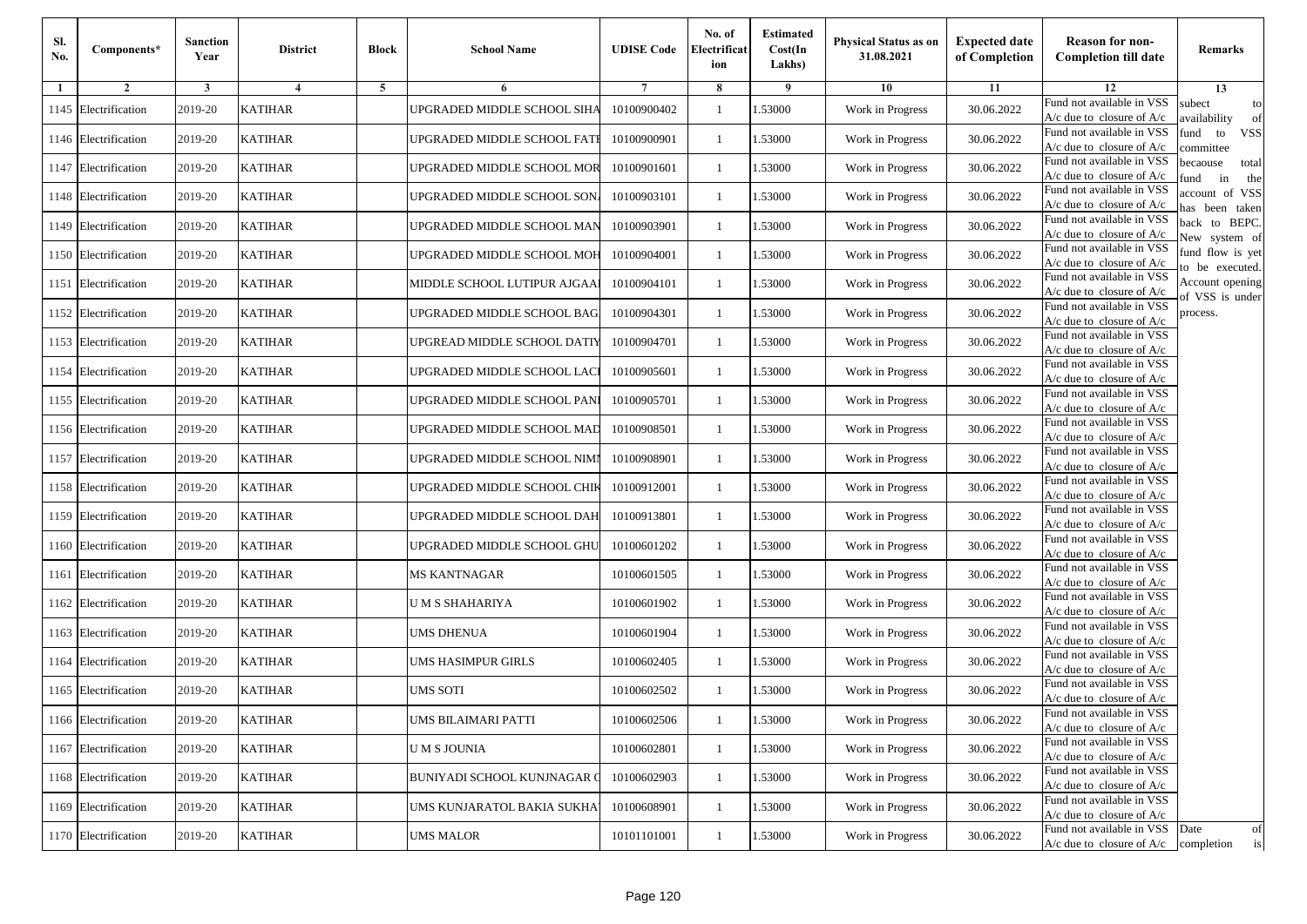| SI.<br>No. | Components*          | <b>Sanction</b><br>Year | <b>District</b>         | <b>Block</b>   | <b>School Name</b>                 | <b>UDISE Code</b> | No. of<br>Electrificat<br>ion | <b>Estimated</b><br>Cost(In<br>Lakhs) | <b>Physical Status as on</b><br>31.08.2021 | <b>Expected date</b><br>of Completion | <b>Reason for non-</b><br><b>Completion till date</b>           | Remarks                               |
|------------|----------------------|-------------------------|-------------------------|----------------|------------------------------------|-------------------|-------------------------------|---------------------------------------|--------------------------------------------|---------------------------------------|-----------------------------------------------------------------|---------------------------------------|
| -1         | $\overline{2}$       | 3                       | $\overline{\mathbf{4}}$ | $\overline{5}$ | 6                                  |                   | 8                             | 9                                     | 10                                         | 11                                    | 12                                                              | 13                                    |
| 1145       | Electrification      | 2019-20                 | <b>KATIHAR</b>          |                | UPGRADED MIDDLE SCHOOL SIHA        | 10100900402       | $\mathbf{1}$                  | .53000                                | Work in Progress                           | 30.06.2022                            | Fund not available in VSS<br>$A/c$ due to closure of $A/c$      | subect<br>to<br>availability<br>of    |
|            | 1146 Electrification | 2019-20                 | <b>KATIHAR</b>          |                | UPGRADED MIDDLE SCHOOL FATI        | 10100900901       | 1                             | 1.53000                               | Work in Progress                           | 30.06.2022                            | Fund not available in VSS<br>$A/c$ due to closure of $A/c$      | iund<br>to<br><b>VSS</b><br>ommittee  |
|            | 1147 Electrification | 2019-20                 | <b>KATIHAR</b>          |                | UPGRADED MIDDLE SCHOOL MOR         | 10100901601       | 1                             | .53000                                | Work in Progress                           | 30.06.2022                            | Fund not available in VSS<br>$A/c$ due to closure of $A/c$      | pecaouse<br>total<br>in<br>und<br>the |
|            | 1148 Electrification | 2019-20                 | <b>KATIHAR</b>          |                | UPGRADED MIDDLE SCHOOL SON         | 10100903101       | 1                             | .53000                                | Work in Progress                           | 30.06.2022                            | Fund not available in VSS<br>A/c due to closure of A/c          | account of VSS<br>as been taken       |
|            | 1149 Electrification | 2019-20                 | <b>KATIHAR</b>          |                | UPGRADED MIDDLE SCHOOL MAN         | 10100903901       | $\mathbf{1}$                  | .53000                                | Work in Progress                           | 30.06.2022                            | Fund not available in VSS<br>$A/c$ due to closure of $A/c$      | back to BEPC.<br>New system of        |
|            | 1150 Electrification | 2019-20                 | <b>KATIHAR</b>          |                | UPGRADED MIDDLE SCHOOL MOH         | 10100904001       | 1                             | 1.53000                               | Work in Progress                           | 30.06.2022                            | Fund not available in VSS<br>$A/c$ due to closure of $A/c$      | fund flow is yet<br>o be executed.    |
| 1151       | Electrification      | 2019-20                 | <b>KATIHAR</b>          |                | MIDDLE SCHOOL LUTIPUR AJGAA        | 10100904101       | 1                             | .53000                                | Work in Progress                           | 30.06.2022                            | Fund not available in VSS<br>$A/c$ due to closure of $A/c$      | Account opening<br>of VSS is under    |
|            | 1152 Electrification | 2019-20                 | <b>KATIHAR</b>          |                | UPGRADED MIDDLE SCHOOL BAG         | 10100904301       | 1                             | .53000                                | Work in Progress                           | 30.06.2022                            | Fund not available in VSS<br>$A/c$ due to closure of $A/c$      | process.                              |
|            | 1153 Electrification | 2019-20                 | <b>KATIHAR</b>          |                | UPGREAD MIDDLE SCHOOL DATIY        | 10100904701       | 1                             | .53000                                | Work in Progress                           | 30.06.2022                            | Fund not available in VSS<br>$A/c$ due to closure of $A/c$      |                                       |
|            | 1154 Electrification | 2019-20                 | <b>KATIHAR</b>          |                | UPGRADED MIDDLE SCHOOL LACI        | 10100905601       | 1                             | 1.53000                               | Work in Progress                           | 30.06.2022                            | Fund not available in VSS<br>$A/c$ due to closure of $A/c$      |                                       |
|            | 1155 Electrification | 2019-20                 | <b>KATIHAR</b>          |                | UPGRADED MIDDLE SCHOOL PANI        | 10100905701       | 1                             | .53000                                | Work in Progress                           | 30.06.2022                            | Fund not available in VSS<br>$A/c$ due to closure of $A/c$      |                                       |
|            | 1156 Electrification | 2019-20                 | <b>KATIHAR</b>          |                | UPGRADED MIDDLE SCHOOL MAD         | 10100908501       | 1                             | .53000                                | Work in Progress                           | 30.06.2022                            | Fund not available in VSS<br>$A/c$ due to closure of $A/c$      |                                       |
|            | 1157 Electrification | 2019-20                 | <b>KATIHAR</b>          |                | UPGRADED MIDDLE SCHOOL NIMI        | 10100908901       | $\mathbf{1}$                  | .53000                                | Work in Progress                           | 30.06.2022                            | Fund not available in VSS<br>$A/c$ due to closure of $A/c$      |                                       |
|            | 1158 Electrification | 2019-20                 | <b>KATIHAR</b>          |                | UPGRADED MIDDLE SCHOOL CHIK        | 10100912001       | 1                             | .53000                                | Work in Progress                           | 30.06.2022                            | Fund not available in VSS<br>$A/c$ due to closure of $A/c$      |                                       |
|            | 1159 Electrification | 2019-20                 | <b>KATIHAR</b>          |                | UPGRADED MIDDLE SCHOOL DAH         | 10100913801       | $\mathbf{1}$                  | .53000                                | Work in Progress                           | 30.06.2022                            | Fund not available in VSS<br>$A/c$ due to closure of $A/c$      |                                       |
|            | 1160 Electrification | 2019-20                 | <b>KATIHAR</b>          |                | UPGRADED MIDDLE SCHOOL GHU         | 10100601202       | 1                             | .53000                                | Work in Progress                           | 30.06.2022                            | Fund not available in VSS<br>$A/c$ due to closure of $A/c$      |                                       |
| 1161       | Electrification      | 2019-20                 | <b>KATIHAR</b>          |                | <b>MS KANTNAGAR</b>                | 10100601505       | $\mathbf{1}$                  | .53000                                | Work in Progress                           | 30.06.2022                            | Fund not available in VSS<br>$A/c$ due to closure of $A/c$      |                                       |
|            | 1162 Electrification | 2019-20                 | <b>KATIHAR</b>          |                | U M S SHAHARIYA                    | 10100601902       | 1                             | 1.53000                               | Work in Progress                           | 30.06.2022                            | Fund not available in VSS<br>$A/c$ due to closure of $A/c$      |                                       |
|            | 1163 Electrification | 2019-20                 | <b>KATIHAR</b>          |                | <b>UMS DHENUA</b>                  | 10100601904       | 1                             | .53000                                | Work in Progress                           | 30.06.2022                            | Fund not available in VSS<br>$A/c$ due to closure of $A/c$      |                                       |
|            | 1164 Electrification | 2019-20                 | <b>KATIHAR</b>          |                | UMS HASIMPUR GIRLS                 | 10100602405       | 1                             | .53000                                | Work in Progress                           | 30.06.2022                            | Fund not available in VSS<br>$A/c$ due to closure of $A/c$      |                                       |
|            | 1165 Electrification | 2019-20                 | <b>KATIHAR</b>          |                | <b>UMS SOTI</b>                    | 10100602502       | $\mathbf{1}$                  | .53000                                | Work in Progress                           | 30.06.2022                            | Fund not available in VSS<br>A/c due to closure of A/c          |                                       |
|            | 1166 Electrification | 2019-20                 | <b>KATIHAR</b>          |                | UMS BILAIMARI PATTI                | 10100602506       | -1                            | 1.53000                               | Work in Progress                           | 30.06.2022                            | Fund not available in VSS<br>A/c due to closure of A/c          |                                       |
|            | 1167 Electrification | 2019-20                 | <b>KATIHAR</b>          |                | <b>UMS JOUNIA</b>                  | 10100602801       | 1                             | 1.53000                               | Work in Progress                           | 30.06.2022                            | Fund not available in VSS<br>$A/c$ due to closure of $A/c$      |                                       |
|            | 1168 Electrification | 2019-20                 | <b>KATIHAR</b>          |                | <b>BUNIYADI SCHOOL KUNJNAGAR (</b> | 10100602903       | 1                             | 1.53000                               | Work in Progress                           | 30.06.2022                            | Fund not available in VSS<br>$A/c$ due to closure of $A/c$      |                                       |
|            | 1169 Electrification | 2019-20                 | <b>KATIHAR</b>          |                | UMS KUNJARATOL BAKIA SUKHA         | 10100608901       | 1                             | 1.53000                               | Work in Progress                           | 30.06.2022                            | Fund not available in VSS<br>A/c due to closure of A/c          |                                       |
|            | 1170 Electrification | 2019-20                 | <b>KATIHAR</b>          |                | <b>UMS MALOR</b>                   | 10101101001       | $\mathbf{1}$                  | 1.53000                               | Work in Progress                           | 30.06.2022                            | Fund not available in VSS Date<br>$A/c$ due to closure of $A/c$ | of<br>completion<br>is                |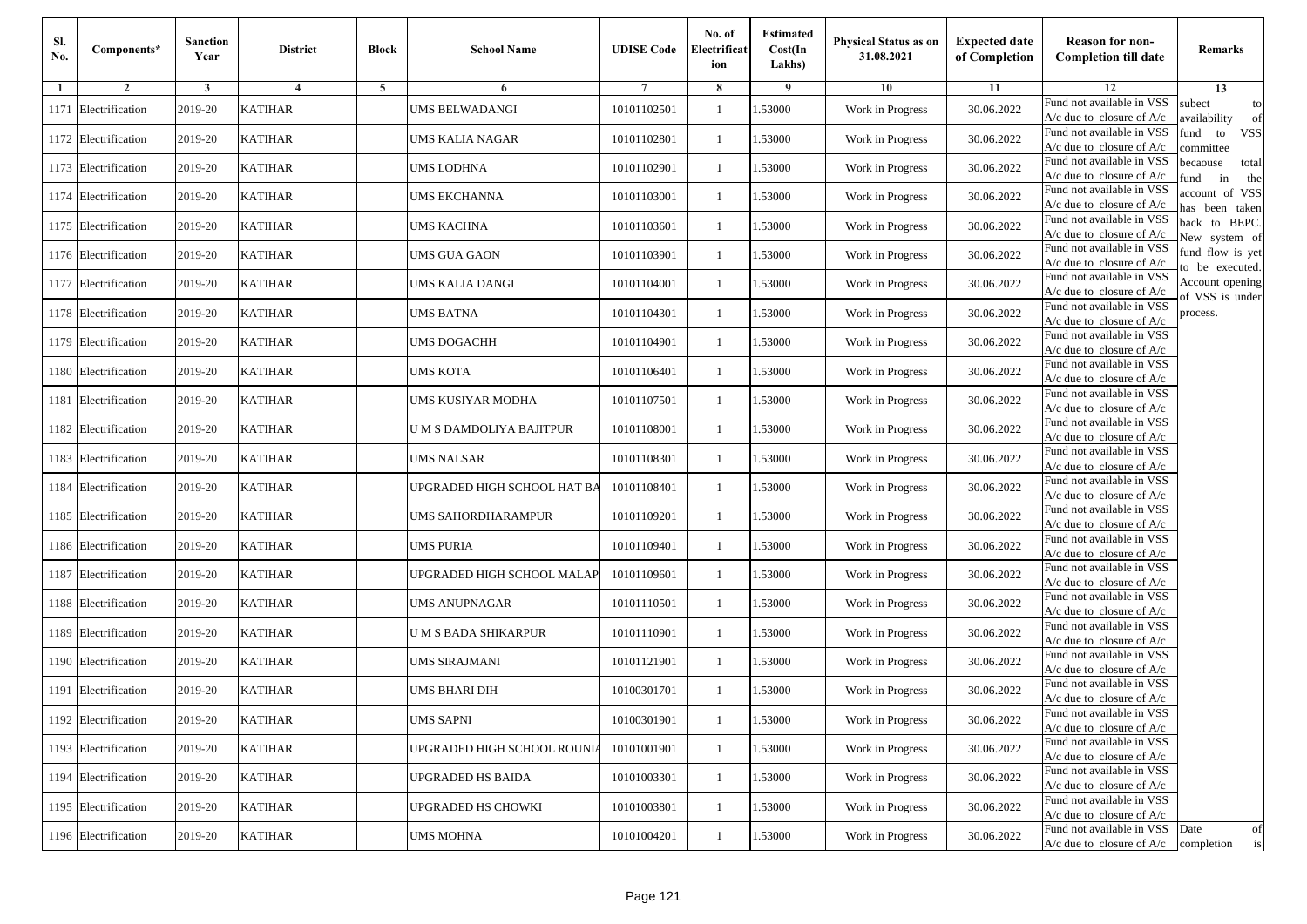| Sl.<br>No. | Components*          | <b>Sanction</b><br>Year | <b>District</b> | <b>Block</b> | <b>School Name</b>          | <b>UDISE Code</b> | No. of<br>Electrificat<br>ion | <b>Estimated</b><br>Cost(In<br>Lakhs) | Physical Status as on<br>31.08.2021 | <b>Expected date</b><br>of Completion | <b>Reason for non-</b><br><b>Completion till date</b>                 | Remarks                               |
|------------|----------------------|-------------------------|-----------------|--------------|-----------------------------|-------------------|-------------------------------|---------------------------------------|-------------------------------------|---------------------------------------|-----------------------------------------------------------------------|---------------------------------------|
| 1          | $\overline{2}$       | 3                       | $\overline{4}$  | 5            | 6                           | 7                 | 8                             | 9                                     | 10                                  | 11                                    | 12                                                                    | 13                                    |
| 1171       | Electrification      | 2019-20                 | <b>KATIHAR</b>  |              | UMS BELWADANGI              | 10101102501       | -1                            | 1.53000                               | Work in Progress                    | 30.06.2022                            | Fund not available in VSS<br>$A/c$ due to closure of $A/c$            | subect<br>to<br>availability<br>of    |
|            | 1172 Electrification | 2019-20                 | <b>KATIHAR</b>  |              | UMS KALIA NAGAR             | 10101102801       | $\mathbf{1}$                  | 1.53000                               | Work in Progress                    | 30.06.2022                            | Fund not available in VSS<br>$A/c$ due to closure of $A/c$            | fund<br>to<br><b>VSS</b><br>ommittee  |
|            | 1173 Electrification | 2019-20                 | <b>KATIHAR</b>  |              | UMS LODHNA                  | 10101102901       | $\mathbf{1}$                  | 1.53000                               | Work in Progress                    | 30.06.2022                            | Fund not available in VSS<br>$A/c$ due to closure of $A/c$            | pecaouse<br>total<br>und<br>in<br>the |
| 1174       | Electrification      | 2019-20                 | <b>KATIHAR</b>  |              | UMS EKCHANNA                | 10101103001       | -1                            | 1.53000                               | Work in Progress                    | 30.06.2022                            | Fund not available in VSS<br>A/c due to closure of A/c                | ccount of VSS<br>as been taken        |
|            | 1175 Electrification | 2019-20                 | <b>KATIHAR</b>  |              | UMS KACHNA                  | 10101103601       | $\mathbf{1}$                  | 1.53000                               | Work in Progress                    | 30.06.2022                            | Fund not available in VSS<br>A/c due to closure of $A/c$              | back to BEPC.<br>New system of        |
|            | 1176 Electrification | 2019-20                 | <b>KATIHAR</b>  |              | UMS GUA GAON                | 10101103901       | -1                            | 1.53000                               | Work in Progress                    | 30.06.2022                            | Fund not available in VSS<br>A/c due to closure of $A/c$              | fund flow is yet<br>o be executed.    |
|            | 1177 Electrification | 2019-20                 | <b>KATIHAR</b>  |              | UMS KALIA DANGI             | 10101104001       | -1                            | 1.53000                               | Work in Progress                    | 30.06.2022                            | Fund not available in VSS<br>$A/c$ due to closure of $A/c$            | Account opening<br>of VSS is under    |
|            | 1178 Electrification | 2019-20                 | <b>KATIHAR</b>  |              | UMS BATNA                   | 10101104301       | -1                            | 1.53000                               | Work in Progress                    | 30.06.2022                            | Fund not available in VSS<br>$A/c$ due to closure of $A/c$            | process.                              |
| 1179       | Electrification      | 2019-20                 | <b>KATIHAR</b>  |              | UMS DOGACHH                 | 10101104901       | -1                            | 1.53000                               | Work in Progress                    | 30.06.2022                            | Fund not available in VSS<br>$A/c$ due to closure of $A/c$            |                                       |
| 1180       | Electrification      | 2019-20                 | <b>KATIHAR</b>  |              | UMS KOTA                    | 10101106401       | $\mathbf{1}$                  | 1.53000                               | Work in Progress                    | 30.06.2022                            | Fund not available in VSS<br>$A/c$ due to closure of $A/c$            |                                       |
|            | 1181 Electrification | 2019-20                 | <b>KATIHAR</b>  |              | UMS KUSIYAR MODHA           | 10101107501       | -1                            | 1.53000                               | Work in Progress                    | 30.06.2022                            | Fund not available in VSS<br>$A/c$ due to closure of $A/c$            |                                       |
|            | 1182 Electrification | 2019-20                 | <b>KATIHAR</b>  |              | U M S DAMDOLIYA BAJITPUR    | 10101108001       | $\mathbf{1}$                  | 1.53000                               | Work in Progress                    | 30.06.2022                            | Fund not available in VSS<br>$A/c$ due to closure of $A/c$            |                                       |
| 1183       | Electrification      | 2019-20                 | <b>KATIHAR</b>  |              | UMS NALSAR                  | 10101108301       | -1                            | 1.53000                               | Work in Progress                    | 30.06.2022                            | Fund not available in VSS<br>$A/c$ due to closure of $A/c$            |                                       |
| 1184       | Electrification      | 2019-20                 | <b>KATIHAR</b>  |              | JPGRADED HIGH SCHOOL HAT BA | 10101108401       | $\mathbf{1}$                  | 1.53000                               | Work in Progress                    | 30.06.2022                            | Fund not available in VSS<br>$A/c$ due to closure of $A/c$            |                                       |
|            | 1185 Electrification | 2019-20                 | <b>KATIHAR</b>  |              | UMS SAHORDHARAMPUR          | 10101109201       | -1                            | 1.53000                               | Work in Progress                    | 30.06.2022                            | Fund not available in VSS<br>$A/c$ due to closure of $A/c$            |                                       |
|            | 1186 Electrification | 2019-20                 | <b>KATIHAR</b>  |              | UMS PURIA                   | 10101109401       | -1                            | 1.53000                               | Work in Progress                    | 30.06.2022                            | Fund not available in VSS<br>$A/c$ due to closure of $A/c$            |                                       |
| 1187       | Electrification      | 2019-20                 | <b>KATIHAR</b>  |              | UPGRADED HIGH SCHOOL MALAP  | 10101109601       | $\mathbf{1}$                  | 1.53000                               | Work in Progress                    | 30.06.2022                            | Fund not available in VSS<br>$A/c$ due to closure of $A/c$            |                                       |
| 1188       | Electrification      | 2019-20                 | <b>KATIHAR</b>  |              | UMS ANUPNAGAR               | 10101110501       | $\mathbf{1}$                  | 1.53000                               | Work in Progress                    | 30.06.2022                            | Fund not available in VSS<br>$A/c$ due to closure of $A/c$            |                                       |
| 1189       | Electrification      | 2019-20                 | <b>KATIHAR</b>  |              | U M S BADA SHIKARPUR        | 10101110901       | -1                            | 1.53000                               | Work in Progress                    | 30.06.2022                            | Fund not available in VSS<br>$A/c$ due to closure of $A/c$            |                                       |
|            | 1190 Electrification | 2019-20                 | <b>KATIHAR</b>  |              | UMS SIRAJMANI               | 10101121901       | -1                            | 1.53000                               | Work in Progress                    | 30.06.2022                            | Fund not available in VSS<br>$A/c$ due to closure of $A/c$            |                                       |
| 1191       | Electrification      | 2019-20                 | <b>KATIHAR</b>  |              | JMS BHARI DIH               | 10100301701       | -1                            | .53000                                | Work in Progress                    | 30.06.2022                            | Fund not available in VSS<br>A/c due to closure of A/c                |                                       |
|            | 1192 Electrification | 2019-20                 | <b>KATIHAR</b>  |              | <b>UMS SAPNI</b>            | 10100301901       | $\mathbf{1}$                  | 1.53000                               | Work in Progress                    | 30.06.2022                            | Fund not available in VSS<br>A/c due to closure of A/c                |                                       |
|            | 1193 Electrification | 2019-20                 | <b>KATIHAR</b>  |              | UPGRADED HIGH SCHOOL ROUNIA | 10101001901       | $\mathbf{1}$                  | 1.53000                               | Work in Progress                    | 30.06.2022                            | Fund not available in VSS<br>$A/c$ due to closure of $A/c$            |                                       |
|            | 1194 Electrification | 2019-20                 | <b>KATIHAR</b>  |              | UPGRADED HS BAIDA           | 10101003301       | -1                            | 1.53000                               | Work in Progress                    | 30.06.2022                            | Fund not available in VSS<br>A/c due to closure of A/c                |                                       |
|            | 1195 Electrification | 2019-20                 | <b>KATIHAR</b>  |              | UPGRADED HS CHOWKI          | 10101003801       | $\mathbf{1}$                  | 1.53000                               | Work in Progress                    | 30.06.2022                            | Fund not available in VSS<br>A/c due to closure of A/c                |                                       |
|            | 1196 Electrification | 2019-20                 | <b>KATIHAR</b>  |              | UMS MOHNA                   | 10101004201       | $\mathbf{1}$                  | 1.53000                               | Work in Progress                    | 30.06.2022                            | Fund not available in VSS<br>$A/c$ due to closure of $A/c$ completion | Date<br>of<br>is                      |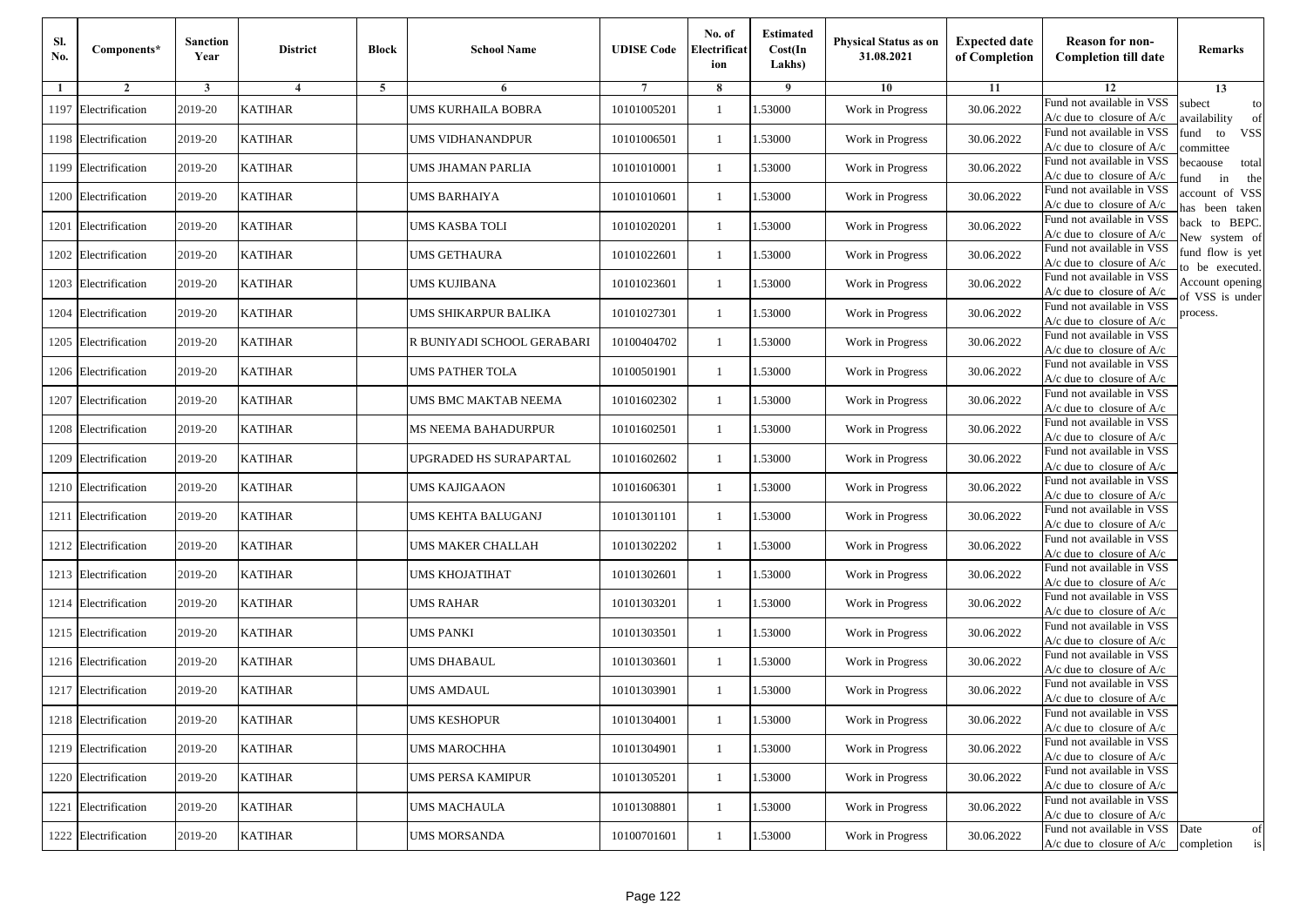| Sl.<br>No. | Components*          | <b>Sanction</b><br>Year | <b>District</b>         | <b>Block</b> | <b>School Name</b>         | <b>UDISE Code</b> | No. of<br>Electrificat<br>ion | <b>Estimated</b><br>Cost(In<br>Lakhs) | Physical Status as on<br>31.08.2021 | <b>Expected date</b><br>of Completion | <b>Reason for non-</b><br><b>Completion till date</b>                 | Remarks                               |
|------------|----------------------|-------------------------|-------------------------|--------------|----------------------------|-------------------|-------------------------------|---------------------------------------|-------------------------------------|---------------------------------------|-----------------------------------------------------------------------|---------------------------------------|
| 1          | $\overline{2}$       | 3                       | $\overline{\mathbf{4}}$ | 5            | 6                          | 7                 | 8                             | 9                                     | 10                                  | 11                                    | 12                                                                    | 13                                    |
| 1197       | Electrification      | 2019-20                 | <b>KATIHAR</b>          |              | UMS KURHAILA BOBRA         | 10101005201       | $\mathbf{1}$                  | 1.53000                               | Work in Progress                    | 30.06.2022                            | Fund not available in VSS<br>$A/c$ due to closure of $A/c$            | subect<br>to<br>wailability<br>of     |
| 1198       | Electrification      | 2019-20                 | <b>KATIHAR</b>          |              | UMS VIDHANANDPUR           | 10101006501       | $\mathbf{1}$                  | 1.53000                               | Work in Progress                    | 30.06.2022                            | Fund not available in VSS<br>$A/c$ due to closure of $A/c$            | <b>VSS</b><br>fund<br>to<br>ommittee  |
|            | 1199 Electrification | 2019-20                 | <b>KATIHAR</b>          |              | UMS JHAMAN PARLIA          | 10101010001       | -1                            | 1.53000                               | Work in Progress                    | 30.06.2022                            | Fund not available in VSS<br>$A/c$ due to closure of $A/c$            | pecaouse<br>total<br>in<br>und<br>the |
|            | 1200 Electrification | 2019-20                 | <b>KATIHAR</b>          |              | UMS BARHAIYA               | 10101010601       | -1                            | 1.53000                               | Work in Progress                    | 30.06.2022                            | Fund not available in VSS<br>$A/c$ due to closure of $A/c$            | account of VSS<br>as been taken       |
| 1201       | Electrification      | 2019-20                 | <b>KATIHAR</b>          |              | UMS KASBA TOLI             | 10101020201       | -1                            | 1.53000                               | Work in Progress                    | 30.06.2022                            | Fund not available in VSS<br>A/c due to closure of A/c                | back to BEPC.<br>New system of        |
|            | 1202 Electrification | 2019-20                 | <b>KATIHAR</b>          |              | UMS GETHAURA               | 10101022601       | $\mathbf{1}$                  | 1.53000                               | Work in Progress                    | 30.06.2022                            | Fund not available in VSS<br>$A/c$ due to closure of $A/c$            | fund flow is yet<br>o be executed.    |
|            | 1203 Electrification | 2019-20                 | <b>KATIHAR</b>          |              | UMS KUJIBANA               | 10101023601       | -1                            | 1.53000                               | Work in Progress                    | 30.06.2022                            | Fund not available in VSS<br>$A/c$ due to closure of $A/c$            | Account opening<br>of VSS is under    |
|            | 1204 Electrification | 2019-20                 | <b>KATIHAR</b>          |              | UMS SHIKARPUR BALIKA       | 10101027301       | -1                            | 1.53000                               | Work in Progress                    | 30.06.2022                            | Fund not available in VSS<br>$A/c$ due to closure of $A/c$            | process.                              |
| 1205       | Electrification      | 2019-20                 | <b>KATIHAR</b>          |              | R BUNIYADI SCHOOL GERABARI | 10100404702       | -1                            | 1.53000                               | Work in Progress                    | 30.06.2022                            | Fund not available in VSS<br>A/c due to closure of $A/c$              |                                       |
|            | 1206 Electrification | 2019-20                 | <b>KATIHAR</b>          |              | UMS PATHER TOLA            | 10100501901       | $\mathbf{1}$                  | 1.53000                               | Work in Progress                    | 30.06.2022                            | Fund not available in VSS<br>$A/c$ due to closure of $A/c$            |                                       |
| 1207       | Electrification      | 2019-20                 | <b>KATIHAR</b>          |              | UMS BMC MAKTAB NEEMA       | 10101602302       | $\mathbf{1}$                  | 1.53000                               | Work in Progress                    | 30.06.2022                            | Fund not available in VSS<br>$A/c$ due to closure of $A/c$            |                                       |
|            | 1208 Electrification | 2019-20                 | <b>KATIHAR</b>          |              | MS NEEMA BAHADURPUR        | 10101602501       | -1                            | 1.53000                               | Work in Progress                    | 30.06.2022                            | Fund not available in VSS<br>$A/c$ due to closure of $A/c$            |                                       |
| 1209       | Electrification      | 2019-20                 | <b>KATIHAR</b>          |              | JPGRADED HS SURAPARTAL     | 10101602602       | -1                            | 1.53000                               | Work in Progress                    | 30.06.2022                            | Fund not available in VSS<br>A/c due to closure of A/c                |                                       |
| 1210       | Electrification      | 2019-20                 | <b>KATIHAR</b>          |              | UMS KAJIGAAON              | 10101606301       | -1                            | 1.53000                               | Work in Progress                    | 30.06.2022                            | Fund not available in VSS<br>$A/c$ due to closure of $A/c$            |                                       |
|            | 1211 Electrification | 2019-20                 | <b>KATIHAR</b>          |              | UMS KEHTA BALUGANJ         | 10101301101       | -1                            | 1.53000                               | Work in Progress                    | 30.06.2022                            | Fund not available in VSS<br>$A/c$ due to closure of $A/c$            |                                       |
|            | 1212 Electrification | 2019-20                 | <b>KATIHAR</b>          |              | UMS MAKER CHALLAH          | 10101302202       | -1                            | 1.53000                               | Work in Progress                    | 30.06.2022                            | Fund not available in VSS<br>$A/c$ due to closure of $A/c$            |                                       |
| 1213       | Electrification      | 2019-20                 | <b>KATIHAR</b>          |              | UMS KHOJATIHAT             | 10101302601       | -1                            | 1.53000                               | Work in Progress                    | 30.06.2022                            | Fund not available in VSS<br>$A/c$ due to closure of $A/c$            |                                       |
| 1214       | Electrification      | 2019-20                 | <b>KATIHAR</b>          |              | UMS RAHAR                  | 10101303201       | $\mathbf{1}$                  | 1.53000                               | Work in Progress                    | 30.06.2022                            | Fund not available in VSS<br>$A/c$ due to closure of $A/c$            |                                       |
|            | 1215 Electrification | 2019-20                 | <b>KATIHAR</b>          |              | UMS PANKI                  | 10101303501       | $\mathbf{1}$                  | 1.53000                               | Work in Progress                    | 30.06.2022                            | Fund not available in VSS<br>$A/c$ due to closure of $A/c$            |                                       |
|            | 1216 Electrification | 2019-20                 | <b>KATIHAR</b>          |              | UMS DHABAUL                | 10101303601       | -1                            | 1.53000                               | Work in Progress                    | 30.06.2022                            | Fund not available in VSS<br>A/c due to closure of A/c                |                                       |
| 1217       | Electrification      | 2019-20                 | <b>KATIHAR</b>          |              | UMS AMDAUL                 | 10101303901       | -1                            | .53000                                | Work in Progress                    | 30.06.2022                            | Fund not available in VSS<br>A/c due to closure of A/c                |                                       |
|            | 1218 Electrification | 2019-20                 | <b>KATIHAR</b>          |              | UMS KESHOPUR               | 10101304001       | $\mathbf{1}$                  | 1.53000                               | Work in Progress                    | 30.06.2022                            | Fund not available in VSS<br>$A/c$ due to closure of $A/c$            |                                       |
|            | 1219 Electrification | 2019-20                 | <b>KATIHAR</b>          |              | UMS MAROCHHA               | 10101304901       | $\mathbf{1}$                  | 1.53000                               | Work in Progress                    | 30.06.2022                            | Fund not available in VSS<br>A/c due to closure of A/c                |                                       |
|            | 1220 Electrification | 2019-20                 | <b>KATIHAR</b>          |              | UMS PERSA KAMIPUR          | 10101305201       | -1                            | 1.53000                               | Work in Progress                    | 30.06.2022                            | Fund not available in VSS<br>$A/c$ due to closure of $A/c$            |                                       |
|            | 1221 Electrification | 2019-20                 | <b>KATIHAR</b>          |              | <b>UMS MACHAULA</b>        | 10101308801       | -1                            | 1.53000                               | Work in Progress                    | 30.06.2022                            | Fund not available in VSS<br>$A/c$ due to closure of $A/c$            |                                       |
|            | 1222 Electrification | 2019-20                 | <b>KATIHAR</b>          |              | UMS MORSANDA               | 10100701601       | -1                            | 1.53000                               | Work in Progress                    | 30.06.2022                            | Fund not available in VSS<br>$A/c$ due to closure of $A/c$ completion | Date<br>of<br>is                      |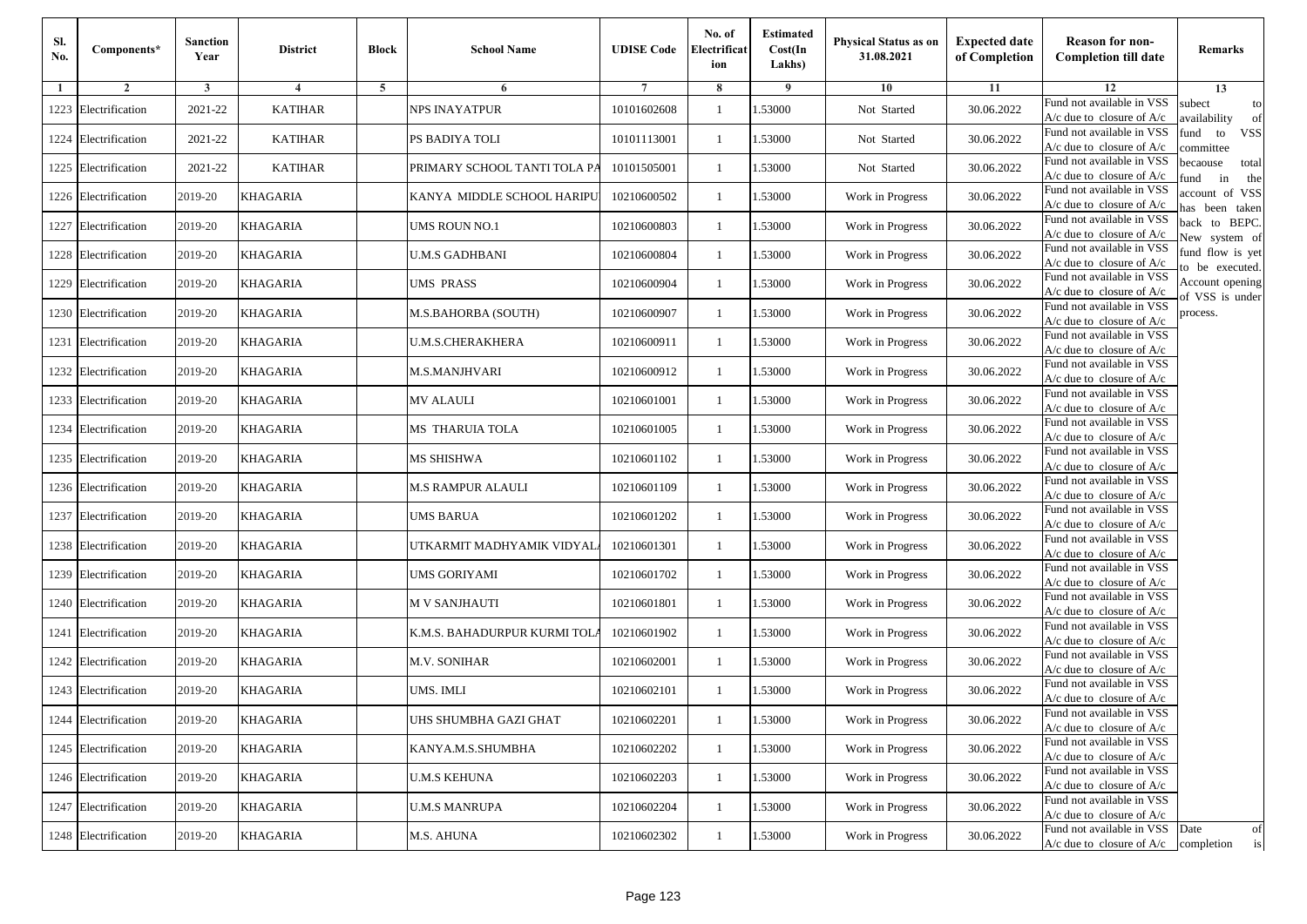| Sl.<br>No. | Components*          | <b>Sanction</b><br>Year | <b>District</b> | <b>Block</b>   | <b>School Name</b>           | <b>UDISE Code</b> | No. of<br>Electrificat<br>ion | <b>Estimated</b><br>Cost(In<br>Lakhs) | <b>Physical Status as on</b><br>31.08.2021 | <b>Expected date</b><br>of Completion | <b>Reason for non-</b><br><b>Completion till date</b>                 | Remarks                               |
|------------|----------------------|-------------------------|-----------------|----------------|------------------------------|-------------------|-------------------------------|---------------------------------------|--------------------------------------------|---------------------------------------|-----------------------------------------------------------------------|---------------------------------------|
| -1         | $\overline{2}$       | 3                       | $\overline{4}$  | $\overline{5}$ | 6                            |                   | 8                             | 9                                     | 10                                         | 11                                    | 12                                                                    | 13                                    |
| 1223       | Electrification      | 2021-22                 | <b>KATIHAR</b>  |                | NPS INAYATPUR                | 10101602608       | $\mathbf{1}$                  | 1.53000                               | Not Started                                | 30.06.2022                            | Fund not available in VSS<br>$A/c$ due to closure of $A/c$            | subect<br>to<br>availability<br>of    |
| 1224       | Electrification      | 2021-22                 | <b>KATIHAR</b>  |                | PS BADIYA TOLI               | 10101113001       | $\mathbf{1}$                  | 1.53000                               | Not Started                                | 30.06.2022                            | Fund not available in VSS<br>$A/c$ due to closure of $A/c$            | fund<br>to<br><b>VSS</b><br>ommittee  |
|            | 1225 Electrification | 2021-22                 | <b>KATIHAR</b>  |                | PRIMARY SCHOOL TANTI TOLA PA | 10101505001       | -1                            | 1.53000                               | Not Started                                | 30.06.2022                            | Fund not available in VSS<br>$A/c$ due to closure of $A/c$            | pecaouse<br>total<br>in<br>und<br>the |
|            | 1226 Electrification | 2019-20                 | <b>KHAGARIA</b> |                | KANYA  MIDDLE SCHOOL HARIPU  | 10210600502       | -1                            | 1.53000                               | Work in Progress                           | 30.06.2022                            | Fund not available in VSS<br>A/c due to closure of A/c                | ccount of VSS<br>as been taken        |
| 1227       | Electrification      | 2019-20                 | <b>KHAGARIA</b> |                | UMS ROUN NO.1                | 10210600803       | $\mathbf{1}$                  | 1.53000                               | Work in Progress                           | 30.06.2022                            | Fund not available in VSS<br>A/c due to closure of $A/c$              | back to BEPC.<br>New system of        |
|            | 1228 Electrification | 2019-20                 | <b>KHAGARIA</b> |                | U.M.S GADHBANI               | 10210600804       | 1                             | 1.53000                               | Work in Progress                           | 30.06.2022                            | Fund not available in VSS<br>A/c due to closure of $A/c$              | fund flow is yet<br>o be executed.    |
|            | 1229 Electrification | 2019-20                 | <b>KHAGARIA</b> |                | UMS PRASS                    | 10210600904       | -1                            | 1.53000                               | Work in Progress                           | 30.06.2022                            | Fund not available in VSS<br>$A/c$ due to closure of $A/c$            | Account opening<br>of VSS is under    |
|            | 1230 Electrification | 2019-20                 | <b>KHAGARIA</b> |                | M.S.BAHORBA (SOUTH)          | 10210600907       | 1                             | 1.53000                               | Work in Progress                           | 30.06.2022                            | Fund not available in VSS<br>$A/c$ due to closure of $A/c$            | process.                              |
| 1231       | Electrification      | 2019-20                 | <b>KHAGARIA</b> |                | <b>U.M.S.CHERAKHERA</b>      | 10210600911       | -1                            | 1.53000                               | Work in Progress                           | 30.06.2022                            | Fund not available in VSS<br>$A/c$ due to closure of $A/c$            |                                       |
|            | 1232 Electrification | 2019-20                 | <b>KHAGARIA</b> |                | M.S.MANJHVARI                | 10210600912       | $\mathbf{1}$                  | 1.53000                               | Work in Progress                           | 30.06.2022                            | Fund not available in VSS<br>$A/c$ due to closure of $A/c$            |                                       |
|            | 1233 Electrification | 2019-20                 | <b>KHAGARIA</b> |                | MV ALAULI                    | 10210601001       | 1                             | 1.53000                               | Work in Progress                           | 30.06.2022                            | Fund not available in VSS<br>$A/c$ due to closure of $A/c$            |                                       |
| 1234       | Electrification      | 2019-20                 | <b>KHAGARIA</b> |                | <b>MS THARUIA TOLA</b>       | 10210601005       | 1                             | 1.53000                               | Work in Progress                           | 30.06.2022                            | Fund not available in VSS<br>$A/c$ due to closure of $A/c$            |                                       |
|            | 1235 Electrification | 2019-20                 | <b>KHAGARIA</b> |                | MS SHISHWA                   | 10210601102       | -1                            | 1.53000                               | Work in Progress                           | 30.06.2022                            | Fund not available in VSS<br>$A/c$ due to closure of $A/c$            |                                       |
|            | 1236 Electrification | 2019-20                 | <b>KHAGARIA</b> |                | M.S RAMPUR ALAULI            | 10210601109       | $\mathbf{1}$                  | 1.53000                               | Work in Progress                           | 30.06.2022                            | Fund not available in VSS<br>$A/c$ due to closure of $A/c$            |                                       |
|            | 1237 Electrification | 2019-20                 | <b>KHAGARIA</b> |                | UMS BARUA                    | 10210601202       | 1                             | 1.53000                               | Work in Progress                           | 30.06.2022                            | Fund not available in VSS<br>$A/c$ due to closure of $A/c$            |                                       |
|            | 1238 Electrification | 2019-20                 | <b>KHAGARIA</b> |                | UTKARMIT MADHYAMIK VIDYAL    | 10210601301       | -1                            | 1.53000                               | Work in Progress                           | 30.06.2022                            | Fund not available in VSS<br>$A/c$ due to closure of $A/c$            |                                       |
| 1239       | Electrification      | 2019-20                 | <b>KHAGARIA</b> |                | UMS GORIYAMI                 | 10210601702       | -1                            | 1.53000                               | Work in Progress                           | 30.06.2022                            | Fund not available in VSS<br>$A/c$ due to closure of $A/c$            |                                       |
|            | 1240 Electrification | 2019-20                 | <b>KHAGARIA</b> |                | M V SANJHAUTI                | 10210601801       | $\mathbf{1}$                  | 1.53000                               | Work in Progress                           | 30.06.2022                            | Fund not available in VSS<br>$A/c$ due to closure of $A/c$            |                                       |
|            | 1241 Electrification | 2019-20                 | <b>KHAGARIA</b> |                | K.M.S. BAHADURPUR KURMI TOL. | 10210601902       | -1                            | 1.53000                               | Work in Progress                           | 30.06.2022                            | Fund not available in VSS<br>$A/c$ due to closure of $A/c$            |                                       |
|            | 1242 Electrification | 2019-20                 | <b>KHAGARIA</b> |                | M.V. SONIHAR                 | 10210602001       | -1                            | 1.53000                               | Work in Progress                           | 30.06.2022                            | Fund not available in VSS<br>$A/c$ due to closure of $A/c$            |                                       |
|            | 1243 Electrification | 2019-20                 | <b>KHAGARIA</b> |                | UMS. IMLI                    | 10210602101       | -1                            | .53000                                | Work in Progress                           | 30.06.2022                            | Fund not available in VSS<br>A/c due to closure of A/c                |                                       |
|            | 1244 Electrification | 2019-20                 | <b>KHAGARIA</b> |                | UHS SHUMBHA GAZI GHAT        | 10210602201       | $\mathbf{1}$                  | 1.53000                               | Work in Progress                           | 30.06.2022                            | Fund not available in VSS<br>A/c due to closure of A/c                |                                       |
|            | 1245 Electrification | 2019-20                 | <b>KHAGARIA</b> |                | KANYA.M.S.SHUMBHA            | 10210602202       | $\mathbf{1}$                  | 1.53000                               | Work in Progress                           | 30.06.2022                            | Fund not available in VSS<br>$A/c$ due to closure of $A/c$            |                                       |
|            | 1246 Electrification | 2019-20                 | <b>KHAGARIA</b> |                | U.M.S KEHUNA                 | 10210602203       | -1                            | 1.53000                               | Work in Progress                           | 30.06.2022                            | Fund not available in VSS<br>$A/c$ due to closure of $A/c$            |                                       |
|            | 1247 Electrification | 2019-20                 | <b>KHAGARIA</b> |                | <b>U.M.S MANRUPA</b>         | 10210602204       | -1                            | 1.53000                               | Work in Progress                           | 30.06.2022                            | Fund not available in VSS<br>A/c due to closure of A/c                |                                       |
|            | 1248 Electrification | 2019-20                 | <b>KHAGARIA</b> |                | M.S. AHUNA                   | 10210602302       | $\mathbf{1}$                  | 1.53000                               | Work in Progress                           | 30.06.2022                            | Fund not available in VSS<br>$A/c$ due to closure of $A/c$ completion | Date<br>of<br>is                      |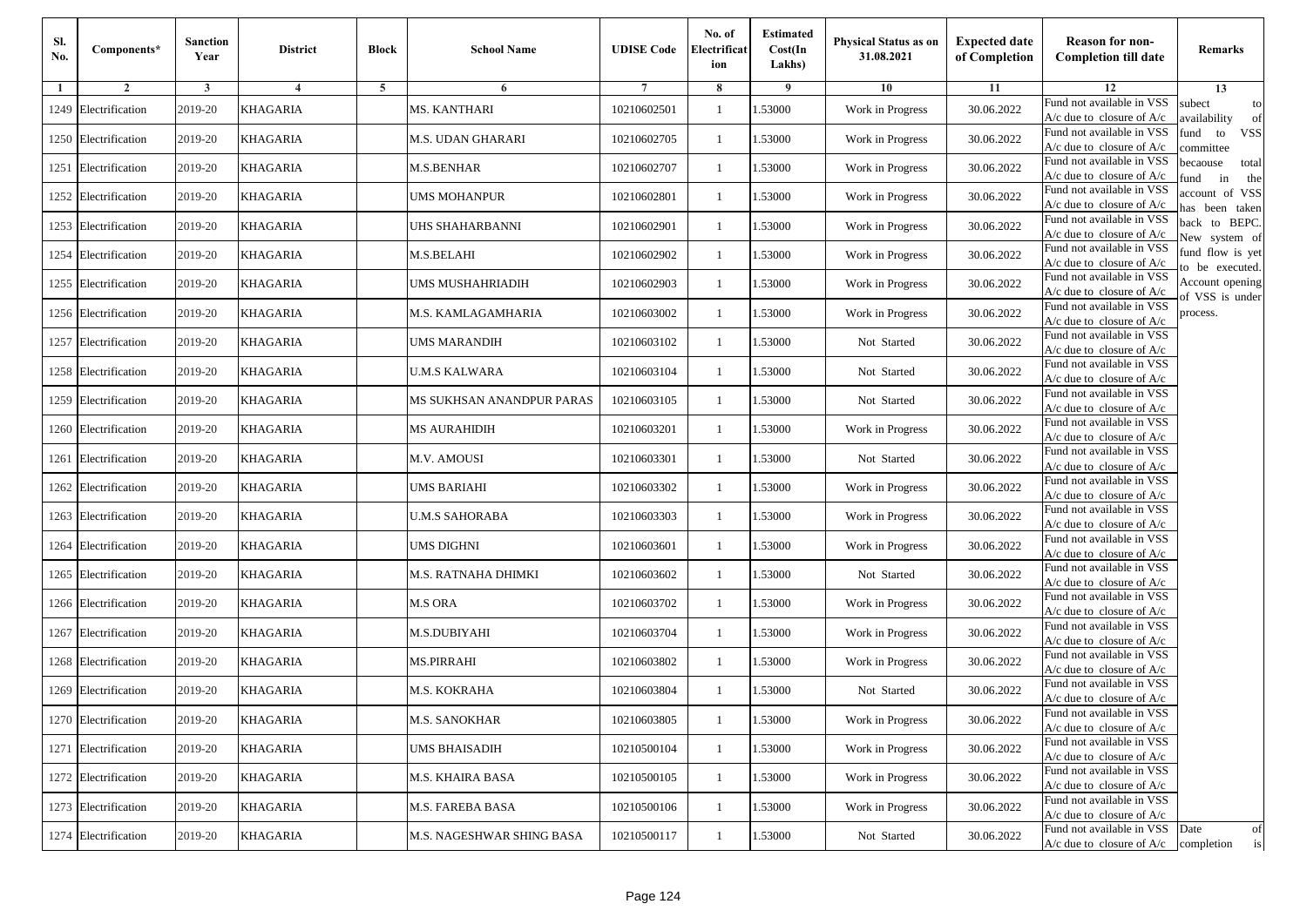| Sl.<br>No. | Components*          | <b>Sanction</b><br>Year | <b>District</b>         | <b>Block</b>   | <b>School Name</b>        | <b>UDISE Code</b> | No. of<br>Electrificat<br>ion | <b>Estimated</b><br>Cost(In<br>Lakhs) | <b>Physical Status as on</b><br>31.08.2021 | <b>Expected date</b><br>of Completion | <b>Reason for non-</b><br><b>Completion till date</b>                 | Remarks                               |
|------------|----------------------|-------------------------|-------------------------|----------------|---------------------------|-------------------|-------------------------------|---------------------------------------|--------------------------------------------|---------------------------------------|-----------------------------------------------------------------------|---------------------------------------|
| -1         | $\overline{2}$       | 3                       | $\overline{\mathbf{4}}$ | $\overline{5}$ | 6                         |                   | 8                             | -9                                    | 10                                         | 11                                    | 12                                                                    | 13                                    |
|            | 1249 Electrification | 2019-20                 | KHAGARIA                |                | <b>MS. KANTHARI</b>       | 10210602501       | 1                             | 1.53000                               | Work in Progress                           | 30.06.2022                            | Fund not available in VSS<br>A/c due to closure of A/c                | subect<br>to<br>availability<br>of    |
|            | 1250 Electrification | 2019-20                 | <b>KHAGARIA</b>         |                | M.S. UDAN GHARARI         | 10210602705       | $\mathbf{1}$                  | 1.53000                               | Work in Progress                           | 30.06.2022                            | Fund not available in VSS<br>$A/c$ due to closure of $A/c$            | <b>VSS</b><br>fund<br>to<br>ommittee  |
|            | 1251 Electrification | 2019-20                 | KHAGARIA                |                | M.S.BENHAR                | 10210602707       | 1                             | 1.53000                               | Work in Progress                           | 30.06.2022                            | Fund not available in VSS<br>$A/c$ due to closure of $A/c$            | becaouse<br>total<br>in<br>und<br>the |
|            | 1252 Electrification | 2019-20                 | KHAGARIA                |                | <b>UMS MOHANPUR</b>       | 10210602801       | 1                             | .53000                                | Work in Progress                           | 30.06.2022                            | Fund not available in VSS<br>$A/c$ due to closure of $A/c$            | account of VSS<br>as been taken       |
|            | 1253 Electrification | 2019-20                 | KHAGARIA                |                | UHS SHAHARBANNI           | 10210602901       | $\mathbf{1}$                  | .53000                                | Work in Progress                           | 30.06.2022                            | Fund not available in VSS<br>A/c due to closure of $A/c$              | back to BEPC.<br>New system of        |
|            | 1254 Electrification | 2019-20                 | KHAGARIA                |                | M.S.BELAHI                | 10210602902       | $\mathbf{1}$                  | .53000                                | Work in Progress                           | 30.06.2022                            | Fund not available in VSS<br>A/c due to closure of $A/c$              | fund flow is yet<br>o be executed.    |
|            | 1255 Electrification | 2019-20                 | KHAGARIA                |                | UMS MUSHAHRIADIH          | 10210602903       | 1                             | 1.53000                               | Work in Progress                           | 30.06.2022                            | Fund not available in VSS<br>A/c due to closure of $A/c$              | Account opening<br>f VSS is under     |
|            | 1256 Electrification | 2019-20                 | <b>KHAGARIA</b>         |                | M.S. KAMLAGAMHARIA        | 10210603002       | $\mathbf{1}$                  | .53000                                | Work in Progress                           | 30.06.2022                            | Fund not available in VSS<br>$A/c$ due to closure of $A/c$            | process.                              |
|            | 1257 Electrification | 2019-20                 | KHAGARIA                |                | <b>UMS MARANDIH</b>       | 10210603102       | $\mathbf{1}$                  | .53000                                | Not Started                                | 30.06.2022                            | Fund not available in VSS<br>A/c due to closure of A/c                |                                       |
|            | 1258 Electrification | 2019-20                 | <b>KHAGARIA</b>         |                | <b>U.M.S KALWARA</b>      | 10210603104       | $\mathbf{1}$                  | .53000                                | Not Started                                | 30.06.2022                            | Fund not available in VSS<br>$A/c$ due to closure of $A/c$            |                                       |
|            | 1259 Electrification | 2019-20                 | <b>KHAGARIA</b>         |                | MS SUKHSAN ANANDPUR PARAS | 10210603105       | $\mathbf{1}$                  | 1.53000                               | Not Started                                | 30.06.2022                            | Fund not available in VSS<br>$A/c$ due to closure of $A/c$            |                                       |
|            | 1260 Electrification | 2019-20                 | KHAGARIA                |                | <b>MS AURAHIDIH</b>       | 10210603201       | 1                             | 1.53000                               | Work in Progress                           | 30.06.2022                            | Fund not available in VSS<br>$A/c$ due to closure of $A/c$            |                                       |
|            | 1261 Electrification | 2019-20                 | KHAGARIA                |                | M.V. AMOUSI               | 10210603301       | 1                             | .53000                                | Not Started                                | 30.06.2022                            | Fund not available in VSS<br>$A/c$ due to closure of $A/c$            |                                       |
|            | 1262 Electrification | 2019-20                 | KHAGARIA                |                | UMS BARIAHI               | 10210603302       | $\mathbf{1}$                  | .53000                                | Work in Progress                           | 30.06.2022                            | Fund not available in VSS<br>$A/c$ due to closure of $A/c$            |                                       |
|            | 1263 Electrification | 2019-20                 | KHAGARIA                |                | <b>U.M.S SAHORABA</b>     | 10210603303       | 1                             | .53000                                | Work in Progress                           | 30.06.2022                            | Fund not available in VSS<br>$A/c$ due to closure of $A/c$            |                                       |
|            | 1264 Electrification | 2019-20                 | <b>KHAGARIA</b>         |                | <b>UMS DIGHNI</b>         | 10210603601       | $\mathbf{1}$                  | .53000                                | Work in Progress                           | 30.06.2022                            | Fund not available in VSS<br>$A/c$ due to closure of $A/c$            |                                       |
|            | 1265 Electrification | 2019-20                 | KHAGARIA                |                | M.S. RATNAHA DHIMKI       | 10210603602       | 1                             | .53000                                | Not Started                                | 30.06.2022                            | Fund not available in VSS<br>$A/c$ due to closure of $A/c$            |                                       |
|            | 1266 Electrification | 2019-20                 | <b>KHAGARIA</b>         |                | <b>M.S ORA</b>            | 10210603702       | $\mathbf{1}$                  | .53000                                | Work in Progress                           | 30.06.2022                            | Fund not available in VSS<br>$A/c$ due to closure of $A/c$            |                                       |
|            | 1267 Electrification | 2019-20                 | <b>KHAGARIA</b>         |                | M.S.DUBIYAHI              | 10210603704       | $\mathbf{1}$                  | 1.53000                               | Work in Progress                           | 30.06.2022                            | Fund not available in VSS<br>$A/c$ due to closure of $A/c$            |                                       |
|            | 1268 Electrification | 2019-20                 | <b>KHAGARIA</b>         |                | <b>MS.PIRRAHI</b>         | 10210603802       | 1                             | 1.53000                               | Work in Progress                           | 30.06.2022                            | Fund not available in VSS<br>$A/c$ due to closure of $A/c$            |                                       |
|            | 1269 Electrification | 2019-20                 | KHAGARIA                |                | M.S. KOKRAHA              | 10210603804       | 1                             | .53000                                | Not Started                                | 30.06.2022                            | Fund not available in VSS<br>A/c due to closure of A/c                |                                       |
|            | 1270 Electrification | 2019-20                 | KHAGARIA                |                | <b>M.S. SANOKHAR</b>      | 10210603805       |                               | 1.53000                               | Work in Progress                           | 30.06.2022                            | Fund not available in VSS<br>A/c due to closure of A/c                |                                       |
|            | 1271 Electrification | 2019-20                 | <b>KHAGARIA</b>         |                | <b>UMS BHAISADIH</b>      | 10210500104       | $\mathbf{1}$                  | 1.53000                               | Work in Progress                           | 30.06.2022                            | Fund not available in VSS<br>A/c due to closure of A/c                |                                       |
|            | 1272 Electrification | 2019-20                 | <b>KHAGARIA</b>         |                | M.S. KHAIRA BASA          | 10210500105       | 1                             | 1.53000                               | Work in Progress                           | 30.06.2022                            | Fund not available in VSS<br>$A/c$ due to closure of $A/c$            |                                       |
|            | 1273 Electrification | 2019-20                 | <b>KHAGARIA</b>         |                | M.S. FAREBA BASA          | 10210500106       | $\mathbf{1}$                  | 1.53000                               | Work in Progress                           | 30.06.2022                            | Fund not available in VSS<br>A/c due to closure of A/c                |                                       |
|            | 1274 Electrification | 2019-20                 | <b>KHAGARIA</b>         |                | M.S. NAGESHWAR SHING BASA | 10210500117       | 1                             | 1.53000                               | Not Started                                | 30.06.2022                            | Fund not available in VSS<br>$A/c$ due to closure of $A/c$ completion | Date<br>of<br>$\operatorname{is}$     |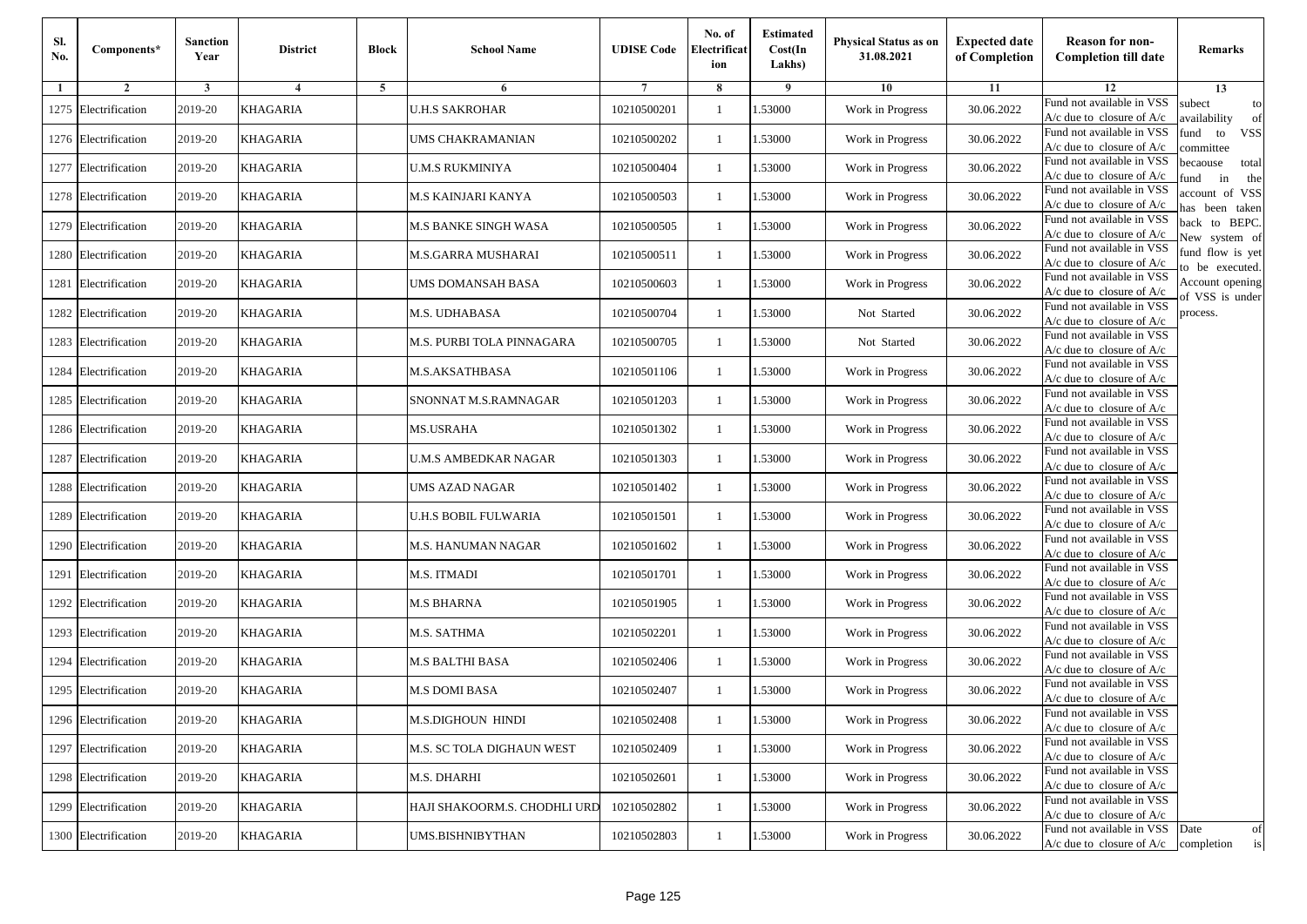| Sl.<br>No. | Components*          | <b>Sanction</b><br>Year | <b>District</b> | <b>Block</b> | <b>School Name</b>           | <b>UDISE Code</b> | No. of<br>Electrificat<br>ion | <b>Estimated</b><br>Cost(In<br>Lakhs) | <b>Physical Status as on</b><br>31.08.2021 | <b>Expected date</b><br>of Completion | <b>Reason for non-</b><br><b>Completion till date</b>                 | Remarks                               |
|------------|----------------------|-------------------------|-----------------|--------------|------------------------------|-------------------|-------------------------------|---------------------------------------|--------------------------------------------|---------------------------------------|-----------------------------------------------------------------------|---------------------------------------|
| -1         | $\overline{2}$       | 3                       | $\overline{4}$  | 5            | 6                            |                   | 8                             | 9                                     | 10                                         | 11                                    | 12                                                                    | 13                                    |
|            | 1275 Electrification | 2019-20                 | KHAGARIA        |              | <b>U.H.S SAKROHAR</b>        | 10210500201       | $\mathbf{1}$                  | .53000                                | Work in Progress                           | 30.06.2022                            | Fund not available in VSS<br>$A/c$ due to closure of $A/c$            | subect<br>to<br>availability<br>of    |
|            | 1276 Electrification | 2019-20                 | <b>KHAGARIA</b> |              | UMS CHAKRAMANIAN             | 10210500202       | 1                             | 1.53000                               | Work in Progress                           | 30.06.2022                            | Fund not available in VSS<br>$A/c$ due to closure of $A/c$            | fund<br>to<br><b>VSS</b><br>committee |
|            | 1277 Electrification | 2019-20                 | <b>KHAGARIA</b> |              | <b>U.M.S RUKMINIYA</b>       | 10210500404       | 1                             | 1.53000                               | Work in Progress                           | 30.06.2022                            | Fund not available in VSS<br>$A/c$ due to closure of $A/c$            | becaouse<br>total<br>in<br>und<br>the |
|            | 1278 Electrification | 2019-20                 | KHAGARIA        |              | M.S KAINJARI KANYA           | 10210500503       | $\mathbf{1}$                  | .53000                                | Work in Progress                           | 30.06.2022                            | Fund not available in VSS<br>A/c due to closure of A/c                | account of VSS<br>as been taken       |
|            | 1279 Electrification | 2019-20                 | <b>KHAGARIA</b> |              | M.S BANKE SINGH WASA         | 10210500505       | $\mathbf{1}$                  | .53000                                | Work in Progress                           | 30.06.2022                            | Fund not available in VSS<br>A/c due to closure of $A/c$              | back to BEPC.<br>New system of        |
|            | 1280 Electrification | 2019-20                 | KHAGARIA        |              | M.S.GARRA MUSHARAI           | 10210500511       | $\mathbf{1}$                  | .53000                                | Work in Progress                           | 30.06.2022                            | Fund not available in VSS<br>A/c due to closure of $A/c$              | fund flow is yet<br>o be executed.    |
|            | 1281 Electrification | 2019-20                 | <b>KHAGARIA</b> |              | UMS DOMANSAH BASA            | 10210500603       | $\mathbf{1}$                  | 1.53000                               | Work in Progress                           | 30.06.2022                            | Fund not available in VSS<br>$A/c$ due to closure of $A/c$            | Account opening<br>of VSS is under    |
|            | 1282 Electrification | 2019-20                 | <b>KHAGARIA</b> |              | M.S. UDHABASA                | 10210500704       | $\mathbf{1}$                  | .53000                                | Not Started                                | 30.06.2022                            | Fund not available in VSS<br>$A/c$ due to closure of $A/c$            | process.                              |
|            | 1283 Electrification | 2019-20                 | KHAGARIA        |              | M.S. PURBI TOLA PINNAGARA    | 10210500705       | 1                             | .53000                                | Not Started                                | 30.06.2022                            | Fund not available in VSS<br>$A/c$ due to closure of $A/c$            |                                       |
| 1284       | Electrification      | 2019-20                 | <b>KHAGARIA</b> |              | M.S.AKSATHBASA               | 10210501106       | $\mathbf{1}$                  | .53000                                | Work in Progress                           | 30.06.2022                            | Fund not available in VSS<br>$A/c$ due to closure of $A/c$            |                                       |
|            | 1285 Electrification | 2019-20                 | <b>KHAGARIA</b> |              | SNONNAT M.S.RAMNAGAR         | 10210501203       | 1                             | 1.53000                               | Work in Progress                           | 30.06.2022                            | Fund not available in VSS<br>$A/c$ due to closure of $A/c$            |                                       |
|            | 1286 Electrification | 2019-20                 | <b>KHAGARIA</b> |              | MS.USRAHA                    | 10210501302       | 1                             | .53000                                | Work in Progress                           | 30.06.2022                            | Fund not available in VSS<br>$A/c$ due to closure of $A/c$            |                                       |
|            | 1287 Electrification | 2019-20                 | KHAGARIA        |              | U.M.S AMBEDKAR NAGAR         | 10210501303       | $\mathbf{1}$                  | .53000                                | Work in Progress                           | 30.06.2022                            | Fund not available in VSS<br>$A/c$ due to closure of $A/c$            |                                       |
|            | 1288 Electrification | 2019-20                 | <b>KHAGARIA</b> |              | UMS AZAD NAGAR               | 10210501402       | $\mathbf{1}$                  | .53000                                | Work in Progress                           | 30.06.2022                            | Fund not available in VSS<br>$A/c$ due to closure of $A/c$            |                                       |
|            | 1289 Electrification | 2019-20                 | KHAGARIA        |              | U.H.S BOBIL FULWARIA         | 10210501501       | 1                             | 1.53000                               | Work in Progress                           | 30.06.2022                            | Fund not available in VSS<br>$A/c$ due to closure of $A/c$            |                                       |
|            | 1290 Electrification | 2019-20                 | <b>KHAGARIA</b> |              | M.S. HANUMAN NAGAR           | 10210501602       | $\mathbf{1}$                  | .53000                                | Work in Progress                           | 30.06.2022                            | Fund not available in VSS<br>$A/c$ due to closure of $A/c$            |                                       |
|            | 1291 Electrification | 2019-20                 | KHAGARIA        |              | M.S. ITMADI                  | 10210501701       | 1                             | .53000                                | Work in Progress                           | 30.06.2022                            | Fund not available in VSS<br>A/c due to closure of A/c                |                                       |
|            | 1292 Electrification | 2019-20                 | <b>KHAGARIA</b> |              | <b>M.S BHARNA</b>            | 10210501905       | $\mathbf{1}$                  | 1.53000                               | Work in Progress                           | 30.06.2022                            | Fund not available in VSS<br>$A/c$ due to closure of $A/c$            |                                       |
|            | 1293 Electrification | 2019-20                 | KHAGARIA        |              | M.S. SATHMA                  | 10210502201       | 1                             | 1.53000                               | Work in Progress                           | 30.06.2022                            | Fund not available in VSS<br>$A/c$ due to closure of $A/c$            |                                       |
|            | 1294 Electrification | 2019-20                 | <b>KHAGARIA</b> |              | M.S BALTHI BASA              | 10210502406       | $\mathbf{1}$                  | .53000                                | Work in Progress                           | 30.06.2022                            | Fund not available in VSS<br>$A/c$ due to closure of $A/c$            |                                       |
|            | 1295 Electrification | 2019-20                 | KHAGARIA        |              | M.S DOMI BASA                | 10210502407       | 1                             | .53000                                | Work in Progress                           | 30.06.2022                            | Fund not available in VSS<br>A/c due to closure of A/c                |                                       |
|            | 1296 Electrification | 2019-20                 | <b>KHAGARIA</b> |              | M.S.DIGHOUN HINDI            | 10210502408       |                               | 1.53000                               | Work in Progress                           | 30.06.2022                            | Fund not available in VSS<br>A/c due to closure of A/c                |                                       |
|            | 1297 Electrification | 2019-20                 | <b>KHAGARIA</b> |              | M.S. SC TOLA DIGHAUN WEST    | 10210502409       | $\mathbf{1}$                  | 1.53000                               | Work in Progress                           | 30.06.2022                            | Fund not available in VSS<br>$A/c$ due to closure of $A/c$            |                                       |
|            | 1298 Electrification | 2019-20                 | <b>KHAGARIA</b> |              | M.S. DHARHI                  | 10210502601       | $\mathbf{1}$                  | 1.53000                               | Work in Progress                           | 30.06.2022                            | Fund not available in VSS<br>$A/c$ due to closure of $A/c$            |                                       |
|            | 1299 Electrification | 2019-20                 | <b>KHAGARIA</b> |              | HAJI SHAKOORM.S. CHODHLI URD | 10210502802       | 1                             | 1.53000                               | Work in Progress                           | 30.06.2022                            | Fund not available in VSS<br>A/c due to closure of $A/c$              |                                       |
|            | 1300 Electrification | 2019-20                 | <b>KHAGARIA</b> |              | UMS.BISHNIBYTHAN             | 10210502803       | $\mathbf{1}$                  | 1.53000                               | Work in Progress                           | 30.06.2022                            | Fund not available in VSS<br>$A/c$ due to closure of $A/c$ completion | Date<br>of<br>is                      |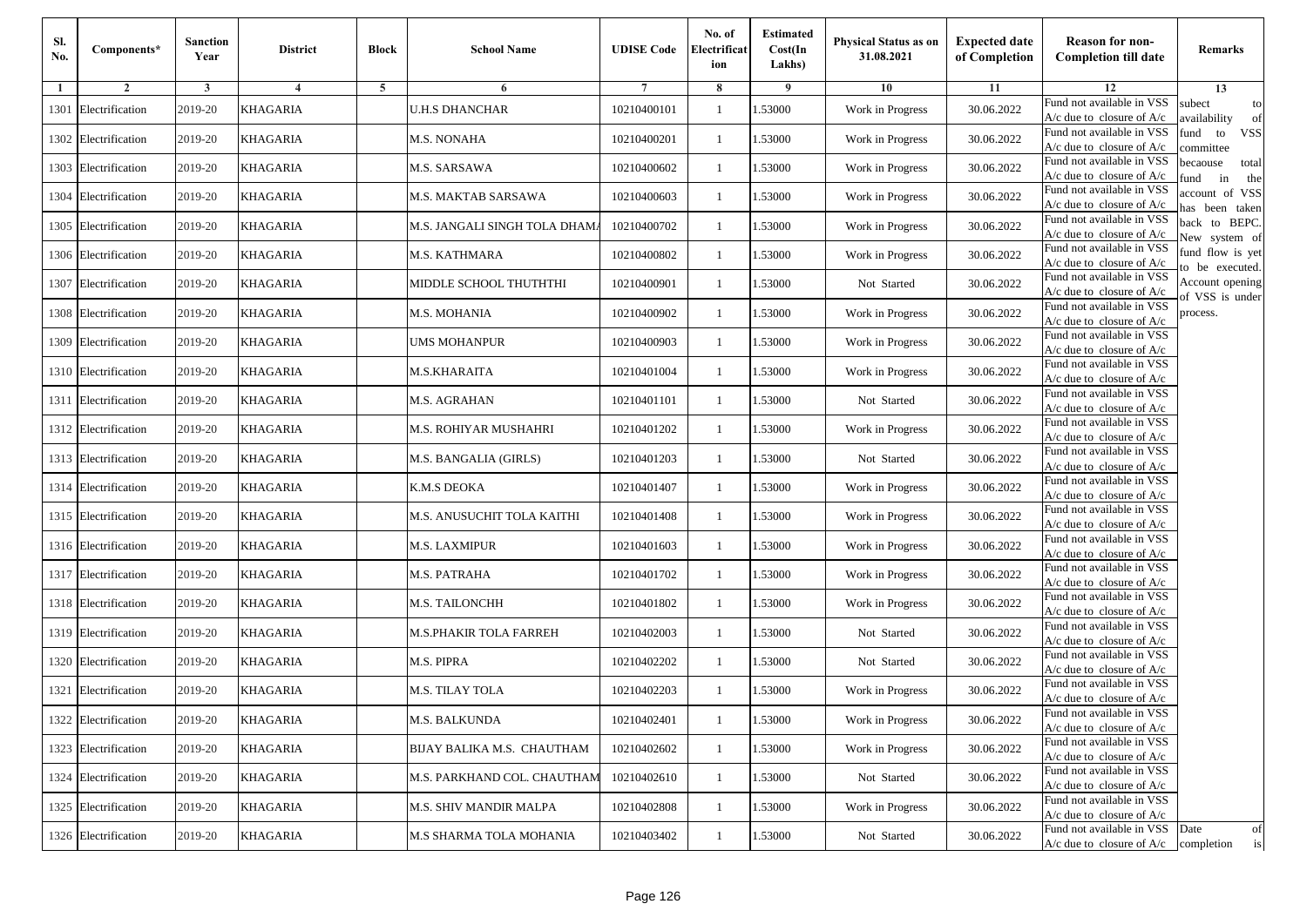| Sl.<br>No. | Components*          | <b>Sanction</b><br>Year | <b>District</b> | <b>Block</b> | <b>School Name</b>            | <b>UDISE Code</b> | No. of<br>Electrificat<br>ion | <b>Estimated</b><br>Cost(In<br>Lakhs) | <b>Physical Status as on</b><br>31.08.2021 | <b>Expected date</b><br>of Completion | <b>Reason for non-</b><br><b>Completion till date</b>                 | Remarks                               |
|------------|----------------------|-------------------------|-----------------|--------------|-------------------------------|-------------------|-------------------------------|---------------------------------------|--------------------------------------------|---------------------------------------|-----------------------------------------------------------------------|---------------------------------------|
| -1         | $\overline{2}$       | 3                       | $\overline{4}$  | 5            | 6                             |                   | 8                             | 9                                     | 10                                         | 11                                    | 12                                                                    | 13                                    |
|            | 1301 Electrification | 2019-20                 | KHAGARIA        |              | <b>U.H.S DHANCHAR</b>         | 10210400101       | $\mathbf{1}$                  | .53000                                | Work in Progress                           | 30.06.2022                            | Fund not available in VSS<br>$A/c$ due to closure of $A/c$            | subect<br>to<br>availability<br>of    |
|            | 1302 Electrification | 2019-20                 | <b>KHAGARIA</b> |              | <b>M.S. NONAHA</b>            | 10210400201       | 1                             | 1.53000                               | Work in Progress                           | 30.06.2022                            | Fund not available in VSS<br>$A/c$ due to closure of $A/c$            | fund<br>to<br><b>VSS</b><br>ommittee  |
|            | 1303 Electrification | 2019-20                 | <b>KHAGARIA</b> |              | M.S. SARSAWA                  | 10210400602       | 1                             | 1.53000                               | Work in Progress                           | 30.06.2022                            | Fund not available in VSS<br>$A/c$ due to closure of $A/c$            | becaouse<br>total<br>und<br>in<br>the |
|            | 1304 Electrification | 2019-20                 | KHAGARIA        |              | M.S. MAKTAB SARSAWA           | 10210400603       | $\mathbf{1}$                  | .53000                                | Work in Progress                           | 30.06.2022                            | Fund not available in VSS<br>A/c due to closure of A/c                | account of VSS<br>as been taken       |
|            | 1305 Electrification | 2019-20                 | KHAGARIA        |              | M.S. JANGALI SINGH TOLA DHAM. | 10210400702       | $\mathbf{1}$                  | .53000                                | Work in Progress                           | 30.06.2022                            | Fund not available in VSS<br>A/c due to closure of $A/c$              | back to BEPC.<br>New system of        |
|            | 1306 Electrification | 2019-20                 | <b>KHAGARIA</b> |              | M.S. KATHMARA                 | 10210400802       | $\mathbf{1}$                  | .53000                                | Work in Progress                           | 30.06.2022                            | Fund not available in VSS<br>A/c due to closure of $A/c$              | fund flow is yet<br>o be executed.    |
|            | 1307 Electrification | 2019-20                 | <b>KHAGARIA</b> |              | MIDDLE SCHOOL THUTHTHI        | 10210400901       | $\mathbf{1}$                  | 1.53000                               | Not Started                                | 30.06.2022                            | Fund not available in VSS<br>$A/c$ due to closure of $A/c$            | Account opening<br>of VSS is under    |
|            | 1308 Electrification | 2019-20                 | <b>KHAGARIA</b> |              | M.S. MOHANIA                  | 10210400902       | $\mathbf{1}$                  | .53000                                | Work in Progress                           | 30.06.2022                            | Fund not available in VSS<br>$A/c$ due to closure of $A/c$            | process.                              |
|            | 1309 Electrification | 2019-20                 | KHAGARIA        |              | <b>UMS MOHANPUR</b>           | 10210400903       | 1                             | .53000                                | Work in Progress                           | 30.06.2022                            | Fund not available in VSS<br>$A/c$ due to closure of $A/c$            |                                       |
|            | 1310 Electrification | 2019-20                 | <b>KHAGARIA</b> |              | M.S.KHARAITA                  | 10210401004       | $\mathbf{1}$                  | .53000                                | Work in Progress                           | 30.06.2022                            | Fund not available in VSS<br>$A/c$ due to closure of $A/c$            |                                       |
|            | 1311 Electrification | 2019-20                 | <b>KHAGARIA</b> |              | M.S. AGRAHAN                  | 10210401101       | 1                             | 1.53000                               | Not Started                                | 30.06.2022                            | Fund not available in VSS<br>$A/c$ due to closure of $A/c$            |                                       |
|            | 1312 Electrification | 2019-20                 | <b>KHAGARIA</b> |              | M.S. ROHIYAR MUSHAHRI         | 10210401202       | 1                             | .53000                                | Work in Progress                           | 30.06.2022                            | Fund not available in VSS<br>$A/c$ due to closure of $A/c$            |                                       |
|            | 1313 Electrification | 2019-20                 | KHAGARIA        |              | M.S. BANGALIA (GIRLS)         | 10210401203       | $\mathbf{1}$                  | .53000                                | Not Started                                | 30.06.2022                            | Fund not available in VSS<br>A/c due to closure of A/c                |                                       |
|            | 1314 Electrification | 2019-20                 | <b>KHAGARIA</b> |              | K.M.S DEOKA                   | 10210401407       | $\mathbf{1}$                  | .53000                                | Work in Progress                           | 30.06.2022                            | Fund not available in VSS<br>$A/c$ due to closure of $A/c$            |                                       |
|            | 1315 Electrification | 2019-20                 | KHAGARIA        |              | M.S. ANUSUCHIT TOLA KAITHI    | 10210401408       | 1                             | 1.53000                               | Work in Progress                           | 30.06.2022                            | Fund not available in VSS<br>$A/c$ due to closure of $A/c$            |                                       |
|            | 1316 Electrification | 2019-20                 | <b>KHAGARIA</b> |              | <b>M.S. LAXMIPUR</b>          | 10210401603       | $\mathbf{1}$                  | .53000                                | Work in Progress                           | 30.06.2022                            | Fund not available in VSS<br>$A/c$ due to closure of $A/c$            |                                       |
|            | 1317 Electrification | 2019-20                 | KHAGARIA        |              | M.S. PATRAHA                  | 10210401702       | 1                             | .53000                                | Work in Progress                           | 30.06.2022                            | Fund not available in VSS<br>A/c due to closure of A/c                |                                       |
|            | 1318 Electrification | 2019-20                 | <b>KHAGARIA</b> |              | M.S. TAILONCHH                | 10210401802       | $\mathbf{1}$                  | 1.53000                               | Work in Progress                           | 30.06.2022                            | Fund not available in VSS<br>$A/c$ due to closure of $A/c$            |                                       |
|            | 1319 Electrification | 2019-20                 | KHAGARIA        |              | M.S.PHAKIR TOLA FARREH        | 10210402003       | 1                             | 1.53000                               | Not Started                                | 30.06.2022                            | Fund not available in VSS<br>$A/c$ due to closure of $A/c$            |                                       |
|            | 1320 Electrification | 2019-20                 | <b>KHAGARIA</b> |              | M.S. PIPRA                    | 10210402202       | $\mathbf{1}$                  | .53000                                | Not Started                                | 30.06.2022                            | Fund not available in VSS<br>$A/c$ due to closure of $A/c$            |                                       |
|            | 1321 Electrification | 2019-20                 | KHAGARIA        |              | M.S. TILAY TOLA               | 10210402203       | 1                             | .53000                                | Work in Progress                           | 30.06.2022                            | Fund not available in VSS<br>A/c due to closure of A/c                |                                       |
|            | 1322 Electrification | 2019-20                 | <b>KHAGARIA</b> |              | <b>M.S. BALKUNDA</b>          | 10210402401       | $\mathbf{1}$                  | 1.53000                               | Work in Progress                           | 30.06.2022                            | Fund not available in VSS<br>A/c due to closure of A/c                |                                       |
|            | 1323 Electrification | 2019-20                 | <b>KHAGARIA</b> |              | BIJAY BALIKA M.S. CHAUTHAM    | 10210402602       | $\mathbf{1}$                  | 1.53000                               | Work in Progress                           | 30.06.2022                            | Fund not available in VSS<br>$A/c$ due to closure of $A/c$            |                                       |
|            | 1324 Electrification | 2019-20                 | <b>KHAGARIA</b> |              | M.S. PARKHAND COL. CHAUTHAM   | 10210402610       | $\mathbf{1}$                  | 1.53000                               | Not Started                                | 30.06.2022                            | Fund not available in VSS<br>$A/c$ due to closure of $A/c$            |                                       |
|            | 1325 Electrification | 2019-20                 | <b>KHAGARIA</b> |              | M.S. SHIV MANDIR MALPA        | 10210402808       | $\mathbf{1}$                  | .53000                                | Work in Progress                           | 30.06.2022                            | Fund not available in VSS<br>A/c due to closure of A/c                |                                       |
|            | 1326 Electrification | 2019-20                 | <b>KHAGARIA</b> |              | M.S SHARMA TOLA MOHANIA       | 10210403402       | $\mathbf{1}$                  | 1.53000                               | Not Started                                | 30.06.2022                            | Fund not available in VSS<br>$A/c$ due to closure of $A/c$ completion | Date<br>of<br>is                      |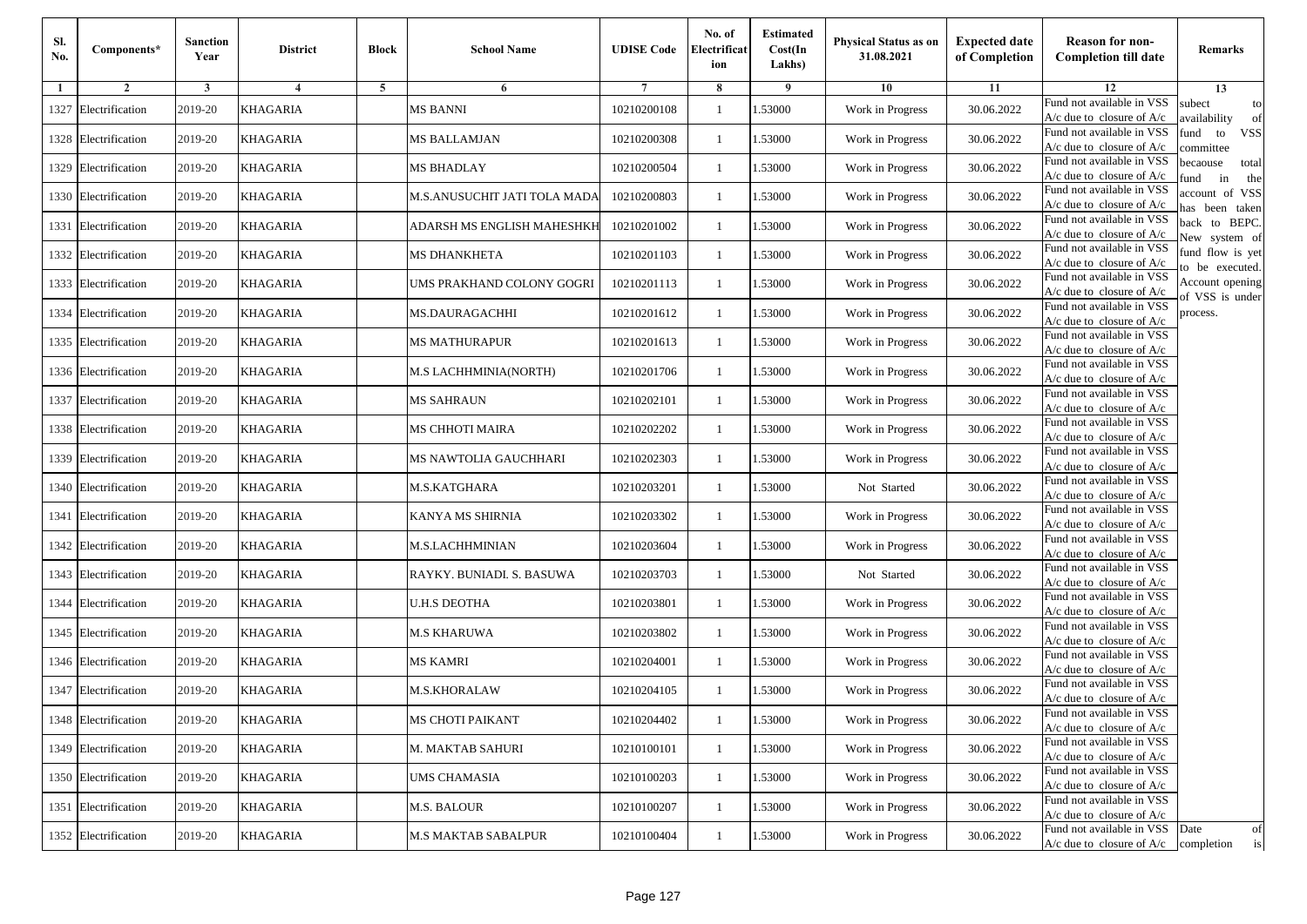| Sl.<br>No. | Components*          | <b>Sanction</b><br>Year | <b>District</b> | <b>Block</b> | <b>School Name</b>           | <b>UDISE Code</b> | No. of<br>Electrificat<br>ion | <b>Estimated</b><br>Cost(In<br>Lakhs) | <b>Physical Status as on</b><br>31.08.2021 | <b>Expected date</b><br>of Completion | <b>Reason for non-</b><br><b>Completion till date</b>      | Remarks                               |
|------------|----------------------|-------------------------|-----------------|--------------|------------------------------|-------------------|-------------------------------|---------------------------------------|--------------------------------------------|---------------------------------------|------------------------------------------------------------|---------------------------------------|
| -1         | $\overline{2}$       | 3                       | $\overline{4}$  | 5            | 6                            |                   | 8                             | 9                                     | 10                                         | 11                                    | 12                                                         | 13                                    |
|            | 1327 Electrification | 2019-20                 | KHAGARIA        |              | <b>MS BANNI</b>              | 10210200108       | $\mathbf{1}$                  | .53000                                | Work in Progress                           | 30.06.2022                            | Fund not available in VSS<br>$A/c$ due to closure of $A/c$ | subect<br>to<br>availability<br>of    |
|            | 1328 Electrification | 2019-20                 | <b>KHAGARIA</b> |              | MS BALLAMJAN                 | 10210200308       | 1                             | 1.53000                               | Work in Progress                           | 30.06.2022                            | Fund not available in VSS<br>$A/c$ due to closure of $A/c$ | fund<br>to<br><b>VSS</b><br>committee |
|            | 1329 Electrification | 2019-20                 | <b>KHAGARIA</b> |              | <b>MS BHADLAY</b>            | 10210200504       | 1                             | 1.53000                               | Work in Progress                           | 30.06.2022                            | Fund not available in VSS<br>$A/c$ due to closure of $A/c$ | becaouse<br>total<br>und<br>in<br>the |
|            | 1330 Electrification | 2019-20                 | KHAGARIA        |              | M.S.ANUSUCHIT JATI TOLA MADA | 10210200803       | $\mathbf{1}$                  | .53000                                | Work in Progress                           | 30.06.2022                            | Fund not available in VSS<br>A/c due to closure of A/c     | account of VSS<br>as been taken       |
|            | 1331 Electrification | 2019-20                 | <b>KHAGARIA</b> |              | ADARSH MS ENGLISH MAHESHKH   | 10210201002       | $\mathbf{1}$                  | .53000                                | Work in Progress                           | 30.06.2022                            | Fund not available in VSS<br>A/c due to closure of $A/c$   | back to BEPC.<br>New system of        |
|            | 1332 Electrification | 2019-20                 | KHAGARIA        |              | MS DHANKHETA                 | 10210201103       | $\mathbf{1}$                  | .53000                                | Work in Progress                           | 30.06.2022                            | Fund not available in VSS<br>A/c due to closure of $A/c$   | fund flow is yet<br>o be executed.    |
|            | 1333 Electrification | 2019-20                 | <b>KHAGARIA</b> |              | UMS PRAKHAND COLONY GOGRI    | 10210201113       | $\mathbf{1}$                  | 1.53000                               | Work in Progress                           | 30.06.2022                            | Fund not available in VSS<br>$A/c$ due to closure of $A/c$ | Account opening<br>of VSS is under    |
|            | 1334 Electrification | 2019-20                 | <b>KHAGARIA</b> |              | <b>MS.DAURAGACHHI</b>        | 10210201612       | $\mathbf{1}$                  | .53000                                | Work in Progress                           | 30.06.2022                            | Fund not available in VSS<br>$A/c$ due to closure of $A/c$ | process.                              |
|            | 1335 Electrification | 2019-20                 | KHAGARIA        |              | MS MATHURAPUR                | 10210201613       | 1                             | .53000                                | Work in Progress                           | 30.06.2022                            | Fund not available in VSS<br>$A/c$ due to closure of $A/c$ |                                       |
|            | 1336 Electrification | 2019-20                 | <b>KHAGARIA</b> |              | <b>M.S LACHHMINIA(NORTH)</b> | 10210201706       | $\mathbf{1}$                  | .53000                                | Work in Progress                           | 30.06.2022                            | Fund not available in VSS<br>$A/c$ due to closure of $A/c$ |                                       |
|            | 1337 Electrification | 2019-20                 | <b>KHAGARIA</b> |              | <b>MS SAHRAUN</b>            | 10210202101       | 1                             | 1.53000                               | Work in Progress                           | 30.06.2022                            | Fund not available in VSS<br>$A/c$ due to closure of $A/c$ |                                       |
|            | 1338 Electrification | 2019-20                 | <b>KHAGARIA</b> |              | MS CHHOTI MAIRA              | 10210202202       | 1                             | .53000                                | Work in Progress                           | 30.06.2022                            | Fund not available in VSS<br>$A/c$ due to closure of $A/c$ |                                       |
|            | 1339 Electrification | 2019-20                 | KHAGARIA        |              | MS NAWTOLIA GAUCHHARI        | 10210202303       | $\mathbf{1}$                  | .53000                                | Work in Progress                           | 30.06.2022                            | Fund not available in VSS<br>$A/c$ due to closure of $A/c$ |                                       |
|            | 1340 Electrification | 2019-20                 | <b>KHAGARIA</b> |              | M.S.KATGHARA                 | 10210203201       | $\mathbf{1}$                  | .53000                                | Not Started                                | 30.06.2022                            | Fund not available in VSS<br>$A/c$ due to closure of $A/c$ |                                       |
|            | 1341 Electrification | 2019-20                 | KHAGARIA        |              | KANYA MS SHIRNIA             | 10210203302       | 1                             | 1.53000                               | Work in Progress                           | 30.06.2022                            | Fund not available in VSS<br>$A/c$ due to closure of $A/c$ |                                       |
|            | 1342 Electrification | 2019-20                 | KHAGARIA        |              | M.S.LACHHMINIAN              | 10210203604       | $\mathbf{1}$                  | .53000                                | Work in Progress                           | 30.06.2022                            | Fund not available in VSS<br>$A/c$ due to closure of $A/c$ |                                       |
|            | 1343 Electrification | 2019-20                 | KHAGARIA        |              | RAYKY. BUNIADI. S. BASUWA    | 10210203703       | 1                             | .53000                                | Not Started                                | 30.06.2022                            | Fund not available in VSS<br>A/c due to closure of A/c     |                                       |
| 1344       | Electrification      | 2019-20                 | <b>KHAGARIA</b> |              | <b>U.H.S DEOTHA</b>          | 10210203801       | $\mathbf{1}$                  | 1.53000                               | Work in Progress                           | 30.06.2022                            | Fund not available in VSS<br>$A/c$ due to closure of $A/c$ |                                       |
|            | 1345 Electrification | 2019-20                 | KHAGARIA        |              | M.S KHARUWA                  | 10210203802       | 1                             | 1.53000                               | Work in Progress                           | 30.06.2022                            | Fund not available in VSS<br>$A/c$ due to closure of $A/c$ |                                       |
|            | 1346 Electrification | 2019-20                 | <b>KHAGARIA</b> |              | MS KAMRI                     | 10210204001       | 1                             | .53000                                | Work in Progress                           | 30.06.2022                            | Fund not available in VSS<br>$A/c$ due to closure of $A/c$ |                                       |
|            | 1347 Electrification | 2019-20                 | KHAGARIA        |              | M.S.KHORALAW                 | 10210204105       | 1                             | .53000                                | Work in Progress                           | 30.06.2022                            | Fund not available in VSS<br>A/c due to closure of A/c     |                                       |
|            | 1348 Electrification | 2019-20                 | <b>KHAGARIA</b> |              | MS CHOTI PAIKANT             | 10210204402       |                               | 1.53000                               | Work in Progress                           | 30.06.2022                            | Fund not available in VSS<br>A/c due to closure of A/c     |                                       |
|            | 1349 Electrification | 2019-20                 | <b>KHAGARIA</b> |              | M. MAKTAB SAHURI             | 10210100101       | $\mathbf{1}$                  | 1.53000                               | Work in Progress                           | 30.06.2022                            | Fund not available in VSS<br>$A/c$ due to closure of $A/c$ |                                       |
|            | 1350 Electrification | 2019-20                 | <b>KHAGARIA</b> |              | <b>UMS CHAMASIA</b>          | 10210100203       | $\mathbf{1}$                  | 1.53000                               | Work in Progress                           | 30.06.2022                            | Fund not available in VSS<br>$A/c$ due to closure of $A/c$ |                                       |
|            | 1351 Electrification | 2019-20                 | <b>KHAGARIA</b> |              | M.S. BALOUR                  | 10210100207       | 1                             | 1.53000                               | Work in Progress                           | 30.06.2022                            | Fund not available in VSS<br>A/c due to closure of A/c     |                                       |
|            | 1352 Electrification | 2019-20                 | <b>KHAGARIA</b> |              | <b>M.S MAKTAB SABALPUR</b>   | 10210100404       | $\mathbf{1}$                  | 1.53000                               | Work in Progress                           | 30.06.2022                            | Fund not available in VSS<br>$A/c$ due to closure of $A/c$ | Date<br>of<br>is<br>completion        |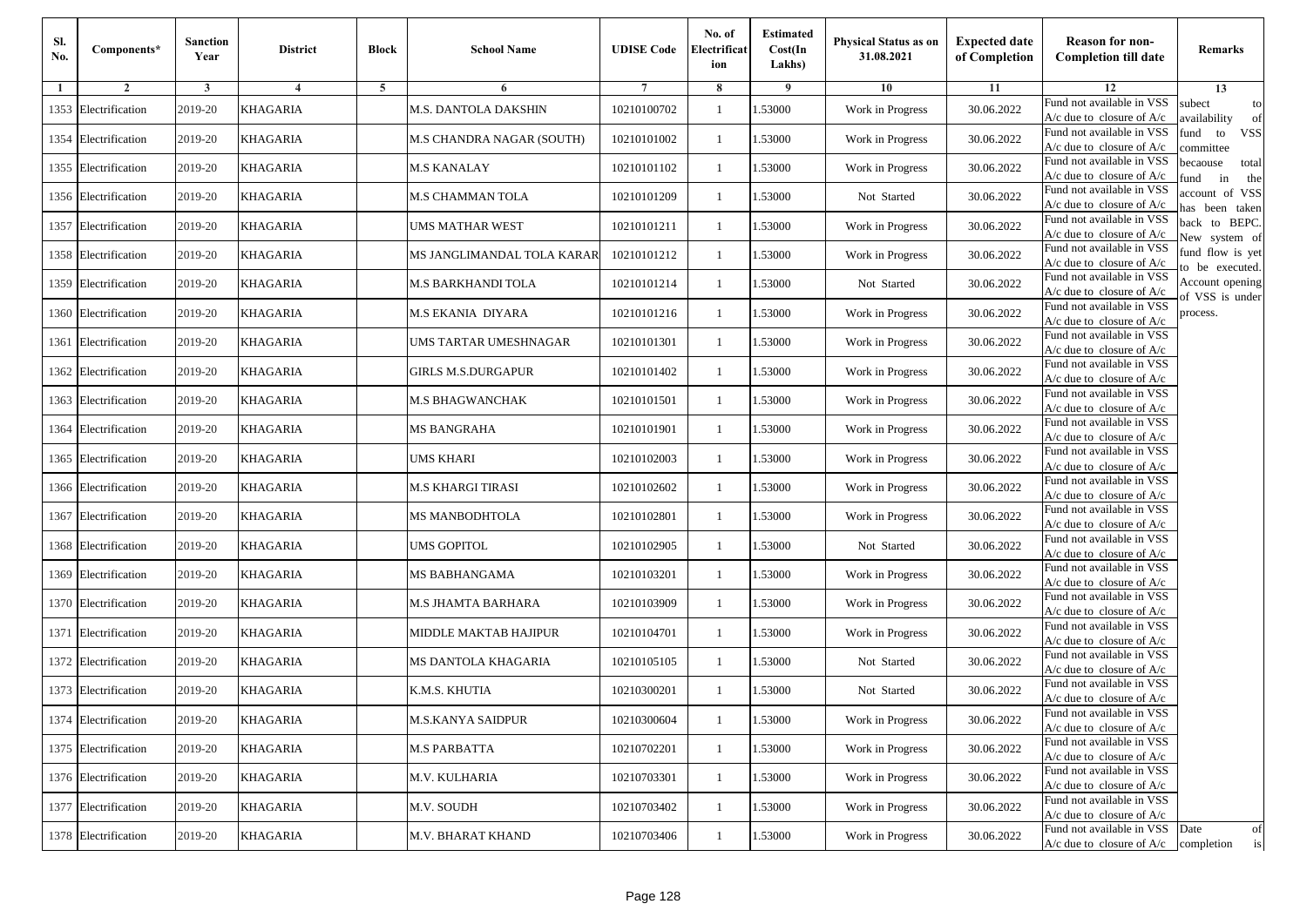| Sl.<br>No. | Components*          | <b>Sanction</b><br>Year | <b>District</b> | <b>Block</b> | <b>School Name</b>         | <b>UDISE Code</b> | No. of<br>Electrificat<br>ion | <b>Estimated</b><br>Cost(In<br>Lakhs) | <b>Physical Status as on</b><br>31.08.2021 | <b>Expected date</b><br>of Completion | <b>Reason for non-</b><br><b>Completion till date</b>                 | Remarks                               |
|------------|----------------------|-------------------------|-----------------|--------------|----------------------------|-------------------|-------------------------------|---------------------------------------|--------------------------------------------|---------------------------------------|-----------------------------------------------------------------------|---------------------------------------|
| -1         | $\overline{2}$       | 3                       | $\overline{4}$  | 5            | 6                          |                   | 8                             | 9                                     | 10                                         | 11                                    | 12                                                                    | 13                                    |
|            | 1353 Electrification | 2019-20                 | KHAGARIA        |              | M.S. DANTOLA DAKSHIN       | 10210100702       | $\mathbf{1}$                  | .53000                                | Work in Progress                           | 30.06.2022                            | Fund not available in VSS<br>$A/c$ due to closure of $A/c$            | subect<br>to<br>availability<br>of    |
|            | 1354 Electrification | 2019-20                 | <b>KHAGARIA</b> |              | M.S CHANDRA NAGAR (SOUTH)  | 10210101002       | $\mathbf{1}$                  | 1.53000                               | Work in Progress                           | 30.06.2022                            | Fund not available in VSS<br>$A/c$ due to closure of $A/c$            | fund<br>to<br><b>VSS</b><br>ommittee  |
|            | 1355 Electrification | 2019-20                 | <b>KHAGARIA</b> |              | <b>M.S KANALAY</b>         | 10210101102       | 1                             | 1.53000                               | Work in Progress                           | 30.06.2022                            | Fund not available in VSS<br>$A/c$ due to closure of $A/c$            | becaouse<br>total<br>und<br>in<br>the |
|            | 1356 Electrification | 2019-20                 | KHAGARIA        |              | M.S CHAMMAN TOLA           | 10210101209       | $\mathbf{1}$                  | .53000                                | Not Started                                | 30.06.2022                            | Fund not available in VSS<br>A/c due to closure of A/c                | account of VSS<br>as been taken       |
|            | 1357 Electrification | 2019-20                 | KHAGARIA        |              | UMS MATHAR WEST            | 10210101211       | $\mathbf{1}$                  | .53000                                | Work in Progress                           | 30.06.2022                            | Fund not available in VSS<br>A/c due to closure of $A/c$              | back to BEPC.<br>New system of        |
|            | 1358 Electrification | 2019-20                 | <b>KHAGARIA</b> |              | MS JANGLIMANDAL TOLA KARAR | 10210101212       | $\mathbf{1}$                  | .53000                                | Work in Progress                           | 30.06.2022                            | Fund not available in VSS<br>A/c due to closure of $A/c$              | fund flow is yet<br>o be executed.    |
|            | 1359 Electrification | 2019-20                 | <b>KHAGARIA</b> |              | M.S BARKHANDI TOLA         | 10210101214       | $\mathbf{1}$                  | 1.53000                               | Not Started                                | 30.06.2022                            | Fund not available in VSS<br>$A/c$ due to closure of $A/c$            | Account opening<br>of VSS is under    |
|            | 1360 Electrification | 2019-20                 | <b>KHAGARIA</b> |              | M.S EKANIA DIYARA          | 10210101216       | $\mathbf{1}$                  | .53000                                | Work in Progress                           | 30.06.2022                            | Fund not available in VSS<br>$A/c$ due to closure of $A/c$            | process.                              |
|            | 1361 Electrification | 2019-20                 | KHAGARIA        |              | UMS TARTAR UMESHNAGAR      | 10210101301       | 1                             | .53000                                | Work in Progress                           | 30.06.2022                            | Fund not available in VSS<br>$A/c$ due to closure of $A/c$            |                                       |
|            | 1362 Electrification | 2019-20                 | <b>KHAGARIA</b> |              | <b>GIRLS M.S.DURGAPUR</b>  | 10210101402       | $\mathbf{1}$                  | .53000                                | Work in Progress                           | 30.06.2022                            | Fund not available in VSS<br>$A/c$ due to closure of $A/c$            |                                       |
|            | 1363 Electrification | 2019-20                 | <b>KHAGARIA</b> |              | M.S BHAGWANCHAK            | 10210101501       | 1                             | 1.53000                               | Work in Progress                           | 30.06.2022                            | Fund not available in VSS<br>$A/c$ due to closure of $A/c$            |                                       |
|            | 1364 Electrification | 2019-20                 | KHAGARIA        |              | <b>MS BANGRAHA</b>         | 10210101901       | 1                             | .53000                                | Work in Progress                           | 30.06.2022                            | Fund not available in VSS<br>$A/c$ due to closure of $A/c$            |                                       |
|            | 1365 Electrification | 2019-20                 | KHAGARIA        |              | UMS KHARI                  | 10210102003       | $\mathbf{1}$                  | .53000                                | Work in Progress                           | 30.06.2022                            | Fund not available in VSS<br>A/c due to closure of A/c                |                                       |
|            | 1366 Electrification | 2019-20                 | <b>KHAGARIA</b> |              | M.S KHARGI TIRASI          | 10210102602       | $\mathbf{1}$                  | .53000                                | Work in Progress                           | 30.06.2022                            | Fund not available in VSS<br>$A/c$ due to closure of $A/c$            |                                       |
|            | 1367 Electrification | 2019-20                 | KHAGARIA        |              | <b>MS MANBODHTOLA</b>      | 10210102801       | 1                             | 1.53000                               | Work in Progress                           | 30.06.2022                            | Fund not available in VSS<br>$A/c$ due to closure of $A/c$            |                                       |
|            | 1368 Electrification | 2019-20                 | KHAGARIA        |              | <b>UMS GOPITOL</b>         | 10210102905       | $\mathbf{1}$                  | .53000                                | Not Started                                | 30.06.2022                            | Fund not available in VSS<br>$A/c$ due to closure of $A/c$            |                                       |
|            | 1369 Electrification | 2019-20                 | KHAGARIA        |              | MS BABHANGAMA              | 10210103201       | 1                             | .53000                                | Work in Progress                           | 30.06.2022                            | Fund not available in VSS<br>A/c due to closure of A/c                |                                       |
|            | 1370 Electrification | 2019-20                 | <b>KHAGARIA</b> |              | M.S JHAMTA BARHARA         | 10210103909       | $\mathbf{1}$                  | 1.53000                               | Work in Progress                           | 30.06.2022                            | Fund not available in VSS<br>$A/c$ due to closure of $A/c$            |                                       |
|            | 1371 Electrification | 2019-20                 | KHAGARIA        |              | MIDDLE MAKTAB HAJIPUR      | 10210104701       | 1                             | 1.53000                               | Work in Progress                           | 30.06.2022                            | Fund not available in VSS<br>$A/c$ due to closure of $A/c$            |                                       |
|            | 1372 Electrification | 2019-20                 | <b>KHAGARIA</b> |              | MS DANTOLA KHAGARIA        | 10210105105       | $\mathbf{1}$                  | .53000                                | Not Started                                | 30.06.2022                            | Fund not available in VSS<br>$A/c$ due to closure of $A/c$            |                                       |
|            | 1373 Electrification | 2019-20                 | KHAGARIA        |              | K.M.S. KHUTIA              | 10210300201       | 1                             | .53000                                | Not Started                                | 30.06.2022                            | Fund not available in VSS<br>A/c due to closure of A/c                |                                       |
|            | 1374 Electrification | 2019-20                 | <b>KHAGARIA</b> |              | <b>M.S.KANYA SAIDPUR</b>   | 10210300604       |                               | 1.53000                               | Work in Progress                           | 30.06.2022                            | Fund not available in VSS<br>A/c due to closure of A/c                |                                       |
|            | 1375 Electrification | 2019-20                 | <b>KHAGARIA</b> |              | <b>M.S PARBATTA</b>        | 10210702201       | $\mathbf{1}$                  | 1.53000                               | Work in Progress                           | 30.06.2022                            | Fund not available in VSS<br>$A/c$ due to closure of $A/c$            |                                       |
|            | 1376 Electrification | 2019-20                 | <b>KHAGARIA</b> |              | M.V. KULHARIA              | 10210703301       | $\mathbf{1}$                  | 1.53000                               | Work in Progress                           | 30.06.2022                            | Fund not available in VSS<br>$A/c$ due to closure of $A/c$            |                                       |
|            | 1377 Electrification | 2019-20                 | <b>KHAGARIA</b> |              | M.V. SOUDH                 | 10210703402       | 1                             | 1.53000                               | Work in Progress                           | 30.06.2022                            | Fund not available in VSS<br>A/c due to closure of A/c                |                                       |
|            | 1378 Electrification | 2019-20                 | <b>KHAGARIA</b> |              | M.V. BHARAT KHAND          | 10210703406       | $\mathbf{1}$                  | 1.53000                               | Work in Progress                           | 30.06.2022                            | Fund not available in VSS<br>$A/c$ due to closure of $A/c$ completion | Date<br>of<br>is                      |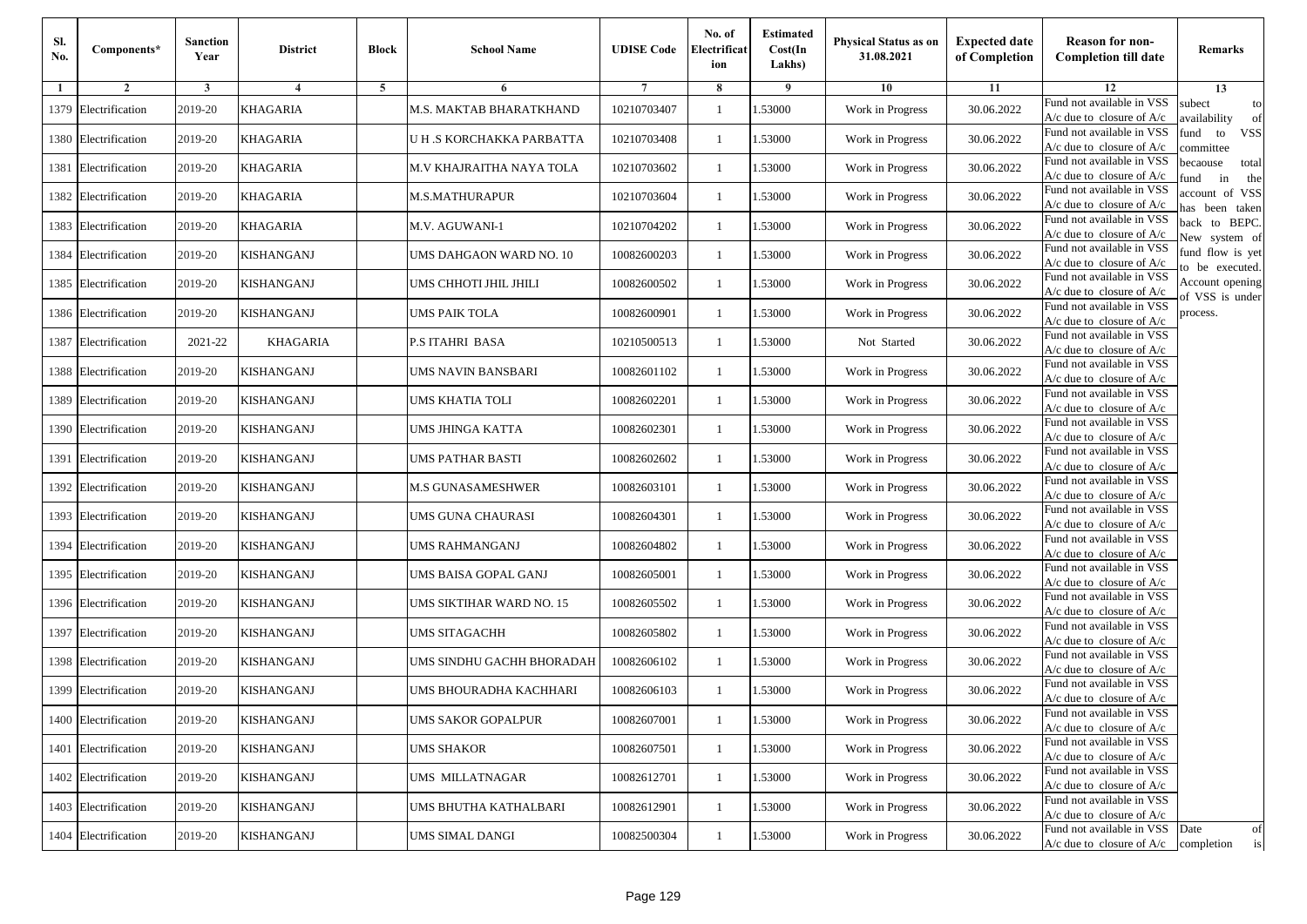| Sl.<br>No. | Components*          | <b>Sanction</b><br>Year | <b>District</b>   | <b>Block</b> | <b>School Name</b>        | <b>UDISE Code</b> | No. of<br>Electrificat<br>ion | <b>Estimated</b><br>Cost(In<br>Lakhs) | <b>Physical Status as on</b><br>31.08.2021 | <b>Expected date</b><br>of Completion | <b>Reason for non-</b><br><b>Completion till date</b>      | Remarks                               |
|------------|----------------------|-------------------------|-------------------|--------------|---------------------------|-------------------|-------------------------------|---------------------------------------|--------------------------------------------|---------------------------------------|------------------------------------------------------------|---------------------------------------|
| -1         | $\overline{2}$       | 3                       | $\overline{4}$    | 5            | 6                         |                   | 8                             | 9                                     | 10                                         | 11                                    | 12                                                         | 13                                    |
|            | 1379 Electrification | 2019-20                 | KHAGARIA          |              | M.S. MAKTAB BHARATKHAND   | 10210703407       | $\mathbf{1}$                  | .53000                                | Work in Progress                           | 30.06.2022                            | Fund not available in VSS<br>$A/c$ due to closure of $A/c$ | subect<br>to<br>availability<br>of    |
|            | 1380 Electrification | 2019-20                 | <b>KHAGARIA</b>   |              | U H .S KORCHAKKA PARBATTA | 10210703408       | 1                             | 1.53000                               | Work in Progress                           | 30.06.2022                            | Fund not available in VSS<br>$A/c$ due to closure of $A/c$ | fund<br>to<br><b>VSS</b><br>committee |
|            | 1381 Electrification | 2019-20                 | <b>KHAGARIA</b>   |              | M.V KHAJRAITHA NAYA TOLA  | 10210703602       | 1                             | 1.53000                               | Work in Progress                           | 30.06.2022                            | Fund not available in VSS<br>$A/c$ due to closure of $A/c$ | becaouse<br>total<br>in<br>und<br>the |
|            | 1382 Electrification | 2019-20                 | KHAGARIA          |              | <b>M.S.MATHURAPUR</b>     | 10210703604       | $\mathbf{1}$                  | .53000                                | Work in Progress                           | 30.06.2022                            | Fund not available in VSS<br>A/c due to closure of A/c     | account of VSS<br>as been taken       |
|            | 1383 Electrification | 2019-20                 | <b>KHAGARIA</b>   |              | M.V. AGUWANI-1            | 10210704202       | $\mathbf{1}$                  | .53000                                | Work in Progress                           | 30.06.2022                            | Fund not available in VSS<br>A/c due to closure of $A/c$   | back to BEPC.<br>New system of        |
|            | 1384 Electrification | 2019-20                 | <b>KISHANGANJ</b> |              | UMS DAHGAON WARD NO. 10   | 10082600203       | $\mathbf{1}$                  | .53000                                | Work in Progress                           | 30.06.2022                            | Fund not available in VSS<br>A/c due to closure of $A/c$   | fund flow is yet<br>o be executed.    |
|            | 1385 Electrification | 2019-20                 | <b>KISHANGANJ</b> |              | UMS CHHOTI JHIL JHILI     | 10082600502       | $\mathbf{1}$                  | .53000                                | Work in Progress                           | 30.06.2022                            | Fund not available in VSS<br>$A/c$ due to closure of $A/c$ | Account opening<br>of VSS is under    |
|            | 1386 Electrification | 2019-20                 | <b>KISHANGANJ</b> |              | <b>UMS PAIK TOLA</b>      | 10082600901       | $\mathbf{1}$                  | .53000                                | Work in Progress                           | 30.06.2022                            | Fund not available in VSS<br>$A/c$ due to closure of $A/c$ | process.                              |
|            | 1387 Electrification | 2021-22                 | <b>KHAGARIA</b>   |              | P.S ITAHRI BASA           | 10210500513       | 1                             | .53000                                | Not Started                                | 30.06.2022                            | Fund not available in VSS<br>$A/c$ due to closure of $A/c$ |                                       |
|            | 1388 Electrification | 2019-20                 | <b>KISHANGANJ</b> |              | <b>UMS NAVIN BANSBARI</b> | 10082601102       | $\mathbf{1}$                  | .53000                                | Work in Progress                           | 30.06.2022                            | Fund not available in VSS<br>$A/c$ due to closure of $A/c$ |                                       |
|            | 1389 Electrification | 2019-20                 | KISHANGANJ        |              | UMS KHATIA TOLI           | 10082602201       | 1                             | 1.53000                               | Work in Progress                           | 30.06.2022                            | Fund not available in VSS<br>$A/c$ due to closure of $A/c$ |                                       |
|            | 1390 Electrification | 2019-20                 | KISHANGANJ        |              | UMS JHINGA KATTA          | 10082602301       | 1                             | .53000                                | Work in Progress                           | 30.06.2022                            | Fund not available in VSS<br>$A/c$ due to closure of $A/c$ |                                       |
|            | 1391 Electrification | 2019-20                 | KISHANGANJ        |              | UMS PATHAR BASTI          | 10082602602       | $\mathbf{1}$                  | .53000                                | Work in Progress                           | 30.06.2022                            | Fund not available in VSS<br>$A/c$ due to closure of $A/c$ |                                       |
|            | 1392 Electrification | 2019-20                 | <b>KISHANGANJ</b> |              | M.S GUNASAMESHWER         | 10082603101       | $\mathbf{1}$                  | .53000                                | Work in Progress                           | 30.06.2022                            | Fund not available in VSS<br>$A/c$ due to closure of $A/c$ |                                       |
|            | 1393 Electrification | 2019-20                 | KISHANGANJ        |              | UMS GUNA CHAURASI         | 10082604301       | 1                             | 1.53000                               | Work in Progress                           | 30.06.2022                            | Fund not available in VSS<br>$A/c$ due to closure of $A/c$ |                                       |
|            | 1394 Electrification | 2019-20                 | KISHANGANJ        |              | <b>UMS RAHMANGANJ</b>     | 10082604802       | $\mathbf{1}$                  | .53000                                | Work in Progress                           | 30.06.2022                            | Fund not available in VSS<br>$A/c$ due to closure of $A/c$ |                                       |
|            | 1395 Electrification | 2019-20                 | KISHANGANJ        |              | UMS BAISA GOPAL GANJ      | 10082605001       | 1                             | .53000                                | Work in Progress                           | 30.06.2022                            | Fund not available in VSS<br>A/c due to closure of A/c     |                                       |
|            | 1396 Electrification | 2019-20                 | <b>KISHANGANJ</b> |              | UMS SIKTIHAR WARD NO. 15  | 10082605502       | $\mathbf{1}$                  | 1.53000                               | Work in Progress                           | 30.06.2022                            | Fund not available in VSS<br>$A/c$ due to closure of $A/c$ |                                       |
|            | 1397 Electrification | 2019-20                 | KISHANGANJ        |              | UMS SITAGACHH             | 10082605802       | 1                             | 1.53000                               | Work in Progress                           | 30.06.2022                            | Fund not available in VSS<br>$A/c$ due to closure of $A/c$ |                                       |
|            | 1398 Electrification | 2019-20                 | KISHANGANJ        |              | UMS SINDHU GACHH BHORADAH | 10082606102       | 1                             | .53000                                | Work in Progress                           | 30.06.2022                            | Fund not available in VSS<br>$A/c$ due to closure of $A/c$ |                                       |
|            | 1399 Electrification | 2019-20                 | KISHANGANJ        |              | UMS BHOURADHA KACHHARI    | 10082606103       | 1                             | .53000                                | Work in Progress                           | 30.06.2022                            | Fund not available in VSS<br>A/c due to closure of A/c     |                                       |
|            | 1400 Electrification | 2019-20                 | <b>KISHANGANJ</b> |              | <b>UMS SAKOR GOPALPUR</b> | 10082607001       |                               | 1.53000                               | Work in Progress                           | 30.06.2022                            | Fund not available in VSS<br>A/c due to closure of A/c     |                                       |
|            | 1401 Electrification | 2019-20                 | <b>KISHANGANJ</b> |              | <b>UMS SHAKOR</b>         | 10082607501       | $\mathbf{1}$                  | 1.53000                               | Work in Progress                           | 30.06.2022                            | Fund not available in VSS<br>$A/c$ due to closure of $A/c$ |                                       |
|            | 1402 Electrification | 2019-20                 | <b>KISHANGANJ</b> |              | UMS MILLATNAGAR           | 10082612701       | $\mathbf{1}$                  | 1.53000                               | Work in Progress                           | 30.06.2022                            | Fund not available in VSS<br>$A/c$ due to closure of $A/c$ |                                       |
|            | 1403 Electrification | 2019-20                 | <b>KISHANGANJ</b> |              | UMS BHUTHA KATHALBARI     | 10082612901       | 1                             | 1.53000                               | Work in Progress                           | 30.06.2022                            | Fund not available in VSS<br>A/c due to closure of $A/c$   |                                       |
|            | 1404 Electrification | 2019-20                 | <b>KISHANGANJ</b> |              | UMS SIMAL DANGI           | 10082500304       | $\mathbf{1}$                  | 1.53000                               | Work in Progress                           | 30.06.2022                            | Fund not available in VSS<br>$A/c$ due to closure of $A/c$ | Date<br>of<br>completion<br>is        |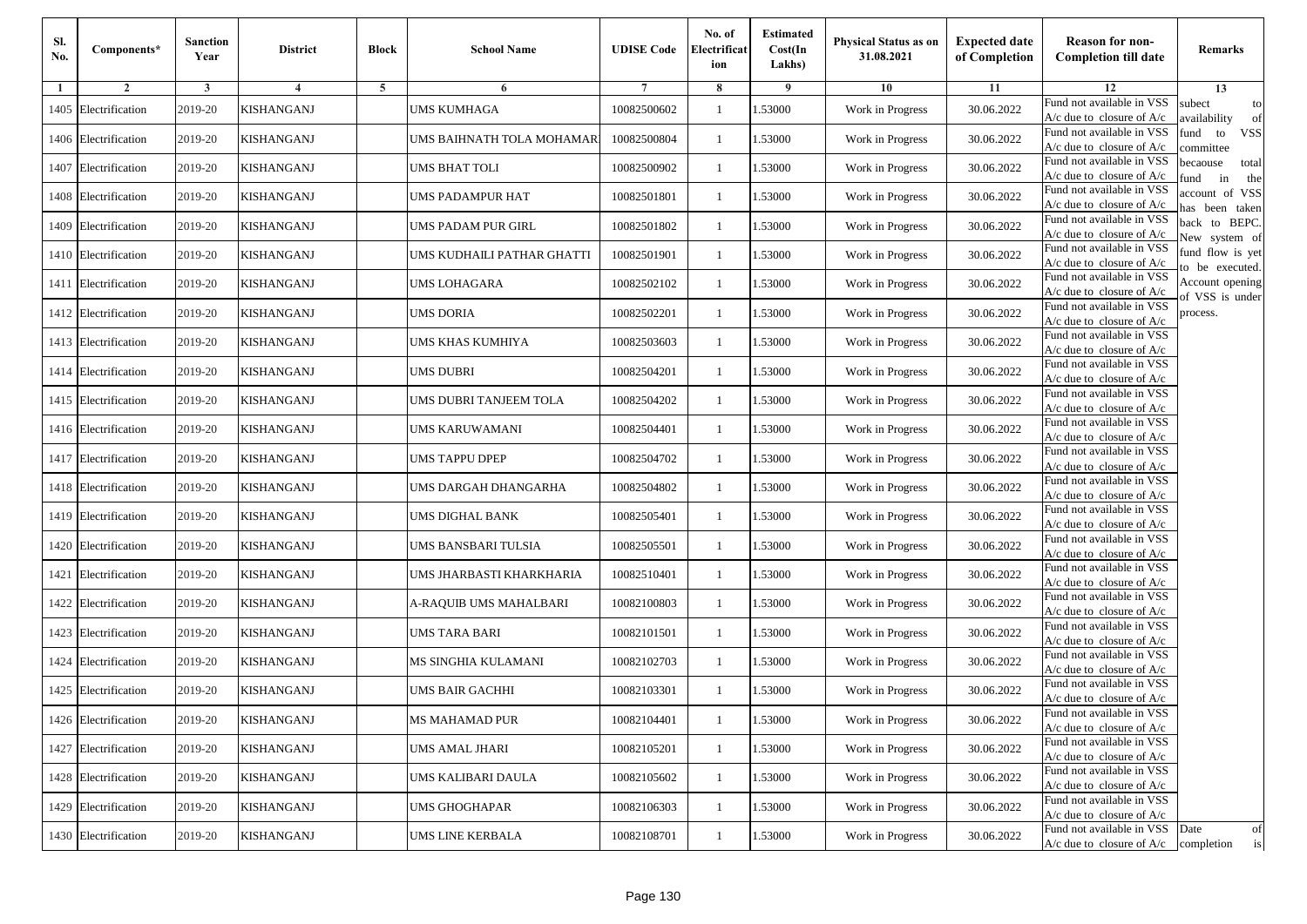| Sl.<br>No. | Components*          | <b>Sanction</b><br>Year | <b>District</b>   | <b>Block</b> | <b>School Name</b>         | <b>UDISE Code</b> | No. of<br>Electrificat<br>ion | <b>Estimated</b><br>Cost(In<br>Lakhs) | <b>Physical Status as on</b><br>31.08.2021 | <b>Expected date</b><br>of Completion | <b>Reason for non-</b><br><b>Completion till date</b>      | Remarks                               |
|------------|----------------------|-------------------------|-------------------|--------------|----------------------------|-------------------|-------------------------------|---------------------------------------|--------------------------------------------|---------------------------------------|------------------------------------------------------------|---------------------------------------|
| -1         | $\overline{2}$       | 3                       | $\overline{4}$    | 5            | 6                          |                   | 8                             | 9                                     | 10                                         | 11                                    | 12                                                         | 13                                    |
|            | 1405 Electrification | 2019-20                 | KISHANGANJ        |              | <b>UMS KUMHAGA</b>         | 10082500602       | $\mathbf{1}$                  | .53000                                | Work in Progress                           | 30.06.2022                            | Fund not available in VSS<br>$A/c$ due to closure of $A/c$ | subect<br>to<br>availability<br>of    |
|            | 1406 Electrification | 2019-20                 | <b>KISHANGANJ</b> |              | UMS BAIHNATH TOLA MOHAMAR  | 10082500804       | 1                             | 1.53000                               | Work in Progress                           | 30.06.2022                            | Fund not available in VSS<br>$A/c$ due to closure of $A/c$ | fund<br>to<br><b>VSS</b><br>committee |
|            | 1407 Electrification | 2019-20                 | KISHANGANJ        |              | UMS BHAT TOLI              | 10082500902       | 1                             | 1.53000                               | Work in Progress                           | 30.06.2022                            | Fund not available in VSS<br>$A/c$ due to closure of $A/c$ | becaouse<br>total<br>in<br>und<br>the |
|            | 1408 Electrification | 2019-20                 | KISHANGANJ        |              | UMS PADAMPUR HAT           | 10082501801       | $\mathbf{1}$                  | .53000                                | Work in Progress                           | 30.06.2022                            | Fund not available in VSS<br>A/c due to closure of A/c     | account of VSS<br>as been taken       |
|            | 1409 Electrification | 2019-20                 | KISHANGANJ        |              | UMS PADAM PUR GIRL         | 10082501802       | $\mathbf{1}$                  | .53000                                | Work in Progress                           | 30.06.2022                            | Fund not available in VSS<br>$A/c$ due to closure of $A/c$ | back to BEPC.<br>New system of        |
|            | 1410 Electrification | 2019-20                 | <b>KISHANGANJ</b> |              | UMS KUDHAILI PATHAR GHATTI | 10082501901       | $\mathbf{1}$                  | .53000                                | Work in Progress                           | 30.06.2022                            | Fund not available in VSS<br>A/c due to closure of $A/c$   | fund flow is yet<br>o be executed.    |
|            | 1411 Electrification | 2019-20                 | <b>KISHANGANJ</b> |              | UMS LOHAGARA               | 10082502102       | $\mathbf{1}$                  | 1.53000                               | Work in Progress                           | 30.06.2022                            | Fund not available in VSS<br>$A/c$ due to closure of $A/c$ | Account opening<br>of VSS is under    |
|            | 1412 Electrification | 2019-20                 | <b>KISHANGANJ</b> |              | <b>UMS DORIA</b>           | 10082502201       | $\mathbf{1}$                  | .53000                                | Work in Progress                           | 30.06.2022                            | Fund not available in VSS<br>$A/c$ due to closure of $A/c$ | process.                              |
|            | 1413 Electrification | 2019-20                 | KISHANGANJ        |              | UMS KHAS KUMHIYA           | 10082503603       | 1                             | .53000                                | Work in Progress                           | 30.06.2022                            | Fund not available in VSS<br>$A/c$ due to closure of $A/c$ |                                       |
|            | 1414 Electrification | 2019-20                 | <b>KISHANGANJ</b> |              | <b>UMS DUBRI</b>           | 10082504201       | $\mathbf{1}$                  | .53000                                | Work in Progress                           | 30.06.2022                            | Fund not available in VSS<br>$A/c$ due to closure of $A/c$ |                                       |
|            | 1415 Electrification | 2019-20                 | KISHANGANJ        |              | UMS DUBRI TANJEEM TOLA     | 10082504202       | 1                             | 1.53000                               | Work in Progress                           | 30.06.2022                            | Fund not available in VSS<br>A/c due to closure of $A/c$   |                                       |
|            | 1416 Electrification | 2019-20                 | KISHANGANJ        |              | UMS KARUWAMANI             | 10082504401       | 1                             | .53000                                | Work in Progress                           | 30.06.2022                            | Fund not available in VSS<br>$A/c$ due to closure of $A/c$ |                                       |
|            | 1417 Electrification | 2019-20                 | KISHANGANJ        |              | UMS TAPPU DPEP             | 10082504702       | $\mathbf{1}$                  | .53000                                | Work in Progress                           | 30.06.2022                            | Fund not available in VSS<br>$A/c$ due to closure of $A/c$ |                                       |
|            | 1418 Electrification | 2019-20                 | <b>KISHANGANJ</b> |              | UMS DARGAH DHANGARHA       | 10082504802       | $\mathbf{1}$                  | .53000                                | Work in Progress                           | 30.06.2022                            | Fund not available in VSS<br>$A/c$ due to closure of $A/c$ |                                       |
|            | 1419 Electrification | 2019-20                 | KISHANGANJ        |              | UMS DIGHAL BANK            | 10082505401       | 1                             | 1.53000                               | Work in Progress                           | 30.06.2022                            | Fund not available in VSS<br>$A/c$ due to closure of $A/c$ |                                       |
|            | 1420 Electrification | 2019-20                 | KISHANGANJ        |              | UMS BANSBARI TULSIA        | 10082505501       | $\mathbf{1}$                  | .53000                                | Work in Progress                           | 30.06.2022                            | Fund not available in VSS<br>$A/c$ due to closure of $A/c$ |                                       |
|            | 1421 Electrification | 2019-20                 | KISHANGANJ        |              | UMS JHARBASTI KHARKHARIA   | 10082510401       | 1                             | .53000                                | Work in Progress                           | 30.06.2022                            | Fund not available in VSS<br>$A/c$ due to closure of $A/c$ |                                       |
|            | 1422 Electrification | 2019-20                 | <b>KISHANGANJ</b> |              | A-RAQUIB UMS MAHALBARI     | 10082100803       | $\mathbf{1}$                  | 1.53000                               | Work in Progress                           | 30.06.2022                            | Fund not available in VSS<br>$A/c$ due to closure of $A/c$ |                                       |
|            | 1423 Electrification | 2019-20                 | KISHANGANJ        |              | UMS TARA BARI              | 10082101501       | 1                             | 1.53000                               | Work in Progress                           | 30.06.2022                            | Fund not available in VSS<br>$A/c$ due to closure of $A/c$ |                                       |
|            | 1424 Electrification | 2019-20                 | KISHANGANJ        |              | MS SINGHIA KULAMANI        | 10082102703       | 1                             | .53000                                | Work in Progress                           | 30.06.2022                            | Fund not available in VSS<br>$A/c$ due to closure of $A/c$ |                                       |
|            | 1425 Electrification | 2019-20                 | KISHANGANJ        |              | UMS BAIR GACHHI            | 10082103301       | 1                             | .53000                                | Work in Progress                           | 30.06.2022                            | Fund not available in VSS<br>A/c due to closure of A/c     |                                       |
|            | 1426 Electrification | 2019-20                 | <b>KISHANGANJ</b> |              | <b>MS MAHAMAD PUR</b>      | 10082104401       |                               | 1.53000                               | Work in Progress                           | 30.06.2022                            | Fund not available in VSS<br>A/c due to closure of A/c     |                                       |
|            | 1427 Electrification | 2019-20                 | <b>KISHANGANJ</b> |              | UMS AMAL JHARI             | 10082105201       | $\mathbf{1}$                  | 1.53000                               | Work in Progress                           | 30.06.2022                            | Fund not available in VSS<br>$A/c$ due to closure of $A/c$ |                                       |
|            | 1428 Electrification | 2019-20                 | <b>KISHANGANJ</b> |              | UMS KALIBARI DAULA         | 10082105602       | $\mathbf{1}$                  | 1.53000                               | Work in Progress                           | 30.06.2022                            | Fund not available in VSS<br>$A/c$ due to closure of $A/c$ |                                       |
|            | 1429 Electrification | 2019-20                 | <b>KISHANGANJ</b> |              | <b>UMS GHOGHAPAR</b>       | 10082106303       | 1                             | 1.53000                               | Work in Progress                           | 30.06.2022                            | Fund not available in VSS<br>A/c due to closure of $A/c$   |                                       |
|            | 1430 Electrification | 2019-20                 | <b>KISHANGANJ</b> |              | UMS LINE KERBALA           | 10082108701       | $\mathbf{1}$                  | 1.53000                               | Work in Progress                           | 30.06.2022                            | Fund not available in VSS<br>$A/c$ due to closure of $A/c$ | Date<br>of<br>is<br>completion        |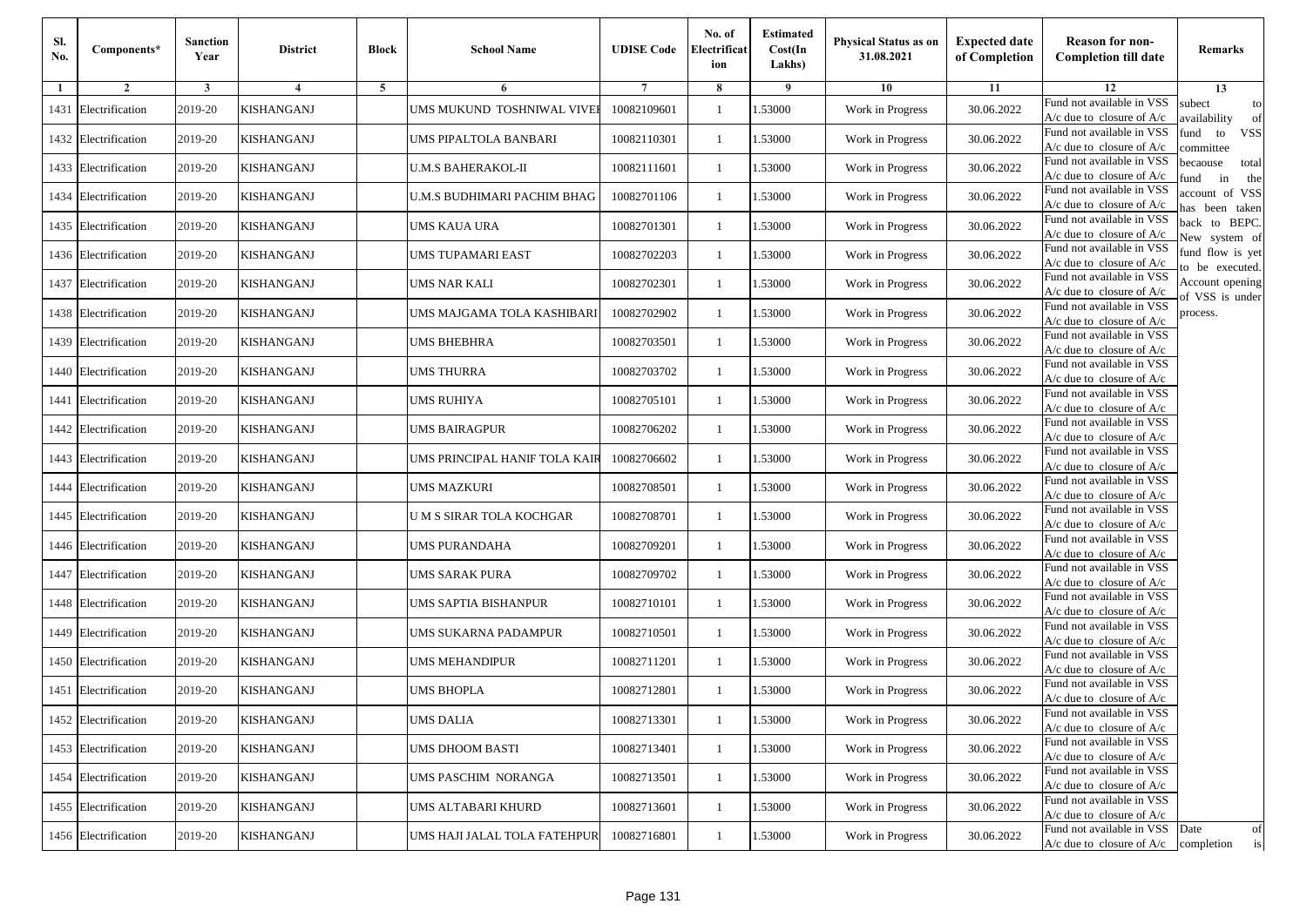| Sl.<br>No. | Components*          | <b>Sanction</b><br>Year | <b>District</b>   | <b>Block</b> | <b>School Name</b>            | <b>UDISE Code</b> | No. of<br>Electrificat<br>ion | <b>Estimated</b><br>Cost(In<br>Lakhs) | <b>Physical Status as on</b><br>31.08.2021 | <b>Expected date</b><br>of Completion | <b>Reason for non-</b><br><b>Completion till date</b>      | Remarks                               |
|------------|----------------------|-------------------------|-------------------|--------------|-------------------------------|-------------------|-------------------------------|---------------------------------------|--------------------------------------------|---------------------------------------|------------------------------------------------------------|---------------------------------------|
| -1         | $\overline{2}$       | 3                       | $\overline{4}$    | 5            | 6                             |                   | 8                             | 9                                     | 10                                         | 11                                    | 12                                                         | 13                                    |
|            | 1431 Electrification | 2019-20                 | KISHANGANJ        |              | UMS MUKUND TOSHNIWAL VIVEI    | 10082109601       | $\mathbf{1}$                  | .53000                                | Work in Progress                           | 30.06.2022                            | Fund not available in VSS<br>$A/c$ due to closure of $A/c$ | subect<br>to<br>availability<br>of    |
|            | 1432 Electrification | 2019-20                 | <b>KISHANGANJ</b> |              | UMS PIPALTOLA BANBARI         | 10082110301       | 1                             | 1.53000                               | Work in Progress                           | 30.06.2022                            | Fund not available in VSS<br>$A/c$ due to closure of $A/c$ | fund<br>to<br><b>VSS</b><br>committee |
|            | 1433 Electrification | 2019-20                 | <b>KISHANGANJ</b> |              | <b>U.M.S BAHERAKOL-II</b>     | 10082111601       | 1                             | 1.53000                               | Work in Progress                           | 30.06.2022                            | Fund not available in VSS<br>$A/c$ due to closure of $A/c$ | becaouse<br>total<br>in<br>und<br>the |
|            | 1434 Electrification | 2019-20                 | KISHANGANJ        |              | U.M.S BUDHIMARI PACHIM BHAG   | 10082701106       | $\mathbf{1}$                  | .53000                                | Work in Progress                           | 30.06.2022                            | Fund not available in VSS<br>A/c due to closure of A/c     | account of VSS<br>as been taken       |
|            | 1435 Electrification | 2019-20                 | KISHANGANJ        |              | UMS KAUA URA                  | 10082701301       | $\mathbf{1}$                  | .53000                                | Work in Progress                           | 30.06.2022                            | Fund not available in VSS<br>$A/c$ due to closure of $A/c$ | back to BEPC.<br>New system of        |
|            | 1436 Electrification | 2019-20                 | <b>KISHANGANJ</b> |              | UMS TUPAMARI EAST             | 10082702203       | $\mathbf{1}$                  | .53000                                | Work in Progress                           | 30.06.2022                            | Fund not available in VSS<br>A/c due to closure of $A/c$   | fund flow is yet<br>o be executed.    |
|            | 1437 Electrification | 2019-20                 | <b>KISHANGANJ</b> |              | UMS NAR KALI                  | 10082702301       | $\mathbf{1}$                  | 1.53000                               | Work in Progress                           | 30.06.2022                            | Fund not available in VSS<br>$A/c$ due to closure of $A/c$ | Account opening<br>of VSS is under    |
|            | 1438 Electrification | 2019-20                 | <b>KISHANGANJ</b> |              | UMS MAJGAMA TOLA KASHIBARI    | 10082702902       | $\mathbf{1}$                  | .53000                                | Work in Progress                           | 30.06.2022                            | Fund not available in VSS<br>$A/c$ due to closure of $A/c$ | process.                              |
|            | 1439 Electrification | 2019-20                 | KISHANGANJ        |              | <b>UMS BHEBHRA</b>            | 10082703501       | 1                             | .53000                                | Work in Progress                           | 30.06.2022                            | Fund not available in VSS<br>$A/c$ due to closure of $A/c$ |                                       |
| 1440       | Electrification      | 2019-20                 | <b>KISHANGANJ</b> |              | <b>UMS THURRA</b>             | 10082703702       | $\mathbf{1}$                  | .53000                                | Work in Progress                           | 30.06.2022                            | Fund not available in VSS<br>$A/c$ due to closure of $A/c$ |                                       |
|            | 1441 Electrification | 2019-20                 | KISHANGANJ        |              | UMS RUHIYA                    | 10082705101       | 1                             | 1.53000                               | Work in Progress                           | 30.06.2022                            | Fund not available in VSS<br>A/c due to closure of $A/c$   |                                       |
|            | 1442 Electrification | 2019-20                 | KISHANGANJ        |              | <b>UMS BAIRAGPUR</b>          | 10082706202       | 1                             | .53000                                | Work in Progress                           | 30.06.2022                            | Fund not available in VSS<br>$A/c$ due to closure of $A/c$ |                                       |
|            | 1443 Electrification | 2019-20                 | KISHANGANJ        |              | UMS PRINCIPAL HANIF TOLA KAIR | 10082706602       | $\mathbf{1}$                  | .53000                                | Work in Progress                           | 30.06.2022                            | Fund not available in VSS<br>$A/c$ due to closure of $A/c$ |                                       |
| 1444       | Electrification      | 2019-20                 | <b>KISHANGANJ</b> |              | UMS MAZKURI                   | 10082708501       | $\mathbf{1}$                  | .53000                                | Work in Progress                           | 30.06.2022                            | Fund not available in VSS<br>$A/c$ due to closure of $A/c$ |                                       |
|            | 1445 Electrification | 2019-20                 | KISHANGANJ        |              | U M S SIRAR TOLA KOCHGAR      | 10082708701       | 1                             | 1.53000                               | Work in Progress                           | 30.06.2022                            | Fund not available in VSS<br>$A/c$ due to closure of $A/c$ |                                       |
|            | 1446 Electrification | 2019-20                 | KISHANGANJ        |              | <b>UMS PURANDAHA</b>          | 10082709201       | $\mathbf{1}$                  | .53000                                | Work in Progress                           | 30.06.2022                            | Fund not available in VSS<br>$A/c$ due to closure of $A/c$ |                                       |
|            | 1447 Electrification | 2019-20                 | KISHANGANJ        |              | UMS SARAK PURA                | 10082709702       | 1                             | .53000                                | Work in Progress                           | 30.06.2022                            | Fund not available in VSS<br>$A/c$ due to closure of $A/c$ |                                       |
|            | 1448 Electrification | 2019-20                 | <b>KISHANGANJ</b> |              | UMS SAPTIA BISHANPUR          | 10082710101       | 1                             | 1.53000                               | Work in Progress                           | 30.06.2022                            | Fund not available in VSS<br>$A/c$ due to closure of $A/c$ |                                       |
|            | 1449 Electrification | 2019-20                 | KISHANGANJ        |              | UMS SUKARNA PADAMPUR          | 10082710501       | 1                             | 1.53000                               | Work in Progress                           | 30.06.2022                            | Fund not available in VSS<br>$A/c$ due to closure of $A/c$ |                                       |
|            | 1450 Electrification | 2019-20                 | KISHANGANJ        |              | UMS MEHANDIPUR                | 10082711201       | 1                             | .53000                                | Work in Progress                           | 30.06.2022                            | Fund not available in VSS<br>$A/c$ due to closure of $A/c$ |                                       |
|            | 1451 Electrification | 2019-20                 | KISHANGANJ        |              | UMS BHOPLA                    | 10082712801       | 1                             | .53000                                | Work in Progress                           | 30.06.2022                            | Fund not available in VSS<br>A/c due to closure of A/c     |                                       |
|            | 1452 Electrification | 2019-20                 | <b>KISHANGANJ</b> |              | <b>UMS DALIA</b>              | 10082713301       |                               | 1.53000                               | Work in Progress                           | 30.06.2022                            | Fund not available in VSS<br>A/c due to closure of A/c     |                                       |
|            | 1453 Electrification | 2019-20                 | <b>KISHANGANJ</b> |              | <b>UMS DHOOM BASTI</b>        | 10082713401       | $\mathbf{1}$                  | 1.53000                               | Work in Progress                           | 30.06.2022                            | Fund not available in VSS<br>$A/c$ due to closure of $A/c$ |                                       |
|            | 1454 Electrification | 2019-20                 | <b>KISHANGANJ</b> |              | UMS PASCHIM NORANGA           | 10082713501       | $\mathbf{1}$                  | 1.53000                               | Work in Progress                           | 30.06.2022                            | Fund not available in VSS<br>$A/c$ due to closure of $A/c$ |                                       |
|            | 1455 Electrification | 2019-20                 | <b>KISHANGANJ</b> |              | UMS ALTABARI KHURD            | 10082713601       | 1                             | 1.53000                               | Work in Progress                           | 30.06.2022                            | Fund not available in VSS<br>A/c due to closure of $A/c$   |                                       |
|            | 1456 Electrification | 2019-20                 | <b>KISHANGANJ</b> |              | UMS HAJI JALAL TOLA FATEHPUR  | 10082716801       | $\mathbf{1}$                  | 1.53000                               | Work in Progress                           | 30.06.2022                            | Fund not available in VSS<br>$A/c$ due to closure of $A/c$ | Date<br>of<br>is<br>completion        |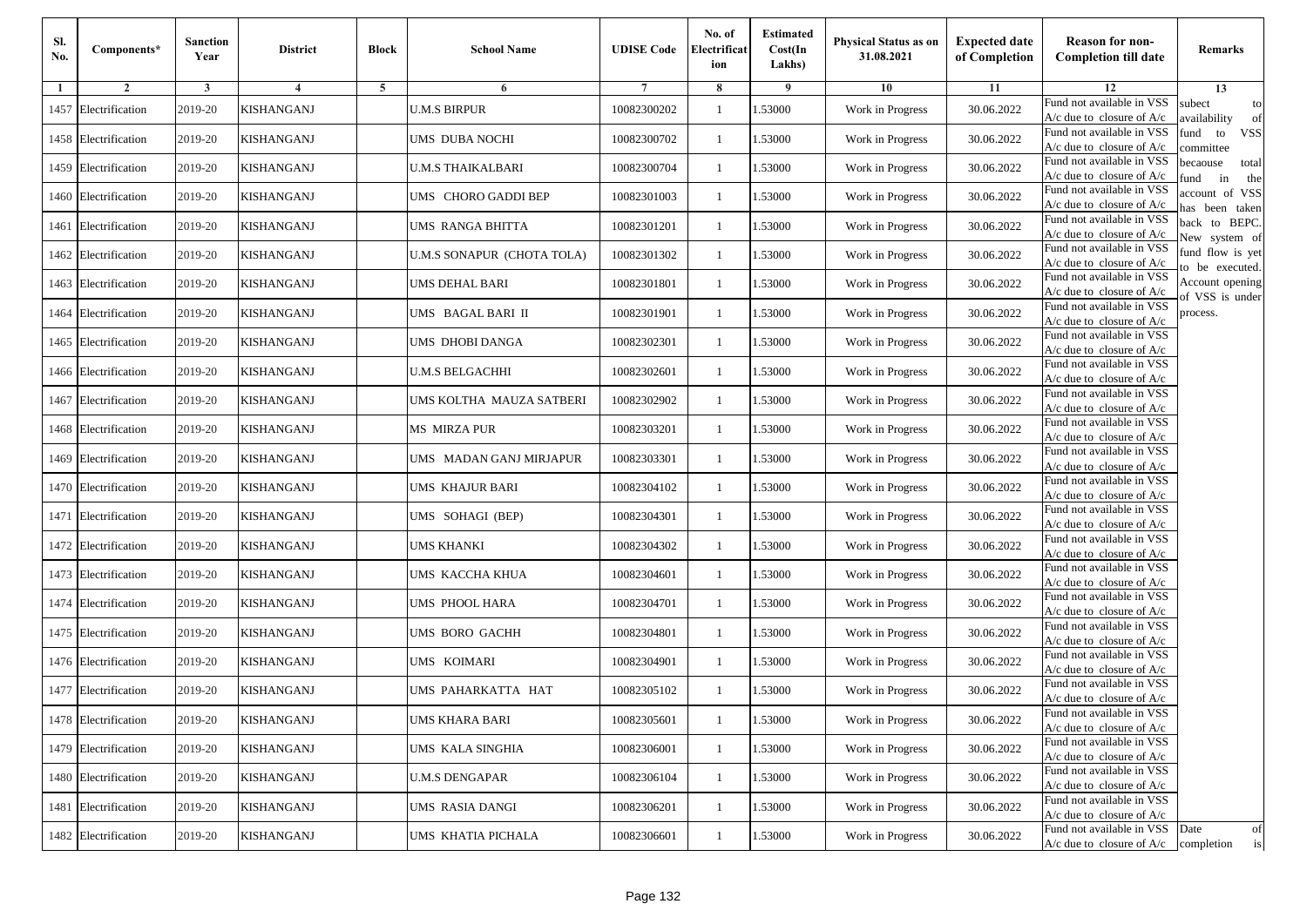| Sl.<br>No. | Components*          | <b>Sanction</b><br>Year | <b>District</b>   | <b>Block</b> | <b>School Name</b>         | <b>UDISE Code</b> | No. of<br>Electrificat<br>ion | <b>Estimated</b><br>Cost(In<br>Lakhs) | <b>Physical Status as on</b><br>31.08.2021 | <b>Expected date</b><br>of Completion | <b>Reason for non-</b><br><b>Completion till date</b>                 | Remarks                               |
|------------|----------------------|-------------------------|-------------------|--------------|----------------------------|-------------------|-------------------------------|---------------------------------------|--------------------------------------------|---------------------------------------|-----------------------------------------------------------------------|---------------------------------------|
| -1         | $\overline{2}$       | 3                       | 4                 | 5            | 6                          |                   | 8                             | 9                                     | 10                                         | 11                                    | 12                                                                    | 13                                    |
|            | 1457 Electrification | 2019-20                 | KISHANGANJ        |              | <b>U.M.S BIRPUR</b>        | 10082300202       | $\mathbf{1}$                  | .53000                                | Work in Progress                           | 30.06.2022                            | Fund not available in VSS<br>$A/c$ due to closure of $A/c$            | subect<br>to<br>availability<br>of    |
|            | 1458 Electrification | 2019-20                 | <b>KISHANGANJ</b> |              | UMS DUBA NOCHI             | 10082300702       | 1                             | 1.53000                               | Work in Progress                           | 30.06.2022                            | Fund not available in VSS<br>$A/c$ due to closure of $A/c$            | fund<br>to<br><b>VSS</b><br>ommittee  |
|            | 1459 Electrification | 2019-20                 | KISHANGANJ        |              | <b>U.M.S THAIKALBARI</b>   | 10082300704       | 1                             | 1.53000                               | Work in Progress                           | 30.06.2022                            | Fund not available in VSS<br>$A/c$ due to closure of $A/c$            | becaouse<br>total<br>in<br>und<br>the |
|            | 1460 Electrification | 2019-20                 | KISHANGANJ        |              | UMS CHORO GADDI BEP        | 10082301003       | $\mathbf{1}$                  | .53000                                | Work in Progress                           | 30.06.2022                            | Fund not available in VSS<br>A/c due to closure of A/c                | account of VSS<br>as been taken       |
|            | 1461 Electrification | 2019-20                 | KISHANGANJ        |              | UMS RANGA BHITTA           | 10082301201       | $\mathbf{1}$                  | .53000                                | Work in Progress                           | 30.06.2022                            | Fund not available in VSS<br>$A/c$ due to closure of $A/c$            | back to BEPC.<br>New system of        |
|            | 1462 Electrification | 2019-20                 | <b>KISHANGANJ</b> |              | U.M.S SONAPUR (CHOTA TOLA) | 10082301302       | $\mathbf{1}$                  | .53000                                | Work in Progress                           | 30.06.2022                            | Fund not available in VSS<br>A/c due to closure of $A/c$              | fund flow is yet<br>o be executed.    |
|            | 1463 Electrification | 2019-20                 | <b>KISHANGANJ</b> |              | <b>UMS DEHAL BARI</b>      | 10082301801       | $\mathbf{1}$                  | 1.53000                               | Work in Progress                           | 30.06.2022                            | Fund not available in VSS<br>$A/c$ due to closure of $A/c$            | Account opening<br>of VSS is under    |
|            | 1464 Electrification | 2019-20                 | <b>KISHANGANJ</b> |              | UMS BAGAL BARI II          | 10082301901       | $\mathbf{1}$                  | .53000                                | Work in Progress                           | 30.06.2022                            | Fund not available in VSS<br>$A/c$ due to closure of $A/c$            | process.                              |
|            | 1465 Electrification | 2019-20                 | KISHANGANJ        |              | UMS DHOBI DANGA            | 10082302301       | 1                             | .53000                                | Work in Progress                           | 30.06.2022                            | Fund not available in VSS<br>$A/c$ due to closure of $A/c$            |                                       |
|            | 1466 Electrification | 2019-20                 | <b>KISHANGANJ</b> |              | <b>U.M.S BELGACHHI</b>     | 10082302601       | $\mathbf{1}$                  | .53000                                | Work in Progress                           | 30.06.2022                            | Fund not available in VSS<br>$A/c$ due to closure of $A/c$            |                                       |
|            | 1467 Electrification | 2019-20                 | KISHANGANJ        |              | UMS KOLTHA MAUZA SATBERI   | 10082302902       | 1                             | 1.53000                               | Work in Progress                           | 30.06.2022                            | Fund not available in VSS<br>A/c due to closure of $A/c$              |                                       |
|            | 1468 Electrification | 2019-20                 | KISHANGANJ        |              | <b>MS MIRZA PUR</b>        | 10082303201       | 1                             | .53000                                | Work in Progress                           | 30.06.2022                            | Fund not available in VSS<br>$A/c$ due to closure of $A/c$            |                                       |
|            | 1469 Electrification | 2019-20                 | KISHANGANJ        |              | UMS MADAN GANJ MIRJAPUR    | 10082303301       | $\mathbf{1}$                  | .53000                                | Work in Progress                           | 30.06.2022                            | Fund not available in VSS<br>$A/c$ due to closure of $A/c$            |                                       |
|            | 1470 Electrification | 2019-20                 | <b>KISHANGANJ</b> |              | UMS KHAJUR BARI            | 10082304102       | $\mathbf{1}$                  | .53000                                | Work in Progress                           | 30.06.2022                            | Fund not available in VSS<br>$A/c$ due to closure of $A/c$            |                                       |
|            | 1471 Electrification | 2019-20                 | KISHANGANJ        |              | UMS SOHAGI (BEP)           | 10082304301       | 1                             | 1.53000                               | Work in Progress                           | 30.06.2022                            | Fund not available in VSS<br>$A/c$ due to closure of $A/c$            |                                       |
|            | 1472 Electrification | 2019-20                 | KISHANGANJ        |              | <b>UMS KHANKI</b>          | 10082304302       | $\mathbf{1}$                  | .53000                                | Work in Progress                           | 30.06.2022                            | Fund not available in VSS<br>$A/c$ due to closure of $A/c$            |                                       |
|            | 1473 Electrification | 2019-20                 | KISHANGANJ        |              | UMS KACCHA KHUA            | 10082304601       | 1                             | .53000                                | Work in Progress                           | 30.06.2022                            | Fund not available in VSS<br>$A/c$ due to closure of $A/c$            |                                       |
|            | 1474 Electrification | 2019-20                 | <b>KISHANGANJ</b> |              | UMS PHOOL HARA             | 10082304701       | 1                             | 1.53000                               | Work in Progress                           | 30.06.2022                            | Fund not available in VSS<br>$A/c$ due to closure of $A/c$            |                                       |
|            | 1475 Electrification | 2019-20                 | KISHANGANJ        |              | UMS BORO GACHH             | 10082304801       | 1                             | 1.53000                               | Work in Progress                           | 30.06.2022                            | Fund not available in VSS<br>$A/c$ due to closure of $A/c$            |                                       |
|            | 1476 Electrification | 2019-20                 | KISHANGANJ        |              | UMS KOIMARI                | 10082304901       | 1                             | .53000                                | Work in Progress                           | 30.06.2022                            | Fund not available in VSS<br>$A/c$ due to closure of $A/c$            |                                       |
|            | 1477 Electrification | 2019-20                 | KISHANGANJ        |              | UMS PAHARKATTA HAT         | 10082305102       | 1                             | .53000                                | Work in Progress                           | 30.06.2022                            | Fund not available in VSS<br>A/c due to closure of A/c                |                                       |
|            | 1478 Electrification | 2019-20                 | <b>KISHANGANJ</b> |              | <b>UMS KHARA BARI</b>      | 10082305601       |                               | 1.53000                               | Work in Progress                           | 30.06.2022                            | Fund not available in VSS<br>A/c due to closure of A/c                |                                       |
|            | 1479 Electrification | 2019-20                 | <b>KISHANGANJ</b> |              | UMS KALA SINGHIA           | 10082306001       | $\mathbf{1}$                  | 1.53000                               | Work in Progress                           | 30.06.2022                            | Fund not available in VSS<br>$A/c$ due to closure of $A/c$            |                                       |
|            | 1480 Electrification | 2019-20                 | <b>KISHANGANJ</b> |              | <b>U.M.S DENGAPAR</b>      | 10082306104       | $\mathbf{1}$                  | 1.53000                               | Work in Progress                           | 30.06.2022                            | Fund not available in VSS<br>$A/c$ due to closure of $A/c$            |                                       |
|            | 1481 Electrification | 2019-20                 | <b>KISHANGANJ</b> |              | <b>UMS RASIA DANGI</b>     | 10082306201       | 1                             | 1.53000                               | Work in Progress                           | 30.06.2022                            | Fund not available in VSS<br>A/c due to closure of $A/c$              |                                       |
|            | 1482 Electrification | 2019-20                 | <b>KISHANGANJ</b> |              | UMS KHATIA PICHALA         | 10082306601       | $\mathbf{1}$                  | 1.53000                               | Work in Progress                           | 30.06.2022                            | Fund not available in VSS<br>$A/c$ due to closure of $A/c$ completion | Date<br>of<br>is                      |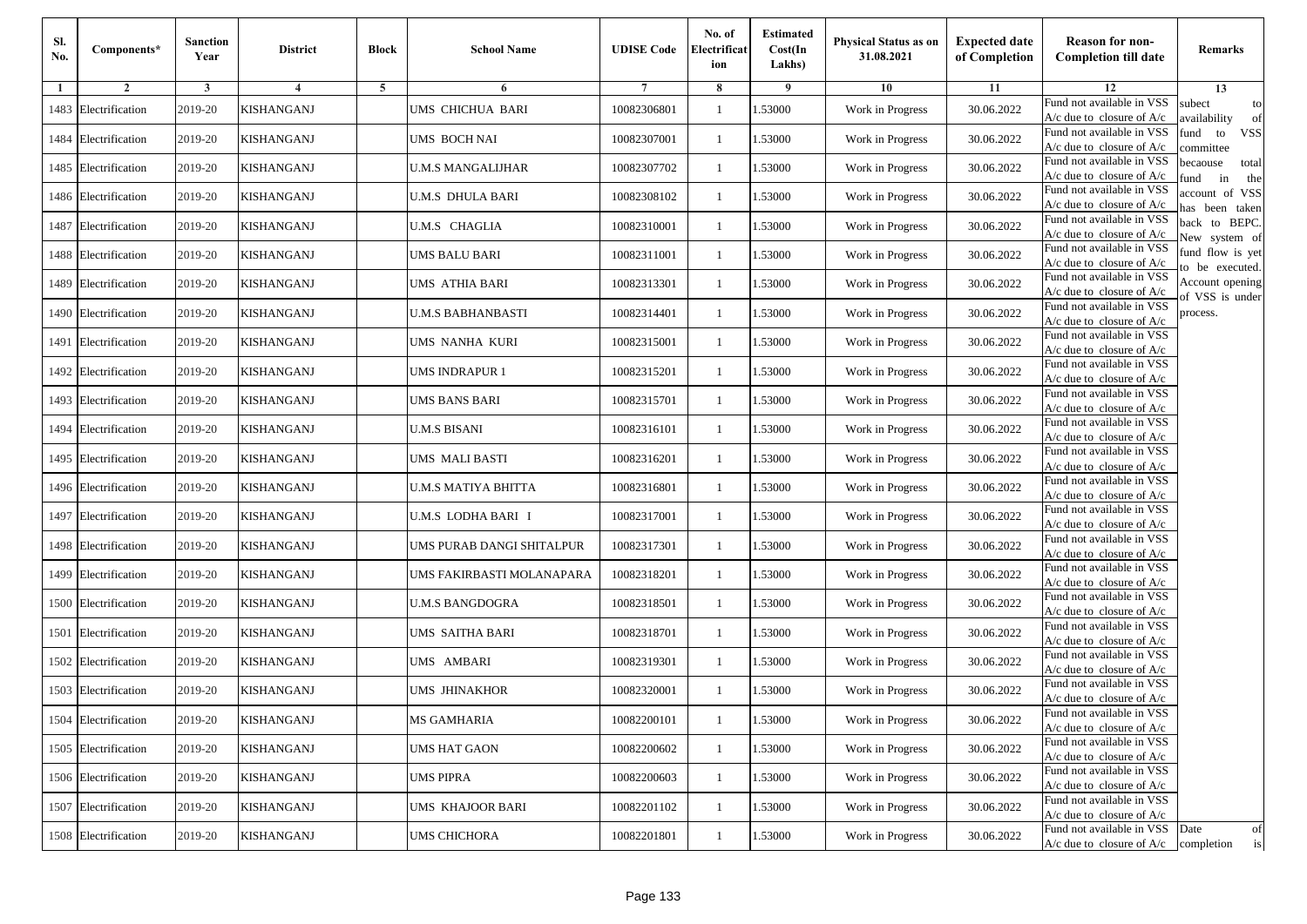| Sl.<br>No. | Components*          | <b>Sanction</b><br>Year | <b>District</b>   | <b>Block</b> | <b>School Name</b>        | <b>UDISE Code</b> | No. of<br>Electrificat<br>ion | <b>Estimated</b><br>Cost(In<br>Lakhs) | <b>Physical Status as on</b><br>31.08.2021 | <b>Expected date</b><br>of Completion | <b>Reason for non-</b><br><b>Completion till date</b>      | Remarks                               |
|------------|----------------------|-------------------------|-------------------|--------------|---------------------------|-------------------|-------------------------------|---------------------------------------|--------------------------------------------|---------------------------------------|------------------------------------------------------------|---------------------------------------|
| -1         | $\overline{2}$       | 3                       | $\overline{4}$    | 5            | 6                         |                   | 8                             | 9                                     | 10                                         | 11                                    | 12                                                         | 13                                    |
|            | 1483 Electrification | 2019-20                 | KISHANGANJ        |              | UMS CHICHUA BARI          | 10082306801       | $\mathbf{1}$                  | .53000                                | Work in Progress                           | 30.06.2022                            | Fund not available in VSS<br>$A/c$ due to closure of $A/c$ | subect<br>to<br>availability<br>of    |
|            | 1484 Electrification | 2019-20                 | <b>KISHANGANJ</b> |              | UMS BOCH NAI              | 10082307001       | 1                             | 1.53000                               | Work in Progress                           | 30.06.2022                            | Fund not available in VSS<br>$A/c$ due to closure of $A/c$ | fund<br>to<br><b>VSS</b><br>ommittee  |
|            | 1485 Electrification | 2019-20                 | KISHANGANJ        |              | <b>U.M.S MANGALIJHAR</b>  | 10082307702       | 1                             | 1.53000                               | Work in Progress                           | 30.06.2022                            | Fund not available in VSS<br>$A/c$ due to closure of $A/c$ | becaouse<br>total<br>in<br>und<br>the |
|            | 1486 Electrification | 2019-20                 | KISHANGANJ        |              | U.M.S DHULA BARI          | 10082308102       | $\mathbf{1}$                  | .53000                                | Work in Progress                           | 30.06.2022                            | Fund not available in VSS<br>A/c due to closure of A/c     | account of VSS<br>as been taken       |
|            | 1487 Electrification | 2019-20                 | KISHANGANJ        |              | <b>U.M.S CHAGLIA</b>      | 10082310001       | $\mathbf{1}$                  | .53000                                | Work in Progress                           | 30.06.2022                            | Fund not available in VSS<br>$A/c$ due to closure of $A/c$ | back to BEPC.<br>New system of        |
|            | 1488 Electrification | 2019-20                 | <b>KISHANGANJ</b> |              | UMS BALU BARI             | 10082311001       | $\mathbf{1}$                  | .53000                                | Work in Progress                           | 30.06.2022                            | Fund not available in VSS<br>A/c due to closure of $A/c$   | fund flow is yet<br>o be executed.    |
|            | 1489 Electrification | 2019-20                 | <b>KISHANGANJ</b> |              | UMS ATHIA BARI            | 10082313301       | $\mathbf{1}$                  | 1.53000                               | Work in Progress                           | 30.06.2022                            | Fund not available in VSS<br>$A/c$ due to closure of $A/c$ | Account opening<br>of VSS is under    |
|            | 1490 Electrification | 2019-20                 | <b>KISHANGANJ</b> |              | <b>U.M.S BABHANBASTI</b>  | 10082314401       | $\mathbf{1}$                  | .53000                                | Work in Progress                           | 30.06.2022                            | Fund not available in VSS<br>$A/c$ due to closure of $A/c$ | process.                              |
|            | 1491 Electrification | 2019-20                 | KISHANGANJ        |              | UMS NANHA KURI            | 10082315001       | 1                             | .53000                                | Work in Progress                           | 30.06.2022                            | Fund not available in VSS<br>$A/c$ due to closure of $A/c$ |                                       |
|            | 1492 Electrification | 2019-20                 | <b>KISHANGANJ</b> |              | <b>UMS INDRAPUR 1</b>     | 10082315201       | $\mathbf{1}$                  | .53000                                | Work in Progress                           | 30.06.2022                            | Fund not available in VSS<br>$A/c$ due to closure of $A/c$ |                                       |
|            | 1493 Electrification | 2019-20                 | KISHANGANJ        |              | UMS BANS BARI             | 10082315701       | 1                             | 1.53000                               | Work in Progress                           | 30.06.2022                            | Fund not available in VSS<br>$A/c$ due to closure of $A/c$ |                                       |
|            | 1494 Electrification | 2019-20                 | KISHANGANJ        |              | <b>U.M.S BISANI</b>       | 10082316101       | 1                             | .53000                                | Work in Progress                           | 30.06.2022                            | Fund not available in VSS<br>$A/c$ due to closure of $A/c$ |                                       |
|            | 1495 Electrification | 2019-20                 | KISHANGANJ        |              | UMS MALI BASTI            | 10082316201       | $\mathbf{1}$                  | .53000                                | Work in Progress                           | 30.06.2022                            | Fund not available in VSS<br>$A/c$ due to closure of $A/c$ |                                       |
|            | 1496 Electrification | 2019-20                 | <b>KISHANGANJ</b> |              | U.M.S MATIYA BHITTA       | 10082316801       | $\mathbf{1}$                  | .53000                                | Work in Progress                           | 30.06.2022                            | Fund not available in VSS<br>$A/c$ due to closure of $A/c$ |                                       |
|            | 1497 Electrification | 2019-20                 | KISHANGANJ        |              | U.M.S LODHA BARI I        | 10082317001       | 1                             | 1.53000                               | Work in Progress                           | 30.06.2022                            | Fund not available in VSS<br>$A/c$ due to closure of $A/c$ |                                       |
|            | 1498 Electrification | 2019-20                 | KISHANGANJ        |              | UMS PURAB DANGI SHITALPUR | 10082317301       | $\mathbf{1}$                  | .53000                                | Work in Progress                           | 30.06.2022                            | Fund not available in VSS<br>$A/c$ due to closure of $A/c$ |                                       |
|            | 1499 Electrification | 2019-20                 | KISHANGANJ        |              | UMS FAKIRBASTI MOLANAPARA | 10082318201       | 1                             | .53000                                | Work in Progress                           | 30.06.2022                            | Fund not available in VSS<br>$A/c$ due to closure of $A/c$ |                                       |
|            | 1500 Electrification | 2019-20                 | <b>KISHANGANJ</b> |              | <b>U.M.S BANGDOGRA</b>    | 10082318501       | $\mathbf{1}$                  | 1.53000                               | Work in Progress                           | 30.06.2022                            | Fund not available in VSS<br>$A/c$ due to closure of $A/c$ |                                       |
|            | 1501 Electrification | 2019-20                 | KISHANGANJ        |              | UMS SAITHA BARI           | 10082318701       | 1                             | 1.53000                               | Work in Progress                           | 30.06.2022                            | Fund not available in VSS<br>$A/c$ due to closure of $A/c$ |                                       |
|            | 1502 Electrification | 2019-20                 | KISHANGANJ        |              | UMS AMBARI                | 10082319301       | 1                             | .53000                                | Work in Progress                           | 30.06.2022                            | Fund not available in VSS<br>$A/c$ due to closure of $A/c$ |                                       |
|            | 1503 Electrification | 2019-20                 | KISHANGANJ        |              | UMS JHINAKHOR             | 10082320001       | 1                             | .53000                                | Work in Progress                           | 30.06.2022                            | Fund not available in VSS<br>A/c due to closure of A/c     |                                       |
|            | 1504 Electrification | 2019-20                 | <b>KISHANGANJ</b> |              | <b>MS GAMHARIA</b>        | 10082200101       |                               | 1.53000                               | Work in Progress                           | 30.06.2022                            | Fund not available in VSS<br>A/c due to closure of A/c     |                                       |
|            | 1505 Electrification | 2019-20                 | <b>KISHANGANJ</b> |              | <b>UMS HAT GAON</b>       | 10082200602       | $\mathbf{1}$                  | 1.53000                               | Work in Progress                           | 30.06.2022                            | Fund not available in VSS<br>$A/c$ due to closure of $A/c$ |                                       |
|            | 1506 Electrification | 2019-20                 | <b>KISHANGANJ</b> |              | <b>UMS PIPRA</b>          | 10082200603       | $\mathbf{1}$                  | 1.53000                               | Work in Progress                           | 30.06.2022                            | Fund not available in VSS<br>$A/c$ due to closure of $A/c$ |                                       |
|            | 1507 Electrification | 2019-20                 | <b>KISHANGANJ</b> |              | <b>UMS KHAJOOR BARI</b>   | 10082201102       | 1                             | 1.53000                               | Work in Progress                           | 30.06.2022                            | Fund not available in VSS<br>A/c due to closure of $A/c$   |                                       |
|            | 1508 Electrification | 2019-20                 | <b>KISHANGANJ</b> |              | <b>UMS CHICHORA</b>       | 10082201801       | $\mathbf{1}$                  | 1.53000                               | Work in Progress                           | 30.06.2022                            | Fund not available in VSS<br>$A/c$ due to closure of $A/c$ | Date<br>of<br>is<br>completion        |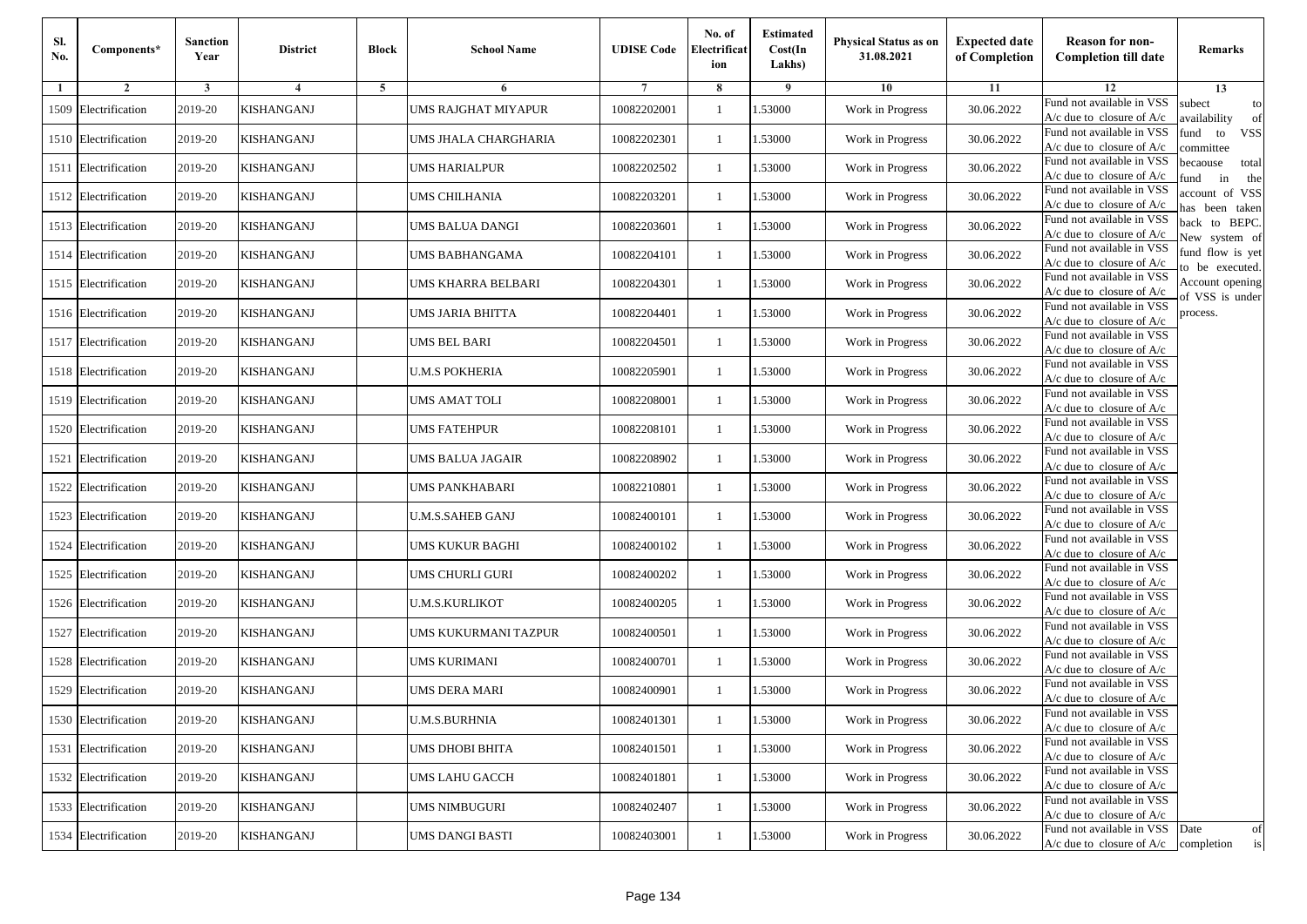| Sl.<br>No. | Components*          | <b>Sanction</b><br>Year | <b>District</b>   | <b>Block</b> | <b>School Name</b>         | <b>UDISE Code</b> | No. of<br>Electrificat<br>ion | <b>Estimated</b><br>Cost(In<br>Lakhs) | <b>Physical Status as on</b><br>31.08.2021 | <b>Expected date</b><br>of Completion | <b>Reason for non-</b><br><b>Completion till date</b>      | Remarks                               |
|------------|----------------------|-------------------------|-------------------|--------------|----------------------------|-------------------|-------------------------------|---------------------------------------|--------------------------------------------|---------------------------------------|------------------------------------------------------------|---------------------------------------|
| -1         | $\overline{2}$       | 3                       | $\overline{4}$    | 5            | 6                          |                   | 8                             | 9                                     | 10                                         | 11                                    | 12                                                         | 13                                    |
|            | 1509 Electrification | 2019-20                 | KISHANGANJ        |              | <b>UMS RAJGHAT MIYAPUR</b> | 10082202001       | $\mathbf{1}$                  | .53000                                | Work in Progress                           | 30.06.2022                            | Fund not available in VSS<br>$A/c$ due to closure of $A/c$ | subect<br>to<br>availability<br>of    |
|            | 1510 Electrification | 2019-20                 | <b>KISHANGANJ</b> |              | UMS JHALA CHARGHARIA       | 10082202301       | 1                             | 1.53000                               | Work in Progress                           | 30.06.2022                            | Fund not available in VSS<br>$A/c$ due to closure of $A/c$ | fund<br>to<br><b>VSS</b><br>ommittee  |
|            | 1511 Electrification | 2019-20                 | KISHANGANJ        |              | UMS HARIALPUR              | 10082202502       | 1                             | 1.53000                               | Work in Progress                           | 30.06.2022                            | Fund not available in VSS<br>$A/c$ due to closure of $A/c$ | becaouse<br>total<br>in<br>und<br>the |
|            | 1512 Electrification | 2019-20                 | KISHANGANJ        |              | UMS CHILHANIA              | 10082203201       | $\mathbf{1}$                  | .53000                                | Work in Progress                           | 30.06.2022                            | Fund not available in VSS<br>A/c due to closure of A/c     | account of VSS<br>as been taken       |
|            | 1513 Electrification | 2019-20                 | KISHANGANJ        |              | UMS BALUA DANGI            | 10082203601       | $\mathbf{1}$                  | .53000                                | Work in Progress                           | 30.06.2022                            | Fund not available in VSS<br>$A/c$ due to closure of $A/c$ | back to BEPC.<br>New system of        |
|            | 1514 Electrification | 2019-20                 | <b>KISHANGANJ</b> |              | UMS BABHANGAMA             | 10082204101       | $\mathbf{1}$                  | .53000                                | Work in Progress                           | 30.06.2022                            | Fund not available in VSS<br>A/c due to closure of $A/c$   | fund flow is yet<br>o be executed.    |
|            | 1515 Electrification | 2019-20                 | <b>KISHANGANJ</b> |              | UMS KHARRA BELBARI         | 10082204301       | $\mathbf{1}$                  | 1.53000                               | Work in Progress                           | 30.06.2022                            | Fund not available in VSS<br>$A/c$ due to closure of $A/c$ | Account opening<br>of VSS is under    |
|            | 1516 Electrification | 2019-20                 | <b>KISHANGANJ</b> |              | UMS JARIA BHITTA           | 10082204401       | $\mathbf{1}$                  | .53000                                | Work in Progress                           | 30.06.2022                            | Fund not available in VSS<br>$A/c$ due to closure of $A/c$ | process.                              |
|            | 1517 Electrification | 2019-20                 | KISHANGANJ        |              | UMS BEL BARI               | 10082204501       | 1                             | .53000                                | Work in Progress                           | 30.06.2022                            | Fund not available in VSS<br>$A/c$ due to closure of $A/c$ |                                       |
|            | 1518 Electrification | 2019-20                 | <b>KISHANGANJ</b> |              | <b>U.M.S POKHERIA</b>      | 10082205901       | $\mathbf{1}$                  | .53000                                | Work in Progress                           | 30.06.2022                            | Fund not available in VSS<br>$A/c$ due to closure of $A/c$ |                                       |
|            | 1519 Electrification | 2019-20                 | KISHANGANJ        |              | UMS AMAT TOLI              | 10082208001       | 1                             | 1.53000                               | Work in Progress                           | 30.06.2022                            | Fund not available in VSS<br>$A/c$ due to closure of $A/c$ |                                       |
|            | 1520 Electrification | 2019-20                 | KISHANGANJ        |              | UMS FATEHPUR               | 10082208101       | 1                             | .53000                                | Work in Progress                           | 30.06.2022                            | Fund not available in VSS<br>$A/c$ due to closure of $A/c$ |                                       |
|            | 1521 Electrification | 2019-20                 | KISHANGANJ        |              | UMS BALUA JAGAIR           | 10082208902       | $\mathbf{1}$                  | .53000                                | Work in Progress                           | 30.06.2022                            | Fund not available in VSS<br>$A/c$ due to closure of $A/c$ |                                       |
|            | 1522 Electrification | 2019-20                 | <b>KISHANGANJ</b> |              | UMS PANKHABARI             | 10082210801       | $\mathbf{1}$                  | .53000                                | Work in Progress                           | 30.06.2022                            | Fund not available in VSS<br>$A/c$ due to closure of $A/c$ |                                       |
|            | 1523 Electrification | 2019-20                 | KISHANGANJ        |              | U.M.S.SAHEB GANJ           | 10082400101       | 1                             | 1.53000                               | Work in Progress                           | 30.06.2022                            | Fund not available in VSS<br>$A/c$ due to closure of $A/c$ |                                       |
|            | 1524 Electrification | 2019-20                 | KISHANGANJ        |              | UMS KUKUR BAGHI            | 10082400102       | $\mathbf{1}$                  | .53000                                | Work in Progress                           | 30.06.2022                            | Fund not available in VSS<br>$A/c$ due to closure of $A/c$ |                                       |
|            | 1525 Electrification | 2019-20                 | KISHANGANJ        |              | UMS CHURLI GURI            | 10082400202       | 1                             | .53000                                | Work in Progress                           | 30.06.2022                            | Fund not available in VSS<br>A/c due to closure of A/c     |                                       |
|            | 1526 Electrification | 2019-20                 | <b>KISHANGANJ</b> |              | <b>U.M.S.KURLIKOT</b>      | 10082400205       | $\mathbf{1}$                  | 1.53000                               | Work in Progress                           | 30.06.2022                            | Fund not available in VSS<br>$A/c$ due to closure of $A/c$ |                                       |
|            | 1527 Electrification | 2019-20                 | KISHANGANJ        |              | UMS KUKURMANI TAZPUR       | 10082400501       | 1                             | 1.53000                               | Work in Progress                           | 30.06.2022                            | Fund not available in VSS<br>$A/c$ due to closure of $A/c$ |                                       |
|            | 1528 Electrification | 2019-20                 | KISHANGANJ        |              | UMS KURIMANI               | 10082400701       | 1                             | .53000                                | Work in Progress                           | 30.06.2022                            | Fund not available in VSS<br>$A/c$ due to closure of $A/c$ |                                       |
|            | 1529 Electrification | 2019-20                 | KISHANGANJ        |              | UMS DERA MARI              | 10082400901       | 1                             | .53000                                | Work in Progress                           | 30.06.2022                            | Fund not available in VSS<br>A/c due to closure of A/c     |                                       |
|            | 1530 Electrification | 2019-20                 | <b>KISHANGANJ</b> |              | <b>U.M.S.BURHNIA</b>       | 10082401301       |                               | 1.53000                               | Work in Progress                           | 30.06.2022                            | Fund not available in VSS<br>A/c due to closure of A/c     |                                       |
|            | 1531 Electrification | 2019-20                 | <b>KISHANGANJ</b> |              | UMS DHOBI BHITA            | 10082401501       | $\mathbf{1}$                  | 1.53000                               | Work in Progress                           | 30.06.2022                            | Fund not available in VSS<br>$A/c$ due to closure of $A/c$ |                                       |
|            | 1532 Electrification | 2019-20                 | <b>KISHANGANJ</b> |              | <b>UMS LAHU GACCH</b>      | 10082401801       | $\mathbf{1}$                  | 1.53000                               | Work in Progress                           | 30.06.2022                            | Fund not available in VSS<br>$A/c$ due to closure of $A/c$ |                                       |
|            | 1533 Electrification | 2019-20                 | <b>KISHANGANJ</b> |              | <b>UMS NIMBUGURI</b>       | 10082402407       | 1                             | 1.53000                               | Work in Progress                           | 30.06.2022                            | Fund not available in VSS<br>A/c due to closure of $A/c$   |                                       |
|            | 1534 Electrification | 2019-20                 | <b>KISHANGANJ</b> |              | UMS DANGI BASTI            | 10082403001       | $\mathbf{1}$                  | 1.53000                               | Work in Progress                           | 30.06.2022                            | Fund not available in VSS<br>$A/c$ due to closure of $A/c$ | Date<br>of<br>is<br>completion        |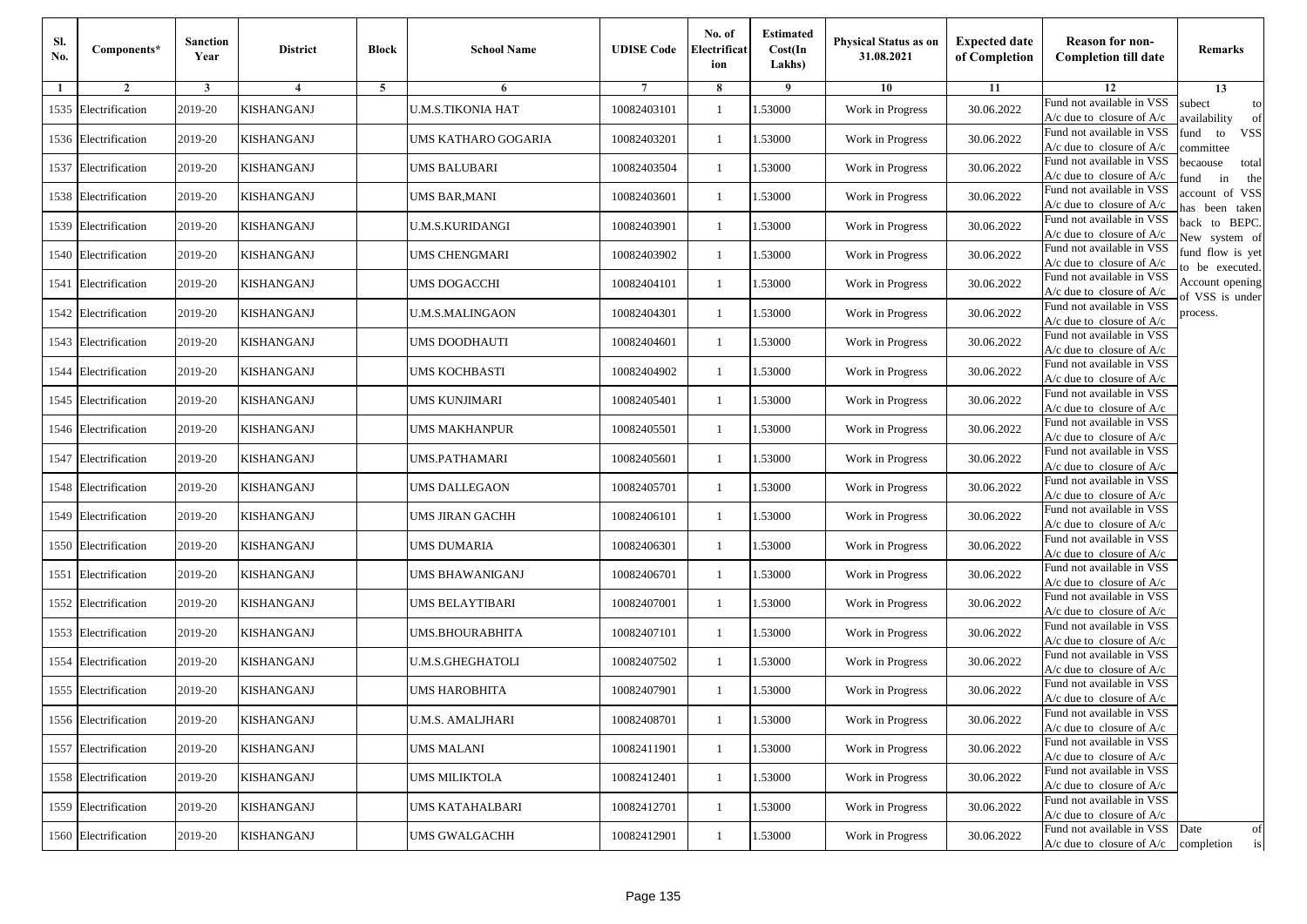| Sl.<br>No. | Components*          | <b>Sanction</b><br>Year | <b>District</b>   | <b>Block</b> | <b>School Name</b>       | <b>UDISE Code</b> | No. of<br>Electrificat<br>ion | <b>Estimated</b><br>Cost(In<br>Lakhs) | <b>Physical Status as on</b><br>31.08.2021 | <b>Expected date</b><br>of Completion | <b>Reason for non-</b><br><b>Completion till date</b>                 | Remarks                               |
|------------|----------------------|-------------------------|-------------------|--------------|--------------------------|-------------------|-------------------------------|---------------------------------------|--------------------------------------------|---------------------------------------|-----------------------------------------------------------------------|---------------------------------------|
| -1         | $\overline{2}$       | 3                       | $\overline{4}$    | 5            | 6                        |                   | 8                             | 9                                     | 10                                         | 11                                    | 12                                                                    | 13                                    |
|            | 1535 Electrification | 2019-20                 | KISHANGANJ        |              | <b>U.M.S.TIKONIA HAT</b> | 10082403101       | $\mathbf{1}$                  | .53000                                | Work in Progress                           | 30.06.2022                            | Fund not available in VSS<br>$A/c$ due to closure of $A/c$            | subect<br>to<br>availability<br>of    |
|            | 1536 Electrification | 2019-20                 | <b>KISHANGANJ</b> |              | UMS KATHARO GOGARIA      | 10082403201       | 1                             | 1.53000                               | Work in Progress                           | 30.06.2022                            | Fund not available in VSS<br>$A/c$ due to closure of $A/c$            | fund<br>to<br><b>VSS</b><br>ommittee  |
|            | 1537 Electrification | 2019-20                 | KISHANGANJ        |              | UMS BALUBARI             | 10082403504       | 1                             | 1.53000                               | Work in Progress                           | 30.06.2022                            | Fund not available in VSS<br>$A/c$ due to closure of $A/c$            | becaouse<br>total<br>in<br>und<br>the |
|            | 1538 Electrification | 2019-20                 | KISHANGANJ        |              | UMS BAR,MANI             | 10082403601       | $\mathbf{1}$                  | .53000                                | Work in Progress                           | 30.06.2022                            | Fund not available in VSS<br>A/c due to closure of A/c                | account of VSS<br>as been taken       |
|            | 1539 Electrification | 2019-20                 | KISHANGANJ        |              | <b>U.M.S.KURIDANGI</b>   | 10082403901       | $\mathbf{1}$                  | .53000                                | Work in Progress                           | 30.06.2022                            | Fund not available in VSS<br>$A/c$ due to closure of $A/c$            | back to BEPC.<br>New system of        |
|            | 1540 Electrification | 2019-20                 | <b>KISHANGANJ</b> |              | UMS CHENGMARI            | 10082403902       | 1                             | .53000                                | Work in Progress                           | 30.06.2022                            | Fund not available in VSS<br>A/c due to closure of $A/c$              | fund flow is yet<br>o be executed.    |
|            | 1541 Electrification | 2019-20                 | <b>KISHANGANJ</b> |              | UMS DOGACCHI             | 10082404101       | $\mathbf{1}$                  | 1.53000                               | Work in Progress                           | 30.06.2022                            | Fund not available in VSS<br>$A/c$ due to closure of $A/c$            | Account opening<br>of VSS is under    |
|            | 1542 Electrification | 2019-20                 | KISHANGANJ        |              | <b>U.M.S.MALINGAON</b>   | 10082404301       | 1                             | .53000                                | Work in Progress                           | 30.06.2022                            | Fund not available in VSS<br>$A/c$ due to closure of $A/c$            | process.                              |
|            | 1543 Electrification | 2019-20                 | KISHANGANJ        |              | <b>UMS DOODHAUTI</b>     | 10082404601       | 1                             | .53000                                | Work in Progress                           | 30.06.2022                            | Fund not available in VSS<br>$A/c$ due to closure of $A/c$            |                                       |
| 1544       | Electrification      | 2019-20                 | <b>KISHANGANJ</b> |              | <b>UMS KOCHBASTI</b>     | 10082404902       | $\mathbf{1}$                  | .53000                                | Work in Progress                           | 30.06.2022                            | Fund not available in VSS<br>$A/c$ due to closure of $A/c$            |                                       |
|            | 1545 Electrification | 2019-20                 | KISHANGANJ        |              | UMS KUNJIMARI            | 10082405401       | 1                             | 1.53000                               | Work in Progress                           | 30.06.2022                            | Fund not available in VSS<br>A/c due to closure of $A/c$              |                                       |
|            | 1546 Electrification | 2019-20                 | KISHANGANJ        |              | <b>UMS MAKHANPUR</b>     | 10082405501       | 1                             | .53000                                | Work in Progress                           | 30.06.2022                            | Fund not available in VSS<br>$A/c$ due to closure of $A/c$            |                                       |
|            | 1547 Electrification | 2019-20                 | KISHANGANJ        |              | UMS.PATHAMARI            | 10082405601       | $\mathbf{1}$                  | .53000                                | Work in Progress                           | 30.06.2022                            | Fund not available in VSS<br>$A/c$ due to closure of $A/c$            |                                       |
|            | 1548 Electrification | 2019-20                 | <b>KISHANGANJ</b> |              | <b>UMS DALLEGAON</b>     | 10082405701       | $\mathbf{1}$                  | .53000                                | Work in Progress                           | 30.06.2022                            | Fund not available in VSS<br>$A/c$ due to closure of $A/c$            |                                       |
|            | 1549 Electrification | 2019-20                 | KISHANGANJ        |              | UMS JIRAN GACHH          | 10082406101       | 1                             | 1.53000                               | Work in Progress                           | 30.06.2022                            | Fund not available in VSS<br>$A/c$ due to closure of $A/c$            |                                       |
|            | 1550 Electrification | 2019-20                 | KISHANGANJ        |              | <b>UMS DUMARIA</b>       | 10082406301       | $\mathbf{1}$                  | .53000                                | Work in Progress                           | 30.06.2022                            | Fund not available in VSS<br>$A/c$ due to closure of $A/c$            |                                       |
|            | 1551 Electrification | 2019-20                 | KISHANGANJ        |              | UMS BHAWANIGANJ          | 10082406701       | 1                             | .53000                                | Work in Progress                           | 30.06.2022                            | Fund not available in VSS<br>$A/c$ due to closure of $A/c$            |                                       |
|            | 1552 Electrification | 2019-20                 | <b>KISHANGANJ</b> |              | UMS BELAYTIBARI          | 10082407001       | 1                             | 1.53000                               | Work in Progress                           | 30.06.2022                            | Fund not available in VSS<br>$A/c$ due to closure of $A/c$            |                                       |
|            | 1553 Electrification | 2019-20                 | KISHANGANJ        |              | UMS.BHOURABHITA          | 10082407101       | 1                             | 1.53000                               | Work in Progress                           | 30.06.2022                            | Fund not available in VSS<br>$A/c$ due to closure of $A/c$            |                                       |
|            | 1554 Electrification | 2019-20                 | KISHANGANJ        |              | <b>U.M.S.GHEGHATOLI</b>  | 10082407502       | 1                             | .53000                                | Work in Progress                           | 30.06.2022                            | Fund not available in VSS<br>$A/c$ due to closure of $A/c$            |                                       |
|            | 1555 Electrification | 2019-20                 | KISHANGANJ        |              | UMS HAROBHITA            | 10082407901       | 1                             | .53000                                | Work in Progress                           | 30.06.2022                            | Fund not available in VSS<br>A/c due to closure of A/c                |                                       |
|            | 1556 Electrification | 2019-20                 | <b>KISHANGANJ</b> |              | <b>U.M.S. AMALJHARI</b>  | 10082408701       |                               | 1.53000                               | Work in Progress                           | 30.06.2022                            | Fund not available in VSS<br>A/c due to closure of A/c                |                                       |
|            | 1557 Electrification | 2019-20                 | <b>KISHANGANJ</b> |              | <b>UMS MALANI</b>        | 10082411901       | $\mathbf{1}$                  | 1.53000                               | Work in Progress                           | 30.06.2022                            | Fund not available in VSS<br>$A/c$ due to closure of $A/c$            |                                       |
|            | 1558 Electrification | 2019-20                 | <b>KISHANGANJ</b> |              | <b>UMS MILIKTOLA</b>     | 10082412401       | $\mathbf{1}$                  | 1.53000                               | Work in Progress                           | 30.06.2022                            | Fund not available in VSS<br>$A/c$ due to closure of $A/c$            |                                       |
|            | 1559 Electrification | 2019-20                 | <b>KISHANGANJ</b> |              | UMS KATAHALBARI          | 10082412701       | 1                             | 1.53000                               | Work in Progress                           | 30.06.2022                            | Fund not available in VSS<br>A/c due to closure of $A/c$              |                                       |
|            | 1560 Electrification | 2019-20                 | <b>KISHANGANJ</b> |              | <b>UMS GWALGACHH</b>     | 10082412901       | $\mathbf{1}$                  | 1.53000                               | Work in Progress                           | 30.06.2022                            | Fund not available in VSS<br>$A/c$ due to closure of $A/c$ completion | Date<br>of<br>is                      |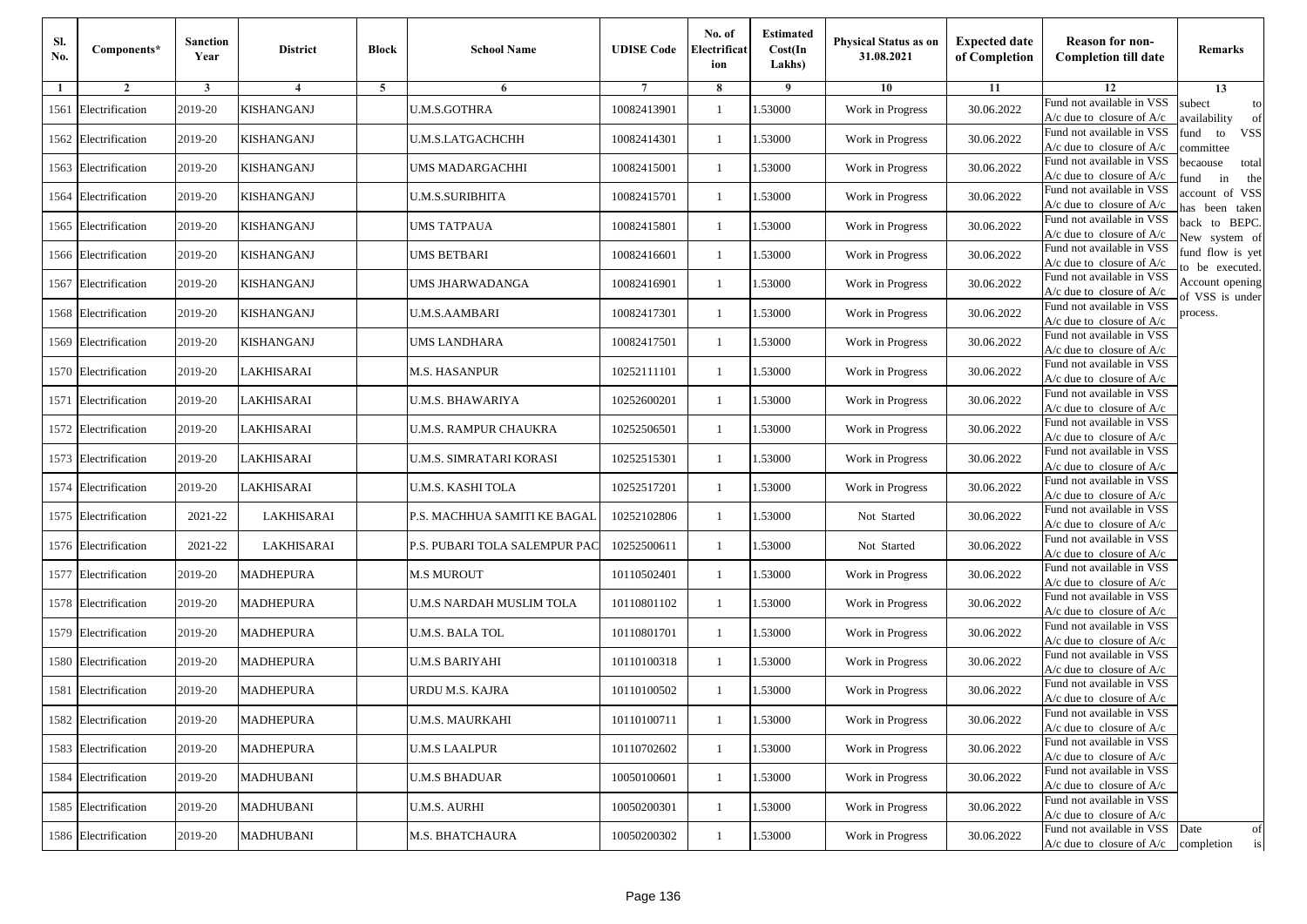| Sl.<br>No. | Components*          | <b>Sanction</b><br>Year | <b>District</b>         | <b>Block</b>   | <b>School Name</b>            | <b>UDISE Code</b> | No. of<br>Electrificat<br>ion | <b>Estimated</b><br>Cost(In<br>Lakhs) | <b>Physical Status as on</b><br>31.08.2021 | <b>Expected date</b><br>of Completion | <b>Reason for non-</b><br><b>Completion till date</b>                 | Remarks                               |
|------------|----------------------|-------------------------|-------------------------|----------------|-------------------------------|-------------------|-------------------------------|---------------------------------------|--------------------------------------------|---------------------------------------|-----------------------------------------------------------------------|---------------------------------------|
| -1         | $\overline{2}$       | 3                       | $\overline{\mathbf{4}}$ | $\overline{5}$ | 6                             |                   | 8                             | -9                                    | 10                                         | 11                                    | 12                                                                    | 13                                    |
|            | 1561 Electrification | 2019-20                 | KISHANGANJ              |                | <b>U.M.S.GOTHRA</b>           | 10082413901       | 1                             | 1.53000                               | Work in Progress                           | 30.06.2022                            | Fund not available in VSS<br>A/c due to closure of A/c                | subect<br>to<br>availability<br>of    |
|            | 1562 Electrification | 2019-20                 | <b>KISHANGANJ</b>       |                | U.M.S.LATGACHCHH              | 10082414301       | $\mathbf{1}$                  | 1.53000                               | Work in Progress                           | 30.06.2022                            | Fund not available in VSS<br>$A/c$ due to closure of $A/c$            | <b>VSS</b><br>fund<br>to<br>ommittee  |
|            | 1563 Electrification | 2019-20                 | KISHANGANJ              |                | UMS MADARGACHHI               | 10082415001       | 1                             | 1.53000                               | Work in Progress                           | 30.06.2022                            | Fund not available in VSS<br>$A/c$ due to closure of $A/c$            | becaouse<br>total<br>in<br>und<br>the |
|            | 1564 Electrification | 2019-20                 | KISHANGANJ              |                | <b>U.M.S.SURIBHITA</b>        | 10082415701       | $\mathbf{1}$                  | .53000                                | Work in Progress                           | 30.06.2022                            | Fund not available in VSS<br>A/c due to closure of $A/c$              | account of VSS<br>as been taken       |
|            | 1565 Electrification | 2019-20                 | KISHANGANJ              |                | UMS TATPAUA                   | 10082415801       | $\mathbf{1}$                  | .53000                                | Work in Progress                           | 30.06.2022                            | Fund not available in VSS<br>A/c due to closure of $A/c$              | back to BEPC.<br>New system of        |
|            | 1566 Electrification | 2019-20                 | <b>KISHANGANJ</b>       |                | <b>UMS BETBARI</b>            | 10082416601       | $\mathbf{1}$                  | .53000                                | Work in Progress                           | 30.06.2022                            | Fund not available in VSS<br>A/c due to closure of $A/c$              | fund flow is yet<br>o be executed.    |
|            | 1567 Electrification | 2019-20                 | KISHANGANJ              |                | UMS JHARWADANGA               | 10082416901       | 1                             | 1.53000                               | Work in Progress                           | 30.06.2022                            | Fund not available in VSS<br>A/c due to closure of A/c                | Account opening<br>f VSS is under     |
|            | 1568 Electrification | 2019-20                 | <b>KISHANGANJ</b>       |                | <b>U.M.S.AAMBARI</b>          | 10082417301       | 1                             | 1.53000                               | Work in Progress                           | 30.06.2022                            | Fund not available in VSS<br>$A/c$ due to closure of $A/c$            | process.                              |
|            | 1569 Electrification | 2019-20                 | KISHANGANJ              |                | <b>UMS LANDHARA</b>           | 10082417501       | $\mathbf{1}$                  | .53000                                | Work in Progress                           | 30.06.2022                            | Fund not available in VSS<br>A/c due to closure of A/c                |                                       |
|            | 1570 Electrification | 2019-20                 | <b>LAKHISARAI</b>       |                | <b>M.S. HASANPUR</b>          | 10252111101       | $\mathbf{1}$                  | .53000                                | Work in Progress                           | 30.06.2022                            | Fund not available in VSS<br>$A/c$ due to closure of $A/c$            |                                       |
|            | 1571 Electrification | 2019-20                 | LAKHISARAI              |                | U.M.S. BHAWARIYA              | 10252600201       | 1                             | 1.53000                               | Work in Progress                           | 30.06.2022                            | Fund not available in VSS<br>$A/c$ due to closure of $A/c$            |                                       |
|            | 1572 Electrification | 2019-20                 | LAKHISARAI              |                | U.M.S. RAMPUR CHAUKRA         | 10252506501       | 1                             | 1.53000                               | Work in Progress                           | 30.06.2022                            | Fund not available in VSS<br>$A/c$ due to closure of $A/c$            |                                       |
|            | 1573 Electrification | 2019-20                 | LAKHISARAI              |                | U.M.S. SIMRATARI KORASI       | 10252515301       | 1                             | .53000                                | Work in Progress                           | 30.06.2022                            | Fund not available in VSS<br>$A/c$ due to closure of $A/c$            |                                       |
|            | 1574 Electrification | 2019-20                 | LAKHISARAI              |                | U.M.S. KASHI TOLA             | 10252517201       | $\mathbf{1}$                  | .53000                                | Work in Progress                           | 30.06.2022                            | Fund not available in VSS<br>$A/c$ due to closure of $A/c$            |                                       |
|            | 1575 Electrification | 2021-22                 | LAKHISARAI              |                | P.S. MACHHUA SAMITI KE BAGAL  | 10252102806       | 1                             | 1.53000                               | Not Started                                | 30.06.2022                            | Fund not available in VSS<br>$A/c$ due to closure of $A/c$            |                                       |
|            | 1576 Electrification | 2021-22                 | LAKHISARAI              |                | P.S. PUBARI TOLA SALEMPUR PAC | 10252500611       | $\mathbf{1}$                  | .53000                                | Not Started                                | 30.06.2022                            | Fund not available in VSS<br>$A/c$ due to closure of $A/c$            |                                       |
|            | 1577 Electrification | 2019-20                 | <b>MADHEPURA</b>        |                | <b>M.S MUROUT</b>             | 10110502401       | 1                             | .53000                                | Work in Progress                           | 30.06.2022                            | Fund not available in VSS<br>$A/c$ due to closure of $A/c$            |                                       |
|            | 1578 Electrification | 2019-20                 | <b>MADHEPURA</b>        |                | U.M.S NARDAH MUSLIM TOLA      | 10110801102       | $\mathbf{1}$                  | .53000                                | Work in Progress                           | 30.06.2022                            | Fund not available in VSS<br>$A/c$ due to closure of $A/c$            |                                       |
|            | 1579 Electrification | 2019-20                 | <b>MADHEPURA</b>        |                | <b>U.M.S. BALA TOL</b>        | 10110801701       | $\mathbf{1}$                  | 1.53000                               | Work in Progress                           | 30.06.2022                            | Fund not available in VSS<br>$A/c$ due to closure of $A/c$            |                                       |
|            | 1580 Electrification | 2019-20                 | <b>MADHEPURA</b>        |                | <b>U.M.S BARIYAHI</b>         | 10110100318       | 1                             | 1.53000                               | Work in Progress                           | 30.06.2022                            | Fund not available in VSS<br>$A/c$ due to closure of $A/c$            |                                       |
|            | 1581 Electrification | 2019-20                 | MADHEPURA               |                | URDU M.S. KAJRA               | 10110100502       | 1                             | .53000                                | Work in Progress                           | 30.06.2022                            | Fund not available in VSS<br>A/c due to closure of A/c                |                                       |
|            | 1582 Electrification | 2019-20                 | MADHEPURA               |                | <b>U.M.S. MAURKAHI</b>        | 10110100711       |                               | 1.53000                               | Work in Progress                           | 30.06.2022                            | Fund not available in VSS<br>A/c due to closure of A/c                |                                       |
|            | 1583 Electrification | 2019-20                 | <b>MADHEPURA</b>        |                | <b>U.M.S LAALPUR</b>          | 10110702602       | $\mathbf{1}$                  | 1.53000                               | Work in Progress                           | 30.06.2022                            | Fund not available in VSS<br>A/c due to closure of A/c                |                                       |
|            | 1584 Electrification | 2019-20                 | <b>MADHUBANI</b>        |                | <b>U.M.S BHADUAR</b>          | 10050100601       | 1                             | 1.53000                               | Work in Progress                           | 30.06.2022                            | Fund not available in VSS<br>$A/c$ due to closure of $A/c$            |                                       |
|            | 1585 Electrification | 2019-20                 | <b>MADHUBANI</b>        |                | <b>U.M.S. AURHI</b>           | 10050200301       | 1                             | 1.53000                               | Work in Progress                           | 30.06.2022                            | Fund not available in VSS<br>$A/c$ due to closure of $A/c$            |                                       |
|            | 1586 Electrification | 2019-20                 | <b>MADHUBANI</b>        |                | M.S. BHATCHAURA               | 10050200302       | 1                             | 1.53000                               | Work in Progress                           | 30.06.2022                            | Fund not available in VSS<br>$A/c$ due to closure of $A/c$ completion | Date<br>of<br>$\operatorname{is}$     |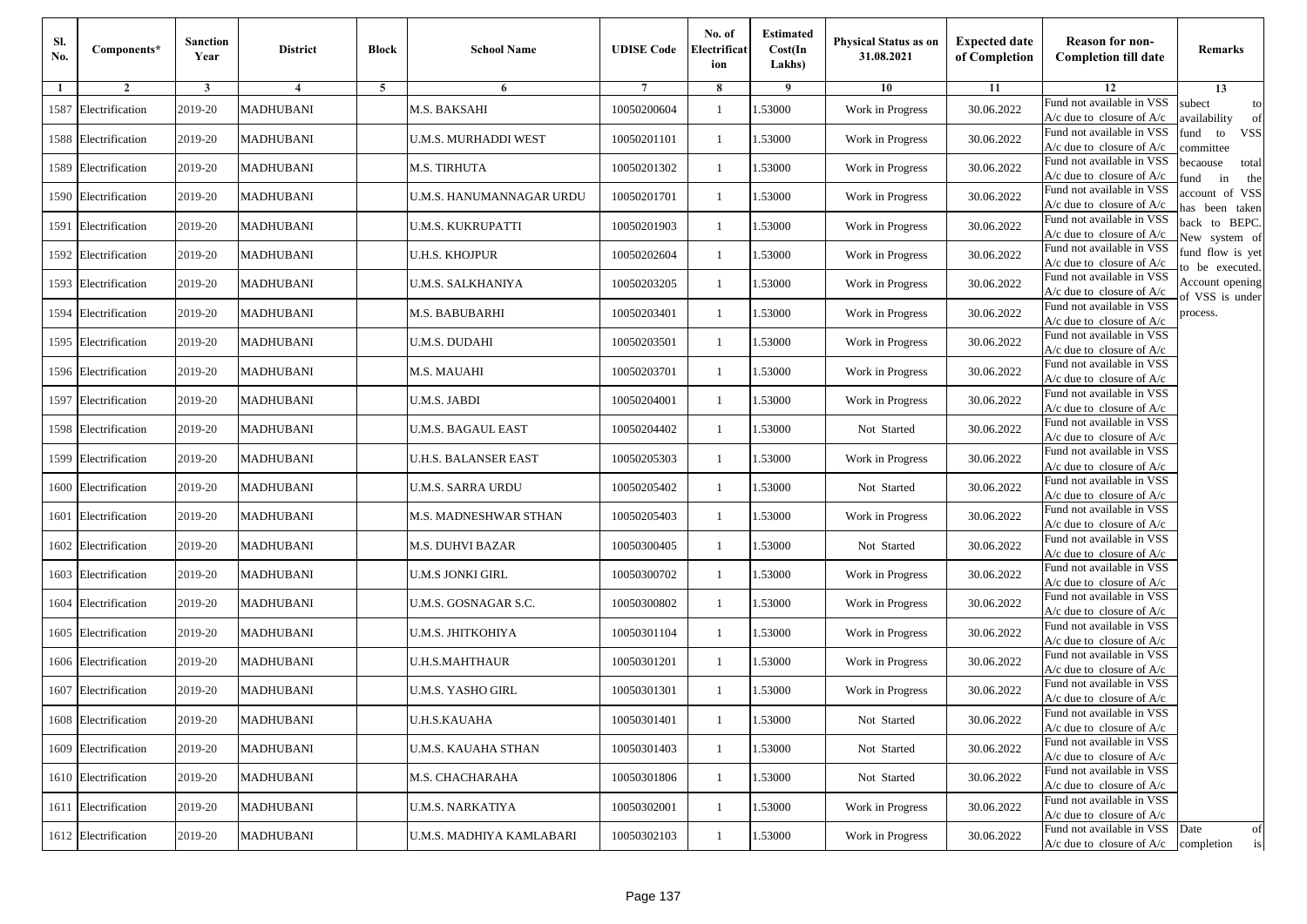| Sl.<br>No. | Components*          | <b>Sanction</b><br>Year | <b>District</b>  | <b>Block</b> | <b>School Name</b>         | <b>UDISE Code</b> | No. of<br>Electrificat<br>ion | <b>Estimated</b><br>Cost(In<br>Lakhs) | <b>Physical Status as on</b><br>31.08.2021 | <b>Expected date</b><br>of Completion | <b>Reason for non-</b><br><b>Completion till date</b>                 | Remarks                               |
|------------|----------------------|-------------------------|------------------|--------------|----------------------------|-------------------|-------------------------------|---------------------------------------|--------------------------------------------|---------------------------------------|-----------------------------------------------------------------------|---------------------------------------|
| -1         | $\overline{2}$       | 3                       | 4                | 5            | 6                          |                   | 8                             | 9                                     | 10                                         | 11                                    | 12                                                                    | 13                                    |
|            | 1587 Electrification | 2019-20                 | <b>MADHUBANI</b> |              | M.S. BAKSAHI               | 10050200604       | $\mathbf{1}$                  | .53000                                | Work in Progress                           | 30.06.2022                            | Fund not available in VSS<br>$A/c$ due to closure of $A/c$            | subect<br>to<br>availability<br>of    |
|            | 1588 Electrification | 2019-20                 | <b>MADHUBANI</b> |              | U.M.S. MURHADDI WEST       | 10050201101       | 1                             | 1.53000                               | Work in Progress                           | 30.06.2022                            | Fund not available in VSS<br>$A/c$ due to closure of $A/c$            | fund<br>to<br><b>VSS</b><br>committee |
|            | 1589 Electrification | 2019-20                 | <b>MADHUBANI</b> |              | M.S. TIRHUTA               | 10050201302       | 1                             | 1.53000                               | Work in Progress                           | 30.06.2022                            | Fund not available in VSS<br>$A/c$ due to closure of $A/c$            | becaouse<br>total<br>in<br>und<br>the |
|            | 1590 Electrification | 2019-20                 | <b>MADHUBANI</b> |              | U.M.S. HANUMANNAGAR URDU   | 10050201701       | $\mathbf{1}$                  | .53000                                | Work in Progress                           | 30.06.2022                            | Fund not available in VSS<br>A/c due to closure of A/c                | account of VSS<br>as been taken       |
|            | 1591 Electrification | 2019-20                 | <b>MADHUBANI</b> |              | U.M.S. KUKRUPATTI          | 10050201903       | $\mathbf{1}$                  | .53000                                | Work in Progress                           | 30.06.2022                            | Fund not available in VSS<br>A/c due to closure of $A/c$              | back to BEPC.<br>New system of        |
|            | 1592 Electrification | 2019-20                 | <b>MADHUBANI</b> |              | U.H.S. KHOJPUR             | 10050202604       | $\mathbf{1}$                  | 1.53000                               | Work in Progress                           | 30.06.2022                            | Fund not available in VSS<br>A/c due to closure of $A/c$              | fund flow is yet<br>o be executed.    |
|            | 1593 Electrification | 2019-20                 | <b>MADHUBANI</b> |              | U.M.S. SALKHANIYA          | 10050203205       | $\mathbf{1}$                  | 1.53000                               | Work in Progress                           | 30.06.2022                            | Fund not available in VSS<br>$A/c$ due to closure of $A/c$            | Account opening<br>of VSS is under    |
|            | 1594 Electrification | 2019-20                 | <b>MADHUBANI</b> |              | M.S. BABUBARHI             | 10050203401       | $\mathbf{1}$                  | .53000                                | Work in Progress                           | 30.06.2022                            | Fund not available in VSS<br>$A/c$ due to closure of $A/c$            | process.                              |
|            | 1595 Electrification | 2019-20                 | <b>MADHUBANI</b> |              | U.M.S. DUDAHI              | 10050203501       | 1                             | .53000                                | Work in Progress                           | 30.06.2022                            | Fund not available in VSS<br>$A/c$ due to closure of $A/c$            |                                       |
|            | 1596 Electrification | 2019-20                 | <b>MADHUBANI</b> |              | M.S. MAUAHI                | 10050203701       | $\mathbf{1}$                  | .53000                                | Work in Progress                           | 30.06.2022                            | Fund not available in VSS<br>$A/c$ due to closure of $A/c$            |                                       |
|            | 1597 Electrification | 2019-20                 | <b>MADHUBANI</b> |              | U.M.S. JABDI               | 10050204001       | 1                             | 1.53000                               | Work in Progress                           | 30.06.2022                            | Fund not available in VSS<br>$A/c$ due to closure of $A/c$            |                                       |
|            | 1598 Electrification | 2019-20                 | <b>MADHUBANI</b> |              | <b>U.M.S. BAGAUL EAST</b>  | 10050204402       | 1                             | .53000                                | Not Started                                | 30.06.2022                            | Fund not available in VSS<br>$A/c$ due to closure of $A/c$            |                                       |
|            | 1599 Electrification | 2019-20                 | <b>MADHUBANI</b> |              | U.H.S. BALANSER EAST       | 10050205303       | $\mathbf{1}$                  | .53000                                | Work in Progress                           | 30.06.2022                            | Fund not available in VSS<br>$A/c$ due to closure of $A/c$            |                                       |
|            | 1600 Electrification | 2019-20                 | <b>MADHUBANI</b> |              | U.M.S. SARRA URDU          | 10050205402       | $\mathbf{1}$                  | .53000                                | Not Started                                | 30.06.2022                            | Fund not available in VSS<br>$A/c$ due to closure of $A/c$            |                                       |
|            | 1601 Electrification | 2019-20                 | <b>MADHUBANI</b> |              | M.S. MADNESHWAR STHAN      | 10050205403       | 1                             | 1.53000                               | Work in Progress                           | 30.06.2022                            | Fund not available in VSS<br>$A/c$ due to closure of $A/c$            |                                       |
|            | 1602 Electrification | 2019-20                 | <b>MADHUBANI</b> |              | M.S. DUHVI BAZAR           | 10050300405       | $\mathbf{1}$                  | .53000                                | Not Started                                | 30.06.2022                            | Fund not available in VSS<br>$A/c$ due to closure of $A/c$            |                                       |
|            | 1603 Electrification | 2019-20                 | <b>MADHUBANI</b> |              | <b>U.M.S JONKI GIRL</b>    | 10050300702       | 1                             | .53000                                | Work in Progress                           | 30.06.2022                            | Fund not available in VSS<br>A/c due to closure of A/c                |                                       |
|            | 1604 Electrification | 2019-20                 | <b>MADHUBANI</b> |              | U.M.S. GOSNAGAR S.C.       | 10050300802       | $\mathbf{1}$                  | 1.53000                               | Work in Progress                           | 30.06.2022                            | Fund not available in VSS<br>$A/c$ due to closure of $A/c$            |                                       |
|            | 1605 Electrification | 2019-20                 | <b>MADHUBANI</b> |              | U.M.S. JHITKOHIYA          | 10050301104       | 1                             | 1.53000                               | Work in Progress                           | 30.06.2022                            | Fund not available in VSS<br>$A/c$ due to closure of $A/c$            |                                       |
|            | 1606 Electrification | 2019-20                 | <b>MADHUBANI</b> |              | <b>U.H.S.MAHTHAUR</b>      | 10050301201       | 1                             | .53000                                | Work in Progress                           | 30.06.2022                            | Fund not available in VSS<br>$A/c$ due to closure of $A/c$            |                                       |
|            | 1607 Electrification | 2019-20                 | MADHUBANI        |              | U.M.S. YASHO GIRL          | 10050301301       | 1                             | .53000                                | Work in Progress                           | 30.06.2022                            | Fund not available in VSS<br>A/c due to closure of A/c                |                                       |
|            | 1608 Electrification | 2019-20                 | <b>MADHUBANI</b> |              | <b>U.H.S.KAUAHA</b>        | 10050301401       | $\mathbf{1}$                  | 1.53000                               | Not Started                                | 30.06.2022                            | Fund not available in VSS<br>A/c due to closure of A/c                |                                       |
|            | 1609 Electrification | 2019-20                 | <b>MADHUBANI</b> |              | <b>U.M.S. KAUAHA STHAN</b> | 10050301403       | $\mathbf{1}$                  | 1.53000                               | Not Started                                | 30.06.2022                            | Fund not available in VSS<br>$A/c$ due to closure of $A/c$            |                                       |
|            | 1610 Electrification | 2019-20                 | <b>MADHUBANI</b> |              | M.S. CHACHARAHA            | 10050301806       | $\mathbf{1}$                  | 1.53000                               | Not Started                                | 30.06.2022                            | Fund not available in VSS<br>$A/c$ due to closure of $A/c$            |                                       |
|            | 1611 Electrification | 2019-20                 | <b>MADHUBANI</b> |              | <b>U.M.S. NARKATIYA</b>    | 10050302001       | 1                             | 1.53000                               | Work in Progress                           | 30.06.2022                            | Fund not available in VSS<br>A/c due to closure of A/c                |                                       |
|            | 1612 Electrification | 2019-20                 | <b>MADHUBANI</b> |              | U.M.S. MADHIYA KAMLABARI   | 10050302103       | $\mathbf{1}$                  | 1.53000                               | Work in Progress                           | 30.06.2022                            | Fund not available in VSS<br>$A/c$ due to closure of $A/c$ completion | Date<br>of<br>is                      |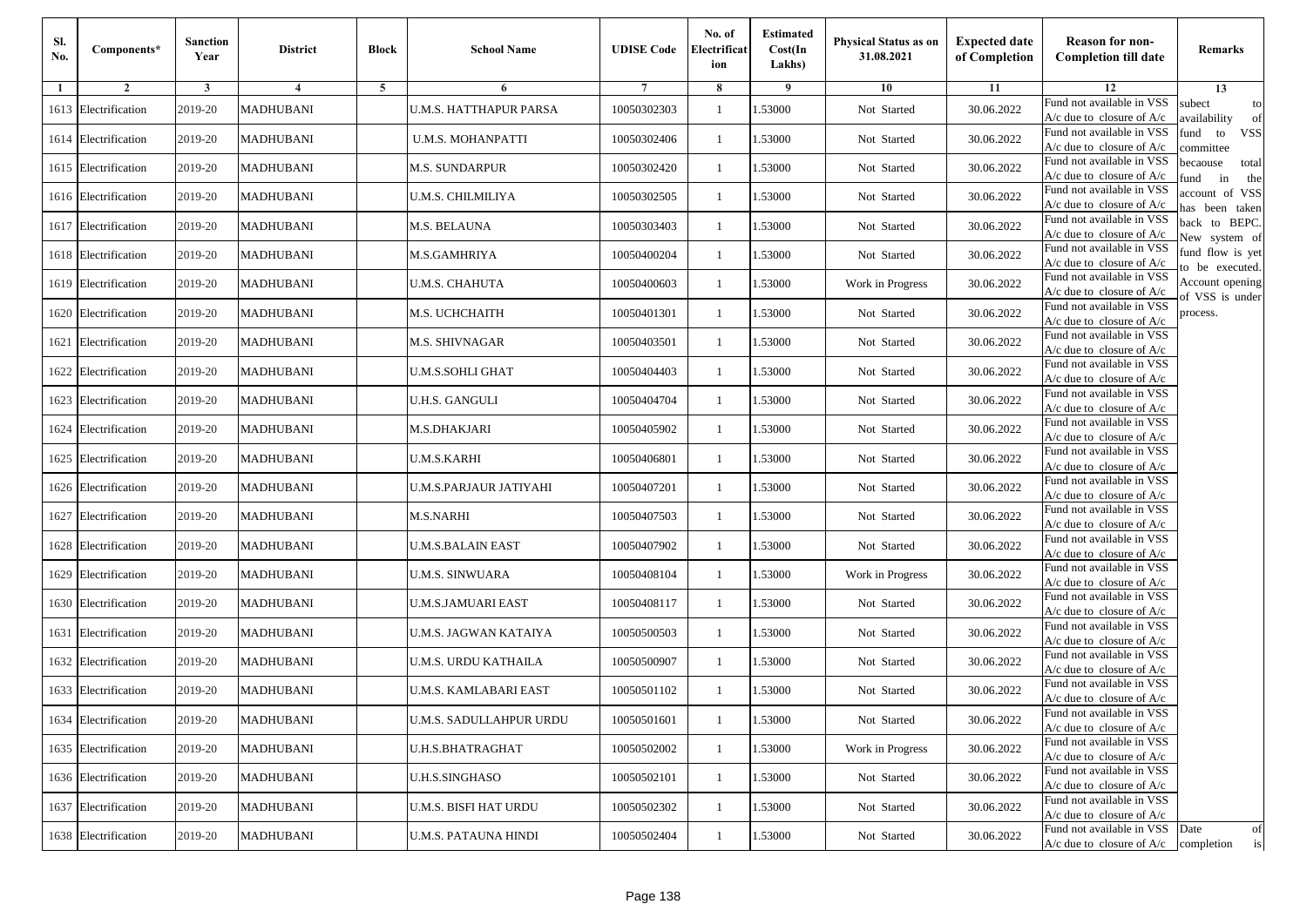| Sl.<br>No. | Components*          | <b>Sanction</b><br>Year | <b>District</b>  | <b>Block</b> | <b>School Name</b>            | <b>UDISE Code</b> | No. of<br>Electrificat<br>ion | <b>Estimated</b><br>Cost(In<br>Lakhs) | <b>Physical Status as on</b><br>31.08.2021 | <b>Expected date</b><br>of Completion | <b>Reason for non-</b><br><b>Completion till date</b>                 | Remarks                               |
|------------|----------------------|-------------------------|------------------|--------------|-------------------------------|-------------------|-------------------------------|---------------------------------------|--------------------------------------------|---------------------------------------|-----------------------------------------------------------------------|---------------------------------------|
| -1         | $\overline{2}$       | 3                       | 4                | 5            | 6                             |                   | 8                             | 9                                     | 10                                         | 11                                    | 12                                                                    | 13                                    |
|            | 1613 Electrification | 2019-20                 | <b>MADHUBANI</b> |              | <b>U.M.S. HATTHAPUR PARSA</b> | 10050302303       | $\mathbf{1}$                  | .53000                                | Not Started                                | 30.06.2022                            | Fund not available in VSS<br>$A/c$ due to closure of $A/c$            | subect<br>to<br>wailability<br>of     |
|            | 1614 Electrification | 2019-20                 | <b>MADHUBANI</b> |              | U.M.S. MOHANPATTI             | 10050302406       | 1                             | 1.53000                               | Not Started                                | 30.06.2022                            | Fund not available in VSS<br>$A/c$ due to closure of $A/c$            | fund<br><b>VSS</b><br>to<br>committee |
|            | 1615 Electrification | 2019-20                 | <b>MADHUBANI</b> |              | M.S. SUNDARPUR                | 10050302420       | 1                             | 1.53000                               | Not Started                                | 30.06.2022                            | Fund not available in VSS<br>$A/c$ due to closure of $A/c$            | becaouse<br>total<br>in<br>und<br>the |
|            | 1616 Electrification | 2019-20                 | <b>MADHUBANI</b> |              | U.M.S. CHILMILIYA             | 10050302505       | $\mathbf{1}$                  | .53000                                | Not Started                                | 30.06.2022                            | Fund not available in VSS<br>A/c due to closure of A/c                | account of VSS<br>as been taken       |
|            | 1617 Electrification | 2019-20                 | <b>MADHUBANI</b> |              | M.S. BELAUNA                  | 10050303403       | $\mathbf{1}$                  | 1.53000                               | Not Started                                | 30.06.2022                            | Fund not available in VSS<br>A/c due to closure of $A/c$              | back to BEPC.<br>New system of        |
|            | 1618 Electrification | 2019-20                 | <b>MADHUBANI</b> |              | M.S.GAMHRIYA                  | 10050400204       | 1                             | 1.53000                               | Not Started                                | 30.06.2022                            | Fund not available in VSS<br>A/c due to closure of $A/c$              | fund flow is yet<br>o be executed.    |
|            | 1619 Electrification | 2019-20                 | <b>MADHUBANI</b> |              | U.M.S. CHAHUTA                | 10050400603       | 1                             | 1.53000                               | Work in Progress                           | 30.06.2022                            | Fund not available in VSS<br>$A/c$ due to closure of $A/c$            | Account opening<br>of VSS is under    |
|            | 1620 Electrification | 2019-20                 | <b>MADHUBANI</b> |              | M.S. UCHCHAITH                | 10050401301       | $\mathbf{1}$                  | .53000                                | Not Started                                | 30.06.2022                            | Fund not available in VSS<br>$A/c$ due to closure of $A/c$            | process.                              |
|            | 1621 Electrification | 2019-20                 | <b>MADHUBANI</b> |              | M.S. SHIVNAGAR                | 10050403501       | 1                             | .53000                                | Not Started                                | 30.06.2022                            | Fund not available in VSS<br>$A/c$ due to closure of $A/c$            |                                       |
|            | 1622 Electrification | 2019-20                 | <b>MADHUBANI</b> |              | <b>U.M.S.SOHLI GHAT</b>       | 10050404403       | $\mathbf{1}$                  | 1.53000                               | Not Started                                | 30.06.2022                            | Fund not available in VSS<br>$A/c$ due to closure of $A/c$            |                                       |
|            | 1623 Electrification | 2019-20                 | <b>MADHUBANI</b> |              | <b>U.H.S. GANGULI</b>         | 10050404704       | 1                             | 1.53000                               | Not Started                                | 30.06.2022                            | Fund not available in VSS<br>$A/c$ due to closure of $A/c$            |                                       |
|            | 1624 Electrification | 2019-20                 | <b>MADHUBANI</b> |              | M.S.DHAKJARI                  | 10050405902       | 1                             | 1.53000                               | Not Started                                | 30.06.2022                            | Fund not available in VSS<br>$A/c$ due to closure of $A/c$            |                                       |
|            | 1625 Electrification | 2019-20                 | <b>MADHUBANI</b> |              | U.M.S.KARHI                   | 10050406801       | $\mathbf{1}$                  | .53000                                | Not Started                                | 30.06.2022                            | Fund not available in VSS<br>$A/c$ due to closure of $A/c$            |                                       |
|            | 1626 Electrification | 2019-20                 | <b>MADHUBANI</b> |              | U.M.S.PARJAUR JATIYAHI        | 10050407201       | $\mathbf{1}$                  | 1.53000                               | Not Started                                | 30.06.2022                            | Fund not available in VSS<br>$A/c$ due to closure of $A/c$            |                                       |
|            | 1627 Electrification | 2019-20                 | <b>MADHUBANI</b> |              | M.S.NARHI                     | 10050407503       | 1                             | 1.53000                               | Not Started                                | 30.06.2022                            | Fund not available in VSS<br>$A/c$ due to closure of $A/c$            |                                       |
|            | 1628 Electrification | 2019-20                 | <b>MADHUBANI</b> |              | <b>U.M.S.BALAIN EAST</b>      | 10050407902       | $\mathbf{1}$                  | .53000                                | Not Started                                | 30.06.2022                            | Fund not available in VSS<br>$A/c$ due to closure of $A/c$            |                                       |
|            | 1629 Electrification | 2019-20                 | <b>MADHUBANI</b> |              | <b>U.M.S. SINWUARA</b>        | 10050408104       | 1                             | .53000                                | Work in Progress                           | 30.06.2022                            | Fund not available in VSS<br>$A/c$ due to closure of $A/c$            |                                       |
|            | 1630 Electrification | 2019-20                 | <b>MADHUBANI</b> |              | U.M.S.JAMUARI EAST            | 10050408117       | $\mathbf{1}$                  | 1.53000                               | Not Started                                | 30.06.2022                            | Fund not available in VSS<br>$A/c$ due to closure of $A/c$            |                                       |
|            | 1631 Electrification | 2019-20                 | <b>MADHUBANI</b> |              | U.M.S. JAGWAN KATAIYA         | 10050500503       | 1                             | 1.53000                               | Not Started                                | 30.06.2022                            | Fund not available in VSS<br>$A/c$ due to closure of $A/c$            |                                       |
|            | 1632 Electrification | 2019-20                 | <b>MADHUBANI</b> |              | U.M.S. URDU KATHAILA          | 10050500907       | 1                             | .53000                                | Not Started                                | 30.06.2022                            | Fund not available in VSS<br>$A/c$ due to closure of $A/c$            |                                       |
|            | 1633 Electrification | 2019-20                 | <b>MADHUBANI</b> |              | U.M.S. KAMLABARI EAST         | 10050501102       | 1                             | .53000                                | Not Started                                | 30.06.2022                            | Fund not available in VSS<br>A/c due to closure of A/c                |                                       |
|            | 1634 Electrification | 2019-20                 | <b>MADHUBANI</b> |              | U.M.S. SADULLAHPUR URDU       | 10050501601       | $\mathbf{1}$                  | 1.53000                               | Not Started                                | 30.06.2022                            | Fund not available in VSS<br>A/c due to closure of A/c                |                                       |
|            | 1635 Electrification | 2019-20                 | <b>MADHUBANI</b> |              | <b>U.H.S.BHATRAGHAT</b>       | 10050502002       | $\mathbf{1}$                  | 1.53000                               | Work in Progress                           | 30.06.2022                            | Fund not available in VSS<br>$A/c$ due to closure of $A/c$            |                                       |
|            | 1636 Electrification | 2019-20                 | <b>MADHUBANI</b> |              | <b>U.H.S.SINGHASO</b>         | 10050502101       | 1                             | 1.53000                               | Not Started                                | 30.06.2022                            | Fund not available in VSS<br>$A/c$ due to closure of $A/c$            |                                       |
|            | 1637 Electrification | 2019-20                 | <b>MADHUBANI</b> |              | U.M.S. BISFI HAT URDU         | 10050502302       | 1                             | 1.53000                               | Not Started                                | 30.06.2022                            | Fund not available in VSS<br>$A/c$ due to closure of $A/c$            |                                       |
|            | 1638 Electrification | 2019-20                 | <b>MADHUBANI</b> |              | U.M.S. PATAUNA HINDI          | 10050502404       | $\mathbf{1}$                  | 1.53000                               | Not Started                                | 30.06.2022                            | Fund not available in VSS<br>$A/c$ due to closure of $A/c$ completion | Date<br>of<br>is                      |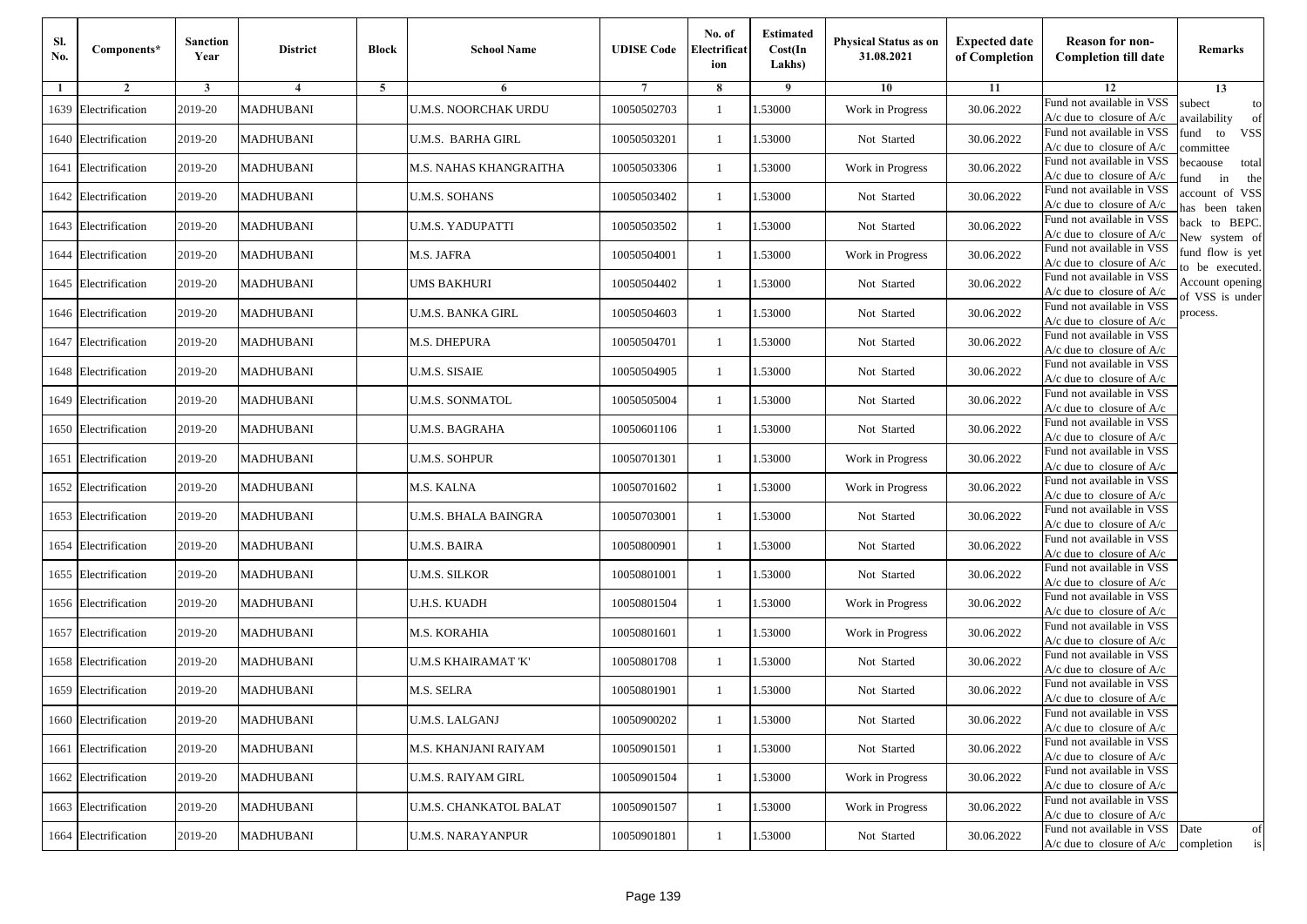| Sl.<br>No. | Components*          | <b>Sanction</b><br>Year | <b>District</b>  | <b>Block</b> | <b>School Name</b>          | <b>UDISE Code</b> | No. of<br>Electrificat<br>ion | <b>Estimated</b><br>Cost(In<br>Lakhs) | <b>Physical Status as on</b><br>31.08.2021 | <b>Expected date</b><br>of Completion | <b>Reason for non-</b><br><b>Completion till date</b>                 | Remarks                               |
|------------|----------------------|-------------------------|------------------|--------------|-----------------------------|-------------------|-------------------------------|---------------------------------------|--------------------------------------------|---------------------------------------|-----------------------------------------------------------------------|---------------------------------------|
| -1         | $\overline{2}$       | 3                       | 4                | 5            | 6                           |                   | 8                             | 9                                     | 10                                         | 11                                    | 12                                                                    | 13                                    |
|            | 1639 Electrification | 2019-20                 | <b>MADHUBANI</b> |              | <b>U.M.S. NOORCHAK URDU</b> | 10050502703       | $\mathbf{1}$                  | .53000                                | Work in Progress                           | 30.06.2022                            | Fund not available in VSS<br>$A/c$ due to closure of $A/c$            | subect<br>to<br>wailability<br>of     |
|            | 1640 Electrification | 2019-20                 | <b>MADHUBANI</b> |              | U.M.S.  BARHA GIRL          | 10050503201       | 1                             | 1.53000                               | Not Started                                | 30.06.2022                            | Fund not available in VSS<br>$A/c$ due to closure of $A/c$            | fund<br><b>VSS</b><br>to<br>committee |
|            | 1641 Electrification | 2019-20                 | <b>MADHUBANI</b> |              | M.S. NAHAS KHANGRAITHA      | 10050503306       | 1                             | 1.53000                               | Work in Progress                           | 30.06.2022                            | Fund not available in VSS<br>$A/c$ due to closure of $A/c$            | becaouse<br>total<br>und<br>in<br>the |
|            | 1642 Electrification | 2019-20                 | <b>MADHUBANI</b> |              | U.M.S. SOHANS               | 10050503402       | $\mathbf{1}$                  | .53000                                | Not Started                                | 30.06.2022                            | Fund not available in VSS<br>A/c due to closure of A/c                | account of VSS<br>as been taken       |
|            | 1643 Electrification | 2019-20                 | <b>MADHUBANI</b> |              | U.M.S. YADUPATTI            | 10050503502       | $\mathbf{1}$                  | .53000                                | Not Started                                | 30.06.2022                            | Fund not available in VSS<br>A/c due to closure of $A/c$              | back to BEPC.<br>New system of        |
|            | 1644 Electrification | 2019-20                 | <b>MADHUBANI</b> |              | M.S. JAFRA                  | 10050504001       | $\mathbf{1}$                  | 1.53000                               | Work in Progress                           | 30.06.2022                            | Fund not available in VSS<br>A/c due to closure of $A/c$              | fund flow is yet<br>o be executed.    |
|            | 1645 Electrification | 2019-20                 | <b>MADHUBANI</b> |              | UMS BAKHURI                 | 10050504402       | $\mathbf{1}$                  | 1.53000                               | Not Started                                | 30.06.2022                            | Fund not available in VSS<br>$A/c$ due to closure of $A/c$            | Account opening<br>of VSS is under    |
|            | 1646 Electrification | 2019-20                 | <b>MADHUBANI</b> |              | <b>U.M.S. BANKA GIRL</b>    | 10050504603       | $\mathbf{1}$                  | .53000                                | Not Started                                | 30.06.2022                            | Fund not available in VSS<br>$A/c$ due to closure of $A/c$            | process.                              |
|            | 1647 Electrification | 2019-20                 | <b>MADHUBANI</b> |              | M.S. DHEPURA                | 10050504701       | 1                             | .53000                                | Not Started                                | 30.06.2022                            | Fund not available in VSS<br>$A/c$ due to closure of $A/c$            |                                       |
|            | 1648 Electrification | 2019-20                 | <b>MADHUBANI</b> |              | <b>U.M.S. SISAIE</b>        | 10050504905       | $\mathbf{1}$                  | 1.53000                               | Not Started                                | 30.06.2022                            | Fund not available in VSS<br>$A/c$ due to closure of $A/c$            |                                       |
|            | 1649 Electrification | 2019-20                 | <b>MADHUBANI</b> |              | <b>U.M.S. SONMATOL</b>      | 10050505004       | 1                             | 1.53000                               | Not Started                                | 30.06.2022                            | Fund not available in VSS<br>$A/c$ due to closure of $A/c$            |                                       |
|            | 1650 Electrification | 2019-20                 | <b>MADHUBANI</b> |              | <b>U.M.S. BAGRAHA</b>       | 10050601106       | $\mathbf{1}$                  | .53000                                | Not Started                                | 30.06.2022                            | Fund not available in VSS<br>$A/c$ due to closure of $A/c$            |                                       |
|            | 1651 Electrification | 2019-20                 | <b>MADHUBANI</b> |              | U.M.S. SOHPUR               | 10050701301       | $\mathbf{1}$                  | .53000                                | Work in Progress                           | 30.06.2022                            | Fund not available in VSS<br>$A/c$ due to closure of $A/c$            |                                       |
|            | 1652 Electrification | 2019-20                 | <b>MADHUBANI</b> |              | M.S. KALNA                  | 10050701602       | $\mathbf{1}$                  | .53000                                | Work in Progress                           | 30.06.2022                            | Fund not available in VSS<br>$A/c$ due to closure of $A/c$            |                                       |
|            | 1653 Electrification | 2019-20                 | <b>MADHUBANI</b> |              | U.M.S. BHALA BAINGRA        | 10050703001       | 1                             | 1.53000                               | Not Started                                | 30.06.2022                            | Fund not available in VSS<br>$A/c$ due to closure of $A/c$            |                                       |
|            | 1654 Electrification | 2019-20                 | <b>MADHUBANI</b> |              | <b>U.M.S. BAIRA</b>         | 10050800901       | $\mathbf{1}$                  | .53000                                | Not Started                                | 30.06.2022                            | Fund not available in VSS<br>$A/c$ due to closure of $A/c$            |                                       |
|            | 1655 Electrification | 2019-20                 | <b>MADHUBANI</b> |              | <b>U.M.S. SILKOR</b>        | 10050801001       | 1                             | .53000                                | Not Started                                | 30.06.2022                            | Fund not available in VSS<br>A/c due to closure of A/c                |                                       |
|            | 1656 Electrification | 2019-20                 | <b>MADHUBANI</b> |              | <b>U.H.S. KUADH</b>         | 10050801504       | $\mathbf{1}$                  | 1.53000                               | Work in Progress                           | 30.06.2022                            | Fund not available in VSS<br>$A/c$ due to closure of $A/c$            |                                       |
|            | 1657 Electrification | 2019-20                 | <b>MADHUBANI</b> |              | M.S. KORAHIA                | 10050801601       | 1                             | 1.53000                               | Work in Progress                           | 30.06.2022                            | Fund not available in VSS<br>$A/c$ due to closure of $A/c$            |                                       |
|            | 1658 Electrification | 2019-20                 | <b>MADHUBANI</b> |              | <b>U.M.S KHAIRAMAT 'K'</b>  | 10050801708       | 1                             | .53000                                | Not Started                                | 30.06.2022                            | Fund not available in VSS<br>$A/c$ due to closure of $A/c$            |                                       |
|            | 1659 Electrification | 2019-20                 | MADHUBANI        |              | M.S. SELRA                  | 10050801901       | 1                             | .53000                                | Not Started                                | 30.06.2022                            | Fund not available in VSS<br>A/c due to closure of A/c                |                                       |
|            | 1660 Electrification | 2019-20                 | <b>MADHUBANI</b> |              | <b>U.M.S. LALGANJ</b>       | 10050900202       |                               | 1.53000                               | Not Started                                | 30.06.2022                            | Fund not available in VSS<br>A/c due to closure of A/c                |                                       |
|            | 1661 Electrification | 2019-20                 | <b>MADHUBANI</b> |              | M.S. KHANJANI RAIYAM        | 10050901501       | $\mathbf{1}$                  | 1.53000                               | Not Started                                | 30.06.2022                            | Fund not available in VSS<br>$A/c$ due to closure of $A/c$            |                                       |
|            | 1662 Electrification | 2019-20                 | <b>MADHUBANI</b> |              | <b>U.M.S. RAIYAM GIRL</b>   | 10050901504       | $\mathbf{1}$                  | 1.53000                               | Work in Progress                           | 30.06.2022                            | Fund not available in VSS<br>$A/c$ due to closure of $A/c$            |                                       |
|            | 1663 Electrification | 2019-20                 | <b>MADHUBANI</b> |              | U.M.S. CHANKATOL BALAT      | 10050901507       | 1                             | 1.53000                               | Work in Progress                           | 30.06.2022                            | Fund not available in VSS<br>A/c due to closure of A/c                |                                       |
|            | 1664 Electrification | 2019-20                 | <b>MADHUBANI</b> |              | <b>U.M.S. NARAYANPUR</b>    | 10050901801       | $\mathbf{1}$                  | 1.53000                               | Not Started                                | 30.06.2022                            | Fund not available in VSS<br>$A/c$ due to closure of $A/c$ completion | Date<br>of<br>is                      |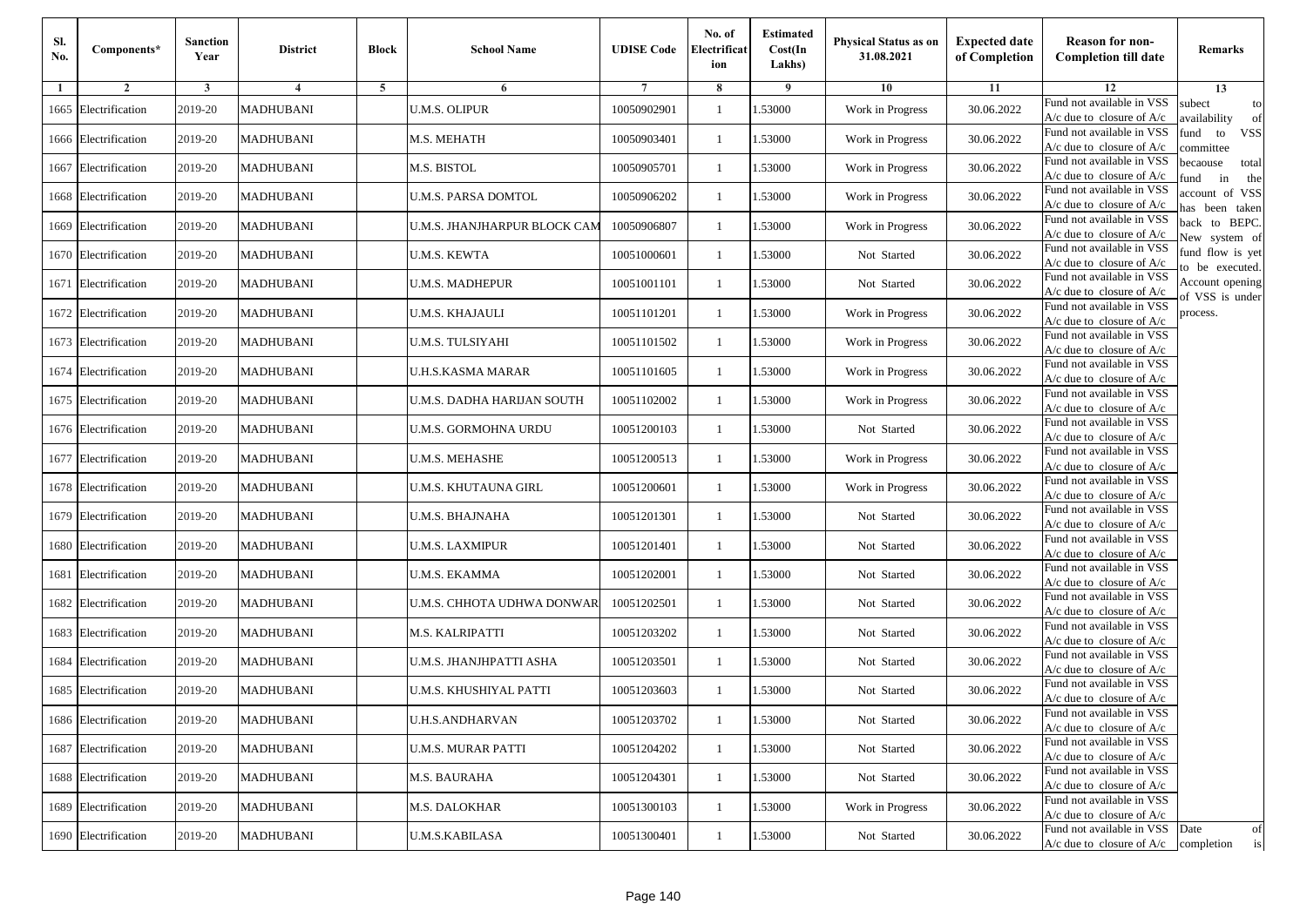| Sl.<br>No. | Components*          | <b>Sanction</b><br>Year | <b>District</b>  | <b>Block</b> | <b>School Name</b>           | <b>UDISE Code</b> | No. of<br>Electrificat<br>ion | <b>Estimated</b><br>Cost(In<br>Lakhs) | <b>Physical Status as on</b><br>31.08.2021 | <b>Expected date</b><br>of Completion | <b>Reason for non-</b><br><b>Completion till date</b>                 | Remarks                               |
|------------|----------------------|-------------------------|------------------|--------------|------------------------------|-------------------|-------------------------------|---------------------------------------|--------------------------------------------|---------------------------------------|-----------------------------------------------------------------------|---------------------------------------|
| -1         | $\overline{2}$       | 3                       | 4                | 5            | 6                            |                   | 8                             | 9                                     | 10                                         | 11                                    | 12                                                                    | 13                                    |
|            | 1665 Electrification | 2019-20                 | <b>MADHUBANI</b> |              | <b>U.M.S. OLIPUR</b>         | 10050902901       | $\mathbf{1}$                  | .53000                                | Work in Progress                           | 30.06.2022                            | Fund not available in VSS<br>$A/c$ due to closure of $A/c$            | subect<br>to<br>availability<br>of    |
|            | 1666 Electrification | 2019-20                 | <b>MADHUBANI</b> |              | M.S. MEHATH                  | 10050903401       | 1                             | 1.53000                               | Work in Progress                           | 30.06.2022                            | Fund not available in VSS<br>$A/c$ due to closure of $A/c$            | fund<br><b>VSS</b><br>to<br>committee |
|            | 1667 Electrification | 2019-20                 | <b>MADHUBANI</b> |              | M.S. BISTOL                  | 10050905701       | 1                             | 1.53000                               | Work in Progress                           | 30.06.2022                            | Fund not available in VSS<br>$A/c$ due to closure of $A/c$            | becaouse<br>total<br>in<br>und<br>the |
|            | 1668 Electrification | 2019-20                 | <b>MADHUBANI</b> |              | U.M.S. PARSA DOMTOL          | 10050906202       | $\mathbf{1}$                  | .53000                                | Work in Progress                           | 30.06.2022                            | Fund not available in VSS<br>A/c due to closure of A/c                | account of VSS<br>as been taken       |
|            | 1669 Electrification | 2019-20                 | <b>MADHUBANI</b> |              | U.M.S. JHANJHARPUR BLOCK CAM | 10050906807       | $\mathbf{1}$                  | .53000                                | Work in Progress                           | 30.06.2022                            | Fund not available in VSS<br>A/c due to closure of $A/c$              | back to BEPC.<br>New system of        |
|            | 1670 Electrification | 2019-20                 | <b>MADHUBANI</b> |              | U.M.S. KEWTA                 | 10051000601       | 1                             | 1.53000                               | Not Started                                | 30.06.2022                            | Fund not available in VSS<br>A/c due to closure of $A/c$              | fund flow is yet<br>o be executed.    |
|            | 1671 Electrification | 2019-20                 | <b>MADHUBANI</b> |              | <b>U.M.S. MADHEPUR</b>       | 10051001101       | $\mathbf{1}$                  | 1.53000                               | Not Started                                | 30.06.2022                            | Fund not available in VSS<br>$A/c$ due to closure of $A/c$            | Account opening<br>of VSS is under    |
|            | 1672 Electrification | 2019-20                 | <b>MADHUBANI</b> |              | <b>U.M.S. KHAJAULI</b>       | 10051101201       | $\mathbf{1}$                  | .53000                                | Work in Progress                           | 30.06.2022                            | Fund not available in VSS<br>$A/c$ due to closure of $A/c$            | process.                              |
|            | 1673 Electrification | 2019-20                 | <b>MADHUBANI</b> |              | <b>U.M.S. TULSIYAHI</b>      | 10051101502       | 1                             | .53000                                | Work in Progress                           | 30.06.2022                            | Fund not available in VSS<br>$A/c$ due to closure of $A/c$            |                                       |
|            | 1674 Electrification | 2019-20                 | <b>MADHUBANI</b> |              | <b>U.H.S.KASMA MARAR</b>     | 10051101605       | $\mathbf{1}$                  | 1.53000                               | Work in Progress                           | 30.06.2022                            | Fund not available in VSS<br>$A/c$ due to closure of $A/c$            |                                       |
|            | 1675 Electrification | 2019-20                 | <b>MADHUBANI</b> |              | U.M.S. DADHA HARIJAN SOUTH   | 10051102002       | 1                             | 1.53000                               | Work in Progress                           | 30.06.2022                            | Fund not available in VSS<br>A/c due to closure of $A/c$              |                                       |
|            | 1676 Electrification | 2019-20                 | <b>MADHUBANI</b> |              | U.M.S. GORMOHNA URDU         | 10051200103       | 1                             | .53000                                | Not Started                                | 30.06.2022                            | Fund not available in VSS<br>$A/c$ due to closure of $A/c$            |                                       |
|            | 1677 Electrification | 2019-20                 | <b>MADHUBANI</b> |              | U.M.S. MEHASHE               | 10051200513       | $\mathbf{1}$                  | .53000                                | Work in Progress                           | 30.06.2022                            | Fund not available in VSS<br>$A/c$ due to closure of $A/c$            |                                       |
|            | 1678 Electrification | 2019-20                 | <b>MADHUBANI</b> |              | U.M.S. KHUTAUNA GIRL         | 10051200601       | $\mathbf{1}$                  | 1.53000                               | Work in Progress                           | 30.06.2022                            | Fund not available in VSS<br>$A/c$ due to closure of $A/c$            |                                       |
|            | 1679 Electrification | 2019-20                 | <b>MADHUBANI</b> |              | U.M.S. BHAJNAHA              | 10051201301       | 1                             | 1.53000                               | Not Started                                | 30.06.2022                            | Fund not available in VSS<br>$A/c$ due to closure of $A/c$            |                                       |
|            | 1680 Electrification | 2019-20                 | <b>MADHUBANI</b> |              | <b>U.M.S. LAXMIPUR</b>       | 10051201401       | $\mathbf{1}$                  | .53000                                | Not Started                                | 30.06.2022                            | Fund not available in VSS<br>$A/c$ due to closure of $A/c$            |                                       |
|            | 1681 Electrification | 2019-20                 | <b>MADHUBANI</b> |              | U.M.S. EKAMMA                | 10051202001       | 1                             | .53000                                | Not Started                                | 30.06.2022                            | Fund not available in VSS<br>$A/c$ due to closure of $A/c$            |                                       |
|            | 1682 Electrification | 2019-20                 | <b>MADHUBANI</b> |              | U.M.S. CHHOTA UDHWA DONWAR   | 10051202501       | $\mathbf{1}$                  | 1.53000                               | Not Started                                | 30.06.2022                            | Fund not available in VSS<br>$A/c$ due to closure of $A/c$            |                                       |
|            | 1683 Electrification | 2019-20                 | <b>MADHUBANI</b> |              | M.S. KALRIPATTI              | 10051203202       | 1                             | 1.53000                               | Not Started                                | 30.06.2022                            | Fund not available in VSS<br>$A/c$ due to closure of $A/c$            |                                       |
|            | 1684 Electrification | 2019-20                 | <b>MADHUBANI</b> |              | U.M.S. JHANJHPATTI ASHA      | 10051203501       | 1                             | .53000                                | Not Started                                | 30.06.2022                            | Fund not available in VSS<br>$A/c$ due to closure of $A/c$            |                                       |
|            | 1685 Electrification | 2019-20                 | <b>MADHUBANI</b> |              | U.M.S. KHUSHIYAL PATTI       | 10051203603       | 1                             | .53000                                | Not Started                                | 30.06.2022                            | Fund not available in VSS<br>A/c due to closure of A/c                |                                       |
|            | 1686 Electrification | 2019-20                 | <b>MADHUBANI</b> |              | <b>U.H.S.ANDHARVAN</b>       | 10051203702       | $\mathbf{1}$                  | 1.53000                               | Not Started                                | 30.06.2022                            | Fund not available in VSS<br>A/c due to closure of A/c                |                                       |
|            | 1687 Electrification | 2019-20                 | <b>MADHUBANI</b> |              | <b>U.M.S. MURAR PATTI</b>    | 10051204202       | $\mathbf{1}$                  | 1.53000                               | Not Started                                | 30.06.2022                            | Fund not available in VSS<br>$A/c$ due to closure of $A/c$            |                                       |
|            | 1688 Electrification | 2019-20                 | <b>MADHUBANI</b> |              | M.S. BAURAHA                 | 10051204301       | 1                             | 1.53000                               | Not Started                                | 30.06.2022                            | Fund not available in VSS<br>$A/c$ due to closure of $A/c$            |                                       |
|            | 1689 Electrification | 2019-20                 | <b>MADHUBANI</b> |              | <b>M.S. DALOKHAR</b>         | 10051300103       | $\mathbf{1}$                  | 1.53000                               | Work in Progress                           | 30.06.2022                            | Fund not available in VSS<br>$A/c$ due to closure of $A/c$            |                                       |
|            | 1690 Electrification | 2019-20                 | <b>MADHUBANI</b> |              | U.M.S.KABILASA               | 10051300401       | $\mathbf{1}$                  | 1.53000                               | Not Started                                | 30.06.2022                            | Fund not available in VSS<br>$A/c$ due to closure of $A/c$ completion | Date<br>of<br>is                      |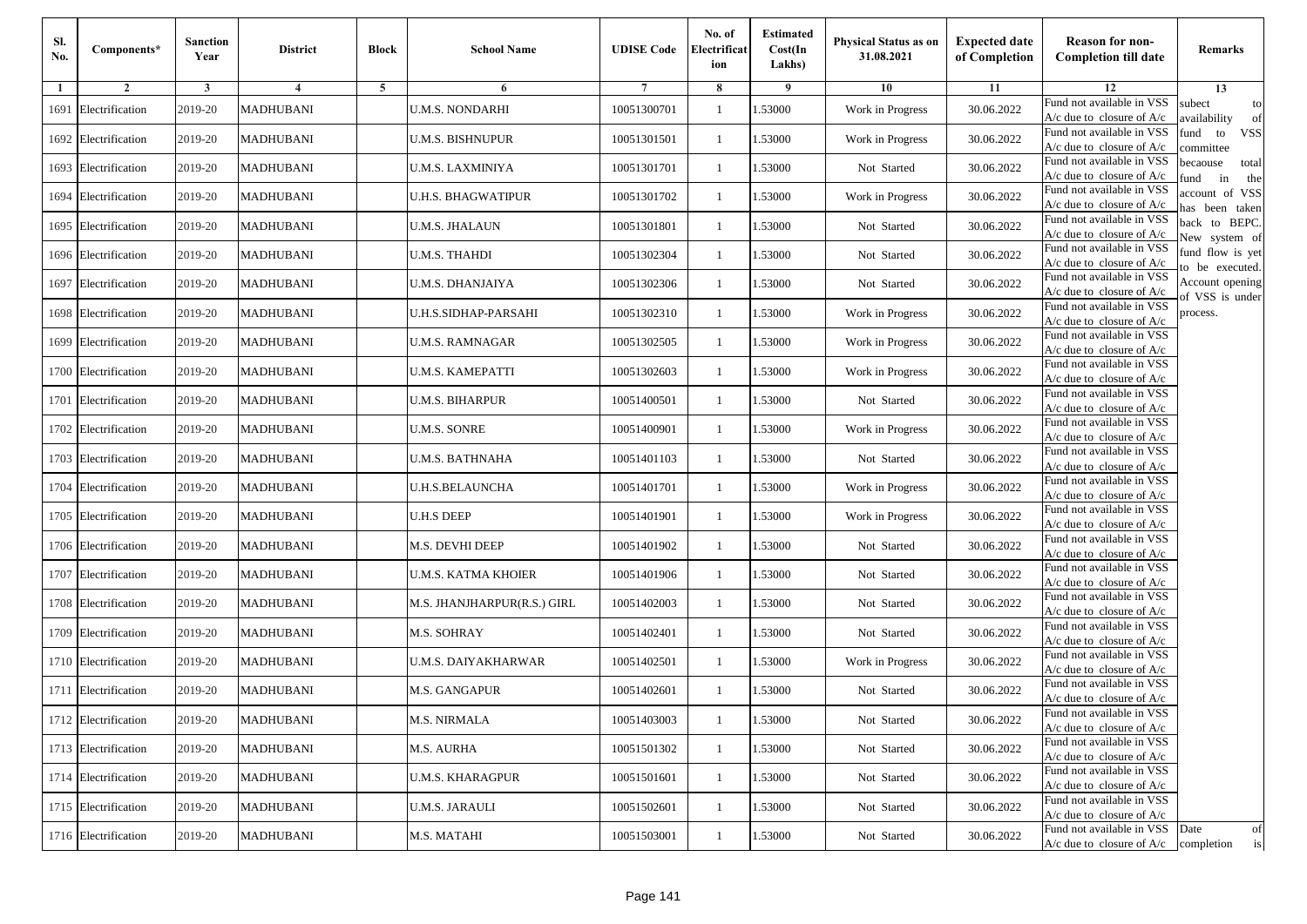| Sl.<br>No. | Components*          | <b>Sanction</b><br>Year | <b>District</b>  | <b>Block</b> | <b>School Name</b>          | <b>UDISE Code</b> | No. of<br>Electrificat<br>ion | <b>Estimated</b><br>Cost(In<br>Lakhs) | <b>Physical Status as on</b><br>31.08.2021 | <b>Expected date</b><br>of Completion | <b>Reason for non-</b><br><b>Completion till date</b>                 | Remarks                               |
|------------|----------------------|-------------------------|------------------|--------------|-----------------------------|-------------------|-------------------------------|---------------------------------------|--------------------------------------------|---------------------------------------|-----------------------------------------------------------------------|---------------------------------------|
| -1         | $\overline{2}$       | 3                       | 4                | 5            | 6                           |                   | 8                             | 9                                     | 10                                         | 11                                    | 12                                                                    | 13                                    |
|            | 1691 Electrification | 2019-20                 | <b>MADHUBANI</b> |              | <b>U.M.S. NONDARHI</b>      | 10051300701       | $\mathbf{1}$                  | .53000                                | Work in Progress                           | 30.06.2022                            | Fund not available in VSS<br>$A/c$ due to closure of $A/c$            | subect<br>to<br>availability<br>of    |
|            | 1692 Electrification | 2019-20                 | <b>MADHUBANI</b> |              | U.M.S. BISHNUPUR            | 10051301501       | 1                             | 1.53000                               | Work in Progress                           | 30.06.2022                            | Fund not available in VSS<br>$A/c$ due to closure of $A/c$            | fund<br>to<br><b>VSS</b><br>committee |
|            | 1693 Electrification | 2019-20                 | <b>MADHUBANI</b> |              | <b>U.M.S. LAXMINIYA</b>     | 10051301701       | 1                             | 1.53000                               | Not Started                                | 30.06.2022                            | Fund not available in VSS<br>$A/c$ due to closure of $A/c$            | becaouse<br>total<br>und<br>in<br>the |
|            | 1694 Electrification | 2019-20                 | <b>MADHUBANI</b> |              | <b>U.H.S. BHAGWATIPUR</b>   | 10051301702       | $\mathbf{1}$                  | .53000                                | Work in Progress                           | 30.06.2022                            | Fund not available in VSS<br>A/c due to closure of A/c                | account of VSS<br>as been taken       |
|            | 1695 Electrification | 2019-20                 | <b>MADHUBANI</b> |              | U.M.S. JHALAUN              | 10051301801       | $\mathbf{1}$                  | 1.53000                               | Not Started                                | 30.06.2022                            | Fund not available in VSS<br>A/c due to closure of $A/c$              | back to BEPC.<br>New system of        |
|            | 1696 Electrification | 2019-20                 | <b>MADHUBANI</b> |              | U.M.S. THAHDI               | 10051302304       | $\mathbf{1}$                  | 1.53000                               | Not Started                                | 30.06.2022                            | Fund not available in VSS<br>A/c due to closure of $A/c$              | fund flow is yet<br>o be executed.    |
|            | 1697 Electrification | 2019-20                 | <b>MADHUBANI</b> |              | U.M.S. DHANJAIYA            | 10051302306       | $\mathbf{1}$                  | 1.53000                               | Not Started                                | 30.06.2022                            | Fund not available in VSS<br>$A/c$ due to closure of $A/c$            | Account opening<br>of VSS is under    |
|            | 1698 Electrification | 2019-20                 | <b>MADHUBANI</b> |              | U.H.S.SIDHAP-PARSAHI        | 10051302310       | $\mathbf{1}$                  | .53000                                | Work in Progress                           | 30.06.2022                            | Fund not available in VSS<br>$A/c$ due to closure of $A/c$            | process.                              |
|            | 1699 Electrification | 2019-20                 | <b>MADHUBANI</b> |              | <b>U.M.S. RAMNAGAR</b>      | 10051302505       | $\mathbf{1}$                  | .53000                                | Work in Progress                           | 30.06.2022                            | Fund not available in VSS<br>$A/c$ due to closure of $A/c$            |                                       |
|            | 1700 Electrification | 2019-20                 | <b>MADHUBANI</b> |              | <b>U.M.S. KAMEPATTI</b>     | 10051302603       | $\mathbf{1}$                  | 1.53000                               | Work in Progress                           | 30.06.2022                            | Fund not available in VSS<br>$A/c$ due to closure of $A/c$            |                                       |
|            | 1701 Electrification | 2019-20                 | <b>MADHUBANI</b> |              | U.M.S. BIHARPUR             | 10051400501       | 1                             | 1.53000                               | Not Started                                | 30.06.2022                            | Fund not available in VSS<br>$A/c$ due to closure of $A/c$            |                                       |
|            | 1702 Electrification | 2019-20                 | <b>MADHUBANI</b> |              | <b>U.M.S. SONRE</b>         | 10051400901       | $\mathbf{1}$                  | .53000                                | Work in Progress                           | 30.06.2022                            | Fund not available in VSS<br>$A/c$ due to closure of $A/c$            |                                       |
|            | 1703 Electrification | 2019-20                 | <b>MADHUBANI</b> |              | U.M.S. BATHNAHA             | 10051401103       | $\mathbf{1}$                  | .53000                                | Not Started                                | 30.06.2022                            | Fund not available in VSS<br>$A/c$ due to closure of $A/c$            |                                       |
|            | 1704 Electrification | 2019-20                 | <b>MADHUBANI</b> |              | <b>U.H.S.BELAUNCHA</b>      | 10051401701       | $\mathbf{1}$                  | 1.53000                               | Work in Progress                           | 30.06.2022                            | Fund not available in VSS<br>$A/c$ due to closure of $A/c$            |                                       |
|            | 1705 Electrification | 2019-20                 | <b>MADHUBANI</b> |              | <b>U.H.S DEEP</b>           | 10051401901       | 1                             | 1.53000                               | Work in Progress                           | 30.06.2022                            | Fund not available in VSS<br>$A/c$ due to closure of $A/c$            |                                       |
|            | 1706 Electrification | 2019-20                 | <b>MADHUBANI</b> |              | M.S. DEVHI DEEP             | 10051401902       | $\mathbf{1}$                  | .53000                                | Not Started                                | 30.06.2022                            | Fund not available in VSS<br>$A/c$ due to closure of $A/c$            |                                       |
|            | 1707 Electrification | 2019-20                 | <b>MADHUBANI</b> |              | <b>U.M.S. KATMA KHOIER</b>  | 10051401906       | 1                             | .53000                                | Not Started                                | 30.06.2022                            | Fund not available in VSS<br>A/c due to closure of A/c                |                                       |
|            | 1708 Electrification | 2019-20                 | <b>MADHUBANI</b> |              | M.S. JHANJHARPUR(R.S.) GIRL | 10051402003       | $\mathbf{1}$                  | 1.53000                               | Not Started                                | 30.06.2022                            | Fund not available in VSS<br>$A/c$ due to closure of $A/c$            |                                       |
|            | 1709 Electrification | 2019-20                 | <b>MADHUBANI</b> |              | M.S. SOHRAY                 | 10051402401       | 1                             | 1.53000                               | Not Started                                | 30.06.2022                            | Fund not available in VSS<br>$A/c$ due to closure of $A/c$            |                                       |
|            | 1710 Electrification | 2019-20                 | <b>MADHUBANI</b> |              | U.M.S. DAIYAKHARWAR         | 10051402501       | 1                             | .53000                                | Work in Progress                           | 30.06.2022                            | Fund not available in VSS<br>$A/c$ due to closure of $A/c$            |                                       |
|            | 1711 Electrification | 2019-20                 | <b>MADHUBANI</b> |              | M.S. GANGAPUR               | 10051402601       | 1                             | .53000                                | Not Started                                | 30.06.2022                            | Fund not available in VSS<br>A/c due to closure of A/c                |                                       |
|            | 1712 Electrification | 2019-20                 | <b>MADHUBANI</b> |              | M.S. NIRMALA                | 10051403003       | $\mathbf{1}$                  | 1.53000                               | Not Started                                | 30.06.2022                            | Fund not available in VSS<br>A/c due to closure of A/c                |                                       |
|            | 1713 Electrification | 2019-20                 | <b>MADHUBANI</b> |              | M.S. AURHA                  | 10051501302       | $\mathbf{1}$                  | 1.53000                               | Not Started                                | 30.06.2022                            | Fund not available in VSS<br>$A/c$ due to closure of $A/c$            |                                       |
|            | 1714 Electrification | 2019-20                 | <b>MADHUBANI</b> |              | <b>U.M.S. KHARAGPUR</b>     | 10051501601       | $\mathbf{1}$                  | 1.53000                               | Not Started                                | 30.06.2022                            | Fund not available in VSS<br>$A/c$ due to closure of $A/c$            |                                       |
|            | 1715 Electrification | 2019-20                 | <b>MADHUBANI</b> |              | <b>U.M.S. JARAULI</b>       | 10051502601       | 1                             | 1.53000                               | Not Started                                | 30.06.2022                            | Fund not available in VSS<br>A/c due to closure of A/c                |                                       |
|            | 1716 Electrification | 2019-20                 | <b>MADHUBANI</b> |              | M.S. MATAHI                 | 10051503001       | $\mathbf{1}$                  | 1.53000                               | Not Started                                | 30.06.2022                            | Fund not available in VSS<br>$A/c$ due to closure of $A/c$ completion | Date<br>of<br>is                      |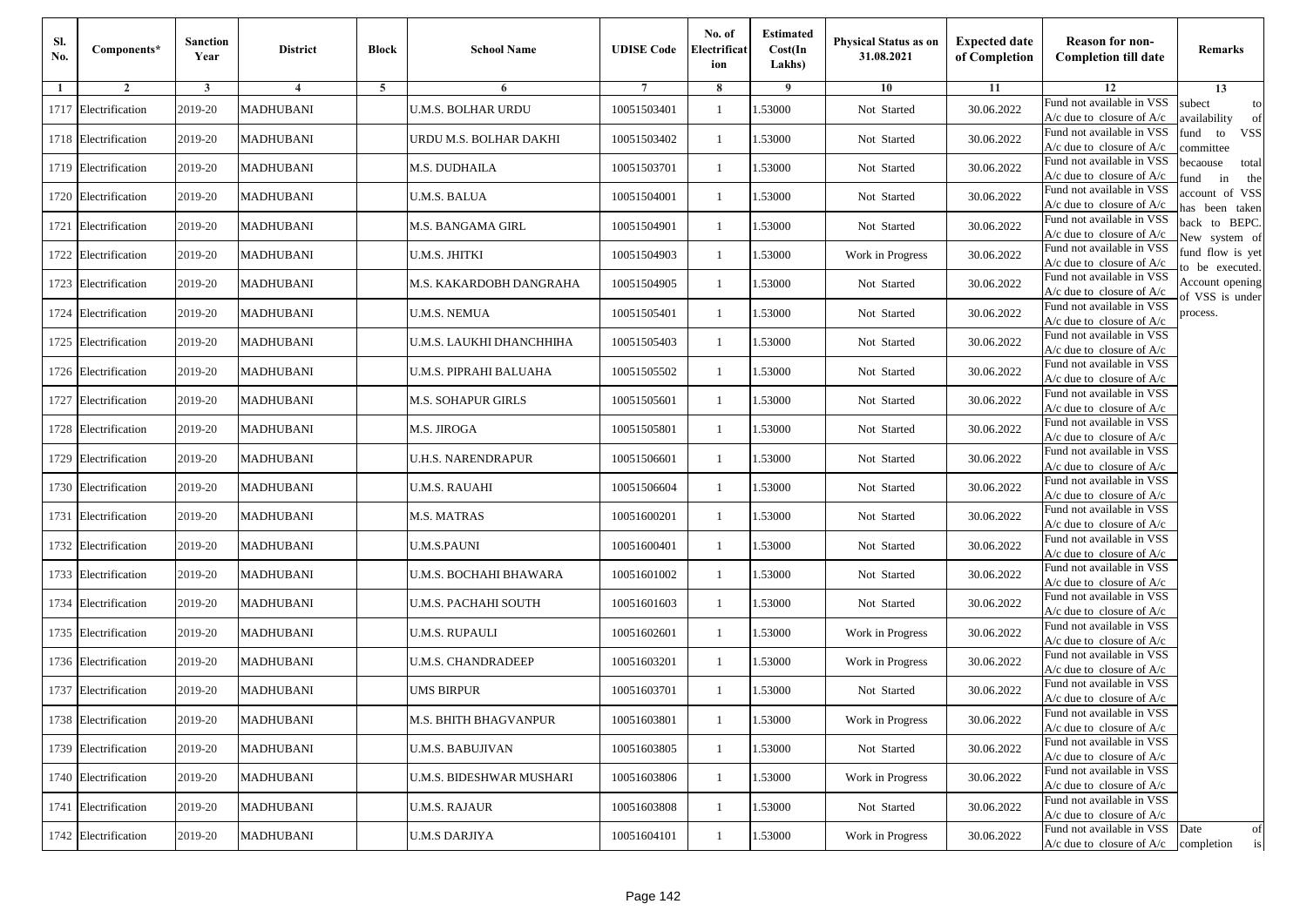| Sl.<br>No. | Components*          | <b>Sanction</b><br>Year | <b>District</b>  | <b>Block</b> | <b>School Name</b>        | <b>UDISE Code</b> | No. of<br>Electrificat<br>ion | <b>Estimated</b><br>Cost(In<br>Lakhs) | <b>Physical Status as on</b><br>31.08.2021 | <b>Expected date</b><br>of Completion | <b>Reason for non-</b><br><b>Completion till date</b>                 | Remarks                               |
|------------|----------------------|-------------------------|------------------|--------------|---------------------------|-------------------|-------------------------------|---------------------------------------|--------------------------------------------|---------------------------------------|-----------------------------------------------------------------------|---------------------------------------|
| -1         | $\overline{2}$       | 3                       | 4                | 5            | 6                         |                   | 8                             | 9                                     | 10                                         | 11                                    | 12                                                                    | 13                                    |
|            | 1717 Electrification | 2019-20                 | <b>MADHUBANI</b> |              | <b>U.M.S. BOLHAR URDU</b> | 10051503401       | $\mathbf{1}$                  | .53000                                | Not Started                                | 30.06.2022                            | Fund not available in VSS<br>$A/c$ due to closure of $A/c$            | subect<br>to<br>wailability<br>of     |
|            | 1718 Electrification | 2019-20                 | <b>MADHUBANI</b> |              | URDU M.S. BOLHAR DAKHI    | 10051503402       | 1                             | 1.53000                               | Not Started                                | 30.06.2022                            | Fund not available in VSS<br>$A/c$ due to closure of $A/c$            | fund<br><b>VSS</b><br>to<br>committee |
|            | 1719 Electrification | 2019-20                 | <b>MADHUBANI</b> |              | M.S. DUDHAILA             | 10051503701       | $\mathbf{1}$                  | 1.53000                               | Not Started                                | 30.06.2022                            | Fund not available in VSS<br>$A/c$ due to closure of $A/c$            | becaouse<br>total<br>in<br>und<br>the |
|            | 1720 Electrification | 2019-20                 | <b>MADHUBANI</b> |              | <b>U.M.S. BALUA</b>       | 10051504001       | $\mathbf{1}$                  | 1.53000                               | Not Started                                | 30.06.2022                            | Fund not available in VSS<br>A/c due to closure of A/c                | account of VSS<br>as been taken       |
|            | 1721 Electrification | 2019-20                 | <b>MADHUBANI</b> |              | M.S. BANGAMA GIRL         | 10051504901       | $\mathbf{1}$                  | 1.53000                               | Not Started                                | 30.06.2022                            | Fund not available in VSS<br>A/c due to closure of $A/c$              | back to BEPC.<br>New system of        |
|            | 1722 Electrification | 2019-20                 | <b>MADHUBANI</b> |              | U.M.S. JHITKI             | 10051504903       | $\mathbf{1}$                  | 1.53000                               | Work in Progress                           | 30.06.2022                            | Fund not available in VSS<br>A/c due to closure of $A/c$              | fund flow is yet<br>o be executed.    |
|            | 1723 Electrification | 2019-20                 | <b>MADHUBANI</b> |              | M.S. KAKARDOBH DANGRAHA   | 10051504905       | $\mathbf{1}$                  | 1.53000                               | Not Started                                | 30.06.2022                            | Fund not available in VSS<br>$A/c$ due to closure of $A/c$            | Account opening<br>of VSS is under    |
|            | 1724 Electrification | 2019-20                 | <b>MADHUBANI</b> |              | <b>U.M.S. NEMUA</b>       | 10051505401       | $\mathbf{1}$                  | .53000                                | Not Started                                | 30.06.2022                            | Fund not available in VSS<br>$A/c$ due to closure of $A/c$            | process.                              |
|            | 1725 Electrification | 2019-20                 | <b>MADHUBANI</b> |              | U.M.S. LAUKHI DHANCHHIHA  | 10051505403       | $\mathbf{1}$                  | .53000                                | Not Started                                | 30.06.2022                            | Fund not available in VSS<br>$A/c$ due to closure of $A/c$            |                                       |
|            | 1726 Electrification | 2019-20                 | <b>MADHUBANI</b> |              | U.M.S. PIPRAHI BALUAHA    | 10051505502       | $\mathbf{1}$                  | 1.53000                               | Not Started                                | 30.06.2022                            | Fund not available in VSS<br>$A/c$ due to closure of $A/c$            |                                       |
|            | 1727 Electrification | 2019-20                 | <b>MADHUBANI</b> |              | M.S. SOHAPUR GIRLS        | 10051505601       | 1                             | 1.53000                               | Not Started                                | 30.06.2022                            | Fund not available in VSS<br>A/c due to closure of $A/c$              |                                       |
|            | 1728 Electrification | 2019-20                 | <b>MADHUBANI</b> |              | M.S. JIROGA               | 10051505801       | $\mathbf{1}$                  | 1.53000                               | Not Started                                | 30.06.2022                            | Fund not available in VSS<br>$A/c$ due to closure of $A/c$            |                                       |
|            | 1729 Electrification | 2019-20                 | <b>MADHUBANI</b> |              | U.H.S. NARENDRAPUR        | 10051506601       | $\mathbf{1}$                  | .53000                                | Not Started                                | 30.06.2022                            | Fund not available in VSS<br>$A/c$ due to closure of $A/c$            |                                       |
|            | 1730 Electrification | 2019-20                 | <b>MADHUBANI</b> |              | U.M.S. RAUAHI             | 10051506604       | $\mathbf{1}$                  | 1.53000                               | Not Started                                | 30.06.2022                            | Fund not available in VSS<br>$A/c$ due to closure of $A/c$            |                                       |
|            | 1731 Electrification | 2019-20                 | <b>MADHUBANI</b> |              | <b>M.S. MATRAS</b>        | 10051600201       | 1                             | 1.53000                               | Not Started                                | 30.06.2022                            | Fund not available in VSS<br>$A/c$ due to closure of $A/c$            |                                       |
|            | 1732 Electrification | 2019-20                 | <b>MADHUBANI</b> |              | <b>U.M.S.PAUNI</b>        | 10051600401       | $\mathbf{1}$                  | .53000                                | Not Started                                | 30.06.2022                            | Fund not available in VSS<br>$A/c$ due to closure of $A/c$            |                                       |
|            | 1733 Electrification | 2019-20                 | <b>MADHUBANI</b> |              | U.M.S. BOCHAHI BHAWARA    | 10051601002       | 1                             | .53000                                | Not Started                                | 30.06.2022                            | Fund not available in VSS<br>$A/c$ due to closure of $A/c$            |                                       |
|            | 1734 Electrification | 2019-20                 | <b>MADHUBANI</b> |              | U.M.S. PACHAHI SOUTH      | 10051601603       | $\mathbf{1}$                  | 1.53000                               | Not Started                                | 30.06.2022                            | Fund not available in VSS<br>$A/c$ due to closure of $A/c$            |                                       |
|            | 1735 Electrification | 2019-20                 | <b>MADHUBANI</b> |              | U.M.S. RUPAULI            | 10051602601       | 1                             | 1.53000                               | Work in Progress                           | 30.06.2022                            | Fund not available in VSS<br>$A/c$ due to closure of $A/c$            |                                       |
|            | 1736 Electrification | 2019-20                 | <b>MADHUBANI</b> |              | <b>U.M.S. CHANDRADEEP</b> | 10051603201       | $\mathbf{1}$                  | .53000                                | Work in Progress                           | 30.06.2022                            | Fund not available in VSS<br>$A/c$ due to closure of $A/c$            |                                       |
|            | 1737 Electrification | 2019-20                 | <b>MADHUBANI</b> |              | UMS BIRPUR                | 10051603701       | 1                             | .53000                                | Not Started                                | 30.06.2022                            | Fund not available in VSS<br>A/c due to closure of A/c                |                                       |
|            | 1738 Electrification | 2019-20                 | <b>MADHUBANI</b> |              | M.S. BHITH BHAGVANPUR     | 10051603801       |                               | 1.53000                               | Work in Progress                           | 30.06.2022                            | Fund not available in VSS<br>A/c due to closure of A/c                |                                       |
|            | 1739 Electrification | 2019-20                 | <b>MADHUBANI</b> |              | <b>U.M.S. BABUJIVAN</b>   | 10051603805       | $\mathbf{1}$                  | 1.53000                               | Not Started                                | 30.06.2022                            | Fund not available in VSS<br>$A/c$ due to closure of $A/c$            |                                       |
|            | 1740 Electrification | 2019-20                 | <b>MADHUBANI</b> |              | U.M.S. BIDESHWAR MUSHARI  | 10051603806       | $\mathbf{1}$                  | 1.53000                               | Work in Progress                           | 30.06.2022                            | Fund not available in VSS<br>$A/c$ due to closure of $A/c$            |                                       |
|            | 1741 Electrification | 2019-20                 | <b>MADHUBANI</b> |              | <b>U.M.S. RAJAUR</b>      | 10051603808       | $\mathbf{1}$                  | 1.53000                               | Not Started                                | 30.06.2022                            | Fund not available in VSS<br>A/c due to closure of A/c                |                                       |
|            | 1742 Electrification | 2019-20                 | <b>MADHUBANI</b> |              | <b>U.M.S DARJIYA</b>      | 10051604101       | $\mathbf{1}$                  | 1.53000                               | Work in Progress                           | 30.06.2022                            | Fund not available in VSS<br>$A/c$ due to closure of $A/c$ completion | Date<br>of<br>is                      |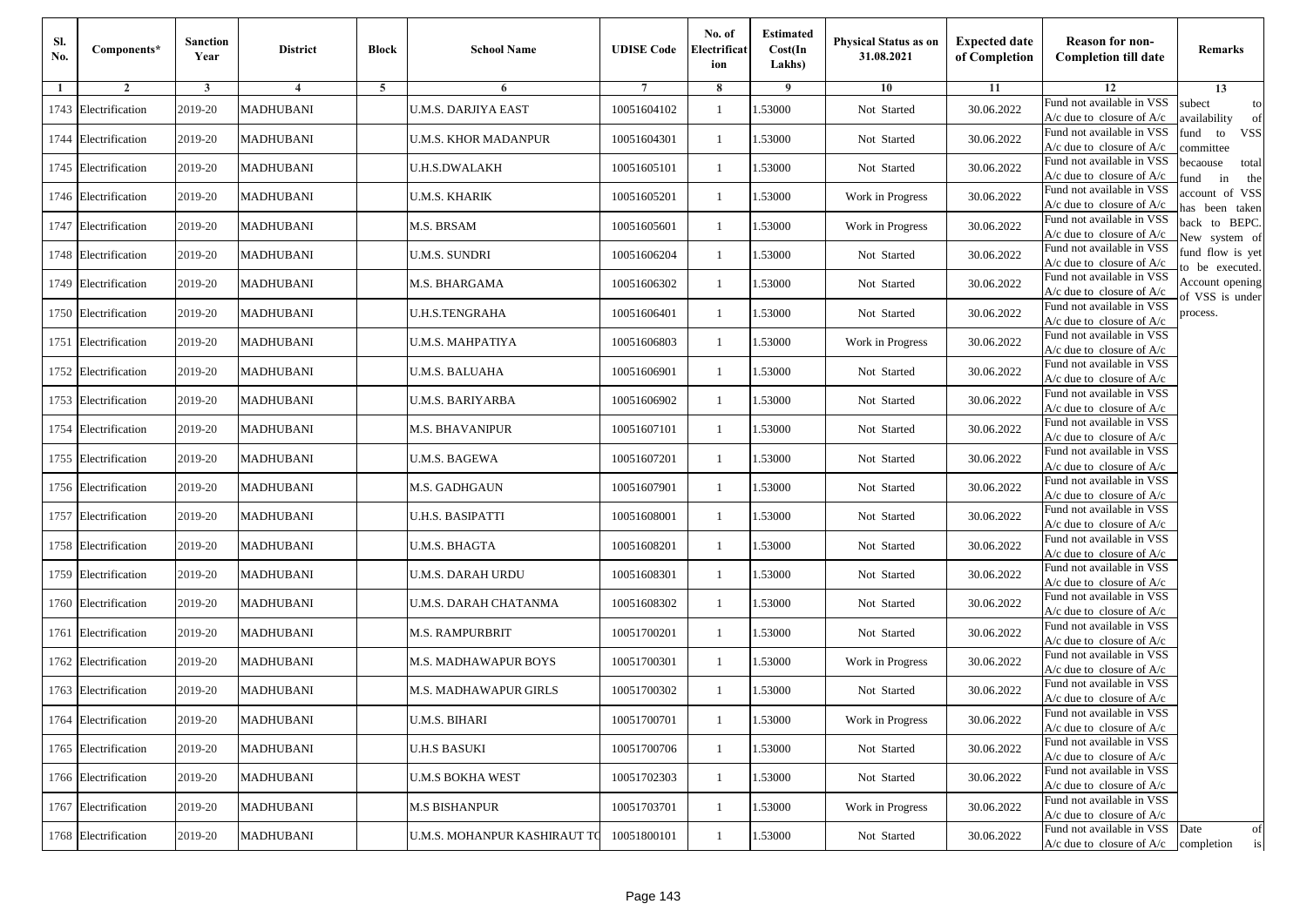| Sl.<br>No. | Components*          | <b>Sanction</b><br>Year | <b>District</b>  | <b>Block</b> | <b>School Name</b>           | <b>UDISE Code</b> | No. of<br>Electrificat<br>ion | <b>Estimated</b><br>Cost(In<br>Lakhs) | <b>Physical Status as on</b><br>31.08.2021 | <b>Expected date</b><br>of Completion | <b>Reason for non-</b><br><b>Completion till date</b>                 | <b>Remarks</b>                        |
|------------|----------------------|-------------------------|------------------|--------------|------------------------------|-------------------|-------------------------------|---------------------------------------|--------------------------------------------|---------------------------------------|-----------------------------------------------------------------------|---------------------------------------|
| -1         | $\overline{2}$       | 3                       | 4                | 5            | 6                            |                   | 8                             | 9                                     | 10                                         | 11                                    | 12                                                                    | 13                                    |
|            | 1743 Electrification | 2019-20                 | <b>MADHUBANI</b> |              | U.M.S. DARJIYA EAST          | 10051604102       | $\mathbf{1}$                  | .53000                                | Not Started                                | 30.06.2022                            | Fund not available in VSS<br>$A/c$ due to closure of $A/c$            | subect<br>to<br>availability<br>of    |
|            | 1744 Electrification | 2019-20                 | <b>MADHUBANI</b> |              | U.M.S. KHOR MADANPUR         | 10051604301       | 1                             | 1.53000                               | Not Started                                | 30.06.2022                            | Fund not available in VSS<br>$A/c$ due to closure of $A/c$            | fund<br><b>VSS</b><br>to<br>committee |
|            | 1745 Electrification | 2019-20                 | <b>MADHUBANI</b> |              | <b>U.H.S.DWALAKH</b>         | 10051605101       | 1                             | 1.53000                               | Not Started                                | 30.06.2022                            | Fund not available in VSS<br>$A/c$ due to closure of $A/c$            | becaouse<br>total<br>in<br>und<br>the |
|            | 1746 Electrification | 2019-20                 | <b>MADHUBANI</b> |              | U.M.S. KHARIK                | 10051605201       | $\mathbf{1}$                  | .53000                                | Work in Progress                           | 30.06.2022                            | Fund not available in VSS<br>A/c due to closure of A/c                | account of VSS<br>as been taken       |
|            | 1747 Electrification | 2019-20                 | <b>MADHUBANI</b> |              | M.S. BRSAM                   | 10051605601       | $\mathbf{1}$                  | .53000                                | Work in Progress                           | 30.06.2022                            | Fund not available in VSS<br>A/c due to closure of $A/c$              | back to BEPC.<br>New system of        |
|            | 1748 Electrification | 2019-20                 | <b>MADHUBANI</b> |              | U.M.S. SUNDRI                | 10051606204       | 1                             | 1.53000                               | Not Started                                | 30.06.2022                            | Fund not available in VSS<br>A/c due to closure of $A/c$              | fund flow is yet<br>o be executed.    |
|            | 1749 Electrification | 2019-20                 | <b>MADHUBANI</b> |              | M.S. BHARGAMA                | 10051606302       | $\mathbf{1}$                  | 1.53000                               | Not Started                                | 30.06.2022                            | Fund not available in VSS<br>$A/c$ due to closure of $A/c$            | Account opening<br>of VSS is under    |
|            | 1750 Electrification | 2019-20                 | <b>MADHUBANI</b> |              | <b>U.H.S.TENGRAHA</b>        | 10051606401       | $\mathbf{1}$                  | .53000                                | Not Started                                | 30.06.2022                            | Fund not available in VSS<br>$A/c$ due to closure of $A/c$            | process.                              |
|            | 1751 Electrification | 2019-20                 | <b>MADHUBANI</b> |              | U.M.S. MAHPATIYA             | 10051606803       | 1                             | .53000                                | Work in Progress                           | 30.06.2022                            | Fund not available in VSS<br>$A/c$ due to closure of $A/c$            |                                       |
|            | 1752 Electrification | 2019-20                 | <b>MADHUBANI</b> |              | <b>U.M.S. BALUAHA</b>        | 10051606901       | $\mathbf{1}$                  | 1.53000                               | Not Started                                | 30.06.2022                            | Fund not available in VSS<br>$A/c$ due to closure of $A/c$            |                                       |
|            | 1753 Electrification | 2019-20                 | <b>MADHUBANI</b> |              | U.M.S. BARIYARBA             | 10051606902       | 1                             | 1.53000                               | Not Started                                | 30.06.2022                            | Fund not available in VSS<br>$A/c$ due to closure of $A/c$            |                                       |
|            | 1754 Electrification | 2019-20                 | <b>MADHUBANI</b> |              | <b>M.S. BHAVANIPUR</b>       | 10051607101       | $\mathbf{1}$                  | 1.53000                               | Not Started                                | 30.06.2022                            | Fund not available in VSS<br>$A/c$ due to closure of $A/c$            |                                       |
|            | 1755 Electrification | 2019-20                 | <b>MADHUBANI</b> |              | U.M.S. BAGEWA                | 10051607201       | $\mathbf{1}$                  | .53000                                | Not Started                                | 30.06.2022                            | Fund not available in VSS<br>$A/c$ due to closure of $A/c$            |                                       |
|            | 1756 Electrification | 2019-20                 | <b>MADHUBANI</b> |              | M.S. GADHGAUN                | 10051607901       | $\mathbf{1}$                  | 1.53000                               | Not Started                                | 30.06.2022                            | Fund not available in VSS<br>$A/c$ due to closure of $A/c$            |                                       |
|            | 1757 Electrification | 2019-20                 | <b>MADHUBANI</b> |              | U.H.S. BASIPATTI             | 10051608001       | 1                             | 1.53000                               | Not Started                                | 30.06.2022                            | Fund not available in VSS<br>$A/c$ due to closure of $A/c$            |                                       |
|            | 1758 Electrification | 2019-20                 | <b>MADHUBANI</b> |              | <b>U.M.S. BHAGTA</b>         | 10051608201       | $\mathbf{1}$                  | .53000                                | Not Started                                | 30.06.2022                            | Fund not available in VSS<br>$A/c$ due to closure of $A/c$            |                                       |
|            | 1759 Electrification | 2019-20                 | <b>MADHUBANI</b> |              | U.M.S. DARAH URDU            | 10051608301       | 1                             | .53000                                | Not Started                                | 30.06.2022                            | Fund not available in VSS<br>$A/c$ due to closure of $A/c$            |                                       |
|            | 1760 Electrification | 2019-20                 | <b>MADHUBANI</b> |              | U.M.S. DARAH CHATANMA        | 10051608302       | $\mathbf{1}$                  | 1.53000                               | Not Started                                | 30.06.2022                            | Fund not available in VSS<br>$A/c$ due to closure of $A/c$            |                                       |
|            | 1761 Electrification | 2019-20                 | <b>MADHUBANI</b> |              | M.S. RAMPURBRIT              | 10051700201       | 1                             | 1.53000                               | Not Started                                | 30.06.2022                            | Fund not available in VSS<br>$A/c$ due to closure of $A/c$            |                                       |
|            | 1762 Electrification | 2019-20                 | <b>MADHUBANI</b> |              | M.S. MADHAWAPUR BOYS         | 10051700301       | 1                             | .53000                                | Work in Progress                           | 30.06.2022                            | Fund not available in VSS<br>$A/c$ due to closure of $A/c$            |                                       |
|            | 1763 Electrification | 2019-20                 | <b>MADHUBANI</b> |              | M.S. MADHAWAPUR GIRLS        | 10051700302       | 1                             | .53000                                | Not Started                                | 30.06.2022                            | Fund not available in VSS<br>A/c due to closure of A/c                |                                       |
|            | 1764 Electrification | 2019-20                 | <b>MADHUBANI</b> |              | <b>U.M.S. BIHARI</b>         | 10051700701       | $\mathbf{1}$                  | 1.53000                               | Work in Progress                           | 30.06.2022                            | Fund not available in VSS<br>A/c due to closure of A/c                |                                       |
|            | 1765 Electrification | 2019-20                 | <b>MADHUBANI</b> |              | <b>U.H.S BASUKI</b>          | 10051700706       | $\mathbf{1}$                  | 1.53000                               | Not Started                                | 30.06.2022                            | Fund not available in VSS<br>$A/c$ due to closure of $A/c$            |                                       |
|            | 1766 Electrification | 2019-20                 | <b>MADHUBANI</b> |              | <b>U.M.S BOKHA WEST</b>      | 10051702303       | 1                             | 1.53000                               | Not Started                                | 30.06.2022                            | Fund not available in VSS<br>$A/c$ due to closure of $A/c$            |                                       |
|            | 1767 Electrification | 2019-20                 | <b>MADHUBANI</b> |              | <b>M.S BISHANPUR</b>         | 10051703701       | 1                             | 1.53000                               | Work in Progress                           | 30.06.2022                            | Fund not available in VSS<br>A/c due to closure of A/c                |                                       |
|            | 1768 Electrification | 2019-20                 | <b>MADHUBANI</b> |              | U.M.S. MOHANPUR KASHIRAUT TO | 10051800101       | $\mathbf{1}$                  | 1.53000                               | Not Started                                | 30.06.2022                            | Fund not available in VSS<br>$A/c$ due to closure of $A/c$ completion | Date<br>of<br>is                      |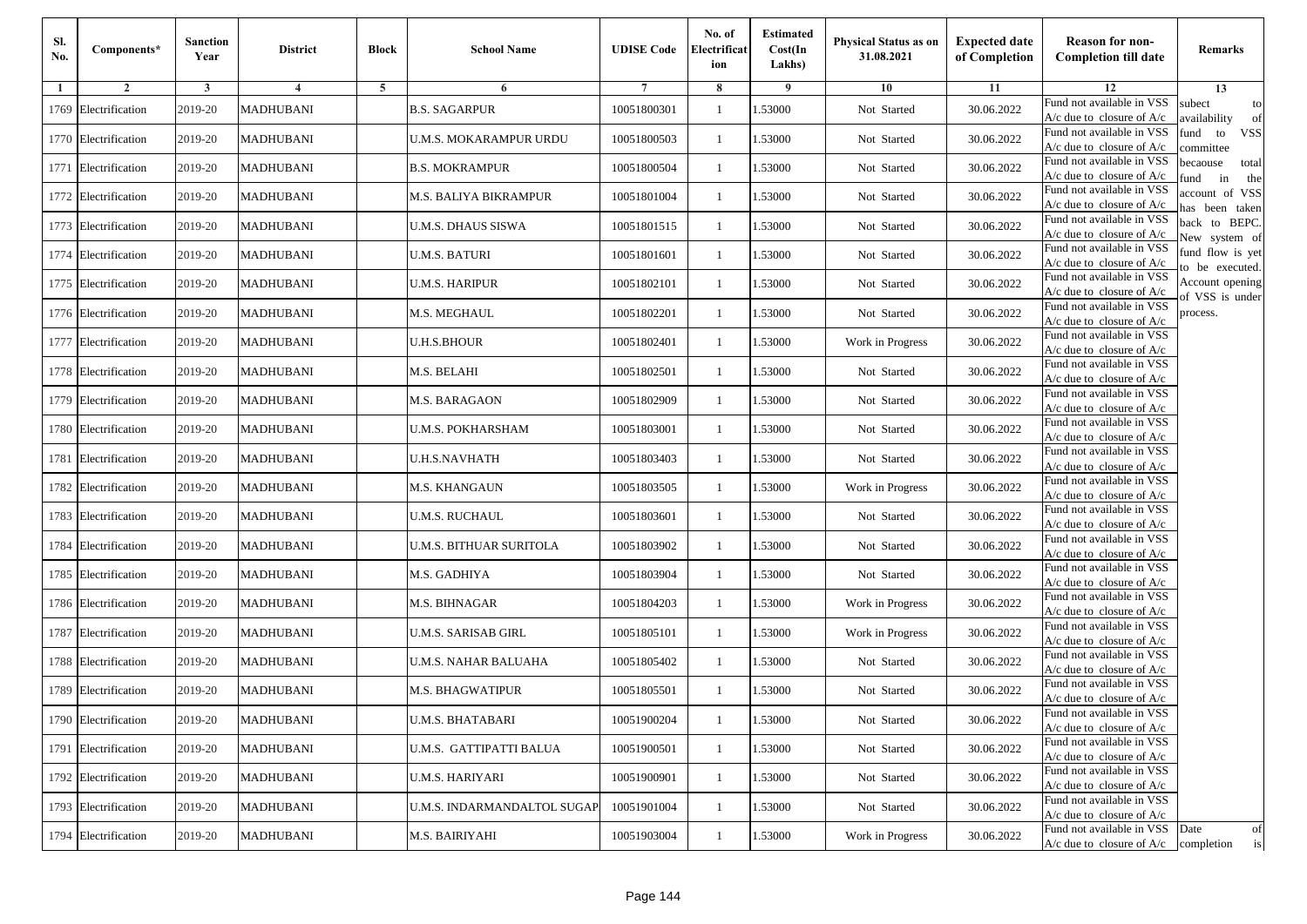| Sl.<br>No. | Components*          | <b>Sanction</b><br>Year | <b>District</b>  | <b>Block</b> | <b>School Name</b>          | <b>UDISE Code</b> | No. of<br>Electrificat<br>ion | <b>Estimated</b><br>Cost(In<br>Lakhs) | <b>Physical Status as on</b><br>31.08.2021 | <b>Expected date</b><br>of Completion | <b>Reason for non-</b><br><b>Completion till date</b>                 | Remarks                               |
|------------|----------------------|-------------------------|------------------|--------------|-----------------------------|-------------------|-------------------------------|---------------------------------------|--------------------------------------------|---------------------------------------|-----------------------------------------------------------------------|---------------------------------------|
| -1         | $\overline{2}$       | 3                       | 4                | 5            | 6                           |                   | 8                             | 9                                     | 10                                         | 11                                    | 12                                                                    | 13                                    |
|            | 1769 Electrification | 2019-20                 | <b>MADHUBANI</b> |              | <b>B.S. SAGARPUR</b>        | 10051800301       | $\mathbf{1}$                  | .53000                                | Not Started                                | 30.06.2022                            | Fund not available in VSS<br>$A/c$ due to closure of $A/c$            | subect<br>to<br>availability<br>of    |
|            | 1770 Electrification | 2019-20                 | <b>MADHUBANI</b> |              | U.M.S. MOKARAMPUR URDU      | 10051800503       | 1                             | 1.53000                               | Not Started                                | 30.06.2022                            | Fund not available in VSS<br>$A/c$ due to closure of $A/c$            | fund<br><b>VSS</b><br>to<br>committee |
|            | 1771 Electrification | 2019-20                 | <b>MADHUBANI</b> |              | <b>B.S. MOKRAMPUR</b>       | 10051800504       | $\mathbf{1}$                  | 1.53000                               | Not Started                                | 30.06.2022                            | Fund not available in VSS<br>$A/c$ due to closure of $A/c$            | becaouse<br>total<br>in<br>und<br>the |
|            | 1772 Electrification | 2019-20                 | <b>MADHUBANI</b> |              | M.S. BALIYA BIKRAMPUR       | 10051801004       | $\mathbf{1}$                  | 1.53000                               | Not Started                                | 30.06.2022                            | Fund not available in VSS<br>A/c due to closure of A/c                | account of VSS<br>as been taken       |
|            | 1773 Electrification | 2019-20                 | <b>MADHUBANI</b> |              | U.M.S. DHAUS SISWA          | 10051801515       | $\mathbf{1}$                  | 1.53000                               | Not Started                                | 30.06.2022                            | Fund not available in VSS<br>A/c due to closure of $A/c$              | back to BEPC.<br>New system of        |
|            | 1774 Electrification | 2019-20                 | <b>MADHUBANI</b> |              | <b>U.M.S. BATURI</b>        | 10051801601       | $\mathbf{1}$                  | 1.53000                               | Not Started                                | 30.06.2022                            | Fund not available in VSS<br>A/c due to closure of $A/c$              | fund flow is yet<br>o be executed.    |
|            | 1775 Electrification | 2019-20                 | <b>MADHUBANI</b> |              | U.M.S. HARIPUR              | 10051802101       | $\mathbf{1}$                  | 1.53000                               | Not Started                                | 30.06.2022                            | Fund not available in VSS<br>$A/c$ due to closure of $A/c$            | Account opening<br>of VSS is under    |
|            | 1776 Electrification | 2019-20                 | <b>MADHUBANI</b> |              | M.S. MEGHAUL                | 10051802201       | $\mathbf{1}$                  | .53000                                | Not Started                                | 30.06.2022                            | Fund not available in VSS<br>$A/c$ due to closure of $A/c$            | process.                              |
|            | 1777 Electrification | 2019-20                 | <b>MADHUBANI</b> |              | <b>U.H.S.BHOUR</b>          | 10051802401       | 1                             | .53000                                | Work in Progress                           | 30.06.2022                            | Fund not available in VSS<br>$A/c$ due to closure of $A/c$            |                                       |
|            | 1778 Electrification | 2019-20                 | <b>MADHUBANI</b> |              | M.S. BELAHI                 | 10051802501       | $\mathbf{1}$                  | 1.53000                               | Not Started                                | 30.06.2022                            | Fund not available in VSS<br>$A/c$ due to closure of $A/c$            |                                       |
|            | 1779 Electrification | 2019-20                 | <b>MADHUBANI</b> |              | M.S. BARAGAON               | 10051802909       | 1                             | 1.53000                               | Not Started                                | 30.06.2022                            | Fund not available in VSS<br>A/c due to closure of $A/c$              |                                       |
|            | 1780 Electrification | 2019-20                 | <b>MADHUBANI</b> |              | <b>U.M.S. POKHARSHAM</b>    | 10051803001       | 1                             | 1.53000                               | Not Started                                | 30.06.2022                            | Fund not available in VSS<br>$A/c$ due to closure of $A/c$            |                                       |
|            | 1781 Electrification | 2019-20                 | <b>MADHUBANI</b> |              | <b>U.H.S.NAVHATH</b>        | 10051803403       | $\mathbf{1}$                  | .53000                                | Not Started                                | 30.06.2022                            | Fund not available in VSS<br>$A/c$ due to closure of $A/c$            |                                       |
|            | 1782 Electrification | 2019-20                 | <b>MADHUBANI</b> |              | M.S. KHANGAUN               | 10051803505       | $\mathbf{1}$                  | 1.53000                               | Work in Progress                           | 30.06.2022                            | Fund not available in VSS<br>$A/c$ due to closure of $A/c$            |                                       |
|            | 1783 Electrification | 2019-20                 | <b>MADHUBANI</b> |              | U.M.S. RUCHAUL              | 10051803601       | 1                             | 1.53000                               | Not Started                                | 30.06.2022                            | Fund not available in VSS<br>$A/c$ due to closure of $A/c$            |                                       |
|            | 1784 Electrification | 2019-20                 | <b>MADHUBANI</b> |              | U.M.S. BITHUAR SURITOLA     | 10051803902       | $\mathbf{1}$                  | .53000                                | Not Started                                | 30.06.2022                            | Fund not available in VSS<br>$A/c$ due to closure of $A/c$            |                                       |
|            | 1785 Electrification | 2019-20                 | <b>MADHUBANI</b> |              | M.S. GADHIYA                | 10051803904       | 1                             | .53000                                | Not Started                                | 30.06.2022                            | Fund not available in VSS<br>$A/c$ due to closure of $A/c$            |                                       |
|            | 1786 Electrification | 2019-20                 | <b>MADHUBANI</b> |              | M.S. BIHNAGAR               | 10051804203       | $\mathbf{1}$                  | 1.53000                               | Work in Progress                           | 30.06.2022                            | Fund not available in VSS<br>$A/c$ due to closure of $A/c$            |                                       |
|            | 1787 Electrification | 2019-20                 | <b>MADHUBANI</b> |              | U.M.S. SARISAB GIRL         | 10051805101       | 1                             | 1.53000                               | Work in Progress                           | 30.06.2022                            | Fund not available in VSS<br>$A/c$ due to closure of $A/c$            |                                       |
|            | 1788 Electrification | 2019-20                 | <b>MADHUBANI</b> |              | U.M.S. NAHAR BALUAHA        | 10051805402       | $\mathbf{1}$                  | 1.53000                               | Not Started                                | 30.06.2022                            | Fund not available in VSS<br>$A/c$ due to closure of $A/c$            |                                       |
|            | 1789 Electrification | 2019-20                 | <b>MADHUBANI</b> |              | <b>M.S. BHAGWATIPUR</b>     | 10051805501       | 1                             | .53000                                | Not Started                                | 30.06.2022                            | Fund not available in VSS<br>A/c due to closure of A/c                |                                       |
|            | 1790 Electrification | 2019-20                 | <b>MADHUBANI</b> |              | <b>U.M.S. BHATABARI</b>     | 10051900204       | $\mathbf{1}$                  | 1.53000                               | Not Started                                | 30.06.2022                            | Fund not available in VSS<br>A/c due to closure of A/c                |                                       |
|            | 1791 Electrification | 2019-20                 | <b>MADHUBANI</b> |              | U.M.S. GATTIPATTI BALUA     | 10051900501       | $\mathbf{1}$                  | 1.53000                               | Not Started                                | 30.06.2022                            | Fund not available in VSS<br>$A/c$ due to closure of $A/c$            |                                       |
|            | 1792 Electrification | 2019-20                 | <b>MADHUBANI</b> |              | <b>U.M.S. HARIYARI</b>      | 10051900901       | 1                             | 1.53000                               | Not Started                                | 30.06.2022                            | Fund not available in VSS<br>$A/c$ due to closure of $A/c$            |                                       |
|            | 1793 Electrification | 2019-20                 | <b>MADHUBANI</b> |              | U.M.S. INDARMANDALTOL SUGAP | 10051901004       | 1                             | 1.53000                               | Not Started                                | 30.06.2022                            | Fund not available in VSS<br>A/c due to closure of A/c                |                                       |
|            | 1794 Electrification | 2019-20                 | <b>MADHUBANI</b> |              | M.S. BAIRIYAHI              | 10051903004       | $\mathbf{1}$                  | 1.53000                               | Work in Progress                           | 30.06.2022                            | Fund not available in VSS<br>$A/c$ due to closure of $A/c$ completion | Date<br>of<br>is                      |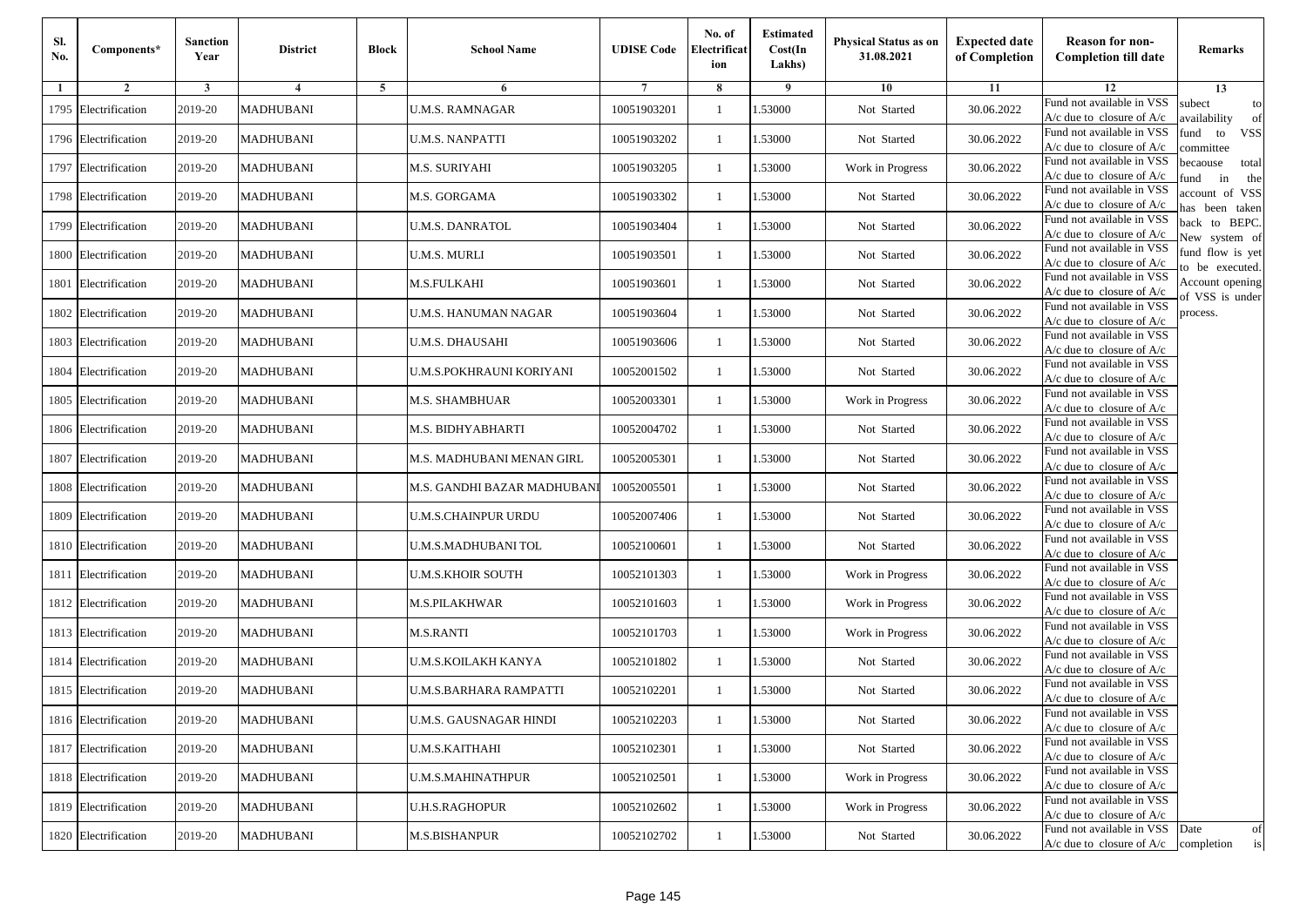| Sl.<br>No. | Components*          | <b>Sanction</b><br>Year | <b>District</b>         | <b>Block</b>   | <b>School Name</b>              | <b>UDISE Code</b> | No. of<br>Electrificat<br>ion | <b>Estimated</b><br>Cost(In<br>Lakhs) | <b>Physical Status as on</b><br>31.08.2021 | <b>Expected date</b><br>of Completion | <b>Reason for non-</b><br><b>Completion till date</b>                 | Remarks                               |
|------------|----------------------|-------------------------|-------------------------|----------------|---------------------------------|-------------------|-------------------------------|---------------------------------------|--------------------------------------------|---------------------------------------|-----------------------------------------------------------------------|---------------------------------------|
| -1         | $\overline{2}$       | 3                       | $\overline{\mathbf{4}}$ | $\overline{5}$ | 6                               |                   | 8                             | -9                                    | 10                                         | 11                                    | 12                                                                    | 13                                    |
|            | 1795 Electrification | 2019-20                 | <b>MADHUBANI</b>        |                | <b>U.M.S. RAMNAGAR</b>          | 10051903201       | 1                             | .53000                                | Not Started                                | 30.06.2022                            | Fund not available in VSS<br>A/c due to closure of A/c                | subect<br>to<br>wailability<br>of     |
|            | 1796 Electrification | 2019-20                 | <b>MADHUBANI</b>        |                | <b>U.M.S. NANPATTI</b>          | 10051903202       | $\mathbf{1}$                  | 1.53000                               | Not Started                                | 30.06.2022                            | Fund not available in VSS<br>$A/c$ due to closure of $A/c$            | fund<br><b>VSS</b><br>to<br>ommittee  |
|            | 1797 Electrification | 2019-20                 | <b>MADHUBANI</b>        |                | <b>M.S. SURIYAHI</b>            | 10051903205       | 1                             | 1.53000                               | Work in Progress                           | 30.06.2022                            | Fund not available in VSS<br>$A/c$ due to closure of $A/c$            | becaouse<br>total<br>in<br>und<br>the |
|            | 1798 Electrification | 2019-20                 | <b>MADHUBANI</b>        |                | M.S. GORGAMA                    | 10051903302       | $\mathbf{1}$                  | .53000                                | Not Started                                | 30.06.2022                            | Fund not available in VSS<br>$A/c$ due to closure of $A/c$            | account of VSS<br>as been taken       |
|            | 1799 Electrification | 2019-20                 | MADHUBANI               |                | <b>U.M.S. DANRATOL</b>          | 10051903404       | $\mathbf{1}$                  | .53000                                | Not Started                                | 30.06.2022                            | Fund not available in VSS<br>A/c due to closure of A/c                | back to BEPC.<br>New system of        |
| 1800       | Electrification      | 2019-20                 | <b>MADHUBANI</b>        |                | <b>U.M.S. MURLI</b>             | 10051903501       | $\mathbf{1}$                  | 1.53000                               | Not Started                                | 30.06.2022                            | Fund not available in VSS<br>A/c due to closure of $A/c$              | fund flow is yet<br>o be executed.    |
|            | 1801 Electrification | 2019-20                 | <b>MADHUBANI</b>        |                | M.S.FULKAHI                     | 10051903601       | 1                             | 1.53000                               | Not Started                                | 30.06.2022                            | Fund not available in VSS<br>A/c due to closure of A/c                | Account opening                       |
|            | 1802 Electrification | 2019-20                 | <b>MADHUBANI</b>        |                | <b>U.M.S. HANUMAN NAGAR</b>     | 10051903604       | 1                             | 1.53000                               | Not Started                                | 30.06.2022                            | Fund not available in VSS<br>$A/c$ due to closure of $A/c$            | f VSS is under<br>process.            |
|            | 1803 Electrification | 2019-20                 | <b>MADHUBANI</b>        |                | <b>U.M.S. DHAUSAHI</b>          | 10051903606       | $\mathbf{1}$                  | .53000                                | Not Started                                | 30.06.2022                            | Fund not available in VSS<br>A/c due to closure of A/c                |                                       |
|            | 1804 Electrification | 2019-20                 | <b>MADHUBANI</b>        |                | <b>U.M.S.POKHRAUNI KORIYANI</b> | 10052001502       | $\mathbf{1}$                  | 1.53000                               | Not Started                                | 30.06.2022                            | Fund not available in VSS<br>$A/c$ due to closure of $A/c$            |                                       |
|            | 1805 Electrification | 2019-20                 | <b>MADHUBANI</b>        |                | <b>M.S. SHAMBHUAR</b>           | 10052003301       | 1                             | 1.53000                               | Work in Progress                           | 30.06.2022                            | Fund not available in VSS<br>$A/c$ due to closure of $A/c$            |                                       |
|            | 1806 Electrification | 2019-20                 | <b>MADHUBANI</b>        |                | M.S. BIDHYABHARTI               | 10052004702       | 1                             | 1.53000                               | Not Started                                | 30.06.2022                            | Fund not available in VSS<br>$A/c$ due to closure of $A/c$            |                                       |
|            | 1807 Electrification | 2019-20                 | <b>MADHUBANI</b>        |                | M.S. MADHUBANI MENAN GIRL       | 10052005301       | 1                             | .53000                                | Not Started                                | 30.06.2022                            | Fund not available in VSS<br>$A/c$ due to closure of $A/c$            |                                       |
|            | 1808 Electrification | 2019-20                 | <b>MADHUBANI</b>        |                | M.S. GANDHI BAZAR MADHUBANI     | 10052005501       | $\mathbf{1}$                  | 1.53000                               | Not Started                                | 30.06.2022                            | Fund not available in VSS<br>$A/c$ due to closure of $A/c$            |                                       |
|            | 1809 Electrification | 2019-20                 | <b>MADHUBANI</b>        |                | <b>U.M.S.CHAINPUR URDU</b>      | 10052007406       | 1                             | 1.53000                               | Not Started                                | 30.06.2022                            | Fund not available in VSS<br>$A/c$ due to closure of $A/c$            |                                       |
|            | 1810 Electrification | 2019-20                 | <b>MADHUBANI</b>        |                | U.M.S.MADHUBANI TOL             | 10052100601       | $\mathbf{1}$                  | 1.53000                               | Not Started                                | 30.06.2022                            | Fund not available in VSS<br>$A/c$ due to closure of $A/c$            |                                       |
|            | 1811 Electrification | 2019-20                 | <b>MADHUBANI</b>        |                | <b>U.M.S.KHOIR SOUTH</b>        | 10052101303       | 1                             | .53000                                | Work in Progress                           | 30.06.2022                            | Fund not available in VSS<br>$A/c$ due to closure of $A/c$            |                                       |
|            | 1812 Electrification | 2019-20                 | <b>MADHUBANI</b>        |                | <b>M.S.PILAKHWAR</b>            | 10052101603       | $\mathbf{1}$                  | 1.53000                               | Work in Progress                           | 30.06.2022                            | Fund not available in VSS<br>$A/c$ due to closure of $A/c$            |                                       |
|            | 1813 Electrification | 2019-20                 | <b>MADHUBANI</b>        |                | <b>M.S.RANTI</b>                | 10052101703       | $\mathbf{1}$                  | 1.53000                               | Work in Progress                           | 30.06.2022                            | Fund not available in VSS<br>$A/c$ due to closure of $A/c$            |                                       |
|            | 1814 Electrification | 2019-20                 | <b>MADHUBANI</b>        |                | U.M.S.KOILAKH KANYA             | 10052101802       | 1                             | 1.53000                               | Not Started                                | 30.06.2022                            | Fund not available in VSS<br>$A/c$ due to closure of $A/c$            |                                       |
|            | 1815 Electrification | 2019-20                 | MADHUBANI               |                | U.M.S.BARHARA RAMPATTI          | 10052102201       | 1                             | .53000                                | Not Started                                | 30.06.2022                            | Fund not available in VSS<br>A/c due to closure of A/c                |                                       |
|            | 1816 Electrification | 2019-20                 | <b>MADHUBANI</b>        |                | U.M.S. GAUSNAGAR HINDI          | 10052102203       |                               | 1.53000                               | Not Started                                | 30.06.2022                            | Fund not available in VSS<br>A/c due to closure of A/c                |                                       |
|            | 1817 Electrification | 2019-20                 | <b>MADHUBANI</b>        |                | <b>U.M.S.KAITHAHI</b>           | 10052102301       | $\mathbf{1}$                  | 1.53000                               | Not Started                                | 30.06.2022                            | Fund not available in VSS<br>A/c due to closure of A/c                |                                       |
|            | 1818 Electrification | 2019-20                 | <b>MADHUBANI</b>        |                | <b>U.M.S.MAHINATHPUR</b>        | 10052102501       | 1                             | 1.53000                               | Work in Progress                           | 30.06.2022                            | Fund not available in VSS<br>$A/c$ due to closure of $A/c$            |                                       |
|            | 1819 Electrification | 2019-20                 | <b>MADHUBANI</b>        |                | <b>U.H.S.RAGHOPUR</b>           | 10052102602       | $\mathbf{1}$                  | 1.53000                               | Work in Progress                           | 30.06.2022                            | Fund not available in VSS<br>A/c due to closure of A/c                |                                       |
|            | 1820 Electrification | 2019-20                 | <b>MADHUBANI</b>        |                | <b>M.S.BISHANPUR</b>            | 10052102702       | 1                             | 1.53000                               | Not Started                                | 30.06.2022                            | Fund not available in VSS<br>$A/c$ due to closure of $A/c$ completion | Date<br>of<br>$\operatorname{is}$     |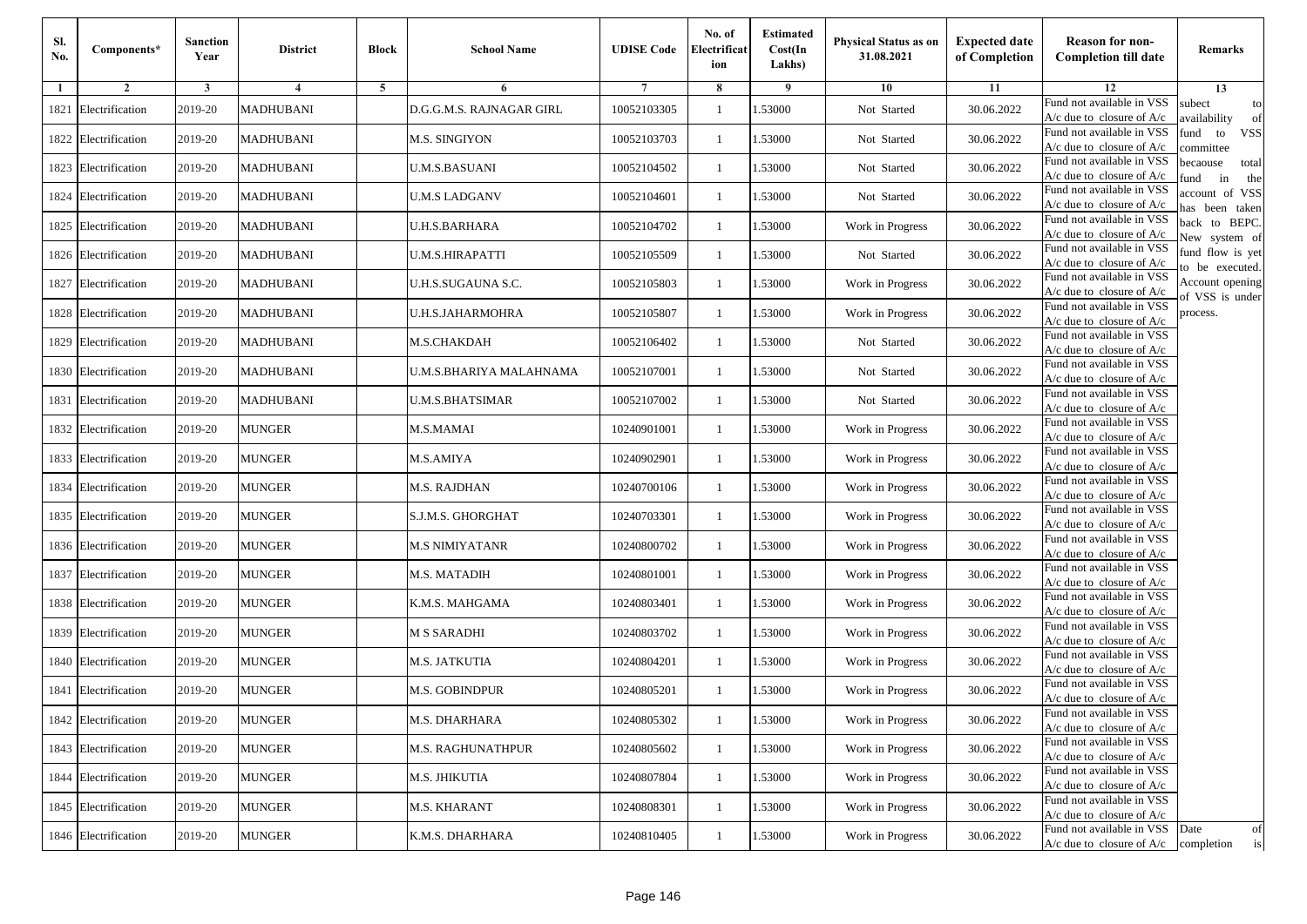| Sl.<br>No. | Components*          | <b>Sanction</b><br>Year | <b>District</b>  | <b>Block</b> | <b>School Name</b>       | <b>UDISE Code</b> | No. of<br>Electrificat<br>ion | <b>Estimated</b><br>Cost(In<br>Lakhs) | <b>Physical Status as on</b><br>31.08.2021 | <b>Expected date</b><br>of Completion | <b>Reason for non-</b><br><b>Completion till date</b>      | Remarks                               |
|------------|----------------------|-------------------------|------------------|--------------|--------------------------|-------------------|-------------------------------|---------------------------------------|--------------------------------------------|---------------------------------------|------------------------------------------------------------|---------------------------------------|
| -1         | $\overline{2}$       | 3                       | 4                | 5            | 6                        |                   | 8                             | 9                                     | 10                                         | 11                                    | 12                                                         | 13                                    |
|            | 1821 Electrification | 2019-20                 | <b>MADHUBANI</b> |              | D.G.G.M.S. RAJNAGAR GIRL | 10052103305       | $\mathbf{1}$                  | .53000                                | Not Started                                | 30.06.2022                            | Fund not available in VSS<br>$A/c$ due to closure of $A/c$ | subect<br>to<br>availability<br>of    |
|            | 1822 Electrification | 2019-20                 | <b>MADHUBANI</b> |              | M.S. SINGIYON            | 10052103703       | 1                             | 1.53000                               | Not Started                                | 30.06.2022                            | Fund not available in VSS<br>$A/c$ due to closure of $A/c$ | fund<br>to<br><b>VSS</b><br>ommittee  |
|            | 1823 Electrification | 2019-20                 | <b>MADHUBANI</b> |              | <b>U.M.S.BASUANI</b>     | 10052104502       | 1                             | 1.53000                               | Not Started                                | 30.06.2022                            | Fund not available in VSS<br>$A/c$ due to closure of $A/c$ | becaouse<br>total<br>in<br>und<br>the |
|            | 1824 Electrification | 2019-20                 | <b>MADHUBANI</b> |              | U.M.S LADGANV            | 10052104601       | $\mathbf{1}$                  | .53000                                | Not Started                                | 30.06.2022                            | Fund not available in VSS<br>A/c due to closure of A/c     | account of VSS<br>as been taken       |
|            | 1825 Electrification | 2019-20                 | <b>MADHUBANI</b> |              | U.H.S.BARHARA            | 10052104702       | $\mathbf{1}$                  | .53000                                | Work in Progress                           | 30.06.2022                            | Fund not available in VSS<br>A/c due to closure of $A/c$   | back to BEPC.<br>New system of        |
|            | 1826 Electrification | 2019-20                 | <b>MADHUBANI</b> |              | <b>U.M.S.HIRAPATTI</b>   | 10052105509       | $\mathbf{1}$                  | 1.53000                               | Not Started                                | 30.06.2022                            | Fund not available in VSS<br>A/c due to closure of $A/c$   | fund flow is yet<br>o be executed.    |
|            | 1827 Electrification | 2019-20                 | <b>MADHUBANI</b> |              | U.H.S.SUGAUNA S.C.       | 10052105803       | $\mathbf{1}$                  | 1.53000                               | Work in Progress                           | 30.06.2022                            | Fund not available in VSS<br>$A/c$ due to closure of $A/c$ | Account opening<br>of VSS is under    |
|            | 1828 Electrification | 2019-20                 | <b>MADHUBANI</b> |              | U.H.S.JAHARMOHRA         | 10052105807       | $\mathbf{1}$                  | .53000                                | Work in Progress                           | 30.06.2022                            | Fund not available in VSS<br>$A/c$ due to closure of $A/c$ | process.                              |
|            | 1829 Electrification | 2019-20                 | <b>MADHUBANI</b> |              | <b>M.S.CHAKDAH</b>       | 10052106402       | 1                             | .53000                                | Not Started                                | 30.06.2022                            | Fund not available in VSS<br>$A/c$ due to closure of $A/c$ |                                       |
|            | 1830 Electrification | 2019-20                 | <b>MADHUBANI</b> |              | U.M.S.BHARIYA MALAHNAMA  | 10052107001       | $\mathbf{1}$                  | 1.53000                               | Not Started                                | 30.06.2022                            | Fund not available in VSS<br>$A/c$ due to closure of $A/c$ |                                       |
|            | 1831 Electrification | 2019-20                 | <b>MADHUBANI</b> |              | <b>U.M.S.BHATSIMAR</b>   | 10052107002       | 1                             | 1.53000                               | Not Started                                | 30.06.2022                            | Fund not available in VSS<br>$A/c$ due to closure of $A/c$ |                                       |
|            | 1832 Electrification | 2019-20                 | <b>MUNGER</b>    |              | M.S.MAMAI                | 10240901001       | 1                             | .53000                                | Work in Progress                           | 30.06.2022                            | Fund not available in VSS<br>$A/c$ due to closure of $A/c$ |                                       |
|            | 1833 Electrification | 2019-20                 | MUNGER           |              | M.S.AMIYA                | 10240902901       | $\mathbf{1}$                  | .53000                                | Work in Progress                           | 30.06.2022                            | Fund not available in VSS<br>$A/c$ due to closure of $A/c$ |                                       |
|            | 1834 Electrification | 2019-20                 | <b>MUNGER</b>    |              | M.S. RAJDHAN             | 10240700106       | $\mathbf{1}$                  | .53000                                | Work in Progress                           | 30.06.2022                            | Fund not available in VSS<br>$A/c$ due to closure of $A/c$ |                                       |
|            | 1835 Electrification | 2019-20                 | <b>MUNGER</b>    |              | S.J.M.S. GHORGHAT        | 10240703301       | 1                             | 1.53000                               | Work in Progress                           | 30.06.2022                            | Fund not available in VSS<br>$A/c$ due to closure of $A/c$ |                                       |
|            | 1836 Electrification | 2019-20                 | <b>MUNGER</b>    |              | <b>M.S NIMIYATANR</b>    | 10240800702       | $\mathbf{1}$                  | .53000                                | Work in Progress                           | 30.06.2022                            | Fund not available in VSS<br>$A/c$ due to closure of $A/c$ |                                       |
|            | 1837 Electrification | 2019-20                 | <b>MUNGER</b>    |              | M.S. MATADIH             | 10240801001       | 1                             | .53000                                | Work in Progress                           | 30.06.2022                            | Fund not available in VSS<br>$A/c$ due to closure of $A/c$ |                                       |
|            | 1838 Electrification | 2019-20                 | <b>MUNGER</b>    |              | K.M.S. MAHGAMA           | 10240803401       | $\mathbf{1}$                  | 1.53000                               | Work in Progress                           | 30.06.2022                            | Fund not available in VSS<br>$A/c$ due to closure of $A/c$ |                                       |
|            | 1839 Electrification | 2019-20                 | <b>MUNGER</b>    |              | <b>M S SARADHI</b>       | 10240803702       | 1                             | 1.53000                               | Work in Progress                           | 30.06.2022                            | Fund not available in VSS<br>$A/c$ due to closure of $A/c$ |                                       |
|            | 1840 Electrification | 2019-20                 | <b>MUNGER</b>    |              | M.S. JATKUTIA            | 10240804201       | 1                             | .53000                                | Work in Progress                           | 30.06.2022                            | Fund not available in VSS<br>$A/c$ due to closure of $A/c$ |                                       |
|            | 1841 Electrification | 2019-20                 | MUNGER           |              | M.S. GOBINDPUR           | 10240805201       | 1                             | .53000                                | Work in Progress                           | 30.06.2022                            | Fund not available in VSS<br>A/c due to closure of A/c     |                                       |
|            | 1842 Electrification | 2019-20                 | <b>MUNGER</b>    |              | M.S. DHARHARA            | 10240805302       |                               | 1.53000                               | Work in Progress                           | 30.06.2022                            | Fund not available in VSS<br>A/c due to closure of A/c     |                                       |
|            | 1843 Electrification | 2019-20                 | <b>MUNGER</b>    |              | <b>M.S. RAGHUNATHPUR</b> | 10240805602       | $\mathbf{1}$                  | 1.53000                               | Work in Progress                           | 30.06.2022                            | Fund not available in VSS<br>$A/c$ due to closure of $A/c$ |                                       |
|            | 1844 Electrification | 2019-20                 | <b>MUNGER</b>    |              | M.S. JHIKUTIA            | 10240807804       | $\mathbf{1}$                  | 1.53000                               | Work in Progress                           | 30.06.2022                            | Fund not available in VSS<br>$A/c$ due to closure of $A/c$ |                                       |
|            | 1845 Electrification | 2019-20                 | <b>MUNGER</b>    |              | M.S. KHARANT             | 10240808301       | 1                             | 1.53000                               | Work in Progress                           | 30.06.2022                            | Fund not available in VSS<br>A/c due to closure of $A/c$   |                                       |
|            | 1846 Electrification | 2019-20                 | <b>MUNGER</b>    |              | K.M.S. DHARHARA          | 10240810405       | $\mathbf{1}$                  | 1.53000                               | Work in Progress                           | 30.06.2022                            | Fund not available in VSS<br>$A/c$ due to closure of $A/c$ | Date<br>of<br>completion<br>is        |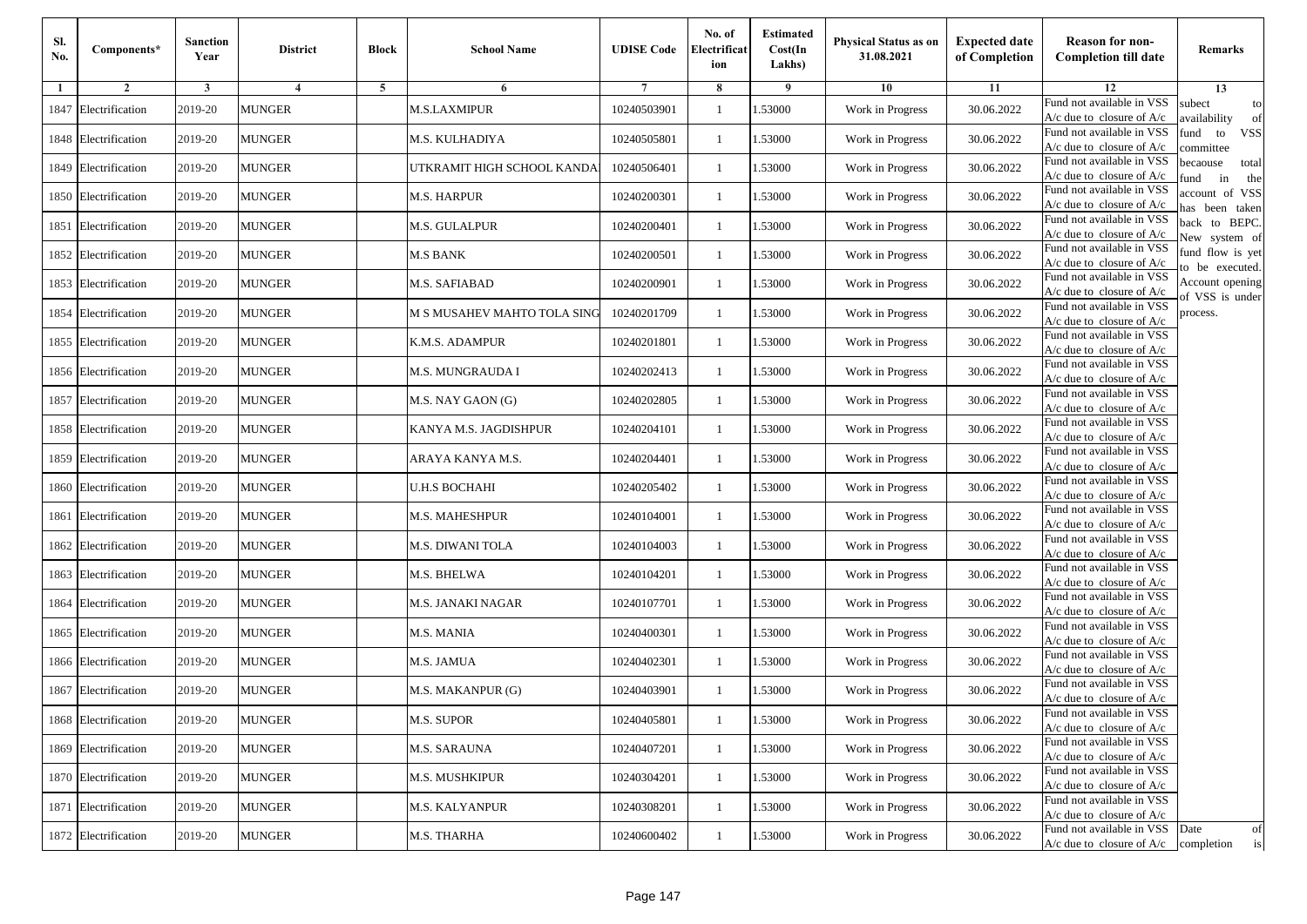| Sl.<br>No. | Components*          | <b>Sanction</b><br>Year | <b>District</b> | <b>Block</b> | <b>School Name</b>          | <b>UDISE Code</b> | No. of<br>Electrificat<br>ion | <b>Estimated</b><br>Cost(In<br>Lakhs) | <b>Physical Status as on</b><br>31.08.2021 | <b>Expected date</b><br>of Completion | <b>Reason for non-</b><br><b>Completion till date</b>                      | Remarks                               |
|------------|----------------------|-------------------------|-----------------|--------------|-----------------------------|-------------------|-------------------------------|---------------------------------------|--------------------------------------------|---------------------------------------|----------------------------------------------------------------------------|---------------------------------------|
| -1         | $\overline{2}$       | 3                       | $\overline{4}$  | 5            | 6                           |                   | 8                             | 9                                     | 10                                         | 11                                    | 12                                                                         | 13                                    |
| 1847       | Electrification      | 2019-20                 | <b>MUNGER</b>   |              | <b>M.S.LAXMIPUR</b>         | 10240503901       | $\mathbf{1}$                  | .53000                                | Work in Progress                           | 30.06.2022                            | Fund not available in VSS<br>$A/c$ due to closure of $A/c$                 | subect<br>to<br>availability<br>of    |
|            | 1848 Electrification | 2019-20                 | <b>MUNGER</b>   |              | M.S. KULHADIYA              | 10240505801       | 1                             | 1.53000                               | Work in Progress                           | 30.06.2022                            | Fund not available in VSS<br>A/c due to closure of $A/c$                   | fund<br>to<br><b>VSS</b><br>ommittee  |
|            | 1849 Electrification | 2019-20                 | <b>MUNGER</b>   |              | UTKRAMIT HIGH SCHOOL KANDA  | 10240506401       | 1                             | .53000                                | Work in Progress                           | 30.06.2022                            | Fund not available in VSS<br>$A/c$ due to closure of $A/c$                 | pecaouse<br>total<br>in<br>und<br>the |
|            | 1850 Electrification | 2019-20                 | <b>MUNGER</b>   |              | M.S. HARPUR                 | 10240200301       | 1                             | .53000                                | Work in Progress                           | 30.06.2022                            | Fund not available in VSS<br>$A/c$ due to closure of $A/c$                 | account of VSS<br>nas been taken      |
| 1851       | Electrification      | 2019-20                 | <b>MUNGER</b>   |              | M.S. GULALPUR               | 10240200401       | $\mathbf{1}$                  | .53000                                | Work in Progress                           | 30.06.2022                            | Fund not available in VSS<br>$A/c$ due to closure of $A/c$                 | back to BEPC.<br>New system of        |
|            | 1852 Electrification | 2019-20                 | <b>MUNGER</b>   |              | M.S BANK                    | 10240200501       | 1                             | .53000                                | Work in Progress                           | 30.06.2022                            | Fund not available in VSS<br>$A/c$ due to closure of $A/c$                 | fund flow is yet<br>o be executed.    |
|            | 1853 Electrification | 2019-20                 | <b>MUNGER</b>   |              | M.S. SAFIABAD               | 10240200901       | $\mathbf{1}$                  | .53000                                | Work in Progress                           | 30.06.2022                            | Fund not available in VSS<br>$A/c$ due to closure of $A/c$                 | Account opening<br>of VSS is under    |
| 1854       | Electrification      | 2019-20                 | <b>MUNGER</b>   |              | M S MUSAHEV MAHTO TOLA SING | 10240201709       | 1                             | .53000                                | Work in Progress                           | 30.06.2022                            | Fund not available in VSS<br>$A/c$ due to closure of $A/c$                 | process.                              |
| 1855       | Electrification      | 2019-20                 | <b>MUNGER</b>   |              | K.M.S. ADAMPUR              | 10240201801       | 1                             | .53000                                | Work in Progress                           | 30.06.2022                            | Fund not available in VSS<br>$A/c$ due to closure of $A/c$                 |                                       |
|            | 1856 Electrification | 2019-20                 | <b>MUNGER</b>   |              | M.S. MUNGRAUDA I            | 10240202413       | 1                             | .53000                                | Work in Progress                           | 30.06.2022                            | Fund not available in VSS<br>$A/c$ due to closure of $A/c$                 |                                       |
|            | 1857 Electrification | 2019-20                 | <b>MUNGER</b>   |              | M.S. NAY GAON (G)           | 10240202805       | 1                             | 1.53000                               | Work in Progress                           | 30.06.2022                            | Fund not available in VSS<br>$A/c$ due to closure of $A/c$                 |                                       |
|            | 1858 Electrification | 2019-20                 | <b>MUNGER</b>   |              | KANYA M.S. JAGDISHPUR       | 10240204101       | 1                             | .53000                                | Work in Progress                           | 30.06.2022                            | Fund not available in VSS<br>$A/c$ due to closure of $A/c$                 |                                       |
| 1859       | Electrification      | 2019-20                 | <b>MUNGER</b>   |              | ARAYA KANYA M.S.            | 10240204401       | 1                             | .53000                                | Work in Progress                           | 30.06.2022                            | Fund not available in VSS<br>$A/c$ due to closure of $A/c$                 |                                       |
| 1860       | Electrification      | 2019-20                 | <b>MUNGER</b>   |              | U.H.S BOCHAHI               | 10240205402       | $\mathbf{1}$                  | .53000                                | Work in Progress                           | 30.06.2022                            | Fund not available in VSS<br>$A/c$ due to closure of $A/c$                 |                                       |
| 1861       | Electrification      | 2019-20                 | <b>MUNGER</b>   |              | M.S. MAHESHPUR              | 10240104001       | 1                             | 1.53000                               | Work in Progress                           | 30.06.2022                            | Fund not available in VSS<br>$A/c$ due to closure of $A/c$                 |                                       |
| 1862       | Electrification      | 2019-20                 | <b>MUNGER</b>   |              | M.S. DIWANI TOLA            | 10240104003       | 1                             | .53000                                | Work in Progress                           | 30.06.2022                            | Fund not available in VSS<br>$A/c$ due to closure of $A/c$                 |                                       |
| 1863       | Electrification      | 2019-20                 | <b>MUNGER</b>   |              | M.S. BHELWA                 | 10240104201       | 1                             | .53000                                | Work in Progress                           | 30.06.2022                            | Fund not available in VSS<br>$A/c$ due to closure of $A/c$                 |                                       |
| 1864       | Electrification      | 2019-20                 | <b>MUNGER</b>   |              | M.S. JANAKI NAGAR           | 10240107701       | 1                             | 1.53000                               | Work in Progress                           | 30.06.2022                            | Fund not available in VSS<br>A/c due to closure of A/c                     |                                       |
| 1865       | Electrification      | 2019-20                 | <b>MUNGER</b>   |              | M.S. MANIA                  | 10240400301       | 1                             | 1.53000                               | Work in Progress                           | 30.06.2022                            | Fund not available in VSS<br>A/c due to closure of A/c                     |                                       |
|            | 1866 Electrification | 2019-20                 | <b>MUNGER</b>   |              | M.S. JAMUA                  | 10240402301       | 1                             | .53000                                | Work in Progress                           | 30.06.2022                            | Fund not available in VSS<br>$A/c$ due to closure of $A/c$                 |                                       |
| 1867       | Electrification      | 2019-20                 | MUNGER          |              | M.S. MAKANPUR (G)           | 10240403901       | 1                             | .53000                                | Work in Progress                           | 30.06.2022                            | Fund not available in VSS<br>A/c due to closure of A/c                     |                                       |
|            | 1868 Electrification | 2019-20                 | <b>MUNGER</b>   |              | M.S. SUPOR                  | 10240405801       |                               | 1.53000                               | Work in Progress                           | 30.06.2022                            | Fund not available in VSS<br>A/c due to closure of A/c                     |                                       |
|            | 1869 Electrification | 2019-20                 | <b>MUNGER</b>   |              | M.S. SARAUNA                | 10240407201       | $\mathbf{1}$                  | 1.53000                               | Work in Progress                           | 30.06.2022                            | Fund not available in VSS<br>$A/c$ due to closure of $A/c$                 |                                       |
|            | 1870 Electrification | 2019-20                 | <b>MUNGER</b>   |              | M.S. MUSHKIPUR              | 10240304201       | 1                             | 1.53000                               | Work in Progress                           | 30.06.2022                            | Fund not available in VSS<br>$A/c$ due to closure of $A/c$                 |                                       |
|            | 1871 Electrification | 2019-20                 | <b>MUNGER</b>   |              | M.S. KALYANPUR              | 10240308201       | 1                             | 1.53000                               | Work in Progress                           | 30.06.2022                            | Fund not available in VSS<br>A/c due to closure of A/c                     |                                       |
|            | 1872 Electrification | 2019-20                 | <b>MUNGER</b>   |              | M.S. THARHA                 | 10240600402       | $\mathbf{1}$                  | 1.53000                               | Work in Progress                           | 30.06.2022                            | Fund not available in VSS Date<br>$A/c$ due to closure of $A/c$ completion | of<br>is                              |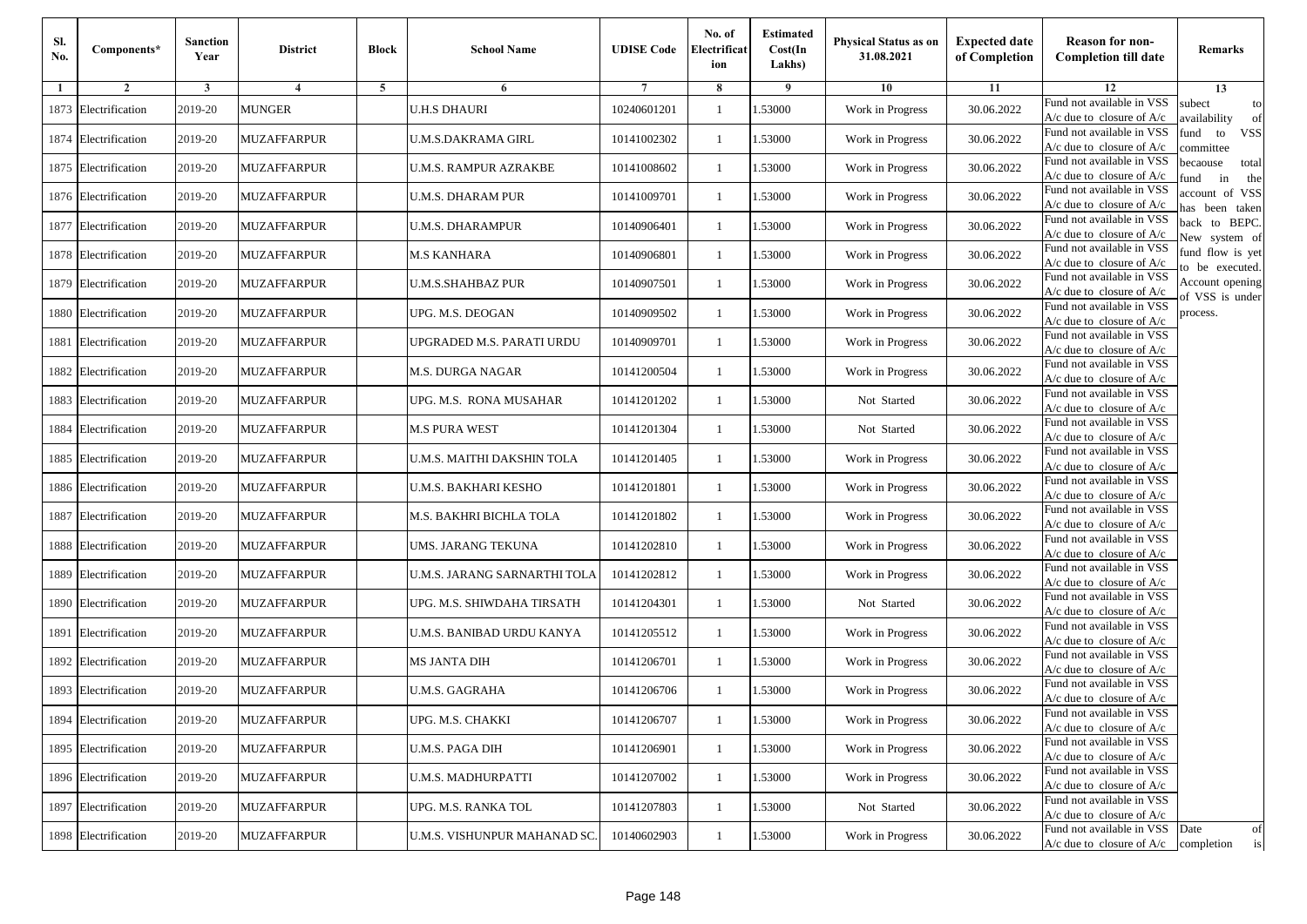| Sl.<br>No. | Components*          | <b>Sanction</b><br>Year | <b>District</b>         | <b>Block</b>   | <b>School Name</b>           | <b>UDISE Code</b> | No. of<br>Electrificat<br>ion | <b>Estimated</b><br>Cost(In<br>Lakhs) | <b>Physical Status as on</b><br>31.08.2021 | <b>Expected date</b><br>of Completion | <b>Reason for non-</b><br><b>Completion till date</b>                 | Remarks                               |
|------------|----------------------|-------------------------|-------------------------|----------------|------------------------------|-------------------|-------------------------------|---------------------------------------|--------------------------------------------|---------------------------------------|-----------------------------------------------------------------------|---------------------------------------|
| -1         | $\overline{2}$       | 3                       | $\overline{\mathbf{4}}$ | $\overline{5}$ | 6                            |                   | 8                             | -9                                    | 10                                         | 11                                    | 12                                                                    | 13                                    |
|            | 1873 Electrification | 2019-20                 | <b>MUNGER</b>           |                | <b>U.H.S DHAURI</b>          | 10240601201       | 1                             | 1.53000                               | Work in Progress                           | 30.06.2022                            | Fund not available in VSS<br>A/c due to closure of A/c                | subect<br>to<br>availability<br>of    |
|            | 1874 Electrification | 2019-20                 | <b>MUZAFFARPUR</b>      |                | <b>U.M.S.DAKRAMA GIRL</b>    | 10141002302       | $\mathbf{1}$                  | 1.53000                               | Work in Progress                           | 30.06.2022                            | Fund not available in VSS<br>$A/c$ due to closure of $A/c$            | <b>VSS</b><br>fund<br>to<br>ommittee  |
|            | 1875 Electrification | 2019-20                 | MUZAFFARPUR             |                | U.M.S. RAMPUR AZRAKBE        | 10141008602       | 1                             | 1.53000                               | Work in Progress                           | 30.06.2022                            | Fund not available in VSS<br>$A/c$ due to closure of $A/c$            | becaouse<br>total<br>in<br>und<br>the |
|            | 1876 Electrification | 2019-20                 | <b>MUZAFFARPUR</b>      |                | U.M.S. DHARAM PUR            | 10141009701       | $\mathbf{1}$                  | .53000                                | Work in Progress                           | 30.06.2022                            | Fund not available in VSS<br>$A/c$ due to closure of $A/c$            | account of VSS<br>as been taken       |
|            | 1877 Electrification | 2019-20                 | <b>MUZAFFARPUR</b>      |                | U.M.S. DHARAMPUR             | 10140906401       | $\mathbf{1}$                  | .53000                                | Work in Progress                           | 30.06.2022                            | Fund not available in VSS<br>A/c due to closure of $A/c$              | back to BEPC.<br>New system of        |
|            | 1878 Electrification | 2019-20                 | <b>MUZAFFARPUR</b>      |                | <b>M.S KANHARA</b>           | 10140906801       | $\mathbf{1}$                  | .53000                                | Work in Progress                           | 30.06.2022                            | Fund not available in VSS<br>$A/c$ due to closure of $A/c$            | fund flow is yet<br>o be executed.    |
|            | 1879 Electrification | 2019-20                 | <b>MUZAFFARPUR</b>      |                | U.M.S.SHAHBAZ PUR            | 10140907501       | 1                             | 1.53000                               | Work in Progress                           | 30.06.2022                            | Fund not available in VSS<br>$A/c$ due to closure of $A/c$            | Account opening<br>f VSS is under     |
|            | 1880 Electrification | 2019-20                 | <b>MUZAFFARPUR</b>      |                | UPG. M.S. DEOGAN             | 10140909502       | 1                             | 1.53000                               | Work in Progress                           | 30.06.2022                            | Fund not available in VSS<br>$A/c$ due to closure of $A/c$            | process.                              |
|            | 1881 Electrification | 2019-20                 | <b>MUZAFFARPUR</b>      |                | UPGRADED M.S. PARATI URDU    | 10140909701       | $\mathbf{1}$                  | .53000                                | Work in Progress                           | 30.06.2022                            | Fund not available in VSS<br>A/c due to closure of A/c                |                                       |
|            | 1882 Electrification | 2019-20                 | <b>MUZAFFARPUR</b>      |                | <b>M.S. DURGA NAGAR</b>      | 10141200504       | $\mathbf{1}$                  | .53000                                | Work in Progress                           | 30.06.2022                            | Fund not available in VSS<br>$A/c$ due to closure of $A/c$            |                                       |
|            | 1883 Electrification | 2019-20                 | <b>MUZAFFARPUR</b>      |                | UPG. M.S. RONA MUSAHAR       | 10141201202       | 1                             | 1.53000                               | Not Started                                | 30.06.2022                            | Fund not available in VSS<br>$A/c$ due to closure of $A/c$            |                                       |
|            | 1884 Electrification | 2019-20                 | <b>MUZAFFARPUR</b>      |                | <b>M.S PURA WEST</b>         | 10141201304       | 1                             | 1.53000                               | Not Started                                | 30.06.2022                            | Fund not available in VSS<br>$A/c$ due to closure of $A/c$            |                                       |
|            | 1885 Electrification | 2019-20                 | MUZAFFARPUR             |                | U.M.S. MAITHI DAKSHIN TOLA   | 10141201405       | 1                             | .53000                                | Work in Progress                           | 30.06.2022                            | Fund not available in VSS<br>$A/c$ due to closure of $A/c$            |                                       |
|            | 1886 Electrification | 2019-20                 | <b>MUZAFFARPUR</b>      |                | U.M.S. BAKHARI KESHO         | 10141201801       | $\mathbf{1}$                  | .53000                                | Work in Progress                           | 30.06.2022                            | Fund not available in VSS<br>$A/c$ due to closure of $A/c$            |                                       |
|            | 1887 Electrification | 2019-20                 | <b>MUZAFFARPUR</b>      |                | M.S. BAKHRI BICHLA TOLA      | 10141201802       | 1                             | 1.53000                               | Work in Progress                           | 30.06.2022                            | Fund not available in VSS<br>$A/c$ due to closure of $A/c$            |                                       |
|            | 1888 Electrification | 2019-20                 | <b>MUZAFFARPUR</b>      |                | UMS. JARANG TEKUNA           | 10141202810       | $\mathbf{1}$                  | .53000                                | Work in Progress                           | 30.06.2022                            | Fund not available in VSS<br>$A/c$ due to closure of $A/c$            |                                       |
|            | 1889 Electrification | 2019-20                 | <b>MUZAFFARPUR</b>      |                | U.M.S. JARANG SARNARTHI TOLA | 10141202812       | 1                             | .53000                                | Work in Progress                           | 30.06.2022                            | Fund not available in VSS<br>$A/c$ due to closure of $A/c$            |                                       |
|            | 1890 Electrification | 2019-20                 | <b>MUZAFFARPUR</b>      |                | UPG. M.S. SHIWDAHA TIRSATH   | 10141204301       | $\mathbf{1}$                  | .53000                                | Not Started                                | 30.06.2022                            | Fund not available in VSS<br>$A/c$ due to closure of $A/c$            |                                       |
|            | 1891 Electrification | 2019-20                 | MUZAFFARPUR             |                | U.M.S. BANIBAD URDU KANYA    | 10141205512       | $\mathbf{1}$                  | 1.53000                               | Work in Progress                           | 30.06.2022                            | Fund not available in VSS<br>$A/c$ due to closure of $A/c$            |                                       |
|            | 1892 Electrification | 2019-20                 | <b>MUZAFFARPUR</b>      |                | <b>MS JANTA DIH</b>          | 10141206701       | 1                             | 1.53000                               | Work in Progress                           | 30.06.2022                            | Fund not available in VSS<br>$A/c$ due to closure of $A/c$            |                                       |
|            | 1893 Electrification | 2019-20                 | MUZAFFARPUR             |                | U.M.S. GAGRAHA               | 10141206706       | 1                             | .53000                                | Work in Progress                           | 30.06.2022                            | Fund not available in VSS<br>A/c due to closure of A/c                |                                       |
|            | 1894 Electrification | 2019-20                 | MUZAFFARPUR             |                | UPG. M.S. CHAKKI             | 10141206707       |                               | 1.53000                               | Work in Progress                           | 30.06.2022                            | Fund not available in VSS<br>A/c due to closure of A/c                |                                       |
|            | 1895 Electrification | 2019-20                 | <b>MUZAFFARPUR</b>      |                | <b>U.M.S. PAGA DIH</b>       | 10141206901       | $\mathbf{1}$                  | 1.53000                               | Work in Progress                           | 30.06.2022                            | Fund not available in VSS<br>A/c due to closure of A/c                |                                       |
|            | 1896 Electrification | 2019-20                 | <b>MUZAFFARPUR</b>      |                | <b>U.M.S. MADHURPATTI</b>    | 10141207002       | 1                             | 1.53000                               | Work in Progress                           | 30.06.2022                            | Fund not available in VSS<br>$A/c$ due to closure of $A/c$            |                                       |
|            | 1897 Electrification | 2019-20                 | <b>MUZAFFARPUR</b>      |                | UPG. M.S. RANKA TOL          | 10141207803       | $\mathbf{1}$                  | 1.53000                               | Not Started                                | 30.06.2022                            | Fund not available in VSS<br>A/c due to closure of A/c                |                                       |
|            | 1898 Electrification | 2019-20                 | <b>MUZAFFARPUR</b>      |                | U.M.S. VISHUNPUR MAHANAD SC. | 10140602903       | 1                             | 1.53000                               | Work in Progress                           | 30.06.2022                            | Fund not available in VSS<br>$A/c$ due to closure of $A/c$ completion | Date<br>of<br>$\mathrm{is}$           |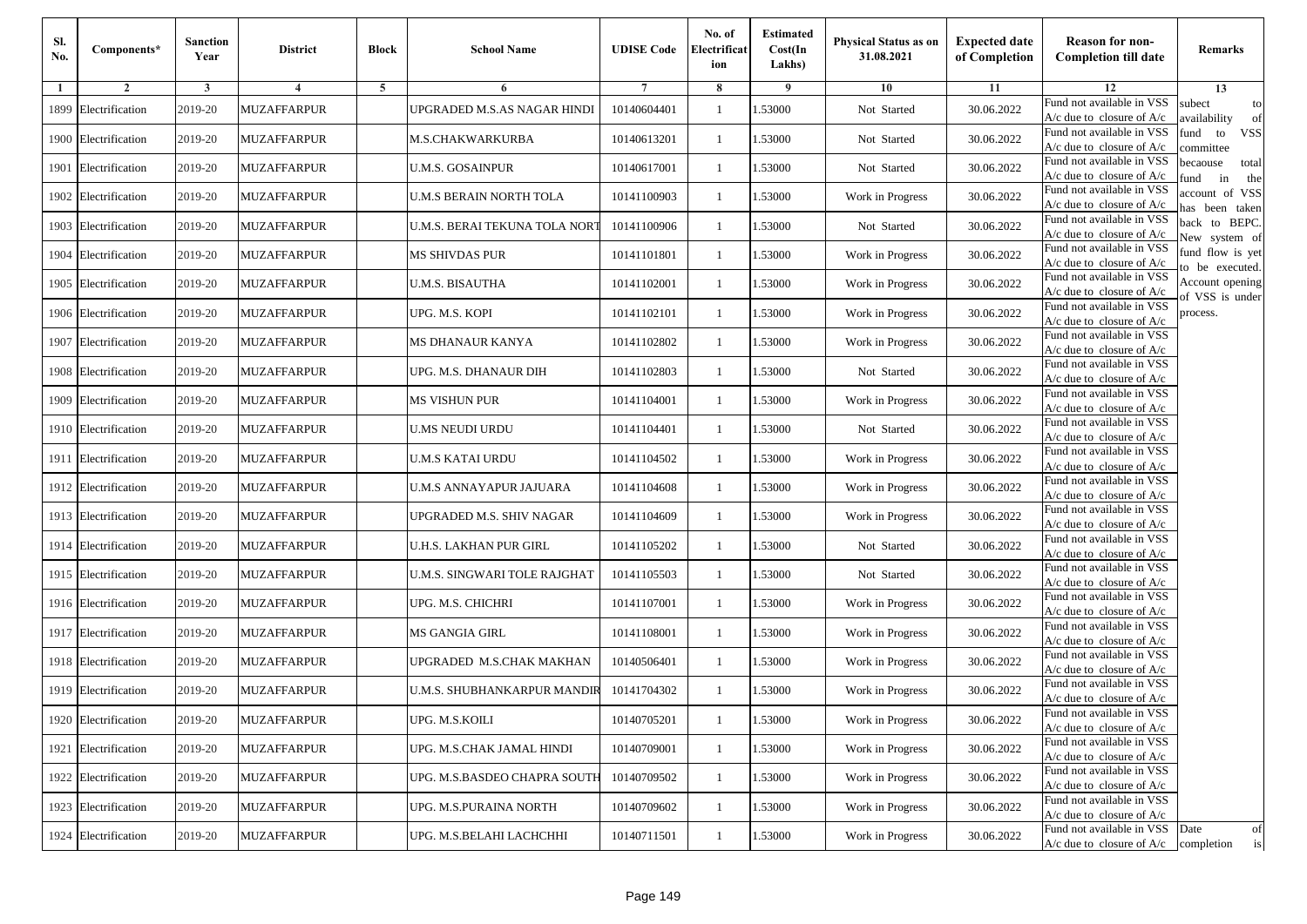| Sl.<br>No. | Components*          | <b>Sanction</b><br>Year | <b>District</b>         | <b>Block</b> | <b>School Name</b>            | <b>UDISE Code</b> | No. of<br>Electrificat<br>ion | <b>Estimated</b><br>Cost(In<br>Lakhs) | <b>Physical Status as on</b><br>31.08.2021 | <b>Expected date</b><br>of Completion | <b>Reason for non-</b><br><b>Completion till date</b>                 | Remarks                               |
|------------|----------------------|-------------------------|-------------------------|--------------|-------------------------------|-------------------|-------------------------------|---------------------------------------|--------------------------------------------|---------------------------------------|-----------------------------------------------------------------------|---------------------------------------|
| -1         | $\overline{2}$       | 3                       | $\overline{\mathbf{4}}$ | 5            | 6                             |                   | 8                             | 9                                     | 10                                         | 11                                    | 12                                                                    | 13                                    |
|            | 1899 Electrification | 2019-20                 | <b>MUZAFFARPUR</b>      |              | UPGRADED M.S.AS NAGAR HINDI   | 10140604401       | $\mathbf{1}$                  | .53000                                | Not Started                                | 30.06.2022                            | Fund not available in VSS<br>$A/c$ due to closure of $A/c$            | subect<br>to<br>availability<br>of    |
|            | 1900 Electrification | 2019-20                 | <b>MUZAFFARPUR</b>      |              | M.S.CHAKWARKURBA              | 10140613201       | 1                             | 1.53000                               | Not Started                                | 30.06.2022                            | Fund not available in VSS<br>$A/c$ due to closure of $A/c$            | fund<br>to<br><b>VSS</b><br>committee |
|            | 1901 Electrification | 2019-20                 | <b>MUZAFFARPUR</b>      |              | <b>U.M.S. GOSAINPUR</b>       | 10140617001       | 1                             | 1.53000                               | Not Started                                | 30.06.2022                            | Fund not available in VSS<br>$A/c$ due to closure of $A/c$            | becaouse<br>total<br>in<br>und<br>the |
|            | 1902 Electrification | 2019-20                 | <b>MUZAFFARPUR</b>      |              | U.M.S BERAIN NORTH TOLA       | 10141100903       | $\mathbf{1}$                  | .53000                                | Work in Progress                           | 30.06.2022                            | Fund not available in VSS<br>A/c due to closure of A/c                | account of VSS<br>as been taken       |
|            | 1903 Electrification | 2019-20                 | <b>MUZAFFARPUR</b>      |              | U.M.S. BERAI TEKUNA TOLA NORT | 10141100906       | $\mathbf{1}$                  | .53000                                | Not Started                                | 30.06.2022                            | Fund not available in VSS<br>A/c due to closure of $A/c$              | back to BEPC.<br>New system of        |
|            | 1904 Electrification | 2019-20                 | <b>MUZAFFARPUR</b>      |              | MS SHIVDAS PUR                | 10141101801       | $\mathbf{1}$                  | 1.53000                               | Work in Progress                           | 30.06.2022                            | Fund not available in VSS<br>A/c due to closure of $A/c$              | fund flow is yet<br>o be executed.    |
|            | 1905 Electrification | 2019-20                 | <b>MUZAFFARPUR</b>      |              | U.M.S. BISAUTHA               | 10141102001       | $\mathbf{1}$                  | 1.53000                               | Work in Progress                           | 30.06.2022                            | Fund not available in VSS<br>$A/c$ due to closure of $A/c$            | Account opening<br>of VSS is under    |
|            | 1906 Electrification | 2019-20                 | <b>MUZAFFARPUR</b>      |              | UPG. M.S. KOPI                | 10141102101       | $\mathbf{1}$                  | .53000                                | Work in Progress                           | 30.06.2022                            | Fund not available in VSS<br>$A/c$ due to closure of $A/c$            | process.                              |
|            | 1907 Electrification | 2019-20                 | <b>MUZAFFARPUR</b>      |              | MS DHANAUR KANYA              | 10141102802       | 1                             | .53000                                | Work in Progress                           | 30.06.2022                            | Fund not available in VSS<br>$A/c$ due to closure of $A/c$            |                                       |
|            | 1908 Electrification | 2019-20                 | <b>MUZAFFARPUR</b>      |              | UPG. M.S. DHANAUR DIH         | 10141102803       | $\mathbf{1}$                  | 1.53000                               | Not Started                                | 30.06.2022                            | Fund not available in VSS<br>$A/c$ due to closure of $A/c$            |                                       |
|            | 1909 Electrification | 2019-20                 | <b>MUZAFFARPUR</b>      |              | <b>MS VISHUN PUR</b>          | 10141104001       | 1                             | 1.53000                               | Work in Progress                           | 30.06.2022                            | Fund not available in VSS<br>A/c due to closure of $A/c$              |                                       |
|            | 1910 Electrification | 2019-20                 | MUZAFFARPUR             |              | <b>U.MS NEUDI URDU</b>        | 10141104401       | 1                             | .53000                                | Not Started                                | 30.06.2022                            | Fund not available in VSS<br>$A/c$ due to closure of $A/c$            |                                       |
|            | 1911 Electrification | 2019-20                 | <b>MUZAFFARPUR</b>      |              | U.M.S KATAI URDU              | 10141104502       | $\mathbf{1}$                  | .53000                                | Work in Progress                           | 30.06.2022                            | Fund not available in VSS<br>$A/c$ due to closure of $A/c$            |                                       |
|            | 1912 Electrification | 2019-20                 | <b>MUZAFFARPUR</b>      |              | U.M.S ANNAYAPUR JAJUARA       | 10141104608       | $\mathbf{1}$                  | .53000                                | Work in Progress                           | 30.06.2022                            | Fund not available in VSS<br>$A/c$ due to closure of $A/c$            |                                       |
|            | 1913 Electrification | 2019-20                 | <b>MUZAFFARPUR</b>      |              | UPGRADED M.S. SHIV NAGAR      | 10141104609       | 1                             | 1.53000                               | Work in Progress                           | 30.06.2022                            | Fund not available in VSS<br>$A/c$ due to closure of $A/c$            |                                       |
|            | 1914 Electrification | 2019-20                 | <b>MUZAFFARPUR</b>      |              | U.H.S. LAKHAN PUR GIRL        | 10141105202       | $\mathbf{1}$                  | .53000                                | Not Started                                | 30.06.2022                            | Fund not available in VSS<br>$A/c$ due to closure of $A/c$            |                                       |
|            | 1915 Electrification | 2019-20                 | <b>MUZAFFARPUR</b>      |              | U.M.S. SINGWARI TOLE RAJGHAT  | 10141105503       | 1                             | .53000                                | Not Started                                | 30.06.2022                            | Fund not available in VSS<br>$A/c$ due to closure of $A/c$            |                                       |
|            | 1916 Electrification | 2019-20                 | <b>MUZAFFARPUR</b>      |              | UPG. M.S. CHICHRI             | 10141107001       | $\mathbf{1}$                  | 1.53000                               | Work in Progress                           | 30.06.2022                            | Fund not available in VSS<br>$A/c$ due to closure of $A/c$            |                                       |
|            | 1917 Electrification | 2019-20                 | <b>MUZAFFARPUR</b>      |              | MS GANGIA GIRL                | 10141108001       | 1                             | 1.53000                               | Work in Progress                           | 30.06.2022                            | Fund not available in VSS<br>$A/c$ due to closure of $A/c$            |                                       |
|            | 1918 Electrification | 2019-20                 | <b>MUZAFFARPUR</b>      |              | UPGRADED M.S.CHAK MAKHAN      | 10140506401       | 1                             | .53000                                | Work in Progress                           | 30.06.2022                            | Fund not available in VSS<br>$A/c$ due to closure of $A/c$            |                                       |
|            | 1919 Electrification | 2019-20                 | MUZAFFARPUR             |              | U.M.S. SHUBHANKARPUR MANDIR   | 10141704302       | 1                             | .53000                                | Work in Progress                           | 30.06.2022                            | Fund not available in VSS<br>A/c due to closure of A/c                |                                       |
|            | 1920 Electrification | 2019-20                 | <b>MUZAFFARPUR</b>      |              | UPG. M.S.KOILI                | 10140705201       |                               | 1.53000                               | Work in Progress                           | 30.06.2022                            | Fund not available in VSS<br>A/c due to closure of A/c                |                                       |
|            | 1921 Electrification | 2019-20                 | <b>MUZAFFARPUR</b>      |              | UPG. M.S.CHAK JAMAL HINDI     | 10140709001       | $\mathbf{1}$                  | 1.53000                               | Work in Progress                           | 30.06.2022                            | Fund not available in VSS<br>$A/c$ due to closure of $A/c$            |                                       |
|            | 1922 Electrification | 2019-20                 | <b>MUZAFFARPUR</b>      |              | UPG. M.S.BASDEO CHAPRA SOUTH  | 10140709502       | $\mathbf{1}$                  | 1.53000                               | Work in Progress                           | 30.06.2022                            | Fund not available in VSS<br>$A/c$ due to closure of $A/c$            |                                       |
|            | 1923 Electrification | 2019-20                 | <b>MUZAFFARPUR</b>      |              | UPG. M.S.PURAINA NORTH        | 10140709602       | $\mathbf{1}$                  | 1.53000                               | Work in Progress                           | 30.06.2022                            | Fund not available in VSS<br>A/c due to closure of A/c                |                                       |
|            | 1924 Electrification | 2019-20                 | <b>MUZAFFARPUR</b>      |              | UPG. M.S.BELAHI LACHCHHI      | 10140711501       | $\mathbf{1}$                  | 1.53000                               | Work in Progress                           | 30.06.2022                            | Fund not available in VSS<br>$A/c$ due to closure of $A/c$ completion | Date<br>of<br>is                      |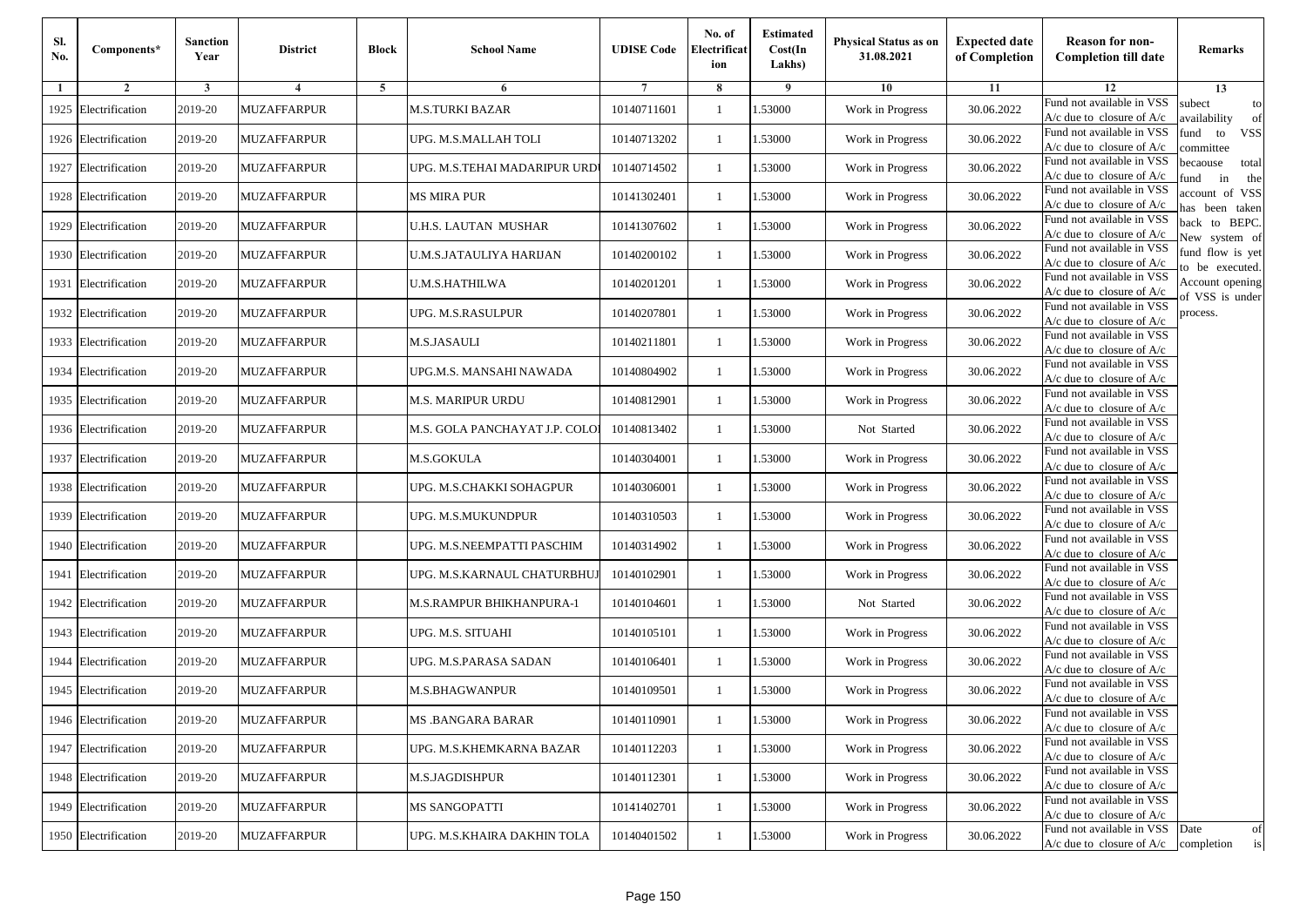| Sl.<br>No. | Components*          | <b>Sanction</b><br>Year | <b>District</b>         | <b>Block</b> | <b>School Name</b>             | <b>UDISE Code</b> | No. of<br>Electrificat<br>ion | <b>Estimated</b><br>Cost(In<br>Lakhs) | <b>Physical Status as on</b><br>31.08.2021 | <b>Expected date</b><br>of Completion | <b>Reason for non-</b><br><b>Completion till date</b>      | Remarks                               |
|------------|----------------------|-------------------------|-------------------------|--------------|--------------------------------|-------------------|-------------------------------|---------------------------------------|--------------------------------------------|---------------------------------------|------------------------------------------------------------|---------------------------------------|
| -1         | $\overline{2}$       | 3                       | $\overline{\mathbf{4}}$ | 5            | 6                              |                   | 8                             | 9                                     | 10                                         | 11                                    | 12                                                         | 13                                    |
|            | 1925 Electrification | 2019-20                 | <b>MUZAFFARPUR</b>      |              | <b>M.S.TURKI BAZAR</b>         | 10140711601       | $\mathbf{1}$                  | .53000                                | Work in Progress                           | 30.06.2022                            | Fund not available in VSS<br>$A/c$ due to closure of $A/c$ | subect<br>to<br>availability<br>of    |
|            | 1926 Electrification | 2019-20                 | <b>MUZAFFARPUR</b>      |              | UPG. M.S.MALLAH TOLI           | 10140713202       | 1                             | 1.53000                               | Work in Progress                           | 30.06.2022                            | Fund not available in VSS<br>$A/c$ due to closure of $A/c$ | fund<br>to<br><b>VSS</b><br>committee |
|            | 1927 Electrification | 2019-20                 | <b>MUZAFFARPUR</b>      |              | UPG. M.S.TEHAI MADARIPUR URD'  | 10140714502       | 1                             | 1.53000                               | Work in Progress                           | 30.06.2022                            | Fund not available in VSS<br>$A/c$ due to closure of $A/c$ | becaouse<br>total<br>in<br>und<br>the |
|            | 1928 Electrification | 2019-20                 | <b>MUZAFFARPUR</b>      |              | <b>MS MIRA PUR</b>             | 10141302401       | $\mathbf{1}$                  | .53000                                | Work in Progress                           | 30.06.2022                            | Fund not available in VSS<br>$A/c$ due to closure of $A/c$ | account of VSS<br>as been taken       |
|            | 1929 Electrification | 2019-20                 | <b>MUZAFFARPUR</b>      |              | U.H.S. LAUTAN MUSHAR           | 10141307602       | $\mathbf{1}$                  | .53000                                | Work in Progress                           | 30.06.2022                            | Fund not available in VSS<br>$A/c$ due to closure of $A/c$ | back to BEPC.<br>New system of        |
|            | 1930 Electrification | 2019-20                 | <b>MUZAFFARPUR</b>      |              | U.M.S.JATAULIYA HARIJAN        | 10140200102       | $\mathbf{1}$                  | .53000                                | Work in Progress                           | 30.06.2022                            | Fund not available in VSS<br>A/c due to closure of $A/c$   | fund flow is yet<br>o be executed.    |
|            | 1931 Electrification | 2019-20                 | <b>MUZAFFARPUR</b>      |              | <b>U.M.S.HATHILWA</b>          | 10140201201       | $\mathbf{1}$                  | 1.53000                               | Work in Progress                           | 30.06.2022                            | Fund not available in VSS<br>$A/c$ due to closure of $A/c$ | Account opening<br>of VSS is under    |
|            | 1932 Electrification | 2019-20                 | <b>MUZAFFARPUR</b>      |              | UPG. M.S.RASULPUR              | 10140207801       | $\mathbf{1}$                  | .53000                                | Work in Progress                           | 30.06.2022                            | Fund not available in VSS<br>$A/c$ due to closure of $A/c$ | process.                              |
|            | 1933 Electrification | 2019-20                 | <b>MUZAFFARPUR</b>      |              | M.S.JASAULI                    | 10140211801       | 1                             | .53000                                | Work in Progress                           | 30.06.2022                            | Fund not available in VSS<br>$A/c$ due to closure of $A/c$ |                                       |
|            | 1934 Electrification | 2019-20                 | <b>MUZAFFARPUR</b>      |              | UPG.M.S. MANSAHI NAWADA        | 10140804902       | $\mathbf{1}$                  | .53000                                | Work in Progress                           | 30.06.2022                            | Fund not available in VSS<br>$A/c$ due to closure of $A/c$ |                                       |
|            | 1935 Electrification | 2019-20                 | <b>MUZAFFARPUR</b>      |              | M.S. MARIPUR URDU              | 10140812901       | 1                             | 1.53000                               | Work in Progress                           | 30.06.2022                            | Fund not available in VSS<br>A/c due to closure of $A/c$   |                                       |
|            | 1936 Electrification | 2019-20                 | MUZAFFARPUR             |              | M.S. GOLA PANCHAYAT J.P. COLO! | 10140813402       | 1                             | .53000                                | Not Started                                | 30.06.2022                            | Fund not available in VSS<br>$A/c$ due to closure of $A/c$ |                                       |
|            | 1937 Electrification | 2019-20                 | <b>MUZAFFARPUR</b>      |              | M.S.GOKULA                     | 10140304001       | $\mathbf{1}$                  | .53000                                | Work in Progress                           | 30.06.2022                            | Fund not available in VSS<br>$A/c$ due to closure of $A/c$ |                                       |
|            | 1938 Electrification | 2019-20                 | <b>MUZAFFARPUR</b>      |              | UPG. M.S.CHAKKI SOHAGPUR       | 10140306001       | $\mathbf{1}$                  | .53000                                | Work in Progress                           | 30.06.2022                            | Fund not available in VSS<br>$A/c$ due to closure of $A/c$ |                                       |
|            | 1939 Electrification | 2019-20                 | <b>MUZAFFARPUR</b>      |              | UPG. M.S.MUKUNDPUR             | 10140310503       | 1                             | 1.53000                               | Work in Progress                           | 30.06.2022                            | Fund not available in VSS<br>$A/c$ due to closure of $A/c$ |                                       |
|            | 1940 Electrification | 2019-20                 | <b>MUZAFFARPUR</b>      |              | UPG. M.S.NEEMPATTI PASCHIM     | 10140314902       | $\mathbf{1}$                  | .53000                                | Work in Progress                           | 30.06.2022                            | Fund not available in VSS<br>$A/c$ due to closure of $A/c$ |                                       |
|            | 1941 Electrification | 2019-20                 | <b>MUZAFFARPUR</b>      |              | UPG. M.S.KARNAUL CHATURBHU.    | 10140102901       | 1                             | .53000                                | Work in Progress                           | 30.06.2022                            | Fund not available in VSS<br>$A/c$ due to closure of $A/c$ |                                       |
|            | 1942 Electrification | 2019-20                 | <b>MUZAFFARPUR</b>      |              | M.S.RAMPUR BHIKHANPURA-1       | 10140104601       | $\mathbf{1}$                  | 1.53000                               | Not Started                                | 30.06.2022                            | Fund not available in VSS<br>$A/c$ due to closure of $A/c$ |                                       |
|            | 1943 Electrification | 2019-20                 | <b>MUZAFFARPUR</b>      |              | UPG. M.S. SITUAHI              | 10140105101       | 1                             | 1.53000                               | Work in Progress                           | 30.06.2022                            | Fund not available in VSS<br>$A/c$ due to closure of $A/c$ |                                       |
|            | 1944 Electrification | 2019-20                 | <b>MUZAFFARPUR</b>      |              | UPG. M.S.PARASA SADAN          | 10140106401       | 1                             | .53000                                | Work in Progress                           | 30.06.2022                            | Fund not available in VSS<br>$A/c$ due to closure of $A/c$ |                                       |
|            | 1945 Electrification | 2019-20                 | MUZAFFARPUR             |              | M.S.BHAGWANPUR                 | 10140109501       | 1                             | .53000                                | Work in Progress                           | 30.06.2022                            | Fund not available in VSS<br>A/c due to closure of A/c     |                                       |
|            | 1946 Electrification | 2019-20                 | <b>MUZAFFARPUR</b>      |              | MS .BANGARA BARAR              | 10140110901       |                               | 1.53000                               | Work in Progress                           | 30.06.2022                            | Fund not available in VSS<br>A/c due to closure of A/c     |                                       |
|            | 1947 Electrification | 2019-20                 | <b>MUZAFFARPUR</b>      |              | UPG. M.S.KHEMKARNA BAZAR       | 10140112203       | $\mathbf{1}$                  | 1.53000                               | Work in Progress                           | 30.06.2022                            | Fund not available in VSS<br>$A/c$ due to closure of $A/c$ |                                       |
|            | 1948 Electrification | 2019-20                 | <b>MUZAFFARPUR</b>      |              | M.S.JAGDISHPUR                 | 10140112301       | $\mathbf{1}$                  | 1.53000                               | Work in Progress                           | 30.06.2022                            | Fund not available in VSS<br>$A/c$ due to closure of $A/c$ |                                       |
|            | 1949 Electrification | 2019-20                 | <b>MUZAFFARPUR</b>      |              | MS SANGOPATTI                  | 10141402701       | 1                             | 1.53000                               | Work in Progress                           | 30.06.2022                            | Fund not available in VSS<br>A/c due to closure of $A/c$   |                                       |
|            | 1950 Electrification | 2019-20                 | <b>MUZAFFARPUR</b>      |              | UPG. M.S.KHAIRA DAKHIN TOLA    | 10140401502       | $\mathbf{1}$                  | 1.53000                               | Work in Progress                           | 30.06.2022                            | Fund not available in VSS<br>$A/c$ due to closure of $A/c$ | Date<br>of<br>is<br>completion        |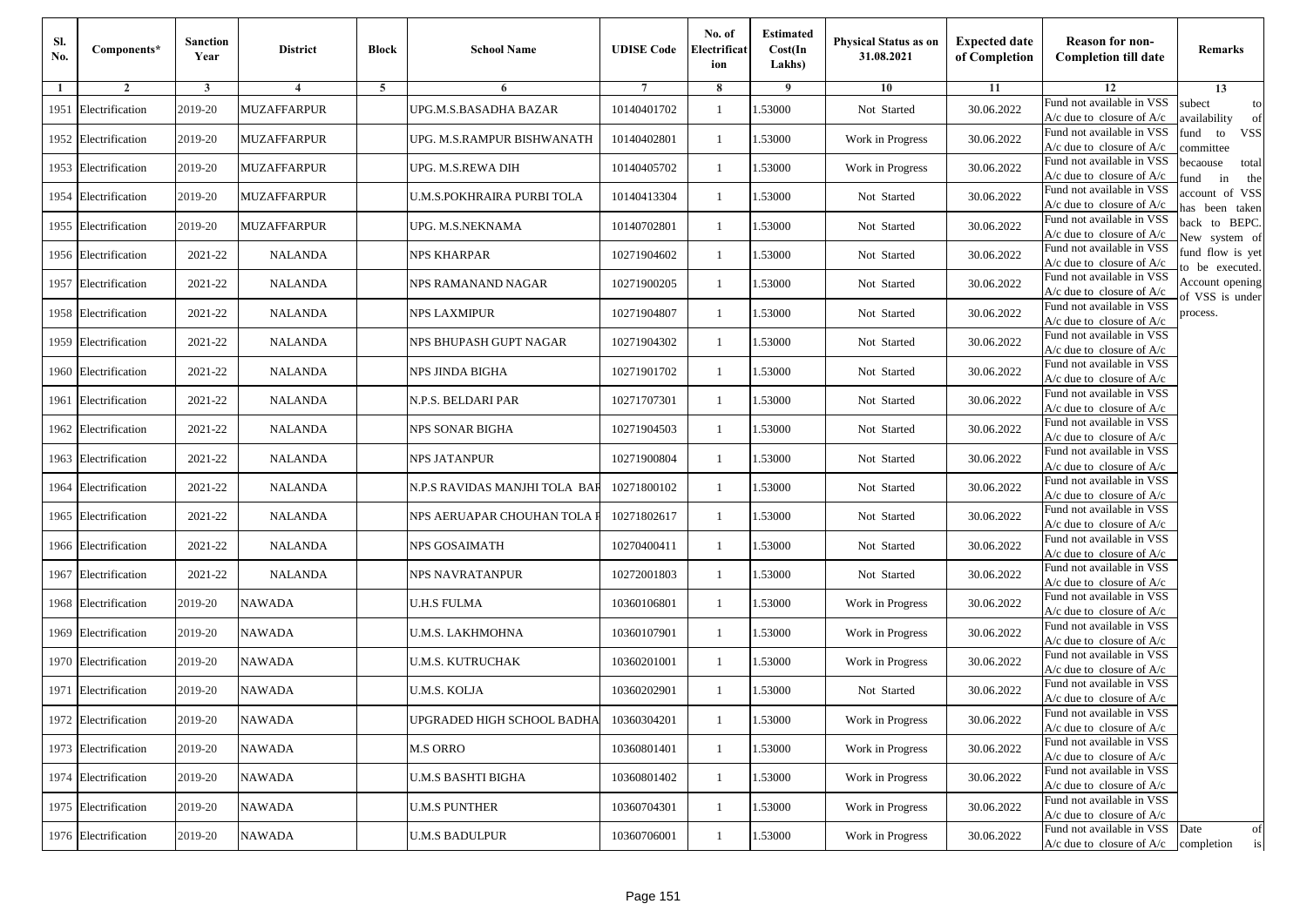| Sl.<br>No. | Components*          | <b>Sanction</b><br>Year | <b>District</b>    | <b>Block</b> | <b>School Name</b>            | <b>UDISE Code</b> | No. of<br>Electrificat<br>ion | <b>Estimated</b><br>Cost(In<br>Lakhs) | <b>Physical Status as on</b><br>31.08.2021 | <b>Expected date</b><br>of Completion | <b>Reason for non-</b><br><b>Completion till date</b>      | Remarks                               |
|------------|----------------------|-------------------------|--------------------|--------------|-------------------------------|-------------------|-------------------------------|---------------------------------------|--------------------------------------------|---------------------------------------|------------------------------------------------------------|---------------------------------------|
| -1         | $\overline{2}$       | 3                       | $\overline{4}$     | 5            | 6                             |                   | 8                             | 9                                     | 10                                         | 11                                    | 12                                                         | 13                                    |
|            | 1951 Electrification | 2019-20                 | <b>MUZAFFARPUR</b> |              | UPG.M.S.BASADHA BAZAR         | 10140401702       | $\mathbf{1}$                  | .53000                                | Not Started                                | 30.06.2022                            | Fund not available in VSS<br>$A/c$ due to closure of $A/c$ | subect<br>to<br>availability<br>of    |
|            | 1952 Electrification | 2019-20                 | <b>MUZAFFARPUR</b> |              | UPG. M.S.RAMPUR BISHWANATH    | 10140402801       | 1                             | 1.53000                               | Work in Progress                           | 30.06.2022                            | Fund not available in VSS<br>$A/c$ due to closure of $A/c$ | fund<br><b>VSS</b><br>to<br>committee |
|            | 1953 Electrification | 2019-20                 | <b>MUZAFFARPUR</b> |              | UPG. M.S.REWA DIH             | 10140405702       | $\mathbf{1}$                  | 1.53000                               | Work in Progress                           | 30.06.2022                            | Fund not available in VSS<br>$A/c$ due to closure of $A/c$ | becaouse<br>total<br>in<br>und<br>the |
|            | 1954 Electrification | 2019-20                 | <b>MUZAFFARPUR</b> |              | U.M.S.POKHRAIRA PURBI TOLA    | 10140413304       | $\mathbf{1}$                  | .53000                                | Not Started                                | 30.06.2022                            | Fund not available in VSS<br>$A/c$ due to closure of $A/c$ | account of VSS<br>as been taken       |
|            | 1955 Electrification | 2019-20                 | <b>MUZAFFARPUR</b> |              | UPG. M.S.NEKNAMA              | 10140702801       | $\mathbf{1}$                  | 1.53000                               | Not Started                                | 30.06.2022                            | Fund not available in VSS<br>A/c due to closure of $A/c$   | back to BEPC.<br>New system of        |
|            | 1956 Electrification | 2021-22                 | <b>NALANDA</b>     |              | NPS KHARPAR                   | 10271904602       | $\mathbf{1}$                  | 1.53000                               | Not Started                                | 30.06.2022                            | Fund not available in VSS<br>A/c due to closure of $A/c$   | fund flow is yet<br>o be executed.    |
|            | 1957 Electrification | 2021-22                 | <b>NALANDA</b>     |              | NPS RAMANAND NAGAR            | 10271900205       | $\mathbf{1}$                  | 1.53000                               | Not Started                                | 30.06.2022                            | Fund not available in VSS<br>$A/c$ due to closure of $A/c$ | Account opening<br>of VSS is under    |
|            | 1958 Electrification | 2021-22                 | <b>NALANDA</b>     |              | NPS LAXMIPUR                  | 10271904807       | $\mathbf{1}$                  | .53000                                | Not Started                                | 30.06.2022                            | Fund not available in VSS<br>$A/c$ due to closure of $A/c$ | process.                              |
|            | 1959 Electrification | 2021-22                 | <b>NALANDA</b>     |              | NPS BHUPASH GUPT NAGAR        | 10271904302       | $\mathbf{1}$                  | .53000                                | Not Started                                | 30.06.2022                            | Fund not available in VSS<br>$A/c$ due to closure of $A/c$ |                                       |
|            | 1960 Electrification | 2021-22                 | <b>NALANDA</b>     |              | <b>NPS JINDA BIGHA</b>        | 10271901702       | $\mathbf{1}$                  | 1.53000                               | Not Started                                | 30.06.2022                            | Fund not available in VSS<br>$A/c$ due to closure of $A/c$ |                                       |
|            | 1961 Electrification | 2021-22                 | <b>NALANDA</b>     |              | N.P.S. BELDARI PAR            | 10271707301       | 1                             | 1.53000                               | Not Started                                | 30.06.2022                            | Fund not available in VSS<br>A/c due to closure of $A/c$   |                                       |
|            | 1962 Electrification | 2021-22                 | <b>NALANDA</b>     |              | NPS SONAR BIGHA               | 10271904503       | $\mathbf{1}$                  | 1.53000                               | Not Started                                | 30.06.2022                            | Fund not available in VSS<br>$A/c$ due to closure of $A/c$ |                                       |
|            | 1963 Electrification | 2021-22                 | <b>NALANDA</b>     |              | NPS JATANPUR                  | 10271900804       | $\mathbf{1}$                  | .53000                                | Not Started                                | 30.06.2022                            | Fund not available in VSS<br>$A/c$ due to closure of $A/c$ |                                       |
|            | 1964 Electrification | 2021-22                 | <b>NALANDA</b>     |              | N.P.S RAVIDAS MANJHI TOLA BAF | 10271800102       | $\mathbf{1}$                  | 1.53000                               | Not Started                                | 30.06.2022                            | Fund not available in VSS<br>$A/c$ due to closure of $A/c$ |                                       |
|            | 1965 Electrification | 2021-22                 | <b>NALANDA</b>     |              | NPS AERUAPAR CHOUHAN TOLA I   | 10271802617       | 1                             | 1.53000                               | Not Started                                | 30.06.2022                            | Fund not available in VSS<br>$A/c$ due to closure of $A/c$ |                                       |
|            | 1966 Electrification | 2021-22                 | <b>NALANDA</b>     |              | NPS GOSAIMATH                 | 10270400411       | $\mathbf{1}$                  | .53000                                | Not Started                                | 30.06.2022                            | Fund not available in VSS<br>$A/c$ due to closure of $A/c$ |                                       |
|            | 1967 Electrification | 2021-22                 | <b>NALANDA</b>     |              | NPS NAVRATANPUR               | 10272001803       | 1                             | .53000                                | Not Started                                | 30.06.2022                            | Fund not available in VSS<br>$A/c$ due to closure of $A/c$ |                                       |
|            | 1968 Electrification | 2019-20                 | <b>NAWADA</b>      |              | <b>U.H.S FULMA</b>            | 10360106801       | $\mathbf{1}$                  | 1.53000                               | Work in Progress                           | 30.06.2022                            | Fund not available in VSS<br>$A/c$ due to closure of $A/c$ |                                       |
|            | 1969 Electrification | 2019-20                 | <b>NAWADA</b>      |              | <b>U.M.S. LAKHMOHNA</b>       | 10360107901       | 1                             | 1.53000                               | Work in Progress                           | 30.06.2022                            | Fund not available in VSS<br>$A/c$ due to closure of $A/c$ |                                       |
|            | 1970 Electrification | 2019-20                 | <b>NAWADA</b>      |              | <b>U.M.S. KUTRUCHAK</b>       | 10360201001       | $\mathbf{1}$                  | .53000                                | Work in Progress                           | 30.06.2022                            | Fund not available in VSS<br>$A/c$ due to closure of $A/c$ |                                       |
|            | 1971 Electrification | 2019-20                 | NAWADA             |              | U.M.S. KOLJA                  | 10360202901       | 1                             | .53000                                | Not Started                                | 30.06.2022                            | Fund not available in VSS<br>A/c due to closure of A/c     |                                       |
|            | 1972 Electrification | 2019-20                 | <b>NAWADA</b>      |              | UPGRADED HIGH SCHOOL BADHA    | 10360304201       |                               | 1.53000                               | Work in Progress                           | 30.06.2022                            | Fund not available in VSS<br>A/c due to closure of A/c     |                                       |
|            | 1973 Electrification | 2019-20                 | <b>NAWADA</b>      |              | <b>M.S ORRO</b>               | 10360801401       | $\mathbf{1}$                  | 1.53000                               | Work in Progress                           | 30.06.2022                            | Fund not available in VSS<br>$A/c$ due to closure of $A/c$ |                                       |
|            | 1974 Electrification | 2019-20                 | <b>NAWADA</b>      |              | <b>U.M.S BASHTI BIGHA</b>     | 10360801402       | $\mathbf{1}$                  | 1.53000                               | Work in Progress                           | 30.06.2022                            | Fund not available in VSS<br>$A/c$ due to closure of $A/c$ |                                       |
|            | 1975 Electrification | 2019-20                 | <b>NAWADA</b>      |              | <b>U.M.S PUNTHER</b>          | 10360704301       | 1                             | 1.53000                               | Work in Progress                           | 30.06.2022                            | Fund not available in VSS<br>A/c due to closure of A/c     |                                       |
|            | 1976 Electrification | 2019-20                 | <b>NAWADA</b>      |              | <b>U.M.S BADULPUR</b>         | 10360706001       | $\mathbf{1}$                  | 1.53000                               | Work in Progress                           | 30.06.2022                            | Fund not available in VSS<br>$A/c$ due to closure of $A/c$ | Date<br>of<br>completion<br>is        |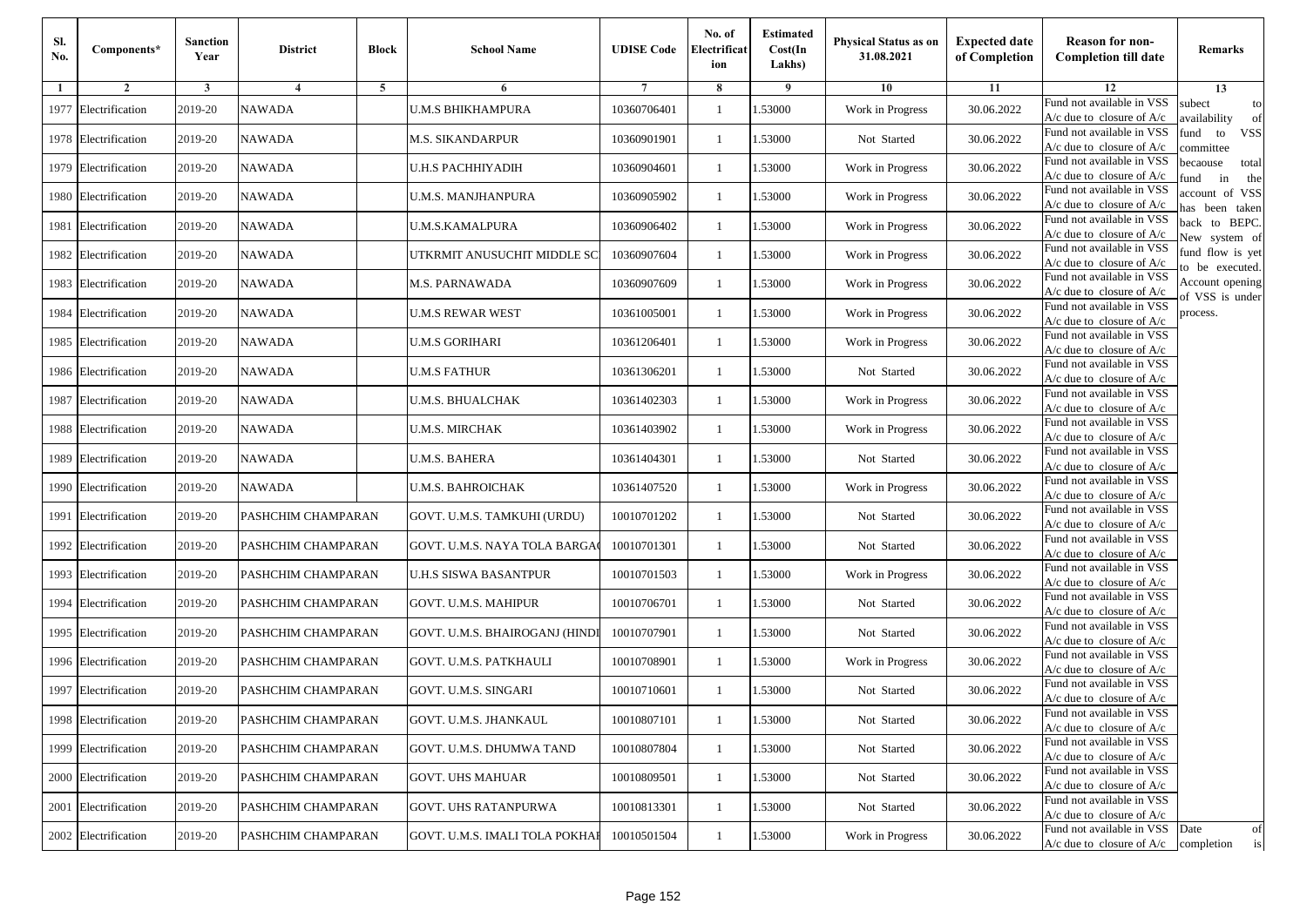| Sl.<br>No. | Components*          | <b>Sanction</b><br>Year | <b>District</b>    | <b>Block</b> | <b>School Name</b>             | <b>UDISE Code</b> | No. of<br>Electrificat<br>ion | <b>Estimated</b><br>Cost(In<br>Lakhs) | Physical Status as on<br>31.08.2021 | <b>Expected date</b><br>of Completion | <b>Reason for non-</b><br><b>Completion till date</b>                 | Remarks                               |
|------------|----------------------|-------------------------|--------------------|--------------|--------------------------------|-------------------|-------------------------------|---------------------------------------|-------------------------------------|---------------------------------------|-----------------------------------------------------------------------|---------------------------------------|
| 1          | $\overline{2}$       | 3                       | $\overline{4}$     | 5            | 6                              |                   | 8                             | 9                                     | 10                                  | 11                                    | 12                                                                    | 13                                    |
| 1977       | Electrification      | 2019-20                 | <b>NAWADA</b>      |              | U.M.S BHIKHAMPURA              | 10360706401       | -1                            | 1.53000                               | Work in Progress                    | 30.06.2022                            | Fund not available in VSS<br>$A/c$ due to closure of $A/c$            | subect<br>to<br>wailability<br>of     |
| 1978       | Electrification      | 2019-20                 | <b>NAWADA</b>      |              | M.S. SIKANDARPUR               | 10360901901       | $\mathbf{1}$                  | 1.53000                               | Not Started                         | 30.06.2022                            | Fund not available in VSS<br>$A/c$ due to closure of $A/c$            | fund<br>to<br><b>VSS</b><br>ommittee  |
|            | 1979 Electrification | 2019-20                 | <b>NAWADA</b>      |              | U.H.S PACHHIYADIH              | 10360904601       | $\mathbf{1}$                  | 1.53000                               | Work in Progress                    | 30.06.2022                            | Fund not available in VSS<br>$A/c$ due to closure of $A/c$            | pecaouse<br>total<br>und<br>in<br>the |
| 1980       | Electrification      | 2019-20                 | <b>NAWADA</b>      |              | U.M.S. MANJHANPURA             | 10360905902       | -1                            | 1.53000                               | Work in Progress                    | 30.06.2022                            | Fund not available in VSS<br>A/c due to closure of A/c                | ccount of VSS<br>as been taken        |
| 1981       | Electrification      | 2019-20                 | <b>NAWADA</b>      |              | U.M.S.KAMALPURA                | 10360906402       | $\mathbf{1}$                  | 1.53000                               | Work in Progress                    | 30.06.2022                            | Fund not available in VSS<br>A/c due to closure of $A/c$              | back to BEPC.<br>New system of        |
| 1982       | Electrification      | 2019-20                 | <b>NAWADA</b>      |              | JTKRMIT ANUSUCHIT MIDDLE SC    | 10360907604       | -1                            | 1.53000                               | Work in Progress                    | 30.06.2022                            | Fund not available in VSS<br>A/c due to closure of $A/c$              | fund flow is yet<br>o be executed.    |
|            | 1983 Electrification | 2019-20                 | <b>NAWADA</b>      |              | M.S. PARNAWADA                 | 10360907609       | -1                            | 1.53000                               | Work in Progress                    | 30.06.2022                            | Fund not available in VSS<br>$A/c$ due to closure of $A/c$            | Account opening<br>of VSS is under    |
| 1984       | Electrification      | 2019-20                 | <b>NAWADA</b>      |              | U.M.S REWAR WEST               | 10361005001       | -1                            | 1.53000                               | Work in Progress                    | 30.06.2022                            | Fund not available in VSS<br>$A/c$ due to closure of $A/c$            | process.                              |
| 1985       | Electrification      | 2019-20                 | <b>NAWADA</b>      |              | U.M.S GORIHARI                 | 10361206401       | -1                            | 1.53000                               | Work in Progress                    | 30.06.2022                            | Fund not available in VSS<br>$A/c$ due to closure of $A/c$            |                                       |
|            | 1986 Electrification | 2019-20                 | <b>NAWADA</b>      |              | <b>U.M.S FATHUR</b>            | 10361306201       | $\mathbf{1}$                  | 1.53000                               | Not Started                         | 30.06.2022                            | Fund not available in VSS<br>$A/c$ due to closure of $A/c$            |                                       |
| 1987       | Electrification      | 2019-20                 | <b>NAWADA</b>      |              | U.M.S. BHUALCHAK               | 10361402303       | -1                            | 1.53000                               | Work in Progress                    | 30.06.2022                            | Fund not available in VSS<br>$A/c$ due to closure of $A/c$            |                                       |
| 1988       | Electrification      | 2019-20                 | <b>NAWADA</b>      |              | <b>U.M.S. MIRCHAK</b>          | 10361403902       | -1                            | 1.53000                               | Work in Progress                    | 30.06.2022                            | Fund not available in VSS<br>$A/c$ due to closure of $A/c$            |                                       |
| 1989       | Electrification      | 2019-20                 | <b>NAWADA</b>      |              | U.M.S. BAHERA                  | 10361404301       | -1                            | 1.53000                               | Not Started                         | 30.06.2022                            | Fund not available in VSS<br>$A/c$ due to closure of $A/c$            |                                       |
| 1990       | Electrification      | 2019-20                 | <b>NAWADA</b>      |              | U.M.S. BAHROICHAK              | 10361407520       | $\mathbf{1}$                  | 1.53000                               | Work in Progress                    | 30.06.2022                            | Fund not available in VSS<br>$A/c$ due to closure of $A/c$            |                                       |
| 1991       | Electrification      | 2019-20                 | PASHCHIM CHAMPARAN |              | GOVT. U.M.S. TAMKUHI (URDU)    | 10010701202       | -1                            | 1.53000                               | Not Started                         | 30.06.2022                            | Fund not available in VSS<br>$A/c$ due to closure of $A/c$            |                                       |
| 1992       | Electrification      | 2019-20                 | PASHCHIM CHAMPARAN |              | GOVT. U.M.S. NAYA TOLA BARGA   | 10010701301       | -1                            | 1.53000                               | Not Started                         | 30.06.2022                            | Fund not available in VSS<br>$A/c$ due to closure of $A/c$            |                                       |
| 1993       | Electrification      | 2019-20                 | PASHCHIM CHAMPARAN |              | U.H.S SISWA BASANTPUR          | 10010701503       | $\mathbf{1}$                  | 1.53000                               | Work in Progress                    | 30.06.2022                            | Fund not available in VSS<br>$A/c$ due to closure of $A/c$            |                                       |
| 1994       | Electrification      | 2019-20                 | PASHCHIM CHAMPARAN |              | GOVT. U.M.S. MAHIPUR           | 10010706701       | $\mathbf{1}$                  | 1.53000                               | Not Started                         | 30.06.2022                            | Fund not available in VSS<br>A/c due to closure of A/c                |                                       |
|            | 1995 Electrification | 2019-20                 | PASHCHIM CHAMPARAN |              | GOVT. U.M.S. BHAIROGANJ (HINDI | 10010707901       | -1                            | 1.53000                               | Not Started                         | 30.06.2022                            | Fund not available in VSS<br>$A/c$ due to closure of $A/c$            |                                       |
|            | 1996 Electrification | 2019-20                 | PASHCHIM CHAMPARAN |              | GOVT. U.M.S. PATKHAULI         | 10010708901       | $\mathbf{1}$                  | 1.53000                               | Work in Progress                    | 30.06.2022                            | Fund not available in VSS<br>$A/c$ due to closure of $A/c$            |                                       |
| 1997       | Electrification      | 2019-20                 | PASHCHIM CHAMPARAN |              | GOVT. U.M.S. SINGARI           | 10010710601       | -1                            | .53000                                | Not Started                         | 30.06.2022                            | Fund not available in VSS<br>A/c due to closure of A/c                |                                       |
|            | 1998 Electrification | 2019-20                 | PASHCHIM CHAMPARAN |              | GOVT. U.M.S. JHANKAUL          | 10010807101       | $\mathbf{1}$                  | 1.53000                               | Not Started                         | 30.06.2022                            | Fund not available in VSS<br>A/c due to closure of A/c                |                                       |
|            | 1999 Electrification | 2019-20                 | PASHCHIM CHAMPARAN |              | GOVT. U.M.S. DHUMWA TAND       | 10010807804       | -1                            | 1.53000                               | Not Started                         | 30.06.2022                            | Fund not available in VSS<br>$A/c$ due to closure of $A/c$            |                                       |
|            | 2000 Electrification | 2019-20                 | PASHCHIM CHAMPARAN |              | <b>GOVT. UHS MAHUAR</b>        | 10010809501       | -1                            | 1.53000                               | Not Started                         | 30.06.2022                            | Fund not available in VSS<br>$A/c$ due to closure of $A/c$            |                                       |
|            | 2001 Electrification | 2019-20                 | PASHCHIM CHAMPARAN |              | <b>GOVT. UHS RATANPURWA</b>    | 10010813301       | -1                            | 1.53000                               | Not Started                         | 30.06.2022                            | Fund not available in VSS<br>A/c due to closure of A/c                |                                       |
|            | 2002 Electrification | 2019-20                 | PASHCHIM CHAMPARAN |              | GOVT. U.M.S. IMALI TOLA POKHAI | 10010501504       | -1                            | 1.53000                               | Work in Progress                    | 30.06.2022                            | Fund not available in VSS<br>$A/c$ due to closure of $A/c$ completion | Date<br>of<br>is                      |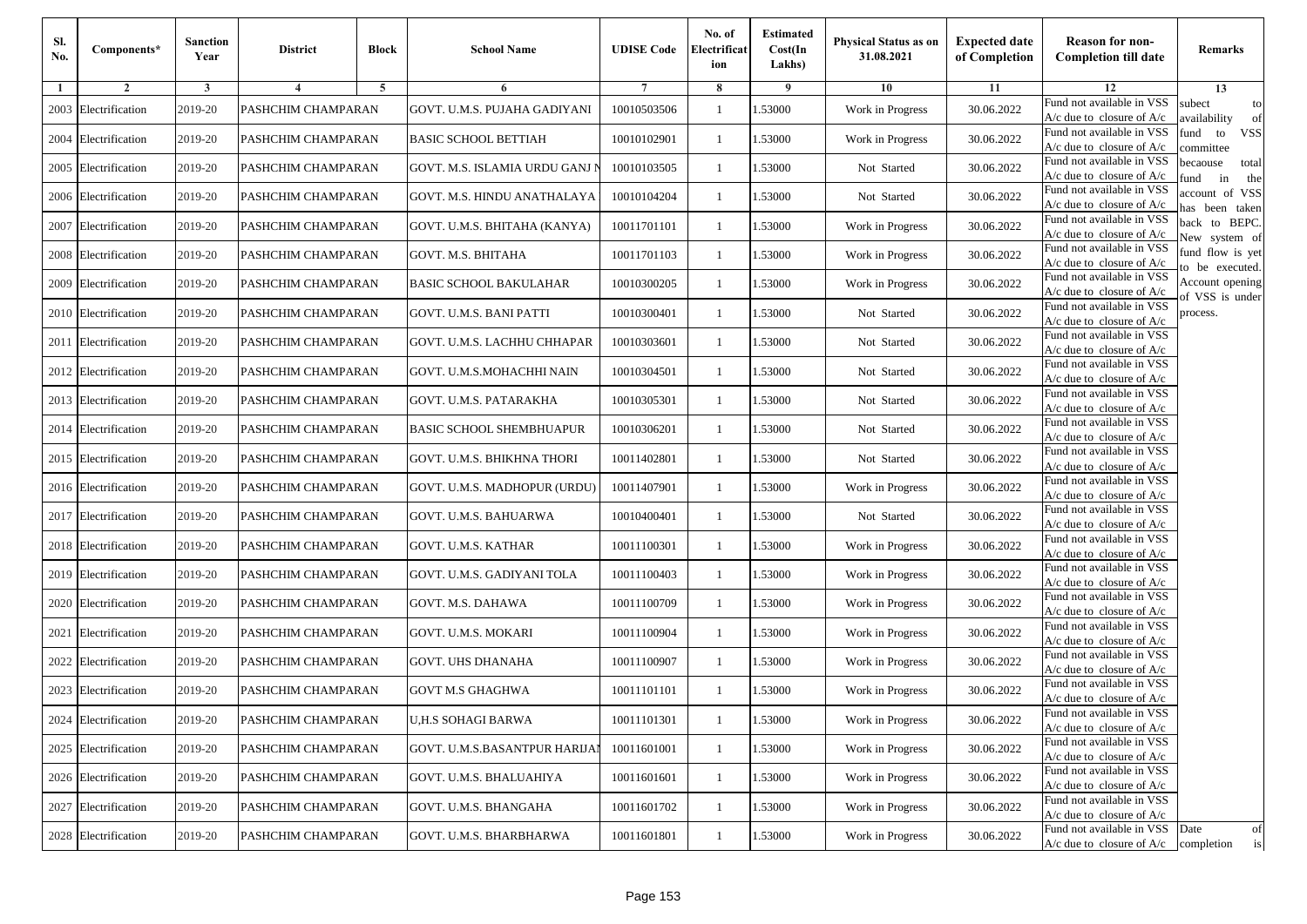| SI.<br>No. | Components*          | <b>Sanction</b><br>Year | <b>District</b>           | <b>Block</b>   | <b>School Name</b>             | <b>UDISE Code</b> | No. of<br>Electrificat<br>ion | <b>Estimated</b><br>Cost(In<br>Lakhs) | <b>Physical Status as on</b><br>31.08.2021 | <b>Expected date</b><br>of Completion | <b>Reason for non-</b><br><b>Completion till date</b>           | Remarks                               |
|------------|----------------------|-------------------------|---------------------------|----------------|--------------------------------|-------------------|-------------------------------|---------------------------------------|--------------------------------------------|---------------------------------------|-----------------------------------------------------------------|---------------------------------------|
| -1         | $\overline{2}$       | 3                       | $\overline{4}$            | $\overline{5}$ | 6                              | 7                 | 8                             | 9                                     | 10                                         | 11                                    | 12                                                              | 13                                    |
| 2003       | Electrification      | 2019-20                 | PASHCHIM CHAMPARAN        |                | GOVT. U.M.S. PUJAHA GADIYANI   | 10010503506       | $\mathbf{1}$                  | 1.53000                               | Work in Progress                           | 30.06.2022                            | Fund not available in VSS<br>$A/c$ due to closure of $A/c$      | subect<br>to<br>availability<br>of    |
|            | 2004 Electrification | 2019-20                 | PASHCHIM CHAMPARAN        |                | <b>BASIC SCHOOL BETTIAH</b>    | 10010102901       | 1                             | 1.53000                               | Work in Progress                           | 30.06.2022                            | Fund not available in VSS<br>$A/c$ due to closure of $A/c$      | iund<br>to<br><b>VSS</b><br>committee |
|            | 2005 Electrification | 2019-20                 | PASHCHIM CHAMPARAN        |                | GOVT. M.S. ISLAMIA URDU GANJ I | 10010103505       | $\mathbf{1}$                  | 1.53000                               | Not Started                                | 30.06.2022                            | Fund not available in VSS<br>$A/c$ due to closure of $A/c$      | becaouse<br>total<br>in<br>und<br>the |
|            | 2006 Electrification | 2019-20                 | PASHCHIM CHAMPARAN        |                | GOVT. M.S. HINDU ANATHALAYA    | 10010104204       | $\mathbf{1}$                  | .53000                                | Not Started                                | 30.06.2022                            | Fund not available in VSS<br>$A/c$ due to closure of $A/c$      | account of VSS<br>as been taken       |
| 2007       | Electrification      | 2019-20                 | <b>PASHCHIM CHAMPARAN</b> |                | GOVT. U.M.S. BHITAHA (KANYA)   | 10011701101       | $\mathbf{1}$                  | .53000                                | Work in Progress                           | 30.06.2022                            | Fund not available in VSS<br>$A/c$ due to closure of $A/c$      | back to BEPC.<br>New system of        |
|            | 2008 Electrification | 2019-20                 | PASHCHIM CHAMPARAN        |                | GOVT. M.S. BHITAHA             | 10011701103       | 1                             | 1.53000                               | Work in Progress                           | 30.06.2022                            | Fund not available in VSS<br>A/c due to closure of A/c          | fund flow is yet<br>o be executed.    |
| 2009       | Electrification      | 2019-20                 | PASHCHIM CHAMPARAN        |                | <b>BASIC SCHOOL BAKULAHAR</b>  | 10010300205       | 1                             | .53000                                | Work in Progress                           | 30.06.2022                            | Fund not available in VSS<br>$A/c$ due to closure of $A/c$      | Account opening                       |
|            | 2010 Electrification | 2019-20                 | PASHCHIM CHAMPARAN        |                | GOVT. U.M.S. BANI PATTI        | 10010300401       | 1                             | .53000                                | Not Started                                | 30.06.2022                            | Fund not available in VSS<br>$A/c$ due to closure of $A/c$      | of VSS is under<br>process.           |
| 2011       | Electrification      | 2019-20                 | PASHCHIM CHAMPARAN        |                | GOVT. U.M.S. LACHHU CHHAPAR    | 10010303601       | $\mathbf{1}$                  | 1.53000                               | Not Started                                | 30.06.2022                            | Fund not available in VSS<br>$A/c$ due to closure of $A/c$      |                                       |
|            | 2012 Electrification | 2019-20                 | PASHCHIM CHAMPARAN        |                | GOVT. U.M.S.MOHACHHI NAIN      | 10010304501       | $\mathbf{1}$                  | 1.53000                               | Not Started                                | 30.06.2022                            | Fund not available in VSS<br>A/c due to closure of A/c          |                                       |
|            | 2013 Electrification | 2019-20                 | PASHCHIM CHAMPARAN        |                | GOVT. U.M.S. PATARAKHA         | 10010305301       | 1                             | 1.53000                               | Not Started                                | 30.06.2022                            | Fund not available in VSS<br>$A/c$ due to closure of $A/c$      |                                       |
|            | 2014 Electrification | 2019-20                 | PASHCHIM CHAMPARAN        |                | BASIC SCHOOL SHEMBHUAPUR       | 10010306201       | 1                             | 1.53000                               | Not Started                                | 30.06.2022                            | Fund not available in VSS<br>$A/c$ due to closure of $A/c$      |                                       |
|            | 2015 Electrification | 2019-20                 | PASHCHIM CHAMPARAN        |                | GOVT. U.M.S. BHIKHNA THORI     | 10011402801       | $\mathbf{1}$                  | 1.53000                               | Not Started                                | 30.06.2022                            | Fund not available in VSS<br>$A/c$ due to closure of $A/c$      |                                       |
|            | 2016 Electrification | 2019-20                 | PASHCHIM CHAMPARAN        |                | GOVT. U.M.S. MADHOPUR (URDU)   | 10011407901       | 1                             | 1.53000                               | Work in Progress                           | 30.06.2022                            | Fund not available in VSS<br>$A/c$ due to closure of $A/c$      |                                       |
|            | 2017 Electrification | 2019-20                 | PASHCHIM CHAMPARAN        |                | GOVT. U.M.S. BAHUARWA          | 10010400401       | $\mathbf{1}$                  | 1.53000                               | Not Started                                | 30.06.2022                            | Fund not available in VSS<br>$A/c$ due to closure of $A/c$      |                                       |
|            | 2018 Electrification | 2019-20                 | PASHCHIM CHAMPARAN        |                | GOVT. U.M.S. KATHAR            | 10011100301       | $\mathbf{1}$                  | .53000                                | Work in Progress                           | 30.06.2022                            | Fund not available in VSS<br>$A/c$ due to closure of $A/c$      |                                       |
|            | 2019 Electrification | 2019-20                 | PASHCHIM CHAMPARAN        |                | GOVT. U.M.S. GADIYANI TOLA     | 10011100403       | $\mathbf{1}$                  | 1.53000                               | Work in Progress                           | 30.06.2022                            | Fund not available in VSS<br>$A/c$ due to closure of $A/c$      |                                       |
|            | 2020 Electrification | 2019-20                 | PASHCHIM CHAMPARAN        |                | GOVT. M.S. DAHAWA              | 10011100709       | 1                             | 1.53000                               | Work in Progress                           | 30.06.2022                            | Fund not available in VSS<br>$A/c$ due to closure of $A/c$      |                                       |
| 2021       | Electrification      | 2019-20                 | PASHCHIM CHAMPARAN        |                | GOVT. U.M.S. MOKARI            | 10011100904       | 1                             | 1.53000                               | Work in Progress                           | 30.06.2022                            | Fund not available in VSS<br>$A/c$ due to closure of $A/c$      |                                       |
| 2022       | Electrification      | 2019-20                 | PASHCHIM CHAMPARAN        |                | GOVT. UHS DHANAHA              | 10011100907       | 1                             | .53000                                | Work in Progress                           | 30.06.2022                            | Fund not available in VSS<br>A/c due to closure of A/c          |                                       |
|            | 2023 Electrification | 2019-20                 | PASHCHIM CHAMPARAN        |                | <b>GOVT M.S GHAGHWA</b>        | 10011101101       | $\mathbf{1}$                  | .53000                                | Work in Progress                           | 30.06.2022                            | Fund not available in VSS<br>$A/c$ due to closure of $A/c$      |                                       |
|            | 2024 Electrification | 2019-20                 | PASHCHIM CHAMPARAN        |                | <b>U,H.S SOHAGI BARWA</b>      | 10011101301       | -1                            | 1.53000                               | Work in Progress                           | 30.06.2022                            | Fund not available in VSS<br>$A/c$ due to closure of $A/c$      |                                       |
|            | 2025 Electrification | 2019-20                 | PASHCHIM CHAMPARAN        |                | GOVT. U.M.S.BASANTPUR HARIJAI  | 10011601001       | 1                             | 1.53000                               | Work in Progress                           | 30.06.2022                            | Fund not available in VSS<br>A/c due to closure of A/c          |                                       |
|            | 2026 Electrification | 2019-20                 | PASHCHIM CHAMPARAN        |                | GOVT. U.M.S. BHALUAHIYA        | 10011601601       | 1                             | 1.53000                               | Work in Progress                           | 30.06.2022                            | Fund not available in VSS<br>$A/c$ due to closure of $A/c$      |                                       |
|            | 2027 Electrification | 2019-20                 | PASHCHIM CHAMPARAN        |                | GOVT. U.M.S. BHANGAHA          | 10011601702       | 1                             | 1.53000                               | Work in Progress                           | 30.06.2022                            | Fund not available in VSS<br>A/c due to closure of A/c          |                                       |
|            | 2028 Electrification | 2019-20                 | PASHCHIM CHAMPARAN        |                | GOVT. U.M.S. BHARBHARWA        | 10011601801       | 1                             | 1.53000                               | Work in Progress                           | 30.06.2022                            | Fund not available in VSS Date<br>$A/c$ due to closure of $A/c$ | of<br>completion<br>is                |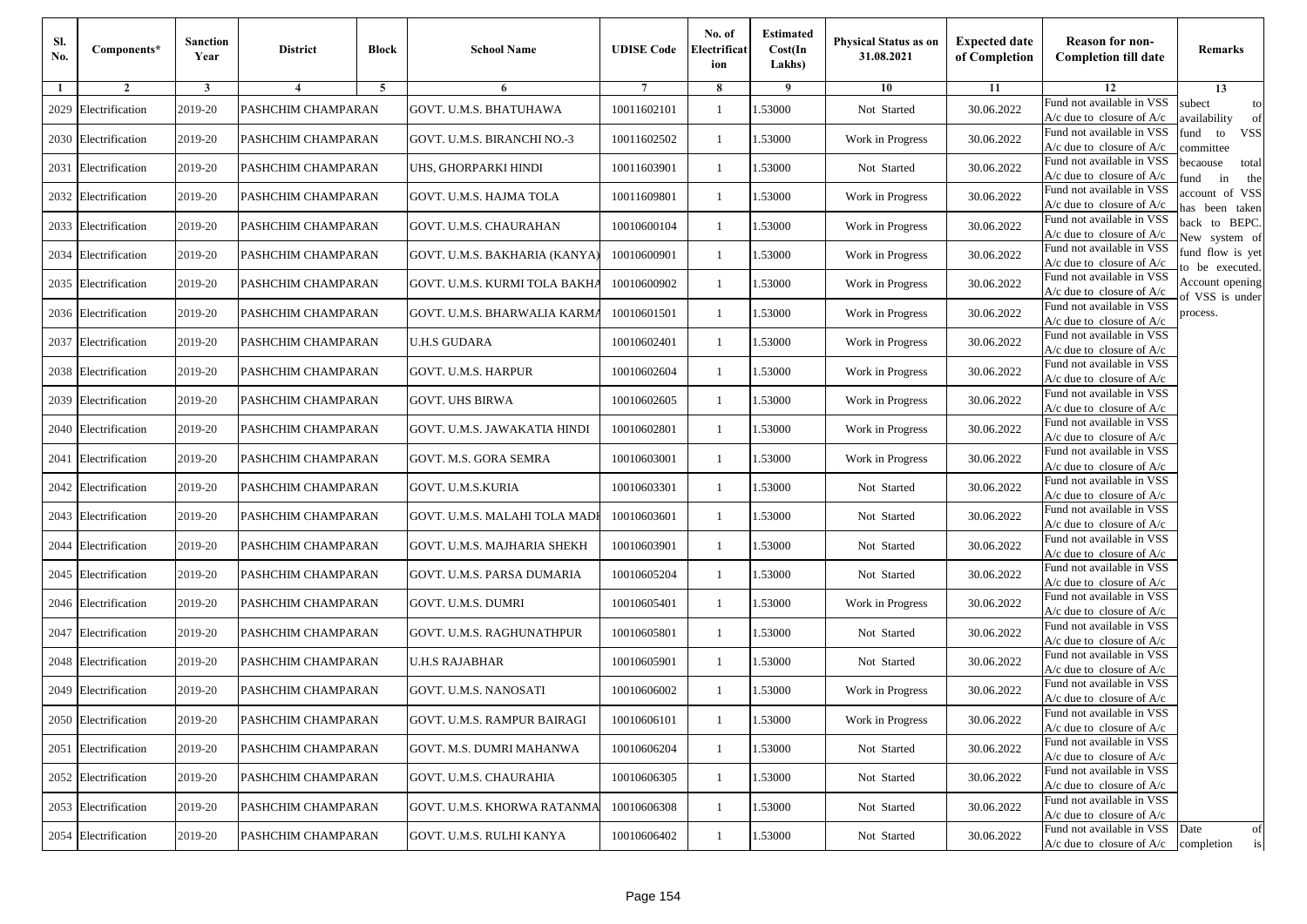| Sl.<br>No. | Components*          | <b>Sanction</b><br>Year | <b>District</b>    | <b>Block</b> | <b>School Name</b>            | <b>UDISE Code</b> | No. of<br>Electrificat<br>ion | <b>Estimated</b><br>Cost(In<br>Lakhs) | Physical Status as on<br>31.08.2021 | <b>Expected date</b><br>of Completion | <b>Reason for non-</b><br><b>Completion till date</b>                 | Remarks                               |
|------------|----------------------|-------------------------|--------------------|--------------|-------------------------------|-------------------|-------------------------------|---------------------------------------|-------------------------------------|---------------------------------------|-----------------------------------------------------------------------|---------------------------------------|
| 1          | $\overline{2}$       | 3                       | 4                  | 5            | 6                             |                   | 8                             | 9                                     | 10                                  | 11                                    | 12                                                                    | 13                                    |
| 2029       | Electrification      | 2019-20                 | PASHCHIM CHAMPARAN |              | GOVT. U.M.S. BHATUHAWA        | 10011602101       | -1                            | 1.53000                               | Not Started                         | 30.06.2022                            | Fund not available in VSS<br>$A/c$ due to closure of $A/c$            | subect<br>to<br>availability<br>of    |
| 2030       | Electrification      | 2019-20                 | PASHCHIM CHAMPARAN |              | GOVT. U.M.S. BIRANCHI NO.-3   | 10011602502       | $\mathbf{1}$                  | 1.53000                               | Work in Progress                    | 30.06.2022                            | Fund not available in VSS<br>$A/c$ due to closure of $A/c$            | fund<br><b>VSS</b><br>to<br>ommittee  |
|            | 2031 Electrification | 2019-20                 | PASHCHIM CHAMPARAN |              | UHS, GHORPARKI HINDI          | 10011603901       | $\mathbf{1}$                  | 1.53000                               | Not Started                         | 30.06.2022                            | Fund not available in VSS<br>$A/c$ due to closure of $A/c$            | pecaouse<br>total<br>in<br>und<br>the |
| 2032       | Electrification      | 2019-20                 | PASHCHIM CHAMPARAN |              | GOVT. U.M.S. HAJMA TOLA       | 10011609801       | -1                            | 1.53000                               | Work in Progress                    | 30.06.2022                            | Fund not available in VSS<br>A/c due to closure of A/c                | ccount of VSS<br>as been taken        |
|            | 2033 Electrification | 2019-20                 | PASHCHIM CHAMPARAN |              | GOVT. U.M.S. CHAURAHAN        | 10010600104       | 1                             | 1.53000                               | Work in Progress                    | 30.06.2022                            | Fund not available in VSS<br>A/c due to closure of $A/c$              | back to BEPC.<br>New system of        |
| 2034       | Electrification      | 2019-20                 | PASHCHIM CHAMPARAN |              | GOVT. U.M.S. BAKHARIA (KANYA) | 10010600901       | -1                            | 1.53000                               | Work in Progress                    | 30.06.2022                            | Fund not available in VSS<br>A/c due to closure of $A/c$              | fund flow is yet<br>o be executed.    |
|            | 2035 Electrification | 2019-20                 | PASHCHIM CHAMPARAN |              | GOVT. U.M.S. KURMI TOLA BAKHA | 10010600902       | -1                            | 1.53000                               | Work in Progress                    | 30.06.2022                            | Fund not available in VSS<br>$A/c$ due to closure of $A/c$            | Account opening<br>f VSS is under     |
|            | 2036 Electrification | 2019-20                 | PASHCHIM CHAMPARAN |              | GOVT. U.M.S. BHARWALIA KARMA  | 10010601501       | -1                            | 1.53000                               | Work in Progress                    | 30.06.2022                            | Fund not available in VSS<br>$A/c$ due to closure of $A/c$            | process.                              |
| 2037       | Electrification      | 2019-20                 | PASHCHIM CHAMPARAN |              | U.H.S GUDARA                  | 10010602401       | -1                            | 1.53000                               | Work in Progress                    | 30.06.2022                            | Fund not available in VSS<br>$A/c$ due to closure of $A/c$            |                                       |
|            | 2038 Electrification | 2019-20                 | PASHCHIM CHAMPARAN |              | GOVT. U.M.S. HARPUR           | 10010602604       | $\mathbf{1}$                  | 1.53000                               | Work in Progress                    | 30.06.2022                            | Fund not available in VSS<br>$A/c$ due to closure of $A/c$            |                                       |
|            | 2039 Electrification | 2019-20                 | PASHCHIM CHAMPARAN |              | <b>GOVT. UHS BIRWA</b>        | 10010602605       | -1                            | 1.53000                               | Work in Progress                    | 30.06.2022                            | Fund not available in VSS<br>$A/c$ due to closure of $A/c$            |                                       |
| 2040       | Electrification      | 2019-20                 | PASHCHIM CHAMPARAN |              | GOVT. U.M.S. JAWAKATIA HINDI  | 10010602801       | $\mathbf{1}$                  | 1.53000                               | Work in Progress                    | 30.06.2022                            | Fund not available in VSS<br>$A/c$ due to closure of $A/c$            |                                       |
| 2041       | Electrification      | 2019-20                 | PASHCHIM CHAMPARAN |              | GOVT. M.S. GORA SEMRA         | 10010603001       | -1                            | 1.53000                               | Work in Progress                    | 30.06.2022                            | Fund not available in VSS<br>$A/c$ due to closure of $A/c$            |                                       |
|            | 2042 Electrification | 2019-20                 | PASHCHIM CHAMPARAN |              | GOVT. U.M.S.KURIA             | 10010603301       | $\mathbf{1}$                  | 1.53000                               | Not Started                         | 30.06.2022                            | Fund not available in VSS<br>$A/c$ due to closure of $A/c$            |                                       |
|            | 2043 Electrification | 2019-20                 | PASHCHIM CHAMPARAN |              | GOVT. U.M.S. MALAHI TOLA MADI | 10010603601       | -1                            | 1.53000                               | Not Started                         | 30.06.2022                            | Fund not available in VSS<br>$A/c$ due to closure of $A/c$            |                                       |
| 2044       | Electrification      | 2019-20                 | PASHCHIM CHAMPARAN |              | GOVT. U.M.S. MAJHARIA SHEKH   | 10010603901       | -1                            | 1.53000                               | Not Started                         | 30.06.2022                            | Fund not available in VSS<br>$A/c$ due to closure of $A/c$            |                                       |
| 2045       | Electrification      | 2019-20                 | PASHCHIM CHAMPARAN |              | GOVT. U.M.S. PARSA DUMARIA    | 10010605204       | -1                            | 1.53000                               | Not Started                         | 30.06.2022                            | Fund not available in VSS<br>$A/c$ due to closure of $A/c$            |                                       |
|            | 2046 Electrification | 2019-20                 | PASHCHIM CHAMPARAN |              | GOVT. U.M.S. DUMRI            | 10010605401       | $\mathbf{1}$                  | 1.53000                               | Work in Progress                    | 30.06.2022                            | Fund not available in VSS<br>$A/c$ due to closure of $A/c$            |                                       |
| 2047       | Electrification      | 2019-20                 | PASHCHIM CHAMPARAN |              | GOVT. U.M.S. RAGHUNATHPUR     | 10010605801       | -1                            | 1.53000                               | Not Started                         | 30.06.2022                            | Fund not available in VSS<br>$A/c$ due to closure of $A/c$            |                                       |
|            | 2048 Electrification | 2019-20                 | PASHCHIM CHAMPARAN |              | U.H.S RAJABHAR                | 10010605901       | -1                            | 1.53000                               | Not Started                         | 30.06.2022                            | Fund not available in VSS<br>$A/c$ due to closure of $A/c$            |                                       |
| 2049       | Electrification      | 2019-20                 | PASHCHIM CHAMPARAN |              | GOVT. U.M.S. NANOSATI         | 10010606002       | -1                            | .53000                                | Work in Progress                    | 30.06.2022                            | Fund not available in VSS<br>A/c due to closure of A/c                |                                       |
|            | 2050 Electrification | 2019-20                 | PASHCHIM CHAMPARAN |              | GOVT. U.M.S. RAMPUR BAIRAGI   | 10010606101       | $\mathbf{1}$                  | 1.53000                               | Work in Progress                    | 30.06.2022                            | Fund not available in VSS<br>A/c due to closure of A/c                |                                       |
|            | 2051 Electrification | 2019-20                 | PASHCHIM CHAMPARAN |              | GOVT. M.S. DUMRI MAHANWA      | 10010606204       | -1                            | 1.53000                               | Not Started                         | 30.06.2022                            | Fund not available in VSS<br>A/c due to closure of $A/c$              |                                       |
|            | 2052 Electrification | 2019-20                 | PASHCHIM CHAMPARAN |              | GOVT. U.M.S. CHAURAHIA        | 10010606305       | -1                            | 1.53000                               | Not Started                         | 30.06.2022                            | Fund not available in VSS<br>$A/c$ due to closure of $A/c$            |                                       |
|            | 2053 Electrification | 2019-20                 | PASHCHIM CHAMPARAN |              | GOVT. U.M.S. KHORWA RATANMA   | 10010606308       | -1                            | 1.53000                               | Not Started                         | 30.06.2022                            | Fund not available in VSS<br>A/c due to closure of A/c                |                                       |
|            | 2054 Electrification | 2019-20                 | PASHCHIM CHAMPARAN |              | GOVT. U.M.S. RULHI KANYA      | 10010606402       | -1                            | 1.53000                               | Not Started                         | 30.06.2022                            | Fund not available in VSS<br>$A/c$ due to closure of $A/c$ completion | Date<br>of<br>is                      |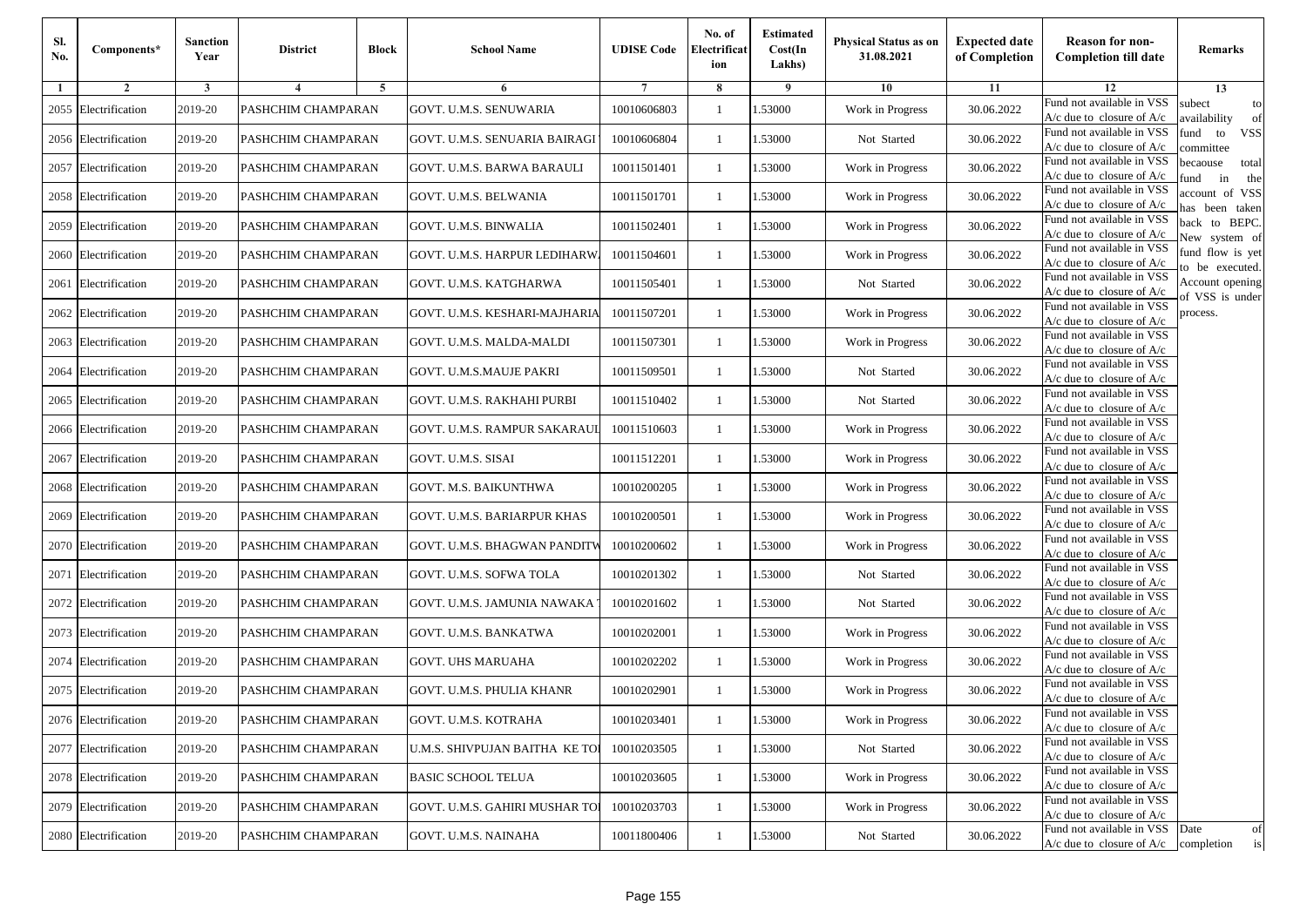| SI.<br>No. | Components*          | <b>Sanction</b><br>Year | <b>District</b>    | <b>Block</b>   | <b>School Name</b>             | <b>UDISE Code</b> | No. of<br>Electrificat<br>ion | <b>Estimated</b><br>Cost(In<br>Lakhs) | <b>Physical Status as on</b><br>31.08.2021 | <b>Expected date</b><br>of Completion | <b>Reason for non-</b><br><b>Completion till date</b>      | Remarks                               |
|------------|----------------------|-------------------------|--------------------|----------------|--------------------------------|-------------------|-------------------------------|---------------------------------------|--------------------------------------------|---------------------------------------|------------------------------------------------------------|---------------------------------------|
| -1         | $\overline{2}$       | 3                       | $\overline{4}$     | $\overline{5}$ | 6                              |                   | 8                             | 9                                     | 10                                         | 11                                    | 12                                                         | 13                                    |
| 2055       | Electrification      | 2019-20                 | PASHCHIM CHAMPARAN |                | GOVT. U.M.S. SENUWARIA         | 10010606803       | $\mathbf{1}$                  | 1.53000                               | Work in Progress                           | 30.06.2022                            | Fund not available in VSS<br>$A/c$ due to closure of $A/c$ | subect<br>to<br>wailability<br>of     |
|            | 2056 Electrification | 2019-20                 | PASHCHIM CHAMPARAN |                | GOVT. U.M.S. SENUARIA BAIRAGI  | 10010606804       | 1                             | 1.53000                               | Not Started                                | 30.06.2022                            | Fund not available in VSS<br>$A/c$ due to closure of $A/c$ | fund to<br><b>VSS</b><br>committee    |
|            | 2057 Electrification | 2019-20                 | PASHCHIM CHAMPARAN |                | GOVT. U.M.S. BARWA BARAULI     | 10011501401       | 1                             | 1.53000                               | Work in Progress                           | 30.06.2022                            | Fund not available in VSS<br>$A/c$ due to closure of $A/c$ | becaouse<br>total<br>in<br>ınd<br>the |
|            | 2058 Electrification | 2019-20                 | PASHCHIM CHAMPARAN |                | GOVT. U.M.S. BELWANIA          | 10011501701       | 1                             | 1.53000                               | Work in Progress                           | 30.06.2022                            | Fund not available in VSS<br>A/c due to closure of A/c     | ccount of VSS<br>as been taken        |
|            | 2059 Electrification | 2019-20                 | PASHCHIM CHAMPARAN |                | <b>GOVT. U.M.S. BINWALIA</b>   | 10011502401       | 1                             | 1.53000                               | Work in Progress                           | 30.06.2022                            | Fund not available in VSS<br>A/c due to closure of $A/c$   | back to BEPC.<br>New system of        |
|            | 2060 Electrification | 2019-20                 | PASHCHIM CHAMPARAN |                | GOVT. U.M.S. HARPUR LEDIHARW   | 10011504601       | -1                            | 1.53000                               | Work in Progress                           | 30.06.2022                            | Fund not available in VSS<br>$A/c$ due to closure of $A/c$ | fund flow is yet<br>o be executed.    |
| 2061       | Electrification      | 2019-20                 | PASHCHIM CHAMPARAN |                | GOVT. U.M.S. KATGHARWA         | 10011505401       | -1                            | 1.53000                               | Not Started                                | 30.06.2022                            | Fund not available in VSS<br>$A/c$ due to closure of $A/c$ | Account opening<br>of VSS is under    |
| 2062       | Electrification      | 2019-20                 | PASHCHIM CHAMPARAN |                | GOVT. U.M.S. KESHARI-MAJHARIA  | 10011507201       | 1                             | 1.53000                               | Work in Progress                           | 30.06.2022                            | Fund not available in VSS<br>$A/c$ due to closure of $A/c$ | process.                              |
| 2063       | Electrification      | 2019-20                 | PASHCHIM CHAMPARAN |                | GOVT. U.M.S. MALDA-MALDI       | 10011507301       | 1                             | 1.53000                               | Work in Progress                           | 30.06.2022                            | Fund not available in VSS<br>$A/c$ due to closure of $A/c$ |                                       |
| 2064       | Electrification      | 2019-20                 | PASHCHIM CHAMPARAN |                | GOVT. U.M.S.MAUJE PAKRI        | 10011509501       | $\mathbf{1}$                  | 1.53000                               | Not Started                                | 30.06.2022                            | Fund not available in VSS<br>$A/c$ due to closure of $A/c$ |                                       |
|            | 2065 Electrification | 2019-20                 | PASHCHIM CHAMPARAN |                | GOVT. U.M.S. RAKHAHI PURBI     | 10011510402       | -1                            | 1.53000                               | Not Started                                | 30.06.2022                            | Fund not available in VSS<br>A/c due to closure of $A/c$   |                                       |
|            | 2066 Electrification | 2019-20                 | PASHCHIM CHAMPARAN |                | GOVT. U.M.S. RAMPUR SAKARAUI   | 10011510603       | $\mathbf{1}$                  | 1.53000                               | Work in Progress                           | 30.06.2022                            | Fund not available in VSS<br>A/c due to closure of A/c     |                                       |
| 2067       | Electrification      | 2019-20                 | PASHCHIM CHAMPARAN |                | GOVT. U.M.S. SISAI             | 10011512201       | 1                             | 1.53000                               | Work in Progress                           | 30.06.2022                            | Fund not available in VSS<br>$A/c$ due to closure of $A/c$ |                                       |
|            | 2068 Electrification | 2019-20                 | PASHCHIM CHAMPARAN |                | GOVT. M.S. BAIKUNTHWA          | 10010200205       | 1                             | 1.53000                               | Work in Progress                           | 30.06.2022                            | Fund not available in VSS<br>$A/c$ due to closure of $A/c$ |                                       |
|            | 2069 Electrification | 2019-20                 | PASHCHIM CHAMPARAN |                | GOVT. U.M.S. BARIARPUR KHAS    | 10010200501       | 1                             | 1.53000                               | Work in Progress                           | 30.06.2022                            | Fund not available in VSS<br>$A/c$ due to closure of $A/c$ |                                       |
|            | 2070 Electrification | 2019-20                 | PASHCHIM CHAMPARAN |                | GOVT. U.M.S. BHAGWAN PANDITW   | 10010200602       | 1                             | 1.53000                               | Work in Progress                           | 30.06.2022                            | Fund not available in VSS<br>$A/c$ due to closure of $A/c$ |                                       |
| 2071       | Electrification      | 2019-20                 | PASHCHIM CHAMPARAN |                | GOVT. U.M.S. SOFWA TOLA        | 10010201302       | $\mathbf{1}$                  | 1.53000                               | Not Started                                | 30.06.2022                            | Fund not available in VSS<br>$A/c$ due to closure of $A/c$ |                                       |
|            | 2072 Electrification | 2019-20                 | PASHCHIM CHAMPARAN |                | GOVT. U.M.S. JAMUNIA NAWAKA    | 10010201602       | $\mathbf{1}$                  | 1.53000                               | Not Started                                | 30.06.2022                            | Fund not available in VSS<br>$A/c$ due to closure of $A/c$ |                                       |
|            | 2073 Electrification | 2019-20                 | PASHCHIM CHAMPARAN |                | GOVT. U.M.S. BANKATWA          | 10010202001       | -1                            | 1.53000                               | Work in Progress                           | 30.06.2022                            | Fund not available in VSS<br>$A/c$ due to closure of $A/c$ |                                       |
|            | 2074 Electrification | 2019-20                 | PASHCHIM CHAMPARAN |                | GOVT. UHS MARUAHA              | 10010202202       | -1                            | 1.53000                               | Work in Progress                           | 30.06.2022                            | Fund not available in VSS<br>A/c due to closure of A/c     |                                       |
|            | 2075 Electrification | 2019-20                 | PASHCHIM CHAMPARAN |                | GOVT. U.M.S. PHULIA KHANR      | 10010202901       | $\mathbf{1}$                  | 1.53000                               | Work in Progress                           | 30.06.2022                            | Fund not available in VSS<br>$A/c$ due to closure of $A/c$ |                                       |
|            | 2076 Electrification | 2019-20                 | PASHCHIM CHAMPARAN |                | GOVT. U.M.S. KOTRAHA           | 10010203401       | -1                            | 1.53000                               | Work in Progress                           | 30.06.2022                            | Fund not available in VSS<br>A/c due to closure of A/c     |                                       |
|            | 2077 Electrification | 2019-20                 | PASHCHIM CHAMPARAN |                | U.M.S. SHIVPUJAN BAITHA KE TOI | 10010203505       | -1                            | 1.53000                               | Not Started                                | 30.06.2022                            | Fund not available in VSS<br>$A/c$ due to closure of $A/c$ |                                       |
|            | 2078 Electrification | 2019-20                 | PASHCHIM CHAMPARAN |                | <b>BASIC SCHOOL TELUA</b>      | 10010203605       | -1                            | 1.53000                               | Work in Progress                           | 30.06.2022                            | Fund not available in VSS<br>$A/c$ due to closure of $A/c$ |                                       |
|            | 2079 Electrification | 2019-20                 | PASHCHIM CHAMPARAN |                | GOVT. U.M.S. GAHIRI MUSHAR TO  | 10010203703       | -1                            | 1.53000                               | Work in Progress                           | 30.06.2022                            | Fund not available in VSS<br>A/c due to closure of A/c     |                                       |
|            | 2080 Electrification | 2019-20                 | PASHCHIM CHAMPARAN |                | GOVT. U.M.S. NAINAHA           | 10011800406       | $\mathbf{1}$                  | 1.53000                               | Not Started                                | 30.06.2022                            | Fund not available in VSS<br>$A/c$ due to closure of $A/c$ | Date<br>of<br>completion<br>is        |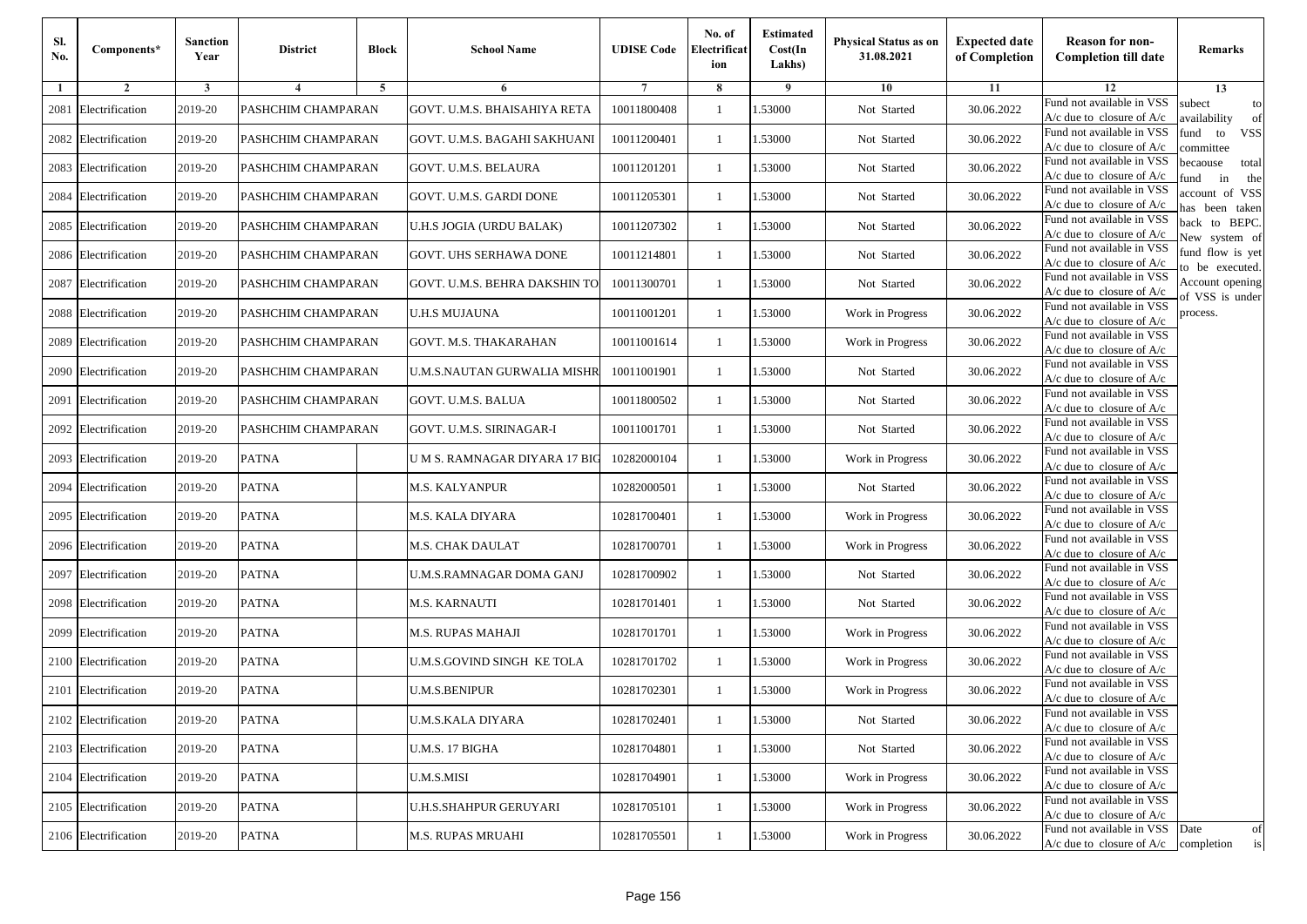| Sl.<br>No. | Components*          | <b>Sanction</b><br>Year | <b>District</b>    | <b>Block</b>   | <b>School Name</b>            | <b>UDISE Code</b> | No. of<br>Electrificat<br>ion | <b>Estimated</b><br>Cost(In<br>Lakhs) | <b>Physical Status as on</b><br>31.08.2021 | <b>Expected date</b><br>of Completion | <b>Reason for non-</b><br><b>Completion till date</b>      | Remarks                               |
|------------|----------------------|-------------------------|--------------------|----------------|-------------------------------|-------------------|-------------------------------|---------------------------------------|--------------------------------------------|---------------------------------------|------------------------------------------------------------|---------------------------------------|
| 1          | $\overline{2}$       | 3                       | $\overline{4}$     | $\overline{5}$ | 6                             | -7                | 8                             | 9                                     | 10                                         | 11                                    | 12                                                         | 13                                    |
| 2081       | Electrification      | 2019-20                 | PASHCHIM CHAMPARAN |                | GOVT. U.M.S. BHAISAHIYA RETA  | 10011800408       | $\mathbf{1}$                  | 1.53000                               | Not Started                                | 30.06.2022                            | Fund not available in VSS<br>$A/c$ due to closure of $A/c$ | subect<br>to<br>wailability<br>of     |
|            | 2082 Electrification | 2019-20                 | PASHCHIM CHAMPARAN |                | GOVT. U.M.S. BAGAHI SAKHUANI  | 10011200401       | -1                            | 1.53000                               | Not Started                                | 30.06.2022                            | Fund not available in VSS<br>$A/c$ due to closure of $A/c$ | fund to<br><b>VSS</b><br>ommittee     |
|            | 2083 Electrification | 2019-20                 | PASHCHIM CHAMPARAN |                | GOVT. U.M.S. BELAURA          | 10011201201       | -1                            | 1.53000                               | Not Started                                | 30.06.2022                            | Fund not available in VSS<br>$A/c$ due to closure of $A/c$ | becaouse<br>total<br>in<br>und<br>the |
| 2084       | Electrification      | 2019-20                 | PASHCHIM CHAMPARAN |                | GOVT. U.M.S. GARDI DONE       | 10011205301       | -1                            | 1.53000                               | Not Started                                | 30.06.2022                            | Fund not available in VSS<br>A/c due to closure of A/c     | ccount of VSS<br>as been taken        |
| 2085       | Electrification      | 2019-20                 | PASHCHIM CHAMPARAN |                | U.H.S JOGIA (URDU BALAK)      | 10011207302       | 1                             | 1.53000                               | Not Started                                | 30.06.2022                            | Fund not available in VSS<br>A/c due to closure of $A/c$   | back to BEPC.<br>New system of        |
|            | 2086 Electrification | 2019-20                 | PASHCHIM CHAMPARAN |                | GOVT. UHS SERHAWA DONE        | 10011214801       | -1                            | 1.53000                               | Not Started                                | 30.06.2022                            | Fund not available in VSS<br>$A/c$ due to closure of $A/c$ | iund flow is yet<br>o be executed.    |
| 2087       | Electrification      | 2019-20                 | PASHCHIM CHAMPARAN |                | GOVT. U.M.S. BEHRA DAKSHIN TO | 10011300701       | -1                            | 1.53000                               | Not Started                                | 30.06.2022                            | Fund not available in VSS<br>$A/c$ due to closure of $A/c$ | Account opening<br>of VSS is under    |
| 2088       | Electrification      | 2019-20                 | PASHCHIM CHAMPARAN |                | U.H.S MUJAUNA                 | 10011001201       | -1                            | 1.53000                               | Work in Progress                           | 30.06.2022                            | Fund not available in VSS<br>$A/c$ due to closure of $A/c$ | process.                              |
| 2089       | Electrification      | 2019-20                 | PASHCHIM CHAMPARAN |                | GOVT. M.S. THAKARAHAN         | 10011001614       | -1                            | 1.53000                               | Work in Progress                           | 30.06.2022                            | Fund not available in VSS<br>$A/c$ due to closure of $A/c$ |                                       |
| 2090       | Electrification      | 2019-20                 | PASHCHIM CHAMPARAN |                | U.M.S.NAUTAN GURWALIA MISHR   | 10011001901       | $\mathbf{1}$                  | 1.53000                               | Not Started                                | 30.06.2022                            | Fund not available in VSS<br>$A/c$ due to closure of $A/c$ |                                       |
| 2091       | Electrification      | 2019-20                 | PASHCHIM CHAMPARAN |                | GOVT. U.M.S. BALUA            | 10011800502       | -1                            | 1.53000                               | Not Started                                | 30.06.2022                            | Fund not available in VSS<br>$A/c$ due to closure of $A/c$ |                                       |
| 2092       | Electrification      | 2019-20                 | PASHCHIM CHAMPARAN |                | GOVT. U.M.S. SIRINAGAR-I      | 10011001701       | -1                            | 1.53000                               | Not Started                                | 30.06.2022                            | Fund not available in VSS<br>A/c due to closure of A/c     |                                       |
|            | 2093 Electrification | 2019-20                 | <b>PATNA</b>       |                | U M S. RAMNAGAR DIYARA 17 BIC | 10282000104       | $\mathbf{1}$                  | 1.53000                               | Work in Progress                           | 30.06.2022                            | Fund not available in VSS<br>$A/c$ due to closure of $A/c$ |                                       |
| 2094       | Electrification      | 2019-20                 | <b>PATNA</b>       |                | M.S. KALYANPUR                | 10282000501       | -1                            | 1.53000                               | Not Started                                | 30.06.2022                            | Fund not available in VSS<br>$A/c$ due to closure of $A/c$ |                                       |
|            | 2095 Electrification | 2019-20                 | <b>PATNA</b>       |                | M.S. KALA DIYARA              | 10281700401       | -1                            | 1.53000                               | Work in Progress                           | 30.06.2022                            | Fund not available in VSS<br>$A/c$ due to closure of $A/c$ |                                       |
|            | 2096 Electrification | 2019-20                 | <b>PATNA</b>       |                | M.S. CHAK DAULAT              | 10281700701       | -1                            | 1.53000                               | Work in Progress                           | 30.06.2022                            | Fund not available in VSS<br>$A/c$ due to closure of $A/c$ |                                       |
| 2097       | Electrification      | 2019-20                 | <b>PATNA</b>       |                | U.M.S.RAMNAGAR DOMA GANJ      | 10281700902       | $\mathbf{1}$                  | 1.53000                               | Not Started                                | 30.06.2022                            | Fund not available in VSS<br>$A/c$ due to closure of $A/c$ |                                       |
| 2098       | Electrification      | 2019-20                 | <b>PATNA</b>       |                | M.S. KARNAUTI                 | 10281701401       | $\mathbf{1}$                  | 1.53000                               | Not Started                                | 30.06.2022                            | Fund not available in VSS<br>$A/c$ due to closure of $A/c$ |                                       |
| 2099       | Electrification      | 2019-20                 | <b>PATNA</b>       |                | M.S. RUPAS MAHAJI             | 10281701701       | $\mathbf{1}$                  | 1.53000                               | Work in Progress                           | 30.06.2022                            | Fund not available in VSS<br>$A/c$ due to closure of $A/c$ |                                       |
| 2100       | Electrification      | 2019-20                 | <b>PATNA</b>       |                | U.M.S.GOVIND SINGH KE TOLA    | 10281701702       | -1                            | 1.53000                               | Work in Progress                           | 30.06.2022                            | Fund not available in VSS<br>$A/c$ due to closure of $A/c$ |                                       |
| 2101       | Electrification      | 2019-20                 | <b>PATNA</b>       |                | U.M.S.BENIPUR                 | 10281702301       | $\mathbf{1}$                  | 1.53000                               | Work in Progress                           | 30.06.2022                            | Fund not available in VSS<br>$A/c$ due to closure of $A/c$ |                                       |
|            | 2102 Electrification | 2019-20                 | <b>PATNA</b>       |                | <b>U.M.S.KALA DIYARA</b>      | 10281702401       | -1                            | 1.53000                               | Not Started                                | 30.06.2022                            | Fund not available in VSS<br>A/c due to closure of A/c     |                                       |
|            | 2103 Electrification | 2019-20                 | <b>PATNA</b>       |                | U.M.S. 17 BIGHA               | 10281704801       | -1                            | 1.53000                               | Not Started                                | 30.06.2022                            | Fund not available in VSS<br>$A/c$ due to closure of $A/c$ |                                       |
|            | 2104 Electrification | 2019-20                 | <b>PATNA</b>       |                | <b>U.M.S.MISI</b>             | 10281704901       | -1                            | 1.53000                               | Work in Progress                           | 30.06.2022                            | Fund not available in VSS<br>A/c due to closure of $A/c$   |                                       |
|            | 2105 Electrification | 2019-20                 | <b>PATNA</b>       |                | U.H.S.SHAHPUR GERUYARI        | 10281705101       | -1                            | 1.53000                               | Work in Progress                           | 30.06.2022                            | Fund not available in VSS<br>A/c due to closure of A/c     |                                       |
|            | 2106 Electrification | 2019-20                 | <b>PATNA</b>       |                | M.S. RUPAS MRUAHI             | 10281705501       | $\mathbf{1}$                  | 1.53000                               | Work in Progress                           | 30.06.2022                            | Fund not available in VSS<br>$A/c$ due to closure of $A/c$ | Date<br>of<br>is<br>completion        |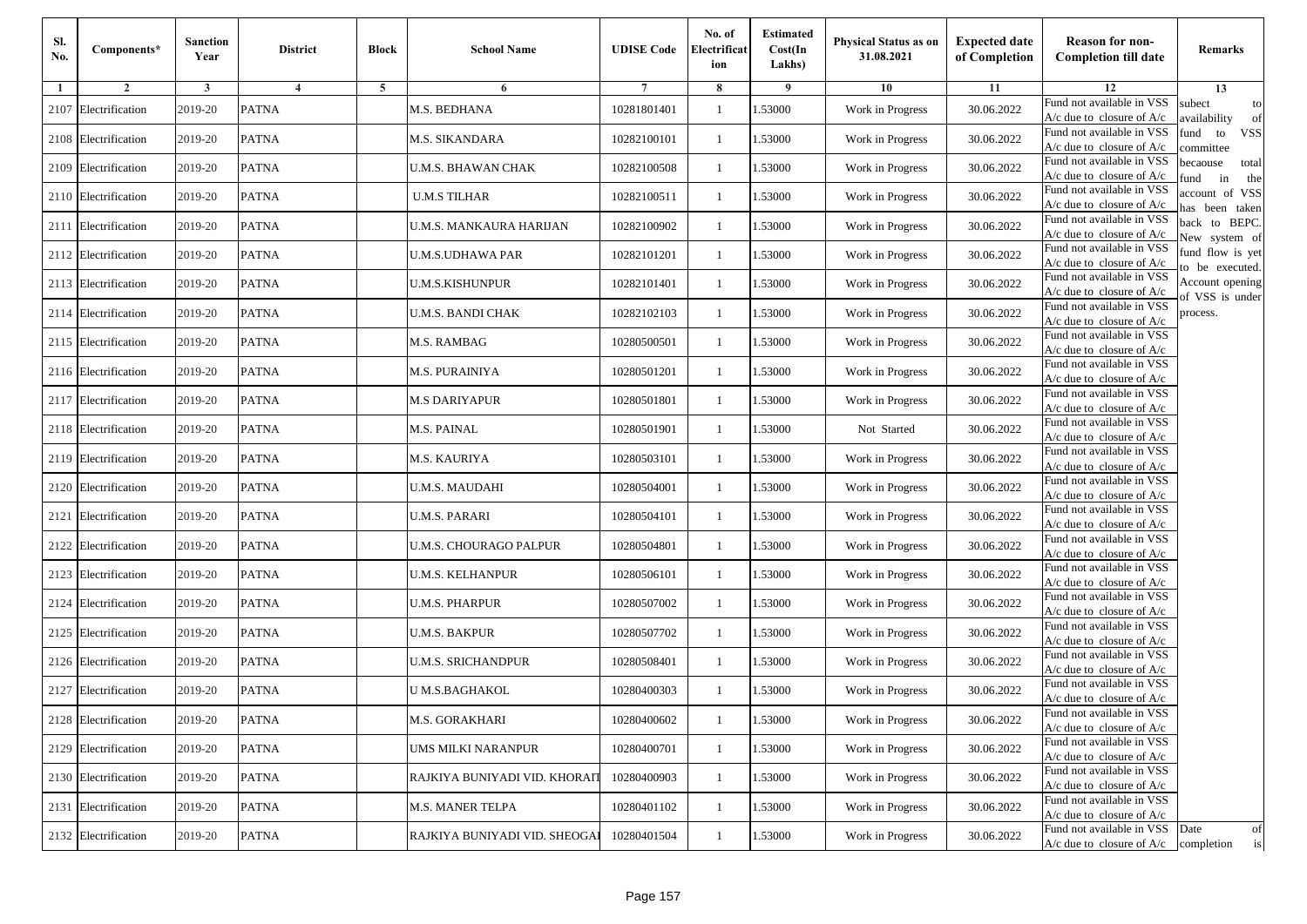| Sl.<br>No. | Components*          | <b>Sanction</b><br>Year | <b>District</b>         | <b>Block</b> | <b>School Name</b>            | <b>UDISE Code</b> | No. of<br>Electrificat<br>ion | <b>Estimated</b><br>Cost(In<br>Lakhs) | Physical Status as on<br>31.08.2021 | <b>Expected date</b><br>of Completion | <b>Reason for non-</b><br><b>Completion till date</b>                 | Remarks                               |
|------------|----------------------|-------------------------|-------------------------|--------------|-------------------------------|-------------------|-------------------------------|---------------------------------------|-------------------------------------|---------------------------------------|-----------------------------------------------------------------------|---------------------------------------|
| 1          | $\overline{2}$       | 3                       | $\overline{\mathbf{4}}$ | 5            | 6                             | 7                 | 8                             | 9                                     | 10                                  | 11                                    | 12                                                                    | 13                                    |
| 2107       | Electrification      | 2019-20                 | <b>PATNA</b>            |              | M.S. BEDHANA                  | 10281801401       | $\mathbf{1}$                  | 1.53000                               | Work in Progress                    | 30.06.2022                            | Fund not available in VSS<br>$A/c$ due to closure of $A/c$            | subect<br>to<br>wailability<br>of     |
| 2108       | Electrification      | 2019-20                 | <b>PATNA</b>            |              | M.S. SIKANDARA                | 10282100101       | $\mathbf{1}$                  | 1.53000                               | Work in Progress                    | 30.06.2022                            | Fund not available in VSS<br>$A/c$ due to closure of $A/c$            | <b>VSS</b><br>fund<br>to<br>ommittee  |
|            | 2109 Electrification | 2019-20                 | <b>PATNA</b>            |              | U.M.S. BHAWAN CHAK            | 10282100508       | -1                            | 1.53000                               | Work in Progress                    | 30.06.2022                            | Fund not available in VSS<br>$A/c$ due to closure of $A/c$            | pecaouse<br>total<br>in<br>und<br>the |
|            | 2110 Electrification | 2019-20                 | <b>PATNA</b>            |              | <b>U.M.S TILHAR</b>           | 10282100511       | -1                            | 1.53000                               | Work in Progress                    | 30.06.2022                            | Fund not available in VSS<br>$A/c$ due to closure of $A/c$            | account of VSS<br>as been taken       |
| 2111       | Electrification      | 2019-20                 | <b>PATNA</b>            |              | U.M.S. MANKAURA HARIJAN       | 10282100902       | -1                            | 1.53000                               | Work in Progress                    | 30.06.2022                            | Fund not available in VSS<br>A/c due to closure of A/c                | back to BEPC.<br>New system of        |
|            | 2112 Electrification | 2019-20                 | <b>PATNA</b>            |              | U.M.S.UDHAWA PAR              | 10282101201       | $\mathbf{1}$                  | 1.53000                               | Work in Progress                    | 30.06.2022                            | Fund not available in VSS<br>$A/c$ due to closure of $A/c$            | fund flow is yet<br>o be executed.    |
|            | 2113 Electrification | 2019-20                 | <b>PATNA</b>            |              | U.M.S.KISHUNPUR               | 10282101401       | -1                            | 1.53000                               | Work in Progress                    | 30.06.2022                            | Fund not available in VSS<br>$A/c$ due to closure of $A/c$            | Account opening<br>of VSS is under    |
|            | 2114 Electrification | 2019-20                 | <b>PATNA</b>            |              | U.M.S. BANDI CHAK             | 10282102103       | -1                            | 1.53000                               | Work in Progress                    | 30.06.2022                            | Fund not available in VSS<br>$A/c$ due to closure of $A/c$            | process.                              |
| 2115       | Electrification      | 2019-20                 | <b>PATNA</b>            |              | M.S. RAMBAG                   | 10280500501       | -1                            | 1.53000                               | Work in Progress                    | 30.06.2022                            | Fund not available in VSS<br>$A/c$ due to closure of $A/c$            |                                       |
|            | 2116 Electrification | 2019-20                 | <b>PATNA</b>            |              | <b>M.S. PURAINIYA</b>         | 10280501201       | $\mathbf{1}$                  | 1.53000                               | Work in Progress                    | 30.06.2022                            | Fund not available in VSS<br>$A/c$ due to closure of $A/c$            |                                       |
|            | 2117 Electrification | 2019-20                 | <b>PATNA</b>            |              | M.S DARIYAPUR                 | 10280501801       | $\mathbf{1}$                  | 1.53000                               | Work in Progress                    | 30.06.2022                            | Fund not available in VSS<br>$A/c$ due to closure of $A/c$            |                                       |
|            | 2118 Electrification | 2019-20                 | <b>PATNA</b>            |              | M.S. PAINAL                   | 10280501901       | -1                            | 1.53000                               | Not Started                         | 30.06.2022                            | Fund not available in VSS<br>$A/c$ due to closure of $A/c$            |                                       |
| 2119       | Electrification      | 2019-20                 | <b>PATNA</b>            |              | M.S. KAURIYA                  | 10280503101       | -1                            | 1.53000                               | Work in Progress                    | 30.06.2022                            | Fund not available in VSS<br>A/c due to closure of A/c                |                                       |
|            | 2120 Electrification | 2019-20                 | <b>PATNA</b>            |              | U.M.S. MAUDAHI                | 10280504001       | 1                             | 1.53000                               | Work in Progress                    | 30.06.2022                            | Fund not available in VSS<br>$A/c$ due to closure of $A/c$            |                                       |
|            | 2121 Electrification | 2019-20                 | <b>PATNA</b>            |              | U.M.S. PARARI                 | 10280504101       | -1                            | 1.53000                               | Work in Progress                    | 30.06.2022                            | Fund not available in VSS<br>$A/c$ due to closure of $A/c$            |                                       |
|            | 2122 Electrification | 2019-20                 | <b>PATNA</b>            |              | U.M.S. CHOURAGO PALPUR        | 10280504801       | -1                            | 1.53000                               | Work in Progress                    | 30.06.2022                            | Fund not available in VSS<br>$A/c$ due to closure of $A/c$            |                                       |
| 2123       | Electrification      | 2019-20                 | <b>PATNA</b>            |              | U.M.S. KELHANPUR              | 10280506101       | -1                            | 1.53000                               | Work in Progress                    | 30.06.2022                            | Fund not available in VSS<br>$A/c$ due to closure of $A/c$            |                                       |
| 2124       | Electrification      | 2019-20                 | <b>PATNA</b>            |              | <b>U.M.S. PHARPUR</b>         | 10280507002       | $\mathbf{1}$                  | 1.53000                               | Work in Progress                    | 30.06.2022                            | Fund not available in VSS<br>$A/c$ due to closure of $A/c$            |                                       |
|            | 2125 Electrification | 2019-20                 | <b>PATNA</b>            |              | U.M.S. BAKPUR                 | 10280507702       | $\mathbf{1}$                  | 1.53000                               | Work in Progress                    | 30.06.2022                            | Fund not available in VSS<br>$A/c$ due to closure of $A/c$            |                                       |
|            | 2126 Electrification | 2019-20                 | <b>PATNA</b>            |              | U.M.S. SRICHANDPUR            | 10280508401       | -1                            | 1.53000                               | Work in Progress                    | 30.06.2022                            | Fund not available in VSS<br>A/c due to closure of A/c                |                                       |
| 2127       | Electrification      | 2019-20                 | <b>PATNA</b>            |              | U M.S.BAGHAKOL                | 10280400303       | -1                            | .53000                                | Work in Progress                    | 30.06.2022                            | Fund not available in VSS<br>A/c due to closure of A/c                |                                       |
|            | 2128 Electrification | 2019-20                 | PATNA                   |              | M.S. GORAKHARI                | 10280400602       | $\mathbf{1}$                  | 1.53000                               | Work in Progress                    | 30.06.2022                            | Fund not available in VSS<br>A/c due to closure of A/c                |                                       |
|            | 2129 Electrification | 2019-20                 | <b>PATNA</b>            |              | UMS MILKI NARANPUR            | 10280400701       | $\mathbf{1}$                  | 1.53000                               | Work in Progress                    | 30.06.2022                            | Fund not available in VSS<br>$A/c$ due to closure of $A/c$            |                                       |
|            | 2130 Electrification | 2019-20                 | <b>PATNA</b>            |              | RAJKIYA BUNIYADI VID. KHORAIT | 10280400903       | -1                            | 1.53000                               | Work in Progress                    | 30.06.2022                            | Fund not available in VSS<br>$A/c$ due to closure of $A/c$            |                                       |
|            | 2131 Electrification | 2019-20                 | <b>PATNA</b>            |              | <b>M.S. MANER TELPA</b>       | 10280401102       | 1                             | 1.53000                               | Work in Progress                    | 30.06.2022                            | Fund not available in VSS<br>$A/c$ due to closure of $A/c$            |                                       |
|            | 2132 Electrification | 2019-20                 | <b>PATNA</b>            |              | RAJKIYA BUNIYADI VID. SHEOGAI | 10280401504       | -1                            | 1.53000                               | Work in Progress                    | 30.06.2022                            | Fund not available in VSS<br>$A/c$ due to closure of $A/c$ completion | Date<br>of<br>is                      |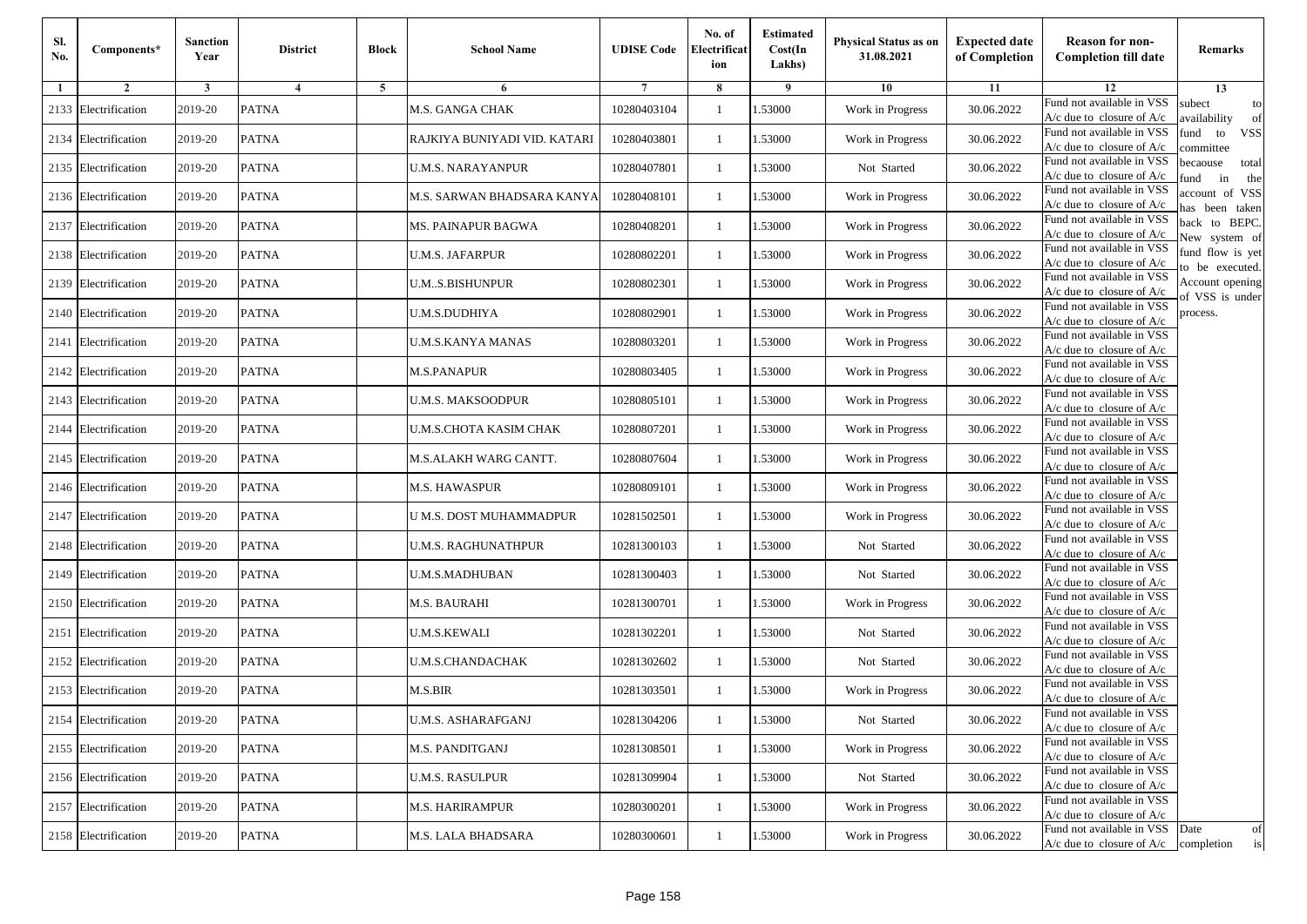| Sl.<br>No. | Components*          | <b>Sanction</b><br>Year | <b>District</b> | <b>Block</b> | <b>School Name</b>           | <b>UDISE Code</b> | No. of<br>Electrificat<br>ion | <b>Estimated</b><br>Cost(In<br>Lakhs) | Physical Status as on<br>31.08.2021 | <b>Expected date</b><br>of Completion | <b>Reason for non-</b><br><b>Completion till date</b>                 | Remarks                               |
|------------|----------------------|-------------------------|-----------------|--------------|------------------------------|-------------------|-------------------------------|---------------------------------------|-------------------------------------|---------------------------------------|-----------------------------------------------------------------------|---------------------------------------|
| 1          | $\overline{2}$       | 3                       | $\overline{4}$  | 5            | 6                            |                   | 8                             | 9                                     | 10                                  | 11                                    | 12                                                                    | 13                                    |
| 2133       | Electrification      | 2019-20                 | <b>PATNA</b>    |              | M.S. GANGA CHAK              | 10280403104       | -1                            | 1.53000                               | Work in Progress                    | 30.06.2022                            | Fund not available in VSS<br>$A/c$ due to closure of $A/c$            | subect<br>to<br>availability<br>of    |
| 2134       | Electrification      | 2019-20                 | <b>PATNA</b>    |              | RAJKIYA BUNIYADI VID. KATARI | 10280403801       | $\mathbf{1}$                  | 1.53000                               | Work in Progress                    | 30.06.2022                            | Fund not available in VSS<br>$A/c$ due to closure of $A/c$            | fund<br>to<br><b>VSS</b><br>ommittee  |
|            | 2135 Electrification | 2019-20                 | <b>PATNA</b>    |              | U.M.S. NARAYANPUR            | 10280407801       | $\mathbf{1}$                  | 1.53000                               | Not Started                         | 30.06.2022                            | Fund not available in VSS<br>$A/c$ due to closure of $A/c$            | pecaouse<br>total<br>und<br>in<br>the |
|            | 2136 Electrification | 2019-20                 | <b>PATNA</b>    |              | M.S. SARWAN BHADSARA KANYA   | 10280408101       | -1                            | 1.53000                               | Work in Progress                    | 30.06.2022                            | Fund not available in VSS<br>$A/c$ due to closure of $A/c$            | ccount of VSS<br>as been taken        |
| 2137       | Electrification      | 2019-20                 | <b>PATNA</b>    |              | MS. PAINAPUR BAGWA           | 10280408201       | $\mathbf{1}$                  | 1.53000                               | Work in Progress                    | 30.06.2022                            | Fund not available in VSS<br>A/c due to closure of $A/c$              | back to BEPC.<br>New system of        |
|            | 2138 Electrification | 2019-20                 | <b>PATNA</b>    |              | U.M.S. JAFARPUR              | 10280802201       | -1                            | 1.53000                               | Work in Progress                    | 30.06.2022                            | Fund not available in VSS<br>A/c due to closure of $A/c$              | fund flow is yet<br>o be executed.    |
|            | 2139 Electrification | 2019-20                 | <b>PATNA</b>    |              | U.MS.BISHUNPUR               | 10280802301       | -1                            | 1.53000                               | Work in Progress                    | 30.06.2022                            | Fund not available in VSS<br>$A/c$ due to closure of $A/c$            | Account opening<br>of VSS is under    |
|            | 2140 Electrification | 2019-20                 | <b>PATNA</b>    |              | U.M.S.DUDHIYA                | 10280802901       | -1                            | 1.53000                               | Work in Progress                    | 30.06.2022                            | Fund not available in VSS<br>$A/c$ due to closure of $A/c$            | process.                              |
| 2141       | Electrification      | 2019-20                 | <b>PATNA</b>    |              | <b>U.M.S.KANYA MANAS</b>     | 10280803201       | -1                            | 1.53000                               | Work in Progress                    | 30.06.2022                            | Fund not available in VSS<br>$A/c$ due to closure of $A/c$            |                                       |
|            | 2142 Electrification | 2019-20                 | <b>PATNA</b>    |              | <b>M.S.PANAPUR</b>           | 10280803405       | $\mathbf{1}$                  | 1.53000                               | Work in Progress                    | 30.06.2022                            | Fund not available in VSS<br>$A/c$ due to closure of $A/c$            |                                       |
|            | 2143 Electrification | 2019-20                 | <b>PATNA</b>    |              | U.M.S. MAKSOODPUR            | 10280805101       | -1                            | 1.53000                               | Work in Progress                    | 30.06.2022                            | Fund not available in VSS<br>$A/c$ due to closure of $A/c$            |                                       |
| 2144       | Electrification      | 2019-20                 | <b>PATNA</b>    |              | U.M.S.CHOTA KASIM CHAK       | 10280807201       | $\mathbf{1}$                  | 1.53000                               | Work in Progress                    | 30.06.2022                            | Fund not available in VSS<br>$A/c$ due to closure of $A/c$            |                                       |
| 2145       | Electrification      | 2019-20                 | <b>PATNA</b>    |              | M.S.ALAKH WARG CANTT.        | 10280807604       | -1                            | 1.53000                               | Work in Progress                    | 30.06.2022                            | Fund not available in VSS<br>$A/c$ due to closure of $A/c$            |                                       |
|            | 2146 Electrification | 2019-20                 | <b>PATNA</b>    |              | M.S. HAWASPUR                | 10280809101       | $\mathbf{1}$                  | 1.53000                               | Work in Progress                    | 30.06.2022                            | Fund not available in VSS<br>$A/c$ due to closure of $A/c$            |                                       |
|            | 2147 Electrification | 2019-20                 | <b>PATNA</b>    |              | U M.S. DOST MUHAMMADPUR      | 10281502501       | -1                            | 1.53000                               | Work in Progress                    | 30.06.2022                            | Fund not available in VSS<br>$A/c$ due to closure of $A/c$            |                                       |
|            | 2148 Electrification | 2019-20                 | <b>PATNA</b>    |              | U.M.S. RAGHUNATHPUR          | 10281300103       | -1                            | 1.53000                               | Not Started                         | 30.06.2022                            | Fund not available in VSS<br>$A/c$ due to closure of $A/c$            |                                       |
| 2149       | Electrification      | 2019-20                 | <b>PATNA</b>    |              | U.M.S.MADHUBAN               | 10281300403       | $\mathbf{1}$                  | 1.53000                               | Not Started                         | 30.06.2022                            | Fund not available in VSS<br>$A/c$ due to closure of $A/c$            |                                       |
|            | 2150 Electrification | 2019-20                 | <b>PATNA</b>    |              | M.S. BAURAHI                 | 10281300701       | $\mathbf{1}$                  | 1.53000                               | Work in Progress                    | 30.06.2022                            | Fund not available in VSS<br>A/c due to closure of A/c                |                                       |
|            | 2151 Electrification | 2019-20                 | <b>PATNA</b>    |              | U.M.S.KEWALI                 | 10281302201       | -1                            | 1.53000                               | Not Started                         | 30.06.2022                            | Fund not available in VSS<br>$A/c$ due to closure of $A/c$            |                                       |
|            | 2152 Electrification | 2019-20                 | <b>PATNA</b>    |              | <b>U.M.S.CHANDACHAK</b>      | 10281302602       | -1                            | 1.53000                               | Not Started                         | 30.06.2022                            | Fund not available in VSS<br>$A/c$ due to closure of $A/c$            |                                       |
| 2153       | Electrification      | 2019-20                 | <b>PATNA</b>    |              | M.S.BIR                      | 10281303501       | -1                            | .53000                                | Work in Progress                    | 30.06.2022                            | Fund not available in VSS<br>A/c due to closure of A/c                |                                       |
|            | 2154 Electrification | 2019-20                 | <b>PATNA</b>    |              | U.M.S. ASHARAFGANJ           | 10281304206       | $\mathbf{1}$                  | 1.53000                               | Not Started                         | 30.06.2022                            | Fund not available in VSS<br>A/c due to closure of A/c                |                                       |
|            | 2155 Electrification | 2019-20                 | <b>PATNA</b>    |              | M.S. PANDITGANJ              | 10281308501       | $\mathbf{1}$                  | 1.53000                               | Work in Progress                    | 30.06.2022                            | Fund not available in VSS<br>$A/c$ due to closure of $A/c$            |                                       |
|            | 2156 Electrification | 2019-20                 | <b>PATNA</b>    |              | U.M.S. RASULPUR              | 10281309904       | -1                            | 1.53000                               | Not Started                         | 30.06.2022                            | Fund not available in VSS<br>A/c due to closure of A/c                |                                       |
|            | 2157 Electrification | 2019-20                 | <b>PATNA</b>    |              | M.S. HARIRAMPUR              | 10280300201       | -1                            | 1.53000                               | Work in Progress                    | 30.06.2022                            | Fund not available in VSS<br>A/c due to closure of A/c                |                                       |
|            | 2158 Electrification | 2019-20                 | <b>PATNA</b>    |              | M.S. LALA BHADSARA           | 10280300601       | $\mathbf{1}$                  | 1.53000                               | Work in Progress                    | 30.06.2022                            | Fund not available in VSS<br>$A/c$ due to closure of $A/c$ completion | Date<br>of<br>is                      |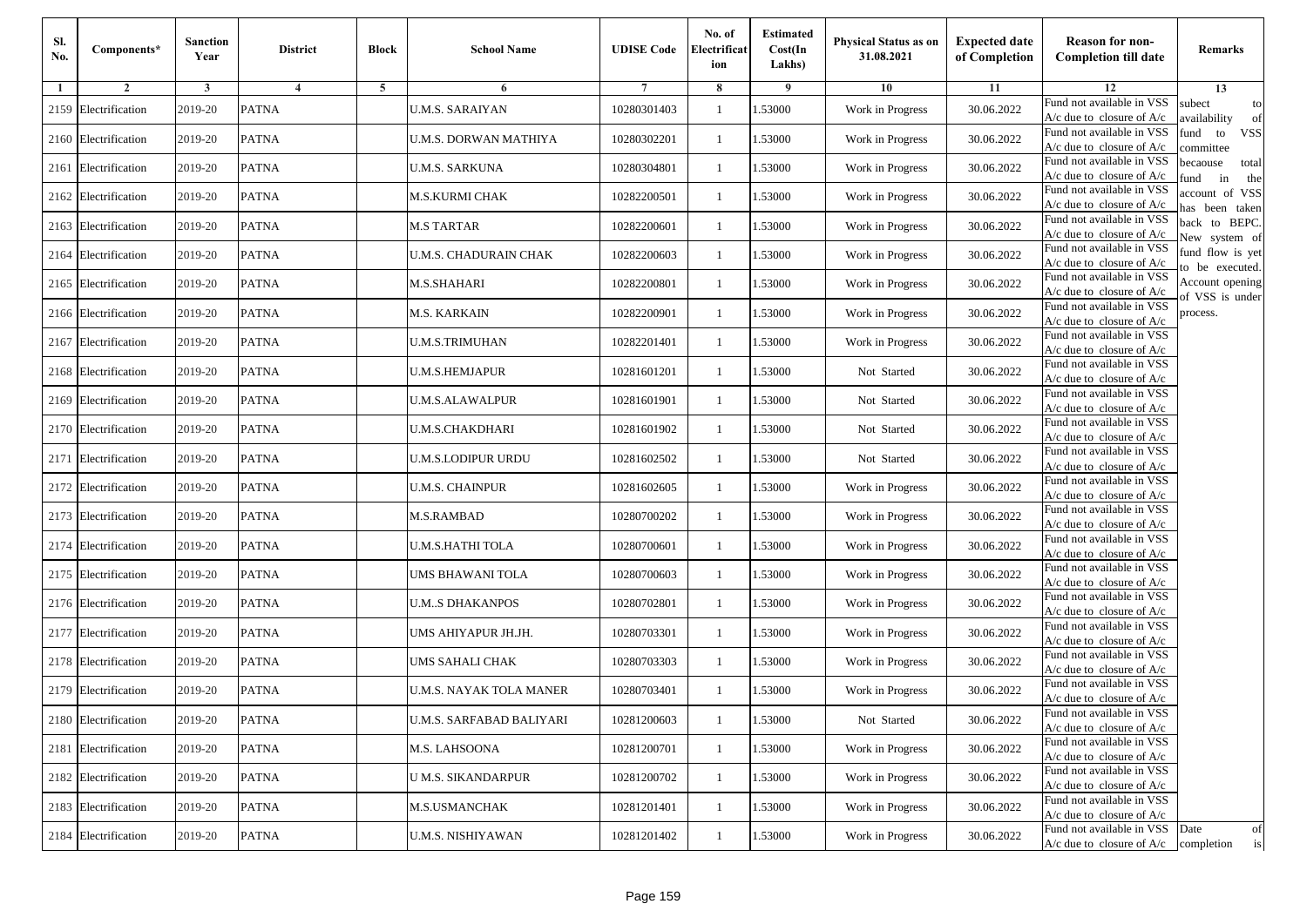| Sl.<br>No. | Components*          | <b>Sanction</b><br>Year | <b>District</b> | <b>Block</b> | <b>School Name</b>       | <b>UDISE Code</b> | No. of<br>Electrificat<br>ion | <b>Estimated</b><br>Cost(In<br>Lakhs) | Physical Status as on<br>31.08.2021 | <b>Expected date</b><br>of Completion | <b>Reason for non-</b><br><b>Completion till date</b>                 | Remarks                               |
|------------|----------------------|-------------------------|-----------------|--------------|--------------------------|-------------------|-------------------------------|---------------------------------------|-------------------------------------|---------------------------------------|-----------------------------------------------------------------------|---------------------------------------|
| 1          | $\overline{2}$       | 3                       | $\overline{4}$  | 5            | 6                        |                   | 8                             | 9                                     | 10                                  | 11                                    | 12                                                                    | 13                                    |
| 2159       | Electrification      | 2019-20                 | <b>PATNA</b>    |              | <b>U.M.S. SARAIYAN</b>   | 10280301403       | -1                            | 1.53000                               | Work in Progress                    | 30.06.2022                            | Fund not available in VSS<br>$A/c$ due to closure of $A/c$            | subect<br>to<br>availability<br>of    |
| 2160       | Electrification      | 2019-20                 | <b>PATNA</b>    |              | U.M.S. DORWAN MATHIYA    | 10280302201       | $\mathbf{1}$                  | 1.53000                               | Work in Progress                    | 30.06.2022                            | Fund not available in VSS<br>$A/c$ due to closure of $A/c$            | fund<br>to<br><b>VSS</b><br>ommittee  |
| 2161       | Electrification      | 2019-20                 | <b>PATNA</b>    |              | U.M.S. SARKUNA           | 10280304801       | $\mathbf{1}$                  | 1.53000                               | Work in Progress                    | 30.06.2022                            | Fund not available in VSS<br>$A/c$ due to closure of $A/c$            | pecaouse<br>total<br>und<br>in<br>the |
| 2162       | Electrification      | 2019-20                 | <b>PATNA</b>    |              | M.S.KURMI CHAK           | 10282200501       | -1                            | 1.53000                               | Work in Progress                    | 30.06.2022                            | Fund not available in VSS<br>A/c due to closure of A/c                | ccount of VSS<br>as been taken        |
|            | 2163 Electrification | 2019-20                 | <b>PATNA</b>    |              | M.S TARTAR               | 10282200601       | $\mathbf{1}$                  | 1.53000                               | Work in Progress                    | 30.06.2022                            | Fund not available in VSS<br>A/c due to closure of $A/c$              | back to BEPC.<br>New system of        |
| 2164       | Electrification      | 2019-20                 | <b>PATNA</b>    |              | U.M.S. CHADURAIN CHAK    | 10282200603       | -1                            | 1.53000                               | Work in Progress                    | 30.06.2022                            | Fund not available in VSS<br>A/c due to closure of $A/c$              | fund flow is yet<br>o be executed.    |
|            | 2165 Electrification | 2019-20                 | <b>PATNA</b>    |              | M.S.SHAHARI              | 10282200801       | -1                            | 1.53000                               | Work in Progress                    | 30.06.2022                            | Fund not available in VSS<br>$A/c$ due to closure of $A/c$            | Account opening<br>of VSS is under    |
|            | 2166 Electrification | 2019-20                 | <b>PATNA</b>    |              | M.S. KARKAIN             | 10282200901       | -1                            | 1.53000                               | Work in Progress                    | 30.06.2022                            | Fund not available in VSS<br>$A/c$ due to closure of $A/c$            | process.                              |
| 2167       | Electrification      | 2019-20                 | <b>PATNA</b>    |              | U.M.S.TRIMUHAN           | 10282201401       | -1                            | 1.53000                               | Work in Progress                    | 30.06.2022                            | Fund not available in VSS<br>$A/c$ due to closure of $A/c$            |                                       |
| 2168       | Electrification      | 2019-20                 | <b>PATNA</b>    |              | <b>U.M.S.HEMJAPUR</b>    | 10281601201       | $\mathbf{1}$                  | 1.53000                               | Not Started                         | 30.06.2022                            | Fund not available in VSS<br>$A/c$ due to closure of $A/c$            |                                       |
|            | 2169 Electrification | 2019-20                 | <b>PATNA</b>    |              | U.M.S.ALAWALPUR          | 10281601901       | -1                            | 1.53000                               | Not Started                         | 30.06.2022                            | Fund not available in VSS<br>$A/c$ due to closure of $A/c$            |                                       |
|            | 2170 Electrification | 2019-20                 | <b>PATNA</b>    |              | U.M.S.CHAKDHARI          | 10281601902       | -1                            | 1.53000                               | Not Started                         | 30.06.2022                            | Fund not available in VSS<br>$A/c$ due to closure of $A/c$            |                                       |
| 2171       | Electrification      | 2019-20                 | <b>PATNA</b>    |              | U.M.S.LODIPUR URDU       | 10281602502       | -1                            | 1.53000                               | Not Started                         | 30.06.2022                            | Fund not available in VSS<br>$A/c$ due to closure of $A/c$            |                                       |
|            | 2172 Electrification | 2019-20                 | <b>PATNA</b>    |              | U.M.S. CHAINPUR          | 10281602605       | $\mathbf{1}$                  | 1.53000                               | Work in Progress                    | 30.06.2022                            | Fund not available in VSS<br>$A/c$ due to closure of $A/c$            |                                       |
|            | 2173 Electrification | 2019-20                 | <b>PATNA</b>    |              | M.S.RAMBAD               | 10280700202       | -1                            | 1.53000                               | Work in Progress                    | 30.06.2022                            | Fund not available in VSS<br>$A/c$ due to closure of $A/c$            |                                       |
|            | 2174 Electrification | 2019-20                 | <b>PATNA</b>    |              | U.M.S.HATHI TOLA         | 10280700601       | -1                            | 1.53000                               | Work in Progress                    | 30.06.2022                            | Fund not available in VSS<br>$A/c$ due to closure of $A/c$            |                                       |
|            | 2175 Electrification | 2019-20                 | <b>PATNA</b>    |              | UMS BHAWANI TOLA         | 10280700603       | $\mathbf{1}$                  | 1.53000                               | Work in Progress                    | 30.06.2022                            | Fund not available in VSS<br>$A/c$ due to closure of $A/c$            |                                       |
|            | 2176 Electrification | 2019-20                 | <b>PATNA</b>    |              | U.MS DHAKANPOS           | 10280702801       | $\mathbf{1}$                  | 1.53000                               | Work in Progress                    | 30.06.2022                            | Fund not available in VSS<br>$A/c$ due to closure of $A/c$            |                                       |
|            | 2177 Electrification | 2019-20                 | <b>PATNA</b>    |              | UMS AHIYAPUR JH.JH.      | 10280703301       | -1                            | 1.53000                               | Work in Progress                    | 30.06.2022                            | Fund not available in VSS<br>$A/c$ due to closure of $A/c$            |                                       |
|            | 2178 Electrification | 2019-20                 | <b>PATNA</b>    |              | UMS SAHALI CHAK          | 10280703303       | -1                            | 1.53000                               | Work in Progress                    | 30.06.2022                            | Fund not available in VSS<br>$A/c$ due to closure of $A/c$            |                                       |
| 2179       | Electrification      | 2019-20                 | <b>PATNA</b>    |              | U.M.S. NAYAK TOLA MANER  | 10280703401       | -1                            | .53000                                | Work in Progress                    | 30.06.2022                            | Fund not available in VSS<br>A/c due to closure of A/c                |                                       |
|            | 2180 Electrification | 2019-20                 | <b>PATNA</b>    |              | U.M.S. SARFABAD BALIYARI | 10281200603       | $\mathbf{1}$                  | 1.53000                               | Not Started                         | 30.06.2022                            | Fund not available in VSS<br>A/c due to closure of A/c                |                                       |
|            | 2181 Electrification | 2019-20                 | <b>PATNA</b>    |              | M.S. LAHSOONA            | 10281200701       | $\mathbf{1}$                  | 1.53000                               | Work in Progress                    | 30.06.2022                            | Fund not available in VSS<br>$A/c$ due to closure of $A/c$            |                                       |
|            | 2182 Electrification | 2019-20                 | <b>PATNA</b>    |              | U M.S. SIKANDARPUR       | 10281200702       | -1                            | 1.53000                               | Work in Progress                    | 30.06.2022                            | Fund not available in VSS<br>A/c due to closure of A/c                |                                       |
|            | 2183 Electrification | 2019-20                 | <b>PATNA</b>    |              | M.S.USMANCHAK            | 10281201401       | -1                            | 1.53000                               | Work in Progress                    | 30.06.2022                            | Fund not available in VSS<br>A/c due to closure of A/c                |                                       |
|            | 2184 Electrification | 2019-20                 | <b>PATNA</b>    |              | U.M.S. NISHIYAWAN        | 10281201402       | $\mathbf{1}$                  | 1.53000                               | Work in Progress                    | 30.06.2022                            | Fund not available in VSS<br>$A/c$ due to closure of $A/c$ completion | Date<br>of<br>is                      |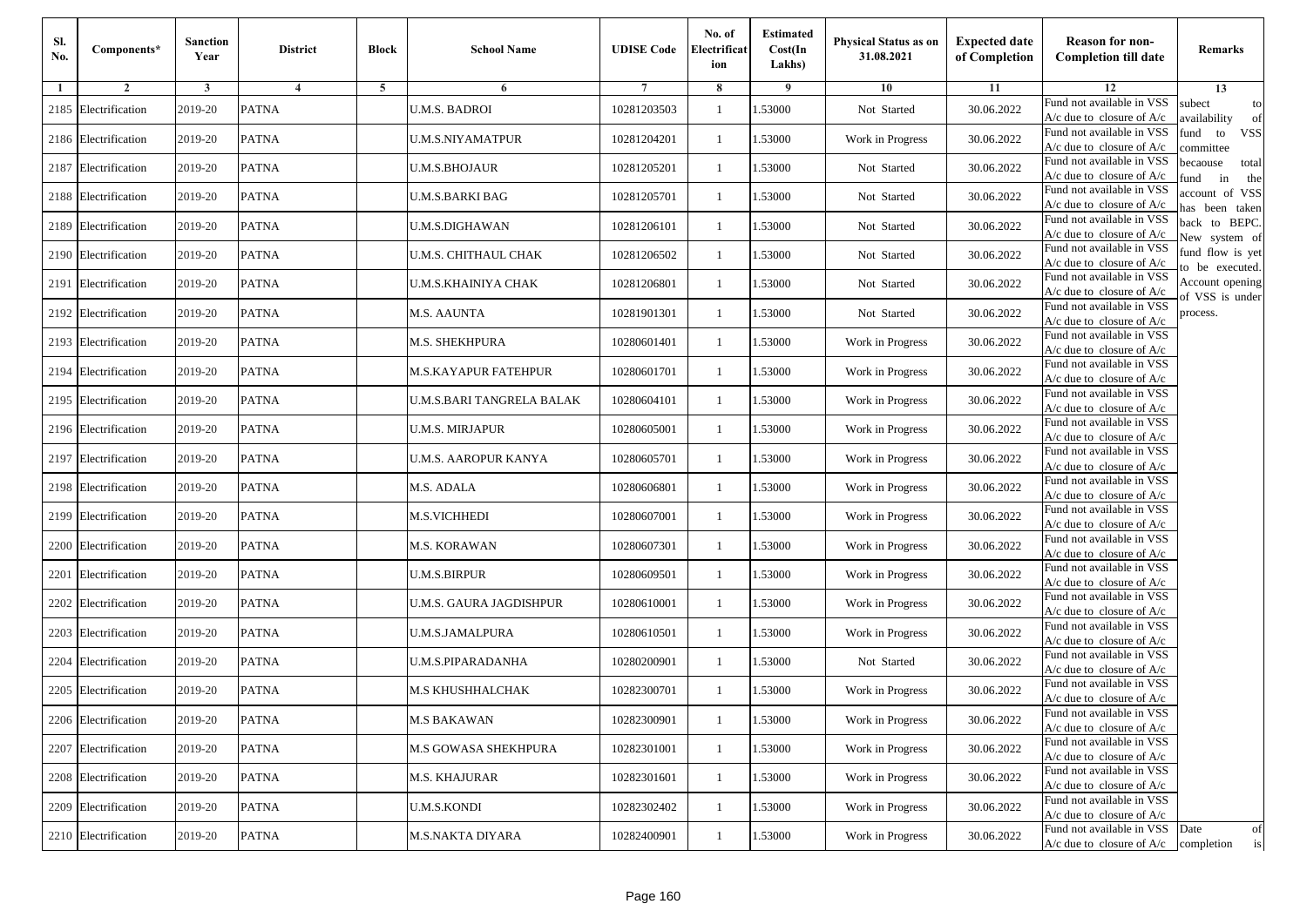| Sl.<br>No. | Components*          | <b>Sanction</b><br>Year | <b>District</b> | <b>Block</b> | <b>School Name</b>        | <b>UDISE Code</b> | No. of<br>Electrificat<br>ion | <b>Estimated</b><br>Cost(In<br>Lakhs) | Physical Status as on<br>31.08.2021 | <b>Expected date</b><br>of Completion | <b>Reason for non-</b><br><b>Completion till date</b>                 | Remarks                               |
|------------|----------------------|-------------------------|-----------------|--------------|---------------------------|-------------------|-------------------------------|---------------------------------------|-------------------------------------|---------------------------------------|-----------------------------------------------------------------------|---------------------------------------|
| 1          | $\overline{2}$       | 3                       | $\overline{4}$  | 5            | 6                         |                   | 8                             | 9                                     | 10                                  | 11                                    | 12                                                                    | 13                                    |
| 2185       | Electrification      | 2019-20                 | <b>PATNA</b>    |              | <b>U.M.S. BADROI</b>      | 10281203503       | -1                            | 1.53000                               | Not Started                         | 30.06.2022                            | Fund not available in VSS<br>$A/c$ due to closure of $A/c$            | subect<br>to<br>wailability<br>of     |
| 2186       | Electrification      | 2019-20                 | <b>PATNA</b>    |              | U.M.S.NIYAMATPUR          | 10281204201       | $\mathbf{1}$                  | 1.53000                               | Work in Progress                    | 30.06.2022                            | Fund not available in VSS<br>$A/c$ due to closure of $A/c$            | fund<br>to<br><b>VSS</b><br>ommittee  |
|            | 2187 Electrification | 2019-20                 | <b>PATNA</b>    |              | U.M.S.BHOJAUR             | 10281205201       | $\mathbf{1}$                  | 1.53000                               | Not Started                         | 30.06.2022                            | Fund not available in VSS<br>$A/c$ due to closure of $A/c$            | pecaouse<br>total<br>und<br>in<br>the |
| 2188       | Electrification      | 2019-20                 | <b>PATNA</b>    |              | U.M.S.BARKI BAG           | 10281205701       | -1                            | 1.53000                               | Not Started                         | 30.06.2022                            | Fund not available in VSS<br>A/c due to closure of A/c                | ccount of VSS<br>as been taken        |
| 2189       | Electrification      | 2019-20                 | <b>PATNA</b>    |              | U.M.S.DIGHAWAN            | 10281206101       | $\mathbf{1}$                  | 1.53000                               | Not Started                         | 30.06.2022                            | Fund not available in VSS<br>A/c due to closure of $A/c$              | back to BEPC.<br>New system of        |
| 2190       | Electrification      | 2019-20                 | <b>PATNA</b>    |              | U.M.S. CHITHAUL CHAK      | 10281206502       | -1                            | 1.53000                               | Not Started                         | 30.06.2022                            | Fund not available in VSS<br>A/c due to closure of $A/c$              | fund flow is yet<br>o be executed.    |
|            | 2191 Electrification | 2019-20                 | <b>PATNA</b>    |              | U.M.S.KHAINIYA CHAK       | 10281206801       | -1                            | 1.53000                               | Not Started                         | 30.06.2022                            | Fund not available in VSS<br>$A/c$ due to closure of $A/c$            | Account opening<br>of VSS is under    |
|            | 2192 Electrification | 2019-20                 | <b>PATNA</b>    |              | M.S. AAUNTA               | 10281901301       | -1                            | 1.53000                               | Not Started                         | 30.06.2022                            | Fund not available in VSS<br>$A/c$ due to closure of $A/c$            | process.                              |
| 2193       | Electrification      | 2019-20                 | <b>PATNA</b>    |              | M.S. SHEKHPURA            | 10280601401       | $\mathbf{1}$                  | 1.53000                               | Work in Progress                    | 30.06.2022                            | Fund not available in VSS<br>$A/c$ due to closure of $A/c$            |                                       |
| 2194       | Electrification      | 2019-20                 | <b>PATNA</b>    |              | M.S.KAYAPUR FATEHPUR      | 10280601701       | $\mathbf{1}$                  | 1.53000                               | Work in Progress                    | 30.06.2022                            | Fund not available in VSS<br>$A/c$ due to closure of $A/c$            |                                       |
|            | 2195 Electrification | 2019-20                 | <b>PATNA</b>    |              | U.M.S.BARI TANGRELA BALAK | 10280604101       | -1                            | 1.53000                               | Work in Progress                    | 30.06.2022                            | Fund not available in VSS<br>$A/c$ due to closure of $A/c$            |                                       |
|            | 2196 Electrification | 2019-20                 | <b>PATNA</b>    |              | U.M.S. MIRJAPUR           | 10280605001       | -1                            | 1.53000                               | Work in Progress                    | 30.06.2022                            | Fund not available in VSS<br>$A/c$ due to closure of $A/c$            |                                       |
| 2197       | Electrification      | 2019-20                 | <b>PATNA</b>    |              | U.M.S. AAROPUR KANYA      | 10280605701       | -1                            | 1.53000                               | Work in Progress                    | 30.06.2022                            | Fund not available in VSS<br>$A/c$ due to closure of $A/c$            |                                       |
| 2198       | Electrification      | 2019-20                 | <b>PATNA</b>    |              | <b>M.S. ADALA</b>         | 10280606801       | $\mathbf{1}$                  | 1.53000                               | Work in Progress                    | 30.06.2022                            | Fund not available in VSS<br>$A/c$ due to closure of $A/c$            |                                       |
| 2199       | Electrification      | 2019-20                 | <b>PATNA</b>    |              | <b>M.S.VICHHEDI</b>       | 10280607001       | -1                            | 1.53000                               | Work in Progress                    | 30.06.2022                            | Fund not available in VSS<br>$A/c$ due to closure of $A/c$            |                                       |
| 2200       | Electrification      | 2019-20                 | <b>PATNA</b>    |              | <b>M.S. KORAWAN</b>       | 10280607301       | -1                            | 1.53000                               | Work in Progress                    | 30.06.2022                            | Fund not available in VSS<br>$A/c$ due to closure of $A/c$            |                                       |
| 2201       | Electrification      | 2019-20                 | <b>PATNA</b>    |              | <b>U.M.S.BIRPUR</b>       | 10280609501       | $\mathbf{1}$                  | 1.53000                               | Work in Progress                    | 30.06.2022                            | Fund not available in VSS<br>$A/c$ due to closure of $A/c$            |                                       |
| 2202       | Electrification      | 2019-20                 | <b>PATNA</b>    |              | U.M.S. GAURA JAGDISHPUR   | 10280610001       | $\mathbf{1}$                  | 1.53000                               | Work in Progress                    | 30.06.2022                            | Fund not available in VSS<br>$A/c$ due to closure of $A/c$            |                                       |
|            | 2203 Electrification | 2019-20                 | <b>PATNA</b>    |              | U.M.S.JAMALPURA           | 10280610501       | -1                            | 1.53000                               | Work in Progress                    | 30.06.2022                            | Fund not available in VSS<br>$A/c$ due to closure of $A/c$            |                                       |
| 2204       | Electrification      | 2019-20                 | <b>PATNA</b>    |              | <b>U.M.S.PIPARADANHA</b>  | 10280200901       | $\mathbf{1}$                  | 1.53000                               | Not Started                         | 30.06.2022                            | Fund not available in VSS<br>$A/c$ due to closure of $A/c$            |                                       |
| 2205       | Electrification      | 2019-20                 | <b>PATNA</b>    |              | M.S KHUSHHALCHAK          | 10282300701       | -1                            | .53000                                | Work in Progress                    | 30.06.2022                            | Fund not available in VSS<br>A/c due to closure of A/c                |                                       |
|            | 2206 Electrification | 2019-20                 | <b>PATNA</b>    |              | <b>M.S BAKAWAN</b>        | 10282300901       | $\mathbf{1}$                  | 1.53000                               | Work in Progress                    | 30.06.2022                            | Fund not available in VSS<br>A/c due to closure of A/c                |                                       |
|            | 2207 Electrification | 2019-20                 | <b>PATNA</b>    |              | M.S GOWASA SHEKHPURA      | 10282301001       | $\mathbf{1}$                  | 1.53000                               | Work in Progress                    | 30.06.2022                            | Fund not available in VSS<br>$A/c$ due to closure of $A/c$            |                                       |
|            | 2208 Electrification | 2019-20                 | <b>PATNA</b>    |              | M.S. KHAJURAR             | 10282301601       | -1                            | 1.53000                               | Work in Progress                    | 30.06.2022                            | Fund not available in VSS<br>A/c due to closure of A/c                |                                       |
|            | 2209 Electrification | 2019-20                 | <b>PATNA</b>    |              | <b>U.M.S.KONDI</b>        | 10282302402       | -1                            | 1.53000                               | Work in Progress                    | 30.06.2022                            | Fund not available in VSS<br>$A/c$ due to closure of $A/c$            |                                       |
|            | 2210 Electrification | 2019-20                 | <b>PATNA</b>    |              | M.S.NAKTA DIYARA          | 10282400901       | $\mathbf{1}$                  | 1.53000                               | Work in Progress                    | 30.06.2022                            | Fund not available in VSS<br>$A/c$ due to closure of $A/c$ completion | Date<br>of<br>is                      |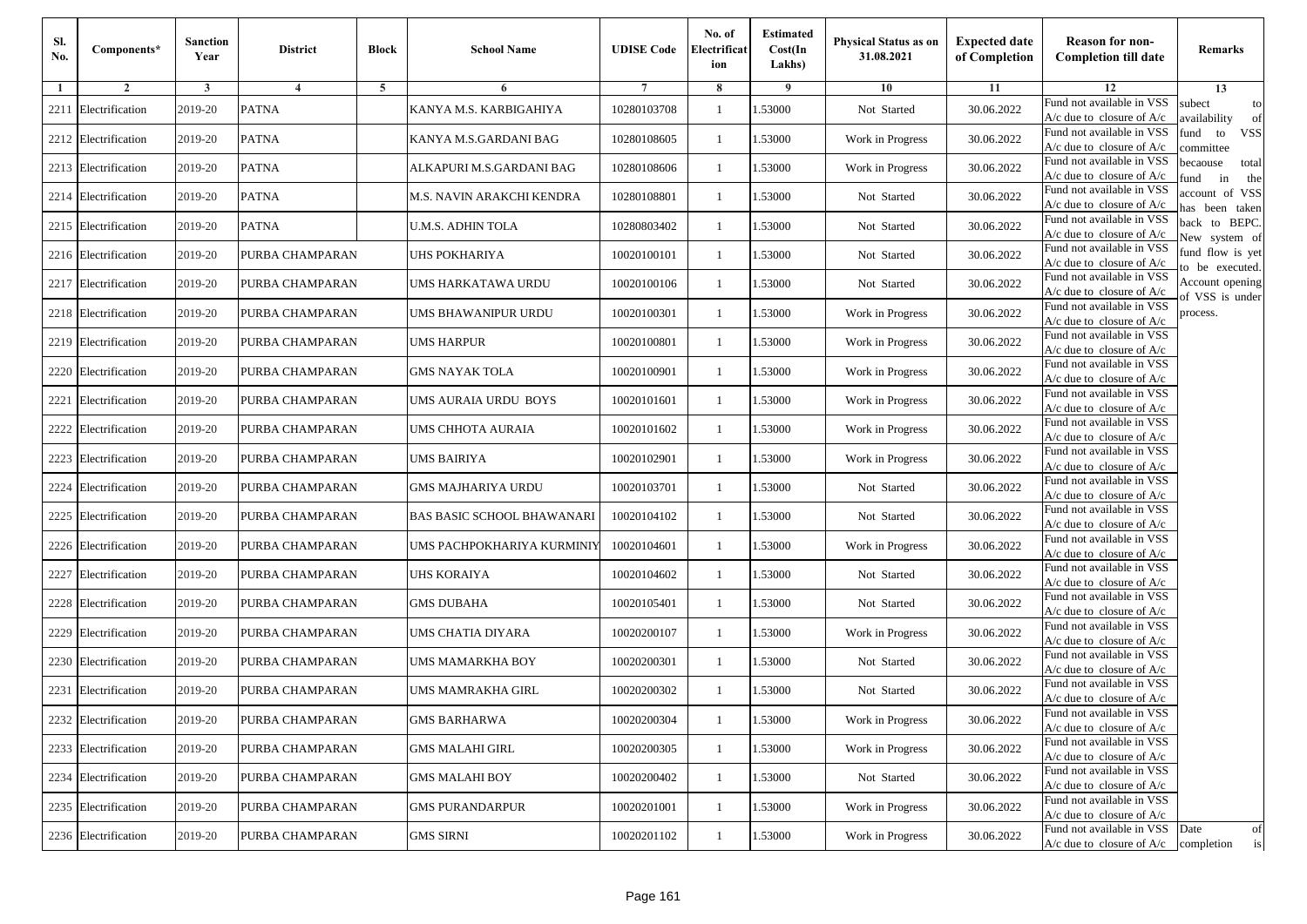| Sl.<br>No. | Components*          | <b>Sanction</b><br>Year | <b>District</b> | <b>Block</b> | <b>School Name</b>         | <b>UDISE Code</b> | No. of<br>Electrificat<br>ion | <b>Estimated</b><br>Cost(In<br>Lakhs) | <b>Physical Status as on</b><br>31.08.2021 | <b>Expected date</b><br>of Completion | <b>Reason for non-</b><br><b>Completion till date</b>                 | Remarks                               |
|------------|----------------------|-------------------------|-----------------|--------------|----------------------------|-------------------|-------------------------------|---------------------------------------|--------------------------------------------|---------------------------------------|-----------------------------------------------------------------------|---------------------------------------|
| -1         | $\overline{2}$       | 3                       | $\overline{4}$  | 5            | 6                          |                   | 8                             | 9                                     | 10                                         | 11                                    | 12                                                                    | 13                                    |
| 2211       | Electrification      | 2019-20                 | <b>PATNA</b>    |              | KANYA M.S. KARBIGAHIYA     | 10280103708       | 1                             | 1.53000                               | Not Started                                | 30.06.2022                            | Fund not available in VSS<br>$A/c$ due to closure of $A/c$            | subect<br>to<br>availability<br>of    |
|            | 2212 Electrification | 2019-20                 | <b>PATNA</b>    |              | KANYA M.S.GARDANI BAG      | 10280108605       | $\mathbf{1}$                  | 1.53000                               | Work in Progress                           | 30.06.2022                            | Fund not available in VSS<br>$A/c$ due to closure of $A/c$            | fund<br><b>VSS</b><br>to<br>ommittee  |
|            | 2213 Electrification | 2019-20                 | <b>PATNA</b>    |              | ALKAPURI M.S.GARDANI BAG   | 10280108606       | -1                            | 1.53000                               | Work in Progress                           | 30.06.2022                            | Fund not available in VSS<br>$A/c$ due to closure of $A/c$            | becaouse<br>total<br>in<br>und<br>the |
| 2214       | Electrification      | 2019-20                 | <b>PATNA</b>    |              | M.S. NAVIN ARAKCHI KENDRA  | 10280108801       | -1                            | 1.53000                               | Not Started                                | 30.06.2022                            | Fund not available in VSS<br>A/c due to closure of A/c                | ccount of VSS<br>as been taken        |
|            | 2215 Electrification | 2019-20                 | <b>PATNA</b>    |              | U.M.S. ADHIN TOLA          | 10280803402       | 1                             | 1.53000                               | Not Started                                | 30.06.2022                            | Fund not available in VSS<br>A/c due to closure of $A/c$              | back to BEPC.<br>New system of        |
|            | 2216 Electrification | 2019-20                 | PURBA CHAMPARAN |              | <b>JHS POKHARIYA</b>       | 10020100101       | 1                             | 1.53000                               | Not Started                                | 30.06.2022                            | Fund not available in VSS<br>A/c due to closure of $A/c$              | fund flow is yet<br>o be executed.    |
|            | 2217 Electrification | 2019-20                 | PURBA CHAMPARAN |              | UMS HARKATAWA URDU         | 10020100106       | $\mathbf{1}$                  | 1.53000                               | Not Started                                | 30.06.2022                            | Fund not available in VSS<br>$A/c$ due to closure of $A/c$            | Account opening<br>of VSS is under    |
|            | 2218 Electrification | 2019-20                 | PURBA CHAMPARAN |              | UMS BHAWANIPUR URDU        | 10020100301       | 1                             | 1.53000                               | Work in Progress                           | 30.06.2022                            | Fund not available in VSS<br>$A/c$ due to closure of $A/c$            | process.                              |
| 2219       | Electrification      | 2019-20                 | PURBA CHAMPARAN |              | UMS HARPUR                 | 10020100801       | -1                            | 1.53000                               | Work in Progress                           | 30.06.2022                            | Fund not available in VSS<br>$A/c$ due to closure of $A/c$            |                                       |
|            | 2220 Electrification | 2019-20                 | PURBA CHAMPARAN |              | <b>GMS NAYAK TOLA</b>      | 10020100901       | $\mathbf{1}$                  | 1.53000                               | Work in Progress                           | 30.06.2022                            | Fund not available in VSS<br>$A/c$ due to closure of $A/c$            |                                       |
| 2221       | Electrification      | 2019-20                 | PURBA CHAMPARAN |              | UMS AURAIA URDU BOYS       | 10020101601       | 1                             | 1.53000                               | Work in Progress                           | 30.06.2022                            | Fund not available in VSS<br>$A/c$ due to closure of $A/c$            |                                       |
| 2222       | Electrification      | 2019-20                 | PURBA CHAMPARAN |              | <b>JMS CHHOTA AURAIA</b>   | 10020101602       | 1                             | 1.53000                               | Work in Progress                           | 30.06.2022                            | Fund not available in VSS<br>$A/c$ due to closure of $A/c$            |                                       |
| 2223       | Electrification      | 2019-20                 | PURBA CHAMPARAN |              | UMS BAIRIYA                | 10020102901       | -1                            | 1.53000                               | Work in Progress                           | 30.06.2022                            | Fund not available in VSS<br>$A/c$ due to closure of $A/c$            |                                       |
| 2224       | Electrification      | 2019-20                 | PURBA CHAMPARAN |              | GMS MAJHARIYA URDU         | 10020103701       | $\mathbf{1}$                  | 1.53000                               | Not Started                                | 30.06.2022                            | Fund not available in VSS<br>$A/c$ due to closure of $A/c$            |                                       |
| 2225       | Electrification      | 2019-20                 | PURBA CHAMPARAN |              | BAS BASIC SCHOOL BHAWANARI | 10020104102       | -1                            | 1.53000                               | Not Started                                | 30.06.2022                            | Fund not available in VSS<br>$A/c$ due to closure of $A/c$            |                                       |
| 2226       | Electrification      | 2019-20                 | PURBA CHAMPARAN |              | UMS PACHPOKHARIYA KURMINIY | 10020104601       | -1                            | 1.53000                               | Work in Progress                           | 30.06.2022                            | Fund not available in VSS<br>$A/c$ due to closure of $A/c$            |                                       |
| 2227       | Electrification      | 2019-20                 | PURBA CHAMPARAN |              | <b>JHS KORAIYA</b>         | 10020104602       | -1                            | 1.53000                               | Not Started                                | 30.06.2022                            | Fund not available in VSS<br>$A/c$ due to closure of $A/c$            |                                       |
|            | 2228 Electrification | 2019-20                 | PURBA CHAMPARAN |              | <b>GMS DUBAHA</b>          | 10020105401       | $\mathbf{1}$                  | 1.53000                               | Not Started                                | 30.06.2022                            | Fund not available in VSS<br>$A/c$ due to closure of $A/c$            |                                       |
|            | 2229 Electrification | 2019-20                 | PURBA CHAMPARAN |              | UMS CHATIA DIYARA          | 10020200107       | 1                             | 1.53000                               | Work in Progress                           | 30.06.2022                            | Fund not available in VSS<br>$A/c$ due to closure of $A/c$            |                                       |
|            | 2230 Electrification | 2019-20                 | PURBA CHAMPARAN |              | UMS MAMARKHA BOY           | 10020200301       | -1                            | 1.53000                               | Not Started                                | 30.06.2022                            | Fund not available in VSS<br>$A/c$ due to closure of $A/c$            |                                       |
| 2231       | Electrification      | 2019-20                 | PURBA CHAMPARAN |              | UMS MAMRAKHA GIRL          | 10020200302       | -1                            | .53000                                | Not Started                                | 30.06.2022                            | Fund not available in VSS<br>A/c due to closure of A/c                |                                       |
|            | 2232 Electrification | 2019-20                 | PURBA CHAMPARAN |              | <b>GMS BARHARWA</b>        | 10020200304       | $\mathbf{1}$                  | 1.53000                               | Work in Progress                           | 30.06.2022                            | Fund not available in VSS<br>A/c due to closure of A/c                |                                       |
|            | 2233 Electrification | 2019-20                 | PURBA CHAMPARAN |              | <b>GMS MALAHI GIRL</b>     | 10020200305       | $\mathbf{1}$                  | 1.53000                               | Work in Progress                           | 30.06.2022                            | Fund not available in VSS<br>$A/c$ due to closure of $A/c$            |                                       |
|            | 2234 Electrification | 2019-20                 | PURBA CHAMPARAN |              | <b>GMS MALAHI BOY</b>      | 10020200402       | -1                            | 1.53000                               | Not Started                                | 30.06.2022                            | Fund not available in VSS<br>$A/c$ due to closure of $A/c$            |                                       |
|            | 2235 Electrification | 2019-20                 | PURBA CHAMPARAN |              | <b>GMS PURANDARPUR</b>     | 10020201001       | -1                            | 1.53000                               | Work in Progress                           | 30.06.2022                            | Fund not available in VSS<br>A/c due to closure of A/c                |                                       |
|            | 2236 Electrification | 2019-20                 | PURBA CHAMPARAN |              | <b>GMS SIRNI</b>           | 10020201102       | $\mathbf{1}$                  | 1.53000                               | Work in Progress                           | 30.06.2022                            | Fund not available in VSS<br>$A/c$ due to closure of $A/c$ completion | Date<br>of<br>is                      |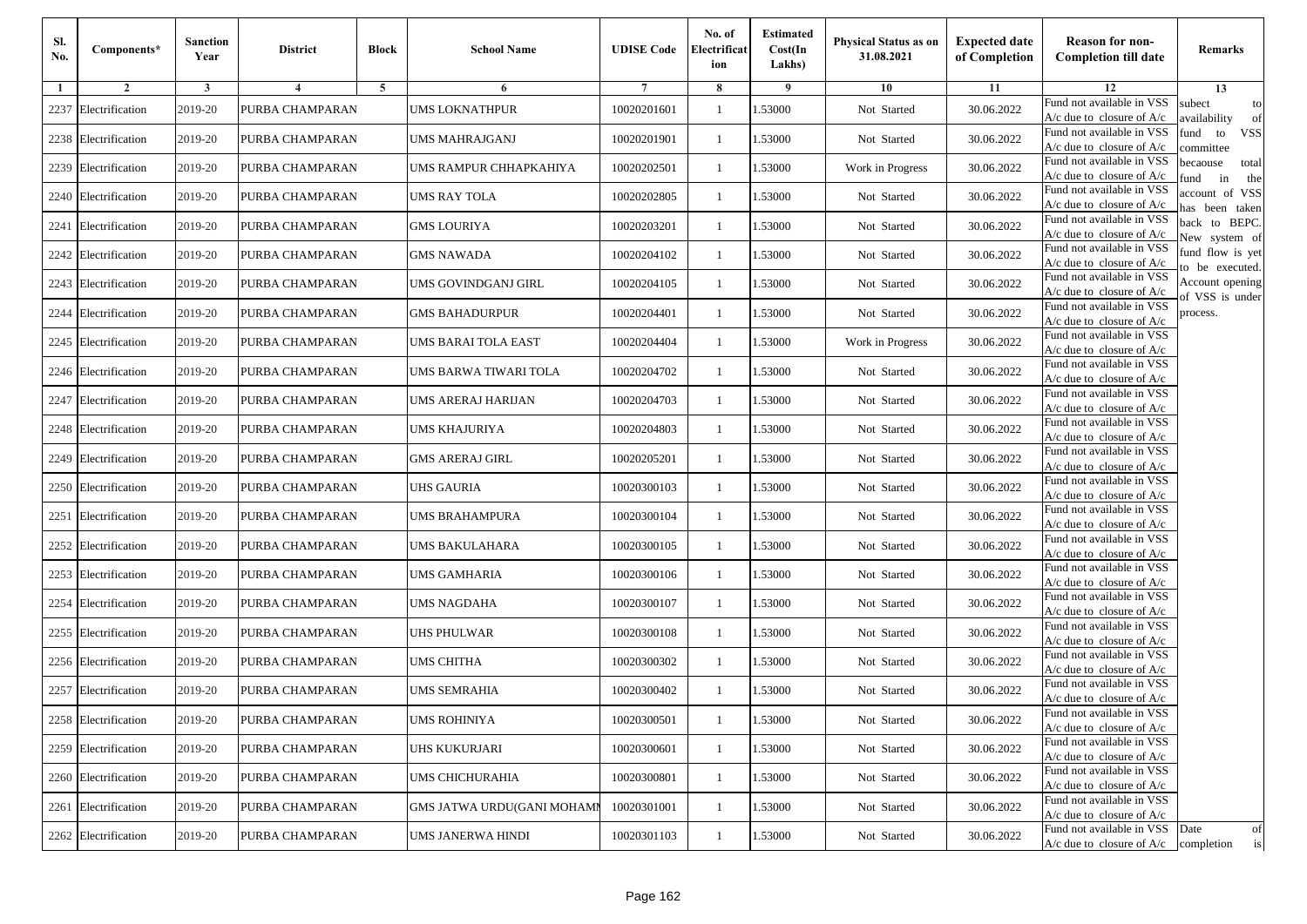| SI.<br>No. | Components*          | <b>Sanction</b><br>Year | <b>District</b> | <b>Block</b>   | <b>School Name</b>                | <b>UDISE Code</b> | No. of<br>Electrificat<br>ion | <b>Estimated</b><br>Cost(In<br>Lakhs) | Physical Status as on<br>31.08.2021 | <b>Expected date</b><br>of Completion | <b>Reason for non-</b><br><b>Completion till date</b>                 | <b>Remarks</b>                        |
|------------|----------------------|-------------------------|-----------------|----------------|-----------------------------------|-------------------|-------------------------------|---------------------------------------|-------------------------------------|---------------------------------------|-----------------------------------------------------------------------|---------------------------------------|
| -1         | $\overline{2}$       | 3                       | $\overline{4}$  | $\overline{5}$ | 6                                 |                   | 8                             | 9                                     | 10                                  | 11                                    | 12                                                                    | 13                                    |
| 2237       | Electrification      | 2019-20                 | PURBA CHAMPARAN |                | <b>UMS LOKNATHPUR</b>             | 10020201601       | 1                             | 1.53000                               | Not Started                         | 30.06.2022                            | Fund not available in VSS<br>$A/c$ due to closure of $A/c$            | subect<br>to<br>availability<br>of    |
|            | 2238 Electrification | 2019-20                 | PURBA CHAMPARAN |                | UMS MAHRAJGANJ                    | 10020201901       | $\mathbf{1}$                  | 1.53000                               | Not Started                         | 30.06.2022                            | Fund not available in VSS<br>$A/c$ due to closure of $A/c$            | fund<br><b>VSS</b><br>to<br>ommittee  |
|            | 2239 Electrification | 2019-20                 | PURBA CHAMPARAN |                | UMS RAMPUR CHHAPKAHIYA            | 10020202501       | -1                            | 1.53000                               | Work in Progress                    | 30.06.2022                            | Fund not available in VSS<br>$A/c$ due to closure of $A/c$            | becaouse<br>total<br>in<br>und<br>the |
|            | 2240 Electrification | 2019-20                 | PURBA CHAMPARAN |                | UMS RAY TOLA                      | 10020202805       | 1                             | 1.53000                               | Not Started                         | 30.06.2022                            | Fund not available in VSS<br>A/c due to closure of A/c                | ccount of VSS<br>as been taken        |
| 2241       | Electrification      | 2019-20                 | PURBA CHAMPARAN |                | GMS LOURIYA                       | 10020203201       | 1                             | 1.53000                               | Not Started                         | 30.06.2022                            | Fund not available in VSS<br>A/c due to closure of $A/c$              | back to BEPC.<br>New system of        |
|            | 2242 Electrification | 2019-20                 | PURBA CHAMPARAN |                | <b>GMS NAWADA</b>                 | 10020204102       | 1                             | 1.53000                               | Not Started                         | 30.06.2022                            | Fund not available in VSS<br>A/c due to closure of $A/c$              | fund flow is yet<br>o be executed.    |
|            | 2243 Electrification | 2019-20                 | PURBA CHAMPARAN |                | UMS GOVINDGANJ GIRL               | 10020204105       | $\mathbf{1}$                  | 1.53000                               | Not Started                         | 30.06.2022                            | Fund not available in VSS<br>$A/c$ due to closure of $A/c$            | Account opening<br>f VSS is under     |
| 2244       | Electrification      | 2019-20                 | PURBA CHAMPARAN |                | <b>GMS BAHADURPUR</b>             | 10020204401       | 1                             | 1.53000                               | Not Started                         | 30.06.2022                            | Fund not available in VSS<br>$A/c$ due to closure of $A/c$            | process.                              |
|            | 2245 Electrification | 2019-20                 | PURBA CHAMPARAN |                | UMS BARAI TOLA EAST               | 10020204404       | -1                            | 1.53000                               | Work in Progress                    | 30.06.2022                            | Fund not available in VSS<br>$A/c$ due to closure of $A/c$            |                                       |
|            | 2246 Electrification | 2019-20                 | PURBA CHAMPARAN |                | UMS BARWA TIWARI TOLA             | 10020204702       | $\mathbf{1}$                  | 1.53000                               | Not Started                         | 30.06.2022                            | Fund not available in VSS<br>A/c due to closure of A/c                |                                       |
|            | 2247 Electrification | 2019-20                 | PURBA CHAMPARAN |                | UMS ARERAJ HARIJAN                | 10020204703       | 1                             | 1.53000                               | Not Started                         | 30.06.2022                            | Fund not available in VSS<br>$A/c$ due to closure of $A/c$            |                                       |
|            | 2248 Electrification | 2019-20                 | PURBA CHAMPARAN |                | UMS KHAJURIYA                     | 10020204803       | 1                             | 1.53000                               | Not Started                         | 30.06.2022                            | Fund not available in VSS<br>$A/c$ due to closure of $A/c$            |                                       |
| 2249       | Electrification      | 2019-20                 | PURBA CHAMPARAN |                | GMS ARERAJ GIRL                   | 10020205201       | -1                            | 1.53000                               | Not Started                         | 30.06.2022                            | Fund not available in VSS<br>$A/c$ due to closure of $A/c$            |                                       |
|            | 2250 Electrification | 2019-20                 | PURBA CHAMPARAN |                | <b>JHS GAURIA</b>                 | 10020300103       | $\mathbf{1}$                  | 1.53000                               | Not Started                         | 30.06.2022                            | Fund not available in VSS<br>$A/c$ due to closure of $A/c$            |                                       |
| 2251       | Electrification      | 2019-20                 | PURBA CHAMPARAN |                | UMS BRAHAMPURA                    | 10020300104       | -1                            | 1.53000                               | Not Started                         | 30.06.2022                            | Fund not available in VSS<br>$A/c$ due to closure of $A/c$            |                                       |
| 2252       | Electrification      | 2019-20                 | PURBA CHAMPARAN |                | UMS BAKULAHARA                    | 10020300105       | -1                            | 1.53000                               | Not Started                         | 30.06.2022                            | Fund not available in VSS<br>$A/c$ due to closure of $A/c$            |                                       |
| 2253       | Electrification      | 2019-20                 | PURBA CHAMPARAN |                | UMS GAMHARIA                      | 10020300106       | -1                            | 1.53000                               | Not Started                         | 30.06.2022                            | Fund not available in VSS<br>$A/c$ due to closure of $A/c$            |                                       |
| 2254       | Electrification      | 2019-20                 | PURBA CHAMPARAN |                | UMS NAGDAHA                       | 10020300107       | $\mathbf{1}$                  | 1.53000                               | Not Started                         | 30.06.2022                            | Fund not available in VSS<br>$A/c$ due to closure of $A/c$            |                                       |
|            | 2255 Electrification | 2019-20                 | PURBA CHAMPARAN |                | UHS PHULWAR                       | 10020300108       | -1                            | 1.53000                               | Not Started                         | 30.06.2022                            | Fund not available in VSS<br>$A/c$ due to closure of $A/c$            |                                       |
|            | 2256 Electrification | 2019-20                 | PURBA CHAMPARAN |                | UMS CHITHA                        | 10020300302       | 1                             | 1.53000                               | Not Started                         | 30.06.2022                            | Fund not available in VSS<br>A/c due to closure of $A/c$              |                                       |
| 2257       | Electrification      | 2019-20                 | PURBA CHAMPARAN |                | UMS SEMRAHIA                      | 10020300402       | -1                            | 1.53000                               | Not Started                         | 30.06.2022                            | Fund not available in VSS<br>A/c due to closure of A/c                |                                       |
|            | 2258 Electrification | 2019-20                 | PURBA CHAMPARAN |                | <b>UMS ROHINIYA</b>               | 10020300501       | $\mathbf{1}$                  | 1.53000                               | Not Started                         | 30.06.2022                            | Fund not available in VSS<br>$A/c$ due to closure of $A/c$            |                                       |
|            | 2259 Electrification | 2019-20                 | PURBA CHAMPARAN |                | <b>JHS KUKURJARI</b>              | 10020300601       | $\mathbf{1}$                  | 1.53000                               | Not Started                         | 30.06.2022                            | Fund not available in VSS<br>$A/c$ due to closure of $A/c$            |                                       |
|            | 2260 Electrification | 2019-20                 | PURBA CHAMPARAN |                | UMS CHICHURAHIA                   | 10020300801       | -1                            | 1.53000                               | Not Started                         | 30.06.2022                            | Fund not available in VSS<br>$A/c$ due to closure of $A/c$            |                                       |
|            | 2261 Electrification | 2019-20                 | PURBA CHAMPARAN |                | <b>GMS JATWA URDU(GANI MOHAMI</b> | 10020301001       | -1                            | 1.53000                               | Not Started                         | 30.06.2022                            | Fund not available in VSS<br>$A/c$ due to closure of $A/c$            |                                       |
|            | 2262 Electrification | 2019-20                 | PURBA CHAMPARAN |                | UMS JANERWA HINDI                 | 10020301103       | -1                            | 1.53000                               | Not Started                         | 30.06.2022                            | Fund not available in VSS<br>$A/c$ due to closure of $A/c$ completion | Date<br>of<br>is                      |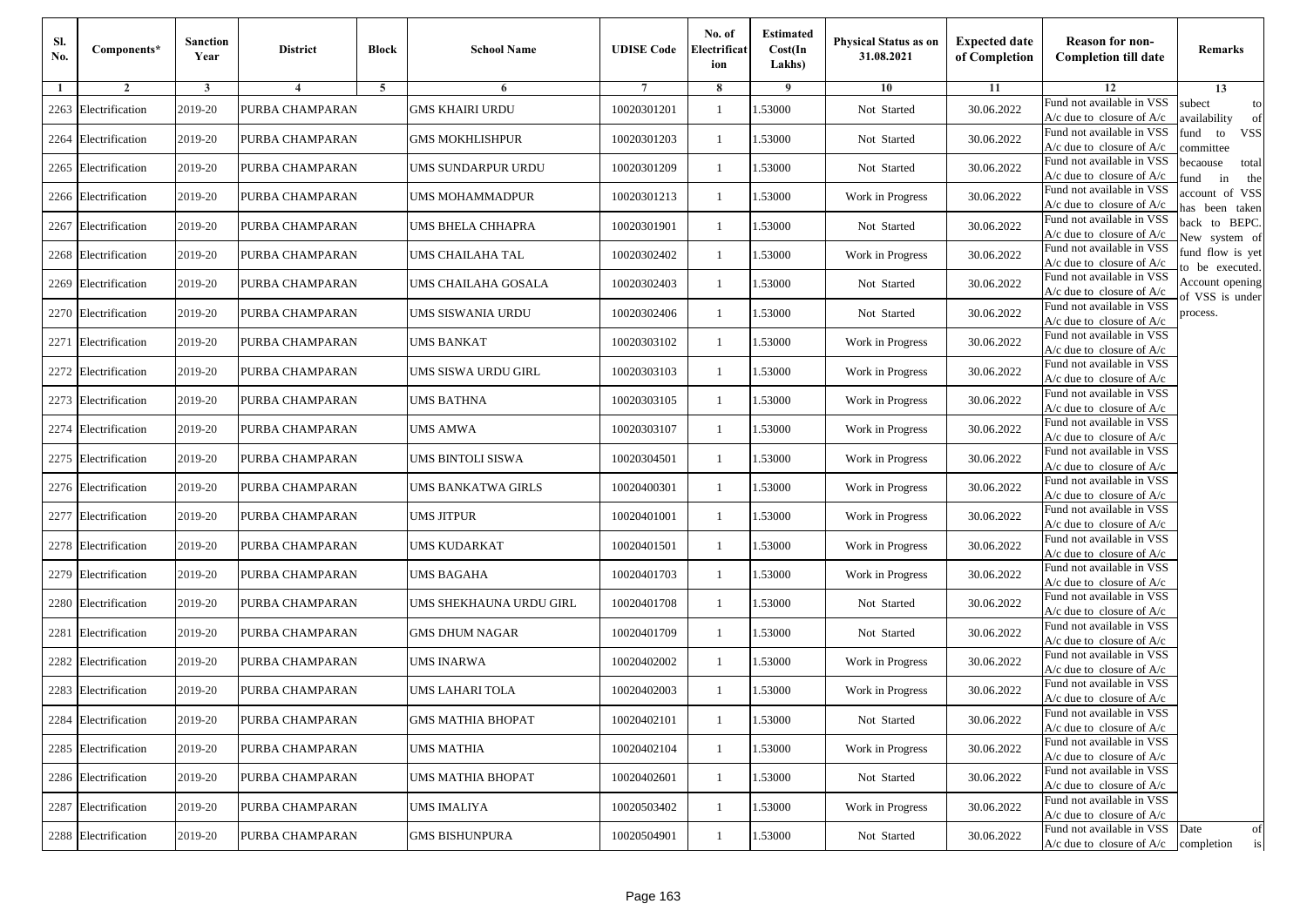| Sl.<br>No. | Components*          | <b>Sanction</b><br>Year | <b>District</b> | <b>Block</b>   | <b>School Name</b>       | <b>UDISE Code</b> | No. of<br>Electrificat<br>ion | <b>Estimated</b><br>Cost(In<br>Lakhs) | Physical Status as on<br>31.08.2021 | <b>Expected date</b><br>of Completion | <b>Reason for non-</b><br><b>Completion till date</b>                 | <b>Remarks</b>                        |
|------------|----------------------|-------------------------|-----------------|----------------|--------------------------|-------------------|-------------------------------|---------------------------------------|-------------------------------------|---------------------------------------|-----------------------------------------------------------------------|---------------------------------------|
| -1         | $\overline{2}$       | 3                       | $\overline{4}$  | $\overline{5}$ | 6                        |                   | 8                             | 9                                     | 10                                  | 11                                    | 12                                                                    | 13                                    |
| 2263       | Electrification      | 2019-20                 | PURBA CHAMPARAN |                | GMS KHAIRI URDU          | 10020301201       | -1                            | 1.53000                               | Not Started                         | 30.06.2022                            | Fund not available in VSS<br>$A/c$ due to closure of $A/c$            | subect<br>to<br>availability<br>of    |
| 2264       | Electrification      | 2019-20                 | PURBA CHAMPARAN |                | GMS MOKHLISHPUR          | 10020301203       | $\mathbf{1}$                  | 1.53000                               | Not Started                         | 30.06.2022                            | Fund not available in VSS<br>$A/c$ due to closure of $A/c$            | iund<br><b>VSS</b><br>to<br>committee |
|            | 2265 Electrification | 2019-20                 | PURBA CHAMPARAN |                | JMS SUNDARPUR URDU       | 10020301209       | -1                            | 1.53000                               | Not Started                         | 30.06.2022                            | Fund not available in VSS<br>$A/c$ due to closure of $A/c$            | pecaouse<br>total<br>und<br>in<br>the |
|            | 2266 Electrification | 2019-20                 | PURBA CHAMPARAN |                | JMS MOHAMMADPUR          | 10020301213       | -1                            | 1.53000                               | Work in Progress                    | 30.06.2022                            | Fund not available in VSS<br>A/c due to closure of A/c                | account of VSS<br>as been taken       |
| 2267       | Electrification      | 2019-20                 | PURBA CHAMPARAN |                | JMS BHELA CHHAPRA        | 10020301901       | $\mathbf{1}$                  | 1.53000                               | Not Started                         | 30.06.2022                            | Fund not available in VSS<br>$A/c$ due to closure of $A/c$            | back to BEPC.<br>Vew system of        |
|            | 2268 Electrification | 2019-20                 | PURBA CHAMPARAN |                | UMS CHAILAHA TAL         | 10020302402       | -1                            | 1.53000                               | Work in Progress                    | 30.06.2022                            | Fund not available in VSS<br>$A/c$ due to closure of $A/c$            | fund flow is yet<br>to be executed.   |
| 2269       | Electrification      | 2019-20                 | PURBA CHAMPARAN |                | JMS CHAILAHA GOSALA      | 10020302403       | -1                            | 1.53000                               | Not Started                         | 30.06.2022                            | Fund not available in VSS<br>$A/c$ due to closure of $A/c$            | Account opening<br>of VSS is under    |
|            | 2270 Electrification | 2019-20                 | PURBA CHAMPARAN |                | JMS SISWANIA URDU        | 10020302406       | $\mathbf{1}$                  | 1.53000                               | Not Started                         | 30.06.2022                            | Fund not available in VSS<br>$A/c$ due to closure of $A/c$            | process.                              |
| 2271       | Electrification      | 2019-20                 | PURBA CHAMPARAN |                | UMS BANKAT               | 10020303102       | -1                            | 1.53000                               | Work in Progress                    | 30.06.2022                            | Fund not available in VSS<br>$A/c$ due to closure of $A/c$            |                                       |
|            | 2272 Electrification | 2019-20                 | PURBA CHAMPARAN |                | JMS SISWA URDU GIRL      | 10020303103       | $\mathbf{1}$                  | 1.53000                               | Work in Progress                    | 30.06.2022                            | Fund not available in VSS<br>$A/c$ due to closure of $A/c$            |                                       |
|            | 2273 Electrification | 2019-20                 | PURBA CHAMPARAN |                | UMS BATHNA               | 10020303105       | -1                            | 1.53000                               | Work in Progress                    | 30.06.2022                            | Fund not available in VSS<br>$A/c$ due to closure of $A/c$            |                                       |
|            | 2274 Electrification | 2019-20                 | PURBA CHAMPARAN |                | UMS AMWA                 | 10020303107       | $\mathbf{1}$                  | 1.53000                               | Work in Progress                    | 30.06.2022                            | Fund not available in VSS<br>$A/c$ due to closure of $A/c$            |                                       |
| 2275       | Electrification      | 2019-20                 | PURBA CHAMPARAN |                | JMS BINTOLI SISWA        | 10020304501       | -1                            | 1.53000                               | Work in Progress                    | 30.06.2022                            | Fund not available in VSS<br>$A/c$ due to closure of $A/c$            |                                       |
|            | 2276 Electrification | 2019-20                 | PURBA CHAMPARAN |                | JMS BANKATWA GIRLS       | 10020400301       | -1                            | 1.53000                               | Work in Progress                    | 30.06.2022                            | Fund not available in VSS<br>$A/c$ due to closure of $A/c$            |                                       |
|            | 2277 Electrification | 2019-20                 | PURBA CHAMPARAN |                | UMS JITPUR               | 10020401001       | -1                            | 1.53000                               | Work in Progress                    | 30.06.2022                            | Fund not available in VSS<br>$A/c$ due to closure of $A/c$            |                                       |
|            | 2278 Electrification | 2019-20                 | PURBA CHAMPARAN |                | UMS KUDARKAT             | 10020401501       | -1                            | 1.53000                               | Work in Progress                    | 30.06.2022                            | Fund not available in VSS<br>$A/c$ due to closure of $A/c$            |                                       |
| 2279       | Electrification      | 2019-20                 | PURBA CHAMPARAN |                | UMS BAGAHA               | 10020401703       | -1                            | 1.53000                               | Work in Progress                    | 30.06.2022                            | Fund not available in VSS<br>$A/c$ due to closure of $A/c$            |                                       |
|            | 2280 Electrification | 2019-20                 | PURBA CHAMPARAN |                | JMS SHEKHAUNA URDU GIRL  | 10020401708       | $\mathbf{1}$                  | 1.53000                               | Not Started                         | 30.06.2022                            | Fund not available in VSS<br>$A/c$ due to closure of $A/c$            |                                       |
| 2281       | Electrification      | 2019-20                 | PURBA CHAMPARAN |                | GMS DHUM NAGAR           | 10020401709       | -1                            | 1.53000                               | Not Started                         | 30.06.2022                            | Fund not available in VSS<br>$A/c$ due to closure of $A/c$            |                                       |
|            | 2282 Electrification | 2019-20                 | PURBA CHAMPARAN |                | JMS INARWA               | 10020402002       | -1                            | 1.53000                               | Work in Progress                    | 30.06.2022                            | Fund not available in VSS<br>$A/c$ due to closure of $A/c$            |                                       |
| 2283       | Electrification      | 2019-20                 | PURBA CHAMPARAN |                | JMS LAHARI TOLA          | 10020402003       | -1                            | .53000                                | Work in Progress                    | 30.06.2022                            | Fund not available in VSS<br>A/c due to closure of A/c                |                                       |
|            | 2284 Electrification | 2019-20                 | PURBA CHAMPARAN |                | <b>GMS MATHIA BHOPAT</b> | 10020402101       | $\mathbf{1}$                  | 1.53000                               | Not Started                         | 30.06.2022                            | Fund not available in VSS<br>A/c due to closure of $A/c$              |                                       |
|            | 2285 Electrification | 2019-20                 | PURBA CHAMPARAN |                | UMS MATHIA               | 10020402104       | -1                            | 1.53000                               | Work in Progress                    | 30.06.2022                            | Fund not available in VSS<br>$A/c$ due to closure of $A/c$            |                                       |
|            | 2286 Electrification | 2019-20                 | PURBA CHAMPARAN |                | UMS MATHIA BHOPAT        | 10020402601       | -1                            | 1.53000                               | Not Started                         | 30.06.2022                            | Fund not available in VSS<br>$A/c$ due to closure of $A/c$            |                                       |
|            | 2287 Electrification | 2019-20                 | PURBA CHAMPARAN |                | UMS IMALIYA              | 10020503402       | -1                            | 1.53000                               | Work in Progress                    | 30.06.2022                            | Fund not available in VSS<br>$A/c$ due to closure of $A/c$            |                                       |
|            | 2288 Electrification | 2019-20                 | PURBA CHAMPARAN |                | <b>GMS BISHUNPURA</b>    | 10020504901       | $\mathbf{1}$                  | 1.53000                               | Not Started                         | 30.06.2022                            | Fund not available in VSS<br>$A/c$ due to closure of $A/c$ completion | Date<br>of<br>is                      |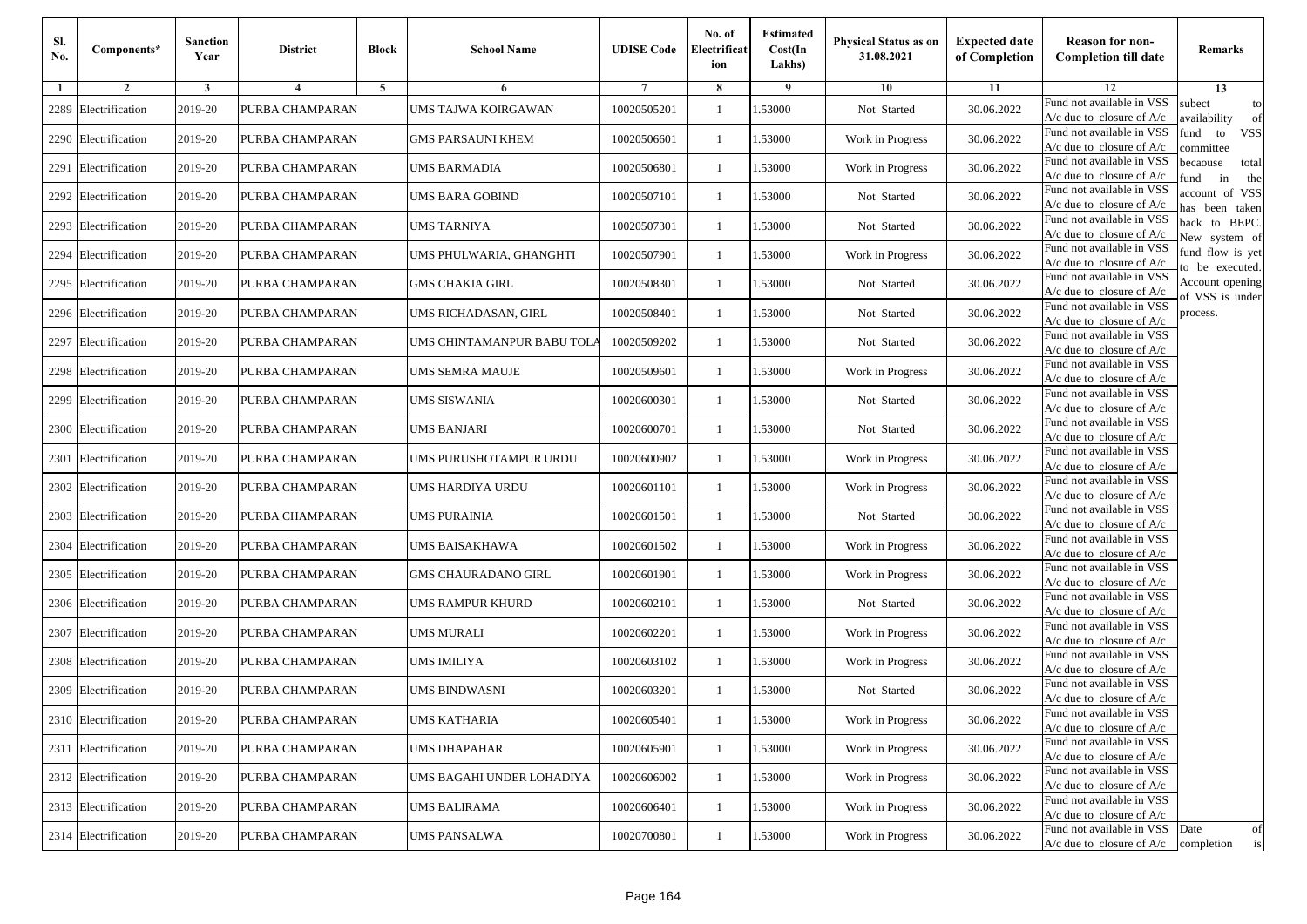| Sl.<br>No. | Components*          | <b>Sanction</b><br>Year | <b>District</b> | <b>Block</b>   | <b>School Name</b>         | <b>UDISE Code</b> | No. of<br>Electrificat<br>ion | <b>Estimated</b><br>Cost(In<br>Lakhs) | <b>Physical Status as on</b><br>31.08.2021 | <b>Expected date</b><br>of Completion | <b>Reason for non-</b><br><b>Completion till date</b>                 | Remarks                               |
|------------|----------------------|-------------------------|-----------------|----------------|----------------------------|-------------------|-------------------------------|---------------------------------------|--------------------------------------------|---------------------------------------|-----------------------------------------------------------------------|---------------------------------------|
| -1         | $\overline{2}$       | 3                       | $\overline{4}$  | $\overline{5}$ | 6                          |                   | 8                             | 9                                     | 10                                         | 11                                    | 12                                                                    | 13                                    |
| 2289       | Electrification      | 2019-20                 | PURBA CHAMPARAN |                | UMS TAJWA KOIRGAWAN        | 10020505201       | 1                             | 1.53000                               | Not Started                                | 30.06.2022                            | Fund not available in VSS<br>$A/c$ due to closure of $A/c$            | subect<br>to<br>availability<br>of    |
|            | 2290 Electrification | 2019-20                 | PURBA CHAMPARAN |                | <b>GMS PARSAUNI KHEM</b>   | 10020506601       | $\mathbf{1}$                  | 1.53000                               | Work in Progress                           | 30.06.2022                            | Fund not available in VSS<br>$A/c$ due to closure of $A/c$            | fund<br><b>VSS</b><br>to<br>ommittee  |
| 2291       | Electrification      | 2019-20                 | PURBA CHAMPARAN |                | UMS BARMADIA               | 10020506801       | -1                            | 1.53000                               | Work in Progress                           | 30.06.2022                            | Fund not available in VSS<br>$A/c$ due to closure of $A/c$            | becaouse<br>total<br>in<br>und<br>the |
| 2292       | Electrification      | 2019-20                 | PURBA CHAMPARAN |                | UMS BARA GOBIND            | 10020507101       | -1                            | 1.53000                               | Not Started                                | 30.06.2022                            | Fund not available in VSS<br>A/c due to closure of A/c                | ccount of VSS<br>as been taken        |
| 2293       | Electrification      | 2019-20                 | PURBA CHAMPARAN |                | UMS TARNIYA                | 10020507301       | $\mathbf{1}$                  | 1.53000                               | Not Started                                | 30.06.2022                            | Fund not available in VSS<br>A/c due to closure of $A/c$              | back to BEPC.<br>New system of        |
| 2294       | Electrification      | 2019-20                 | PURBA CHAMPARAN |                | UMS PHULWARIA, GHANGHTI    | 10020507901       | 1                             | 1.53000                               | Work in Progress                           | 30.06.2022                            | Fund not available in VSS<br>A/c due to closure of $A/c$              | fund flow is yet<br>o be executed.    |
|            | 2295 Electrification | 2019-20                 | PURBA CHAMPARAN |                | <b>GMS CHAKIA GIRL</b>     | 10020508301       | -1                            | 1.53000                               | Not Started                                | 30.06.2022                            | Fund not available in VSS<br>$A/c$ due to closure of $A/c$            | Account opening<br>of VSS is under    |
|            | 2296 Electrification | 2019-20                 | PURBA CHAMPARAN |                | UMS RICHADASAN, GIRL       | 10020508401       | -1                            | 1.53000                               | Not Started                                | 30.06.2022                            | Fund not available in VSS<br>$A/c$ due to closure of $A/c$            | process.                              |
| 2297       | Electrification      | 2019-20                 | PURBA CHAMPARAN |                | UMS CHINTAMANPUR BABU TOLA | 10020509202       | -1                            | 1.53000                               | Not Started                                | 30.06.2022                            | Fund not available in VSS<br>$A/c$ due to closure of $A/c$            |                                       |
|            | 2298 Electrification | 2019-20                 | PURBA CHAMPARAN |                | UMS SEMRA MAUJE            | 10020509601       | $\mathbf{1}$                  | 1.53000                               | Work in Progress                           | 30.06.2022                            | Fund not available in VSS<br>$A/c$ due to closure of $A/c$            |                                       |
|            | 2299 Electrification | 2019-20                 | PURBA CHAMPARAN |                | UMS SISWANIA               | 10020600301       | 1                             | 1.53000                               | Not Started                                | 30.06.2022                            | Fund not available in VSS<br>$A/c$ due to closure of $A/c$            |                                       |
|            | 2300 Electrification | 2019-20                 | PURBA CHAMPARAN |                | UMS BANJARI                | 10020600701       | 1                             | 1.53000                               | Not Started                                | 30.06.2022                            | Fund not available in VSS<br>$A/c$ due to closure of $A/c$            |                                       |
| 2301       | Electrification      | 2019-20                 | PURBA CHAMPARAN |                | UMS PURUSHOTAMPUR URDU     | 10020600902       | -1                            | 1.53000                               | Work in Progress                           | 30.06.2022                            | Fund not available in VSS<br>$A/c$ due to closure of $A/c$            |                                       |
|            | 2302 Electrification | 2019-20                 | PURBA CHAMPARAN |                | UMS HARDIYA URDU           | 10020601101       | $\mathbf{1}$                  | 1.53000                               | Work in Progress                           | 30.06.2022                            | Fund not available in VSS<br>$A/c$ due to closure of $A/c$            |                                       |
| 2303       | Electrification      | 2019-20                 | PURBA CHAMPARAN |                | UMS PURAINIA               | 10020601501       | -1                            | 1.53000                               | Not Started                                | 30.06.2022                            | Fund not available in VSS<br>$A/c$ due to closure of $A/c$            |                                       |
| 2304       | Electrification      | 2019-20                 | PURBA CHAMPARAN |                | UMS BAISAKHAWA             | 10020601502       | -1                            | 1.53000                               | Work in Progress                           | 30.06.2022                            | Fund not available in VSS<br>$A/c$ due to closure of $A/c$            |                                       |
| 2305       | Electrification      | 2019-20                 | PURBA CHAMPARAN |                | <b>GMS CHAURADANO GIRL</b> | 10020601901       | -1                            | 1.53000                               | Work in Progress                           | 30.06.2022                            | Fund not available in VSS<br>$A/c$ due to closure of $A/c$            |                                       |
|            | 2306 Electrification | 2019-20                 | PURBA CHAMPARAN |                | UMS RAMPUR KHURD           | 10020602101       | $\mathbf{1}$                  | 1.53000                               | Not Started                                | 30.06.2022                            | Fund not available in VSS<br>$A/c$ due to closure of $A/c$            |                                       |
|            | 2307 Electrification | 2019-20                 | PURBA CHAMPARAN |                | UMS MURALI                 | 10020602201       | 1                             | 1.53000                               | Work in Progress                           | 30.06.2022                            | Fund not available in VSS<br>$A/c$ due to closure of $A/c$            |                                       |
|            | 2308 Electrification | 2019-20                 | PURBA CHAMPARAN |                | UMS IMILIYA                | 10020603102       | 1                             | 1.53000                               | Work in Progress                           | 30.06.2022                            | Fund not available in VSS<br>$A/c$ due to closure of $A/c$            |                                       |
| 2309       | Electrification      | 2019-20                 | PURBA CHAMPARAN |                | UMS BINDWASNI              | 10020603201       | -1                            | .53000                                | Not Started                                | 30.06.2022                            | Fund not available in VSS<br>A/c due to closure of A/c                |                                       |
|            | 2310 Electrification | 2019-20                 | PURBA CHAMPARAN |                | <b>UMS KATHARIA</b>        | 10020605401       | $\mathbf{1}$                  | 1.53000                               | Work in Progress                           | 30.06.2022                            | Fund not available in VSS<br>A/c due to closure of A/c                |                                       |
|            | 2311 Electrification | 2019-20                 | PURBA CHAMPARAN |                | UMS DHAPAHAR               | 10020605901       | $\mathbf{1}$                  | 1.53000                               | Work in Progress                           | 30.06.2022                            | Fund not available in VSS<br>$A/c$ due to closure of $A/c$            |                                       |
|            | 2312 Electrification | 2019-20                 | PURBA CHAMPARAN |                | UMS BAGAHI UNDER LOHADIYA  | 10020606002       | -1                            | 1.53000                               | Work in Progress                           | 30.06.2022                            | Fund not available in VSS<br>$A/c$ due to closure of $A/c$            |                                       |
|            | 2313 Electrification | 2019-20                 | PURBA CHAMPARAN |                | <b>UMS BALIRAMA</b>        | 10020606401       | -1                            | 1.53000                               | Work in Progress                           | 30.06.2022                            | Fund not available in VSS<br>A/c due to closure of A/c                |                                       |
|            | 2314 Electrification | 2019-20                 | PURBA CHAMPARAN |                | <b>UMS PANSALWA</b>        | 10020700801       | $\mathbf{1}$                  | 1.53000                               | Work in Progress                           | 30.06.2022                            | Fund not available in VSS<br>$A/c$ due to closure of $A/c$ completion | Date<br>of<br>is                      |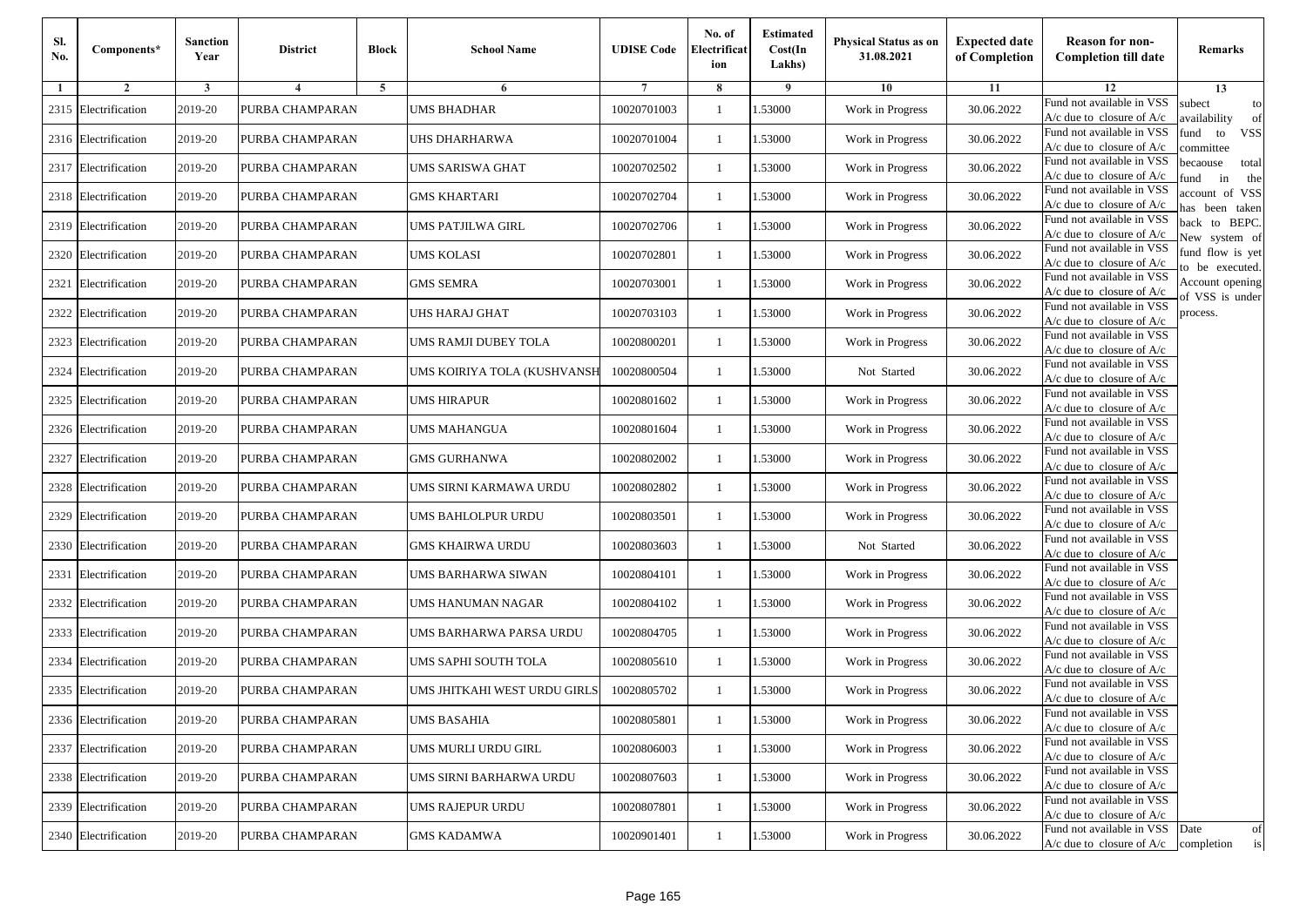| Sl.<br>No. | Components*          | <b>Sanction</b><br>Year | <b>District</b>         | <b>Block</b> | <b>School Name</b>           | <b>UDISE Code</b> | No. of<br>Electrificat<br>ion | <b>Estimated</b><br>Cost(In<br>Lakhs) | <b>Physical Status as on</b><br>31.08.2021 | <b>Expected date</b><br>of Completion | <b>Reason for non-</b><br><b>Completion till date</b>      | Remarks                               |
|------------|----------------------|-------------------------|-------------------------|--------------|------------------------------|-------------------|-------------------------------|---------------------------------------|--------------------------------------------|---------------------------------------|------------------------------------------------------------|---------------------------------------|
| -1         | $\overline{2}$       | 3                       | $\overline{\mathbf{4}}$ | 5            | 6                            |                   | 8                             | 9                                     | 10                                         | 11                                    | 12                                                         | 13                                    |
|            | 2315 Electrification | 2019-20                 | PURBA CHAMPARAN         |              | <b>UMS BHADHAR</b>           | 10020701003       | $\mathbf{1}$                  | .53000                                | Work in Progress                           | 30.06.2022                            | Fund not available in VSS<br>$A/c$ due to closure of $A/c$ | subect<br>to<br>availability<br>of    |
|            | 2316 Electrification | 2019-20                 | PURBA CHAMPARAN         |              | UHS DHARHARWA                | 10020701004       | 1                             | 1.53000                               | Work in Progress                           | 30.06.2022                            | Fund not available in VSS<br>$A/c$ due to closure of $A/c$ | fund<br>to<br><b>VSS</b><br>ommittee  |
|            | 2317 Electrification | 2019-20                 | PURBA CHAMPARAN         |              | UMS SARISWA GHAT             | 10020702502       | 1                             | 1.53000                               | Work in Progress                           | 30.06.2022                            | Fund not available in VSS<br>$A/c$ due to closure of $A/c$ | becaouse<br>total<br>in<br>und<br>the |
|            | 2318 Electrification | 2019-20                 | PURBA CHAMPARAN         |              | <b>GMS KHARTARI</b>          | 10020702704       | $\mathbf{1}$                  | .53000                                | Work in Progress                           | 30.06.2022                            | Fund not available in VSS<br>A/c due to closure of A/c     | ccount of VSS<br>as been taken        |
|            | 2319 Electrification | 2019-20                 | PURBA CHAMPARAN         |              | UMS PATJILWA GIRL            | 10020702706       | $\mathbf{1}$                  | .53000                                | Work in Progress                           | 30.06.2022                            | Fund not available in VSS<br>$A/c$ due to closure of $A/c$ | back to BEPC.<br>New system of        |
|            | 2320 Electrification | 2019-20                 | PURBA CHAMPARAN         |              | <b>UMS KOLASI</b>            | 10020702801       | 1                             | .53000                                | Work in Progress                           | 30.06.2022                            | Fund not available in VSS<br>A/c due to closure of $A/c$   | fund flow is yet<br>o be executed.    |
|            | 2321 Electrification | 2019-20                 | PURBA CHAMPARAN         |              | <b>GMS SEMRA</b>             | 10020703001       | $\mathbf{1}$                  | 1.53000                               | Work in Progress                           | 30.06.2022                            | Fund not available in VSS<br>$A/c$ due to closure of $A/c$ | Account opening<br>of VSS is under    |
|            | 2322 Electrification | 2019-20                 | PURBA CHAMPARAN         |              | UHS HARAJ GHAT               | 10020703103       | $\mathbf{1}$                  | .53000                                | Work in Progress                           | 30.06.2022                            | Fund not available in VSS<br>$A/c$ due to closure of $A/c$ | process.                              |
|            | 2323 Electrification | 2019-20                 | PURBA CHAMPARAN         |              | UMS RAMJI DUBEY TOLA         | 10020800201       | 1                             | .53000                                | Work in Progress                           | 30.06.2022                            | Fund not available in VSS<br>$A/c$ due to closure of $A/c$ |                                       |
| 2324       | Electrification      | 2019-20                 | PURBA CHAMPARAN         |              | UMS KOIRIYA TOLA (KUSHVANSH  | 10020800504       | $\mathbf{1}$                  | 1.53000                               | Not Started                                | 30.06.2022                            | Fund not available in VSS<br>$A/c$ due to closure of $A/c$ |                                       |
|            | 2325 Electrification | 2019-20                 | PURBA CHAMPARAN         |              | UMS HIRAPUR                  | 10020801602       | 1                             | 1.53000                               | Work in Progress                           | 30.06.2022                            | Fund not available in VSS<br>A/c due to closure of $A/c$   |                                       |
|            | 2326 Electrification | 2019-20                 | PURBA CHAMPARAN         |              | <b>UMS MAHANGUA</b>          | 10020801604       | 1                             | .53000                                | Work in Progress                           | 30.06.2022                            | Fund not available in VSS<br>$A/c$ due to closure of $A/c$ |                                       |
|            | 2327 Electrification | 2019-20                 | PURBA CHAMPARAN         |              | GMS GURHANWA                 | 10020802002       | $\mathbf{1}$                  | .53000                                | Work in Progress                           | 30.06.2022                            | Fund not available in VSS<br>$A/c$ due to closure of $A/c$ |                                       |
|            | 2328 Electrification | 2019-20                 | PURBA CHAMPARAN         |              | UMS SIRNI KARMAWA URDU       | 10020802802       | $\mathbf{1}$                  | .53000                                | Work in Progress                           | 30.06.2022                            | Fund not available in VSS<br>$A/c$ due to closure of $A/c$ |                                       |
|            | 2329 Electrification | 2019-20                 | PURBA CHAMPARAN         |              | UMS BAHLOLPUR URDU           | 10020803501       | 1                             | 1.53000                               | Work in Progress                           | 30.06.2022                            | Fund not available in VSS<br>$A/c$ due to closure of $A/c$ |                                       |
|            | 2330 Electrification | 2019-20                 | PURBA CHAMPARAN         |              | <b>GMS KHAIRWA URDU</b>      | 10020803603       | $\mathbf{1}$                  | .53000                                | Not Started                                | 30.06.2022                            | Fund not available in VSS<br>$A/c$ due to closure of $A/c$ |                                       |
|            | 2331 Electrification | 2019-20                 | PURBA CHAMPARAN         |              | UMS BARHARWA SIWAN           | 10020804101       | 1                             | .53000                                | Work in Progress                           | 30.06.2022                            | Fund not available in VSS<br>$A/c$ due to closure of $A/c$ |                                       |
|            | 2332 Electrification | 2019-20                 | PURBA CHAMPARAN         |              | UMS HANUMAN NAGAR            | 10020804102       | $\mathbf{1}$                  | 1.53000                               | Work in Progress                           | 30.06.2022                            | Fund not available in VSS<br>$A/c$ due to closure of $A/c$ |                                       |
|            | 2333 Electrification | 2019-20                 | PURBA CHAMPARAN         |              | UMS BARHARWA PARSA URDU      | 10020804705       | 1                             | 1.53000                               | Work in Progress                           | 30.06.2022                            | Fund not available in VSS<br>$A/c$ due to closure of $A/c$ |                                       |
|            | 2334 Electrification | 2019-20                 | PURBA CHAMPARAN         |              | UMS SAPHI SOUTH TOLA         | 10020805610       | 1                             | .53000                                | Work in Progress                           | 30.06.2022                            | Fund not available in VSS<br>$A/c$ due to closure of $A/c$ |                                       |
|            | 2335 Electrification | 2019-20                 | PURBA CHAMPARAN         |              | UMS JHITKAHI WEST URDU GIRLS | 10020805702       | 1                             | .53000                                | Work in Progress                           | 30.06.2022                            | Fund not available in VSS<br>A/c due to closure of A/c     |                                       |
|            | 2336 Electrification | 2019-20                 | PURBA CHAMPARAN         |              | <b>UMS BASAHIA</b>           | 10020805801       |                               | 1.53000                               | Work in Progress                           | 30.06.2022                            | Fund not available in VSS<br>A/c due to closure of A/c     |                                       |
|            | 2337 Electrification | 2019-20                 | PURBA CHAMPARAN         |              | UMS MURLI URDU GIRL          | 10020806003       | $\mathbf{1}$                  | 1.53000                               | Work in Progress                           | 30.06.2022                            | Fund not available in VSS<br>$A/c$ due to closure of $A/c$ |                                       |
|            | 2338 Electrification | 2019-20                 | PURBA CHAMPARAN         |              | UMS SIRNI BARHARWA URDU      | 10020807603       | $\mathbf{1}$                  | 1.53000                               | Work in Progress                           | 30.06.2022                            | Fund not available in VSS<br>$A/c$ due to closure of $A/c$ |                                       |
|            | 2339 Electrification | 2019-20                 | PURBA CHAMPARAN         |              | UMS RAJEPUR URDU             | 10020807801       | 1                             | 1.53000                               | Work in Progress                           | 30.06.2022                            | Fund not available in VSS<br>A/c due to closure of A/c     |                                       |
|            | 2340 Electrification | 2019-20                 | PURBA CHAMPARAN         |              | <b>GMS KADAMWA</b>           | 10020901401       | $\mathbf{1}$                  | 1.53000                               | Work in Progress                           | 30.06.2022                            | Fund not available in VSS<br>$A/c$ due to closure of $A/c$ | Date<br>of<br>is<br>completion        |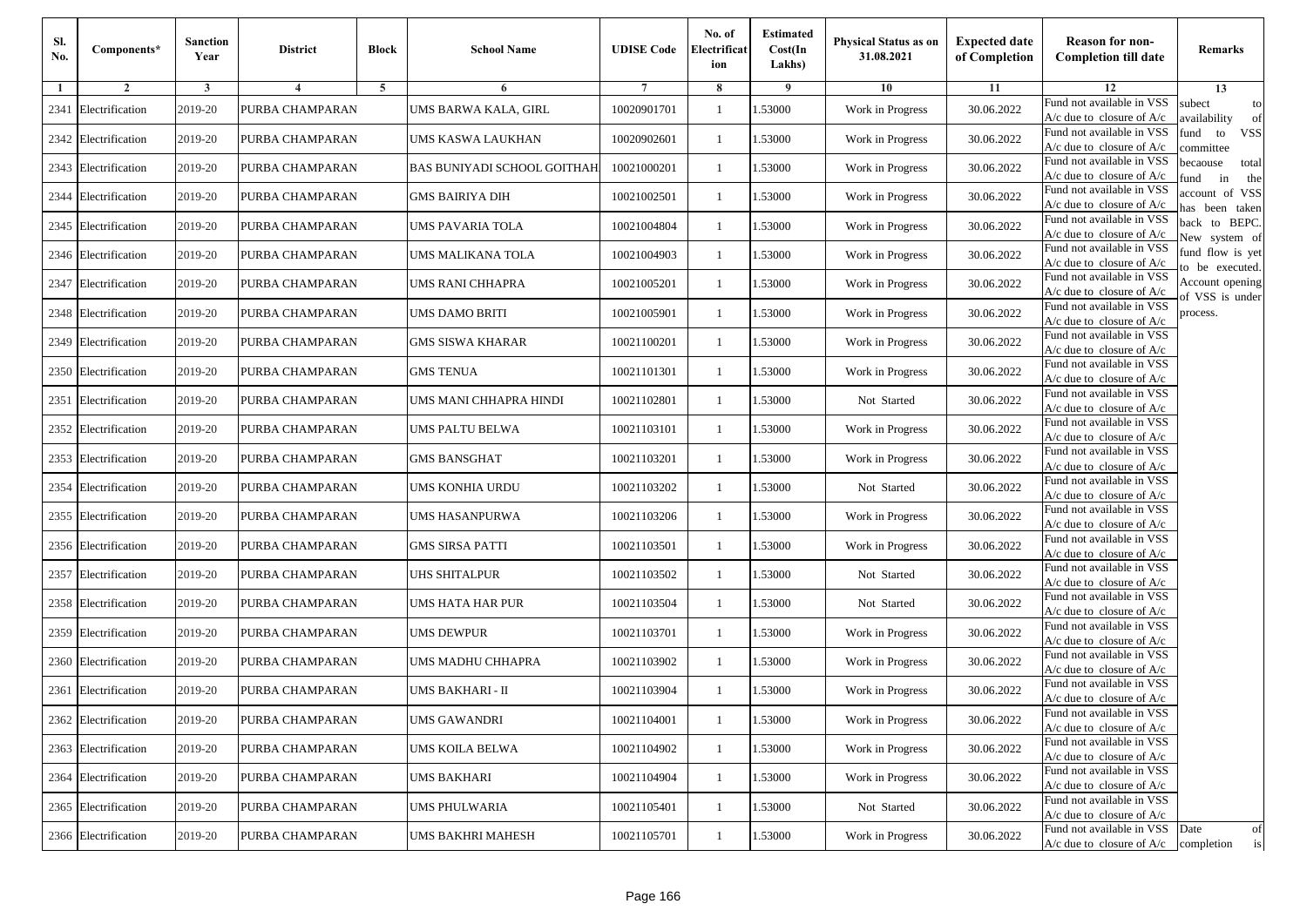| Sl.<br>No. | Components*          | <b>Sanction</b><br>Year | <b>District</b> | <b>Block</b>   | <b>School Name</b>          | <b>UDISE Code</b> | No. of<br>Electrificat<br>ion | <b>Estimated</b><br>Cost(In<br>Lakhs) | <b>Physical Status as on</b><br>31.08.2021 | <b>Expected date</b><br>of Completion | <b>Reason for non-</b><br><b>Completion till date</b>                 | Remarks                               |
|------------|----------------------|-------------------------|-----------------|----------------|-----------------------------|-------------------|-------------------------------|---------------------------------------|--------------------------------------------|---------------------------------------|-----------------------------------------------------------------------|---------------------------------------|
| -1         | $\overline{2}$       | 3                       | $\overline{4}$  | $\overline{5}$ | 6                           |                   | 8                             | 9                                     | 10                                         | 11                                    | 12                                                                    | 13                                    |
| 2341       | Electrification      | 2019-20                 | PURBA CHAMPARAN |                | UMS BARWA KALA, GIRL        | 10020901701       | 1                             | 1.53000                               | Work in Progress                           | 30.06.2022                            | Fund not available in VSS<br>$A/c$ due to closure of $A/c$            | subect<br>to<br>availability<br>of    |
|            | 2342 Electrification | 2019-20                 | PURBA CHAMPARAN |                | UMS KASWA LAUKHAN           | 10020902601       | $\mathbf{1}$                  | 1.53000                               | Work in Progress                           | 30.06.2022                            | Fund not available in VSS<br>$A/c$ due to closure of $A/c$            | fund<br>to<br><b>VSS</b><br>ommittee  |
|            | 2343 Electrification | 2019-20                 | PURBA CHAMPARAN |                | BAS BUNIYADI SCHOOL GOITHAH | 10021000201       | -1                            | 1.53000                               | Work in Progress                           | 30.06.2022                            | Fund not available in VSS<br>$A/c$ due to closure of $A/c$            | becaouse<br>total<br>in<br>und<br>the |
| 2344       | Electrification      | 2019-20                 | PURBA CHAMPARAN |                | GMS BAIRIYA DIH             | 10021002501       | -1                            | 1.53000                               | Work in Progress                           | 30.06.2022                            | Fund not available in VSS<br>A/c due to closure of A/c                | ccount of VSS<br>as been taken        |
|            | 2345 Electrification | 2019-20                 | PURBA CHAMPARAN |                | UMS PAVARIA TOLA            | 10021004804       | 1                             | 1.53000                               | Work in Progress                           | 30.06.2022                            | Fund not available in VSS<br>A/c due to closure of $A/c$              | back to BEPC.<br>New system of        |
|            | 2346 Electrification | 2019-20                 | PURBA CHAMPARAN |                | UMS MALIKANA TOLA           | 10021004903       | 1                             | 1.53000                               | Work in Progress                           | 30.06.2022                            | Fund not available in VSS<br>A/c due to closure of $A/c$              | fund flow is yet<br>o be executed.    |
| 2347       | Electrification      | 2019-20                 | PURBA CHAMPARAN |                | UMS RANI CHHAPRA            | 10021005201       | -1                            | 1.53000                               | Work in Progress                           | 30.06.2022                            | Fund not available in VSS<br>$A/c$ due to closure of $A/c$            | Account opening<br>of VSS is under    |
|            | 2348 Electrification | 2019-20                 | PURBA CHAMPARAN |                | UMS DAMO BRITI              | 10021005901       | -1                            | 1.53000                               | Work in Progress                           | 30.06.2022                            | Fund not available in VSS<br>$A/c$ due to closure of $A/c$            | process.                              |
| 2349       | Electrification      | 2019-20                 | PURBA CHAMPARAN |                | GMS SISWA KHARAR            | 10021100201       | -1                            | 1.53000                               | Work in Progress                           | 30.06.2022                            | Fund not available in VSS<br>$A/c$ due to closure of $A/c$            |                                       |
|            | 2350 Electrification | 2019-20                 | PURBA CHAMPARAN |                | <b>GMS TENUA</b>            | 10021101301       | $\mathbf{1}$                  | 1.53000                               | Work in Progress                           | 30.06.2022                            | Fund not available in VSS<br>$A/c$ due to closure of $A/c$            |                                       |
|            | 2351 Electrification | 2019-20                 | PURBA CHAMPARAN |                | UMS MANI CHHAPRA HINDI      | 10021102801       | 1                             | 1.53000                               | Not Started                                | 30.06.2022                            | Fund not available in VSS<br>$A/c$ due to closure of $A/c$            |                                       |
|            | 2352 Electrification | 2019-20                 | PURBA CHAMPARAN |                | UMS PALTU BELWA             | 10021103101       | 1                             | 1.53000                               | Work in Progress                           | 30.06.2022                            | Fund not available in VSS<br>$A/c$ due to closure of $A/c$            |                                       |
| 2353       | Electrification      | 2019-20                 | PURBA CHAMPARAN |                | GMS BANSGHAT                | 10021103201       | -1                            | 1.53000                               | Work in Progress                           | 30.06.2022                            | Fund not available in VSS<br>$A/c$ due to closure of $A/c$            |                                       |
| 2354       | Electrification      | 2019-20                 | PURBA CHAMPARAN |                | UMS KONHIA URDU             | 10021103202       | $\mathbf{1}$                  | 1.53000                               | Not Started                                | 30.06.2022                            | Fund not available in VSS<br>$A/c$ due to closure of $A/c$            |                                       |
|            | 2355 Electrification | 2019-20                 | PURBA CHAMPARAN |                | UMS HASANPURWA              | 10021103206       | -1                            | 1.53000                               | Work in Progress                           | 30.06.2022                            | Fund not available in VSS<br>$A/c$ due to closure of $A/c$            |                                       |
|            | 2356 Electrification | 2019-20                 | PURBA CHAMPARAN |                | <b>GMS SIRSA PATTI</b>      | 10021103501       | -1                            | 1.53000                               | Work in Progress                           | 30.06.2022                            | Fund not available in VSS<br>$A/c$ due to closure of $A/c$            |                                       |
| 2357       | Electrification      | 2019-20                 | PURBA CHAMPARAN |                | <b>JHS SHITALPUR</b>        | 10021103502       | -1                            | 1.53000                               | Not Started                                | 30.06.2022                            | Fund not available in VSS<br>$A/c$ due to closure of $A/c$            |                                       |
|            | 2358 Electrification | 2019-20                 | PURBA CHAMPARAN |                | UMS HATA HAR PUR            | 10021103504       | $\mathbf{1}$                  | 1.53000                               | Not Started                                | 30.06.2022                            | Fund not available in VSS<br>$A/c$ due to closure of $A/c$            |                                       |
|            | 2359 Electrification | 2019-20                 | PURBA CHAMPARAN |                | UMS DEWPUR                  | 10021103701       | 1                             | 1.53000                               | Work in Progress                           | 30.06.2022                            | Fund not available in VSS<br>$A/c$ due to closure of $A/c$            |                                       |
|            | 2360 Electrification | 2019-20                 | PURBA CHAMPARAN |                | UMS MADHU CHHAPRA           | 10021103902       | -1                            | 1.53000                               | Work in Progress                           | 30.06.2022                            | Fund not available in VSS<br>$A/c$ due to closure of $A/c$            |                                       |
| 2361       | Electrification      | 2019-20                 | PURBA CHAMPARAN |                | UMS BAKHARI - II            | 10021103904       | -1                            | .53000                                | Work in Progress                           | 30.06.2022                            | Fund not available in VSS<br>A/c due to closure of A/c                |                                       |
|            | 2362 Electrification | 2019-20                 | PURBA CHAMPARAN |                | <b>UMS GAWANDRI</b>         | 10021104001       | $\mathbf{1}$                  | 1.53000                               | Work in Progress                           | 30.06.2022                            | Fund not available in VSS<br>A/c due to closure of A/c                |                                       |
|            | 2363 Electrification | 2019-20                 | PURBA CHAMPARAN |                | UMS KOILA BELWA             | 10021104902       | $\mathbf{1}$                  | 1.53000                               | Work in Progress                           | 30.06.2022                            | Fund not available in VSS<br>A/c due to closure of $A/c$              |                                       |
|            | 2364 Electrification | 2019-20                 | PURBA CHAMPARAN |                | UMS BAKHARI                 | 10021104904       | -1                            | 1.53000                               | Work in Progress                           | 30.06.2022                            | Fund not available in VSS<br>$A/c$ due to closure of $A/c$            |                                       |
|            | 2365 Electrification | 2019-20                 | PURBA CHAMPARAN |                | UMS PHULWARIA               | 10021105401       | -1                            | 1.53000                               | Not Started                                | 30.06.2022                            | Fund not available in VSS<br>A/c due to closure of A/c                |                                       |
|            | 2366 Electrification | 2019-20                 | PURBA CHAMPARAN |                | UMS BAKHRI MAHESH           | 10021105701       | $\mathbf{1}$                  | 1.53000                               | Work in Progress                           | 30.06.2022                            | Fund not available in VSS<br>$A/c$ due to closure of $A/c$ completion | Date<br>of<br>is                      |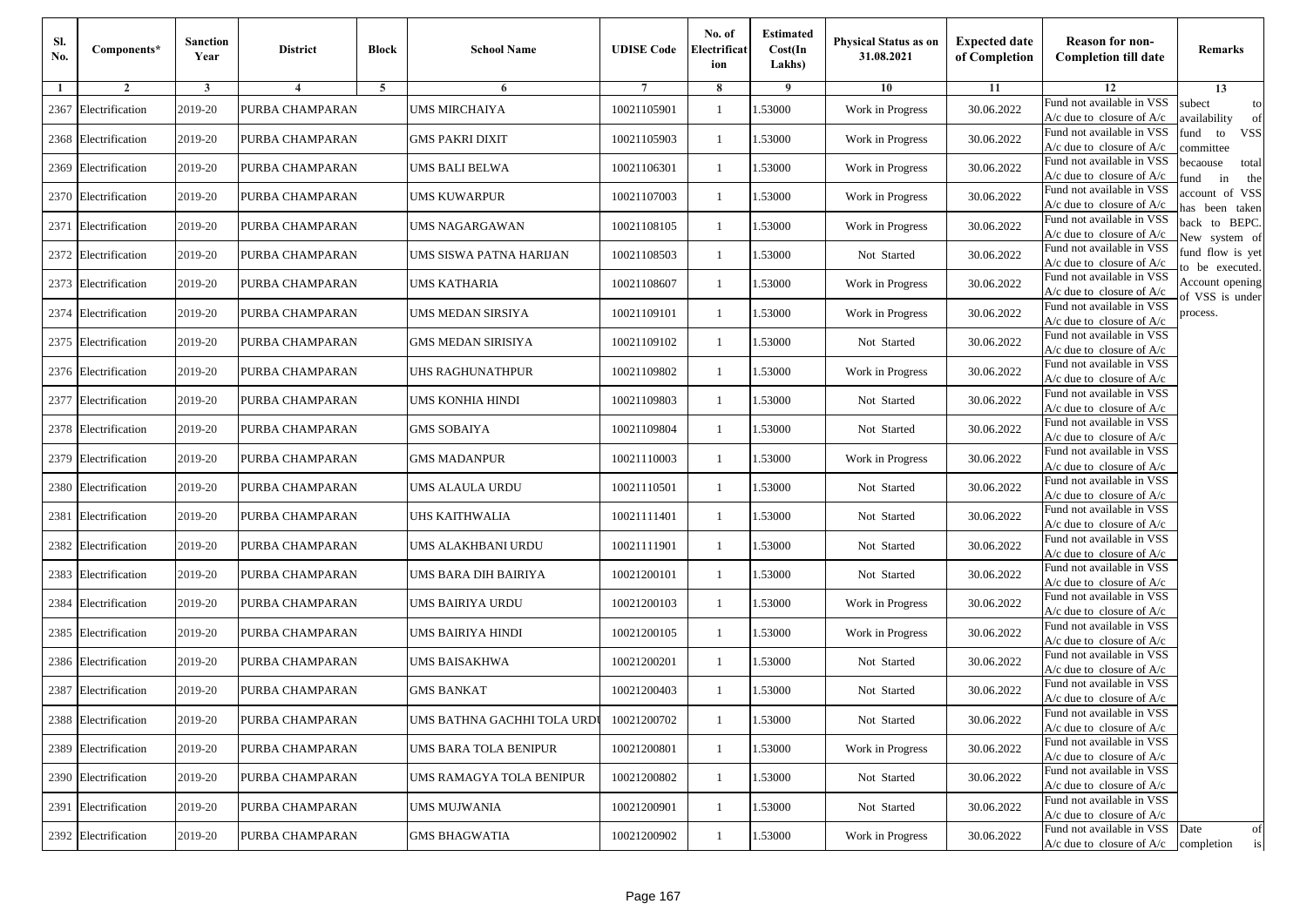| Sl.<br>No. | Components*          | <b>Sanction</b><br>Year | <b>District</b> | <b>Block</b>   | <b>School Name</b>          | <b>UDISE Code</b> | No. of<br>Electrificat<br>ion | <b>Estimated</b><br>Cost(In<br>Lakhs) | <b>Physical Status as on</b><br>31.08.2021 | <b>Expected date</b><br>of Completion | <b>Reason for non-</b><br><b>Completion till date</b>                 | Remarks                               |
|------------|----------------------|-------------------------|-----------------|----------------|-----------------------------|-------------------|-------------------------------|---------------------------------------|--------------------------------------------|---------------------------------------|-----------------------------------------------------------------------|---------------------------------------|
| -1         | $\overline{2}$       | 3                       | $\overline{4}$  | $\overline{5}$ | 6                           |                   | 8                             | 9                                     | 10                                         | 11                                    | 12                                                                    | 13                                    |
| 2367       | Electrification      | 2019-20                 | PURBA CHAMPARAN |                | <b>UMS MIRCHAIYA</b>        | 10021105901       | 1                             | 1.53000                               | Work in Progress                           | 30.06.2022                            | Fund not available in VSS<br>$A/c$ due to closure of $A/c$            | subect<br>to<br>availability<br>of    |
|            | 2368 Electrification | 2019-20                 | PURBA CHAMPARAN |                | <b>GMS PAKRI DIXIT</b>      | 10021105903       | $\mathbf{1}$                  | 1.53000                               | Work in Progress                           | 30.06.2022                            | Fund not available in VSS<br>$A/c$ due to closure of $A/c$            | fund<br><b>VSS</b><br>to<br>ommittee  |
|            | 2369 Electrification | 2019-20                 | PURBA CHAMPARAN |                | UMS BALI BELWA              | 10021106301       | -1                            | 1.53000                               | Work in Progress                           | 30.06.2022                            | Fund not available in VSS<br>$A/c$ due to closure of $A/c$            | becaouse<br>total<br>in<br>und<br>the |
|            | 2370 Electrification | 2019-20                 | PURBA CHAMPARAN |                | UMS KUWARPUR                | 10021107003       | -1                            | 1.53000                               | Work in Progress                           | 30.06.2022                            | Fund not available in VSS<br>A/c due to closure of A/c                | ccount of VSS<br>as been taken        |
| 2371       | Electrification      | 2019-20                 | PURBA CHAMPARAN |                | <b>UMS NAGARGAWAN</b>       | 10021108105       | $\mathbf{1}$                  | 1.53000                               | Work in Progress                           | 30.06.2022                            | Fund not available in VSS<br>A/c due to closure of $A/c$              | back to BEPC.<br>New system of        |
|            | 2372 Electrification | 2019-20                 | PURBA CHAMPARAN |                | UMS SISWA PATNA HARIJAN     | 10021108503       | 1                             | 1.53000                               | Not Started                                | 30.06.2022                            | Fund not available in VSS<br>A/c due to closure of $A/c$              | fund flow is yet<br>o be executed.    |
|            | 2373 Electrification | 2019-20                 | PURBA CHAMPARAN |                | UMS KATHARIA                | 10021108607       | -1                            | 1.53000                               | Work in Progress                           | 30.06.2022                            | Fund not available in VSS<br>$A/c$ due to closure of $A/c$            | Account opening<br>of VSS is under    |
| 2374       | Electrification      | 2019-20                 | PURBA CHAMPARAN |                | UMS MEDAN SIRSIYA           | 10021109101       | 1                             | 1.53000                               | Work in Progress                           | 30.06.2022                            | Fund not available in VSS<br>$A/c$ due to closure of $A/c$            | process.                              |
|            | 2375 Electrification | 2019-20                 | PURBA CHAMPARAN |                | <b>GMS MEDAN SIRISIYA</b>   | 10021109102       | -1                            | 1.53000                               | Not Started                                | 30.06.2022                            | Fund not available in VSS<br>$A/c$ due to closure of $A/c$            |                                       |
|            | 2376 Electrification | 2019-20                 | PURBA CHAMPARAN |                | <b>JHS RAGHUNATHPUR</b>     | 10021109802       | $\mathbf{1}$                  | 1.53000                               | Work in Progress                           | 30.06.2022                            | Fund not available in VSS<br>$A/c$ due to closure of $A/c$            |                                       |
|            | 2377 Electrification | 2019-20                 | PURBA CHAMPARAN |                | UMS KONHIA HINDI            | 10021109803       | 1                             | 1.53000                               | Not Started                                | 30.06.2022                            | Fund not available in VSS<br>$A/c$ due to closure of $A/c$            |                                       |
|            | 2378 Electrification | 2019-20                 | PURBA CHAMPARAN |                | GMS SOBAIYA                 | 10021109804       | 1                             | 1.53000                               | Not Started                                | 30.06.2022                            | Fund not available in VSS<br>$A/c$ due to closure of $A/c$            |                                       |
| 2379       | Electrification      | 2019-20                 | PURBA CHAMPARAN |                | GMS MADANPUR                | 10021110003       | -1                            | 1.53000                               | Work in Progress                           | 30.06.2022                            | Fund not available in VSS<br>$A/c$ due to closure of $A/c$            |                                       |
|            | 2380 Electrification | 2019-20                 | PURBA CHAMPARAN |                | UMS ALAULA URDU             | 10021110501       | $\mathbf{1}$                  | 1.53000                               | Not Started                                | 30.06.2022                            | Fund not available in VSS<br>$A/c$ due to closure of $A/c$            |                                       |
| 2381       | Electrification      | 2019-20                 | PURBA CHAMPARAN |                | <b>JHS KAITHWALIA</b>       | 10021111401       | -1                            | 1.53000                               | Not Started                                | 30.06.2022                            | Fund not available in VSS<br>$A/c$ due to closure of $A/c$            |                                       |
| 2382       | Electrification      | 2019-20                 | PURBA CHAMPARAN |                | UMS ALAKHBANI URDU          | 10021111901       | -1                            | 1.53000                               | Not Started                                | 30.06.2022                            | Fund not available in VSS<br>$A/c$ due to closure of $A/c$            |                                       |
| 2383       | Electrification      | 2019-20                 | PURBA CHAMPARAN |                | UMS BARA DIH BAIRIYA        | 10021200101       | -1                            | 1.53000                               | Not Started                                | 30.06.2022                            | Fund not available in VSS<br>$A/c$ due to closure of $A/c$            |                                       |
| 2384       | Electrification      | 2019-20                 | PURBA CHAMPARAN |                | UMS BAIRIYA URDU            | 10021200103       | $\mathbf{1}$                  | 1.53000                               | Work in Progress                           | 30.06.2022                            | Fund not available in VSS<br>$A/c$ due to closure of $A/c$            |                                       |
|            | 2385 Electrification | 2019-20                 | PURBA CHAMPARAN |                | UMS BAIRIYA HINDI           | 10021200105       | 1                             | 1.53000                               | Work in Progress                           | 30.06.2022                            | Fund not available in VSS<br>$A/c$ due to closure of $A/c$            |                                       |
|            | 2386 Electrification | 2019-20                 | PURBA CHAMPARAN |                | UMS BAISAKHWA               | 10021200201       | -1                            | 1.53000                               | Not Started                                | 30.06.2022                            | Fund not available in VSS<br>$A/c$ due to closure of $A/c$            |                                       |
| 2387       | Electrification      | 2019-20                 | PURBA CHAMPARAN |                | <b>GMS BANKAT</b>           | 10021200403       | -1                            | .53000                                | Not Started                                | 30.06.2022                            | Fund not available in VSS<br>A/c due to closure of A/c                |                                       |
|            | 2388 Electrification | 2019-20                 | PURBA CHAMPARAN |                | UMS BATHNA GACHHI TOLA URDU | 10021200702       | $\mathbf{1}$                  | 1.53000                               | Not Started                                | 30.06.2022                            | Fund not available in VSS<br>A/c due to closure of A/c                |                                       |
|            | 2389 Electrification | 2019-20                 | PURBA CHAMPARAN |                | UMS BARA TOLA BENIPUR       | 10021200801       | $\mathbf{1}$                  | 1.53000                               | Work in Progress                           | 30.06.2022                            | Fund not available in VSS<br>A/c due to closure of $A/c$              |                                       |
|            | 2390 Electrification | 2019-20                 | PURBA CHAMPARAN |                | UMS RAMAGYA TOLA BENIPUR    | 10021200802       | -1                            | 1.53000                               | Not Started                                | 30.06.2022                            | Fund not available in VSS<br>$A/c$ due to closure of $A/c$            |                                       |
|            | 2391 Electrification | 2019-20                 | PURBA CHAMPARAN |                | UMS MUJWANIA                | 10021200901       | -1                            | 1.53000                               | Not Started                                | 30.06.2022                            | Fund not available in VSS<br>A/c due to closure of A/c                |                                       |
|            | 2392 Electrification | 2019-20                 | PURBA CHAMPARAN |                | <b>GMS BHAGWATIA</b>        | 10021200902       | $\mathbf{1}$                  | 1.53000                               | Work in Progress                           | 30.06.2022                            | Fund not available in VSS<br>$A/c$ due to closure of $A/c$ completion | Date<br>of<br>is                      |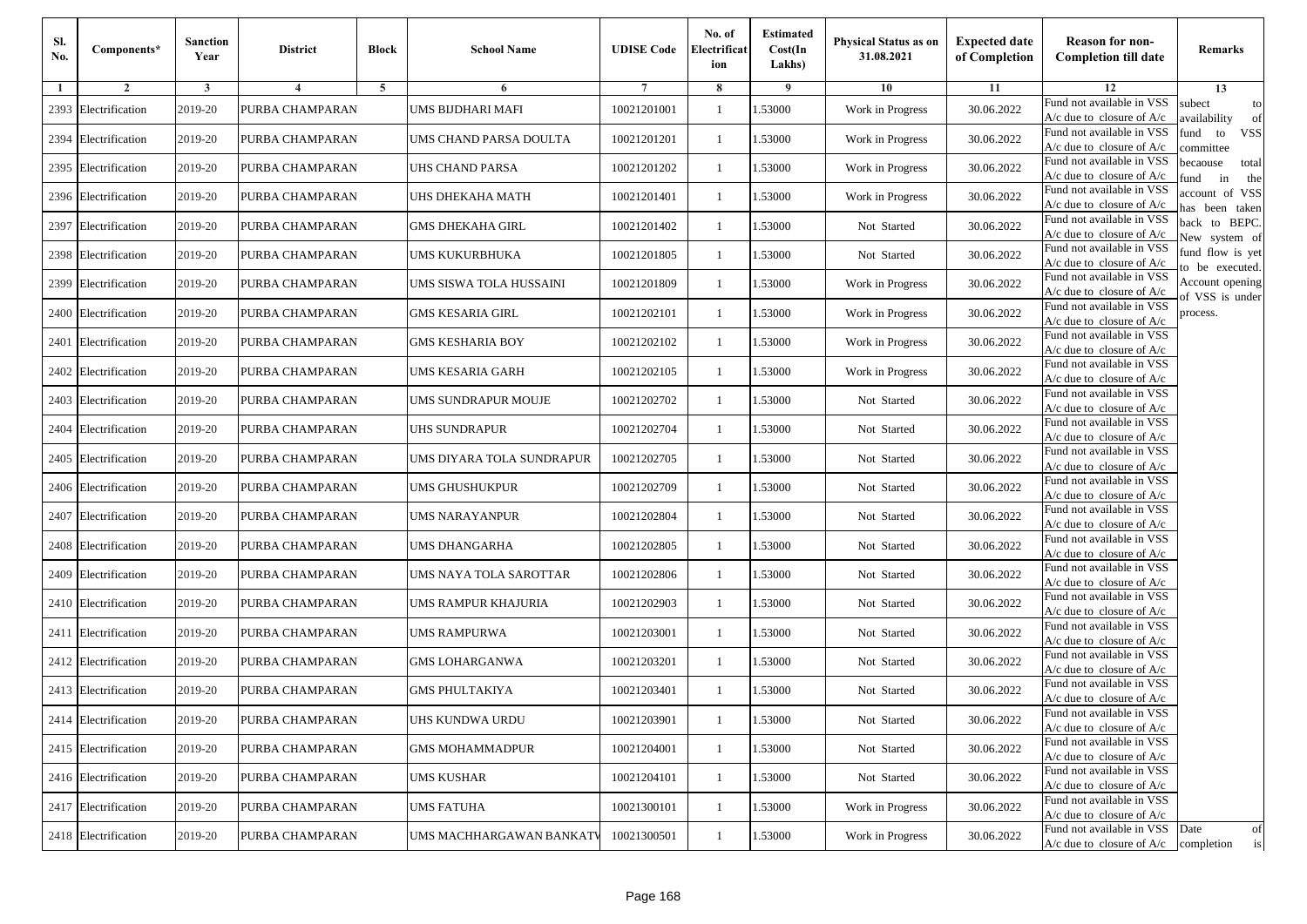| Sl.<br>No. | Components*          | <b>Sanction</b><br>Year | <b>District</b> | <b>Block</b> | <b>School Name</b>        | <b>UDISE Code</b> | No. of<br>Electrificat<br>ion | <b>Estimated</b><br>Cost(In<br>Lakhs) | <b>Physical Status as on</b><br>31.08.2021 | <b>Expected date</b><br>of Completion | <b>Reason for non-</b><br><b>Completion till date</b>      | Remarks                               |
|------------|----------------------|-------------------------|-----------------|--------------|---------------------------|-------------------|-------------------------------|---------------------------------------|--------------------------------------------|---------------------------------------|------------------------------------------------------------|---------------------------------------|
| -1         | $\overline{2}$       | 3                       | 4               | 5            | 6                         |                   | 8                             | 9                                     | 10                                         | 11                                    | 12                                                         | 13                                    |
|            | 2393 Electrification | 2019-20                 | PURBA CHAMPARAN |              | UMS BIJDHARI MAFI         | 10021201001       | $\mathbf{1}$                  | .53000                                | Work in Progress                           | 30.06.2022                            | Fund not available in VSS<br>$A/c$ due to closure of $A/c$ | subect<br>to<br>availability<br>of    |
|            | 2394 Electrification | 2019-20                 | PURBA CHAMPARAN |              | UMS CHAND PARSA DOULTA    | 10021201201       | 1                             | 1.53000                               | Work in Progress                           | 30.06.2022                            | Fund not available in VSS<br>$A/c$ due to closure of $A/c$ | fund<br><b>VSS</b><br>to<br>committee |
|            | 2395 Electrification | 2019-20                 | PURBA CHAMPARAN |              | UHS CHAND PARSA           | 10021201202       | 1                             | 1.53000                               | Work in Progress                           | 30.06.2022                            | Fund not available in VSS<br>$A/c$ due to closure of $A/c$ | becaouse<br>total<br>in<br>und<br>the |
|            | 2396 Electrification | 2019-20                 | PURBA CHAMPARAN |              | UHS DHEKAHA MATH          | 10021201401       | $\mathbf{1}$                  | .53000                                | Work in Progress                           | 30.06.2022                            | Fund not available in VSS<br>A/c due to closure of A/c     | account of VSS<br>as been taken       |
|            | 2397 Electrification | 2019-20                 | PURBA CHAMPARAN |              | <b>GMS DHEKAHA GIRL</b>   | 10021201402       | $\mathbf{1}$                  | 1.53000                               | Not Started                                | 30.06.2022                            | Fund not available in VSS<br>A/c due to closure of $A/c$   | back to BEPC.<br>New system of        |
|            | 2398 Electrification | 2019-20                 | PURBA CHAMPARAN |              | UMS KUKURBHUKA            | 10021201805       | $\mathbf{1}$                  | 1.53000                               | Not Started                                | 30.06.2022                            | Fund not available in VSS<br>A/c due to closure of $A/c$   | fund flow is yet<br>o be executed.    |
|            | 2399 Electrification | 2019-20                 | PURBA CHAMPARAN |              | UMS SISWA TOLA HUSSAINI   | 10021201809       | $\mathbf{1}$                  | 1.53000                               | Work in Progress                           | 30.06.2022                            | Fund not available in VSS<br>$A/c$ due to closure of $A/c$ | Account opening                       |
|            | 2400 Electrification | 2019-20                 | PURBA CHAMPARAN |              | <b>GMS KESARIA GIRL</b>   | 10021202101       | $\mathbf{1}$                  | .53000                                | Work in Progress                           | 30.06.2022                            | Fund not available in VSS<br>$A/c$ due to closure of $A/c$ | of VSS is under<br>process.           |
|            | 2401 Electrification | 2019-20                 | PURBA CHAMPARAN |              | <b>GMS KESHARIA BOY</b>   | 10021202102       | 1                             | .53000                                | Work in Progress                           | 30.06.2022                            | Fund not available in VSS<br>$A/c$ due to closure of $A/c$ |                                       |
|            | 2402 Electrification | 2019-20                 | PURBA CHAMPARAN |              | <b>UMS KESARIA GARH</b>   | 10021202105       | $\mathbf{1}$                  | 1.53000                               | Work in Progress                           | 30.06.2022                            | Fund not available in VSS<br>$A/c$ due to closure of $A/c$ |                                       |
|            | 2403 Electrification | 2019-20                 | PURBA CHAMPARAN |              | UMS SUNDRAPUR MOUJE       | 10021202702       | 1                             | 1.53000                               | Not Started                                | 30.06.2022                            | Fund not available in VSS<br>$A/c$ due to closure of $A/c$ |                                       |
|            | 2404 Electrification | 2019-20                 | PURBA CHAMPARAN |              | UHS SUNDRAPUR             | 10021202704       | $\mathbf{1}$                  | .53000                                | Not Started                                | 30.06.2022                            | Fund not available in VSS<br>$A/c$ due to closure of $A/c$ |                                       |
|            | 2405 Electrification | 2019-20                 | PURBA CHAMPARAN |              | UMS DIYARA TOLA SUNDRAPUR | 10021202705       | $\mathbf{1}$                  | .53000                                | Not Started                                | 30.06.2022                            | Fund not available in VSS<br>$A/c$ due to closure of $A/c$ |                                       |
|            | 2406 Electrification | 2019-20                 | PURBA CHAMPARAN |              | UMS GHUSHUKPUR            | 10021202709       | $\mathbf{1}$                  | 1.53000                               | Not Started                                | 30.06.2022                            | Fund not available in VSS<br>$A/c$ due to closure of $A/c$ |                                       |
|            | 2407 Electrification | 2019-20                 | PURBA CHAMPARAN |              | UMS NARAYANPUR            | 10021202804       | 1                             | 1.53000                               | Not Started                                | 30.06.2022                            | Fund not available in VSS<br>$A/c$ due to closure of $A/c$ |                                       |
|            | 2408 Electrification | 2019-20                 | PURBA CHAMPARAN |              | <b>UMS DHANGARHA</b>      | 10021202805       | $\mathbf{1}$                  | .53000                                | Not Started                                | 30.06.2022                            | Fund not available in VSS<br>$A/c$ due to closure of $A/c$ |                                       |
|            | 2409 Electrification | 2019-20                 | PURBA CHAMPARAN |              | UMS NAYA TOLA SAROTTAR    | 10021202806       | 1                             | .53000                                | Not Started                                | 30.06.2022                            | Fund not available in VSS<br>$A/c$ due to closure of $A/c$ |                                       |
|            | 2410 Electrification | 2019-20                 | PURBA CHAMPARAN |              | UMS RAMPUR KHAJURIA       | 10021202903       | $\mathbf{1}$                  | 1.53000                               | Not Started                                | 30.06.2022                            | Fund not available in VSS<br>$A/c$ due to closure of $A/c$ |                                       |
|            | 2411 Electrification | 2019-20                 | PURBA CHAMPARAN |              | UMS RAMPURWA              | 10021203001       | 1                             | 1.53000                               | Not Started                                | 30.06.2022                            | Fund not available in VSS<br>$A/c$ due to closure of $A/c$ |                                       |
|            | 2412 Electrification | 2019-20                 | PURBA CHAMPARAN |              | <b>GMS LOHARGANWA</b>     | 10021203201       | $\mathbf{1}$                  | .53000                                | Not Started                                | 30.06.2022                            | Fund not available in VSS<br>$A/c$ due to closure of $A/c$ |                                       |
|            | 2413 Electrification | 2019-20                 | PURBA CHAMPARAN |              | <b>GMS PHULTAKIYA</b>     | 10021203401       | 1                             | .53000                                | Not Started                                | 30.06.2022                            | Fund not available in VSS<br>A/c due to closure of A/c     |                                       |
|            | 2414 Electrification | 2019-20                 | PURBA CHAMPARAN |              | UHS KUNDWA URDU           | 10021203901       |                               | 1.53000                               | Not Started                                | 30.06.2022                            | Fund not available in VSS<br>A/c due to closure of A/c     |                                       |
|            | 2415 Electrification | 2019-20                 | PURBA CHAMPARAN |              | <b>GMS MOHAMMADPUR</b>    | 10021204001       | $\mathbf{1}$                  | 1.53000                               | Not Started                                | 30.06.2022                            | Fund not available in VSS<br>$A/c$ due to closure of $A/c$ |                                       |
|            | 2416 Electrification | 2019-20                 | PURBA CHAMPARAN |              | <b>UMS KUSHAR</b>         | 10021204101       | $\mathbf{1}$                  | 1.53000                               | Not Started                                | 30.06.2022                            | Fund not available in VSS<br>$A/c$ due to closure of $A/c$ |                                       |
|            | 2417 Electrification | 2019-20                 | PURBA CHAMPARAN |              | <b>UMS FATUHA</b>         | 10021300101       | 1                             | .53000                                | Work in Progress                           | 30.06.2022                            | Fund not available in VSS<br>A/c due to closure of A/c     |                                       |
|            | 2418 Electrification | 2019-20                 | PURBA CHAMPARAN |              | UMS MACHHARGAWAN BANKATV  | 10021300501       | $\mathbf{1}$                  | 1.53000                               | Work in Progress                           | 30.06.2022                            | Fund not available in VSS<br>$A/c$ due to closure of $A/c$ | Date<br>of<br>is<br>completion        |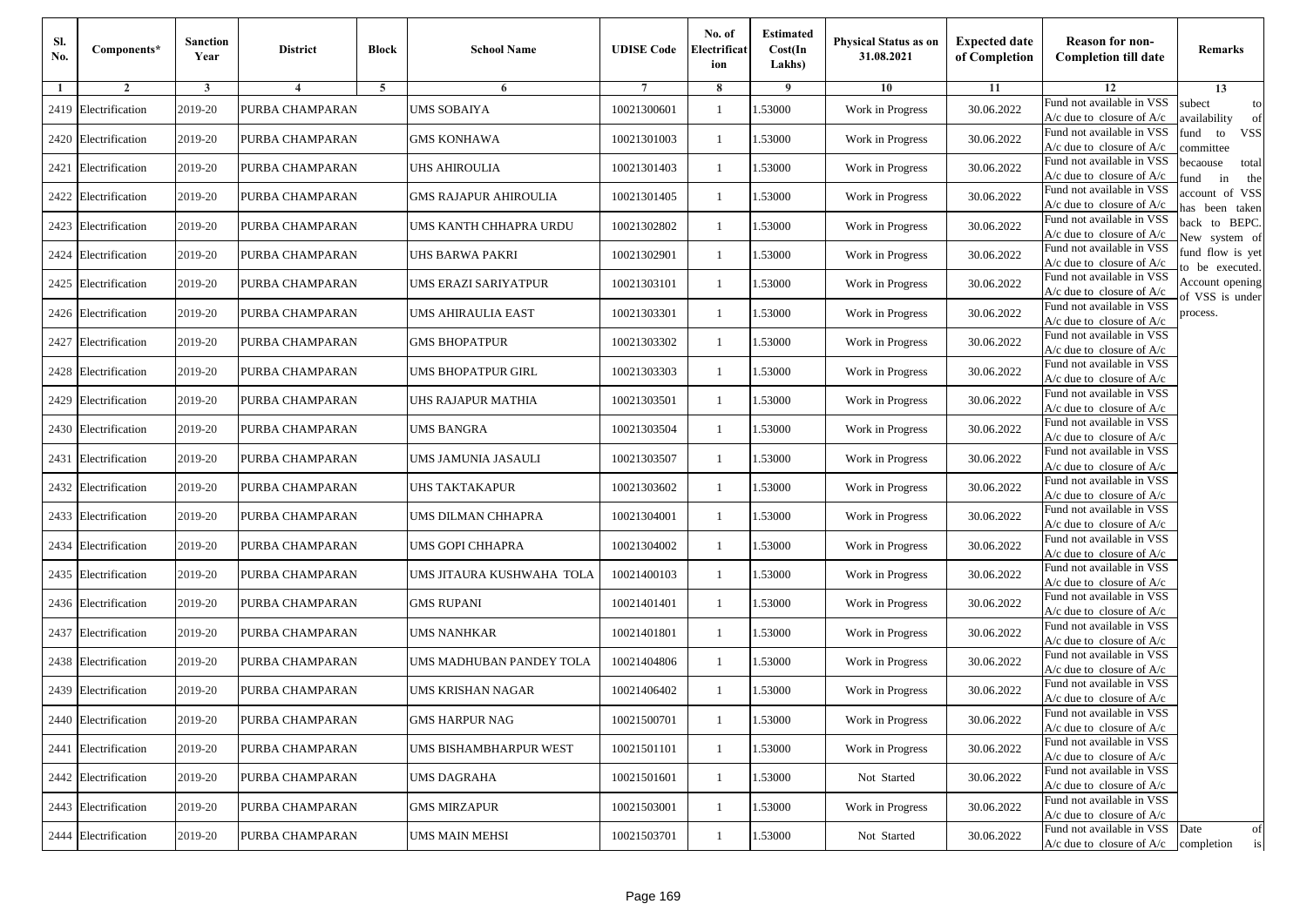| Sl.<br>No. | Components*          | <b>Sanction</b><br>Year | <b>District</b> | <b>Block</b>   | <b>School Name</b>         | <b>UDISE Code</b> | No. of<br>Electrificat<br>ion | <b>Estimated</b><br>Cost(In<br>Lakhs) | <b>Physical Status as on</b><br>31.08.2021 | <b>Expected date</b><br>of Completion | <b>Reason for non-</b><br><b>Completion till date</b>                 | Remarks                               |
|------------|----------------------|-------------------------|-----------------|----------------|----------------------------|-------------------|-------------------------------|---------------------------------------|--------------------------------------------|---------------------------------------|-----------------------------------------------------------------------|---------------------------------------|
| -1         | $\overline{2}$       | 3                       | $\overline{4}$  | $\overline{5}$ | 6                          |                   | 8                             | 9                                     | 10                                         | 11                                    | 12                                                                    | 13                                    |
| 2419       | Electrification      | 2019-20                 | PURBA CHAMPARAN |                | UMS SOBAIYA                | 10021300601       | 1                             | 1.53000                               | Work in Progress                           | 30.06.2022                            | Fund not available in VSS<br>$A/c$ due to closure of $A/c$            | subect<br>to<br>availability<br>of    |
|            | 2420 Electrification | 2019-20                 | PURBA CHAMPARAN |                | <b>GMS KONHAWA</b>         | 10021301003       | $\mathbf{1}$                  | 1.53000                               | Work in Progress                           | 30.06.2022                            | Fund not available in VSS<br>$A/c$ due to closure of $A/c$            | fund<br>to<br><b>VSS</b><br>ommittee  |
| 2421       | Electrification      | 2019-20                 | PURBA CHAMPARAN |                | UHS AHIROULIA              | 10021301403       | -1                            | 1.53000                               | Work in Progress                           | 30.06.2022                            | Fund not available in VSS<br>$A/c$ due to closure of $A/c$            | pecaouse<br>total<br>in<br>und<br>the |
| 2422       | Electrification      | 2019-20                 | PURBA CHAMPARAN |                | GMS RAJAPUR AHIROULIA      | 10021301405       | -1                            | 1.53000                               | Work in Progress                           | 30.06.2022                            | Fund not available in VSS<br>A/c due to closure of A/c                | ccount of VSS<br>as been taken        |
|            | 2423 Electrification | 2019-20                 | PURBA CHAMPARAN |                | UMS KANTH CHHAPRA URDU     | 10021302802       | $\mathbf{1}$                  | 1.53000                               | Work in Progress                           | 30.06.2022                            | Fund not available in VSS<br>$A/c$ due to closure of $A/c$            | back to BEPC.<br>New system of        |
| 2424       | Electrification      | 2019-20                 | PURBA CHAMPARAN |                | JHS BARWA PAKRI            | 10021302901       | 1                             | 1.53000                               | Work in Progress                           | 30.06.2022                            | Fund not available in VSS<br>A/c due to closure of $A/c$              | fund flow is yet<br>o be executed.    |
|            | 2425 Electrification | 2019-20                 | PURBA CHAMPARAN |                | UMS ERAZI SARIYATPUR       | 10021303101       | $\mathbf{1}$                  | 1.53000                               | Work in Progress                           | 30.06.2022                            | Fund not available in VSS<br>$A/c$ due to closure of $A/c$            | Account opening<br>f VSS is under     |
|            | 2426 Electrification | 2019-20                 | PURBA CHAMPARAN |                | UMS AHIRAULIA EAST         | 10021303301       | -1                            | 1.53000                               | Work in Progress                           | 30.06.2022                            | Fund not available in VSS<br>$A/c$ due to closure of $A/c$            | process.                              |
| 2427       | Electrification      | 2019-20                 | PURBA CHAMPARAN |                | <b>GMS BHOPATPUR</b>       | 10021303302       | -1                            | 1.53000                               | Work in Progress                           | 30.06.2022                            | Fund not available in VSS<br>$A/c$ due to closure of $A/c$            |                                       |
|            | 2428 Electrification | 2019-20                 | PURBA CHAMPARAN |                | UMS BHOPATPUR GIRL         | 10021303303       | $\mathbf{1}$                  | 1.53000                               | Work in Progress                           | 30.06.2022                            | Fund not available in VSS<br>$A/c$ due to closure of $A/c$            |                                       |
|            | 2429 Electrification | 2019-20                 | PURBA CHAMPARAN |                | JHS RAJAPUR MATHIA         | 10021303501       | 1                             | 1.53000                               | Work in Progress                           | 30.06.2022                            | Fund not available in VSS<br>$A/c$ due to closure of $A/c$            |                                       |
|            | 2430 Electrification | 2019-20                 | PURBA CHAMPARAN |                | UMS BANGRA                 | 10021303504       | 1                             | 1.53000                               | Work in Progress                           | 30.06.2022                            | Fund not available in VSS<br>$A/c$ due to closure of $A/c$            |                                       |
| 2431       | Electrification      | 2019-20                 | PURBA CHAMPARAN |                | UMS JAMUNIA JASAULI        | 10021303507       | -1                            | 1.53000                               | Work in Progress                           | 30.06.2022                            | Fund not available in VSS<br>$A/c$ due to closure of $A/c$            |                                       |
|            | 2432 Electrification | 2019-20                 | PURBA CHAMPARAN |                | <b>JHS TAKTAKAPUR</b>      | 10021303602       | $\mathbf{1}$                  | 1.53000                               | Work in Progress                           | 30.06.2022                            | Fund not available in VSS<br>$A/c$ due to closure of $A/c$            |                                       |
|            | 2433 Electrification | 2019-20                 | PURBA CHAMPARAN |                | UMS DILMAN CHHAPRA         | 10021304001       | 1                             | 1.53000                               | Work in Progress                           | 30.06.2022                            | Fund not available in VSS<br>$A/c$ due to closure of $A/c$            |                                       |
| 2434       | Electrification      | 2019-20                 | PURBA CHAMPARAN |                | UMS GOPI CHHAPRA           | 10021304002       | 1                             | 1.53000                               | Work in Progress                           | 30.06.2022                            | Fund not available in VSS<br>$A/c$ due to closure of $A/c$            |                                       |
| 2435       | Electrification      | 2019-20                 | PURBA CHAMPARAN |                | UMS JITAURA KUSHWAHA  TOLA | 10021400103       | -1                            | 1.53000                               | Work in Progress                           | 30.06.2022                            | Fund not available in VSS<br>$A/c$ due to closure of $A/c$            |                                       |
|            | 2436 Electrification | 2019-20                 | PURBA CHAMPARAN |                | <b>GMS RUPANI</b>          | 10021401401       | $\mathbf{1}$                  | 1.53000                               | Work in Progress                           | 30.06.2022                            | Fund not available in VSS<br>$A/c$ due to closure of $A/c$            |                                       |
|            | 2437 Electrification | 2019-20                 | PURBA CHAMPARAN |                | UMS NANHKAR                | 10021401801       | 1                             | 1.53000                               | Work in Progress                           | 30.06.2022                            | Fund not available in VSS<br>$A/c$ due to closure of $A/c$            |                                       |
|            | 2438 Electrification | 2019-20                 | PURBA CHAMPARAN |                | UMS MADHUBAN PANDEY TOLA   | 10021404806       | -1                            | 1.53000                               | Work in Progress                           | 30.06.2022                            | Fund not available in VSS<br>$A/c$ due to closure of $A/c$            |                                       |
| 2439       | Electrification      | 2019-20                 | PURBA CHAMPARAN |                | UMS KRISHAN NAGAR          | 10021406402       | -1                            | .53000                                | Work in Progress                           | 30.06.2022                            | Fund not available in VSS<br>A/c due to closure of A/c                |                                       |
|            | 2440 Electrification | 2019-20                 | PURBA CHAMPARAN |                | <b>GMS HARPUR NAG</b>      | 10021500701       | $\mathbf{1}$                  | 1.53000                               | Work in Progress                           | 30.06.2022                            | Fund not available in VSS<br>A/c due to closure of A/c                |                                       |
|            | 2441 Electrification | 2019-20                 | PURBA CHAMPARAN |                | UMS BISHAMBHARPUR WEST     | 10021501101       | $\mathbf{1}$                  | 1.53000                               | Work in Progress                           | 30.06.2022                            | Fund not available in VSS<br>$A/c$ due to closure of $A/c$            |                                       |
|            | 2442 Electrification | 2019-20                 | PURBA CHAMPARAN |                | <b>UMS DAGRAHA</b>         | 10021501601       | -1                            | 1.53000                               | Not Started                                | 30.06.2022                            | Fund not available in VSS<br>$A/c$ due to closure of $A/c$            |                                       |
|            | 2443 Electrification | 2019-20                 | PURBA CHAMPARAN |                | <b>GMS MIRZAPUR</b>        | 10021503001       | -1                            | 1.53000                               | Work in Progress                           | 30.06.2022                            | Fund not available in VSS<br>$A/c$ due to closure of $A/c$            |                                       |
|            | 2444 Electrification | 2019-20                 | PURBA CHAMPARAN |                | UMS MAIN MEHSI             | 10021503701       | $\mathbf{1}$                  | 1.53000                               | Not Started                                | 30.06.2022                            | Fund not available in VSS<br>$A/c$ due to closure of $A/c$ completion | Date<br>of<br>is                      |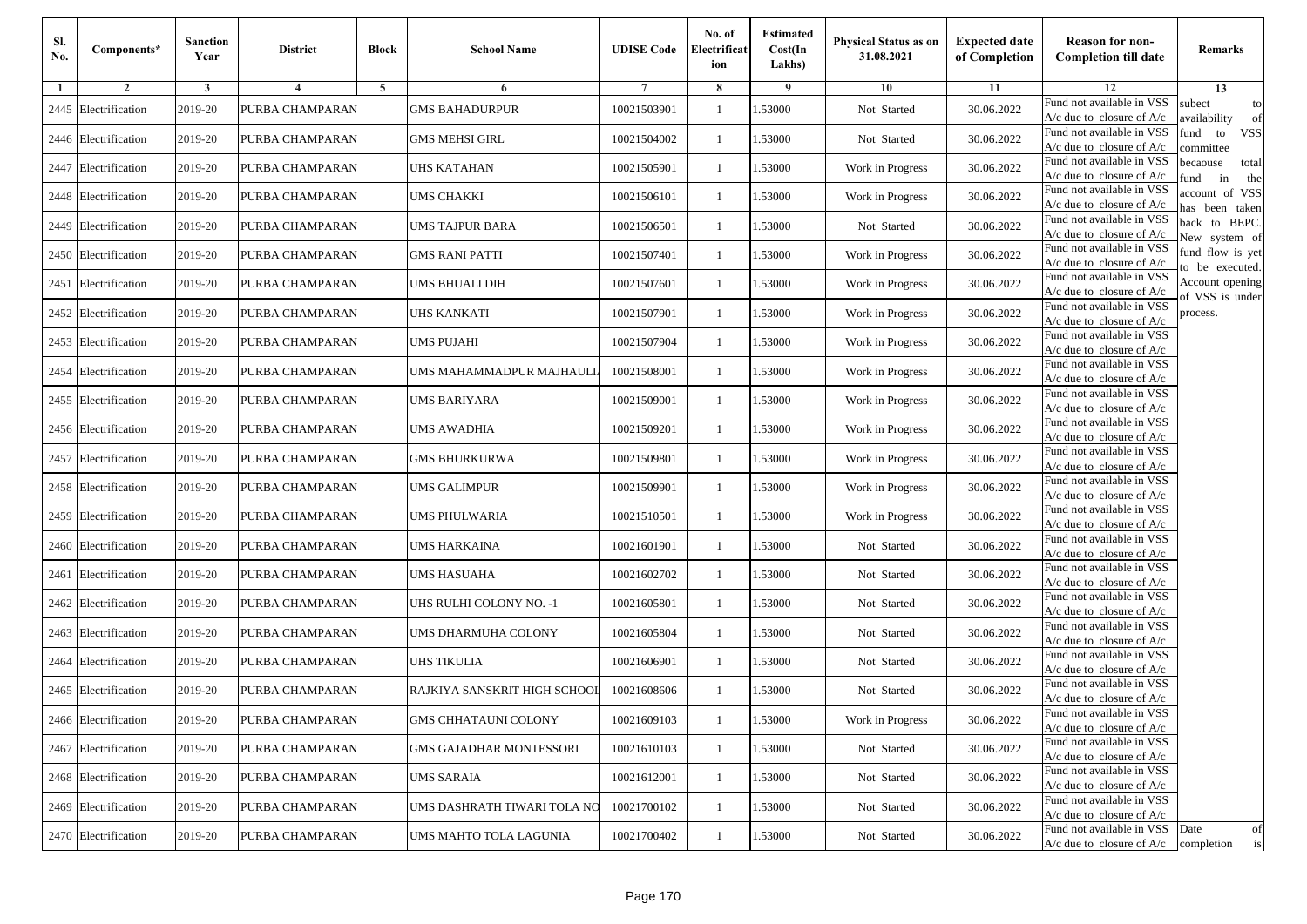| Sl.<br>No. | Components*          | <b>Sanction</b><br>Year | <b>District</b> | <b>Block</b>   | <b>School Name</b>             | <b>UDISE Code</b> | No. of<br>Electrificat<br>ion | <b>Estimated</b><br>Cost(In<br>Lakhs) | <b>Physical Status as on</b><br>31.08.2021 | <b>Expected date</b><br>of Completion | <b>Reason for non-</b><br><b>Completion till date</b>                 | Remarks                               |
|------------|----------------------|-------------------------|-----------------|----------------|--------------------------------|-------------------|-------------------------------|---------------------------------------|--------------------------------------------|---------------------------------------|-----------------------------------------------------------------------|---------------------------------------|
| -1         | $\overline{2}$       | 3                       | $\overline{4}$  | $\overline{5}$ | 6                              |                   | 8                             | 9                                     | 10                                         | 11                                    | 12                                                                    | 13                                    |
| 2445       | Electrification      | 2019-20                 | PURBA CHAMPARAN |                | <b>GMS BAHADURPUR</b>          | 10021503901       | 1                             | 1.53000                               | Not Started                                | 30.06.2022                            | Fund not available in VSS<br>$A/c$ due to closure of $A/c$            | subect<br>to<br>availability<br>of    |
|            | 2446 Electrification | 2019-20                 | PURBA CHAMPARAN |                | <b>GMS MEHSI GIRL</b>          | 10021504002       | $\mathbf{1}$                  | 1.53000                               | Not Started                                | 30.06.2022                            | Fund not available in VSS<br>$A/c$ due to closure of $A/c$            | fund<br><b>VSS</b><br>to<br>ommittee  |
|            | 2447 Electrification | 2019-20                 | PURBA CHAMPARAN |                | <b>JHS KATAHAN</b>             | 10021505901       | -1                            | 1.53000                               | Work in Progress                           | 30.06.2022                            | Fund not available in VSS<br>$A/c$ due to closure of $A/c$            | becaouse<br>total<br>in<br>und<br>the |
|            | 2448 Electrification | 2019-20                 | PURBA CHAMPARAN |                | UMS CHAKKI                     | 10021506101       | -1                            | 1.53000                               | Work in Progress                           | 30.06.2022                            | Fund not available in VSS<br>A/c due to closure of A/c                | ccount of VSS<br>as been taken        |
|            | 2449 Electrification | 2019-20                 | PURBA CHAMPARAN |                | UMS TAJPUR BARA                | 10021506501       | 1                             | 1.53000                               | Not Started                                | 30.06.2022                            | Fund not available in VSS<br>A/c due to closure of $A/c$              | back to BEPC.<br>New system of        |
|            | 2450 Electrification | 2019-20                 | PURBA CHAMPARAN |                | <b>GMS RANI PATTI</b>          | 10021507401       | 1                             | 1.53000                               | Work in Progress                           | 30.06.2022                            | Fund not available in VSS<br>A/c due to closure of $A/c$              | fund flow is yet<br>o be executed.    |
|            | 2451 Electrification | 2019-20                 | PURBA CHAMPARAN |                | UMS BHUALI DIH                 | 10021507601       | -1                            | 1.53000                               | Work in Progress                           | 30.06.2022                            | Fund not available in VSS<br>$A/c$ due to closure of $A/c$            | Account opening<br>of VSS is under    |
|            | 2452 Electrification | 2019-20                 | PURBA CHAMPARAN |                | <b>JHS KANKATI</b>             | 10021507901       | -1                            | 1.53000                               | Work in Progress                           | 30.06.2022                            | Fund not available in VSS<br>$A/c$ due to closure of $A/c$            | process.                              |
| 2453       | Electrification      | 2019-20                 | PURBA CHAMPARAN |                | UMS PUJAHI                     | 10021507904       | -1                            | 1.53000                               | Work in Progress                           | 30.06.2022                            | Fund not available in VSS<br>$A/c$ due to closure of $A/c$            |                                       |
| 2454       | Electrification      | 2019-20                 | PURBA CHAMPARAN |                | UMS MAHAMMADPUR MAJHAULL       | 10021508001       | $\mathbf{1}$                  | 1.53000                               | Work in Progress                           | 30.06.2022                            | Fund not available in VSS<br>$A/c$ due to closure of $A/c$            |                                       |
|            | 2455 Electrification | 2019-20                 | PURBA CHAMPARAN |                | UMS BARIYARA                   | 10021509001       | 1                             | 1.53000                               | Work in Progress                           | 30.06.2022                            | Fund not available in VSS<br>$A/c$ due to closure of $A/c$            |                                       |
|            | 2456 Electrification | 2019-20                 | PURBA CHAMPARAN |                | UMS AWADHIA                    | 10021509201       | 1                             | 1.53000                               | Work in Progress                           | 30.06.2022                            | Fund not available in VSS<br>$A/c$ due to closure of $A/c$            |                                       |
| 2457       | Electrification      | 2019-20                 | PURBA CHAMPARAN |                | GMS BHURKURWA                  | 10021509801       | -1                            | 1.53000                               | Work in Progress                           | 30.06.2022                            | Fund not available in VSS<br>$A/c$ due to closure of $A/c$            |                                       |
|            | 2458 Electrification | 2019-20                 | PURBA CHAMPARAN |                | UMS GALIMPUR                   | 10021509901       | $\mathbf{1}$                  | 1.53000                               | Work in Progress                           | 30.06.2022                            | Fund not available in VSS<br>$A/c$ due to closure of $A/c$            |                                       |
|            | 2459 Electrification | 2019-20                 | PURBA CHAMPARAN |                | UMS PHULWARIA                  | 10021510501       | -1                            | 1.53000                               | Work in Progress                           | 30.06.2022                            | Fund not available in VSS<br>$A/c$ due to closure of $A/c$            |                                       |
| 2460       | Electrification      | 2019-20                 | PURBA CHAMPARAN |                | UMS HARKAINA                   | 10021601901       | -1                            | 1.53000                               | Not Started                                | 30.06.2022                            | Fund not available in VSS<br>$A/c$ due to closure of $A/c$            |                                       |
| 2461       | Electrification      | 2019-20                 | PURBA CHAMPARAN |                | UMS HASUAHA                    | 10021602702       | -1                            | 1.53000                               | Not Started                                | 30.06.2022                            | Fund not available in VSS<br>$A/c$ due to closure of $A/c$            |                                       |
|            | 2462 Electrification | 2019-20                 | PURBA CHAMPARAN |                | JHS RULHI COLONY NO. -1        | 10021605801       | $\mathbf{1}$                  | 1.53000                               | Not Started                                | 30.06.2022                            | Fund not available in VSS<br>$A/c$ due to closure of $A/c$            |                                       |
|            | 2463 Electrification | 2019-20                 | PURBA CHAMPARAN |                | UMS DHARMUHA COLONY            | 10021605804       | 1                             | 1.53000                               | Not Started                                | 30.06.2022                            | Fund not available in VSS<br>$A/c$ due to closure of $A/c$            |                                       |
| 2464       | Electrification      | 2019-20                 | PURBA CHAMPARAN |                | <b>JHS TIKULIA</b>             | 10021606901       | -1                            | 1.53000                               | Not Started                                | 30.06.2022                            | Fund not available in VSS<br>$A/c$ due to closure of $A/c$            |                                       |
|            | 2465 Electrification | 2019-20                 | PURBA CHAMPARAN |                | RAJKIYA SANSKRIT HIGH SCHOOL   | 10021608606       | -1                            | .53000                                | Not Started                                | 30.06.2022                            | Fund not available in VSS<br>A/c due to closure of A/c                |                                       |
|            | 2466 Electrification | 2019-20                 | PURBA CHAMPARAN |                | <b>GMS CHHATAUNI COLONY</b>    | 10021609103       | $\mathbf{1}$                  | 1.53000                               | Work in Progress                           | 30.06.2022                            | Fund not available in VSS<br>A/c due to closure of A/c                |                                       |
|            | 2467 Electrification | 2019-20                 | PURBA CHAMPARAN |                | <b>GMS GAJADHAR MONTESSORI</b> | 10021610103       | $\mathbf{1}$                  | 1.53000                               | Not Started                                | 30.06.2022                            | Fund not available in VSS<br>$A/c$ due to closure of $A/c$            |                                       |
|            | 2468 Electrification | 2019-20                 | PURBA CHAMPARAN |                | <b>UMS SARAIA</b>              | 10021612001       | -1                            | 1.53000                               | Not Started                                | 30.06.2022                            | Fund not available in VSS<br>$A/c$ due to closure of $A/c$            |                                       |
|            | 2469 Electrification | 2019-20                 | PURBA CHAMPARAN |                | UMS DASHRATH TIWARI TOLA NO    | 10021700102       | -1                            | 1.53000                               | Not Started                                | 30.06.2022                            | Fund not available in VSS<br>A/c due to closure of A/c                |                                       |
|            | 2470 Electrification | 2019-20                 | PURBA CHAMPARAN |                | UMS MAHTO TOLA LAGUNIA         | 10021700402       | $\mathbf{1}$                  | 1.53000                               | Not Started                                | 30.06.2022                            | Fund not available in VSS<br>$A/c$ due to closure of $A/c$ completion | Date<br>of<br>is                      |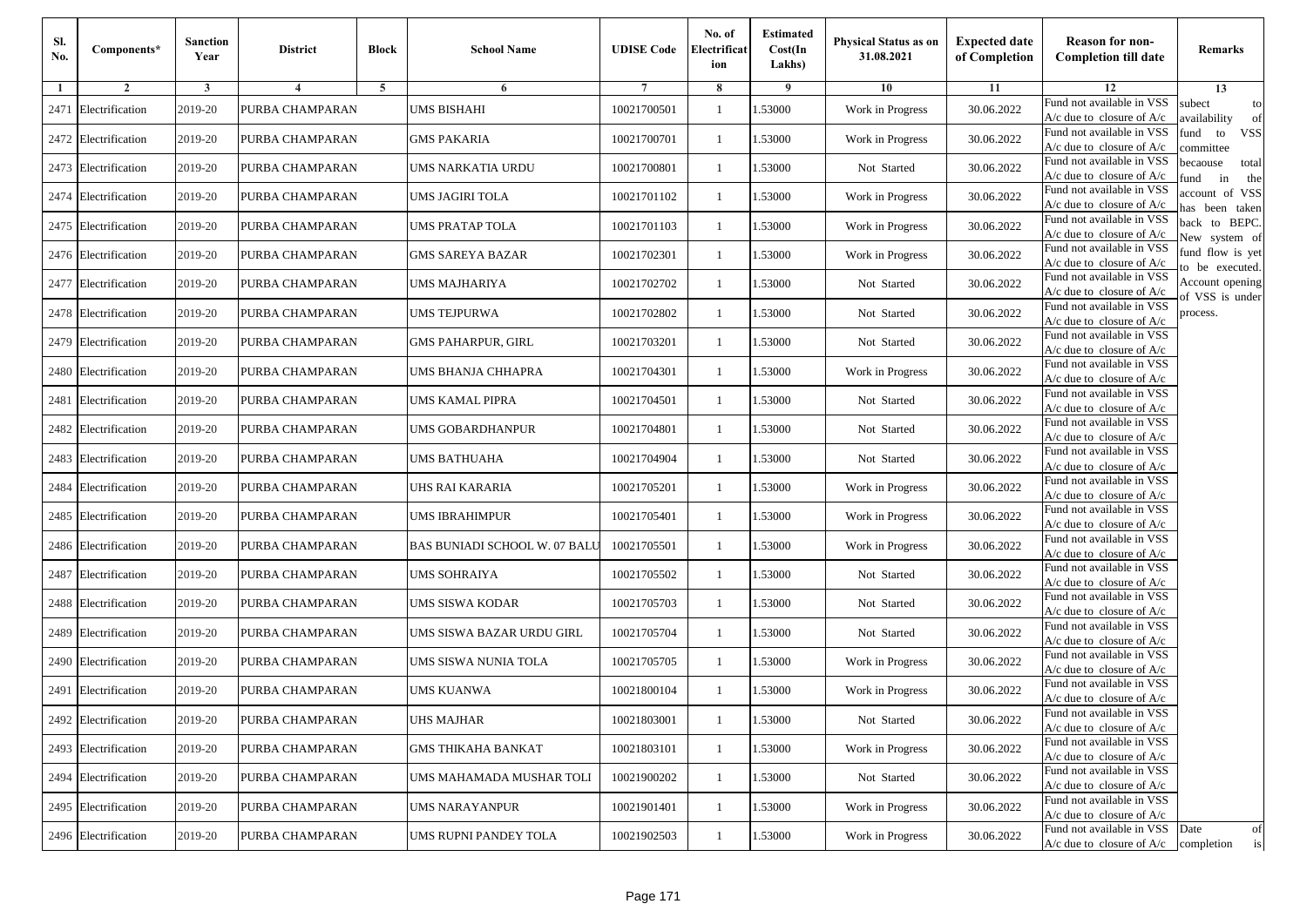| Sl.<br>No. | Components*          | <b>Sanction</b><br>Year | <b>District</b> | <b>Block</b>   | <b>School Name</b>                   | <b>UDISE Code</b> | No. of<br>Electrificat<br>ion | <b>Estimated</b><br>Cost(In<br>Lakhs) | <b>Physical Status as on</b><br>31.08.2021 | <b>Expected date</b><br>of Completion | <b>Reason for non-</b><br><b>Completion till date</b>                 | Remarks                               |
|------------|----------------------|-------------------------|-----------------|----------------|--------------------------------------|-------------------|-------------------------------|---------------------------------------|--------------------------------------------|---------------------------------------|-----------------------------------------------------------------------|---------------------------------------|
| -1         | $\overline{2}$       | 3                       | $\overline{4}$  | $\overline{5}$ | 6                                    |                   | 8                             | 9                                     | 10                                         | 11                                    | 12                                                                    | 13                                    |
| 2471       | Electrification      | 2019-20                 | PURBA CHAMPARAN |                | UMS BISHAHI                          | 10021700501       | 1                             | 1.53000                               | Work in Progress                           | 30.06.2022                            | Fund not available in VSS<br>$A/c$ due to closure of $A/c$            | subect<br>to<br>availability<br>of    |
|            | 2472 Electrification | 2019-20                 | PURBA CHAMPARAN |                | <b>GMS PAKARIA</b>                   | 10021700701       | $\mathbf{1}$                  | 1.53000                               | Work in Progress                           | 30.06.2022                            | Fund not available in VSS<br>$A/c$ due to closure of $A/c$            | fund<br><b>VSS</b><br>to<br>ommittee  |
|            | 2473 Electrification | 2019-20                 | PURBA CHAMPARAN |                | UMS NARKATIA URDU                    | 10021700801       | -1                            | 1.53000                               | Not Started                                | 30.06.2022                            | Fund not available in VSS<br>$A/c$ due to closure of $A/c$            | becaouse<br>total<br>in<br>und<br>the |
|            | 2474 Electrification | 2019-20                 | PURBA CHAMPARAN |                | UMS JAGIRI TOLA                      | 10021701102       | -1                            | 1.53000                               | Work in Progress                           | 30.06.2022                            | Fund not available in VSS<br>A/c due to closure of A/c                | ccount of VSS<br>as been taken        |
|            | 2475 Electrification | 2019-20                 | PURBA CHAMPARAN |                | <b>UMS PRATAP TOLA</b>               | 10021701103       | 1                             | 1.53000                               | Work in Progress                           | 30.06.2022                            | Fund not available in VSS<br>A/c due to closure of $A/c$              | back to BEPC.<br>New system of        |
|            | 2476 Electrification | 2019-20                 | PURBA CHAMPARAN |                | <b>GMS SAREYA BAZAR</b>              | 10021702301       | 1                             | 1.53000                               | Work in Progress                           | 30.06.2022                            | Fund not available in VSS<br>A/c due to closure of $A/c$              | fund flow is yet<br>o be executed.    |
|            | 2477 Electrification | 2019-20                 | PURBA CHAMPARAN |                | UMS MAJHARIYA                        | 10021702702       | $\mathbf{1}$                  | 1.53000                               | Not Started                                | 30.06.2022                            | Fund not available in VSS<br>$A/c$ due to closure of $A/c$            | Account opening<br>of VSS is under    |
|            | 2478 Electrification | 2019-20                 | PURBA CHAMPARAN |                | UMS TEJPURWA                         | 10021702802       | 1                             | 1.53000                               | Not Started                                | 30.06.2022                            | Fund not available in VSS<br>$A/c$ due to closure of $A/c$            | process.                              |
| 2479       | Electrification      | 2019-20                 | PURBA CHAMPARAN |                | <b>GMS PAHARPUR, GIRL</b>            | 10021703201       | -1                            | 1.53000                               | Not Started                                | 30.06.2022                            | Fund not available in VSS<br>$A/c$ due to closure of $A/c$            |                                       |
|            | 2480 Electrification | 2019-20                 | PURBA CHAMPARAN |                | UMS BHANJA CHHAPRA                   | 10021704301       | $\mathbf{1}$                  | 1.53000                               | Work in Progress                           | 30.06.2022                            | Fund not available in VSS<br>$A/c$ due to closure of $A/c$            |                                       |
| 2481       | Electrification      | 2019-20                 | PURBA CHAMPARAN |                | UMS KAMAL PIPRA                      | 10021704501       | 1                             | 1.53000                               | Not Started                                | 30.06.2022                            | Fund not available in VSS<br>$A/c$ due to closure of $A/c$            |                                       |
|            | 2482 Electrification | 2019-20                 | PURBA CHAMPARAN |                | <b>JMS GOBARDHANPUR</b>              | 10021704801       | 1                             | 1.53000                               | Not Started                                | 30.06.2022                            | Fund not available in VSS<br>$A/c$ due to closure of $A/c$            |                                       |
| 2483       | Electrification      | 2019-20                 | PURBA CHAMPARAN |                | UMS BATHUAHA                         | 10021704904       | -1                            | 1.53000                               | Not Started                                | 30.06.2022                            | Fund not available in VSS<br>$A/c$ due to closure of $A/c$            |                                       |
| 2484       | Electrification      | 2019-20                 | PURBA CHAMPARAN |                | UHS RAI KARARIA                      | 10021705201       | $\mathbf{1}$                  | 1.53000                               | Work in Progress                           | 30.06.2022                            | Fund not available in VSS<br>$A/c$ due to closure of $A/c$            |                                       |
|            | 2485 Electrification | 2019-20                 | PURBA CHAMPARAN |                | UMS IBRAHIMPUR                       | 10021705401       | -1                            | 1.53000                               | Work in Progress                           | 30.06.2022                            | Fund not available in VSS<br>$A/c$ due to closure of $A/c$            |                                       |
|            | 2486 Electrification | 2019-20                 | PURBA CHAMPARAN |                | <b>BAS BUNIADI SCHOOL W. 07 BALL</b> | 10021705501       | -1                            | 1.53000                               | Work in Progress                           | 30.06.2022                            | Fund not available in VSS<br>$A/c$ due to closure of $A/c$            |                                       |
| 2487       | Electrification      | 2019-20                 | PURBA CHAMPARAN |                | UMS SOHRAIYA                         | 10021705502       | -1                            | 1.53000                               | Not Started                                | 30.06.2022                            | Fund not available in VSS<br>$A/c$ due to closure of $A/c$            |                                       |
|            | 2488 Electrification | 2019-20                 | PURBA CHAMPARAN |                | UMS SISWA KODAR                      | 10021705703       | $\mathbf{1}$                  | 1.53000                               | Not Started                                | 30.06.2022                            | Fund not available in VSS<br>$A/c$ due to closure of $A/c$            |                                       |
|            | 2489 Electrification | 2019-20                 | PURBA CHAMPARAN |                | UMS SISWA BAZAR URDU GIRL            | 10021705704       | 1                             | 1.53000                               | Not Started                                | 30.06.2022                            | Fund not available in VSS<br>$A/c$ due to closure of $A/c$            |                                       |
|            | 2490 Electrification | 2019-20                 | PURBA CHAMPARAN |                | UMS SISWA NUNIA TOLA                 | 10021705705       | 1                             | 1.53000                               | Work in Progress                           | 30.06.2022                            | Fund not available in VSS<br>$A/c$ due to closure of $A/c$            |                                       |
| 2491       | Electrification      | 2019-20                 | PURBA CHAMPARAN |                | UMS KUANWA                           | 10021800104       | -1                            | .53000                                | Work in Progress                           | 30.06.2022                            | Fund not available in VSS<br>A/c due to closure of A/c                |                                       |
|            | 2492 Electrification | 2019-20                 | PURBA CHAMPARAN |                | UHS MAJHAR                           | 10021803001       | $\mathbf{1}$                  | 1.53000                               | Not Started                                | 30.06.2022                            | Fund not available in VSS<br>A/c due to closure of A/c                |                                       |
|            | 2493 Electrification | 2019-20                 | PURBA CHAMPARAN |                | <b>GMS THIKAHA BANKAT</b>            | 10021803101       | $\mathbf{1}$                  | 1.53000                               | Work in Progress                           | 30.06.2022                            | Fund not available in VSS<br>A/c due to closure of $A/c$              |                                       |
|            | 2494 Electrification | 2019-20                 | PURBA CHAMPARAN |                | UMS MAHAMADA MUSHAR TOLI             | 10021900202       | -1                            | 1.53000                               | Not Started                                | 30.06.2022                            | Fund not available in VSS<br>$A/c$ due to closure of $A/c$            |                                       |
|            | 2495 Electrification | 2019-20                 | PURBA CHAMPARAN |                | <b>UMS NARAYANPUR</b>                | 10021901401       | -1                            | 1.53000                               | Work in Progress                           | 30.06.2022                            | Fund not available in VSS<br>$A/c$ due to closure of $A/c$            |                                       |
|            | 2496 Electrification | 2019-20                 | PURBA CHAMPARAN |                | UMS RUPNI PANDEY TOLA                | 10021902503       | $\mathbf{1}$                  | 1.53000                               | Work in Progress                           | 30.06.2022                            | Fund not available in VSS<br>$A/c$ due to closure of $A/c$ completion | Date<br>of<br>is                      |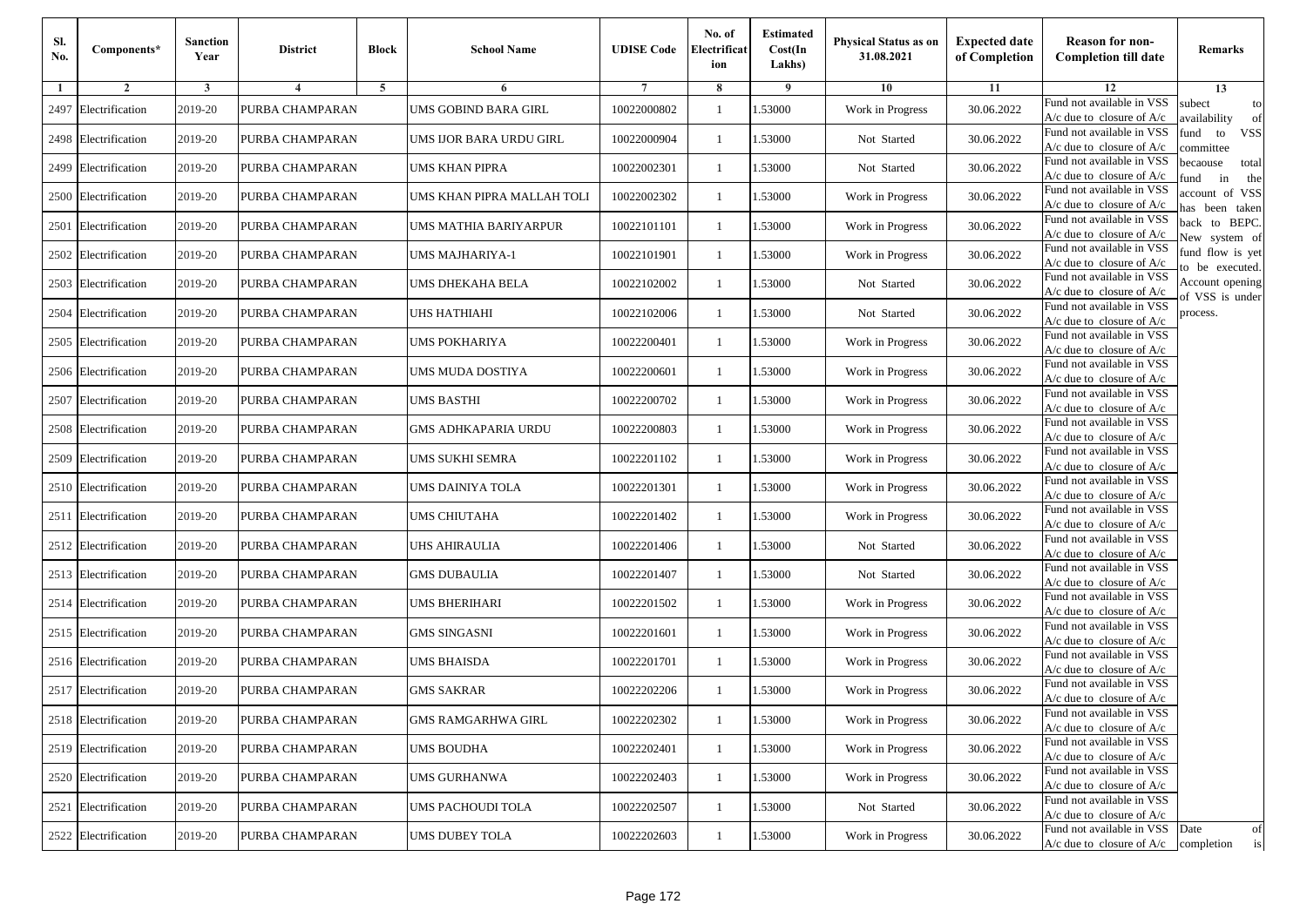| Sl.<br>No. | Components*          | <b>Sanction</b><br>Year | <b>District</b> | <b>Block</b>   | <b>School Name</b>         | <b>UDISE Code</b> | No. of<br>Electrificat<br>ion | <b>Estimated</b><br>Cost(In<br>Lakhs) | <b>Physical Status as on</b><br>31.08.2021 | <b>Expected date</b><br>of Completion | <b>Reason for non-</b><br><b>Completion till date</b>                 | Remarks                               |
|------------|----------------------|-------------------------|-----------------|----------------|----------------------------|-------------------|-------------------------------|---------------------------------------|--------------------------------------------|---------------------------------------|-----------------------------------------------------------------------|---------------------------------------|
| -1         | $\overline{2}$       | 3                       | $\overline{4}$  | $\overline{5}$ | 6                          |                   | 8                             | 9                                     | 10                                         | 11                                    | 12                                                                    | 13                                    |
| 2497       | Electrification      | 2019-20                 | PURBA CHAMPARAN |                | UMS GOBIND BARA GIRL       | 10022000802       | 1                             | 1.53000                               | Work in Progress                           | 30.06.2022                            | Fund not available in VSS<br>$A/c$ due to closure of $A/c$            | subect<br>to<br>availability<br>of    |
|            | 2498 Electrification | 2019-20                 | PURBA CHAMPARAN |                | UMS IJOR BARA URDU GIRL    | 10022000904       | $\mathbf{1}$                  | 1.53000                               | Not Started                                | 30.06.2022                            | Fund not available in VSS<br>$A/c$ due to closure of $A/c$            | fund<br>to<br><b>VSS</b><br>ommittee  |
|            | 2499 Electrification | 2019-20                 | PURBA CHAMPARAN |                | UMS KHAN PIPRA             | 10022002301       | -1                            | 1.53000                               | Not Started                                | 30.06.2022                            | Fund not available in VSS<br>$A/c$ due to closure of $A/c$            | becaouse<br>total<br>in<br>und<br>the |
|            | 2500 Electrification | 2019-20                 | PURBA CHAMPARAN |                | UMS KHAN PIPRA MALLAH TOLI | 10022002302       | -1                            | 1.53000                               | Work in Progress                           | 30.06.2022                            | Fund not available in VSS<br>A/c due to closure of A/c                | ccount of VSS<br>as been taken        |
| 2501       | Electrification      | 2019-20                 | PURBA CHAMPARAN |                | UMS MATHIA BARIYARPUR      | 10022101101       | $\mathbf{1}$                  | 1.53000                               | Work in Progress                           | 30.06.2022                            | Fund not available in VSS<br>A/c due to closure of $A/c$              | back to BEPC.<br>New system of        |
|            | 2502 Electrification | 2019-20                 | PURBA CHAMPARAN |                | UMS MAJHARIYA-1            | 10022101901       | 1                             | 1.53000                               | Work in Progress                           | 30.06.2022                            | Fund not available in VSS<br>A/c due to closure of $A/c$              | fund flow is yet<br>o be executed.    |
| 2503       | Electrification      | 2019-20                 | PURBA CHAMPARAN |                | UMS DHEKAHA BELA           | 10022102002       | $\mathbf{1}$                  | 1.53000                               | Not Started                                | 30.06.2022                            | Fund not available in VSS<br>$A/c$ due to closure of $A/c$            | Account opening<br>of VSS is under    |
| 2504       | Electrification      | 2019-20                 | PURBA CHAMPARAN |                | <b>JHS HATHIAHI</b>        | 10022102006       | -1                            | 1.53000                               | Not Started                                | 30.06.2022                            | Fund not available in VSS<br>$A/c$ due to closure of $A/c$            | process.                              |
| 2505       | Electrification      | 2019-20                 | PURBA CHAMPARAN |                | UMS POKHARIYA              | 10022200401       | -1                            | 1.53000                               | Work in Progress                           | 30.06.2022                            | Fund not available in VSS<br>$A/c$ due to closure of $A/c$            |                                       |
|            | 2506 Electrification | 2019-20                 | PURBA CHAMPARAN |                | UMS MUDA DOSTIYA           | 10022200601       | $\mathbf{1}$                  | 1.53000                               | Work in Progress                           | 30.06.2022                            | Fund not available in VSS<br>$A/c$ due to closure of $A/c$            |                                       |
|            | 2507 Electrification | 2019-20                 | PURBA CHAMPARAN |                | UMS BASTHI                 | 10022200702       | 1                             | 1.53000                               | Work in Progress                           | 30.06.2022                            | Fund not available in VSS<br>$A/c$ due to closure of $A/c$            |                                       |
|            | 2508 Electrification | 2019-20                 | PURBA CHAMPARAN |                | GMS ADHKAPARIA URDU        | 10022200803       | 1                             | 1.53000                               | Work in Progress                           | 30.06.2022                            | Fund not available in VSS<br>$A/c$ due to closure of $A/c$            |                                       |
| 2509       | Electrification      | 2019-20                 | PURBA CHAMPARAN |                | UMS SUKHI SEMRA            | 10022201102       | -1                            | 1.53000                               | Work in Progress                           | 30.06.2022                            | Fund not available in VSS<br>$A/c$ due to closure of $A/c$            |                                       |
|            | 2510 Electrification | 2019-20                 | PURBA CHAMPARAN |                | UMS DAINIYA TOLA           | 10022201301       | $\mathbf{1}$                  | 1.53000                               | Work in Progress                           | 30.06.2022                            | Fund not available in VSS<br>$A/c$ due to closure of $A/c$            |                                       |
|            | 2511 Electrification | 2019-20                 | PURBA CHAMPARAN |                | UMS CHIUTAHA               | 10022201402       | -1                            | 1.53000                               | Work in Progress                           | 30.06.2022                            | Fund not available in VSS<br>$A/c$ due to closure of $A/c$            |                                       |
|            | 2512 Electrification | 2019-20                 | PURBA CHAMPARAN |                | <b>JHS AHIRAULIA</b>       | 10022201406       | -1                            | 1.53000                               | Not Started                                | 30.06.2022                            | Fund not available in VSS<br>$A/c$ due to closure of $A/c$            |                                       |
|            | 2513 Electrification | 2019-20                 | PURBA CHAMPARAN |                | <b>GMS DUBAULIA</b>        | 10022201407       | -1                            | 1.53000                               | Not Started                                | 30.06.2022                            | Fund not available in VSS<br>$A/c$ due to closure of $A/c$            |                                       |
|            | 2514 Electrification | 2019-20                 | PURBA CHAMPARAN |                | UMS BHERIHARI              | 10022201502       | $\mathbf{1}$                  | 1.53000                               | Work in Progress                           | 30.06.2022                            | Fund not available in VSS<br>$A/c$ due to closure of $A/c$            |                                       |
|            | 2515 Electrification | 2019-20                 | PURBA CHAMPARAN |                | <b>GMS SINGASNI</b>        | 10022201601       | 1                             | 1.53000                               | Work in Progress                           | 30.06.2022                            | Fund not available in VSS<br>$A/c$ due to closure of $A/c$            |                                       |
|            | 2516 Electrification | 2019-20                 | PURBA CHAMPARAN |                | UMS BHAISDA                | 10022201701       | -1                            | 1.53000                               | Work in Progress                           | 30.06.2022                            | Fund not available in VSS<br>$A/c$ due to closure of $A/c$            |                                       |
|            | 2517 Electrification | 2019-20                 | PURBA CHAMPARAN |                | GMS SAKRAR                 | 10022202206       | -1                            | .53000                                | Work in Progress                           | 30.06.2022                            | Fund not available in VSS<br>A/c due to closure of A/c                |                                       |
|            | 2518 Electrification | 2019-20                 | PURBA CHAMPARAN |                | <b>GMS RAMGARHWA GIRL</b>  | 10022202302       | $\mathbf{1}$                  | 1.53000                               | Work in Progress                           | 30.06.2022                            | Fund not available in VSS<br>A/c due to closure of A/c                |                                       |
|            | 2519 Electrification | 2019-20                 | PURBA CHAMPARAN |                | <b>UMS BOUDHA</b>          | 10022202401       | $\mathbf{1}$                  | 1.53000                               | Work in Progress                           | 30.06.2022                            | Fund not available in VSS<br>A/c due to closure of $A/c$              |                                       |
|            | 2520 Electrification | 2019-20                 | PURBA CHAMPARAN |                | UMS GURHANWA               | 10022202403       | -1                            | 1.53000                               | Work in Progress                           | 30.06.2022                            | Fund not available in VSS<br>$A/c$ due to closure of $A/c$            |                                       |
|            | 2521 Electrification | 2019-20                 | PURBA CHAMPARAN |                | <b>UMS PACHOUDI TOLA</b>   | 10022202507       | -1                            | 1.53000                               | Not Started                                | 30.06.2022                            | Fund not available in VSS<br>$A/c$ due to closure of $A/c$            |                                       |
|            | 2522 Electrification | 2019-20                 | PURBA CHAMPARAN |                | UMS DUBEY TOLA             | 10022202603       | $\mathbf{1}$                  | 1.53000                               | Work in Progress                           | 30.06.2022                            | Fund not available in VSS<br>$A/c$ due to closure of $A/c$ completion | Date<br>of<br>is                      |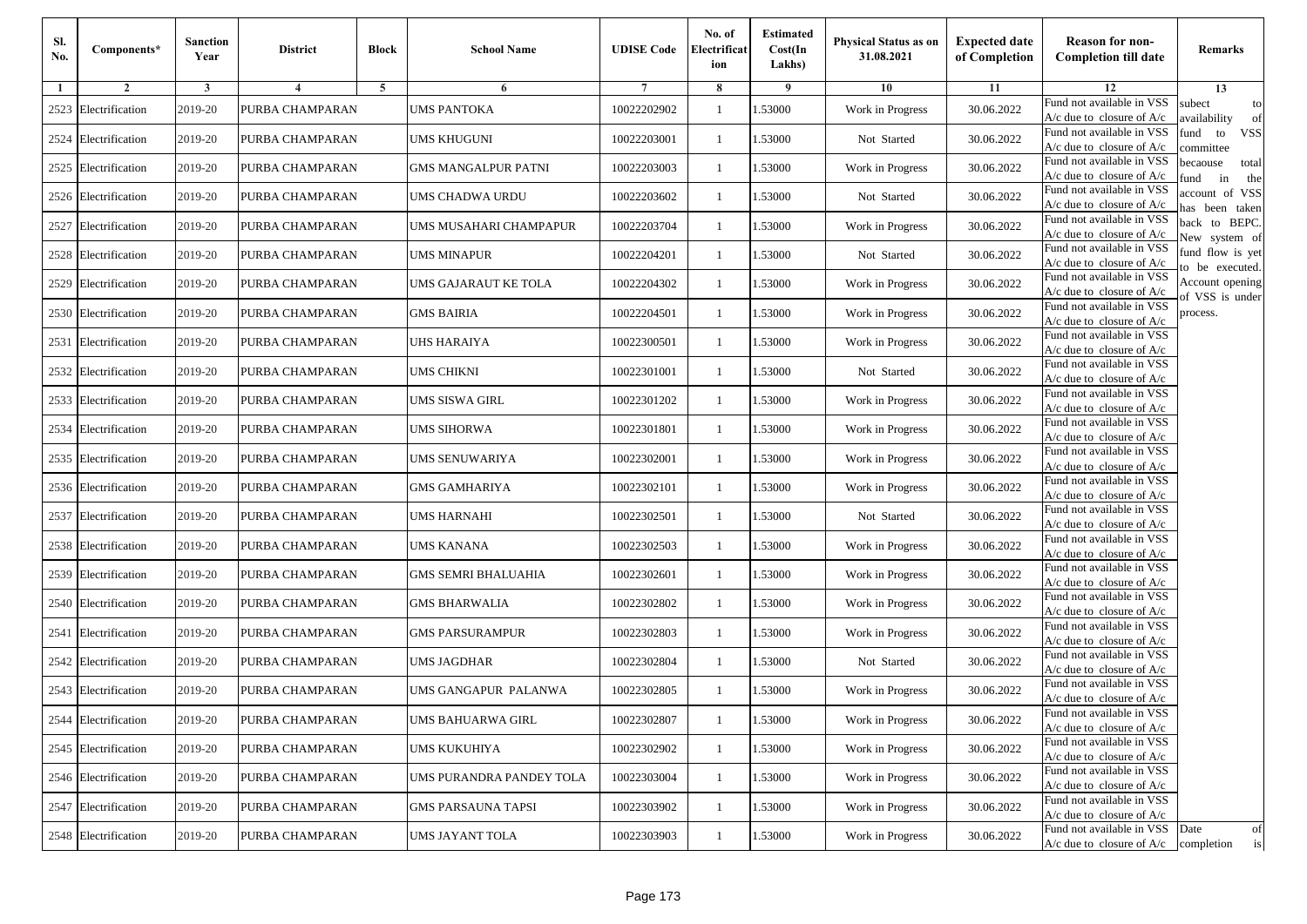| Sl.<br>No. | Components*          | <b>Sanction</b><br>Year | <b>District</b>         | <b>Block</b> | <b>School Name</b>         | <b>UDISE Code</b> | No. of<br>Electrificat<br>ion | <b>Estimated</b><br>Cost(In<br>Lakhs) | <b>Physical Status as on</b><br>31.08.2021 | <b>Expected date</b><br>of Completion | <b>Reason for non-</b><br><b>Completion till date</b>      | Remarks                               |
|------------|----------------------|-------------------------|-------------------------|--------------|----------------------------|-------------------|-------------------------------|---------------------------------------|--------------------------------------------|---------------------------------------|------------------------------------------------------------|---------------------------------------|
| -1         | $\overline{2}$       | 3                       | $\overline{\mathbf{4}}$ | 5            | 6                          |                   | 8                             | 9                                     | 10                                         | 11                                    | 12                                                         | 13                                    |
|            | 2523 Electrification | 2019-20                 | PURBA CHAMPARAN         |              | <b>UMS PANTOKA</b>         | 10022202902       | $\mathbf{1}$                  | .53000                                | Work in Progress                           | 30.06.2022                            | Fund not available in VSS<br>$A/c$ due to closure of $A/c$ | subect<br>to<br>availability<br>of    |
|            | 2524 Electrification | 2019-20                 | PURBA CHAMPARAN         |              | <b>UMS KHUGUNI</b>         | 10022203001       | 1                             | 1.53000                               | Not Started                                | 30.06.2022                            | Fund not available in VSS<br>$A/c$ due to closure of $A/c$ | fund<br>to<br><b>VSS</b><br>ommittee  |
|            | 2525 Electrification | 2019-20                 | PURBA CHAMPARAN         |              | <b>GMS MANGALPUR PATNI</b> | 10022203003       | 1                             | 1.53000                               | Work in Progress                           | 30.06.2022                            | Fund not available in VSS<br>$A/c$ due to closure of $A/c$ | becaouse<br>total<br>und<br>in<br>the |
|            | 2526 Electrification | 2019-20                 | PURBA CHAMPARAN         |              | UMS CHADWA URDU            | 10022203602       | $\mathbf{1}$                  | .53000                                | Not Started                                | 30.06.2022                            | Fund not available in VSS<br>$A/c$ due to closure of $A/c$ | ccount of VSS<br>as been taken        |
|            | 2527 Electrification | 2019-20                 | PURBA CHAMPARAN         |              | UMS MUSAHARI CHAMPAPUR     | 10022203704       | $\mathbf{1}$                  | .53000                                | Work in Progress                           | 30.06.2022                            | Fund not available in VSS<br>$A/c$ due to closure of $A/c$ | back to BEPC.<br>New system of        |
|            | 2528 Electrification | 2019-20                 | PURBA CHAMPARAN         |              | UMS MINAPUR                | 10022204201       | $\mathbf{1}$                  | 1.53000                               | Not Started                                | 30.06.2022                            | Fund not available in VSS<br>A/c due to closure of $A/c$   | fund flow is yet<br>o be executed.    |
|            | 2529 Electrification | 2019-20                 | PURBA CHAMPARAN         |              | UMS GAJARAUT KE TOLA       | 10022204302       | $\mathbf{1}$                  | 1.53000                               | Work in Progress                           | 30.06.2022                            | Fund not available in VSS<br>$A/c$ due to closure of $A/c$ | Account opening<br>of VSS is under    |
|            | 2530 Electrification | 2019-20                 | PURBA CHAMPARAN         |              | <b>GMS BAIRIA</b>          | 10022204501       | $\mathbf{1}$                  | .53000                                | Work in Progress                           | 30.06.2022                            | Fund not available in VSS<br>$A/c$ due to closure of $A/c$ | process.                              |
|            | 2531 Electrification | 2019-20                 | PURBA CHAMPARAN         |              | UHS HARAIYA                | 10022300501       | 1                             | .53000                                | Work in Progress                           | 30.06.2022                            | Fund not available in VSS<br>$A/c$ due to closure of $A/c$ |                                       |
|            | 2532 Electrification | 2019-20                 | PURBA CHAMPARAN         |              | <b>UMS CHIKNI</b>          | 10022301001       | $\mathbf{1}$                  | 1.53000                               | Not Started                                | 30.06.2022                            | Fund not available in VSS<br>$A/c$ due to closure of $A/c$ |                                       |
|            | 2533 Electrification | 2019-20                 | PURBA CHAMPARAN         |              | UMS SISWA GIRL             | 10022301202       | 1                             | 1.53000                               | Work in Progress                           | 30.06.2022                            | Fund not available in VSS<br>A/c due to closure of $A/c$   |                                       |
|            | 2534 Electrification | 2019-20                 | PURBA CHAMPARAN         |              | UMS SIHORWA                | 10022301801       | 1                             | .53000                                | Work in Progress                           | 30.06.2022                            | Fund not available in VSS<br>$A/c$ due to closure of $A/c$ |                                       |
|            | 2535 Electrification | 2019-20                 | PURBA CHAMPARAN         |              | UMS SENUWARIYA             | 10022302001       | $\mathbf{1}$                  | .53000                                | Work in Progress                           | 30.06.2022                            | Fund not available in VSS<br>$A/c$ due to closure of $A/c$ |                                       |
|            | 2536 Electrification | 2019-20                 | PURBA CHAMPARAN         |              | <b>GMS GAMHARIYA</b>       | 10022302101       | $\mathbf{1}$                  | .53000                                | Work in Progress                           | 30.06.2022                            | Fund not available in VSS<br>$A/c$ due to closure of $A/c$ |                                       |
|            | 2537 Electrification | 2019-20                 | PURBA CHAMPARAN         |              | UMS HARNAHI                | 10022302501       | 1                             | 1.53000                               | Not Started                                | 30.06.2022                            | Fund not available in VSS<br>$A/c$ due to closure of $A/c$ |                                       |
|            | 2538 Electrification | 2019-20                 | PURBA CHAMPARAN         |              | <b>UMS KANANA</b>          | 10022302503       | $\mathbf{1}$                  | .53000                                | Work in Progress                           | 30.06.2022                            | Fund not available in VSS<br>$A/c$ due to closure of $A/c$ |                                       |
|            | 2539 Electrification | 2019-20                 | PURBA CHAMPARAN         |              | <b>GMS SEMRI BHALUAHIA</b> | 10022302601       | 1                             | .53000                                | Work in Progress                           | 30.06.2022                            | Fund not available in VSS<br>$A/c$ due to closure of $A/c$ |                                       |
|            | 2540 Electrification | 2019-20                 | PURBA CHAMPARAN         |              | <b>GMS BHARWALIA</b>       | 10022302802       | $\mathbf{1}$                  | 1.53000                               | Work in Progress                           | 30.06.2022                            | Fund not available in VSS<br>A/c due to closure of A/c     |                                       |
|            | 2541 Electrification | 2019-20                 | PURBA CHAMPARAN         |              | <b>GMS PARSURAMPUR</b>     | 10022302803       | 1                             | 1.53000                               | Work in Progress                           | 30.06.2022                            | Fund not available in VSS<br>$A/c$ due to closure of $A/c$ |                                       |
|            | 2542 Electrification | 2019-20                 | PURBA CHAMPARAN         |              | <b>UMS JAGDHAR</b>         | 10022302804       | $\mathbf{1}$                  | .53000                                | Not Started                                | 30.06.2022                            | Fund not available in VSS<br>$A/c$ due to closure of $A/c$ |                                       |
|            | 2543 Electrification | 2019-20                 | PURBA CHAMPARAN         |              | UMS GANGAPUR PALANWA       | 10022302805       | 1                             | .53000                                | Work in Progress                           | 30.06.2022                            | Fund not available in VSS<br>A/c due to closure of A/c     |                                       |
|            | 2544 Electrification | 2019-20                 | PURBA CHAMPARAN         |              | UMS BAHUARWA GIRL          | 10022302807       |                               | 1.53000                               | Work in Progress                           | 30.06.2022                            | Fund not available in VSS<br>A/c due to closure of A/c     |                                       |
|            | 2545 Electrification | 2019-20                 | PURBA CHAMPARAN         |              | UMS KUKUHIYA               | 10022302902       | $\mathbf{1}$                  | 1.53000                               | Work in Progress                           | 30.06.2022                            | Fund not available in VSS<br>$A/c$ due to closure of $A/c$ |                                       |
|            | 2546 Electrification | 2019-20                 | PURBA CHAMPARAN         |              | UMS PURANDRA PANDEY TOLA   | 10022303004       | $\mathbf{1}$                  | 1.53000                               | Work in Progress                           | 30.06.2022                            | Fund not available in VSS<br>$A/c$ due to closure of $A/c$ |                                       |
|            | 2547 Electrification | 2019-20                 | PURBA CHAMPARAN         |              | <b>GMS PARSAUNA TAPSI</b>  | 10022303902       | 1                             | 1.53000                               | Work in Progress                           | 30.06.2022                            | Fund not available in VSS<br>A/c due to closure of A/c     |                                       |
|            | 2548 Electrification | 2019-20                 | PURBA CHAMPARAN         |              | <b>UMS JAYANT TOLA</b>     | 10022303903       | $\mathbf{1}$                  | 1.53000                               | Work in Progress                           | 30.06.2022                            | Fund not available in VSS<br>$A/c$ due to closure of $A/c$ | Date<br>of<br>is<br>completion        |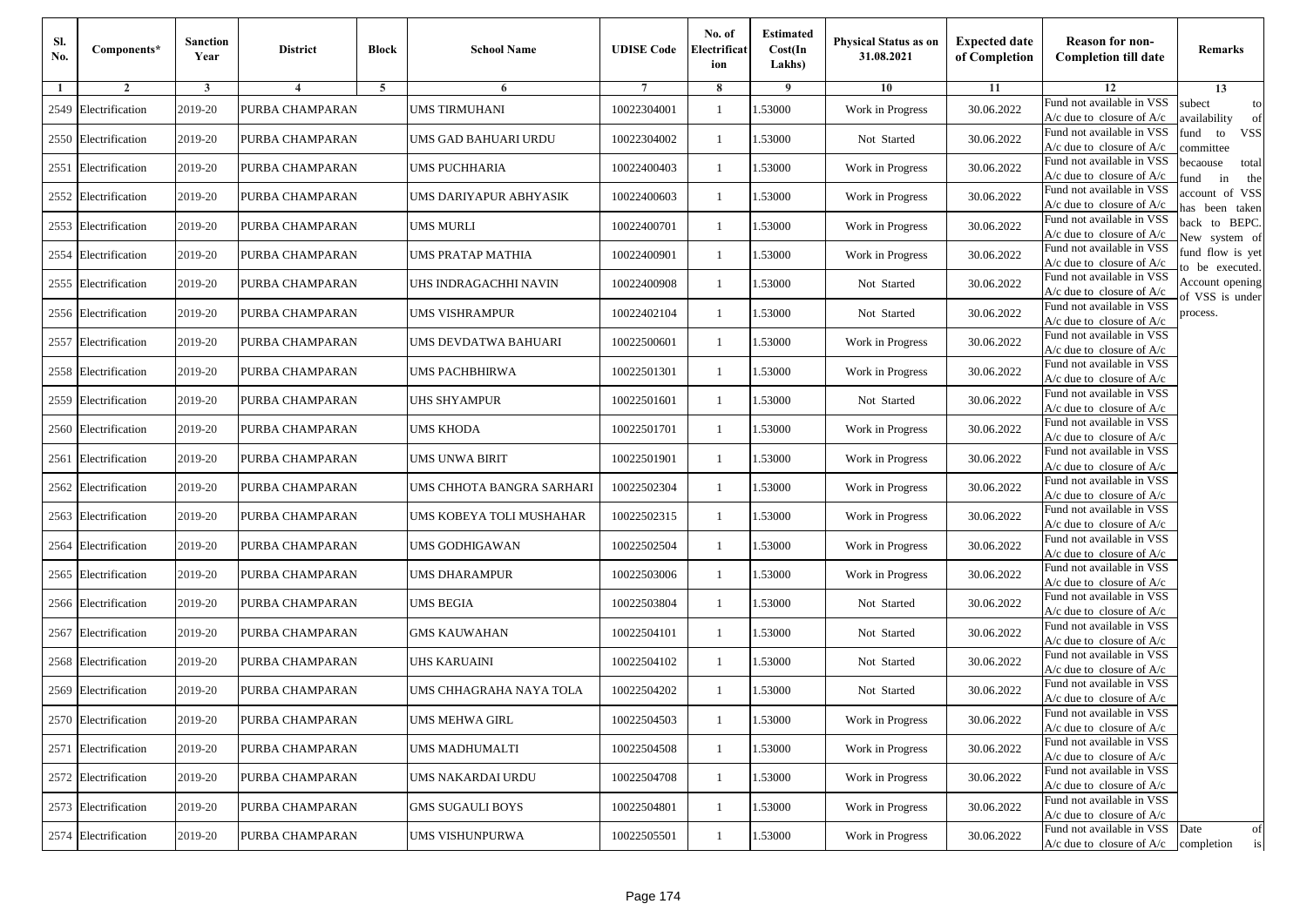| Sl.<br>No. | Components*          | <b>Sanction</b><br>Year | <b>District</b> | <b>Block</b>   | <b>School Name</b>        | <b>UDISE Code</b> | No. of<br>Electrificat<br>ion | <b>Estimated</b><br>Cost(In<br>Lakhs) | <b>Physical Status as on</b><br>31.08.2021 | <b>Expected date</b><br>of Completion | <b>Reason for non-</b><br><b>Completion till date</b>                 | Remarks                               |
|------------|----------------------|-------------------------|-----------------|----------------|---------------------------|-------------------|-------------------------------|---------------------------------------|--------------------------------------------|---------------------------------------|-----------------------------------------------------------------------|---------------------------------------|
| -1         | $\overline{2}$       | 3                       | $\overline{4}$  | $\overline{5}$ | 6                         |                   | 8                             | 9                                     | 10                                         | 11                                    | 12                                                                    | 13                                    |
| 2549       | Electrification      | 2019-20                 | PURBA CHAMPARAN |                | <b>UMS TIRMUHANI</b>      | 10022304001       | 1                             | 1.53000                               | Work in Progress                           | 30.06.2022                            | Fund not available in VSS<br>$A/c$ due to closure of $A/c$            | subect<br>to<br>availability<br>of    |
|            | 2550 Electrification | 2019-20                 | PURBA CHAMPARAN |                | UMS GAD BAHUARI URDU      | 10022304002       | $\mathbf{1}$                  | 1.53000                               | Not Started                                | 30.06.2022                            | Fund not available in VSS<br>$A/c$ due to closure of $A/c$            | fund<br>to<br><b>VSS</b><br>ommittee  |
| 2551       | Electrification      | 2019-20                 | PURBA CHAMPARAN |                | UMS PUCHHARIA             | 10022400403       | -1                            | 1.53000                               | Work in Progress                           | 30.06.2022                            | Fund not available in VSS<br>$A/c$ due to closure of $A/c$            | becaouse<br>total<br>in<br>und<br>the |
| 2552       | Electrification      | 2019-20                 | PURBA CHAMPARAN |                | JMS DARIYAPUR ABHYASIK    | 10022400603       | -1                            | 1.53000                               | Work in Progress                           | 30.06.2022                            | Fund not available in VSS<br>A/c due to closure of A/c                | ccount of VSS<br>as been taken        |
|            | 2553 Electrification | 2019-20                 | PURBA CHAMPARAN |                | UMS MURLI                 | 10022400701       | $\mathbf{1}$                  | 1.53000                               | Work in Progress                           | 30.06.2022                            | Fund not available in VSS<br>A/c due to closure of $A/c$              | back to BEPC.<br>New system of        |
| 2554       | Electrification      | 2019-20                 | PURBA CHAMPARAN |                | UMS PRATAP MATHIA         | 10022400901       | 1                             | 1.53000                               | Work in Progress                           | 30.06.2022                            | Fund not available in VSS<br>A/c due to closure of $A/c$              | fund flow is yet<br>o be executed.    |
|            | 2555 Electrification | 2019-20                 | PURBA CHAMPARAN |                | JHS INDRAGACHHI NAVIN     | 10022400908       | $\mathbf{1}$                  | 1.53000                               | Not Started                                | 30.06.2022                            | Fund not available in VSS<br>$A/c$ due to closure of $A/c$            | Account opening<br>of VSS is under    |
|            | 2556 Electrification | 2019-20                 | PURBA CHAMPARAN |                | UMS VISHRAMPUR            | 10022402104       | -1                            | 1.53000                               | Not Started                                | 30.06.2022                            | Fund not available in VSS<br>$A/c$ due to closure of $A/c$            | process.                              |
| 2557       | Electrification      | 2019-20                 | PURBA CHAMPARAN |                | UMS DEVDATWA BAHUARI      | 10022500601       | -1                            | 1.53000                               | Work in Progress                           | 30.06.2022                            | Fund not available in VSS<br>$A/c$ due to closure of $A/c$            |                                       |
|            | 2558 Electrification | 2019-20                 | PURBA CHAMPARAN |                | UMS PACHBHIRWA            | 10022501301       | $\mathbf{1}$                  | 1.53000                               | Work in Progress                           | 30.06.2022                            | Fund not available in VSS<br>$A/c$ due to closure of $A/c$            |                                       |
|            | 2559 Electrification | 2019-20                 | PURBA CHAMPARAN |                | UHS SHYAMPUR              | 10022501601       | 1                             | 1.53000                               | Not Started                                | 30.06.2022                            | Fund not available in VSS<br>$A/c$ due to closure of $A/c$            |                                       |
|            | 2560 Electrification | 2019-20                 | PURBA CHAMPARAN |                | UMS KHODA                 | 10022501701       | 1                             | 1.53000                               | Work in Progress                           | 30.06.2022                            | Fund not available in VSS<br>$A/c$ due to closure of $A/c$            |                                       |
| 2561       | Electrification      | 2019-20                 | PURBA CHAMPARAN |                | UMS UNWA BIRIT            | 10022501901       | -1                            | 1.53000                               | Work in Progress                           | 30.06.2022                            | Fund not available in VSS<br>$A/c$ due to closure of $A/c$            |                                       |
|            | 2562 Electrification | 2019-20                 | PURBA CHAMPARAN |                | UMS CHHOTA BANGRA SARHARI | 10022502304       | $\mathbf{1}$                  | 1.53000                               | Work in Progress                           | 30.06.2022                            | Fund not available in VSS<br>$A/c$ due to closure of $A/c$            |                                       |
| 2563       | Electrification      | 2019-20                 | PURBA CHAMPARAN |                | UMS KOBEYA TOLI MUSHAHAR  | 10022502315       | -1                            | 1.53000                               | Work in Progress                           | 30.06.2022                            | Fund not available in VSS<br>$A/c$ due to closure of $A/c$            |                                       |
| 2564       | Electrification      | 2019-20                 | PURBA CHAMPARAN |                | UMS GODHIGAWAN            | 10022502504       | -1                            | 1.53000                               | Work in Progress                           | 30.06.2022                            | Fund not available in VSS<br>$A/c$ due to closure of $A/c$            |                                       |
| 2565       | Electrification      | 2019-20                 | PURBA CHAMPARAN |                | UMS DHARAMPUR             | 10022503006       | -1                            | 1.53000                               | Work in Progress                           | 30.06.2022                            | Fund not available in VSS<br>$A/c$ due to closure of $A/c$            |                                       |
|            | 2566 Electrification | 2019-20                 | PURBA CHAMPARAN |                | UMS BEGIA                 | 10022503804       | $\mathbf{1}$                  | 1.53000                               | Not Started                                | 30.06.2022                            | Fund not available in VSS<br>$A/c$ due to closure of $A/c$            |                                       |
|            | 2567 Electrification | 2019-20                 | PURBA CHAMPARAN |                | <b>GMS KAUWAHAN</b>       | 10022504101       | -1                            | 1.53000                               | Not Started                                | 30.06.2022                            | Fund not available in VSS<br>$A/c$ due to closure of $A/c$            |                                       |
|            | 2568 Electrification | 2019-20                 | PURBA CHAMPARAN |                | <b>JHS KARUAINI</b>       | 10022504102       | 1                             | 1.53000                               | Not Started                                | 30.06.2022                            | Fund not available in VSS<br>$A/c$ due to closure of $A/c$            |                                       |
| 2569       | Electrification      | 2019-20                 | PURBA CHAMPARAN |                | UMS CHHAGRAHA NAYA TOLA   | 10022504202       | -1                            | .53000                                | Not Started                                | 30.06.2022                            | Fund not available in VSS<br>A/c due to closure of A/c                |                                       |
|            | 2570 Electrification | 2019-20                 | PURBA CHAMPARAN |                | UMS MEHWA GIRL            | 10022504503       | $\mathbf{1}$                  | 1.53000                               | Work in Progress                           | 30.06.2022                            | Fund not available in VSS<br>A/c due to closure of A/c                |                                       |
|            | 2571 Electrification | 2019-20                 | PURBA CHAMPARAN |                | <b>UMS MADHUMALTI</b>     | 10022504508       | $\mathbf{1}$                  | 1.53000                               | Work in Progress                           | 30.06.2022                            | Fund not available in VSS<br>$A/c$ due to closure of $A/c$            |                                       |
|            | 2572 Electrification | 2019-20                 | PURBA CHAMPARAN |                | UMS NAKARDAI URDU         | 10022504708       | -1                            | 1.53000                               | Work in Progress                           | 30.06.2022                            | Fund not available in VSS<br>$A/c$ due to closure of $A/c$            |                                       |
|            | 2573 Electrification | 2019-20                 | PURBA CHAMPARAN |                | <b>GMS SUGAULI BOYS</b>   | 10022504801       | -1                            | 1.53000                               | Work in Progress                           | 30.06.2022                            | Fund not available in VSS<br>A/c due to closure of A/c                |                                       |
|            | 2574 Electrification | 2019-20                 | PURBA CHAMPARAN |                | UMS VISHUNPURWA           | 10022505501       | $\mathbf{1}$                  | 1.53000                               | Work in Progress                           | 30.06.2022                            | Fund not available in VSS<br>$A/c$ due to closure of $A/c$ completion | Date<br>of<br>is                      |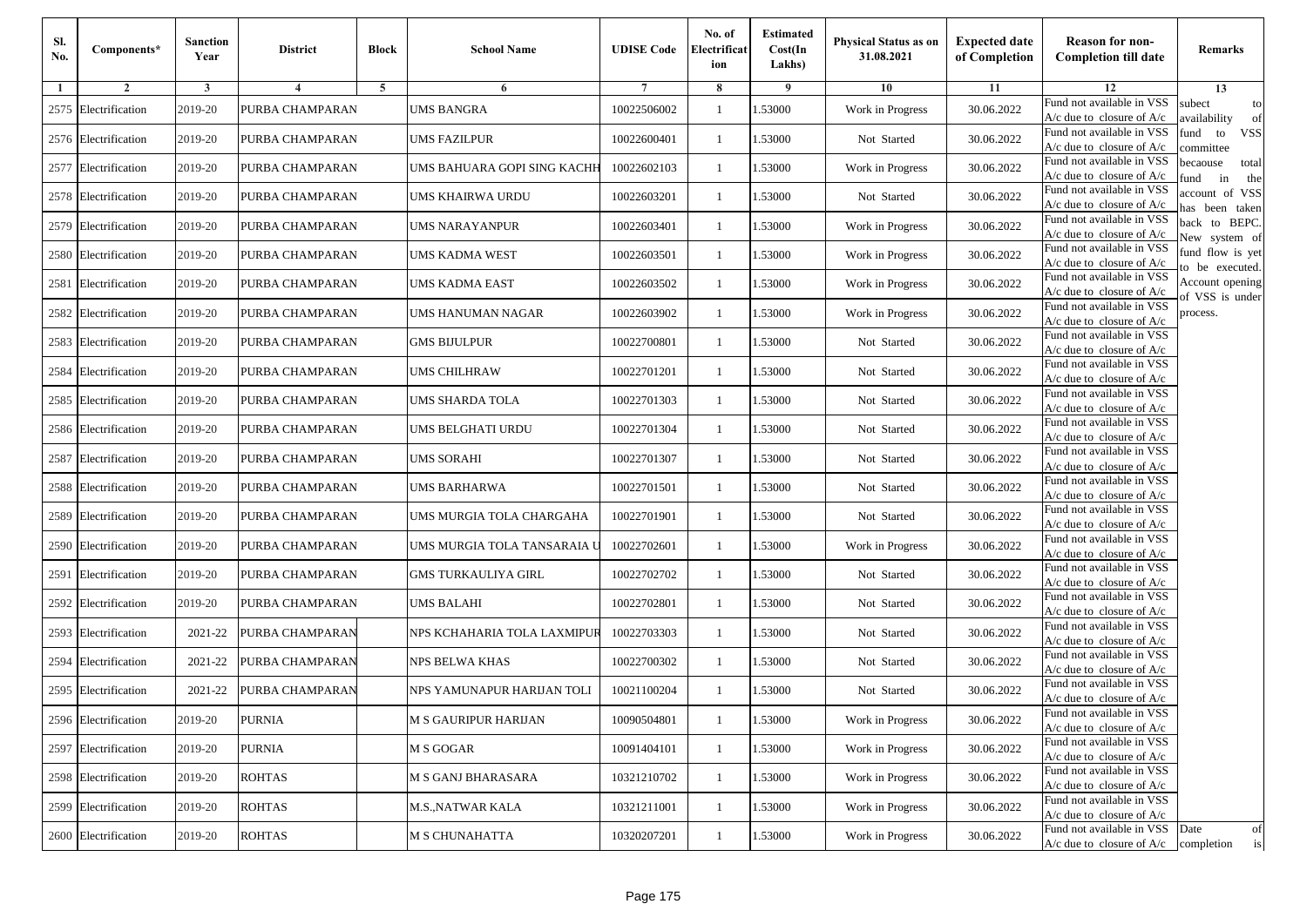| Sl.<br>No. | Components*          | <b>Sanction</b><br>Year | <b>District</b> | <b>Block</b> | <b>School Name</b>          | <b>UDISE Code</b> | No. of<br>Electrificat<br>ion | <b>Estimated</b><br>Cost(In<br>Lakhs) | <b>Physical Status as on</b><br>31.08.2021 | <b>Expected date</b><br>of Completion | <b>Reason for non-</b><br><b>Completion till date</b>                 | Remarks                               |
|------------|----------------------|-------------------------|-----------------|--------------|-----------------------------|-------------------|-------------------------------|---------------------------------------|--------------------------------------------|---------------------------------------|-----------------------------------------------------------------------|---------------------------------------|
| -1         | $\overline{2}$       | 3                       | 4               | 5            | 6                           |                   | 8                             | 9                                     | 10                                         | 11                                    | 12                                                                    | 13                                    |
|            | 2575 Electrification | 2019-20                 | PURBA CHAMPARAN |              | <b>UMS BANGRA</b>           | 10022506002       | $\mathbf{1}$                  | .53000                                | Work in Progress                           | 30.06.2022                            | Fund not available in VSS<br>$A/c$ due to closure of $A/c$            | subect<br>to<br>wailability<br>of     |
|            | 2576 Electrification | 2019-20                 | PURBA CHAMPARAN |              | <b>UMS FAZILPUR</b>         | 10022600401       | 1                             | 1.53000                               | Not Started                                | 30.06.2022                            | Fund not available in VSS<br>$A/c$ due to closure of $A/c$            | fund<br><b>VSS</b><br>to<br>committee |
|            | 2577 Electrification | 2019-20                 | PURBA CHAMPARAN |              | UMS BAHUARA GOPI SING KACHH | 10022602103       | 1                             | 1.53000                               | Work in Progress                           | 30.06.2022                            | Fund not available in VSS<br>$A/c$ due to closure of $A/c$            | becaouse<br>total<br>in<br>und<br>the |
|            | 2578 Electrification | 2019-20                 | PURBA CHAMPARAN |              | UMS KHAIRWA URDU            | 10022603201       | $\mathbf{1}$                  | .53000                                | Not Started                                | 30.06.2022                            | Fund not available in VSS<br>A/c due to closure of A/c                | account of VSS<br>as been taken       |
|            | 2579 Electrification | 2019-20                 | PURBA CHAMPARAN |              | UMS NARAYANPUR              | 10022603401       | $\mathbf{1}$                  | .53000                                | Work in Progress                           | 30.06.2022                            | Fund not available in VSS<br>A/c due to closure of $A/c$              | back to BEPC.<br>New system of        |
|            | 2580 Electrification | 2019-20                 | PURBA CHAMPARAN |              | UMS KADMA WEST              | 10022603501       | $\mathbf{1}$                  | 1.53000                               | Work in Progress                           | 30.06.2022                            | Fund not available in VSS<br>A/c due to closure of A/c                | fund flow is yet<br>o be executed.    |
|            | 2581 Electrification | 2019-20                 | PURBA CHAMPARAN |              | UMS KADMA EAST              | 10022603502       | $\mathbf{1}$                  | 1.53000                               | Work in Progress                           | 30.06.2022                            | Fund not available in VSS<br>$A/c$ due to closure of $A/c$            | Account opening<br>of VSS is under    |
|            | 2582 Electrification | 2019-20                 | PURBA CHAMPARAN |              | UMS HANUMAN NAGAR           | 10022603902       | $\mathbf{1}$                  | .53000                                | Work in Progress                           | 30.06.2022                            | Fund not available in VSS<br>$A/c$ due to closure of $A/c$            | process.                              |
|            | 2583 Electrification | 2019-20                 | PURBA CHAMPARAN |              | <b>GMS BIJULPUR</b>         | 10022700801       | $\mathbf{1}$                  | .53000                                | Not Started                                | 30.06.2022                            | Fund not available in VSS<br>$A/c$ due to closure of $A/c$            |                                       |
| 2584       | Electrification      | 2019-20                 | PURBA CHAMPARAN |              | <b>UMS CHILHRAW</b>         | 10022701201       | $\mathbf{1}$                  | 1.53000                               | Not Started                                | 30.06.2022                            | Fund not available in VSS<br>$A/c$ due to closure of $A/c$            |                                       |
|            | 2585 Electrification | 2019-20                 | PURBA CHAMPARAN |              | UMS SHARDA TOLA             | 10022701303       | 1                             | 1.53000                               | Not Started                                | 30.06.2022                            | Fund not available in VSS<br>$A/c$ due to closure of $A/c$            |                                       |
|            | 2586 Electrification | 2019-20                 | PURBA CHAMPARAN |              | UMS BELGHATI URDU           | 10022701304       | $\mathbf{1}$                  | .53000                                | Not Started                                | 30.06.2022                            | Fund not available in VSS<br>$A/c$ due to closure of $A/c$            |                                       |
|            | 2587 Electrification | 2019-20                 | PURBA CHAMPARAN |              | UMS SORAHI                  | 10022701307       | $\mathbf{1}$                  | .53000                                | Not Started                                | 30.06.2022                            | Fund not available in VSS<br>$A/c$ due to closure of $A/c$            |                                       |
|            | 2588 Electrification | 2019-20                 | PURBA CHAMPARAN |              | UMS BARHARWA                | 10022701501       | $\mathbf{1}$                  | 1.53000                               | Not Started                                | 30.06.2022                            | Fund not available in VSS<br>$A/c$ due to closure of $A/c$            |                                       |
|            | 2589 Electrification | 2019-20                 | PURBA CHAMPARAN |              | UMS MURGIA TOLA CHARGAHA    | 10022701901       | 1                             | 1.53000                               | Not Started                                | 30.06.2022                            | Fund not available in VSS<br>$A/c$ due to closure of $A/c$            |                                       |
|            | 2590 Electrification | 2019-20                 | PURBA CHAMPARAN |              | UMS MURGIA TOLA TANSARAIA U | 10022702601       | $\mathbf{1}$                  | .53000                                | Work in Progress                           | 30.06.2022                            | Fund not available in VSS<br>$A/c$ due to closure of $A/c$            |                                       |
|            | 2591 Electrification | 2019-20                 | PURBA CHAMPARAN |              | <b>GMS TURKAULIYA GIRL</b>  | 10022702702       | 1                             | .53000                                | Not Started                                | 30.06.2022                            | Fund not available in VSS<br>$A/c$ due to closure of $A/c$            |                                       |
|            | 2592 Electrification | 2019-20                 | PURBA CHAMPARAN |              | <b>UMS BALAHI</b>           | 10022702801       | $\mathbf{1}$                  | 1.53000                               | Not Started                                | 30.06.2022                            | Fund not available in VSS<br>$A/c$ due to closure of $A/c$            |                                       |
|            | 2593 Electrification | 2021-22                 | PURBA CHAMPARAN |              | NPS KCHAHARIA TOLA LAXMIPUR | 10022703303       | 1                             | 1.53000                               | Not Started                                | 30.06.2022                            | Fund not available in VSS<br>$A/c$ due to closure of $A/c$            |                                       |
|            | 2594 Electrification | 2021-22                 | PURBA CHAMPARAN |              | NPS BELWA KHAS              | 10022700302       | $\mathbf{1}$                  | .53000                                | Not Started                                | 30.06.2022                            | Fund not available in VSS<br>$A/c$ due to closure of $A/c$            |                                       |
|            | 2595 Electrification | 2021-22                 | PURBA CHAMPARAN |              | NPS YAMUNAPUR HARIJAN TOLI  | 10021100204       | 1                             | .53000                                | Not Started                                | 30.06.2022                            | Fund not available in VSS<br>A/c due to closure of A/c                |                                       |
|            | 2596 Electrification | 2019-20                 | <b>PURNIA</b>   |              | <b>M S GAURIPUR HARIJAN</b> | 10090504801       |                               | 1.53000                               | Work in Progress                           | 30.06.2022                            | Fund not available in VSS<br>A/c due to closure of A/c                |                                       |
|            | 2597 Electrification | 2019-20                 | <b>PURNIA</b>   |              | M S GOGAR                   | 10091404101       | $\mathbf{1}$                  | 1.53000                               | Work in Progress                           | 30.06.2022                            | Fund not available in VSS<br>$A/c$ due to closure of $A/c$            |                                       |
|            | 2598 Electrification | 2019-20                 | <b>ROHTAS</b>   |              | M S GANJ BHARASARA          | 10321210702       | $\mathbf{1}$                  | 1.53000                               | Work in Progress                           | 30.06.2022                            | Fund not available in VSS<br>$A/c$ due to closure of $A/c$            |                                       |
|            | 2599 Electrification | 2019-20                 | <b>ROHTAS</b>   |              | <b>M.S., NATWAR KALA</b>    | 10321211001       | 1                             | 1.53000                               | Work in Progress                           | 30.06.2022                            | Fund not available in VSS<br>A/c due to closure of A/c                |                                       |
|            | 2600 Electrification | 2019-20                 | <b>ROHTAS</b>   |              | <b>M S CHUNAHATTA</b>       | 10320207201       | $\mathbf{1}$                  | 1.53000                               | Work in Progress                           | 30.06.2022                            | Fund not available in VSS<br>$A/c$ due to closure of $A/c$ completion | Date<br>of<br>is                      |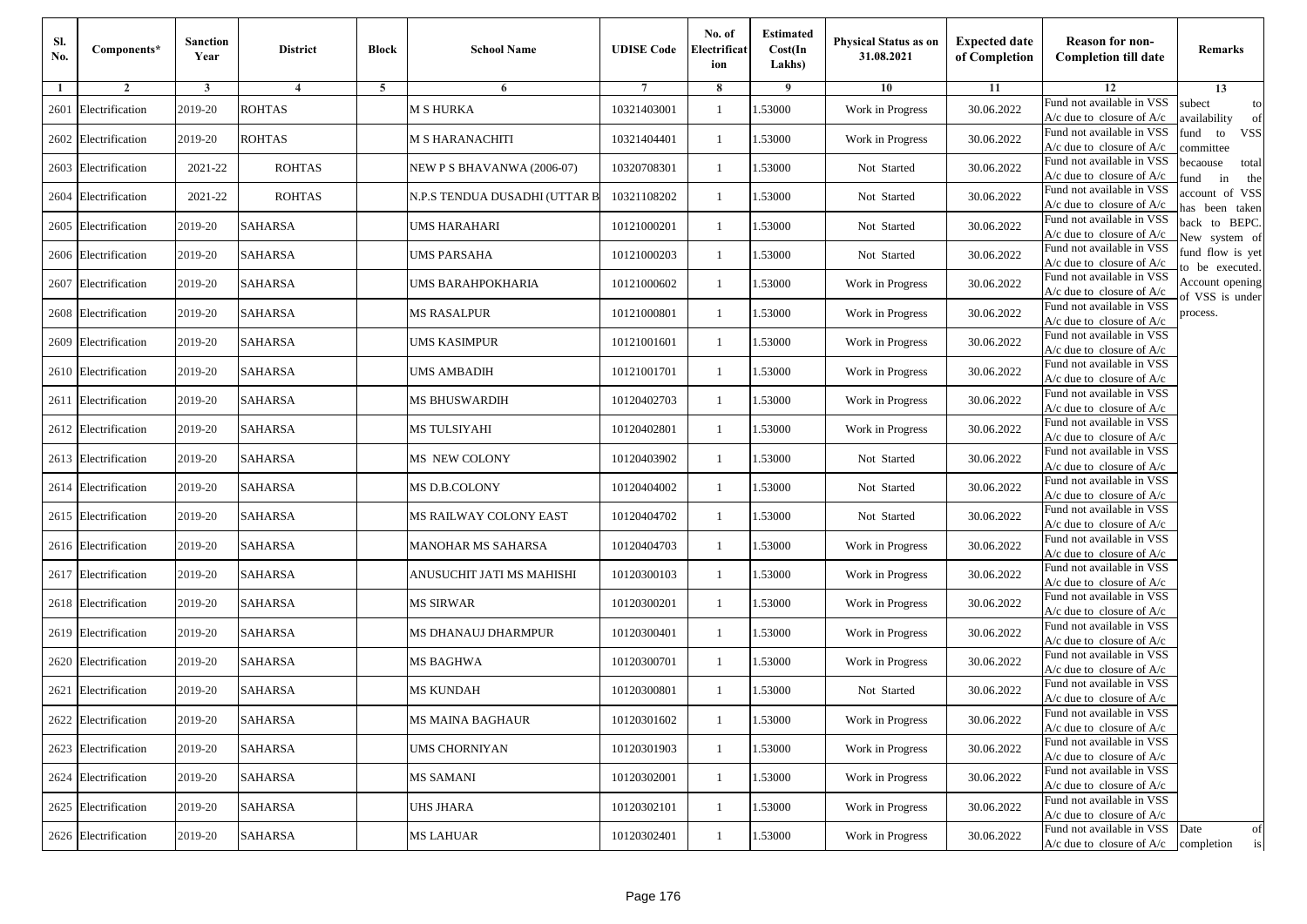| Sl.<br>No. | Components*          | <b>Sanction</b><br>Year | <b>District</b> | <b>Block</b> | <b>School Name</b>            | <b>UDISE Code</b> | No. of<br>Electrificat<br>ion | <b>Estimated</b><br>Cost(In<br>Lakhs) | <b>Physical Status as on</b><br>31.08.2021 | <b>Expected date</b><br>of Completion | <b>Reason for non-</b><br><b>Completion till date</b>      | Remarks                               |
|------------|----------------------|-------------------------|-----------------|--------------|-------------------------------|-------------------|-------------------------------|---------------------------------------|--------------------------------------------|---------------------------------------|------------------------------------------------------------|---------------------------------------|
| -1         | $\overline{2}$       | 3                       | $\overline{4}$  | 5            | 6                             |                   | 8                             | 9                                     | 10                                         | 11                                    | 12                                                         | 13                                    |
| 2601       | Electrification      | 2019-20                 | <b>ROHTAS</b>   |              | <b>M S HURKA</b>              | 10321403001       | $\mathbf{1}$                  | .53000                                | Work in Progress                           | 30.06.2022                            | Fund not available in VSS<br>$A/c$ due to closure of $A/c$ | subect<br>to<br>availability<br>of    |
|            | 2602 Electrification | 2019-20                 | <b>ROHTAS</b>   |              | <b>M S HARANACHITI</b>        | 10321404401       | 1                             | 1.53000                               | Work in Progress                           | 30.06.2022                            | Fund not available in VSS<br>$A/c$ due to closure of $A/c$ | fund<br>to<br><b>VSS</b><br>ommittee  |
|            | 2603 Electrification | 2021-22                 | <b>ROHTAS</b>   |              | NEW P S BHAVANWA (2006-07)    | 10320708301       | 1                             | 1.53000                               | Not Started                                | 30.06.2022                            | Fund not available in VSS<br>$A/c$ due to closure of $A/c$ | becaouse<br>total<br>in<br>und<br>the |
|            | 2604 Electrification | 2021-22                 | <b>ROHTAS</b>   |              | N.P.S TENDUA DUSADHI (UTTAR B | 10321108202       | $\mathbf{1}$                  | .53000                                | Not Started                                | 30.06.2022                            | Fund not available in VSS<br>A/c due to closure of A/c     | account of VSS<br>as been taken       |
|            | 2605 Electrification | 2019-20                 | <b>SAHARSA</b>  |              | UMS HARAHARI                  | 10121000201       | $\mathbf{1}$                  | .53000                                | Not Started                                | 30.06.2022                            | Fund not available in VSS<br>A/c due to closure of $A/c$   | back to BEPC.<br>New system of        |
|            | 2606 Electrification | 2019-20                 | <b>SAHARSA</b>  |              | <b>UMS PARSAHA</b>            | 10121000203       | $\mathbf{1}$                  | 1.53000                               | Not Started                                | 30.06.2022                            | Fund not available in VSS<br>A/c due to closure of $A/c$   | fund flow is yet<br>o be executed.    |
|            | 2607 Electrification | 2019-20                 | <b>SAHARSA</b>  |              | UMS BARAHPOKHARIA             | 10121000602       | $\mathbf{1}$                  | 1.53000                               | Work in Progress                           | 30.06.2022                            | Fund not available in VSS<br>$A/c$ due to closure of $A/c$ | Account opening<br>of VSS is under    |
|            | 2608 Electrification | 2019-20                 | <b>SAHARSA</b>  |              | <b>MS RASALPUR</b>            | 10121000801       | $\mathbf{1}$                  | .53000                                | Work in Progress                           | 30.06.2022                            | Fund not available in VSS<br>$A/c$ due to closure of $A/c$ | process.                              |
| 2609       | Electrification      | 2019-20                 | <b>SAHARSA</b>  |              | UMS KASIMPUR                  | 10121001601       | 1                             | .53000                                | Work in Progress                           | 30.06.2022                            | Fund not available in VSS<br>$A/c$ due to closure of $A/c$ |                                       |
|            | 2610 Electrification | 2019-20                 | <b>SAHARSA</b>  |              | <b>UMS AMBADIH</b>            | 10121001701       | $\mathbf{1}$                  | .53000                                | Work in Progress                           | 30.06.2022                            | Fund not available in VSS<br>$A/c$ due to closure of $A/c$ |                                       |
|            | 2611 Electrification | 2019-20                 | <b>SAHARSA</b>  |              | MS BHUSWARDIH                 | 10120402703       | 1                             | 1.53000                               | Work in Progress                           | 30.06.2022                            | Fund not available in VSS<br>$A/c$ due to closure of $A/c$ |                                       |
|            | 2612 Electrification | 2019-20                 | <b>SAHARSA</b>  |              | <b>MS TULSIYAHI</b>           | 10120402801       | 1                             | .53000                                | Work in Progress                           | 30.06.2022                            | Fund not available in VSS<br>$A/c$ due to closure of $A/c$ |                                       |
|            | 2613 Electrification | 2019-20                 | <b>SAHARSA</b>  |              | MS NEW COLONY                 | 10120403902       | $\mathbf{1}$                  | .53000                                | Not Started                                | 30.06.2022                            | Fund not available in VSS<br>$A/c$ due to closure of $A/c$ |                                       |
|            | 2614 Electrification | 2019-20                 | <b>SAHARSA</b>  |              | MS D.B.COLONY                 | 10120404002       | $\mathbf{1}$                  | .53000                                | Not Started                                | 30.06.2022                            | Fund not available in VSS<br>$A/c$ due to closure of $A/c$ |                                       |
|            | 2615 Electrification | 2019-20                 | <b>SAHARSA</b>  |              | MS RAILWAY COLONY EAST        | 10120404702       | 1                             | 1.53000                               | Not Started                                | 30.06.2022                            | Fund not available in VSS<br>$A/c$ due to closure of $A/c$ |                                       |
|            | 2616 Electrification | 2019-20                 | <b>SAHARSA</b>  |              | MANOHAR MS SAHARSA            | 10120404703       | $\mathbf{1}$                  | .53000                                | Work in Progress                           | 30.06.2022                            | Fund not available in VSS<br>$A/c$ due to closure of $A/c$ |                                       |
|            | 2617 Electrification | 2019-20                 | <b>SAHARSA</b>  |              | ANUSUCHIT JATI MS MAHISHI     | 10120300103       | 1                             | .53000                                | Work in Progress                           | 30.06.2022                            | Fund not available in VSS<br>A/c due to closure of A/c     |                                       |
|            | 2618 Electrification | 2019-20                 | <b>SAHARSA</b>  |              | <b>MS SIRWAR</b>              | 10120300201       | $\mathbf{1}$                  | 1.53000                               | Work in Progress                           | 30.06.2022                            | Fund not available in VSS<br>$A/c$ due to closure of $A/c$ |                                       |
|            | 2619 Electrification | 2019-20                 | <b>SAHARSA</b>  |              | MS DHANAUJ DHARMPUR           | 10120300401       | 1                             | 1.53000                               | Work in Progress                           | 30.06.2022                            | Fund not available in VSS<br>$A/c$ due to closure of $A/c$ |                                       |
|            | 2620 Electrification | 2019-20                 | <b>SAHARSA</b>  |              | MS BAGHWA                     | 10120300701       | 1                             | .53000                                | Work in Progress                           | 30.06.2022                            | Fund not available in VSS<br>$A/c$ due to closure of $A/c$ |                                       |
|            | 2621 Electrification | 2019-20                 | SAHARSA         |              | MS KUNDAH                     | 10120300801       | 1                             | .53000                                | Not Started                                | 30.06.2022                            | Fund not available in VSS<br>A/c due to closure of A/c     |                                       |
|            | 2622 Electrification | 2019-20                 | <b>SAHARSA</b>  |              | <b>MS MAINA BAGHAUR</b>       | 10120301602       |                               | 1.53000                               | Work in Progress                           | 30.06.2022                            | Fund not available in VSS<br>A/c due to closure of A/c     |                                       |
|            | 2623 Electrification | 2019-20                 | <b>SAHARSA</b>  |              | <b>UMS CHORNIYAN</b>          | 10120301903       | $\mathbf{1}$                  | 1.53000                               | Work in Progress                           | 30.06.2022                            | Fund not available in VSS<br>$A/c$ due to closure of $A/c$ |                                       |
|            | 2624 Electrification | 2019-20                 | <b>SAHARSA</b>  |              | <b>MS SAMANI</b>              | 10120302001       | $\mathbf{1}$                  | 1.53000                               | Work in Progress                           | 30.06.2022                            | Fund not available in VSS<br>$A/c$ due to closure of $A/c$ |                                       |
|            | 2625 Electrification | 2019-20                 | <b>SAHARSA</b>  |              | <b>UHS JHARA</b>              | 10120302101       | 1                             | 1.53000                               | Work in Progress                           | 30.06.2022                            | Fund not available in VSS<br>A/c due to closure of $A/c$   |                                       |
|            | 2626 Electrification | 2019-20                 | <b>SAHARSA</b>  |              | <b>MS LAHUAR</b>              | 10120302401       | $\mathbf{1}$                  | 1.53000                               | Work in Progress                           | 30.06.2022                            | Fund not available in VSS<br>$A/c$ due to closure of $A/c$ | Date<br>of<br>is<br>completion        |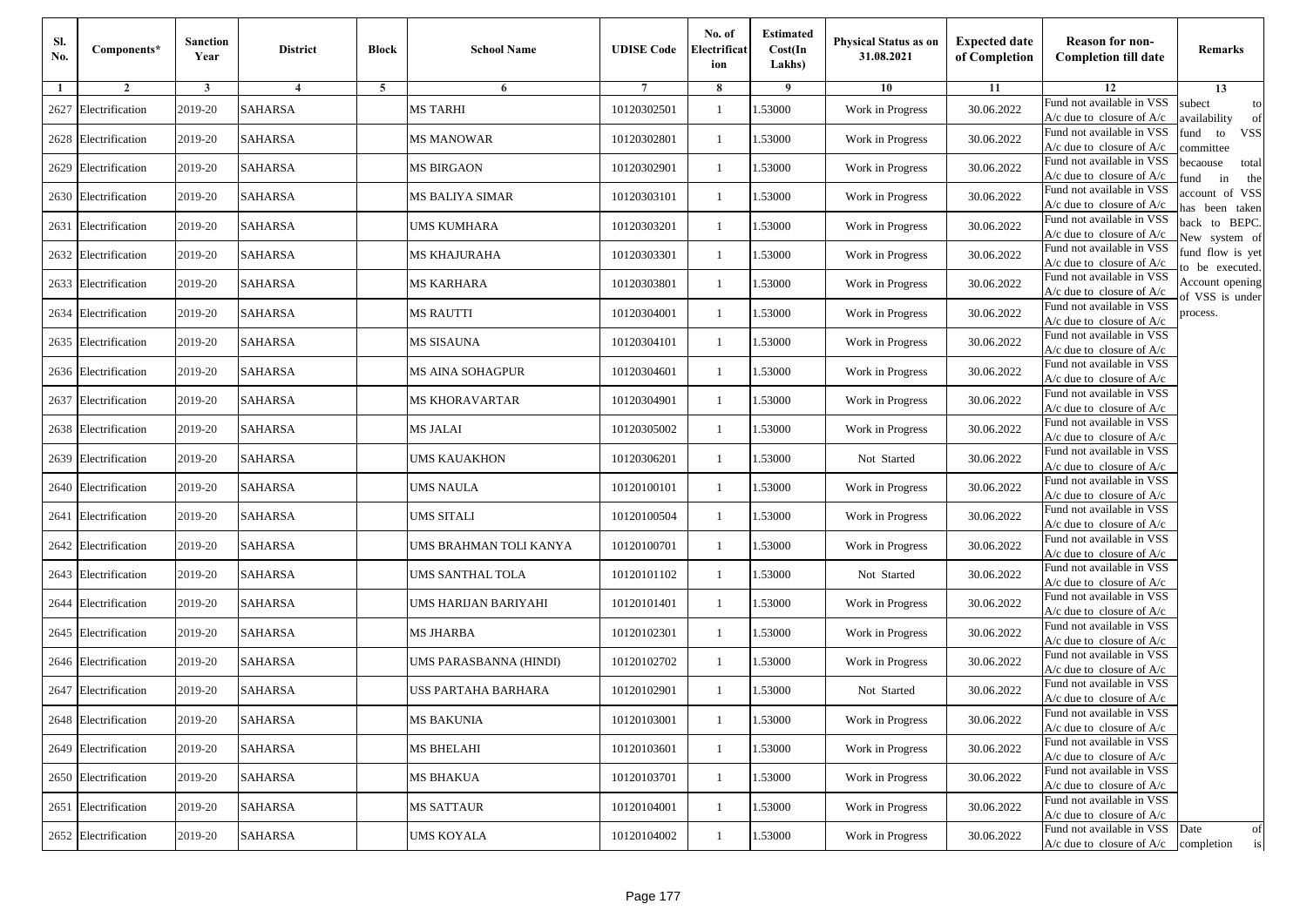| Sl.<br>No. | Components*          | <b>Sanction</b><br>Year | <b>District</b> | <b>Block</b> | <b>School Name</b>     | <b>UDISE Code</b> | No. of<br>Electrificat<br>ion | <b>Estimated</b><br>Cost(In<br>Lakhs) | <b>Physical Status as on</b><br>31.08.2021 | <b>Expected date</b><br>of Completion | <b>Reason for non-</b><br><b>Completion till date</b>      | Remarks                               |
|------------|----------------------|-------------------------|-----------------|--------------|------------------------|-------------------|-------------------------------|---------------------------------------|--------------------------------------------|---------------------------------------|------------------------------------------------------------|---------------------------------------|
| -1         | $\overline{2}$       | 3                       | $\overline{4}$  | 5            | 6                      |                   | 8                             | 9                                     | 10                                         | 11                                    | 12                                                         | 13                                    |
|            | 2627 Electrification | 2019-20                 | <b>SAHARSA</b>  |              | <b>MS TARHI</b>        | 10120302501       | $\mathbf{1}$                  | .53000                                | Work in Progress                           | 30.06.2022                            | Fund not available in VSS<br>$A/c$ due to closure of $A/c$ | subect<br>to<br>availability<br>of    |
|            | 2628 Electrification | 2019-20                 | <b>SAHARSA</b>  |              | <b>MS MANOWAR</b>      | 10120302801       | 1                             | 1.53000                               | Work in Progress                           | 30.06.2022                            | Fund not available in VSS<br>$A/c$ due to closure of $A/c$ | fund<br>to<br><b>VSS</b><br>ommittee  |
|            | 2629 Electrification | 2019-20                 | <b>SAHARSA</b>  |              | <b>MS BIRGAON</b>      | 10120302901       | 1                             | .53000                                | Work in Progress                           | 30.06.2022                            | Fund not available in VSS<br>$A/c$ due to closure of $A/c$ | becaouse<br>total<br>und<br>in<br>the |
|            | 2630 Electrification | 2019-20                 | <b>SAHARSA</b>  |              | MS BALIYA SIMAR        | 10120303101       | $\mathbf{1}$                  | .53000                                | Work in Progress                           | 30.06.2022                            | Fund not available in VSS<br>A/c due to closure of A/c     | account of VSS<br>as been taken       |
|            | 2631 Electrification | 2019-20                 | <b>SAHARSA</b>  |              | UMS KUMHARA            | 10120303201       | $\mathbf{1}$                  | .53000                                | Work in Progress                           | 30.06.2022                            | Fund not available in VSS<br>A/c due to closure of $A/c$   | back to BEPC.<br>New system of        |
|            | 2632 Electrification | 2019-20                 | <b>SAHARSA</b>  |              | MS KHAJURAHA           | 10120303301       | $\mathbf{1}$                  | .53000                                | Work in Progress                           | 30.06.2022                            | Fund not available in VSS<br>A/c due to closure of $A/c$   | fund flow is yet<br>o be executed.    |
|            | 2633 Electrification | 2019-20                 | <b>SAHARSA</b>  |              | <b>MS KARHARA</b>      | 10120303801       | $\mathbf{1}$                  | 1.53000                               | Work in Progress                           | 30.06.2022                            | Fund not available in VSS<br>$A/c$ due to closure of $A/c$ | Account opening<br>of VSS is under    |
|            | 2634 Electrification | 2019-20                 | <b>SAHARSA</b>  |              | <b>MS RAUTTI</b>       | 10120304001       | $\mathbf{1}$                  | .53000                                | Work in Progress                           | 30.06.2022                            | Fund not available in VSS<br>$A/c$ due to closure of $A/c$ | process.                              |
|            | 2635 Electrification | 2019-20                 | <b>SAHARSA</b>  |              | MS SISAUNA             | 10120304101       | 1                             | .53000                                | Work in Progress                           | 30.06.2022                            | Fund not available in VSS<br>$A/c$ due to closure of $A/c$ |                                       |
|            | 2636 Electrification | 2019-20                 | <b>SAHARSA</b>  |              | MS AINA SOHAGPUR       | 10120304601       | $\mathbf{1}$                  | .53000                                | Work in Progress                           | 30.06.2022                            | Fund not available in VSS<br>$A/c$ due to closure of $A/c$ |                                       |
|            | 2637 Electrification | 2019-20                 | <b>SAHARSA</b>  |              | MS KHORAVARTAR         | 10120304901       | 1                             | 1.53000                               | Work in Progress                           | 30.06.2022                            | Fund not available in VSS<br>$A/c$ due to closure of $A/c$ |                                       |
|            | 2638 Electrification | 2019-20                 | <b>SAHARSA</b>  |              | MS JALAI               | 10120305002       | 1                             | .53000                                | Work in Progress                           | 30.06.2022                            | Fund not available in VSS<br>$A/c$ due to closure of $A/c$ |                                       |
|            | 2639 Electrification | 2019-20                 | <b>SAHARSA</b>  |              | UMS KAUAKHON           | 10120306201       | $\mathbf{1}$                  | .53000                                | Not Started                                | 30.06.2022                            | Fund not available in VSS<br>$A/c$ due to closure of $A/c$ |                                       |
| 2640       | Electrification      | 2019-20                 | <b>SAHARSA</b>  |              | UMS NAULA              | 10120100101       | $\mathbf{1}$                  | .53000                                | Work in Progress                           | 30.06.2022                            | Fund not available in VSS<br>$A/c$ due to closure of $A/c$ |                                       |
|            | 2641 Electrification | 2019-20                 | <b>SAHARSA</b>  |              | <b>UMS SITALI</b>      | 10120100504       | 1                             | 1.53000                               | Work in Progress                           | 30.06.2022                            | Fund not available in VSS<br>$A/c$ due to closure of $A/c$ |                                       |
|            | 2642 Electrification | 2019-20                 | <b>SAHARSA</b>  |              | UMS BRAHMAN TOLI KANYA | 10120100701       | $\mathbf{1}$                  | .53000                                | Work in Progress                           | 30.06.2022                            | Fund not available in VSS<br>$A/c$ due to closure of $A/c$ |                                       |
|            | 2643 Electrification | 2019-20                 | <b>SAHARSA</b>  |              | UMS SANTHAL TOLA       | 10120101102       | 1                             | .53000                                | Not Started                                | 30.06.2022                            | Fund not available in VSS<br>A/c due to closure of A/c     |                                       |
| 2644       | Electrification      | 2019-20                 | <b>SAHARSA</b>  |              | UMS HARIJAN BARIYAHI   | 10120101401       | $\mathbf{1}$                  | 1.53000                               | Work in Progress                           | 30.06.2022                            | Fund not available in VSS<br>$A/c$ due to closure of $A/c$ |                                       |
|            | 2645 Electrification | 2019-20                 | <b>SAHARSA</b>  |              | <b>MS JHARBA</b>       | 10120102301       | 1                             | 1.53000                               | Work in Progress                           | 30.06.2022                            | Fund not available in VSS<br>$A/c$ due to closure of $A/c$ |                                       |
|            | 2646 Electrification | 2019-20                 | <b>SAHARSA</b>  |              | UMS PARASBANNA (HINDI) | 10120102702       | 1                             | .53000                                | Work in Progress                           | 30.06.2022                            | Fund not available in VSS<br>$A/c$ due to closure of $A/c$ |                                       |
|            | 2647 Electrification | 2019-20                 | SAHARSA         |              | USS PARTAHA BARHARA    | 10120102901       | 1                             | .53000                                | Not Started                                | 30.06.2022                            | Fund not available in VSS<br>A/c due to closure of A/c     |                                       |
|            | 2648 Electrification | 2019-20                 | <b>SAHARSA</b>  |              | <b>MS BAKUNIA</b>      | 10120103001       |                               | 1.53000                               | Work in Progress                           | 30.06.2022                            | Fund not available in VSS<br>A/c due to closure of A/c     |                                       |
|            | 2649 Electrification | 2019-20                 | <b>SAHARSA</b>  |              | <b>MS BHELAHI</b>      | 10120103601       | $\mathbf{1}$                  | 1.53000                               | Work in Progress                           | 30.06.2022                            | Fund not available in VSS<br>$A/c$ due to closure of $A/c$ |                                       |
|            | 2650 Electrification | 2019-20                 | <b>SAHARSA</b>  |              | <b>MS BHAKUA</b>       | 10120103701       | $\mathbf{1}$                  | 1.53000                               | Work in Progress                           | 30.06.2022                            | Fund not available in VSS<br>$A/c$ due to closure of $A/c$ |                                       |
|            | 2651 Electrification | 2019-20                 | <b>SAHARSA</b>  |              | <b>MS SATTAUR</b>      | 10120104001       | 1                             | 1.53000                               | Work in Progress                           | 30.06.2022                            | Fund not available in VSS<br>A/c due to closure of A/c     |                                       |
|            | 2652 Electrification | 2019-20                 | <b>SAHARSA</b>  |              | <b>UMS KOYALA</b>      | 10120104002       | $\mathbf{1}$                  | 1.53000                               | Work in Progress                           | 30.06.2022                            | Fund not available in VSS<br>$A/c$ due to closure of $A/c$ | Date<br>of<br>is<br>completion        |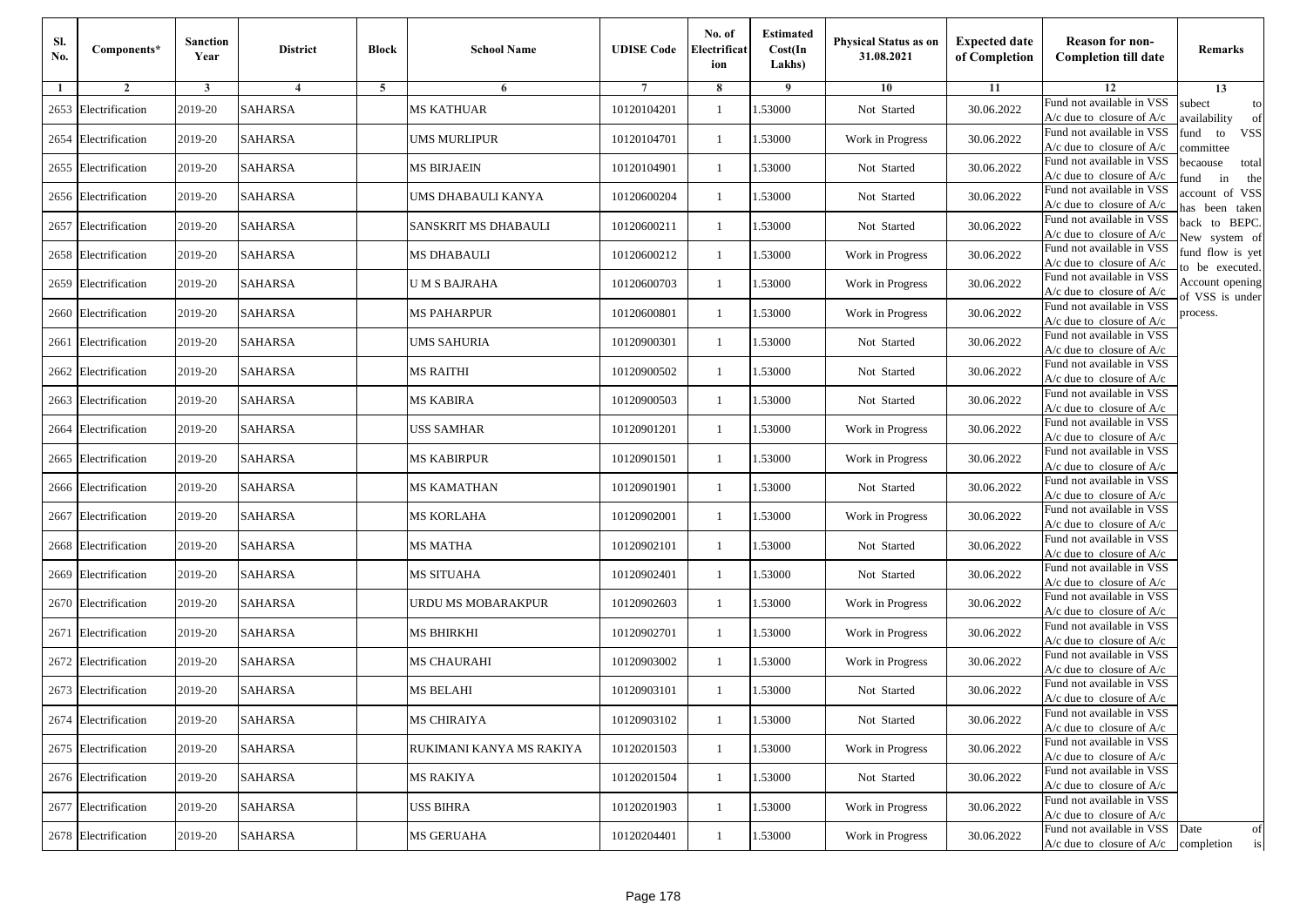| Sl.<br>No. | Components*          | <b>Sanction</b><br>Year | <b>District</b>         | <b>Block</b> | <b>School Name</b>       | <b>UDISE Code</b> | No. of<br>Electrificat<br>ion | <b>Estimated</b><br>Cost(In<br>Lakhs) | <b>Physical Status as on</b><br>31.08.2021 | <b>Expected date</b><br>of Completion | <b>Reason for non-</b><br><b>Completion till date</b>                 | Remarks                               |
|------------|----------------------|-------------------------|-------------------------|--------------|--------------------------|-------------------|-------------------------------|---------------------------------------|--------------------------------------------|---------------------------------------|-----------------------------------------------------------------------|---------------------------------------|
| -1         | $\overline{2}$       | 3                       | $\overline{\mathbf{4}}$ | 5            | 6                        |                   | 8                             | -9                                    | 10                                         | 11                                    | 12                                                                    | 13                                    |
|            | 2653 Electrification | 2019-20                 | <b>SAHARSA</b>          |              | <b>MS KATHUAR</b>        | 10120104201       | 1                             | .53000                                | Not Started                                | 30.06.2022                            | Fund not available in VSS<br>A/c due to closure of A/c                | subect<br>to<br>availability<br>of    |
|            | 2654 Electrification | 2019-20                 | <b>SAHARSA</b>          |              | <b>UMS MURLIPUR</b>      | 10120104701       | $\mathbf{1}$                  | 1.53000                               | Work in Progress                           | 30.06.2022                            | Fund not available in VSS<br>$A/c$ due to closure of $A/c$            | fund<br><b>VSS</b><br>to<br>ommittee  |
|            | 2655 Electrification | 2019-20                 | <b>SAHARSA</b>          |              | <b>MS BIRJAEIN</b>       | 10120104901       | 1                             | 1.53000                               | Not Started                                | 30.06.2022                            | Fund not available in VSS<br>$A/c$ due to closure of $A/c$            | becaouse<br>total<br>in<br>und<br>the |
|            | 2656 Electrification | 2019-20                 | <b>SAHARSA</b>          |              | UMS DHABAULI KANYA       | 10120600204       | $\mathbf{1}$                  | .53000                                | Not Started                                | 30.06.2022                            | Fund not available in VSS<br>$A/c$ due to closure of $A/c$            | account of VSS<br>as been taken       |
|            | 2657 Electrification | 2019-20                 | <b>SAHARSA</b>          |              | SANSKRIT MS DHABAULI     | 10120600211       | $\mathbf{1}$                  | .53000                                | Not Started                                | 30.06.2022                            | Fund not available in VSS<br>A/c due to closure of A/c                | back to BEPC.<br>New system of        |
|            | 2658 Electrification | 2019-20                 | <b>SAHARSA</b>          |              | MS DHABAULI              | 10120600212       | $\mathbf{1}$                  | .53000                                | Work in Progress                           | 30.06.2022                            | Fund not available in VSS<br>A/c due to closure of $A/c$              | fund flow is yet<br>o be executed.    |
|            | 2659 Electrification | 2019-20                 | <b>SAHARSA</b>          |              | U M S BAJRAHA            | 10120600703       | 1                             | 1.53000                               | Work in Progress                           | 30.06.2022                            | Fund not available in VSS<br>$A/c$ due to closure of $A/c$            | Account opening                       |
|            | 2660 Electrification | 2019-20                 | <b>SAHARSA</b>          |              | <b>MS PAHARPUR</b>       | 10120600801       | 1                             | 1.53000                               | Work in Progress                           | 30.06.2022                            | Fund not available in VSS<br>$A/c$ due to closure of $A/c$            | f VSS is under<br>process.            |
|            | 2661 Electrification | 2019-20                 | <b>SAHARSA</b>          |              | <b>UMS SAHURIA</b>       | 10120900301       | $\mathbf{1}$                  | .53000                                | Not Started                                | 30.06.2022                            | Fund not available in VSS<br>A/c due to closure of A/c                |                                       |
|            | 2662 Electrification | 2019-20                 | <b>SAHARSA</b>          |              | <b>MS RAITHI</b>         | 10120900502       | $\mathbf{1}$                  | 1.53000                               | Not Started                                | 30.06.2022                            | Fund not available in VSS<br>$A/c$ due to closure of $A/c$            |                                       |
|            | 2663 Electrification | 2019-20                 | <b>SAHARSA</b>          |              | MS KABIRA                | 10120900503       | 1                             | 1.53000                               | Not Started                                | 30.06.2022                            | Fund not available in VSS<br>$A/c$ due to closure of $A/c$            |                                       |
|            | 2664 Electrification | 2019-20                 | <b>SAHARSA</b>          |              | <b>USS SAMHAR</b>        | 10120901201       | 1                             | 1.53000                               | Work in Progress                           | 30.06.2022                            | Fund not available in VSS<br>$A/c$ due to closure of $A/c$            |                                       |
|            | 2665 Electrification | 2019-20                 | <b>SAHARSA</b>          |              | <b>MS KABIRPUR</b>       | 10120901501       | 1                             | .53000                                | Work in Progress                           | 30.06.2022                            | Fund not available in VSS<br>$A/c$ due to closure of $A/c$            |                                       |
|            | 2666 Electrification | 2019-20                 | <b>SAHARSA</b>          |              | MS KAMATHAN              | 10120901901       | $\mathbf{1}$                  | 1.53000                               | Not Started                                | 30.06.2022                            | Fund not available in VSS<br>$A/c$ due to closure of $A/c$            |                                       |
|            | 2667 Electrification | 2019-20                 | <b>SAHARSA</b>          |              | MS KORLAHA               | 10120902001       | 1                             | 1.53000                               | Work in Progress                           | 30.06.2022                            | Fund not available in VSS<br>$A/c$ due to closure of $A/c$            |                                       |
|            | 2668 Electrification | 2019-20                 | <b>SAHARSA</b>          |              | MS MATHA                 | 10120902101       | $\mathbf{1}$                  | 1.53000                               | Not Started                                | 30.06.2022                            | Fund not available in VSS<br>$A/c$ due to closure of $A/c$            |                                       |
|            | 2669 Electrification | 2019-20                 | <b>SAHARSA</b>          |              | <b>MS SITUAHA</b>        | 10120902401       | 1                             | .53000                                | Not Started                                | 30.06.2022                            | Fund not available in VSS<br>$A/c$ due to closure of $A/c$            |                                       |
|            | 2670 Electrification | 2019-20                 | <b>SAHARSA</b>          |              | URDU MS MOBARAKPUR       | 10120902603       | $\mathbf{1}$                  | .53000                                | Work in Progress                           | 30.06.2022                            | Fund not available in VSS<br>$A/c$ due to closure of $A/c$            |                                       |
|            | 2671 Electrification | 2019-20                 | <b>SAHARSA</b>          |              | MS BHIRKHI               | 10120902701       | $\mathbf{1}$                  | 1.53000                               | Work in Progress                           | 30.06.2022                            | Fund not available in VSS<br>$A/c$ due to closure of $A/c$            |                                       |
|            | 2672 Electrification | 2019-20                 | <b>SAHARSA</b>          |              | <b>MS CHAURAHI</b>       | 10120903002       | 1                             | 1.53000                               | Work in Progress                           | 30.06.2022                            | Fund not available in VSS<br>$A/c$ due to closure of $A/c$            |                                       |
|            | 2673 Electrification | 2019-20                 | SAHARSA                 |              | <b>MS BELAHI</b>         | 10120903101       | 1                             | .53000                                | Not Started                                | 30.06.2022                            | Fund not available in VSS<br>A/c due to closure of A/c                |                                       |
|            | 2674 Electrification | 2019-20                 | <b>SAHARSA</b>          |              | <b>MS CHIRAIYA</b>       | 10120903102       |                               | 1.53000                               | Not Started                                | 30.06.2022                            | Fund not available in VSS<br>A/c due to closure of A/c                |                                       |
|            | 2675 Electrification | 2019-20                 | <b>SAHARSA</b>          |              | RUKIMANI KANYA MS RAKIYA | 10120201503       | $\mathbf{1}$                  | 1.53000                               | Work in Progress                           | 30.06.2022                            | Fund not available in VSS<br>A/c due to closure of A/c                |                                       |
|            | 2676 Electrification | 2019-20                 | <b>SAHARSA</b>          |              | <b>MS RAKIYA</b>         | 10120201504       | 1                             | 1.53000                               | Not Started                                | 30.06.2022                            | Fund not available in VSS<br>$A/c$ due to closure of $A/c$            |                                       |
|            | 2677 Electrification | 2019-20                 | <b>SAHARSA</b>          |              | <b>USS BIHRA</b>         | 10120201903       | $\mathbf{1}$                  | 1.53000                               | Work in Progress                           | 30.06.2022                            | Fund not available in VSS<br>$A/c$ due to closure of $A/c$            |                                       |
|            | 2678 Electrification | 2019-20                 | <b>SAHARSA</b>          |              | MS GERUAHA               | 10120204401       | 1                             | 1.53000                               | Work in Progress                           | 30.06.2022                            | Fund not available in VSS<br>$A/c$ due to closure of $A/c$ completion | Date<br>of<br>$\mathrm{is}$           |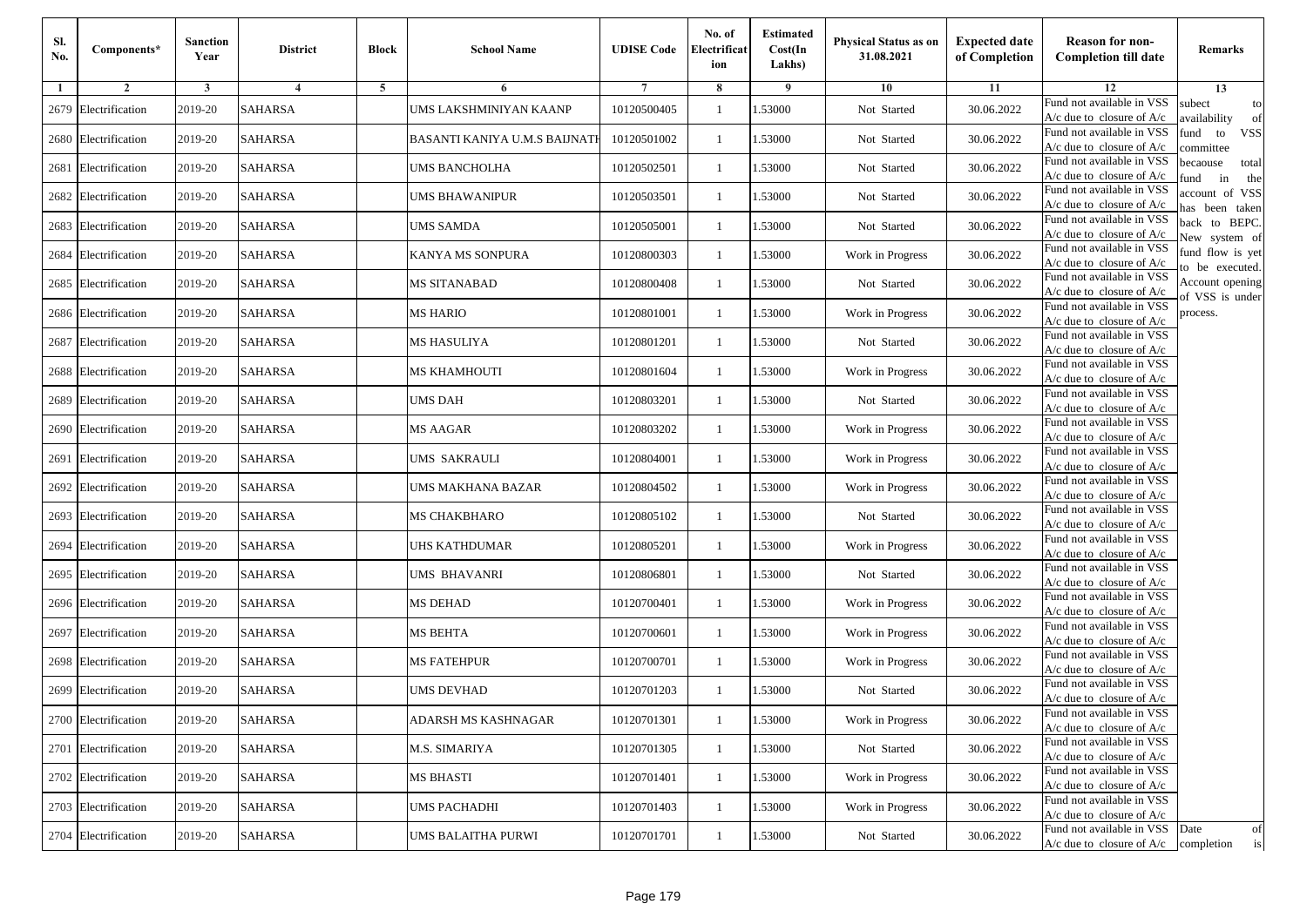| Sl.<br>No. | Components*          | <b>Sanction</b><br>Year | <b>District</b> | <b>Block</b> | <b>School Name</b>            | <b>UDISE Code</b> | No. of<br>Electrificat<br>ion | <b>Estimated</b><br>Cost(In<br>Lakhs) | <b>Physical Status as on</b><br>31.08.2021 | <b>Expected date</b><br>of Completion | <b>Reason for non-</b><br><b>Completion till date</b>                 | Remarks                               |
|------------|----------------------|-------------------------|-----------------|--------------|-------------------------------|-------------------|-------------------------------|---------------------------------------|--------------------------------------------|---------------------------------------|-----------------------------------------------------------------------|---------------------------------------|
| -1         | $\overline{2}$       | 3                       | $\overline{4}$  | 5            | 6                             |                   | 8                             | 9                                     | 10                                         | 11                                    | 12                                                                    | 13                                    |
|            | 2679 Electrification | 2019-20                 | <b>SAHARSA</b>  |              | UMS LAKSHMINIYAN KAANP        | 10120500405       | $\mathbf{1}$                  | .53000                                | Not Started                                | 30.06.2022                            | Fund not available in VSS<br>$A/c$ due to closure of $A/c$            | subect<br>to<br>wailability<br>of     |
|            | 2680 Electrification | 2019-20                 | <b>SAHARSA</b>  |              | BASANTI KANIYA U.M.S BAIJNATI | 10120501002       | $\mathbf{1}$                  | 1.53000                               | Not Started                                | 30.06.2022                            | Fund not available in VSS<br>$A/c$ due to closure of $A/c$            | fund<br>to<br><b>VSS</b><br>ommittee  |
|            | 2681 Electrification | 2019-20                 | <b>SAHARSA</b>  |              | <b>UMS BANCHOLHA</b>          | 10120502501       | 1                             | 1.53000                               | Not Started                                | 30.06.2022                            | Fund not available in VSS<br>$A/c$ due to closure of $A/c$            | becaouse<br>total<br>und<br>in<br>the |
|            | 2682 Electrification | 2019-20                 | <b>SAHARSA</b>  |              | <b>UMS BHAWANIPUR</b>         | 10120503501       | $\mathbf{1}$                  | .53000                                | Not Started                                | 30.06.2022                            | Fund not available in VSS<br>A/c due to closure of A/c                | account of VSS<br>as been taken       |
|            | 2683 Electrification | 2019-20                 | <b>SAHARSA</b>  |              | <b>UMS SAMDA</b>              | 10120505001       | $\mathbf{1}$                  | .53000                                | Not Started                                | 30.06.2022                            | Fund not available in VSS<br>A/c due to closure of $A/c$              | back to BEPC.<br>New system of        |
|            | 2684 Electrification | 2019-20                 | <b>SAHARSA</b>  |              | KANYA MS SONPURA              | 10120800303       | $\mathbf{1}$                  | .53000                                | Work in Progress                           | 30.06.2022                            | Fund not available in VSS<br>A/c due to closure of $A/c$              | fund flow is yet<br>o be executed.    |
|            | 2685 Electrification | 2019-20                 | <b>SAHARSA</b>  |              | MS SITANABAD                  | 10120800408       | $\mathbf{1}$                  | 1.53000                               | Not Started                                | 30.06.2022                            | Fund not available in VSS<br>$A/c$ due to closure of $A/c$            | Account opening<br>of VSS is under    |
|            | 2686 Electrification | 2019-20                 | <b>SAHARSA</b>  |              | <b>MS HARIO</b>               | 10120801001       | $\mathbf{1}$                  | .53000                                | Work in Progress                           | 30.06.2022                            | Fund not available in VSS<br>$A/c$ due to closure of $A/c$            | process.                              |
|            | 2687 Electrification | 2019-20                 | <b>SAHARSA</b>  |              | MS HASULIYA                   | 10120801201       | 1                             | .53000                                | Not Started                                | 30.06.2022                            | Fund not available in VSS<br>$A/c$ due to closure of $A/c$            |                                       |
|            | 2688 Electrification | 2019-20                 | <b>SAHARSA</b>  |              | MS KHAMHOUTI                  | 10120801604       | $\mathbf{1}$                  | .53000                                | Work in Progress                           | 30.06.2022                            | Fund not available in VSS<br>$A/c$ due to closure of $A/c$            |                                       |
|            | 2689 Electrification | 2019-20                 | <b>SAHARSA</b>  |              | UMS DAH                       | 10120803201       | 1                             | 1.53000                               | Not Started                                | 30.06.2022                            | Fund not available in VSS<br>$A/c$ due to closure of $A/c$            |                                       |
|            | 2690 Electrification | 2019-20                 | <b>SAHARSA</b>  |              | MS AAGAR                      | 10120803202       | $\mathbf{1}$                  | .53000                                | Work in Progress                           | 30.06.2022                            | Fund not available in VSS<br>$A/c$ due to closure of $A/c$            |                                       |
|            | 2691 Electrification | 2019-20                 | <b>SAHARSA</b>  |              | UMS SAKRAULI                  | 10120804001       | $\mathbf{1}$                  | .53000                                | Work in Progress                           | 30.06.2022                            | Fund not available in VSS<br>$A/c$ due to closure of $A/c$            |                                       |
|            | 2692 Electrification | 2019-20                 | <b>SAHARSA</b>  |              | UMS MAKHANA BAZAR             | 10120804502       | $\mathbf{1}$                  | .53000                                | Work in Progress                           | 30.06.2022                            | Fund not available in VSS<br>$A/c$ due to closure of $A/c$            |                                       |
|            | 2693 Electrification | 2019-20                 | <b>SAHARSA</b>  |              | MS CHAKBHARO                  | 10120805102       | 1                             | 1.53000                               | Not Started                                | 30.06.2022                            | Fund not available in VSS<br>$A/c$ due to closure of $A/c$            |                                       |
|            | 2694 Electrification | 2019-20                 | <b>SAHARSA</b>  |              | <b>UHS KATHDUMAR</b>          | 10120805201       | $\mathbf{1}$                  | .53000                                | Work in Progress                           | 30.06.2022                            | Fund not available in VSS<br>$A/c$ due to closure of $A/c$            |                                       |
|            | 2695 Electrification | 2019-20                 | <b>SAHARSA</b>  |              | UMS BHAVANRI                  | 10120806801       | 1                             | .53000                                | Not Started                                | 30.06.2022                            | Fund not available in VSS<br>A/c due to closure of A/c                |                                       |
|            | 2696 Electrification | 2019-20                 | <b>SAHARSA</b>  |              | <b>MS DEHAD</b>               | 10120700401       | $\mathbf{1}$                  | 1.53000                               | Work in Progress                           | 30.06.2022                            | Fund not available in VSS<br>$A/c$ due to closure of $A/c$            |                                       |
|            | 2697 Electrification | 2019-20                 | <b>SAHARSA</b>  |              | <b>MS BEHTA</b>               | 10120700601       | 1                             | 1.53000                               | Work in Progress                           | 30.06.2022                            | Fund not available in VSS<br>$A/c$ due to closure of $A/c$            |                                       |
|            | 2698 Electrification | 2019-20                 | <b>SAHARSA</b>  |              | <b>MS FATEHPUR</b>            | 10120700701       | $\mathbf{1}$                  | .53000                                | Work in Progress                           | 30.06.2022                            | Fund not available in VSS<br>$A/c$ due to closure of $A/c$            |                                       |
|            | 2699 Electrification | 2019-20                 | SAHARSA         |              | UMS DEVHAD                    | 10120701203       | 1                             | .53000                                | Not Started                                | 30.06.2022                            | Fund not available in VSS<br>A/c due to closure of A/c                |                                       |
|            | 2700 Electrification | 2019-20                 | SAHARSA         |              | ADARSH MS KASHNAGAR           | 10120701301       |                               | 1.53000                               | Work in Progress                           | 30.06.2022                            | Fund not available in VSS<br>A/c due to closure of A/c                |                                       |
|            | 2701 Electrification | 2019-20                 | <b>SAHARSA</b>  |              | M.S. SIMARIYA                 | 10120701305       | $\mathbf{1}$                  | 1.53000                               | Not Started                                | 30.06.2022                            | Fund not available in VSS<br>$A/c$ due to closure of $A/c$            |                                       |
|            | 2702 Electrification | 2019-20                 | <b>SAHARSA</b>  |              | <b>MS BHASTI</b>              | 10120701401       | $\mathbf{1}$                  | 1.53000                               | Work in Progress                           | 30.06.2022                            | Fund not available in VSS<br>$A/c$ due to closure of $A/c$            |                                       |
|            | 2703 Electrification | 2019-20                 | <b>SAHARSA</b>  |              | <b>UMS PACHADHI</b>           | 10120701403       | $\mathbf{1}$                  | 1.53000                               | Work in Progress                           | 30.06.2022                            | Fund not available in VSS<br>A/c due to closure of $A/c$              |                                       |
|            | 2704 Electrification | 2019-20                 | <b>SAHARSA</b>  |              | UMS BALAITHA PURWI            | 10120701701       | $\mathbf{1}$                  | 1.53000                               | Not Started                                | 30.06.2022                            | Fund not available in VSS<br>$A/c$ due to closure of $A/c$ completion | Date<br>of<br>is                      |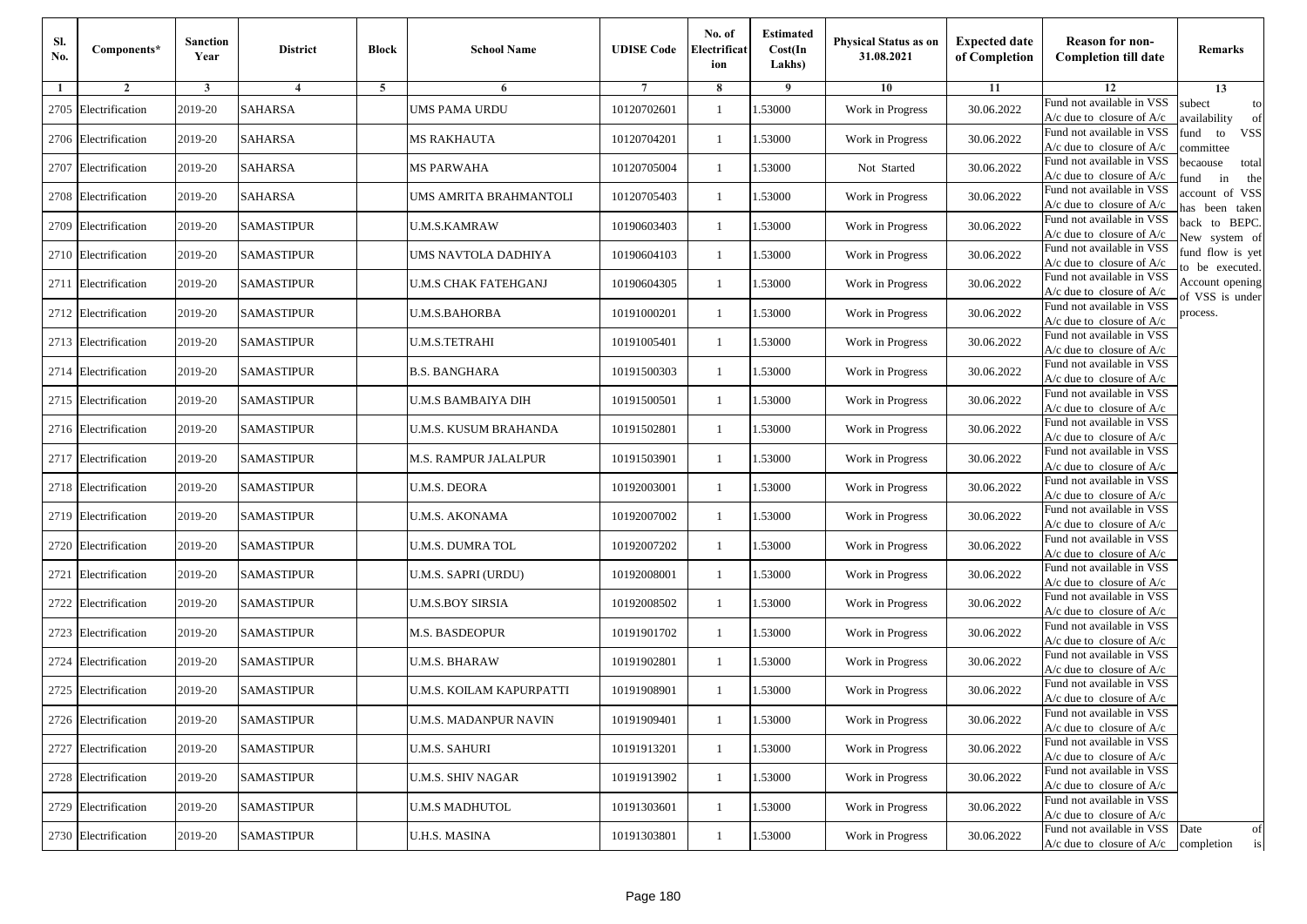| Sl.<br>No. | Components*          | <b>Sanction</b><br>Year | <b>District</b>   | <b>Block</b> | <b>School Name</b>           | <b>UDISE Code</b> | No. of<br>Electrificat<br>ion | <b>Estimated</b><br>Cost(In<br>Lakhs) | <b>Physical Status as on</b><br>31.08.2021 | <b>Expected date</b><br>of Completion | <b>Reason for non-</b><br><b>Completion till date</b>                 | Remarks                               |
|------------|----------------------|-------------------------|-------------------|--------------|------------------------------|-------------------|-------------------------------|---------------------------------------|--------------------------------------------|---------------------------------------|-----------------------------------------------------------------------|---------------------------------------|
| -1         | $\overline{2}$       | 3                       | $\overline{4}$    | 5            | 6                            |                   | 8                             | 9                                     | 10                                         | 11                                    | 12                                                                    | 13                                    |
|            | 2705 Electrification | 2019-20                 | <b>SAHARSA</b>    |              | <b>UMS PAMA URDU</b>         | 10120702601       | $\mathbf{1}$                  | .53000                                | Work in Progress                           | 30.06.2022                            | Fund not available in VSS<br>$A/c$ due to closure of $A/c$            | subect<br>to<br>availability<br>of    |
|            | 2706 Electrification | 2019-20                 | <b>SAHARSA</b>    |              | <b>MS RAKHAUTA</b>           | 10120704201       | 1                             | 1.53000                               | Work in Progress                           | 30.06.2022                            | Fund not available in VSS<br>$A/c$ due to closure of $A/c$            | fund<br>to<br><b>VSS</b><br>committee |
|            | 2707 Electrification | 2019-20                 | <b>SAHARSA</b>    |              | <b>MS PARWAHA</b>            | 10120705004       | 1                             | 1.53000                               | Not Started                                | 30.06.2022                            | Fund not available in VSS<br>$A/c$ due to closure of $A/c$            | becaouse<br>total<br>in<br>und<br>the |
|            | 2708 Electrification | 2019-20                 | <b>SAHARSA</b>    |              | UMS AMRITA BRAHMANTOLI       | 10120705403       | $\mathbf{1}$                  | .53000                                | Work in Progress                           | 30.06.2022                            | Fund not available in VSS<br>A/c due to closure of A/c                | account of VSS<br>as been taken       |
|            | 2709 Electrification | 2019-20                 | <b>SAMASTIPUR</b> |              | <b>U.M.S.KAMRAW</b>          | 10190603403       | $\mathbf{1}$                  | .53000                                | Work in Progress                           | 30.06.2022                            | Fund not available in VSS<br>$A/c$ due to closure of $A/c$            | back to BEPC.<br>New system of        |
|            | 2710 Electrification | 2019-20                 | <b>SAMASTIPUR</b> |              | UMS NAVTOLA DADHIYA          | 10190604103       | $\mathbf{1}$                  | .53000                                | Work in Progress                           | 30.06.2022                            | Fund not available in VSS<br>A/c due to closure of $A/c$              | fund flow is yet<br>o be executed.    |
|            | 2711 Electrification | 2019-20                 | <b>SAMASTIPUR</b> |              | <b>U.M.S CHAK FATEHGANJ</b>  | 10190604305       | $\mathbf{1}$                  | 1.53000                               | Work in Progress                           | 30.06.2022                            | Fund not available in VSS<br>$A/c$ due to closure of $A/c$            | Account opening<br>of VSS is under    |
|            | 2712 Electrification | 2019-20                 | <b>SAMASTIPUR</b> |              | <b>U.M.S.BAHORBA</b>         | 10191000201       | $\mathbf{1}$                  | .53000                                | Work in Progress                           | 30.06.2022                            | Fund not available in VSS<br>$A/c$ due to closure of $A/c$            | process.                              |
|            | 2713 Electrification | 2019-20                 | <b>SAMASTIPUR</b> |              | <b>U.M.S.TETRAHI</b>         | 10191005401       | 1                             | .53000                                | Work in Progress                           | 30.06.2022                            | Fund not available in VSS<br>$A/c$ due to closure of $A/c$            |                                       |
|            | 2714 Electrification | 2019-20                 | <b>SAMASTIPUR</b> |              | <b>B.S. BANGHARA</b>         | 10191500303       | $\mathbf{1}$                  | .53000                                | Work in Progress                           | 30.06.2022                            | Fund not available in VSS<br>$A/c$ due to closure of $A/c$            |                                       |
|            | 2715 Electrification | 2019-20                 | <b>SAMASTIPUR</b> |              | U.M.S BAMBAIYA DIH           | 10191500501       | 1                             | 1.53000                               | Work in Progress                           | 30.06.2022                            | Fund not available in VSS<br>$A/c$ due to closure of $A/c$            |                                       |
|            | 2716 Electrification | 2019-20                 | <b>SAMASTIPUR</b> |              | <b>U.M.S. KUSUM BRAHANDA</b> | 10191502801       | 1                             | .53000                                | Work in Progress                           | 30.06.2022                            | Fund not available in VSS<br>$A/c$ due to closure of $A/c$            |                                       |
|            | 2717 Electrification | 2019-20                 | <b>SAMASTIPUR</b> |              | M.S. RAMPUR JALALPUR         | 10191503901       | $\mathbf{1}$                  | .53000                                | Work in Progress                           | 30.06.2022                            | Fund not available in VSS<br>$A/c$ due to closure of $A/c$            |                                       |
|            | 2718 Electrification | 2019-20                 | <b>SAMASTIPUR</b> |              | U.M.S. DEORA                 | 10192003001       | $\mathbf{1}$                  | .53000                                | Work in Progress                           | 30.06.2022                            | Fund not available in VSS<br>$A/c$ due to closure of $A/c$            |                                       |
|            | 2719 Electrification | 2019-20                 | <b>SAMASTIPUR</b> |              | <b>U.M.S. AKONAMA</b>        | 10192007002       | 1                             | 1.53000                               | Work in Progress                           | 30.06.2022                            | Fund not available in VSS<br>$A/c$ due to closure of $A/c$            |                                       |
|            | 2720 Electrification | 2019-20                 | <b>SAMASTIPUR</b> |              | <b>U.M.S. DUMRA TOL</b>      | 10192007202       | $\mathbf{1}$                  | .53000                                | Work in Progress                           | 30.06.2022                            | Fund not available in VSS<br>$A/c$ due to closure of $A/c$            |                                       |
|            | 2721 Electrification | 2019-20                 | <b>SAMASTIPUR</b> |              | U.M.S. SAPRI (URDU)          | 10192008001       | 1                             | .53000                                | Work in Progress                           | 30.06.2022                            | Fund not available in VSS<br>A/c due to closure of A/c                |                                       |
|            | 2722 Electrification | 2019-20                 | <b>SAMASTIPUR</b> |              | <b>U.M.S.BOY SIRSIA</b>      | 10192008502       | $\mathbf{1}$                  | 1.53000                               | Work in Progress                           | 30.06.2022                            | Fund not available in VSS<br>$A/c$ due to closure of $A/c$            |                                       |
|            | 2723 Electrification | 2019-20                 | <b>SAMASTIPUR</b> |              | M.S. BASDEOPUR               | 10191901702       | 1                             | 1.53000                               | Work in Progress                           | 30.06.2022                            | Fund not available in VSS<br>$A/c$ due to closure of $A/c$            |                                       |
|            | 2724 Electrification | 2019-20                 | <b>SAMASTIPUR</b> |              | <b>U.M.S. BHARAW</b>         | 10191902801       | 1                             | .53000                                | Work in Progress                           | 30.06.2022                            | Fund not available in VSS<br>$A/c$ due to closure of $A/c$            |                                       |
|            | 2725 Electrification | 2019-20                 | <b>SAMASTIPUR</b> |              | U.M.S. KOILAM KAPURPATTI     | 10191908901       | 1                             | .53000                                | Work in Progress                           | 30.06.2022                            | Fund not available in VSS<br>A/c due to closure of A/c                |                                       |
|            | 2726 Electrification | 2019-20                 | <b>SAMASTIPUR</b> |              | U.M.S. MADANPUR NAVIN        | 10191909401       |                               | 1.53000                               | Work in Progress                           | 30.06.2022                            | Fund not available in VSS<br>A/c due to closure of A/c                |                                       |
|            | 2727 Electrification | 2019-20                 | <b>SAMASTIPUR</b> |              | <b>U.M.S. SAHURI</b>         | 10191913201       | $\mathbf{1}$                  | 1.53000                               | Work in Progress                           | 30.06.2022                            | Fund not available in VSS<br>$A/c$ due to closure of $A/c$            |                                       |
|            | 2728 Electrification | 2019-20                 | <b>SAMASTIPUR</b> |              | <b>U.M.S. SHIV NAGAR</b>     | 10191913902       | $\mathbf{1}$                  | 1.53000                               | Work in Progress                           | 30.06.2022                            | Fund not available in VSS<br>$A/c$ due to closure of $A/c$            |                                       |
|            | 2729 Electrification | 2019-20                 | <b>SAMASTIPUR</b> |              | <b>U.M.S MADHUTOL</b>        | 10191303601       | 1                             | 1.53000                               | Work in Progress                           | 30.06.2022                            | Fund not available in VSS<br>A/c due to closure of $A/c$              |                                       |
|            | 2730 Electrification | 2019-20                 | <b>SAMASTIPUR</b> |              | <b>U.H.S. MASINA</b>         | 10191303801       | $\mathbf{1}$                  | 1.53000                               | Work in Progress                           | 30.06.2022                            | Fund not available in VSS<br>$A/c$ due to closure of $A/c$ completion | Date<br>of<br>is                      |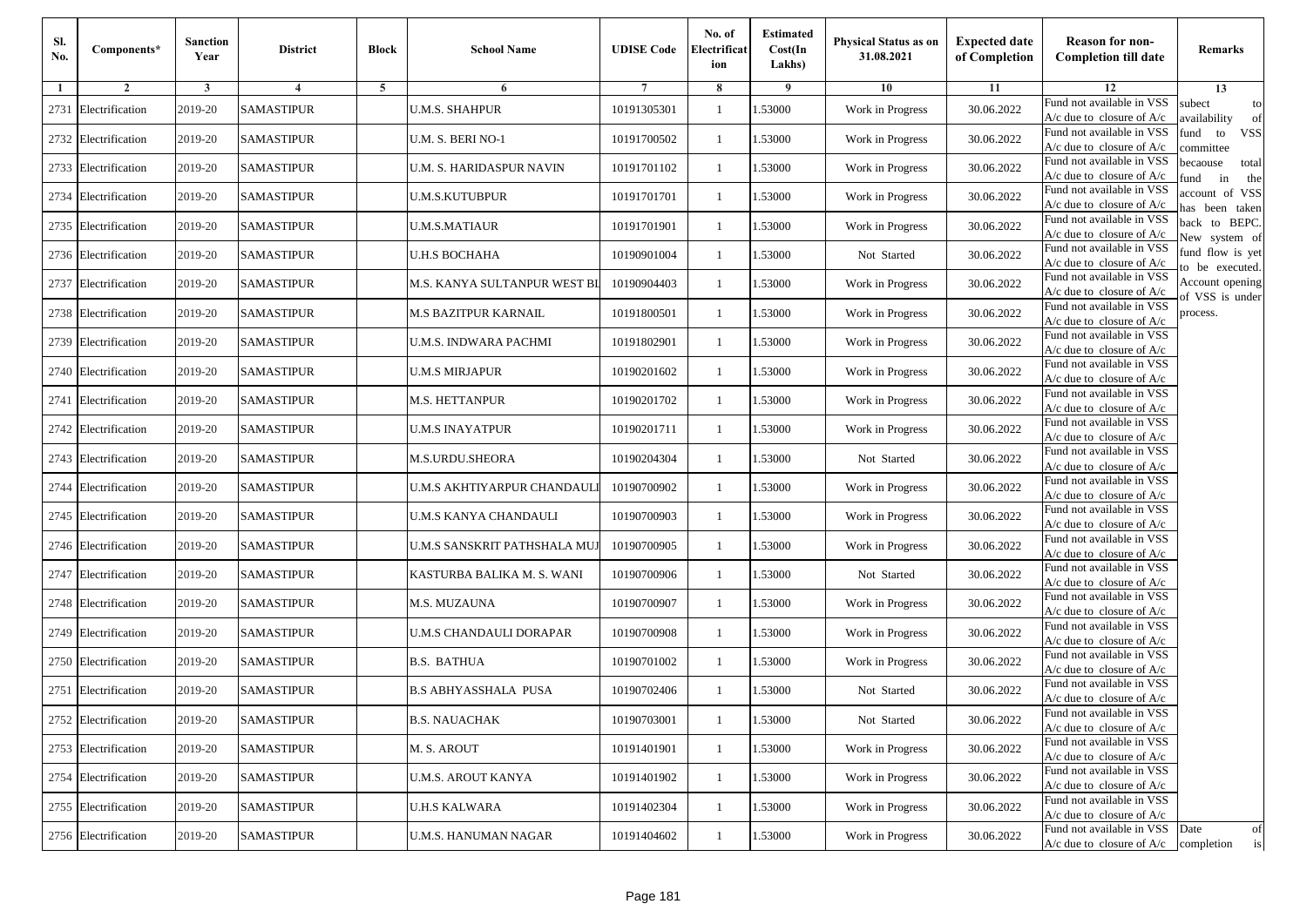| Sl.<br>No. | Components*          | <b>Sanction</b><br>Year | <b>District</b>   | <b>Block</b> | <b>School Name</b>           | <b>UDISE Code</b> | No. of<br>Electrificat<br>ion | <b>Estimated</b><br>Cost(In<br>Lakhs) | <b>Physical Status as on</b><br>31.08.2021 | <b>Expected date</b><br>of Completion | <b>Reason for non-</b><br><b>Completion till date</b>                 | Remarks                               |
|------------|----------------------|-------------------------|-------------------|--------------|------------------------------|-------------------|-------------------------------|---------------------------------------|--------------------------------------------|---------------------------------------|-----------------------------------------------------------------------|---------------------------------------|
| -1         | $\overline{2}$       | 3                       | 4                 | 5            | 6                            |                   | 8                             | 9                                     | 10                                         | 11                                    | 12                                                                    | 13                                    |
|            | 2731 Electrification | 2019-20                 | <b>SAMASTIPUR</b> |              | <b>U.M.S. SHAHPUR</b>        | 10191305301       | $\mathbf{1}$                  | .53000                                | Work in Progress                           | 30.06.2022                            | Fund not available in VSS<br>$A/c$ due to closure of $A/c$            | subect<br>to<br>availability<br>of    |
|            | 2732 Electrification | 2019-20                 | <b>SAMASTIPUR</b> |              | U.M. S. BERI NO-1            | 10191700502       | 1                             | 1.53000                               | Work in Progress                           | 30.06.2022                            | Fund not available in VSS<br>$A/c$ due to closure of $A/c$            | fund<br>to<br><b>VSS</b><br>committee |
|            | 2733 Electrification | 2019-20                 | <b>SAMASTIPUR</b> |              | U.M. S. HARIDASPUR NAVIN     | 10191701102       | 1                             | 1.53000                               | Work in Progress                           | 30.06.2022                            | Fund not available in VSS<br>$A/c$ due to closure of $A/c$            | becaouse<br>total<br>und<br>in<br>the |
|            | 2734 Electrification | 2019-20                 | <b>SAMASTIPUR</b> |              | <b>U.M.S.KUTUBPUR</b>        | 10191701701       | $\mathbf{1}$                  | .53000                                | Work in Progress                           | 30.06.2022                            | Fund not available in VSS<br>A/c due to closure of A/c                | account of VSS<br>as been taken       |
|            | 2735 Electrification | 2019-20                 | <b>SAMASTIPUR</b> |              | <b>U.M.S.MATIAUR</b>         | 10191701901       | $\mathbf{1}$                  | .53000                                | Work in Progress                           | 30.06.2022                            | Fund not available in VSS<br>A/c due to closure of $A/c$              | back to BEPC.<br>New system of        |
|            | 2736 Electrification | 2019-20                 | <b>SAMASTIPUR</b> |              | <b>U.H.S BOCHAHA</b>         | 10190901004       | $\mathbf{1}$                  | 1.53000                               | Not Started                                | 30.06.2022                            | Fund not available in VSS<br>A/c due to closure of $A/c$              | fund flow is yet<br>o be executed.    |
|            | 2737 Electrification | 2019-20                 | <b>SAMASTIPUR</b> |              | M.S. KANYA SULTANPUR WEST BI | 10190904403       | $\mathbf{1}$                  | 1.53000                               | Work in Progress                           | 30.06.2022                            | Fund not available in VSS<br>$A/c$ due to closure of $A/c$            | Account opening<br>of VSS is under    |
|            | 2738 Electrification | 2019-20                 | <b>SAMASTIPUR</b> |              | M.S BAZITPUR KARNAIL         | 10191800501       | $\mathbf{1}$                  | .53000                                | Work in Progress                           | 30.06.2022                            | Fund not available in VSS<br>$A/c$ due to closure of $A/c$            | process.                              |
|            | 2739 Electrification | 2019-20                 | <b>SAMASTIPUR</b> |              | U.M.S. INDWARA PACHMI        | 10191802901       | 1                             | .53000                                | Work in Progress                           | 30.06.2022                            | Fund not available in VSS<br>$A/c$ due to closure of $A/c$            |                                       |
| 2740       | Electrification      | 2019-20                 | <b>SAMASTIPUR</b> |              | <b>U.M.S MIRJAPUR</b>        | 10190201602       | $\mathbf{1}$                  | 1.53000                               | Work in Progress                           | 30.06.2022                            | Fund not available in VSS<br>$A/c$ due to closure of $A/c$            |                                       |
|            | 2741 Electrification | 2019-20                 | <b>SAMASTIPUR</b> |              | M.S. HETTANPUR               | 10190201702       | 1                             | 1.53000                               | Work in Progress                           | 30.06.2022                            | Fund not available in VSS<br>$A/c$ due to closure of $A/c$            |                                       |
|            | 2742 Electrification | 2019-20                 | <b>SAMASTIPUR</b> |              | <b>U.M.S INAYATPUR</b>       | 10190201711       | 1                             | .53000                                | Work in Progress                           | 30.06.2022                            | Fund not available in VSS<br>$A/c$ due to closure of $A/c$            |                                       |
|            | 2743 Electrification | 2019-20                 | <b>SAMASTIPUR</b> |              | M.S.URDU.SHEORA              | 10190204304       | $\mathbf{1}$                  | .53000                                | Not Started                                | 30.06.2022                            | Fund not available in VSS<br>$A/c$ due to closure of $A/c$            |                                       |
| 2744       | Electrification      | 2019-20                 | <b>SAMASTIPUR</b> |              | U.M.S AKHTIYARPUR CHANDAUL   | 10190700902       | $\mathbf{1}$                  | .53000                                | Work in Progress                           | 30.06.2022                            | Fund not available in VSS<br>$A/c$ due to closure of $A/c$            |                                       |
|            | 2745 Electrification | 2019-20                 | <b>SAMASTIPUR</b> |              | U.M.S KANYA CHANDAULI        | 10190700903       | 1                             | 1.53000                               | Work in Progress                           | 30.06.2022                            | Fund not available in VSS<br>$A/c$ due to closure of $A/c$            |                                       |
|            | 2746 Electrification | 2019-20                 | <b>SAMASTIPUR</b> |              | U.M.S SANSKRIT PATHSHALA MUJ | 10190700905       | $\mathbf{1}$                  | .53000                                | Work in Progress                           | 30.06.2022                            | Fund not available in VSS<br>$A/c$ due to closure of $A/c$            |                                       |
|            | 2747 Electrification | 2019-20                 | <b>SAMASTIPUR</b> |              | KASTURBA BALIKA M. S. WANI   | 10190700906       | 1                             | .53000                                | Not Started                                | 30.06.2022                            | Fund not available in VSS<br>A/c due to closure of A/c                |                                       |
|            | 2748 Electrification | 2019-20                 | <b>SAMASTIPUR</b> |              | M.S. MUZAUNA                 | 10190700907       | $\mathbf{1}$                  | 1.53000                               | Work in Progress                           | 30.06.2022                            | Fund not available in VSS<br>$A/c$ due to closure of $A/c$            |                                       |
|            | 2749 Electrification | 2019-20                 | <b>SAMASTIPUR</b> |              | U.M.S CHANDAULI DORAPAR      | 10190700908       | 1                             | 1.53000                               | Work in Progress                           | 30.06.2022                            | Fund not available in VSS<br>$A/c$ due to closure of $A/c$            |                                       |
|            | 2750 Electrification | 2019-20                 | <b>SAMASTIPUR</b> |              | <b>B.S. BATHUA</b>           | 10190701002       | $\mathbf{1}$                  | .53000                                | Work in Progress                           | 30.06.2022                            | Fund not available in VSS<br>$A/c$ due to closure of $A/c$            |                                       |
|            | 2751 Electrification | 2019-20                 | <b>SAMASTIPUR</b> |              | <b>B.S ABHYASSHALA PUSA</b>  | 10190702406       | 1                             | .53000                                | Not Started                                | 30.06.2022                            | Fund not available in VSS<br>A/c due to closure of A/c                |                                       |
|            | 2752 Electrification | 2019-20                 | <b>SAMASTIPUR</b> |              | <b>B.S. NAUACHAK</b>         | 10190703001       |                               | 1.53000                               | Not Started                                | 30.06.2022                            | Fund not available in VSS<br>A/c due to closure of A/c                |                                       |
|            | 2753 Electrification | 2019-20                 | <b>SAMASTIPUR</b> |              | M. S. AROUT                  | 10191401901       | $\mathbf{1}$                  | 1.53000                               | Work in Progress                           | 30.06.2022                            | Fund not available in VSS<br>$A/c$ due to closure of $A/c$            |                                       |
|            | 2754 Electrification | 2019-20                 | <b>SAMASTIPUR</b> |              | <b>U.M.S. AROUT KANYA</b>    | 10191401902       | $\mathbf{1}$                  | 1.53000                               | Work in Progress                           | 30.06.2022                            | Fund not available in VSS<br>$A/c$ due to closure of $A/c$            |                                       |
|            | 2755 Electrification | 2019-20                 | <b>SAMASTIPUR</b> |              | <b>U.H.S KALWARA</b>         | 10191402304       | 1                             | 1.53000                               | Work in Progress                           | 30.06.2022                            | Fund not available in VSS<br>A/c due to closure of $A/c$              |                                       |
|            | 2756 Electrification | 2019-20                 | <b>SAMASTIPUR</b> |              | <b>U.M.S. HANUMAN NAGAR</b>  | 10191404602       | $\mathbf{1}$                  | 1.53000                               | Work in Progress                           | 30.06.2022                            | Fund not available in VSS<br>$A/c$ due to closure of $A/c$ completion | Date<br>of<br>is                      |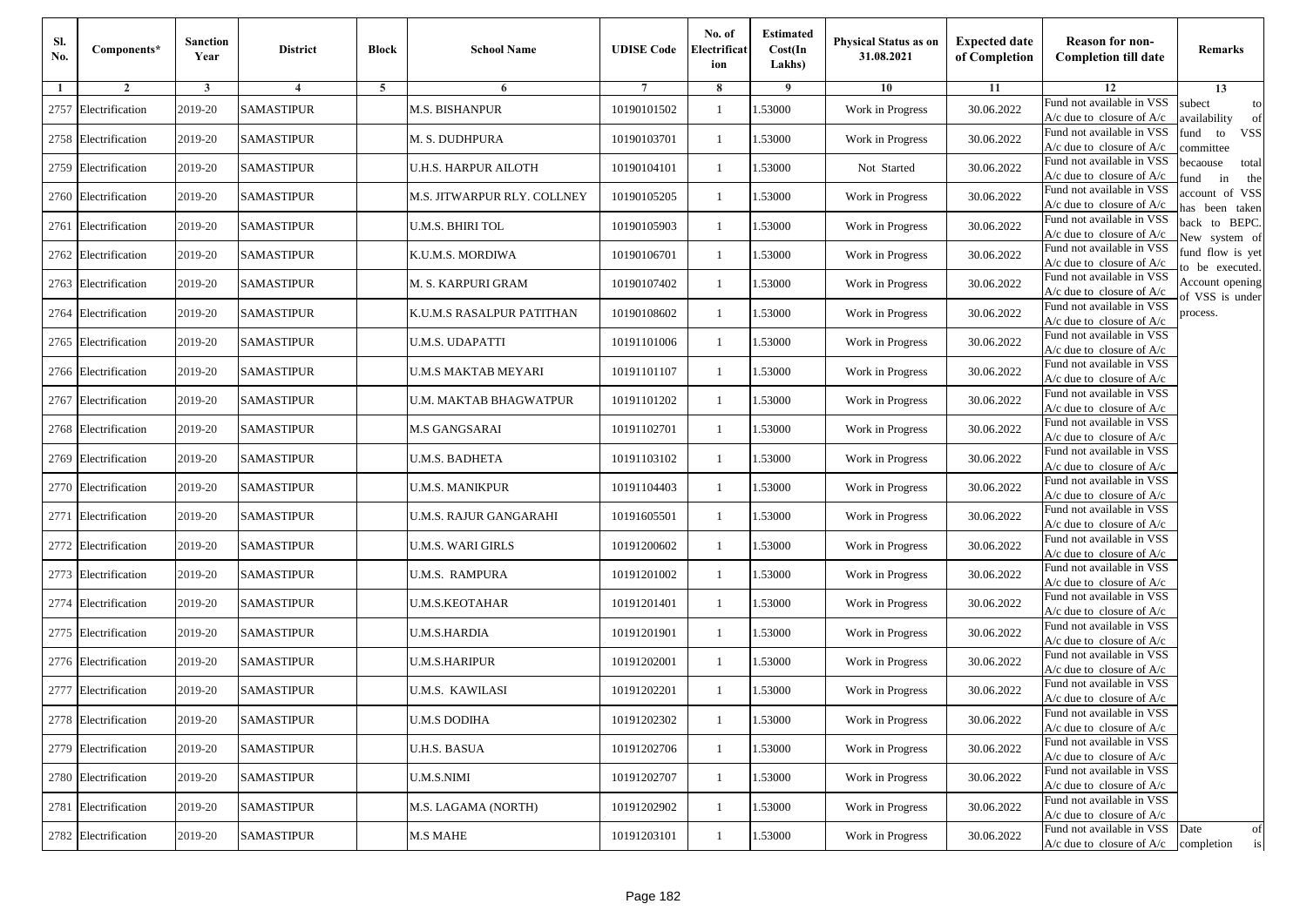| Sl.<br>No. | Components*          | <b>Sanction</b><br>Year | <b>District</b>   | <b>Block</b> | <b>School Name</b>          | <b>UDISE Code</b> | No. of<br>Electrificat<br>ion | <b>Estimated</b><br>Cost(In<br>Lakhs) | <b>Physical Status as on</b><br>31.08.2021 | <b>Expected date</b><br>of Completion | <b>Reason for non-</b><br><b>Completion till date</b>      | Remarks                               |
|------------|----------------------|-------------------------|-------------------|--------------|-----------------------------|-------------------|-------------------------------|---------------------------------------|--------------------------------------------|---------------------------------------|------------------------------------------------------------|---------------------------------------|
| -1         | $\overline{2}$       | 3                       | 4                 | 5            | 6                           |                   | 8                             | 9                                     | 10                                         | 11                                    | 12                                                         | 13                                    |
|            | 2757 Electrification | 2019-20                 | <b>SAMASTIPUR</b> |              | <b>M.S. BISHANPUR</b>       | 10190101502       | $\mathbf{1}$                  | .53000                                | Work in Progress                           | 30.06.2022                            | Fund not available in VSS<br>$A/c$ due to closure of $A/c$ | subect<br>to<br>availability<br>of    |
|            | 2758 Electrification | 2019-20                 | <b>SAMASTIPUR</b> |              | M. S. DUDHPURA              | 10190103701       | 1                             | 1.53000                               | Work in Progress                           | 30.06.2022                            | Fund not available in VSS<br>$A/c$ due to closure of $A/c$ | fund<br>to<br><b>VSS</b><br>committee |
|            | 2759 Electrification | 2019-20                 | <b>SAMASTIPUR</b> |              | <b>U.H.S. HARPUR AILOTH</b> | 10190104101       | 1                             | 1.53000                               | Not Started                                | 30.06.2022                            | Fund not available in VSS<br>$A/c$ due to closure of $A/c$ | becaouse<br>total<br>in<br>und<br>the |
|            | 2760 Electrification | 2019-20                 | <b>SAMASTIPUR</b> |              | M.S. JITWARPUR RLY. COLLNEY | 10190105205       | $\mathbf{1}$                  | .53000                                | Work in Progress                           | 30.06.2022                            | Fund not available in VSS<br>A/c due to closure of A/c     | account of VSS<br>as been taken       |
|            | 2761 Electrification | 2019-20                 | <b>SAMASTIPUR</b> |              | U.M.S. BHIRI TOL            | 10190105903       | $\mathbf{1}$                  | .53000                                | Work in Progress                           | 30.06.2022                            | Fund not available in VSS<br>A/c due to closure of $A/c$   | back to BEPC.<br>New system of        |
|            | 2762 Electrification | 2019-20                 | <b>SAMASTIPUR</b> |              | K.U.M.S. MORDIWA            | 10190106701       | $\mathbf{1}$                  | 1.53000                               | Work in Progress                           | 30.06.2022                            | Fund not available in VSS<br>A/c due to closure of $A/c$   | fund flow is yet<br>o be executed.    |
|            | 2763 Electrification | 2019-20                 | <b>SAMASTIPUR</b> |              | M. S. KARPURI GRAM          | 10190107402       | $\mathbf{1}$                  | 1.53000                               | Work in Progress                           | 30.06.2022                            | Fund not available in VSS<br>$A/c$ due to closure of $A/c$ | Account opening<br>of VSS is under    |
|            | 2764 Electrification | 2019-20                 | <b>SAMASTIPUR</b> |              | K.U.M.S RASALPUR PATITHAN   | 10190108602       | $\mathbf{1}$                  | .53000                                | Work in Progress                           | 30.06.2022                            | Fund not available in VSS<br>$A/c$ due to closure of $A/c$ | process.                              |
|            | 2765 Electrification | 2019-20                 | <b>SAMASTIPUR</b> |              | <b>U.M.S. UDAPATTI</b>      | 10191101006       | $\mathbf{1}$                  | .53000                                | Work in Progress                           | 30.06.2022                            | Fund not available in VSS<br>$A/c$ due to closure of $A/c$ |                                       |
|            | 2766 Electrification | 2019-20                 | <b>SAMASTIPUR</b> |              | <b>U.M.S MAKTAB MEYARI</b>  | 10191101107       | $\mathbf{1}$                  | 1.53000                               | Work in Progress                           | 30.06.2022                            | Fund not available in VSS<br>$A/c$ due to closure of $A/c$ |                                       |
|            | 2767 Electrification | 2019-20                 | <b>SAMASTIPUR</b> |              | U.M. MAKTAB BHAGWATPUR      | 10191101202       | 1                             | 1.53000                               | Work in Progress                           | 30.06.2022                            | Fund not available in VSS<br>$A/c$ due to closure of $A/c$ |                                       |
|            | 2768 Electrification | 2019-20                 | <b>SAMASTIPUR</b> |              | M.S GANGSARAI               | 10191102701       | 1                             | .53000                                | Work in Progress                           | 30.06.2022                            | Fund not available in VSS<br>$A/c$ due to closure of $A/c$ |                                       |
|            | 2769 Electrification | 2019-20                 | <b>SAMASTIPUR</b> |              | U.M.S. BADHETA              | 10191103102       | $\mathbf{1}$                  | .53000                                | Work in Progress                           | 30.06.2022                            | Fund not available in VSS<br>$A/c$ due to closure of $A/c$ |                                       |
|            | 2770 Electrification | 2019-20                 | <b>SAMASTIPUR</b> |              | <b>U.M.S. MANIKPUR</b>      | 10191104403       | $\mathbf{1}$                  | .53000                                | Work in Progress                           | 30.06.2022                            | Fund not available in VSS<br>$A/c$ due to closure of $A/c$ |                                       |
|            | 2771 Electrification | 2019-20                 | <b>SAMASTIPUR</b> |              | U.M.S. RAJUR GANGARAHI      | 10191605501       | 1                             | 1.53000                               | Work in Progress                           | 30.06.2022                            | Fund not available in VSS<br>$A/c$ due to closure of $A/c$ |                                       |
|            | 2772 Electrification | 2019-20                 | <b>SAMASTIPUR</b> |              | <b>U.M.S. WARI GIRLS</b>    | 10191200602       | $\mathbf{1}$                  | .53000                                | Work in Progress                           | 30.06.2022                            | Fund not available in VSS<br>$A/c$ due to closure of $A/c$ |                                       |
|            | 2773 Electrification | 2019-20                 | <b>SAMASTIPUR</b> |              | <b>U.M.S. RAMPURA</b>       | 10191201002       | 1                             | .53000                                | Work in Progress                           | 30.06.2022                            | Fund not available in VSS<br>A/c due to closure of A/c     |                                       |
|            | 2774 Electrification | 2019-20                 | <b>SAMASTIPUR</b> |              | <b>U.M.S.KEOTAHAR</b>       | 10191201401       | $\mathbf{1}$                  | 1.53000                               | Work in Progress                           | 30.06.2022                            | Fund not available in VSS<br>$A/c$ due to closure of $A/c$ |                                       |
|            | 2775 Electrification | 2019-20                 | <b>SAMASTIPUR</b> |              | <b>U.M.S.HARDIA</b>         | 10191201901       | 1                             | 1.53000                               | Work in Progress                           | 30.06.2022                            | Fund not available in VSS<br>$A/c$ due to closure of $A/c$ |                                       |
|            | 2776 Electrification | 2019-20                 | <b>SAMASTIPUR</b> |              | <b>U.M.S.HARIPUR</b>        | 10191202001       | 1                             | .53000                                | Work in Progress                           | 30.06.2022                            | Fund not available in VSS<br>$A/c$ due to closure of $A/c$ |                                       |
|            | 2777 Electrification | 2019-20                 | <b>SAMASTIPUR</b> |              | U.M.S. KAWILASI             | 10191202201       | 1                             | .53000                                | Work in Progress                           | 30.06.2022                            | Fund not available in VSS<br>A/c due to closure of A/c     |                                       |
|            | 2778 Electrification | 2019-20                 | <b>SAMASTIPUR</b> |              | <b>U.M.S DODIHA</b>         | 10191202302       |                               | 1.53000                               | Work in Progress                           | 30.06.2022                            | Fund not available in VSS<br>A/c due to closure of A/c     |                                       |
|            | 2779 Electrification | 2019-20                 | <b>SAMASTIPUR</b> |              | <b>U.H.S. BASUA</b>         | 10191202706       | $\mathbf{1}$                  | 1.53000                               | Work in Progress                           | 30.06.2022                            | Fund not available in VSS<br>$A/c$ due to closure of $A/c$ |                                       |
|            | 2780 Electrification | 2019-20                 | <b>SAMASTIPUR</b> |              | <b>U.M.S.NIMI</b>           | 10191202707       | $\mathbf{1}$                  | 1.53000                               | Work in Progress                           | 30.06.2022                            | Fund not available in VSS<br>$A/c$ due to closure of $A/c$ |                                       |
|            | 2781 Electrification | 2019-20                 | <b>SAMASTIPUR</b> |              | M.S. LAGAMA (NORTH)         | 10191202902       | 1                             | 1.53000                               | Work in Progress                           | 30.06.2022                            | Fund not available in VSS<br>A/c due to closure of $A/c$   |                                       |
|            | 2782 Electrification | 2019-20                 | <b>SAMASTIPUR</b> |              | <b>M.S MAHE</b>             | 10191203101       | $\mathbf{1}$                  | 1.53000                               | Work in Progress                           | 30.06.2022                            | Fund not available in VSS<br>$A/c$ due to closure of $A/c$ | Date<br>of<br>is<br>completion        |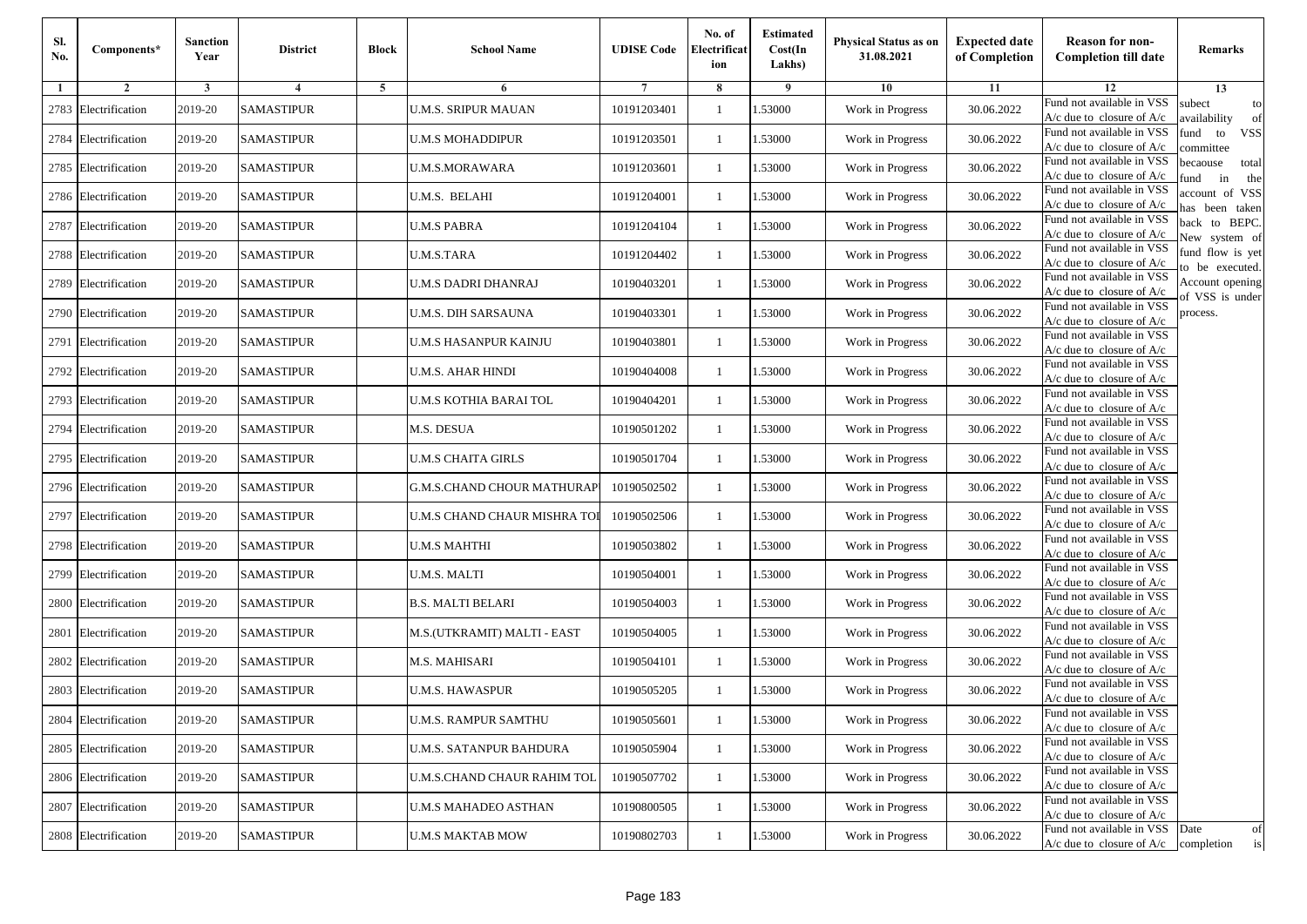| Sl.<br>No. | Components*          | <b>Sanction</b><br>Year | <b>District</b>   | <b>Block</b> | <b>School Name</b>                | <b>UDISE Code</b> | No. of<br>Electrificat<br>ion | <b>Estimated</b><br>Cost(In<br>Lakhs) | <b>Physical Status as on</b><br>31.08.2021 | <b>Expected date</b><br>of Completion | <b>Reason for non-</b><br><b>Completion till date</b>                 | Remarks                               |
|------------|----------------------|-------------------------|-------------------|--------------|-----------------------------------|-------------------|-------------------------------|---------------------------------------|--------------------------------------------|---------------------------------------|-----------------------------------------------------------------------|---------------------------------------|
| -1         | $\overline{2}$       | 3                       | 4                 | 5            | 6                                 |                   | 8                             | 9                                     | 10                                         | 11                                    | 12                                                                    | 13                                    |
|            | 2783 Electrification | 2019-20                 | <b>SAMASTIPUR</b> |              | <b>U.M.S. SRIPUR MAUAN</b>        | 10191203401       | $\mathbf{1}$                  | .53000                                | Work in Progress                           | 30.06.2022                            | Fund not available in VSS<br>$A/c$ due to closure of $A/c$            | subect<br>to<br>availability<br>of    |
|            | 2784 Electrification | 2019-20                 | <b>SAMASTIPUR</b> |              | <b>U.M.S MOHADDIPUR</b>           | 10191203501       | 1                             | 1.53000                               | Work in Progress                           | 30.06.2022                            | Fund not available in VSS<br>$A/c$ due to closure of $A/c$            | fund<br>to<br><b>VSS</b><br>committee |
|            | 2785 Electrification | 2019-20                 | <b>SAMASTIPUR</b> |              | <b>U.M.S.MORAWARA</b>             | 10191203601       | 1                             | 1.53000                               | Work in Progress                           | 30.06.2022                            | Fund not available in VSS<br>$A/c$ due to closure of $A/c$            | becaouse<br>total<br>in<br>und<br>the |
|            | 2786 Electrification | 2019-20                 | <b>SAMASTIPUR</b> |              | U.M.S. BELAHI                     | 10191204001       | $\mathbf{1}$                  | .53000                                | Work in Progress                           | 30.06.2022                            | Fund not available in VSS<br>A/c due to closure of A/c                | account of VSS<br>as been taken       |
|            | 2787 Electrification | 2019-20                 | <b>SAMASTIPUR</b> |              | <b>U.M.S PABRA</b>                | 10191204104       | $\mathbf{1}$                  | .53000                                | Work in Progress                           | 30.06.2022                            | Fund not available in VSS<br>A/c due to closure of $A/c$              | back to BEPC.<br>New system of        |
|            | 2788 Electrification | 2019-20                 | <b>SAMASTIPUR</b> |              | <b>U.M.S.TARA</b>                 | 10191204402       | $\mathbf{1}$                  | 1.53000                               | Work in Progress                           | 30.06.2022                            | Fund not available in VSS<br>A/c due to closure of $A/c$              | fund flow is yet<br>o be executed.    |
|            | 2789 Electrification | 2019-20                 | <b>SAMASTIPUR</b> |              | U.M.S DADRI DHANRAJ               | 10190403201       | $\mathbf{1}$                  | 1.53000                               | Work in Progress                           | 30.06.2022                            | Fund not available in VSS<br>$A/c$ due to closure of $A/c$            | Account opening<br>of VSS is under    |
|            | 2790 Electrification | 2019-20                 | <b>SAMASTIPUR</b> |              | <b>U.M.S. DIH SARSAUNA</b>        | 10190403301       | $\mathbf{1}$                  | .53000                                | Work in Progress                           | 30.06.2022                            | Fund not available in VSS<br>$A/c$ due to closure of $A/c$            | process.                              |
|            | 2791 Electrification | 2019-20                 | <b>SAMASTIPUR</b> |              | U.M.S HASANPUR KAINJU             | 10190403801       | 1                             | .53000                                | Work in Progress                           | 30.06.2022                            | Fund not available in VSS<br>$A/c$ due to closure of $A/c$            |                                       |
|            | 2792 Electrification | 2019-20                 | <b>SAMASTIPUR</b> |              | <b>U.M.S. AHAR HINDI</b>          | 10190404008       | $\mathbf{1}$                  | .53000                                | Work in Progress                           | 30.06.2022                            | Fund not available in VSS<br>$A/c$ due to closure of $A/c$            |                                       |
|            | 2793 Electrification | 2019-20                 | <b>SAMASTIPUR</b> |              | U.M.S KOTHIA BARAI TOL            | 10190404201       | 1                             | 1.53000                               | Work in Progress                           | 30.06.2022                            | Fund not available in VSS<br>$A/c$ due to closure of $A/c$            |                                       |
|            | 2794 Electrification | 2019-20                 | <b>SAMASTIPUR</b> |              | M.S. DESUA                        | 10190501202       | 1                             | .53000                                | Work in Progress                           | 30.06.2022                            | Fund not available in VSS<br>$A/c$ due to closure of $A/c$            |                                       |
|            | 2795 Electrification | 2019-20                 | <b>SAMASTIPUR</b> |              | <b>U.M.S CHAITA GIRLS</b>         | 10190501704       | $\mathbf{1}$                  | .53000                                | Work in Progress                           | 30.06.2022                            | Fund not available in VSS<br>$A/c$ due to closure of $A/c$            |                                       |
|            | 2796 Electrification | 2019-20                 | <b>SAMASTIPUR</b> |              | <b>G.M.S.CHAND CHOUR MATHURAP</b> | 10190502502       | $\mathbf{1}$                  | .53000                                | Work in Progress                           | 30.06.2022                            | Fund not available in VSS<br>$A/c$ due to closure of $A/c$            |                                       |
|            | 2797 Electrification | 2019-20                 | <b>SAMASTIPUR</b> |              | U.M.S CHAND CHAUR MISHRA TO!      | 10190502506       | 1                             | 1.53000                               | Work in Progress                           | 30.06.2022                            | Fund not available in VSS<br>$A/c$ due to closure of $A/c$            |                                       |
|            | 2798 Electrification | 2019-20                 | <b>SAMASTIPUR</b> |              | <b>U.M.S MAHTHI</b>               | 10190503802       | $\mathbf{1}$                  | .53000                                | Work in Progress                           | 30.06.2022                            | Fund not available in VSS<br>$A/c$ due to closure of $A/c$            |                                       |
|            | 2799 Electrification | 2019-20                 | <b>SAMASTIPUR</b> |              | <b>U.M.S. MALTI</b>               | 10190504001       | 1                             | .53000                                | Work in Progress                           | 30.06.2022                            | Fund not available in VSS<br>A/c due to closure of A/c                |                                       |
| 2800       | Electrification      | 2019-20                 | <b>SAMASTIPUR</b> |              | <b>B.S. MALTI BELARI</b>          | 10190504003       | $\mathbf{1}$                  | 1.53000                               | Work in Progress                           | 30.06.2022                            | Fund not available in VSS<br>$A/c$ due to closure of $A/c$            |                                       |
|            | 2801 Electrification | 2019-20                 | <b>SAMASTIPUR</b> |              | M.S.(UTKRAMIT) MALTI - EAST       | 10190504005       | 1                             | 1.53000                               | Work in Progress                           | 30.06.2022                            | Fund not available in VSS<br>$A/c$ due to closure of $A/c$            |                                       |
|            | 2802 Electrification | 2019-20                 | <b>SAMASTIPUR</b> |              | M.S. MAHISARI                     | 10190504101       | 1                             | .53000                                | Work in Progress                           | 30.06.2022                            | Fund not available in VSS<br>$A/c$ due to closure of $A/c$            |                                       |
|            | 2803 Electrification | 2019-20                 | <b>SAMASTIPUR</b> |              | U.M.S. HAWASPUR                   | 10190505205       | 1                             | .53000                                | Work in Progress                           | 30.06.2022                            | Fund not available in VSS<br>A/c due to closure of A/c                |                                       |
|            | 2804 Electrification | 2019-20                 | <b>SAMASTIPUR</b> |              | <b>U.M.S. RAMPUR SAMTHU</b>       | 10190505601       |                               | 1.53000                               | Work in Progress                           | 30.06.2022                            | Fund not available in VSS<br>A/c due to closure of A/c                |                                       |
|            | 2805 Electrification | 2019-20                 | <b>SAMASTIPUR</b> |              | U.M.S. SATANPUR BAHDURA           | 10190505904       | $\mathbf{1}$                  | 1.53000                               | Work in Progress                           | 30.06.2022                            | Fund not available in VSS<br>$A/c$ due to closure of $A/c$            |                                       |
|            | 2806 Electrification | 2019-20                 | <b>SAMASTIPUR</b> |              | U.M.S.CHAND CHAUR RAHIM TOL       | 10190507702       | $\mathbf{1}$                  | 1.53000                               | Work in Progress                           | 30.06.2022                            | Fund not available in VSS<br>$A/c$ due to closure of $A/c$            |                                       |
|            | 2807 Electrification | 2019-20                 | <b>SAMASTIPUR</b> |              | <b>U.M.S MAHADEO ASTHAN</b>       | 10190800505       | 1                             | 1.53000                               | Work in Progress                           | 30.06.2022                            | Fund not available in VSS<br>A/c due to closure of A/c                |                                       |
|            | 2808 Electrification | 2019-20                 | <b>SAMASTIPUR</b> |              | <b>U.M.S MAKTAB MOW</b>           | 10190802703       | $\mathbf{1}$                  | 1.53000                               | Work in Progress                           | 30.06.2022                            | Fund not available in VSS<br>$A/c$ due to closure of $A/c$ completion | Date<br>of<br>is                      |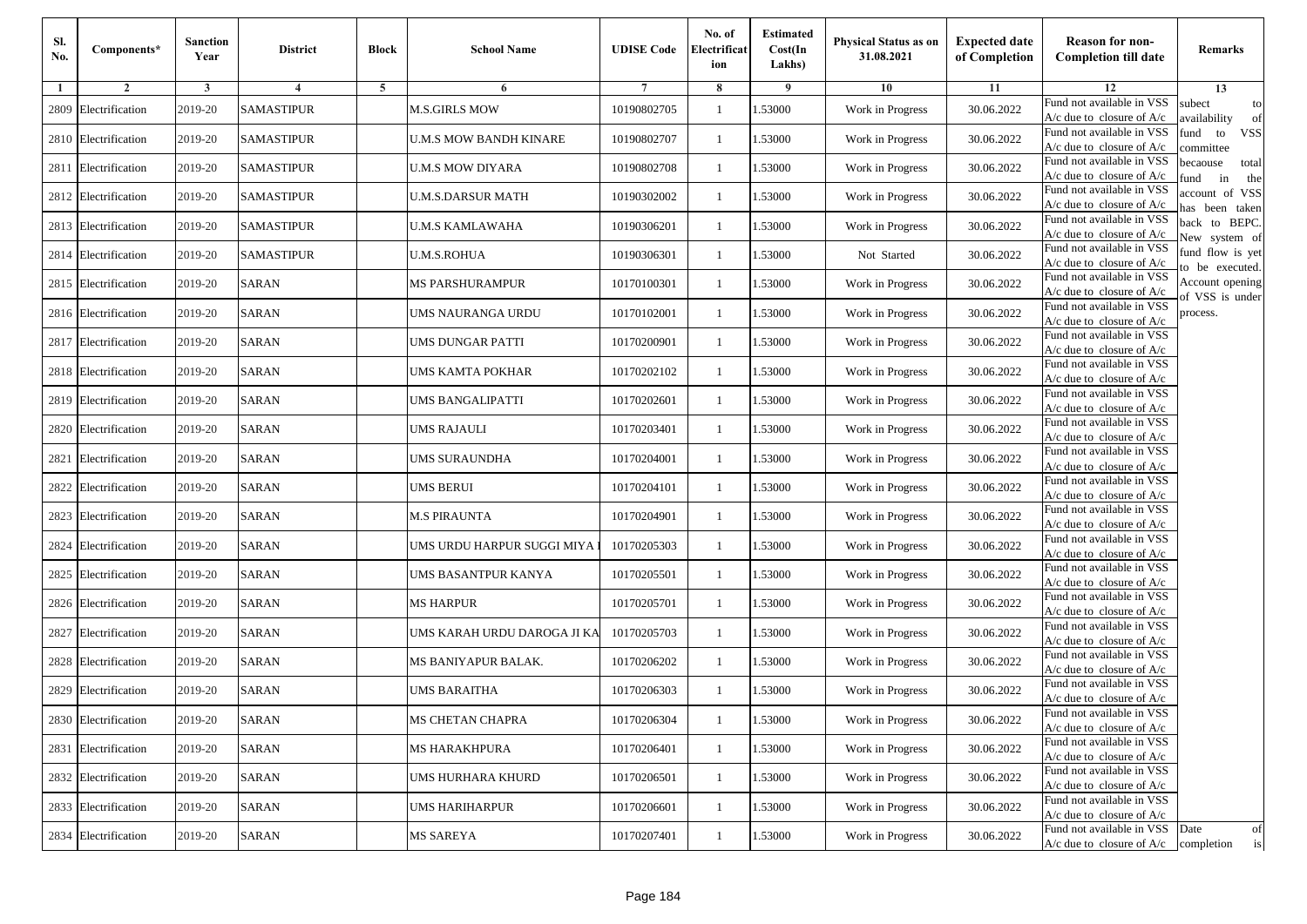| Sl.<br>No. | Components*          | <b>Sanction</b><br>Year | <b>District</b>   | <b>Block</b> | <b>School Name</b>            | <b>UDISE Code</b> | No. of<br>Electrificat<br>ion | <b>Estimated</b><br>Cost(In<br>Lakhs) | <b>Physical Status as on</b><br>31.08.2021 | <b>Expected date</b><br>of Completion | <b>Reason for non-</b><br><b>Completion till date</b>                 | Remarks                               |
|------------|----------------------|-------------------------|-------------------|--------------|-------------------------------|-------------------|-------------------------------|---------------------------------------|--------------------------------------------|---------------------------------------|-----------------------------------------------------------------------|---------------------------------------|
| -1         | $\overline{2}$       | 3                       | 4                 | 5            | 6                             |                   | 8                             | 9                                     | 10                                         | 11                                    | 12                                                                    | 13                                    |
| 2809       | Electrification      | 2019-20                 | <b>SAMASTIPUR</b> |              | <b>M.S.GIRLS MOW</b>          | 10190802705       | $\mathbf{1}$                  | .53000                                | Work in Progress                           | 30.06.2022                            | Fund not available in VSS<br>$A/c$ due to closure of $A/c$            | subect<br>to<br>availability<br>of    |
|            | 2810 Electrification | 2019-20                 | <b>SAMASTIPUR</b> |              | <b>U.M.S MOW BANDH KINARE</b> | 10190802707       | 1                             | 1.53000                               | Work in Progress                           | 30.06.2022                            | Fund not available in VSS<br>$A/c$ due to closure of $A/c$            | fund<br>to<br><b>VSS</b><br>committee |
|            | 2811 Electrification | 2019-20                 | <b>SAMASTIPUR</b> |              | <b>U.M.S MOW DIYARA</b>       | 10190802708       | 1                             | 1.53000                               | Work in Progress                           | 30.06.2022                            | Fund not available in VSS<br>$A/c$ due to closure of $A/c$            | becaouse<br>total<br>in<br>und<br>the |
|            | 2812 Electrification | 2019-20                 | <b>SAMASTIPUR</b> |              | U.M.S.DARSUR MATH             | 10190302002       | $\mathbf{1}$                  | .53000                                | Work in Progress                           | 30.06.2022                            | Fund not available in VSS<br>A/c due to closure of A/c                | account of VSS<br>as been taken       |
|            | 2813 Electrification | 2019-20                 | <b>SAMASTIPUR</b> |              | U.M.S KAMLAWAHA               | 10190306201       | $\mathbf{1}$                  | .53000                                | Work in Progress                           | 30.06.2022                            | Fund not available in VSS<br>$A/c$ due to closure of $A/c$            | back to BEPC.<br>New system of        |
|            | 2814 Electrification | 2019-20                 | <b>SAMASTIPUR</b> |              | <b>U.M.S.ROHUA</b>            | 10190306301       | $\mathbf{1}$                  | 1.53000                               | Not Started                                | 30.06.2022                            | Fund not available in VSS<br>A/c due to closure of $A/c$              | fund flow is yet<br>o be executed.    |
|            | 2815 Electrification | 2019-20                 | <b>SARAN</b>      |              | <b>MS PARSHURAMPUR</b>        | 10170100301       | $\mathbf{1}$                  | .53000                                | Work in Progress                           | 30.06.2022                            | Fund not available in VSS<br>$A/c$ due to closure of $A/c$            | Account opening<br>of VSS is under    |
|            | 2816 Electrification | 2019-20                 | <b>SARAN</b>      |              | UMS NAURANGA URDU             | 10170102001       | $\mathbf{1}$                  | .53000                                | Work in Progress                           | 30.06.2022                            | Fund not available in VSS<br>$A/c$ due to closure of $A/c$            | process.                              |
|            | 2817 Electrification | 2019-20                 | <b>SARAN</b>      |              | UMS DUNGAR PATTI              | 10170200901       | 1                             | .53000                                | Work in Progress                           | 30.06.2022                            | Fund not available in VSS<br>$A/c$ due to closure of $A/c$            |                                       |
|            | 2818 Electrification | 2019-20                 | <b>SARAN</b>      |              | UMS KAMTA POKHAR              | 10170202102       | $\mathbf{1}$                  | .53000                                | Work in Progress                           | 30.06.2022                            | Fund not available in VSS<br>$A/c$ due to closure of $A/c$            |                                       |
|            | 2819 Electrification | 2019-20                 | <b>SARAN</b>      |              | <b>UMS BANGALIPATTI</b>       | 10170202601       | 1                             | 1.53000                               | Work in Progress                           | 30.06.2022                            | Fund not available in VSS<br>$A/c$ due to closure of $A/c$            |                                       |
|            | 2820 Electrification | 2019-20                 | <b>SARAN</b>      |              | <b>UMS RAJAULI</b>            | 10170203401       | 1                             | .53000                                | Work in Progress                           | 30.06.2022                            | Fund not available in VSS<br>$A/c$ due to closure of $A/c$            |                                       |
|            | 2821 Electrification | 2019-20                 | <b>SARAN</b>      |              | UMS SURAUNDHA                 | 10170204001       | $\mathbf{1}$                  | .53000                                | Work in Progress                           | 30.06.2022                            | Fund not available in VSS<br>$A/c$ due to closure of $A/c$            |                                       |
|            | 2822 Electrification | 2019-20                 | SARAN             |              | UMS BERUI                     | 10170204101       | $\mathbf{1}$                  | .53000                                | Work in Progress                           | 30.06.2022                            | Fund not available in VSS<br>$A/c$ due to closure of $A/c$            |                                       |
|            | 2823 Electrification | 2019-20                 | <b>SARAN</b>      |              | <b>M.S PIRAUNTA</b>           | 10170204901       | 1                             | 1.53000                               | Work in Progress                           | 30.06.2022                            | Fund not available in VSS<br>$A/c$ due to closure of $A/c$            |                                       |
|            | 2824 Electrification | 2019-20                 | <b>SARAN</b>      |              | UMS URDU HARPUR SUGGI MIYA    | 10170205303       | $\mathbf{1}$                  | .53000                                | Work in Progress                           | 30.06.2022                            | Fund not available in VSS<br>$A/c$ due to closure of $A/c$            |                                       |
|            | 2825 Electrification | 2019-20                 | <b>SARAN</b>      |              | UMS BASANTPUR KANYA           | 10170205501       | 1                             | .53000                                | Work in Progress                           | 30.06.2022                            | Fund not available in VSS<br>A/c due to closure of A/c                |                                       |
|            | 2826 Electrification | 2019-20                 | <b>SARAN</b>      |              | <b>MS HARPUR</b>              | 10170205701       | $\mathbf{1}$                  | 1.53000                               | Work in Progress                           | 30.06.2022                            | Fund not available in VSS<br>$A/c$ due to closure of $A/c$            |                                       |
|            | 2827 Electrification | 2019-20                 | <b>SARAN</b>      |              | UMS KARAH URDU DAROGA JI KA   | 10170205703       | 1                             | 1.53000                               | Work in Progress                           | 30.06.2022                            | Fund not available in VSS<br>$A/c$ due to closure of $A/c$            |                                       |
|            | 2828 Electrification | 2019-20                 | <b>SARAN</b>      |              | MS BANIYAPUR BALAK.           | 10170206202       | 1                             | .53000                                | Work in Progress                           | 30.06.2022                            | Fund not available in VSS<br>$A/c$ due to closure of $A/c$            |                                       |
|            | 2829 Electrification | 2019-20                 | <b>SARAN</b>      |              | UMS BARAITHA                  | 10170206303       | 1                             | .53000                                | Work in Progress                           | 30.06.2022                            | Fund not available in VSS<br>A/c due to closure of A/c                |                                       |
|            | 2830 Electrification | 2019-20                 | <b>SARAN</b>      |              | MS CHETAN CHAPRA              | 10170206304       |                               | 1.53000                               | Work in Progress                           | 30.06.2022                            | Fund not available in VSS<br>A/c due to closure of A/c                |                                       |
|            | 2831 Electrification | 2019-20                 | <b>SARAN</b>      |              | <b>MS HARAKHPURA</b>          | 10170206401       | $\mathbf{1}$                  | 1.53000                               | Work in Progress                           | 30.06.2022                            | Fund not available in VSS<br>$A/c$ due to closure of $A/c$            |                                       |
|            | 2832 Electrification | 2019-20                 | <b>SARAN</b>      |              | UMS HURHARA KHURD             | 10170206501       | $\mathbf{1}$                  | 1.53000                               | Work in Progress                           | 30.06.2022                            | Fund not available in VSS<br>$A/c$ due to closure of $A/c$            |                                       |
|            | 2833 Electrification | 2019-20                 | <b>SARAN</b>      |              | <b>UMS HARIHARPUR</b>         | 10170206601       | 1                             | 1.53000                               | Work in Progress                           | 30.06.2022                            | Fund not available in VSS<br>A/c due to closure of $A/c$              |                                       |
|            | 2834 Electrification | 2019-20                 | SARAN             |              | MS SAREYA                     | 10170207401       | $\mathbf{1}$                  | 1.53000                               | Work in Progress                           | 30.06.2022                            | Fund not available in VSS<br>$A/c$ due to closure of $A/c$ completion | Date<br>of<br>is                      |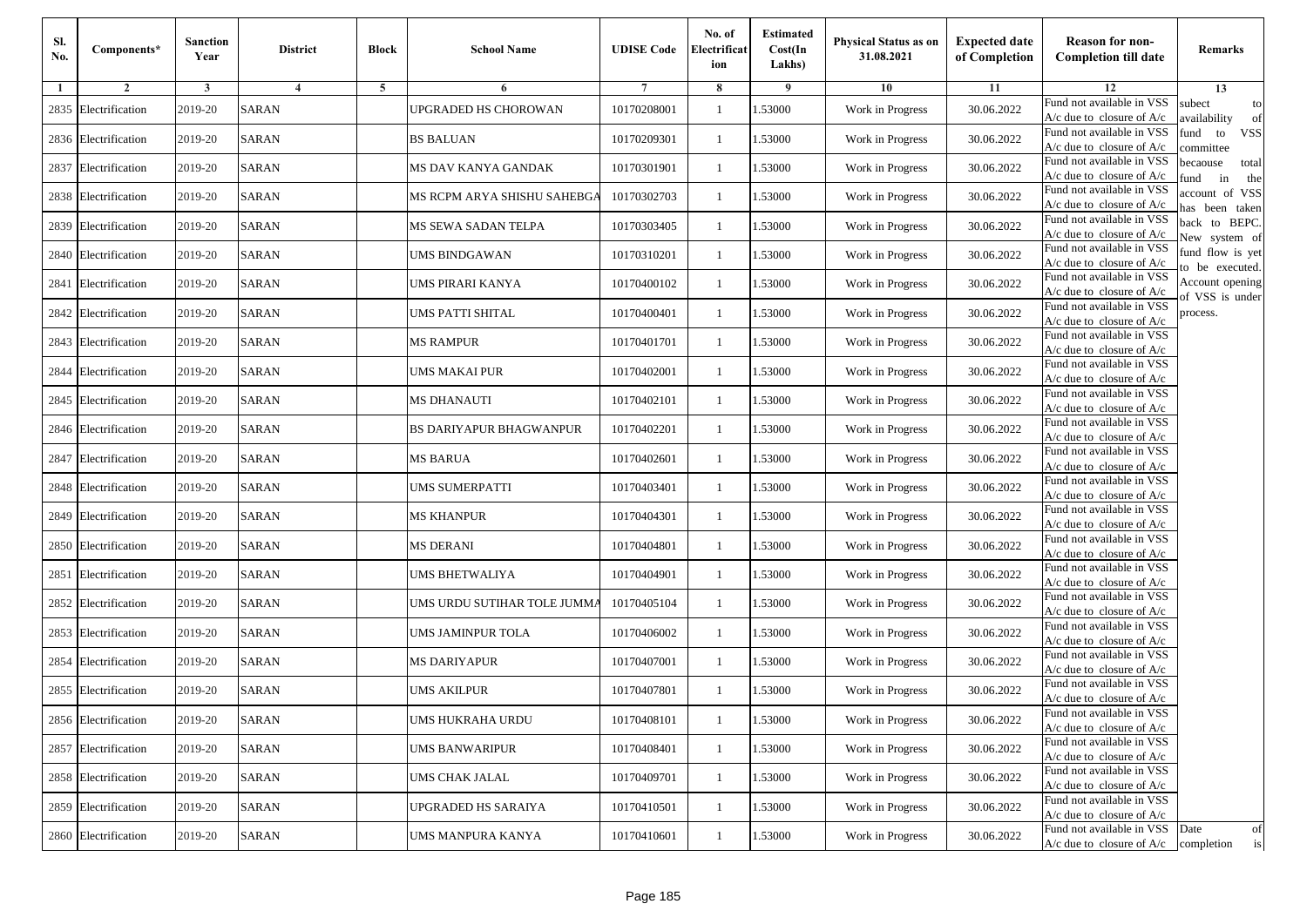| Sl.<br>No. | Components*          | <b>Sanction</b><br>Year | <b>District</b> | <b>Block</b>   | <b>School Name</b>             | <b>UDISE Code</b> | No. of<br>Electrificat<br>ion | <b>Estimated</b><br>Cost(In<br>Lakhs) | <b>Physical Status as on</b><br>31.08.2021 | <b>Expected date</b><br>of Completion | <b>Reason for non-</b><br><b>Completion till date</b>                 | Remarks                               |
|------------|----------------------|-------------------------|-----------------|----------------|--------------------------------|-------------------|-------------------------------|---------------------------------------|--------------------------------------------|---------------------------------------|-----------------------------------------------------------------------|---------------------------------------|
| -1         | $\overline{2}$       | 3                       | $\overline{4}$  | $\overline{5}$ | 6                              |                   | 8                             | 9                                     | 10                                         | 11                                    | 12                                                                    | 13                                    |
| 2835       | Electrification      | 2019-20                 | <b>SARAN</b>    |                | JPGRADED HS CHOROWAN           | 10170208001       | $\mathbf{1}$                  | 1.53000                               | Work in Progress                           | 30.06.2022                            | Fund not available in VSS<br>$A/c$ due to closure of $A/c$            | subect<br>to<br>availability<br>of    |
|            | 2836 Electrification | 2019-20                 | <b>SARAN</b>    |                | <b>BS BALUAN</b>               | 10170209301       | $\mathbf{1}$                  | 1.53000                               | Work in Progress                           | 30.06.2022                            | Fund not available in VSS<br>$A/c$ due to closure of $A/c$            | fund<br>to<br><b>VSS</b><br>ommittee  |
|            | 2837 Electrification | 2019-20                 | <b>SARAN</b>    |                | MS DAV KANYA GANDAK            | 10170301901       | -1                            | 1.53000                               | Work in Progress                           | 30.06.2022                            | Fund not available in VSS<br>$A/c$ due to closure of $A/c$            | pecaouse<br>total<br>in<br>und<br>the |
|            | 2838 Electrification | 2019-20                 | <b>SARAN</b>    |                | MS RCPM ARYA SHISHU SAHEBGA    | 10170302703       | -1                            | 1.53000                               | Work in Progress                           | 30.06.2022                            | Fund not available in VSS<br>A/c due to closure of A/c                | ccount of VSS<br>as been taken        |
| 2839       | Electrification      | 2019-20                 | <b>SARAN</b>    |                | MS SEWA SADAN TELPA            | 10170303405       | $\mathbf{1}$                  | 1.53000                               | Work in Progress                           | 30.06.2022                            | Fund not available in VSS<br>A/c due to closure of $A/c$              | back to BEPC.<br>New system of        |
|            | 2840 Electrification | 2019-20                 | <b>SARAN</b>    |                | UMS BINDGAWAN                  | 10170310201       | 1                             | 1.53000                               | Work in Progress                           | 30.06.2022                            | Fund not available in VSS<br>A/c due to closure of $A/c$              | fund flow is yet<br>o be executed.    |
| 2841       | Electrification      | 2019-20                 | <b>SARAN</b>    |                | UMS PIRARI KANYA               | 10170400102       | -1                            | 1.53000                               | Work in Progress                           | 30.06.2022                            | Fund not available in VSS<br>$A/c$ due to closure of $A/c$            | Account opening<br>of VSS is under    |
| 2842       | Electrification      | 2019-20                 | <b>SARAN</b>    |                | UMS PATTI SHITAL               | 10170400401       | -1                            | 1.53000                               | Work in Progress                           | 30.06.2022                            | Fund not available in VSS<br>$A/c$ due to closure of $A/c$            | process.                              |
| 2843       | Electrification      | 2019-20                 | <b>SARAN</b>    |                | MS RAMPUR                      | 10170401701       | -1                            | 1.53000                               | Work in Progress                           | 30.06.2022                            | Fund not available in VSS<br>$A/c$ due to closure of $A/c$            |                                       |
| 2844       | Electrification      | 2019-20                 | <b>SARAN</b>    |                | UMS MAKAI PUR                  | 10170402001       | $\mathbf{1}$                  | 1.53000                               | Work in Progress                           | 30.06.2022                            | Fund not available in VSS<br>$A/c$ due to closure of $A/c$            |                                       |
|            | 2845 Electrification | 2019-20                 | <b>SARAN</b>    |                | MS DHANAUTI                    | 10170402101       | 1                             | 1.53000                               | Work in Progress                           | 30.06.2022                            | Fund not available in VSS<br>$A/c$ due to closure of $A/c$            |                                       |
|            | 2846 Electrification | 2019-20                 | <b>SARAN</b>    |                | <b>BS DARIYAPUR BHAGWANPUR</b> | 10170402201       | -1                            | 1.53000                               | Work in Progress                           | 30.06.2022                            | Fund not available in VSS<br>$A/c$ due to closure of $A/c$            |                                       |
| 2847       | Electrification      | 2019-20                 | <b>SARAN</b>    |                | MS BARUA                       | 10170402601       | -1                            | 1.53000                               | Work in Progress                           | 30.06.2022                            | Fund not available in VSS<br>$A/c$ due to closure of $A/c$            |                                       |
|            | 2848 Electrification | 2019-20                 | <b>SARAN</b>    |                | UMS SUMERPATTI                 | 10170403401       | $\mathbf{1}$                  | 1.53000                               | Work in Progress                           | 30.06.2022                            | Fund not available in VSS<br>$A/c$ due to closure of $A/c$            |                                       |
|            | 2849 Electrification | 2019-20                 | <b>SARAN</b>    |                | MS KHANPUR                     | 10170404301       | -1                            | 1.53000                               | Work in Progress                           | 30.06.2022                            | Fund not available in VSS<br>$A/c$ due to closure of $A/c$            |                                       |
| 2850       | Electrification      | 2019-20                 | <b>SARAN</b>    |                | <b>MS DERANI</b>               | 10170404801       | -1                            | 1.53000                               | Work in Progress                           | 30.06.2022                            | Fund not available in VSS<br>$A/c$ due to closure of $A/c$            |                                       |
| 2851       | Electrification      | 2019-20                 | <b>SARAN</b>    |                | UMS BHETWALIYA                 | 10170404901       | -1                            | 1.53000                               | Work in Progress                           | 30.06.2022                            | Fund not available in VSS<br>$A/c$ due to closure of $A/c$            |                                       |
|            | 2852 Electrification | 2019-20                 | <b>SARAN</b>    |                | UMS URDU SUTIHAR TOLE JUMMA    | 10170405104       | $\mathbf{1}$                  | 1.53000                               | Work in Progress                           | 30.06.2022                            | Fund not available in VSS<br>$A/c$ due to closure of $A/c$            |                                       |
|            | 2853 Electrification | 2019-20                 | <b>SARAN</b>    |                | UMS JAMINPUR TOLA              | 10170406002       | 1                             | 1.53000                               | Work in Progress                           | 30.06.2022                            | Fund not available in VSS<br>$A/c$ due to closure of $A/c$            |                                       |
| 2854       | Electrification      | 2019-20                 | SARAN           |                | <b>MS DARIYAPUR</b>            | 10170407001       | -1                            | 1.53000                               | Work in Progress                           | 30.06.2022                            | Fund not available in VSS<br>$A/c$ due to closure of $A/c$            |                                       |
| 2855       | Electrification      | 2019-20                 | <b>SARAN</b>    |                | JMS AKILPUR                    | 10170407801       | -1                            | .53000                                | Work in Progress                           | 30.06.2022                            | Fund not available in VSS<br>A/c due to closure of A/c                |                                       |
|            | 2856 Electrification | 2019-20                 | <b>SARAN</b>    |                | UMS HUKRAHA URDU               | 10170408101       | $\mathbf{1}$                  | 1.53000                               | Work in Progress                           | 30.06.2022                            | Fund not available in VSS<br>A/c due to closure of A/c                |                                       |
|            | 2857 Electrification | 2019-20                 | <b>SARAN</b>    |                | <b>UMS BANWARIPUR</b>          | 10170408401       | $\mathbf{1}$                  | 1.53000                               | Work in Progress                           | 30.06.2022                            | Fund not available in VSS<br>$A/c$ due to closure of $A/c$            |                                       |
|            | 2858 Electrification | 2019-20                 | <b>SARAN</b>    |                | UMS CHAK JALAL                 | 10170409701       | -1                            | 1.53000                               | Work in Progress                           | 30.06.2022                            | Fund not available in VSS<br>$A/c$ due to closure of $A/c$            |                                       |
|            | 2859 Electrification | 2019-20                 | <b>SARAN</b>    |                | UPGRADED HS SARAIYA            | 10170410501       | -1                            | 1.53000                               | Work in Progress                           | 30.06.2022                            | Fund not available in VSS<br>A/c due to closure of $A/c$              |                                       |
|            | 2860 Electrification | 2019-20                 | SARAN           |                | UMS MANPURA KANYA              | 10170410601       | $\mathbf{1}$                  | 1.53000                               | Work in Progress                           | 30.06.2022                            | Fund not available in VSS<br>$A/c$ due to closure of $A/c$ completion | Date<br>of<br>is                      |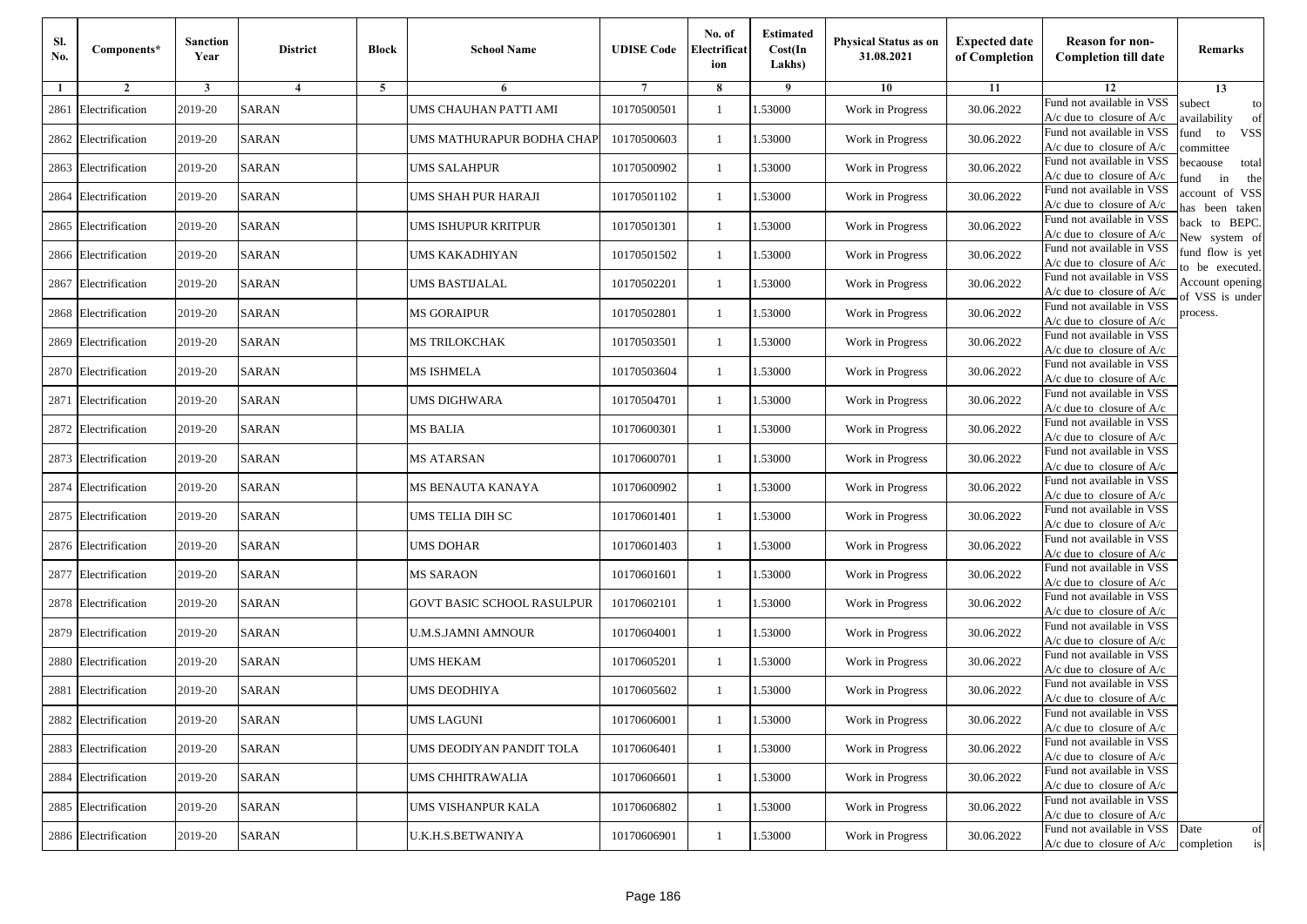| Sl.<br>No. | Components*          | <b>Sanction</b><br>Year | <b>District</b>         | <b>Block</b> | <b>School Name</b>         | <b>UDISE Code</b> | No. of<br>Electrificat<br>ion | <b>Estimated</b><br>Cost(In<br>Lakhs) | Physical Status as on<br>31.08.2021 | <b>Expected date</b><br>of Completion | <b>Reason for non-</b><br><b>Completion till date</b>                 | Remarks                               |
|------------|----------------------|-------------------------|-------------------------|--------------|----------------------------|-------------------|-------------------------------|---------------------------------------|-------------------------------------|---------------------------------------|-----------------------------------------------------------------------|---------------------------------------|
| 1          | $\overline{2}$       | 3                       | $\overline{\mathbf{4}}$ | 5            | 6                          |                   | 8                             | 9                                     | 10                                  | 11                                    | 12                                                                    | 13                                    |
| 2861       | Electrification      | 2019-20                 | <b>SARAN</b>            |              | UMS CHAUHAN PATTI AMI      | 10170500501       | -1                            | 1.53000                               | Work in Progress                    | 30.06.2022                            | Fund not available in VSS<br>$A/c$ due to closure of $A/c$            | subect<br>to<br>availability<br>of    |
| 2862       | Electrification      | 2019-20                 | <b>SARAN</b>            |              | UMS MATHURAPUR BODHA CHAP  | 10170500603       | $\mathbf{1}$                  | 1.53000                               | Work in Progress                    | 30.06.2022                            | Fund not available in VSS<br>$A/c$ due to closure of $A/c$            | fund<br>to<br><b>VSS</b><br>ommittee  |
|            | 2863 Electrification | 2019-20                 | <b>SARAN</b>            |              | UMS SALAHPUR               | 10170500902       | $\mathbf{1}$                  | 1.53000                               | Work in Progress                    | 30.06.2022                            | Fund not available in VSS<br>$A/c$ due to closure of $A/c$            | pecaouse<br>total<br>und<br>in<br>the |
| 2864       | Electrification      | 2019-20                 | <b>SARAN</b>            |              | UMS SHAH PUR HARAJI        | 10170501102       | -1                            | 1.53000                               | Work in Progress                    | 30.06.2022                            | Fund not available in VSS<br>$A/c$ due to closure of $A/c$            | ccount of VSS<br>as been taken        |
| 2865       | Electrification      | 2019-20                 | <b>SARAN</b>            |              | UMS ISHUPUR KRITPUR        | 10170501301       | $\mathbf{1}$                  | 1.53000                               | Work in Progress                    | 30.06.2022                            | Fund not available in VSS<br>A/c due to closure of $A/c$              | back to BEPC.<br>New system of        |
| 2866       | Electrification      | 2019-20                 | <b>SARAN</b>            |              | UMS KAKADHIYAN             | 10170501502       | -1                            | 1.53000                               | Work in Progress                    | 30.06.2022                            | Fund not available in VSS<br>A/c due to closure of $A/c$              | fund flow is yet<br>o be executed.    |
| 2867       | Electrification      | 2019-20                 | <b>SARAN</b>            |              | UMS BASTIJALAL             | 10170502201       | -1                            | 1.53000                               | Work in Progress                    | 30.06.2022                            | Fund not available in VSS<br>$A/c$ due to closure of $A/c$            | Account opening<br>of VSS is under    |
| 2868       | Electrification      | 2019-20                 | <b>SARAN</b>            |              | MS GORAIPUR                | 10170502801       | -1                            | 1.53000                               | Work in Progress                    | 30.06.2022                            | Fund not available in VSS<br>$A/c$ due to closure of $A/c$            | process.                              |
| 2869       | Electrification      | 2019-20                 | <b>SARAN</b>            |              | MS TRILOKCHAK              | 10170503501       | -1                            | 1.53000                               | Work in Progress                    | 30.06.2022                            | Fund not available in VSS<br>$A/c$ due to closure of $A/c$            |                                       |
|            | 2870 Electrification | 2019-20                 | <b>SARAN</b>            |              | MS ISHMELA                 | 10170503604       | $\mathbf{1}$                  | 1.53000                               | Work in Progress                    | 30.06.2022                            | Fund not available in VSS<br>$A/c$ due to closure of $A/c$            |                                       |
| 2871       | Electrification      | 2019-20                 | <b>SARAN</b>            |              | UMS DIGHWARA               | 10170504701       | -1                            | 1.53000                               | Work in Progress                    | 30.06.2022                            | Fund not available in VSS<br>$A/c$ due to closure of $A/c$            |                                       |
|            | 2872 Electrification | 2019-20                 | <b>SARAN</b>            |              | MS BALIA                   | 10170600301       | $\mathbf{1}$                  | 1.53000                               | Work in Progress                    | 30.06.2022                            | Fund not available in VSS<br>$A/c$ due to closure of $A/c$            |                                       |
| 2873       | Electrification      | 2019-20                 | <b>SARAN</b>            |              | MS ATARSAN                 | 10170600701       | -1                            | 1.53000                               | Work in Progress                    | 30.06.2022                            | Fund not available in VSS<br>$A/c$ due to closure of $A/c$            |                                       |
| 2874       | Electrification      | 2019-20                 | <b>SARAN</b>            |              | MS BENAUTA KANAYA          | 10170600902       | $\mathbf{1}$                  | 1.53000                               | Work in Progress                    | 30.06.2022                            | Fund not available in VSS<br>$A/c$ due to closure of $A/c$            |                                       |
|            | 2875 Electrification | 2019-20                 | <b>SARAN</b>            |              | UMS TELIA DIH SC           | 10170601401       | -1                            | 1.53000                               | Work in Progress                    | 30.06.2022                            | Fund not available in VSS<br>$A/c$ due to closure of $A/c$            |                                       |
|            | 2876 Electrification | 2019-20                 | <b>SARAN</b>            |              | UMS DOHAR                  | 10170601403       | -1                            | 1.53000                               | Work in Progress                    | 30.06.2022                            | Fund not available in VSS<br>$A/c$ due to closure of $A/c$            |                                       |
| 2877       | Electrification      | 2019-20                 | <b>SARAN</b>            |              | <b>MS SARAON</b>           | 10170601601       | $\mathbf{1}$                  | 1.53000                               | Work in Progress                    | 30.06.2022                            | Fund not available in VSS<br>$A/c$ due to closure of $A/c$            |                                       |
| 2878       | Electrification      | 2019-20                 | <b>SARAN</b>            |              | GOVT BASIC SCHOOL RASULPUR | 10170602101       | $\mathbf{1}$                  | 1.53000                               | Work in Progress                    | 30.06.2022                            | Fund not available in VSS<br>$A/c$ due to closure of $A/c$            |                                       |
| 2879       | Electrification      | 2019-20                 | <b>SARAN</b>            |              | U.M.S.JAMNI AMNOUR         | 10170604001       | -1                            | 1.53000                               | Work in Progress                    | 30.06.2022                            | Fund not available in VSS<br>$A/c$ due to closure of $A/c$            |                                       |
| 2880       | Electrification      | 2019-20                 | <b>SARAN</b>            |              | UMS HEKAM                  | 10170605201       | -1                            | 1.53000                               | Work in Progress                    | 30.06.2022                            | Fund not available in VSS<br>$A/c$ due to closure of $A/c$            |                                       |
| 2881       | Electrification      | 2019-20                 | <b>SARAN</b>            |              | JMS DEODHIYA               | 10170605602       | -1                            | .53000                                | Work in Progress                    | 30.06.2022                            | Fund not available in VSS<br>A/c due to closure of A/c                |                                       |
|            | 2882 Electrification | 2019-20                 | <b>SARAN</b>            |              | UMS LAGUNI                 | 10170606001       | $\mathbf{1}$                  | 1.53000                               | Work in Progress                    | 30.06.2022                            | Fund not available in VSS<br>A/c due to closure of A/c                |                                       |
|            | 2883 Electrification | 2019-20                 | <b>SARAN</b>            |              | UMS DEODIYAN PANDIT TOLA   | 10170606401       | $\mathbf{1}$                  | 1.53000                               | Work in Progress                    | 30.06.2022                            | Fund not available in VSS<br>$A/c$ due to closure of $A/c$            |                                       |
|            | 2884 Electrification | 2019-20                 | <b>SARAN</b>            |              | UMS CHHITRAWALIA           | 10170606601       | -1                            | 1.53000                               | Work in Progress                    | 30.06.2022                            | Fund not available in VSS<br>A/c due to closure of A/c                |                                       |
|            | 2885 Electrification | 2019-20                 | <b>SARAN</b>            |              | UMS VISHANPUR KALA         | 10170606802       | $\mathbf{1}$                  | 1.53000                               | Work in Progress                    | 30.06.2022                            | Fund not available in VSS<br>A/c due to closure of A/c                |                                       |
|            | 2886 Electrification | 2019-20                 | SARAN                   |              | U.K.H.S.BETWANIYA          | 10170606901       | $\mathbf{1}$                  | 1.53000                               | Work in Progress                    | 30.06.2022                            | Fund not available in VSS<br>$A/c$ due to closure of $A/c$ completion | Date<br>of<br>is                      |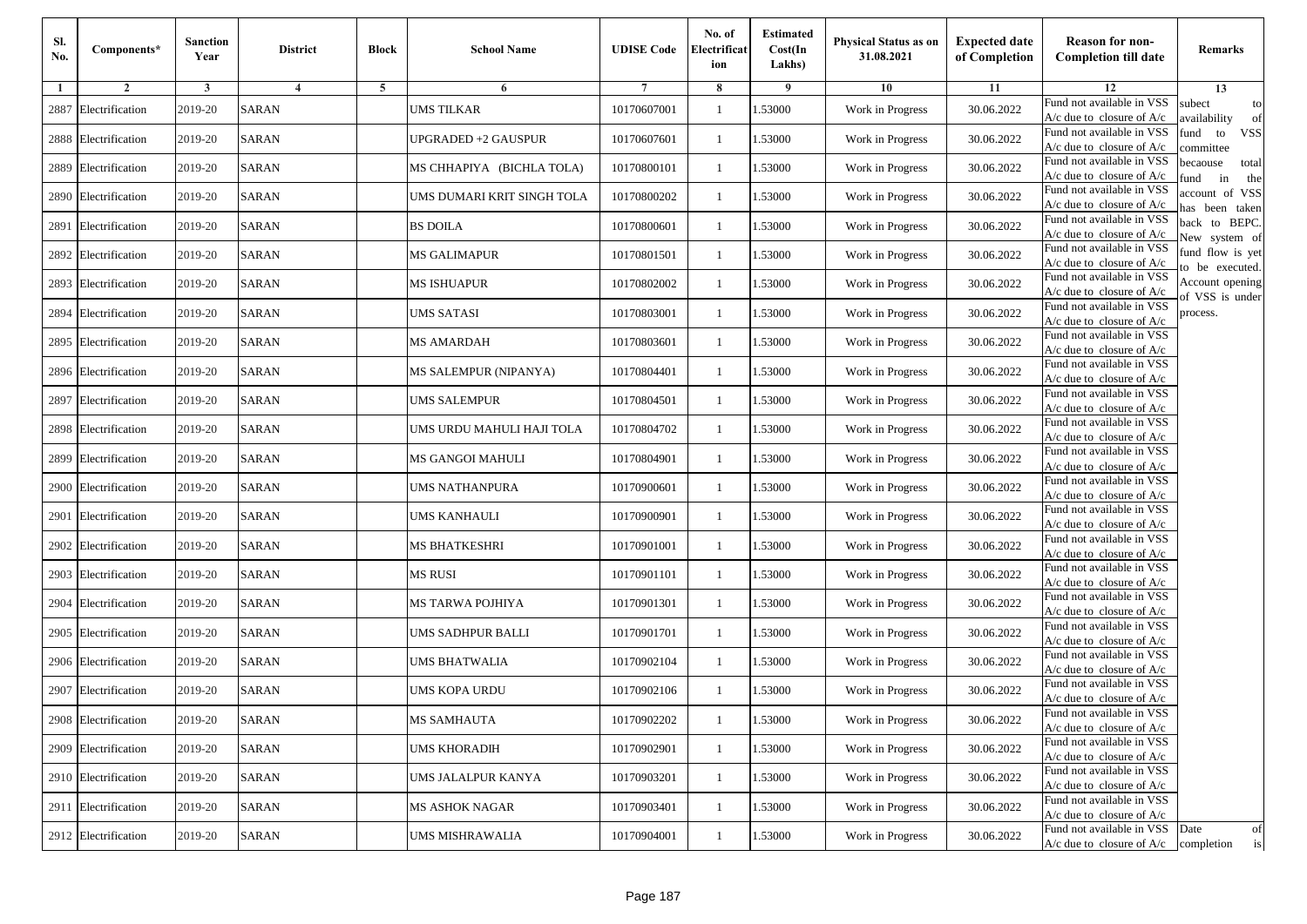| Sl.<br>No. | Components*          | <b>Sanction</b><br>Year | <b>District</b>         | <b>Block</b> | <b>School Name</b>         | <b>UDISE Code</b> | No. of<br>Electrificat<br>ion | <b>Estimated</b><br>Cost(In<br>Lakhs) | Physical Status as on<br>31.08.2021 | <b>Expected date</b><br>of Completion | <b>Reason for non-</b><br><b>Completion till date</b>                 | Remarks                               |
|------------|----------------------|-------------------------|-------------------------|--------------|----------------------------|-------------------|-------------------------------|---------------------------------------|-------------------------------------|---------------------------------------|-----------------------------------------------------------------------|---------------------------------------|
| 1          | $\overline{2}$       | 3                       | $\overline{\mathbf{4}}$ | 5            | 6                          |                   | 8                             | 9                                     | 10                                  | 11                                    | 12                                                                    | 13                                    |
| 2887       | Electrification      | 2019-20                 | <b>SARAN</b>            |              | UMS TILKAR                 | 10170607001       | -1                            | 1.53000                               | Work in Progress                    | 30.06.2022                            | Fund not available in VSS<br>$A/c$ due to closure of $A/c$            | subect<br>to<br>availability<br>of    |
| 2888       | Electrification      | 2019-20                 | <b>SARAN</b>            |              | UPGRADED +2 GAUSPUR        | 10170607601       | $\mathbf{1}$                  | 1.53000                               | Work in Progress                    | 30.06.2022                            | Fund not available in VSS<br>$A/c$ due to closure of $A/c$            | fund<br>to<br><b>VSS</b><br>ommittee  |
| 2889       | Electrification      | 2019-20                 | <b>SARAN</b>            |              | MS CHHAPIYA (BICHLA TOLA)  | 10170800101       | $\mathbf{1}$                  | 1.53000                               | Work in Progress                    | 30.06.2022                            | Fund not available in VSS<br>$A/c$ due to closure of $A/c$            | pecaouse<br>total<br>und<br>in<br>the |
| 2890       | Electrification      | 2019-20                 | <b>SARAN</b>            |              | UMS DUMARI KRIT SINGH TOLA | 10170800202       | -1                            | 1.53000                               | Work in Progress                    | 30.06.2022                            | Fund not available in VSS<br>$A/c$ due to closure of $A/c$            | ccount of VSS<br>as been taken        |
| 2891       | Electrification      | 2019-20                 | <b>SARAN</b>            |              | <b>BS DOILA</b>            | 10170800601       | $\mathbf{1}$                  | 1.53000                               | Work in Progress                    | 30.06.2022                            | Fund not available in VSS<br>A/c due to closure of $A/c$              | back to BEPC.<br>New system of        |
| 2892       | Electrification      | 2019-20                 | <b>SARAN</b>            |              | <b>MS GALIMAPUR</b>        | 10170801501       | -1                            | 1.53000                               | Work in Progress                    | 30.06.2022                            | Fund not available in VSS<br>A/c due to closure of $A/c$              | fund flow is yet<br>o be executed.    |
|            | 2893 Electrification | 2019-20                 | <b>SARAN</b>            |              | MS ISHUAPUR                | 10170802002       | -1                            | 1.53000                               | Work in Progress                    | 30.06.2022                            | Fund not available in VSS<br>$A/c$ due to closure of $A/c$            | Account opening<br>of VSS is under    |
| 2894       | Electrification      | 2019-20                 | <b>SARAN</b>            |              | UMS SATASI                 | 10170803001       | -1                            | 1.53000                               | Work in Progress                    | 30.06.2022                            | Fund not available in VSS<br>$A/c$ due to closure of $A/c$            | process.                              |
| 2895       | Electrification      | 2019-20                 | <b>SARAN</b>            |              | <b>MS AMARDAH</b>          | 10170803601       | -1                            | 1.53000                               | Work in Progress                    | 30.06.2022                            | Fund not available in VSS<br>$A/c$ due to closure of $A/c$            |                                       |
|            | 2896 Electrification | 2019-20                 | <b>SARAN</b>            |              | MS SALEMPUR (NIPANYA)      | 10170804401       | $\mathbf{1}$                  | 1.53000                               | Work in Progress                    | 30.06.2022                            | Fund not available in VSS<br>$A/c$ due to closure of $A/c$            |                                       |
| 2897       | Electrification      | 2019-20                 | <b>SARAN</b>            |              | UMS SALEMPUR               | 10170804501       | -1                            | 1.53000                               | Work in Progress                    | 30.06.2022                            | Fund not available in VSS<br>$A/c$ due to closure of $A/c$            |                                       |
| 2898       | Electrification      | 2019-20                 | <b>SARAN</b>            |              | UMS URDU MAHULI HAJI TOLA  | 10170804702       | $\mathbf{1}$                  | 1.53000                               | Work in Progress                    | 30.06.2022                            | Fund not available in VSS<br>$A/c$ due to closure of $A/c$            |                                       |
| 2899       | Electrification      | 2019-20                 | <b>SARAN</b>            |              | MS GANGOI MAHULI           | 10170804901       | -1                            | 1.53000                               | Work in Progress                    | 30.06.2022                            | Fund not available in VSS<br>$A/c$ due to closure of $A/c$            |                                       |
| 2900       | Electrification      | 2019-20                 | <b>SARAN</b>            |              | UMS NATHANPURA             | 10170900601       | $\mathbf{1}$                  | 1.53000                               | Work in Progress                    | 30.06.2022                            | Fund not available in VSS<br>$A/c$ due to closure of $A/c$            |                                       |
| 2901       | Electrification      | 2019-20                 | <b>SARAN</b>            |              | UMS KANHAULI               | 10170900901       | -1                            | 1.53000                               | Work in Progress                    | 30.06.2022                            | Fund not available in VSS<br>$A/c$ due to closure of $A/c$            |                                       |
| 2902       | Electrification      | 2019-20                 | <b>SARAN</b>            |              | MS BHATKESHRI              | 10170901001       | -1                            | 1.53000                               | Work in Progress                    | 30.06.2022                            | Fund not available in VSS<br>$A/c$ due to closure of $A/c$            |                                       |
| 2903       | Electrification      | 2019-20                 | <b>SARAN</b>            |              | MS RUSI                    | 10170901101       | $\mathbf{1}$                  | 1.53000                               | Work in Progress                    | 30.06.2022                            | Fund not available in VSS<br>$A/c$ due to closure of $A/c$            |                                       |
| 2904       | Electrification      | 2019-20                 | <b>SARAN</b>            |              | MS TARWA POJHIYA           | 10170901301       | $\mathbf{1}$                  | 1.53000                               | Work in Progress                    | 30.06.2022                            | Fund not available in VSS<br>$A/c$ due to closure of $A/c$            |                                       |
| 2905       | Electrification      | 2019-20                 | <b>SARAN</b>            |              | UMS SADHPUR BALLI          | 10170901701       | -1                            | 1.53000                               | Work in Progress                    | 30.06.2022                            | Fund not available in VSS<br>$A/c$ due to closure of $A/c$            |                                       |
|            | 2906 Electrification | 2019-20                 | <b>SARAN</b>            |              | UMS BHATWALIA              | 10170902104       | -1                            | 1.53000                               | Work in Progress                    | 30.06.2022                            | Fund not available in VSS<br>$A/c$ due to closure of $A/c$            |                                       |
| 2907       | Electrification      | 2019-20                 | <b>SARAN</b>            |              | UMS KOPA URDU              | 10170902106       | -1                            | .53000                                | Work in Progress                    | 30.06.2022                            | Fund not available in VSS<br>A/c due to closure of A/c                |                                       |
|            | 2908 Electrification | 2019-20                 | <b>SARAN</b>            |              | MS SAMHAUTA                | 10170902202       | $\mathbf{1}$                  | 1.53000                               | Work in Progress                    | 30.06.2022                            | Fund not available in VSS<br>A/c due to closure of A/c                |                                       |
|            | 2909 Electrification | 2019-20                 | <b>SARAN</b>            |              | <b>UMS KHORADIH</b>        | 10170902901       | $\mathbf{1}$                  | 1.53000                               | Work in Progress                    | 30.06.2022                            | Fund not available in VSS<br>$A/c$ due to closure of $A/c$            |                                       |
|            | 2910 Electrification | 2019-20                 | <b>SARAN</b>            |              | UMS JALALPUR KANYA         | 10170903201       | -1                            | 1.53000                               | Work in Progress                    | 30.06.2022                            | Fund not available in VSS<br>A/c due to closure of A/c                |                                       |
|            | 2911 Electrification | 2019-20                 | <b>SARAN</b>            |              | <b>MS ASHOK NAGAR</b>      | 10170903401       | $\mathbf{1}$                  | 1.53000                               | Work in Progress                    | 30.06.2022                            | Fund not available in VSS<br>A/c due to closure of A/c                |                                       |
|            | 2912 Electrification | 2019-20                 | SARAN                   |              | UMS MISHRAWALIA            | 10170904001       | $\mathbf{1}$                  | 1.53000                               | Work in Progress                    | 30.06.2022                            | Fund not available in VSS<br>$A/c$ due to closure of $A/c$ completion | Date<br>of<br>is                      |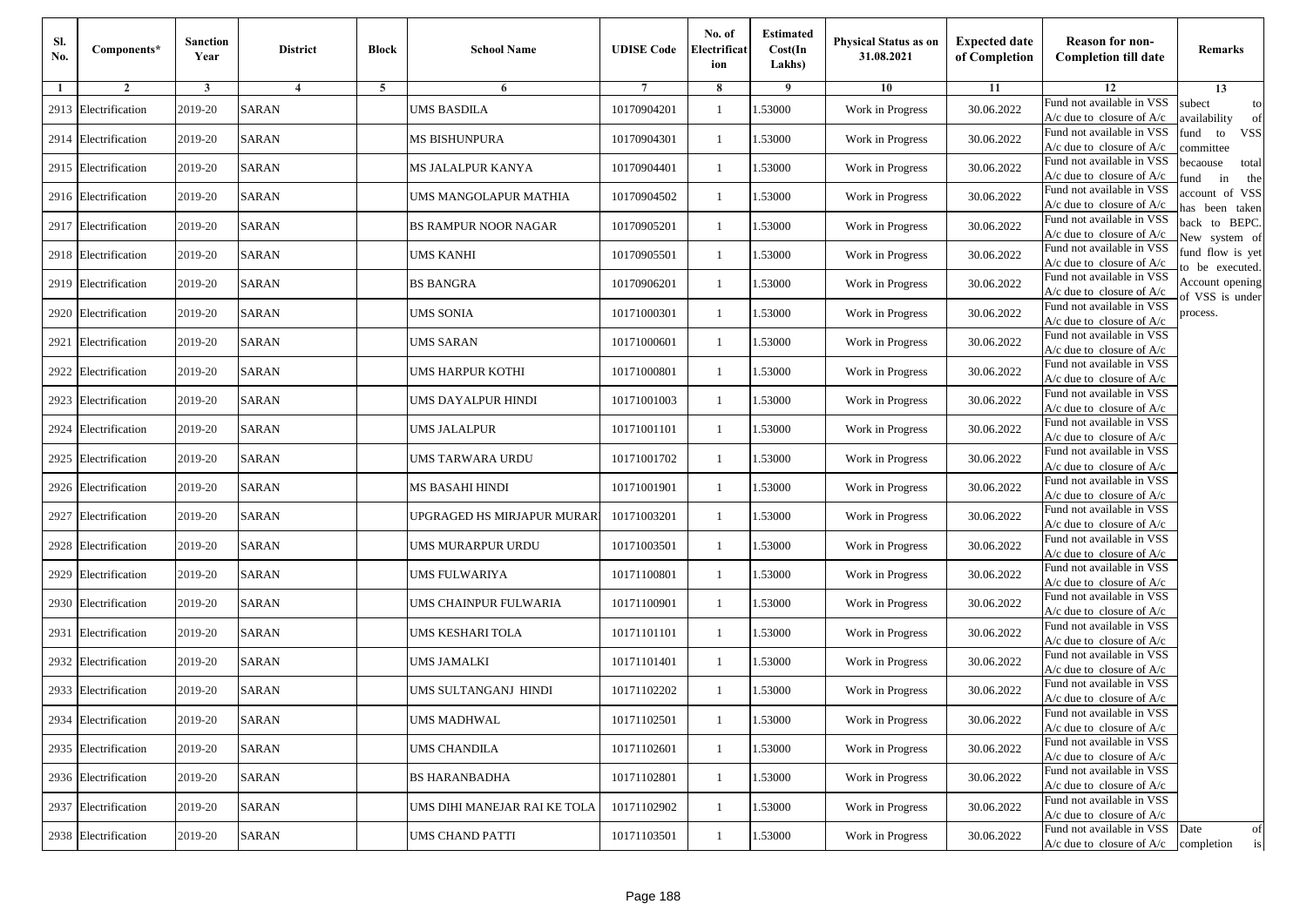| Sl.<br>No. | Components*          | <b>Sanction</b><br>Year | <b>District</b>         | <b>Block</b> | <b>School Name</b>           | <b>UDISE Code</b> | No. of<br>Electrificat<br>ion | <b>Estimated</b><br>Cost(In<br>Lakhs) | Physical Status as on<br>31.08.2021 | <b>Expected date</b><br>of Completion | <b>Reason for non-</b><br><b>Completion till date</b>                 | Remarks                               |
|------------|----------------------|-------------------------|-------------------------|--------------|------------------------------|-------------------|-------------------------------|---------------------------------------|-------------------------------------|---------------------------------------|-----------------------------------------------------------------------|---------------------------------------|
| 1          | $\overline{2}$       | 3                       | $\overline{\mathbf{4}}$ | 5            | 6                            |                   | 8                             | 9                                     | 10                                  | 11                                    | 12                                                                    | 13                                    |
| 2913       | Electrification      | 2019-20                 | <b>SARAN</b>            |              | UMS BASDILA                  | 10170904201       | -1                            | 1.53000                               | Work in Progress                    | 30.06.2022                            | Fund not available in VSS<br>$A/c$ due to closure of $A/c$            | subect<br>to<br>availability<br>of    |
| 2914       | Electrification      | 2019-20                 | <b>SARAN</b>            |              | MS BISHUNPURA                | 10170904301       | $\mathbf{1}$                  | 1.53000                               | Work in Progress                    | 30.06.2022                            | Fund not available in VSS<br>$A/c$ due to closure of $A/c$            | fund<br>to<br><b>VSS</b><br>ommittee  |
|            | 2915 Electrification | 2019-20                 | <b>SARAN</b>            |              | MS JALALPUR KANYA            | 10170904401       | $\mathbf{1}$                  | 1.53000                               | Work in Progress                    | 30.06.2022                            | Fund not available in VSS<br>$A/c$ due to closure of $A/c$            | pecaouse<br>total<br>und<br>in<br>the |
|            | 2916 Electrification | 2019-20                 | <b>SARAN</b>            |              | UMS MANGOLAPUR MATHIA        | 10170904502       | -1                            | 1.53000                               | Work in Progress                    | 30.06.2022                            | Fund not available in VSS<br>$A/c$ due to closure of $A/c$            | ccount of VSS<br>as been taken        |
| 2917       | Electrification      | 2019-20                 | <b>SARAN</b>            |              | <b>BS RAMPUR NOOR NAGAR</b>  | 10170905201       | $\mathbf{1}$                  | 1.53000                               | Work in Progress                    | 30.06.2022                            | Fund not available in VSS<br>A/c due to closure of $A/c$              | back to BEPC.<br>New system of        |
|            | 2918 Electrification | 2019-20                 | <b>SARAN</b>            |              | UMS KANHI                    | 10170905501       | -1                            | 1.53000                               | Work in Progress                    | 30.06.2022                            | Fund not available in VSS<br>A/c due to closure of $A/c$              | fund flow is yet<br>o be executed.    |
|            | 2919 Electrification | 2019-20                 | <b>SARAN</b>            |              | <b>BS BANGRA</b>             | 10170906201       | -1                            | 1.53000                               | Work in Progress                    | 30.06.2022                            | Fund not available in VSS<br>$A/c$ due to closure of $A/c$            | Account opening<br>of VSS is under    |
| 2920       | Electrification      | 2019-20                 | <b>SARAN</b>            |              | UMS SONIA                    | 10171000301       | -1                            | 1.53000                               | Work in Progress                    | 30.06.2022                            | Fund not available in VSS<br>$A/c$ due to closure of $A/c$            | process.                              |
| 2921       | Electrification      | 2019-20                 | <b>SARAN</b>            |              | UMS SARAN                    | 10171000601       | -1                            | 1.53000                               | Work in Progress                    | 30.06.2022                            | Fund not available in VSS<br>$A/c$ due to closure of $A/c$            |                                       |
|            | 2922 Electrification | 2019-20                 | <b>SARAN</b>            |              | UMS HARPUR KOTHI             | 10171000801       | $\mathbf{1}$                  | 1.53000                               | Work in Progress                    | 30.06.2022                            | Fund not available in VSS<br>$A/c$ due to closure of $A/c$            |                                       |
|            | 2923 Electrification | 2019-20                 | <b>SARAN</b>            |              | UMS DAYALPUR HINDI           | 10171001003       | -1                            | 1.53000                               | Work in Progress                    | 30.06.2022                            | Fund not available in VSS<br>$A/c$ due to closure of $A/c$            |                                       |
| 2924       | Electrification      | 2019-20                 | <b>SARAN</b>            |              | UMS JALALPUR                 | 10171001101       | $\mathbf{1}$                  | 1.53000                               | Work in Progress                    | 30.06.2022                            | Fund not available in VSS<br>$A/c$ due to closure of $A/c$            |                                       |
| 2925       | Electrification      | 2019-20                 | <b>SARAN</b>            |              | JMS TARWARA URDU             | 10171001702       | -1                            | 1.53000                               | Work in Progress                    | 30.06.2022                            | Fund not available in VSS<br>$A/c$ due to closure of $A/c$            |                                       |
|            | 2926 Electrification | 2019-20                 | <b>SARAN</b>            |              | MS BASAHI HINDI              | 10171001901       | $\mathbf{1}$                  | 1.53000                               | Work in Progress                    | 30.06.2022                            | Fund not available in VSS<br>$A/c$ due to closure of $A/c$            |                                       |
| 2927       | Electrification      | 2019-20                 | <b>SARAN</b>            |              | JPGRAGED HS MIRJAPUR MURAR   | 10171003201       | -1                            | 1.53000                               | Work in Progress                    | 30.06.2022                            | Fund not available in VSS<br>$A/c$ due to closure of $A/c$            |                                       |
| 2928       | Electrification      | 2019-20                 | <b>SARAN</b>            |              | UMS MURARPUR URDU            | 10171003501       | -1                            | 1.53000                               | Work in Progress                    | 30.06.2022                            | Fund not available in VSS<br>A/c due to closure of A/c                |                                       |
| 2929       | Electrification      | 2019-20                 | <b>SARAN</b>            |              | UMS FULWARIYA                | 10171100801       | $\mathbf{1}$                  | 1.53000                               | Work in Progress                    | 30.06.2022                            | Fund not available in VSS<br>$A/c$ due to closure of $A/c$            |                                       |
| 2930       | Electrification      | 2019-20                 | <b>SARAN</b>            |              | UMS CHAINPUR FULWARIA        | 10171100901       | $\mathbf{1}$                  | 1.53000                               | Work in Progress                    | 30.06.2022                            | Fund not available in VSS<br>A/c due to closure of A/c                |                                       |
| 2931       | Electrification      | 2019-20                 | <b>SARAN</b>            |              | UMS KESHARI TOLA             | 10171101101       | -1                            | 1.53000                               | Work in Progress                    | 30.06.2022                            | Fund not available in VSS<br>$A/c$ due to closure of $A/c$            |                                       |
|            | 2932 Electrification | 2019-20                 | <b>SARAN</b>            |              | UMS JAMALKI                  | 10171101401       | -1                            | 1.53000                               | Work in Progress                    | 30.06.2022                            | Fund not available in VSS<br>$A/c$ due to closure of $A/c$            |                                       |
| 2933       | Electrification      | 2019-20                 | <b>SARAN</b>            |              | JMS SULTANGANJ HINDI         | 10171102202       | -1                            | .53000                                | Work in Progress                    | 30.06.2022                            | Fund not available in VSS<br>A/c due to closure of A/c                |                                       |
|            | 2934 Electrification | 2019-20                 | <b>SARAN</b>            |              | <b>UMS MADHWAL</b>           | 10171102501       | $\mathbf{1}$                  | 1.53000                               | Work in Progress                    | 30.06.2022                            | Fund not available in VSS<br>A/c due to closure of A/c                |                                       |
|            | 2935 Electrification | 2019-20                 | <b>SARAN</b>            |              | <b>UMS CHANDILA</b>          | 10171102601       | $\mathbf{1}$                  | 1.53000                               | Work in Progress                    | 30.06.2022                            | Fund not available in VSS<br>$A/c$ due to closure of $A/c$            |                                       |
|            | 2936 Electrification | 2019-20                 | <b>SARAN</b>            |              | <b>BS HARANBADHA</b>         | 10171102801       | -1                            | 1.53000                               | Work in Progress                    | 30.06.2022                            | Fund not available in VSS<br>A/c due to closure of A/c                |                                       |
|            | 2937 Electrification | 2019-20                 | <b>SARAN</b>            |              | UMS DIHI MANEJAR RAI KE TOLA | 10171102902       | -1                            | 1.53000                               | Work in Progress                    | 30.06.2022                            | Fund not available in VSS<br>A/c due to closure of A/c                |                                       |
|            | 2938 Electrification | 2019-20                 | SARAN                   |              | UMS CHAND PATTI              | 10171103501       | $\mathbf{1}$                  | 1.53000                               | Work in Progress                    | 30.06.2022                            | Fund not available in VSS<br>$A/c$ due to closure of $A/c$ completion | Date<br>of<br>is                      |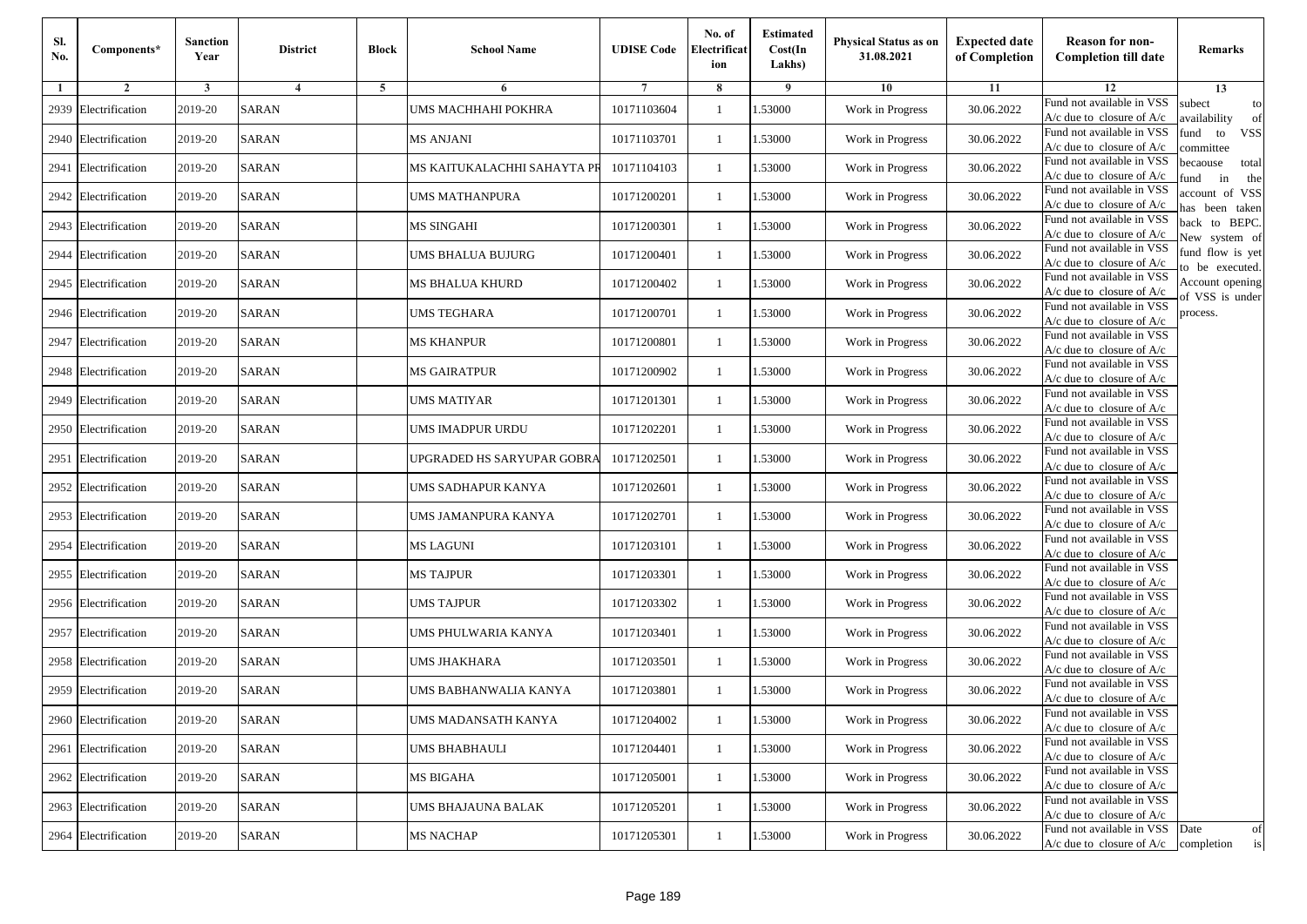| Sl.<br>No. | Components*          | <b>Sanction</b><br>Year | <b>District</b>         | <b>Block</b> | <b>School Name</b>          | <b>UDISE Code</b> | No. of<br>Electrificat<br>ion | <b>Estimated</b><br>Cost(In<br>Lakhs) | Physical Status as on<br>31.08.2021 | <b>Expected date</b><br>of Completion | <b>Reason for non-</b><br><b>Completion till date</b>                 | Remarks                               |
|------------|----------------------|-------------------------|-------------------------|--------------|-----------------------------|-------------------|-------------------------------|---------------------------------------|-------------------------------------|---------------------------------------|-----------------------------------------------------------------------|---------------------------------------|
| 1          | $\overline{2}$       | 3                       | $\overline{\mathbf{4}}$ | 5            | 6                           |                   | 8                             | 9                                     | 10                                  | 11                                    | 12                                                                    | 13                                    |
| 2939       | Electrification      | 2019-20                 | <b>SARAN</b>            |              | UMS MACHHAHI POKHRA         | 10171103604       | -1                            | 1.53000                               | Work in Progress                    | 30.06.2022                            | Fund not available in VSS<br>$A/c$ due to closure of $A/c$            | subect<br>to<br>availability<br>of    |
| 2940       | Electrification      | 2019-20                 | <b>SARAN</b>            |              | MS ANJANI                   | 10171103701       | $\mathbf{1}$                  | 1.53000                               | Work in Progress                    | 30.06.2022                            | Fund not available in VSS<br>$A/c$ due to closure of $A/c$            | fund<br>to<br><b>VSS</b><br>ommittee  |
| 2941       | Electrification      | 2019-20                 | <b>SARAN</b>            |              | MS KAITUKALACHHI SAHAYTA PF | 10171104103       | $\mathbf{1}$                  | 1.53000                               | Work in Progress                    | 30.06.2022                            | Fund not available in VSS<br>$A/c$ due to closure of $A/c$            | pecaouse<br>total<br>und<br>in<br>the |
| 2942       | Electrification      | 2019-20                 | <b>SARAN</b>            |              | UMS MATHANPURA              | 10171200201       | -1                            | 1.53000                               | Work in Progress                    | 30.06.2022                            | Fund not available in VSS<br>$A/c$ due to closure of $A/c$            | ccount of VSS<br>as been taken        |
|            | 2943 Electrification | 2019-20                 | <b>SARAN</b>            |              | <b>MS SINGAHI</b>           | 10171200301       | $\mathbf{1}$                  | 1.53000                               | Work in Progress                    | 30.06.2022                            | Fund not available in VSS<br>A/c due to closure of $A/c$              | back to BEPC.<br>New system of        |
| 2944       | Electrification      | 2019-20                 | <b>SARAN</b>            |              | UMS BHALUA BUJURG           | 10171200401       | -1                            | 1.53000                               | Work in Progress                    | 30.06.2022                            | Fund not available in VSS<br>A/c due to closure of $A/c$              | fund flow is yet<br>o be executed.    |
|            | 2945 Electrification | 2019-20                 | <b>SARAN</b>            |              | MS BHALUA KHURD             | 10171200402       | -1                            | 1.53000                               | Work in Progress                    | 30.06.2022                            | Fund not available in VSS<br>$A/c$ due to closure of $A/c$            | Account opening<br>of VSS is under    |
|            | 2946 Electrification | 2019-20                 | <b>SARAN</b>            |              | UMS TEGHARA                 | 10171200701       | -1                            | 1.53000                               | Work in Progress                    | 30.06.2022                            | Fund not available in VSS<br>$A/c$ due to closure of $A/c$            | process.                              |
| 2947       | Electrification      | 2019-20                 | <b>SARAN</b>            |              | MS KHANPUR                  | 10171200801       | -1                            | 1.53000                               | Work in Progress                    | 30.06.2022                            | Fund not available in VSS<br>$A/c$ due to closure of $A/c$            |                                       |
| 2948       | Electrification      | 2019-20                 | <b>SARAN</b>            |              | <b>MS GAIRATPUR</b>         | 10171200902       | $\mathbf{1}$                  | 1.53000                               | Work in Progress                    | 30.06.2022                            | Fund not available in VSS<br>$A/c$ due to closure of $A/c$            |                                       |
| 2949       | Electrification      | 2019-20                 | <b>SARAN</b>            |              | UMS MATIYAR                 | 10171201301       | -1                            | 1.53000                               | Work in Progress                    | 30.06.2022                            | Fund not available in VSS<br>$A/c$ due to closure of $A/c$            |                                       |
| 2950       | Electrification      | 2019-20                 | <b>SARAN</b>            |              | UMS IMADPUR URDU            | 10171202201       | $\mathbf{1}$                  | 1.53000                               | Work in Progress                    | 30.06.2022                            | Fund not available in VSS<br>$A/c$ due to closure of $A/c$            |                                       |
| 2951       | Electrification      | 2019-20                 | <b>SARAN</b>            |              | JPGRADED HS SARYUPAR GOBRA  | 10171202501       | -1                            | 1.53000                               | Work in Progress                    | 30.06.2022                            | Fund not available in VSS<br>$A/c$ due to closure of $A/c$            |                                       |
|            | 2952 Electrification | 2019-20                 | <b>SARAN</b>            |              | UMS SADHAPUR KANYA          | 10171202601       | $\mathbf{1}$                  | 1.53000                               | Work in Progress                    | 30.06.2022                            | Fund not available in VSS<br>$A/c$ due to closure of $A/c$            |                                       |
|            | 2953 Electrification | 2019-20                 | <b>SARAN</b>            |              | UMS JAMANPURA KANYA         | 10171202701       | -1                            | 1.53000                               | Work in Progress                    | 30.06.2022                            | Fund not available in VSS<br>$A/c$ due to closure of $A/c$            |                                       |
| 2954       | Electrification      | 2019-20                 | <b>SARAN</b>            |              | MS LAGUNI                   | 10171203101       | -1                            | 1.53000                               | Work in Progress                    | 30.06.2022                            | Fund not available in VSS<br>$A/c$ due to closure of $A/c$            |                                       |
| 2955       | Electrification      | 2019-20                 | <b>SARAN</b>            |              | <b>MS TAJPUR</b>            | 10171203301       | $\mathbf{1}$                  | 1.53000                               | Work in Progress                    | 30.06.2022                            | Fund not available in VSS<br>$A/c$ due to closure of $A/c$            |                                       |
|            | 2956 Electrification | 2019-20                 | <b>SARAN</b>            |              | UMS TAJPUR                  | 10171203302       | $\mathbf{1}$                  | 1.53000                               | Work in Progress                    | 30.06.2022                            | Fund not available in VSS<br>$A/c$ due to closure of $A/c$            |                                       |
| 2957       | Electrification      | 2019-20                 | <b>SARAN</b>            |              | UMS PHULWARIA KANYA         | 10171203401       | -1                            | 1.53000                               | Work in Progress                    | 30.06.2022                            | Fund not available in VSS<br>$A/c$ due to closure of $A/c$            |                                       |
|            | 2958 Electrification | 2019-20                 | <b>SARAN</b>            |              | UMS JHAKHARA                | 10171203501       | $\mathbf{1}$                  | 1.53000                               | Work in Progress                    | 30.06.2022                            | Fund not available in VSS<br>$A/c$ due to closure of $A/c$            |                                       |
| 2959       | Electrification      | 2019-20                 | <b>SARAN</b>            |              | JMS BABHANWALIA KANYA       | 10171203801       | -1                            | .53000                                | Work in Progress                    | 30.06.2022                            | Fund not available in VSS<br>A/c due to closure of A/c                |                                       |
|            | 2960 Electrification | 2019-20                 | <b>SARAN</b>            |              | UMS MADANSATH KANYA         | 10171204002       | $\mathbf{1}$                  | 1.53000                               | Work in Progress                    | 30.06.2022                            | Fund not available in VSS<br>A/c due to closure of A/c                |                                       |
|            | 2961 Electrification | 2019-20                 | <b>SARAN</b>            |              | UMS BHABHAULI               | 10171204401       | $\mathbf{1}$                  | 1.53000                               | Work in Progress                    | 30.06.2022                            | Fund not available in VSS<br>$A/c$ due to closure of $A/c$            |                                       |
|            | 2962 Electrification | 2019-20                 | <b>SARAN</b>            |              | MS BIGAHA                   | 10171205001       | -1                            | 1.53000                               | Work in Progress                    | 30.06.2022                            | Fund not available in VSS<br>A/c due to closure of A/c                |                                       |
|            | 2963 Electrification | 2019-20                 | <b>SARAN</b>            |              | UMS BHAJAUNA BALAK          | 10171205201       | -1                            | 1.53000                               | Work in Progress                    | 30.06.2022                            | Fund not available in VSS<br>A/c due to closure of A/c                |                                       |
|            | 2964 Electrification | 2019-20                 | SARAN                   |              | <b>MS NACHAP</b>            | 10171205301       | $\mathbf{1}$                  | 1.53000                               | Work in Progress                    | 30.06.2022                            | Fund not available in VSS<br>$A/c$ due to closure of $A/c$ completion | Date<br>of<br>is                      |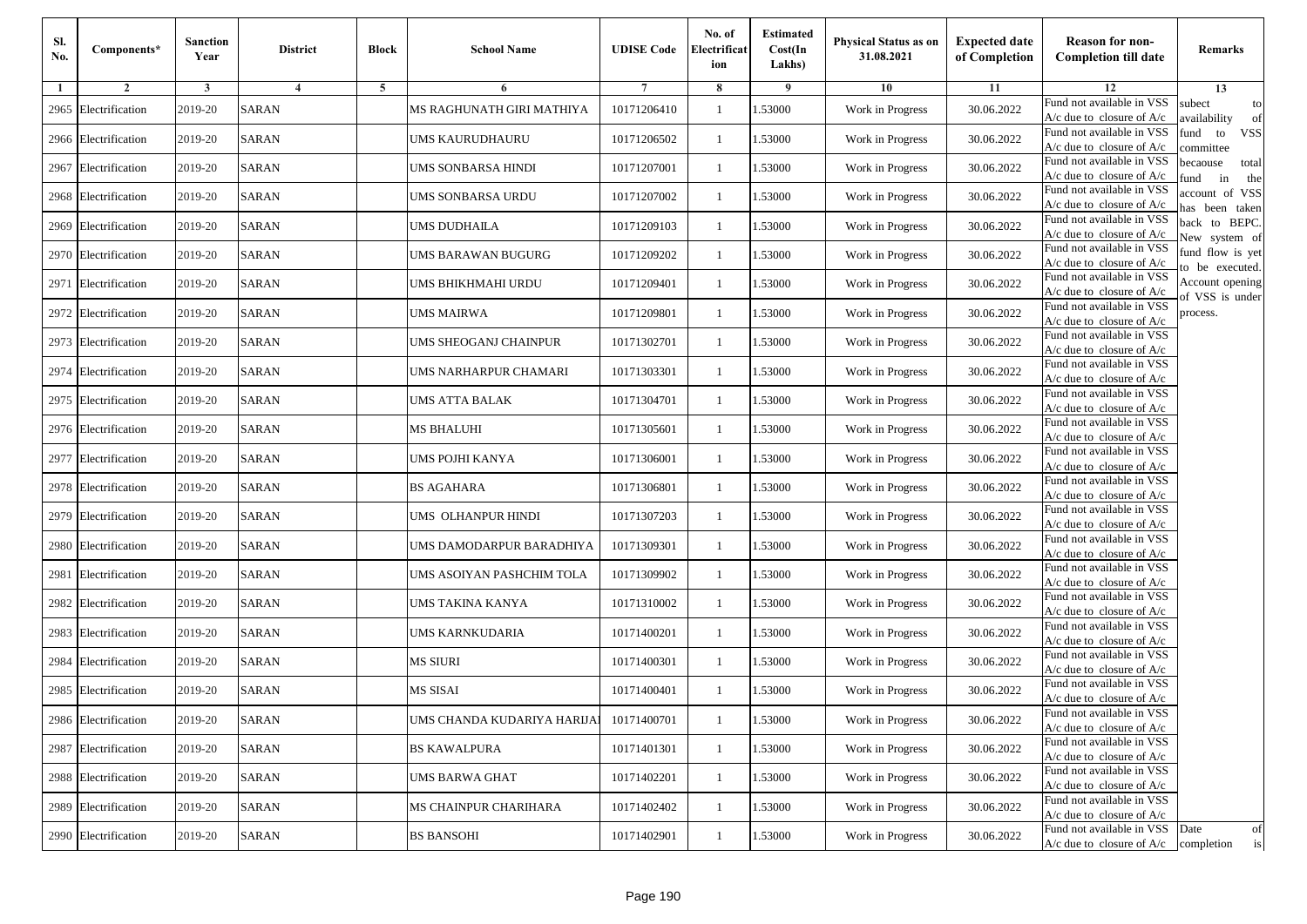| Sl.<br>No. | Components*          | <b>Sanction</b><br>Year | <b>District</b> | <b>Block</b>   | <b>School Name</b>          | <b>UDISE Code</b> | No. of<br>Electrificat<br>ion | <b>Estimated</b><br>Cost(In<br>Lakhs) | <b>Physical Status as on</b><br>31.08.2021 | <b>Expected date</b><br>of Completion | <b>Reason for non-</b><br><b>Completion till date</b>                      | Remarks                               |
|------------|----------------------|-------------------------|-----------------|----------------|-----------------------------|-------------------|-------------------------------|---------------------------------------|--------------------------------------------|---------------------------------------|----------------------------------------------------------------------------|---------------------------------------|
| -1         | $\overline{2}$       | 3                       | $\overline{4}$  | $\overline{5}$ | 6                           |                   | 8                             | 9                                     | 10                                         | 11                                    | 12                                                                         | 13                                    |
| 2965       | Electrification      | 2019-20                 | <b>SARAN</b>    |                | MS RAGHUNATH GIRI MATHIYA   | 10171206410       | $\mathbf{1}$                  | .53000                                | Work in Progress                           | 30.06.2022                            | Fund not available in VSS<br>$A/c$ due to closure of $A/c$                 | subect<br>to<br>availability<br>of    |
|            | 2966 Electrification | 2019-20                 | <b>SARAN</b>    |                | UMS KAURUDHAURU             | 10171206502       | 1                             | 1.53000                               | Work in Progress                           | 30.06.2022                            | Fund not available in VSS<br>A/c due to closure of $A/c$                   | fund<br>to<br><b>VSS</b><br>ommittee  |
| 2967       | Electrification      | 2019-20                 | <b>SARAN</b>    |                | UMS SONBARSA HINDI          | 10171207001       | 1                             | 1.53000                               | Work in Progress                           | 30.06.2022                            | Fund not available in VSS<br>$A/c$ due to closure of $A/c$                 | pecaouse<br>total<br>in<br>und<br>the |
|            | 2968 Electrification | 2019-20                 | <b>SARAN</b>    |                | UMS SONBARSA URDU           | 10171207002       | 1                             | .53000                                | Work in Progress                           | 30.06.2022                            | Fund not available in VSS<br>A/c due to closure of A/c                     | account of VSS<br>nas been taken      |
| 2969       | Electrification      | 2019-20                 | <b>SARAN</b>    |                | UMS DUDHAILA                | 10171209103       | $\mathbf{1}$                  | .53000                                | Work in Progress                           | 30.06.2022                            | Fund not available in VSS<br>$A/c$ due to closure of $A/c$                 | back to BEPC.<br>New system of        |
|            | 2970 Electrification | 2019-20                 | <b>SARAN</b>    |                | UMS BARAWAN BUGURG          | 10171209202       | 1                             | .53000                                | Work in Progress                           | 30.06.2022                            | Fund not available in VSS<br>$A/c$ due to closure of $A/c$                 | fund flow is yet<br>o be executed.    |
| 2971       | Electrification      | 2019-20                 | <b>SARAN</b>    |                | UMS BHIKHMAHI URDU          | 10171209401       | $\mathbf{1}$                  | .53000                                | Work in Progress                           | 30.06.2022                            | Fund not available in VSS<br>$A/c$ due to closure of $A/c$                 | Account opening<br>of VSS is under    |
| 2972       | Electrification      | 2019-20                 | <b>SARAN</b>    |                | <b>UMS MAIRWA</b>           | 10171209801       | 1                             | .53000                                | Work in Progress                           | 30.06.2022                            | Fund not available in VSS<br>$A/c$ due to closure of $A/c$                 | process.                              |
| 2973       | Electrification      | 2019-20                 | <b>SARAN</b>    |                | UMS SHEOGANJ CHAINPUR       | 10171302701       | 1                             | .53000                                | Work in Progress                           | 30.06.2022                            | Fund not available in VSS<br>$A/c$ due to closure of $A/c$                 |                                       |
| 2974       | Electrification      | 2019-20                 | <b>SARAN</b>    |                | UMS NARHARPUR CHAMARI       | 10171303301       | 1                             | .53000                                | Work in Progress                           | 30.06.2022                            | Fund not available in VSS<br>$A/c$ due to closure of $A/c$                 |                                       |
|            | 2975 Electrification | 2019-20                 | <b>SARAN</b>    |                | UMS ATTA BALAK              | 10171304701       | 1                             | 1.53000                               | Work in Progress                           | 30.06.2022                            | Fund not available in VSS<br>$A/c$ due to closure of $A/c$                 |                                       |
|            | 2976 Electrification | 2019-20                 | <b>SARAN</b>    |                | MS BHALUHI                  | 10171305601       | 1                             | .53000                                | Work in Progress                           | 30.06.2022                            | Fund not available in VSS<br>$A/c$ due to closure of $A/c$                 |                                       |
| 2977       | Electrification      | 2019-20                 | SARAN           |                | UMS POJHI KANYA             | 10171306001       | 1                             | .53000                                | Work in Progress                           | 30.06.2022                            | Fund not available in VSS<br>$A/c$ due to closure of $A/c$                 |                                       |
|            | 2978 Electrification | 2019-20                 | <b>SARAN</b>    |                | <b>BS AGAHARA</b>           | 10171306801       | $\mathbf{1}$                  | .53000                                | Work in Progress                           | 30.06.2022                            | Fund not available in VSS<br>$A/c$ due to closure of $A/c$                 |                                       |
| 2979       | Electrification      | 2019-20                 | <b>SARAN</b>    |                | UMS OLHANPUR HINDI          | 10171307203       | 1                             | 1.53000                               | Work in Progress                           | 30.06.2022                            | Fund not available in VSS<br>$A/c$ due to closure of $A/c$                 |                                       |
| 2980       | Electrification      | 2019-20                 | <b>SARAN</b>    |                | UMS DAMODARPUR BARADHIYA    | 10171309301       | -1                            | .53000                                | Work in Progress                           | 30.06.2022                            | Fund not available in VSS<br>$A/c$ due to closure of $A/c$                 |                                       |
| 2981       | Electrification      | 2019-20                 | <b>SARAN</b>    |                | UMS ASOIYAN PASHCHIM TOLA   | 10171309902       | 1                             | .53000                                | Work in Progress                           | 30.06.2022                            | Fund not available in VSS<br>$A/c$ due to closure of $A/c$                 |                                       |
|            | 2982 Electrification | 2019-20                 | <b>SARAN</b>    |                | UMS TAKINA KANYA            | 10171310002       | 1                             | 1.53000                               | Work in Progress                           | 30.06.2022                            | Fund not available in VSS<br>$A/c$ due to closure of $A/c$                 |                                       |
|            | 2983 Electrification | 2019-20                 | <b>SARAN</b>    |                | UMS KARNKUDARIA             | 10171400201       | 1                             | 1.53000                               | Work in Progress                           | 30.06.2022                            | Fund not available in VSS<br>A/c due to closure of A/c                     |                                       |
| 2984       | Electrification      | 2019-20                 | SARAN           |                | MS SIURI                    | 10171400301       | 1                             | .53000                                | Work in Progress                           | 30.06.2022                            | Fund not available in VSS<br>$A/c$ due to closure of $A/c$                 |                                       |
| 2985       | Electrification      | 2019-20                 | SARAN           |                | MS SISAI                    | 10171400401       | 1                             | .53000                                | Work in Progress                           | 30.06.2022                            | Fund not available in VSS<br>A/c due to closure of A/c                     |                                       |
|            | 2986 Electrification | 2019-20                 | <b>SARAN</b>    |                | UMS CHANDA KUDARIYA HARIJA] | 10171400701       |                               | 1.53000                               | Work in Progress                           | 30.06.2022                            | Fund not available in VSS<br>A/c due to closure of A/c                     |                                       |
|            | 2987 Electrification | 2019-20                 | <b>SARAN</b>    |                | <b>BS KAWALPURA</b>         | 10171401301       | $\mathbf{1}$                  | 1.53000                               | Work in Progress                           | 30.06.2022                            | Fund not available in VSS<br>$A/c$ due to closure of $A/c$                 |                                       |
|            | 2988 Electrification | 2019-20                 | <b>SARAN</b>    |                | <b>UMS BARWA GHAT</b>       | 10171402201       | 1                             | 1.53000                               | Work in Progress                           | 30.06.2022                            | Fund not available in VSS<br>$A/c$ due to closure of $A/c$                 |                                       |
|            | 2989 Electrification | 2019-20                 | <b>SARAN</b>    |                | MS CHAINPUR CHARIHARA       | 10171402402       | 1                             | 1.53000                               | Work in Progress                           | 30.06.2022                            | Fund not available in VSS<br>A/c due to closure of A/c                     |                                       |
|            | 2990 Electrification | 2019-20                 | SARAN           |                | <b>BS BANSOHI</b>           | 10171402901       | $\mathbf{1}$                  | 1.53000                               | Work in Progress                           | 30.06.2022                            | Fund not available in VSS Date<br>$A/c$ due to closure of $A/c$ completion | of<br>is                              |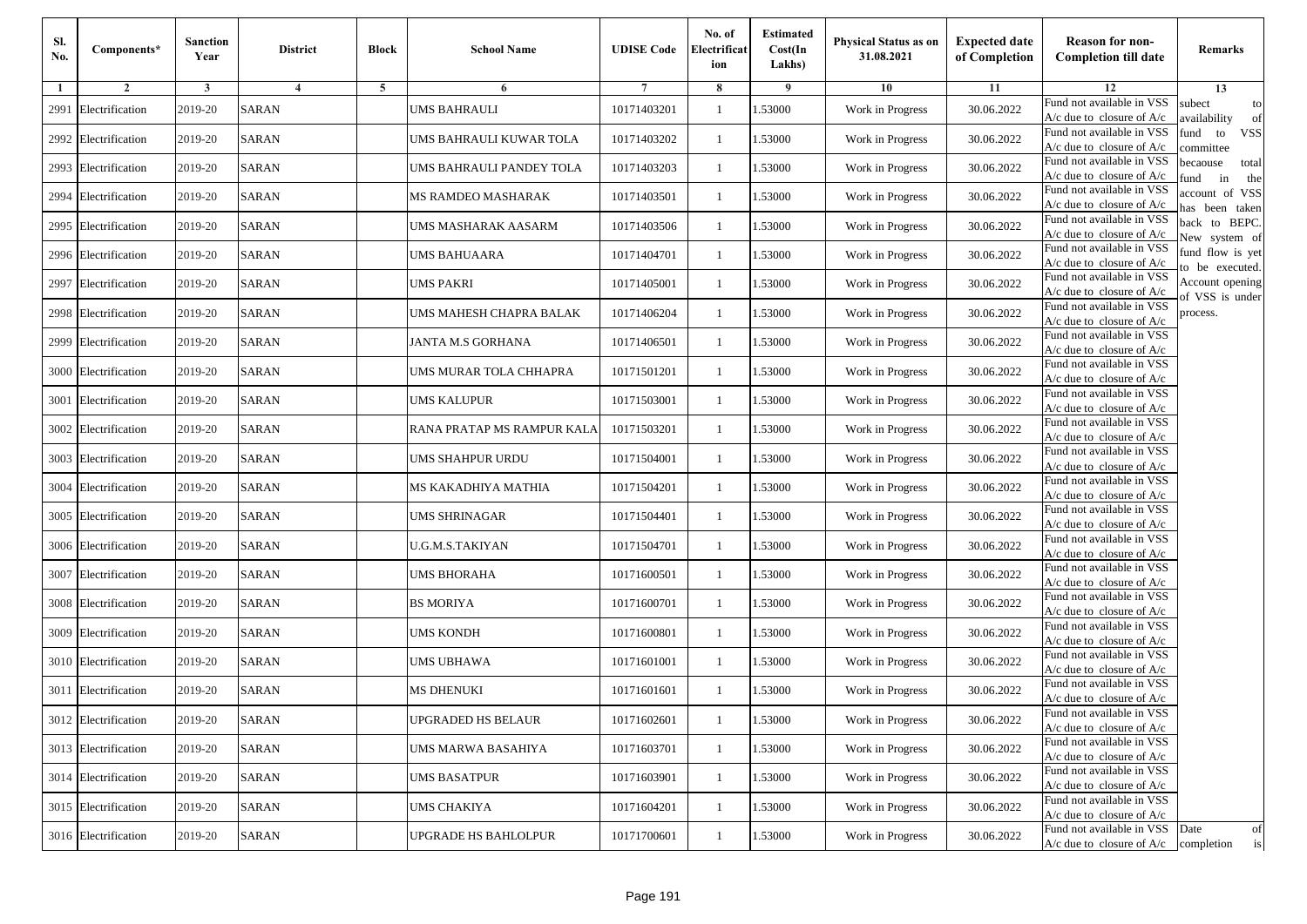| Sl.<br>No. | Components*          | <b>Sanction</b><br>Year | <b>District</b> | <b>Block</b>   | <b>School Name</b>         | <b>UDISE Code</b> | No. of<br>Electrificat<br>ion | <b>Estimated</b><br>Cost(In<br>Lakhs) | <b>Physical Status as on</b><br>31.08.2021 | <b>Expected date</b><br>of Completion | <b>Reason for non-</b><br><b>Completion till date</b>                      | Remarks                               |
|------------|----------------------|-------------------------|-----------------|----------------|----------------------------|-------------------|-------------------------------|---------------------------------------|--------------------------------------------|---------------------------------------|----------------------------------------------------------------------------|---------------------------------------|
| -1         | $\overline{2}$       | 3                       | $\overline{4}$  | $\overline{5}$ | 6                          |                   | 8                             | 9                                     | 10                                         | 11                                    | 12                                                                         | 13                                    |
| 2991       | Electrification      | 2019-20                 | <b>SARAN</b>    |                | UMS BAHRAULI               | 10171403201       | $\mathbf{1}$                  | .53000                                | Work in Progress                           | 30.06.2022                            | Fund not available in VSS<br>$A/c$ due to closure of $A/c$                 | subect<br>to<br>availability<br>of    |
|            | 2992 Electrification | 2019-20                 | <b>SARAN</b>    |                | UMS BAHRAULI KUWAR TOLA    | 10171403202       | 1                             | 1.53000                               | Work in Progress                           | 30.06.2022                            | Fund not available in VSS<br>A/c due to closure of $A/c$                   | fund<br>to<br><b>VSS</b><br>ommittee  |
|            | 2993 Electrification | 2019-20                 | <b>SARAN</b>    |                | UMS BAHRAULI PANDEY TOLA   | 10171403203       | 1                             | 1.53000                               | Work in Progress                           | 30.06.2022                            | Fund not available in VSS<br>$A/c$ due to closure of $A/c$                 | pecaouse<br>total<br>in<br>und<br>the |
| 2994       | Electrification      | 2019-20                 | <b>SARAN</b>    |                | MS RAMDEO MASHARAK         | 10171403501       | 1                             | .53000                                | Work in Progress                           | 30.06.2022                            | Fund not available in VSS<br>A/c due to closure of A/c                     | account of VSS<br>nas been taken      |
|            | 2995 Electrification | 2019-20                 | <b>SARAN</b>    |                | UMS MASHARAK AASARM        | 10171403506       | $\mathbf{1}$                  | .53000                                | Work in Progress                           | 30.06.2022                            | Fund not available in VSS<br>$A/c$ due to closure of $A/c$                 | back to BEPC.<br>New system of        |
|            | 2996 Electrification | 2019-20                 | <b>SARAN</b>    |                | UMS BAHUAARA               | 10171404701       | 1                             | .53000                                | Work in Progress                           | 30.06.2022                            | Fund not available in VSS<br>$A/c$ due to closure of $A/c$                 | fund flow is yet<br>o be executed.    |
| 2997       | Electrification      | 2019-20                 | <b>SARAN</b>    |                | <b>UMS PAKRI</b>           | 10171405001       | $\mathbf{1}$                  | .53000                                | Work in Progress                           | 30.06.2022                            | Fund not available in VSS<br>$A/c$ due to closure of $A/c$                 | Account opening<br>of VSS is under    |
|            | 2998 Electrification | 2019-20                 | <b>SARAN</b>    |                | UMS MAHESH CHAPRA BALAK    | 10171406204       | 1                             | .53000                                | Work in Progress                           | 30.06.2022                            | Fund not available in VSS<br>$A/c$ due to closure of $A/c$                 | process.                              |
| 2999       | Electrification      | 2019-20                 | <b>SARAN</b>    |                | JANTA M.S GORHANA          | 10171406501       | 1                             | .53000                                | Work in Progress                           | 30.06.2022                            | Fund not available in VSS<br>$A/c$ due to closure of $A/c$                 |                                       |
|            | 3000 Electrification | 2019-20                 | <b>SARAN</b>    |                | UMS MURAR TOLA CHHAPRA     | 10171501201       | 1                             | .53000                                | Work in Progress                           | 30.06.2022                            | Fund not available in VSS<br>$A/c$ due to closure of $A/c$                 |                                       |
|            | 3001 Electrification | 2019-20                 | <b>SARAN</b>    |                | UMS KALUPUR                | 10171503001       | 1                             | 1.53000                               | Work in Progress                           | 30.06.2022                            | Fund not available in VSS<br>$A/c$ due to closure of $A/c$                 |                                       |
| 3002       | Electrification      | 2019-20                 | <b>SARAN</b>    |                | RANA PRATAP MS RAMPUR KALA | 10171503201       | 1                             | .53000                                | Work in Progress                           | 30.06.2022                            | Fund not available in VSS<br>$A/c$ due to closure of $A/c$                 |                                       |
| 3003       | Electrification      | 2019-20                 | SARAN           |                | UMS SHAHPUR URDU           | 10171504001       | 1                             | .53000                                | Work in Progress                           | 30.06.2022                            | Fund not available in VSS<br>$A/c$ due to closure of $A/c$                 |                                       |
| 3004       | Electrification      | 2019-20                 | <b>SARAN</b>    |                | MS KAKADHIYA MATHIA        | 10171504201       | $\mathbf{1}$                  | .53000                                | Work in Progress                           | 30.06.2022                            | Fund not available in VSS<br>$A/c$ due to closure of $A/c$                 |                                       |
| 3005       | Electrification      | 2019-20                 | <b>SARAN</b>    |                | UMS SHRINAGAR              | 10171504401       | 1                             | 1.53000                               | Work in Progress                           | 30.06.2022                            | Fund not available in VSS<br>$A/c$ due to closure of $A/c$                 |                                       |
|            | 3006 Electrification | 2019-20                 | <b>SARAN</b>    |                | U.G.M.S.TAKIYAN            | 10171504701       | -1                            | .53000                                | Work in Progress                           | 30.06.2022                            | Fund not available in VSS<br>$A/c$ due to closure of $A/c$                 |                                       |
| 3007       | Electrification      | 2019-20                 | <b>SARAN</b>    |                | <b>UMS BHORAHA</b>         | 10171600501       | 1                             | .53000                                | Work in Progress                           | 30.06.2022                            | Fund not available in VSS<br>$A/c$ due to closure of $A/c$                 |                                       |
|            | 3008 Electrification | 2019-20                 | <b>SARAN</b>    |                | <b>BS MORIYA</b>           | 10171600701       | 1                             | 1.53000                               | Work in Progress                           | 30.06.2022                            | Fund not available in VSS<br>A/c due to closure of A/c                     |                                       |
|            | 3009 Electrification | 2019-20                 | <b>SARAN</b>    |                | <b>UMS KONDH</b>           | 10171600801       | 1                             | 1.53000                               | Work in Progress                           | 30.06.2022                            | Fund not available in VSS<br>A/c due to closure of A/c                     |                                       |
|            | 3010 Electrification | 2019-20                 | SARAN           |                | UMS UBHAWA                 | 10171601001       | 1                             | .53000                                | Work in Progress                           | 30.06.2022                            | Fund not available in VSS<br>$A/c$ due to closure of $A/c$                 |                                       |
| 3011       | Electrification      | 2019-20                 | SARAN           |                | MS DHENUKI                 | 10171601601       | 1                             | .53000                                | Work in Progress                           | 30.06.2022                            | Fund not available in VSS<br>A/c due to closure of A/c                     |                                       |
|            | 3012 Electrification | 2019-20                 | <b>SARAN</b>    |                | <b>UPGRADED HS BELAUR</b>  | 10171602601       |                               | 1.53000                               | Work in Progress                           | 30.06.2022                            | Fund not available in VSS<br>A/c due to closure of A/c                     |                                       |
|            | 3013 Electrification | 2019-20                 | <b>SARAN</b>    |                | UMS MARWA BASAHIYA         | 10171603701       | $\mathbf{1}$                  | 1.53000                               | Work in Progress                           | 30.06.2022                            | Fund not available in VSS<br>$A/c$ due to closure of $A/c$                 |                                       |
|            | 3014 Electrification | 2019-20                 | <b>SARAN</b>    |                | <b>UMS BASATPUR</b>        | 10171603901       | 1                             | 1.53000                               | Work in Progress                           | 30.06.2022                            | Fund not available in VSS<br>$A/c$ due to closure of $A/c$                 |                                       |
|            | 3015 Electrification | 2019-20                 | <b>SARAN</b>    |                | <b>UMS CHAKIYA</b>         | 10171604201       | 1                             | 1.53000                               | Work in Progress                           | 30.06.2022                            | Fund not available in VSS<br>$A/c$ due to closure of $A/c$                 |                                       |
|            | 3016 Electrification | 2019-20                 | SARAN           |                | UPGRADE HS BAHLOLPUR       | 10171700601       | $\mathbf{1}$                  | 1.53000                               | Work in Progress                           | 30.06.2022                            | Fund not available in VSS Date<br>$A/c$ due to closure of $A/c$ completion | of<br>is                              |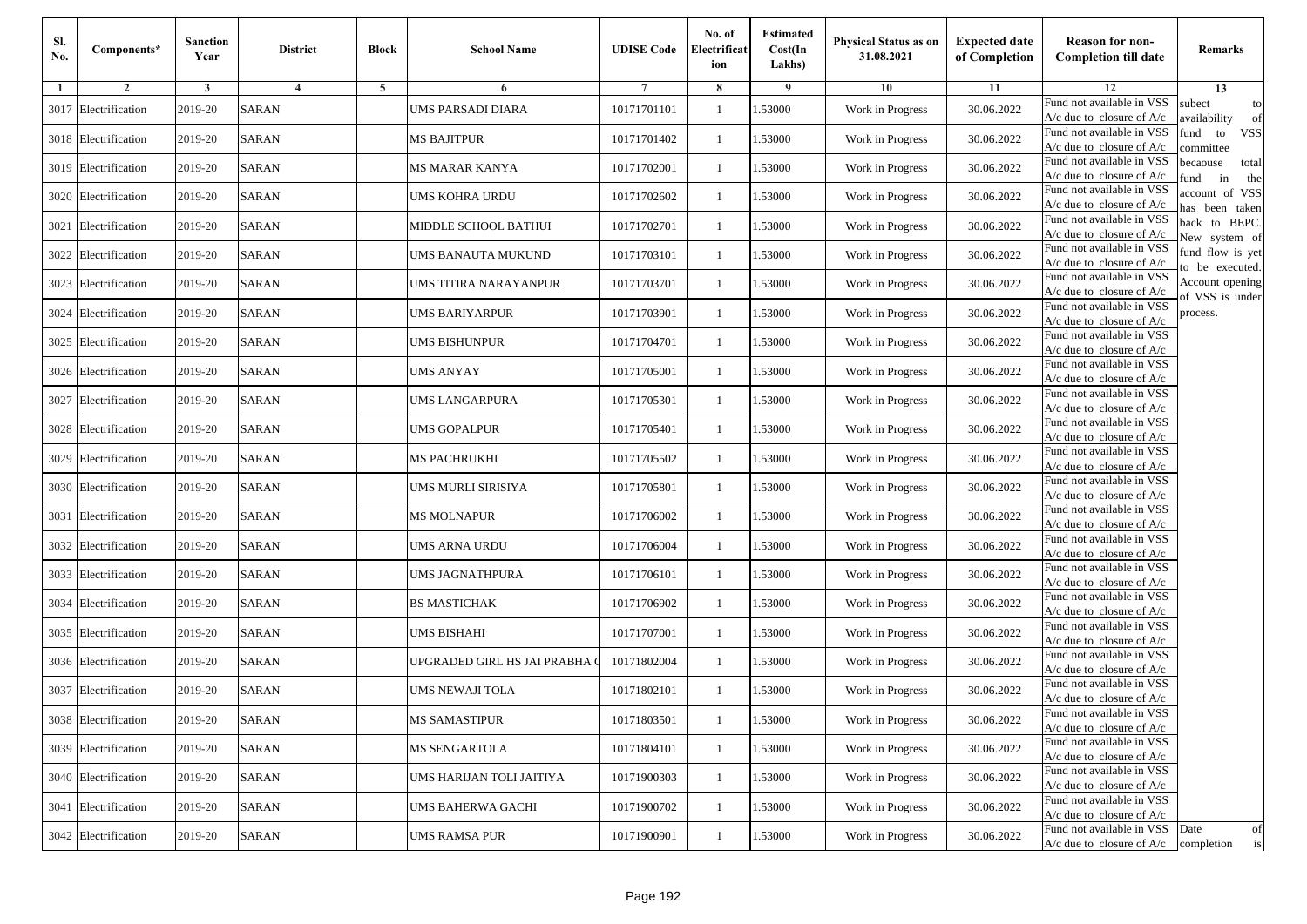| Sl.<br>No. | Components*          | <b>Sanction</b><br>Year | <b>District</b>         | <b>Block</b> | <b>School Name</b>            | <b>UDISE Code</b> | No. of<br>Electrificat<br>ion | <b>Estimated</b><br>Cost(In<br>Lakhs) | Physical Status as on<br>31.08.2021 | <b>Expected date</b><br>of Completion | <b>Reason for non-</b><br><b>Completion till date</b>                 | Remarks                               |
|------------|----------------------|-------------------------|-------------------------|--------------|-------------------------------|-------------------|-------------------------------|---------------------------------------|-------------------------------------|---------------------------------------|-----------------------------------------------------------------------|---------------------------------------|
| 1          | $\overline{2}$       | 3                       | $\overline{\mathbf{4}}$ | 5            | 6                             | 7                 | 8                             | 9                                     | 10                                  | 11                                    | 12                                                                    | 13                                    |
| 3017       | Electrification      | 2019-20                 | <b>SARAN</b>            |              | UMS PARSADI DIARA             | 10171701101       | $\mathbf{1}$                  | 1.53000                               | Work in Progress                    | 30.06.2022                            | Fund not available in VSS<br>$A/c$ due to closure of $A/c$            | subect<br>to<br>wailability<br>of     |
| 3018       | Electrification      | 2019-20                 | <b>SARAN</b>            |              | MS BAJITPUR                   | 10171701402       | $\mathbf{1}$                  | 1.53000                               | Work in Progress                    | 30.06.2022                            | Fund not available in VSS<br>$A/c$ due to closure of $A/c$            | <b>VSS</b><br>fund<br>to<br>ommittee  |
|            | 3019 Electrification | 2019-20                 | <b>SARAN</b>            |              | MS MARAR KANYA                | 10171702001       | -1                            | 1.53000                               | Work in Progress                    | 30.06.2022                            | Fund not available in VSS<br>$A/c$ due to closure of $A/c$            | pecaouse<br>total<br>in<br>und<br>the |
|            | 3020 Electrification | 2019-20                 | <b>SARAN</b>            |              | UMS KOHRA URDU                | 10171702602       | -1                            | 1.53000                               | Work in Progress                    | 30.06.2022                            | Fund not available in VSS<br>$A/c$ due to closure of $A/c$            | account of VSS<br>as been taken       |
| 3021       | Electrification      | 2019-20                 | <b>SARAN</b>            |              | MIDDLE SCHOOL BATHUI          | 10171702701       | -1                            | 1.53000                               | Work in Progress                    | 30.06.2022                            | Fund not available in VSS<br>A/c due to closure of A/c                | back to BEPC.<br>New system of        |
|            | 3022 Electrification | 2019-20                 | <b>SARAN</b>            |              | UMS BANAUTA MUKUND            | 10171703101       | $\mathbf{1}$                  | 1.53000                               | Work in Progress                    | 30.06.2022                            | Fund not available in VSS<br>$A/c$ due to closure of $A/c$            | fund flow is yet<br>o be executed.    |
| 3023       | Electrification      | 2019-20                 | <b>SARAN</b>            |              | UMS TITIRA NARAYANPUR         | 10171703701       | -1                            | 1.53000                               | Work in Progress                    | 30.06.2022                            | Fund not available in VSS<br>$A/c$ due to closure of $A/c$            | Account opening<br>of VSS is under    |
| 3024       | Electrification      | 2019-20                 | <b>SARAN</b>            |              | UMS BARIYARPUR                | 10171703901       | -1                            | 1.53000                               | Work in Progress                    | 30.06.2022                            | Fund not available in VSS<br>$A/c$ due to closure of $A/c$            | process.                              |
| 3025       | Electrification      | 2019-20                 | <b>SARAN</b>            |              | UMS BISHUNPUR                 | 10171704701       | -1                            | 1.53000                               | Work in Progress                    | 30.06.2022                            | Fund not available in VSS<br>$A/c$ due to closure of $A/c$            |                                       |
|            | 3026 Electrification | 2019-20                 | <b>SARAN</b>            |              | UMS ANYAY                     | 10171705001       | $\mathbf{1}$                  | 1.53000                               | Work in Progress                    | 30.06.2022                            | Fund not available in VSS<br>$A/c$ due to closure of $A/c$            |                                       |
| 3027       | Electrification      | 2019-20                 | <b>SARAN</b>            |              | UMS LANGARPURA                | 10171705301       | $\mathbf{1}$                  | 1.53000                               | Work in Progress                    | 30.06.2022                            | Fund not available in VSS<br>$A/c$ due to closure of $A/c$            |                                       |
|            | 3028 Electrification | 2019-20                 | <b>SARAN</b>            |              | UMS GOPALPUR                  | 10171705401       | -1                            | 1.53000                               | Work in Progress                    | 30.06.2022                            | Fund not available in VSS<br>$A/c$ due to closure of $A/c$            |                                       |
| 3029       | Electrification      | 2019-20                 | <b>SARAN</b>            |              | MS PACHRUKHI                  | 10171705502       | -1                            | 1.53000                               | Work in Progress                    | 30.06.2022                            | Fund not available in VSS<br>$A/c$ due to closure of $A/c$            |                                       |
| 3030       | Electrification      | 2019-20                 | <b>SARAN</b>            |              | UMS MURLI SIRISIYA            | 10171705801       | $\mathbf{1}$                  | 1.53000                               | Work in Progress                    | 30.06.2022                            | Fund not available in VSS<br>$A/c$ due to closure of $A/c$            |                                       |
| 3031       | Electrification      | 2019-20                 | <b>SARAN</b>            |              | <b>MS MOLNAPUR</b>            | 10171706002       | -1                            | 1.53000                               | Work in Progress                    | 30.06.2022                            | Fund not available in VSS<br>$A/c$ due to closure of $A/c$            |                                       |
| 3032       | Electrification      | 2019-20                 | <b>SARAN</b>            |              | UMS ARNA URDU                 | 10171706004       | -1                            | 1.53000                               | Work in Progress                    | 30.06.2022                            | Fund not available in VSS<br>$A/c$ due to closure of $A/c$            |                                       |
| 3033       | Electrification      | 2019-20                 | <b>SARAN</b>            |              | UMS JAGNATHPURA               | 10171706101       | -1                            | 1.53000                               | Work in Progress                    | 30.06.2022                            | Fund not available in VSS<br>$A/c$ due to closure of $A/c$            |                                       |
| 3034       | Electrification      | 2019-20                 | <b>SARAN</b>            |              | <b>BS MASTICHAK</b>           | 10171706902       | $\mathbf{1}$                  | 1.53000                               | Work in Progress                    | 30.06.2022                            | Fund not available in VSS<br>$A/c$ due to closure of $A/c$            |                                       |
| 3035       | Electrification      | 2019-20                 | <b>SARAN</b>            |              | UMS BISHAHI                   | 10171707001       | $\mathbf{1}$                  | 1.53000                               | Work in Progress                    | 30.06.2022                            | Fund not available in VSS<br>$A/c$ due to closure of $A/c$            |                                       |
|            | 3036 Electrification | 2019-20                 | <b>SARAN</b>            |              | UPGRADED GIRL HS JAI PRABHA ( | 10171802004       | -1                            | 1.53000                               | Work in Progress                    | 30.06.2022                            | Fund not available in VSS<br>A/c due to closure of A/c                |                                       |
| 3037       | Electrification      | 2019-20                 | <b>SARAN</b>            |              | UMS NEWAJI TOLA               | 10171802101       | -1                            | .53000                                | Work in Progress                    | 30.06.2022                            | Fund not available in VSS<br>A/c due to closure of A/c                |                                       |
|            | 3038 Electrification | 2019-20                 | SARAN                   |              | <b>MS SAMASTIPUR</b>          | 10171803501       | $\mathbf{1}$                  | 1.53000                               | Work in Progress                    | 30.06.2022                            | Fund not available in VSS<br>A/c due to closure of A/c                |                                       |
|            | 3039 Electrification | 2019-20                 | <b>SARAN</b>            |              | <b>MS SENGARTOLA</b>          | 10171804101       | $\mathbf{1}$                  | 1.53000                               | Work in Progress                    | 30.06.2022                            | Fund not available in VSS<br>A/c due to closure of $A/c$              |                                       |
|            | 3040 Electrification | 2019-20                 | <b>SARAN</b>            |              | UMS HARIJAN TOLI JAITIYA      | 10171900303       | -1                            | 1.53000                               | Work in Progress                    | 30.06.2022                            | Fund not available in VSS<br>$A/c$ due to closure of $A/c$            |                                       |
|            | 3041 Electrification | 2019-20                 | <b>SARAN</b>            |              | UMS BAHERWA GACHI             | 10171900702       | -1                            | 1.53000                               | Work in Progress                    | 30.06.2022                            | Fund not available in VSS<br>$A/c$ due to closure of $A/c$            |                                       |
|            | 3042 Electrification | 2019-20                 | <b>SARAN</b>            |              | UMS RAMSA PUR                 | 10171900901       | -1                            | 1.53000                               | Work in Progress                    | 30.06.2022                            | Fund not available in VSS<br>$A/c$ due to closure of $A/c$ completion | Date<br>of<br>is                      |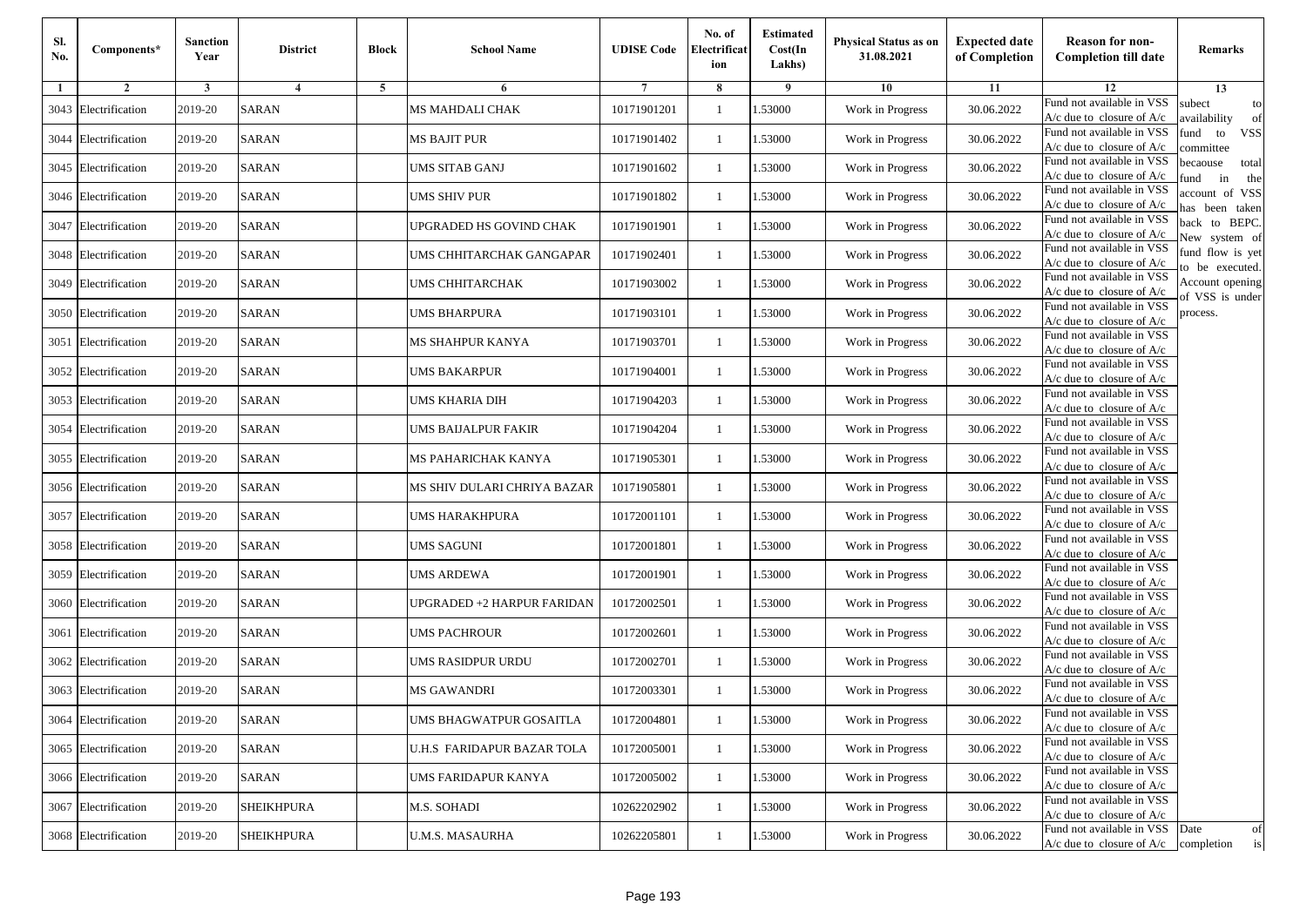| Sl.<br>No. | Components*          | <b>Sanction</b><br>Year | <b>District</b>   | <b>Block</b> | <b>School Name</b>                | <b>UDISE Code</b> | No. of<br>Electrificat<br>ion | <b>Estimated</b><br>Cost(In<br>Lakhs) | <b>Physical Status as on</b><br>31.08.2021 | <b>Expected date</b><br>of Completion | <b>Reason for non-</b><br><b>Completion till date</b>                 | Remarks                               |
|------------|----------------------|-------------------------|-------------------|--------------|-----------------------------------|-------------------|-------------------------------|---------------------------------------|--------------------------------------------|---------------------------------------|-----------------------------------------------------------------------|---------------------------------------|
| -1         | $\overline{2}$       | 3                       | 4                 | 5            | 6                                 |                   | 8                             | 9                                     | 10                                         | 11                                    | 12                                                                    | 13                                    |
|            | 3043 Electrification | 2019-20                 | <b>SARAN</b>      |              | <b>MS MAHDALI CHAK</b>            | 10171901201       | $\mathbf{1}$                  | .53000                                | Work in Progress                           | 30.06.2022                            | Fund not available in VSS<br>$A/c$ due to closure of $A/c$            | subect<br>to<br>availability<br>of    |
|            | 3044 Electrification | 2019-20                 | <b>SARAN</b>      |              | <b>MS BAJIT PUR</b>               | 10171901402       | 1                             | 1.53000                               | Work in Progress                           | 30.06.2022                            | Fund not available in VSS<br>$A/c$ due to closure of $A/c$            | fund<br>to<br><b>VSS</b><br>committee |
|            | 3045 Electrification | 2019-20                 | <b>SARAN</b>      |              | <b>UMS SITAB GANJ</b>             | 10171901602       | 1                             | 1.53000                               | Work in Progress                           | 30.06.2022                            | Fund not available in VSS<br>$A/c$ due to closure of $A/c$            | becaouse<br>total<br>in<br>und<br>the |
|            | 3046 Electrification | 2019-20                 | <b>SARAN</b>      |              | UMS SHIV PUR                      | 10171901802       | $\mathbf{1}$                  | .53000                                | Work in Progress                           | 30.06.2022                            | Fund not available in VSS<br>A/c due to closure of A/c                | account of VSS<br>as been taken       |
|            | 3047 Electrification | 2019-20                 | <b>SARAN</b>      |              | UPGRADED HS GOVIND CHAK           | 10171901901       | $\mathbf{1}$                  | .53000                                | Work in Progress                           | 30.06.2022                            | Fund not available in VSS<br>$A/c$ due to closure of $A/c$            | back to BEPC.<br>New system of        |
|            | 3048 Electrification | 2019-20                 | <b>SARAN</b>      |              | UMS CHHITARCHAK GANGAPAR          | 10171902401       | $\mathbf{1}$                  | .53000                                | Work in Progress                           | 30.06.2022                            | Fund not available in VSS<br>A/c due to closure of $A/c$              | fund flow is yet<br>o be executed.    |
|            | 3049 Electrification | 2019-20                 | <b>SARAN</b>      |              | UMS CHHITARCHAK                   | 10171903002       | $\mathbf{1}$                  | 1.53000                               | Work in Progress                           | 30.06.2022                            | Fund not available in VSS<br>$A/c$ due to closure of $A/c$            | Account opening<br>of VSS is under    |
|            | 3050 Electrification | 2019-20                 | <b>SARAN</b>      |              | <b>UMS BHARPURA</b>               | 10171903101       | $\mathbf{1}$                  | .53000                                | Work in Progress                           | 30.06.2022                            | Fund not available in VSS<br>$A/c$ due to closure of $A/c$            | process.                              |
|            | 3051 Electrification | 2019-20                 | <b>SARAN</b>      |              | MS SHAHPUR KANYA                  | 10171903701       | 1                             | .53000                                | Work in Progress                           | 30.06.2022                            | Fund not available in VSS<br>$A/c$ due to closure of $A/c$            |                                       |
|            | 3052 Electrification | 2019-20                 | <b>SARAN</b>      |              | <b>UMS BAKARPUR</b>               | 10171904001       | $\mathbf{1}$                  | .53000                                | Work in Progress                           | 30.06.2022                            | Fund not available in VSS<br>$A/c$ due to closure of $A/c$            |                                       |
|            | 3053 Electrification | 2019-20                 | <b>SARAN</b>      |              | UMS KHARIA DIH                    | 10171904203       | 1                             | 1.53000                               | Work in Progress                           | 30.06.2022                            | Fund not available in VSS<br>$A/c$ due to closure of $A/c$            |                                       |
|            | 3054 Electrification | 2019-20                 | <b>SARAN</b>      |              | <b>UMS BAIJALPUR FAKIR</b>        | 10171904204       | 1                             | .53000                                | Work in Progress                           | 30.06.2022                            | Fund not available in VSS<br>$A/c$ due to closure of $A/c$            |                                       |
|            | 3055 Electrification | 2019-20                 | <b>SARAN</b>      |              | MS PAHARICHAK KANYA               | 10171905301       | $\mathbf{1}$                  | .53000                                | Work in Progress                           | 30.06.2022                            | Fund not available in VSS<br>$A/c$ due to closure of $A/c$            |                                       |
|            | 3056 Electrification | 2019-20                 | SARAN             |              | MS SHIV DULARI CHRIYA BAZAR       | 10171905801       | $\mathbf{1}$                  | .53000                                | Work in Progress                           | 30.06.2022                            | Fund not available in VSS<br>$A/c$ due to closure of $A/c$            |                                       |
|            | 3057 Electrification | 2019-20                 | <b>SARAN</b>      |              | UMS HARAKHPURA                    | 10172001101       | 1                             | 1.53000                               | Work in Progress                           | 30.06.2022                            | Fund not available in VSS<br>$A/c$ due to closure of $A/c$            |                                       |
|            | 3058 Electrification | 2019-20                 | <b>SARAN</b>      |              | <b>UMS SAGUNI</b>                 | 10172001801       | $\mathbf{1}$                  | .53000                                | Work in Progress                           | 30.06.2022                            | Fund not available in VSS<br>$A/c$ due to closure of $A/c$            |                                       |
|            | 3059 Electrification | 2019-20                 | <b>SARAN</b>      |              | <b>UMS ARDEWA</b>                 | 10172001901       | 1                             | .53000                                | Work in Progress                           | 30.06.2022                            | Fund not available in VSS<br>A/c due to closure of A/c                |                                       |
|            | 3060 Electrification | 2019-20                 | <b>SARAN</b>      |              | <b>UPGRADED +2 HARPUR FARIDAN</b> | 10172002501       | $\mathbf{1}$                  | 1.53000                               | Work in Progress                           | 30.06.2022                            | Fund not available in VSS<br>$A/c$ due to closure of $A/c$            |                                       |
|            | 3061 Electrification | 2019-20                 | <b>SARAN</b>      |              | <b>UMS PACHROUR</b>               | 10172002601       | 1                             | 1.53000                               | Work in Progress                           | 30.06.2022                            | Fund not available in VSS<br>$A/c$ due to closure of $A/c$            |                                       |
|            | 3062 Electrification | 2019-20                 | <b>SARAN</b>      |              | UMS RASIDPUR URDU                 | 10172002701       | 1                             | .53000                                | Work in Progress                           | 30.06.2022                            | Fund not available in VSS<br>$A/c$ due to closure of $A/c$            |                                       |
|            | 3063 Electrification | 2019-20                 | <b>SARAN</b>      |              | MS GAWANDRI                       | 10172003301       | 1                             | .53000                                | Work in Progress                           | 30.06.2022                            | Fund not available in VSS<br>A/c due to closure of A/c                |                                       |
|            | 3064 Electrification | 2019-20                 | <b>SARAN</b>      |              | UMS BHAGWATPUR GOSAITLA           | 10172004801       |                               | 1.53000                               | Work in Progress                           | 30.06.2022                            | Fund not available in VSS<br>A/c due to closure of A/c                |                                       |
|            | 3065 Electrification | 2019-20                 | <b>SARAN</b>      |              | U.H.S FARIDAPUR BAZAR TOLA        | 10172005001       | $\mathbf{1}$                  | 1.53000                               | Work in Progress                           | 30.06.2022                            | Fund not available in VSS<br>$A/c$ due to closure of $A/c$            |                                       |
|            | 3066 Electrification | 2019-20                 | <b>SARAN</b>      |              | UMS FARIDAPUR KANYA               | 10172005002       | $\mathbf{1}$                  | 1.53000                               | Work in Progress                           | 30.06.2022                            | Fund not available in VSS<br>$A/c$ due to closure of $A/c$            |                                       |
|            | 3067 Electrification | 2019-20                 | <b>SHEIKHPURA</b> |              | M.S. SOHADI                       | 10262202902       | 1                             | 1.53000                               | Work in Progress                           | 30.06.2022                            | Fund not available in VSS<br>A/c due to closure of A/c                |                                       |
|            | 3068 Electrification | 2019-20                 | <b>SHEIKHPURA</b> |              | <b>U.M.S. MASAURHA</b>            | 10262205801       | $\mathbf{1}$                  | 1.53000                               | Work in Progress                           | 30.06.2022                            | Fund not available in VSS<br>$A/c$ due to closure of $A/c$ completion | Date<br>of<br>is                      |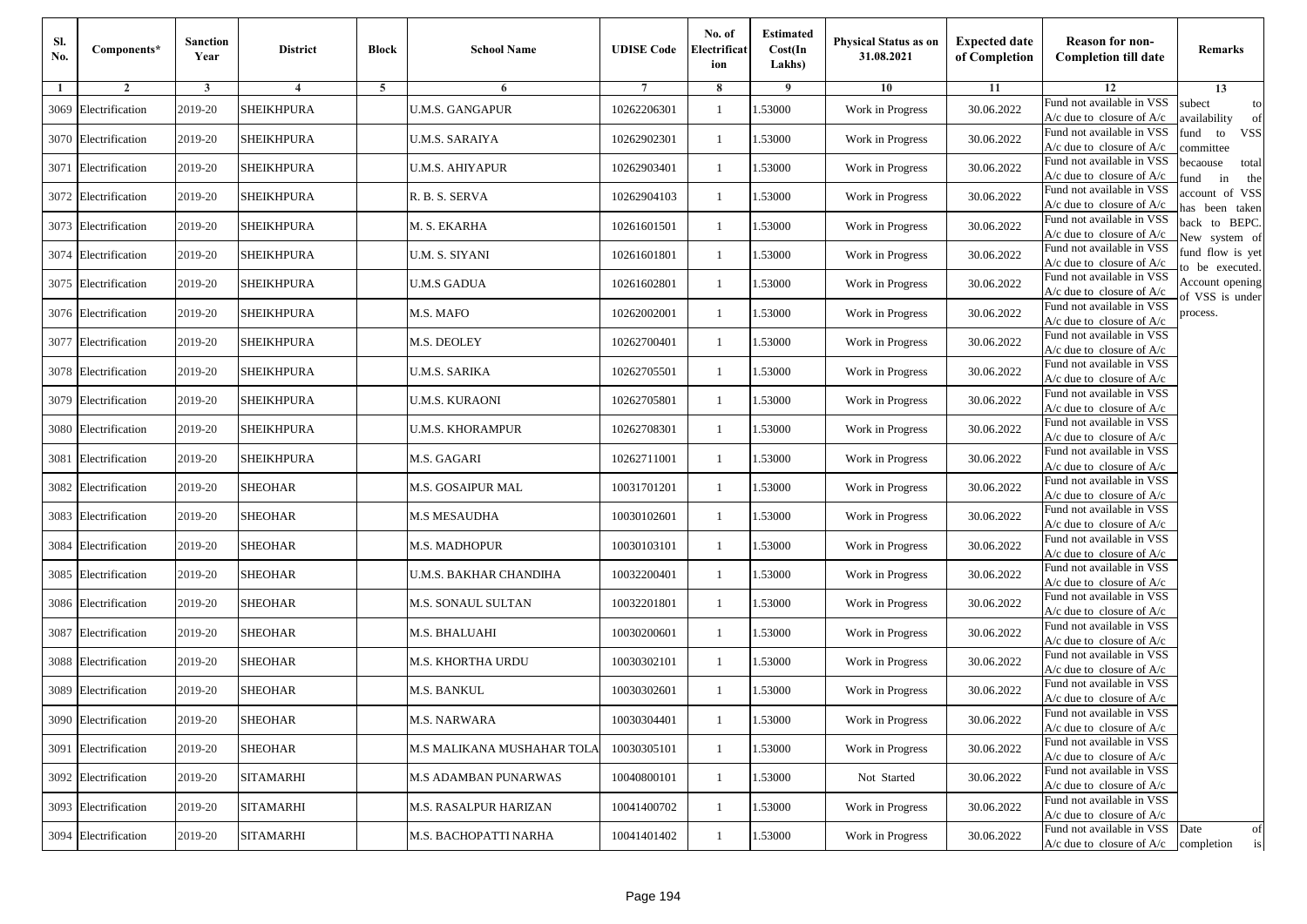| Sl.<br>No. | Components*          | <b>Sanction</b><br>Year | <b>District</b>   | <b>Block</b> | <b>School Name</b>          | <b>UDISE Code</b> | No. of<br>Electrificat<br>ion | <b>Estimated</b><br>Cost(In<br>Lakhs) | <b>Physical Status as on</b><br>31.08.2021 | <b>Expected date</b><br>of Completion | <b>Reason for non-</b><br><b>Completion till date</b>                 | Remarks                               |
|------------|----------------------|-------------------------|-------------------|--------------|-----------------------------|-------------------|-------------------------------|---------------------------------------|--------------------------------------------|---------------------------------------|-----------------------------------------------------------------------|---------------------------------------|
| -1         | $\overline{2}$       | 3                       | $\overline{4}$    | 5            | 6                           |                   | 8                             | 9                                     | 10                                         | 11                                    | 12                                                                    | 13                                    |
| 3069       | Electrification      | 2019-20                 | <b>SHEIKHPURA</b> |              | <b>U.M.S. GANGAPUR</b>      | 10262206301       | $\mathbf{1}$                  | .53000                                | Work in Progress                           | 30.06.2022                            | Fund not available in VSS<br>$A/c$ due to closure of $A/c$            | subect<br>to<br>availability<br>of    |
|            | 3070 Electrification | 2019-20                 | <b>SHEIKHPURA</b> |              | U.M.S. SARAIYA              | 10262902301       | 1                             | 1.53000                               | Work in Progress                           | 30.06.2022                            | Fund not available in VSS<br>$A/c$ due to closure of $A/c$            | fund<br>to<br><b>VSS</b><br>ommittee  |
|            | 3071 Electrification | 2019-20                 | <b>SHEIKHPURA</b> |              | <b>U.M.S. AHIYAPUR</b>      | 10262903401       | 1                             | .53000                                | Work in Progress                           | 30.06.2022                            | Fund not available in VSS<br>$A/c$ due to closure of $A/c$            | becaouse<br>total<br>in<br>und<br>the |
|            | 3072 Electrification | 2019-20                 | <b>SHEIKHPURA</b> |              | R. B. S. SERVA              | 10262904103       | $\mathbf{1}$                  | .53000                                | Work in Progress                           | 30.06.2022                            | Fund not available in VSS<br>A/c due to closure of A/c                | account of VSS<br>as been taken       |
|            | 3073 Electrification | 2019-20                 | <b>SHEIKHPURA</b> |              | M. S. EKARHA                | 10261601501       | $\mathbf{1}$                  | .53000                                | Work in Progress                           | 30.06.2022                            | Fund not available in VSS<br>$A/c$ due to closure of $A/c$            | back to BEPC.<br>New system of        |
|            | 3074 Electrification | 2019-20                 | <b>SHEIKHPURA</b> |              | U.M. S. SIYANI              | 10261601801       | $\mathbf{1}$                  | .53000                                | Work in Progress                           | 30.06.2022                            | Fund not available in VSS<br>A/c due to closure of $A/c$              | fund flow is yet<br>o be executed.    |
|            | 3075 Electrification | 2019-20                 | <b>SHEIKHPURA</b> |              | <b>U.M.S GADUA</b>          | 10261602801       | $\mathbf{1}$                  | 1.53000                               | Work in Progress                           | 30.06.2022                            | Fund not available in VSS<br>$A/c$ due to closure of $A/c$            | Account opening<br>of VSS is under    |
|            | 3076 Electrification | 2019-20                 | <b>SHEIKHPURA</b> |              | M.S. MAFO                   | 10262002001       | 1                             | .53000                                | Work in Progress                           | 30.06.2022                            | Fund not available in VSS<br>$A/c$ due to closure of $A/c$            | process.                              |
|            | 3077 Electrification | 2019-20                 | <b>SHEIKHPURA</b> |              | M.S. DEOLEY                 | 10262700401       | 1                             | .53000                                | Work in Progress                           | 30.06.2022                            | Fund not available in VSS<br>$A/c$ due to closure of $A/c$            |                                       |
|            | 3078 Electrification | 2019-20                 | <b>SHEIKHPURA</b> |              | <b>U.M.S. SARIKA</b>        | 10262705501       | $\mathbf{1}$                  | .53000                                | Work in Progress                           | 30.06.2022                            | Fund not available in VSS<br>$A/c$ due to closure of $A/c$            |                                       |
|            | 3079 Electrification | 2019-20                 | <b>SHEIKHPURA</b> |              | U.M.S. KURAONI              | 10262705801       | 1                             | 1.53000                               | Work in Progress                           | 30.06.2022                            | Fund not available in VSS<br>$A/c$ due to closure of $A/c$            |                                       |
|            | 3080 Electrification | 2019-20                 | <b>SHEIKHPURA</b> |              | <b>U.M.S. KHORAMPUR</b>     | 10262708301       | 1                             | .53000                                | Work in Progress                           | 30.06.2022                            | Fund not available in VSS<br>$A/c$ due to closure of $A/c$            |                                       |
|            | 3081 Electrification | 2019-20                 | SHEIKHPURA        |              | M.S. GAGARI                 | 10262711001       | $\mathbf{1}$                  | .53000                                | Work in Progress                           | 30.06.2022                            | Fund not available in VSS<br>$A/c$ due to closure of $A/c$            |                                       |
|            | 3082 Electrification | 2019-20                 | <b>SHEOHAR</b>    |              | M.S. GOSAIPUR MAL           | 10031701201       | $\mathbf{1}$                  | .53000                                | Work in Progress                           | 30.06.2022                            | Fund not available in VSS<br>$A/c$ due to closure of $A/c$            |                                       |
|            | 3083 Electrification | 2019-20                 | <b>SHEOHAR</b>    |              | <b>M.S MESAUDHA</b>         | 10030102601       | 1                             | 1.53000                               | Work in Progress                           | 30.06.2022                            | Fund not available in VSS<br>$A/c$ due to closure of $A/c$            |                                       |
|            | 3084 Electrification | 2019-20                 | <b>SHEOHAR</b>    |              | <b>M.S. MADHOPUR</b>        | 10030103101       | $\mathbf{1}$                  | .53000                                | Work in Progress                           | 30.06.2022                            | Fund not available in VSS<br>$A/c$ due to closure of $A/c$            |                                       |
|            | 3085 Electrification | 2019-20                 | <b>SHEOHAR</b>    |              | U.M.S. BAKHAR CHANDIHA      | 10032200401       | 1                             | .53000                                | Work in Progress                           | 30.06.2022                            | Fund not available in VSS<br>A/c due to closure of A/c                |                                       |
|            | 3086 Electrification | 2019-20                 | <b>SHEOHAR</b>    |              | M.S. SONAUL SULTAN          | 10032201801       | 1                             | 1.53000                               | Work in Progress                           | 30.06.2022                            | Fund not available in VSS<br>$A/c$ due to closure of $A/c$            |                                       |
|            | 3087 Electrification | 2019-20                 | <b>SHEOHAR</b>    |              | M.S. BHALUAHI               | 10030200601       | 1                             | 1.53000                               | Work in Progress                           | 30.06.2022                            | Fund not available in VSS<br>$A/c$ due to closure of $A/c$            |                                       |
|            | 3088 Electrification | 2019-20                 | <b>SHEOHAR</b>    |              | M.S. KHORTHA URDU           | 10030302101       | 1                             | .53000                                | Work in Progress                           | 30.06.2022                            | Fund not available in VSS<br>$A/c$ due to closure of $A/c$            |                                       |
|            | 3089 Electrification | 2019-20                 | SHEOHAR           |              | M.S. BANKUL                 | 10030302601       | 1                             | .53000                                | Work in Progress                           | 30.06.2022                            | Fund not available in VSS<br>A/c due to closure of A/c                |                                       |
|            | 3090 Electrification | 2019-20                 | <b>SHEOHAR</b>    |              | M.S. NARWARA                | 10030304401       |                               | 1.53000                               | Work in Progress                           | 30.06.2022                            | Fund not available in VSS<br>A/c due to closure of A/c                |                                       |
|            | 3091 Electrification | 2019-20                 | <b>SHEOHAR</b>    |              | M.S MALIKANA MUSHAHAR TOLA  | 10030305101       | $\mathbf{1}$                  | 1.53000                               | Work in Progress                           | 30.06.2022                            | Fund not available in VSS<br>$A/c$ due to closure of $A/c$            |                                       |
|            | 3092 Electrification | 2019-20                 | <b>SITAMARHI</b>  |              | <b>M.S ADAMBAN PUNARWAS</b> | 10040800101       | $\mathbf{1}$                  | 1.53000                               | Not Started                                | 30.06.2022                            | Fund not available in VSS<br>$A/c$ due to closure of $A/c$            |                                       |
|            | 3093 Electrification | 2019-20                 | <b>SITAMARHI</b>  |              | M.S. RASALPUR HARIZAN       | 10041400702       | 1                             | 1.53000                               | Work in Progress                           | 30.06.2022                            | Fund not available in VSS<br>A/c due to closure of A/c                |                                       |
|            | 3094 Electrification | 2019-20                 | <b>SITAMARHI</b>  |              | M.S. BACHOPATTI NARHA       | 10041401402       | $\mathbf{1}$                  | 1.53000                               | Work in Progress                           | 30.06.2022                            | Fund not available in VSS<br>$A/c$ due to closure of $A/c$ completion | Date<br>of<br>is                      |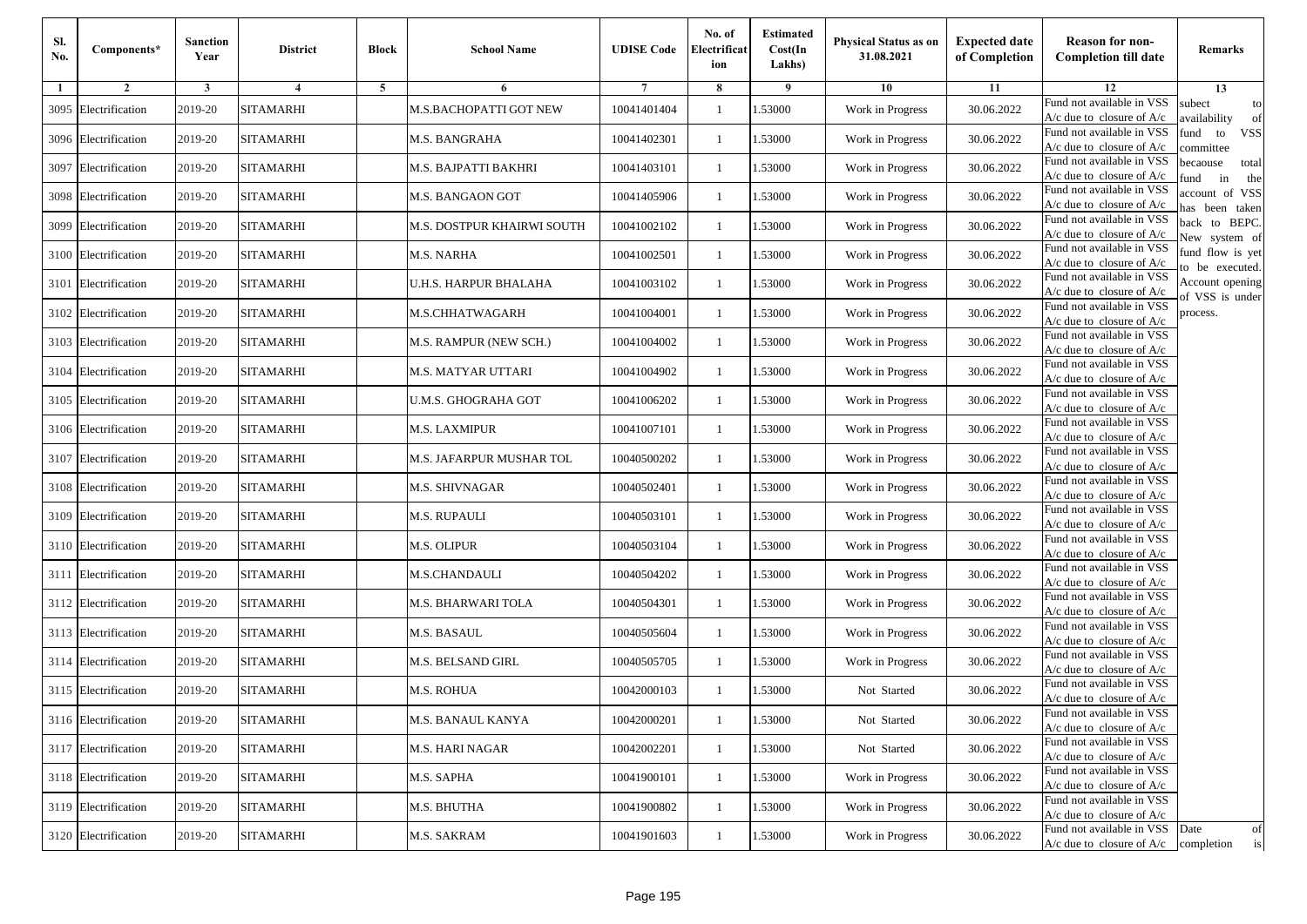| Sl.<br>No. | Components*          | <b>Sanction</b><br>Year | <b>District</b>  | <b>Block</b> | <b>School Name</b>         | <b>UDISE Code</b> | No. of<br>Electrificat<br>ion | <b>Estimated</b><br>Cost(In<br>Lakhs) | <b>Physical Status as on</b><br>31.08.2021 | <b>Expected date</b><br>of Completion | <b>Reason for non-</b><br><b>Completion till date</b>                 | Remarks                               |
|------------|----------------------|-------------------------|------------------|--------------|----------------------------|-------------------|-------------------------------|---------------------------------------|--------------------------------------------|---------------------------------------|-----------------------------------------------------------------------|---------------------------------------|
| -1         | $\overline{2}$       | 3                       | $\overline{4}$   | 5            | 6                          |                   | 8                             | 9                                     | 10                                         | 11                                    | 12                                                                    | 13                                    |
|            | 3095 Electrification | 2019-20                 | <b>SITAMARHI</b> |              | M.S.BACHOPATTI GOT NEW     | 10041401404       | $\mathbf{1}$                  | .53000                                | Work in Progress                           | 30.06.2022                            | Fund not available in VSS<br>$A/c$ due to closure of $A/c$            | subect<br>to<br>availability<br>of    |
|            | 3096 Electrification | 2019-20                 | <b>SITAMARHI</b> |              | M.S. BANGRAHA              | 10041402301       | 1                             | 1.53000                               | Work in Progress                           | 30.06.2022                            | Fund not available in VSS<br>$A/c$ due to closure of $A/c$            | fund<br>to<br><b>VSS</b><br>committee |
|            | 3097 Electrification | 2019-20                 | <b>SITAMARHI</b> |              | M.S. BAJPATTI BAKHRI       | 10041403101       | 1                             | 1.53000                               | Work in Progress                           | 30.06.2022                            | Fund not available in VSS<br>$A/c$ due to closure of $A/c$            | becaouse<br>total<br>in<br>und<br>the |
|            | 3098 Electrification | 2019-20                 | <b>SITAMARHI</b> |              | M.S. BANGAON GOT           | 10041405906       | $\mathbf{1}$                  | .53000                                | Work in Progress                           | 30.06.2022                            | Fund not available in VSS<br>A/c due to closure of A/c                | account of VSS<br>as been taken       |
|            | 3099 Electrification | 2019-20                 | <b>SITAMARHI</b> |              | M.S. DOSTPUR KHAIRWI SOUTH | 10041002102       | $\mathbf{1}$                  | .53000                                | Work in Progress                           | 30.06.2022                            | Fund not available in VSS<br>$A/c$ due to closure of $A/c$            | back to BEPC.<br>New system of        |
|            | 3100 Electrification | 2019-20                 | <b>SITAMARHI</b> |              | M.S. NARHA                 | 10041002501       | $\mathbf{1}$                  | .53000                                | Work in Progress                           | 30.06.2022                            | Fund not available in VSS<br>A/c due to closure of $A/c$              | fund flow is yet<br>o be executed.    |
|            | 3101 Electrification | 2019-20                 | <b>SITAMARHI</b> |              | U.H.S. HARPUR BHALAHA      | 10041003102       | $\mathbf{1}$                  | 1.53000                               | Work in Progress                           | 30.06.2022                            | Fund not available in VSS<br>$A/c$ due to closure of $A/c$            | Account opening<br>of VSS is under    |
|            | 3102 Electrification | 2019-20                 | <b>SITAMARHI</b> |              | M.S.CHHATWAGARH            | 10041004001       | $\mathbf{1}$                  | .53000                                | Work in Progress                           | 30.06.2022                            | Fund not available in VSS<br>$A/c$ due to closure of $A/c$            | process.                              |
|            | 3103 Electrification | 2019-20                 | <b>SITAMARHI</b> |              | M.S. RAMPUR (NEW SCH.)     | 10041004002       | 1                             | .53000                                | Work in Progress                           | 30.06.2022                            | Fund not available in VSS<br>$A/c$ due to closure of $A/c$            |                                       |
| 3104       | Electrification      | 2019-20                 | <b>SITAMARHI</b> |              | <b>M.S. MATYAR UTTARI</b>  | 10041004902       | $\mathbf{1}$                  | .53000                                | Work in Progress                           | 30.06.2022                            | Fund not available in VSS<br>$A/c$ due to closure of $A/c$            |                                       |
|            | 3105 Electrification | 2019-20                 | <b>SITAMARHI</b> |              | U.M.S. GHOGRAHA GOT        | 10041006202       | 1                             | 1.53000                               | Work in Progress                           | 30.06.2022                            | Fund not available in VSS<br>$A/c$ due to closure of $A/c$            |                                       |
|            | 3106 Electrification | 2019-20                 | <b>SITAMARHI</b> |              | M.S. LAXMIPUR              | 10041007101       | 1                             | .53000                                | Work in Progress                           | 30.06.2022                            | Fund not available in VSS<br>$A/c$ due to closure of $A/c$            |                                       |
|            | 3107 Electrification | 2019-20                 | <b>SITAMARHI</b> |              | M.S. JAFARPUR MUSHAR TOL   | 10040500202       | $\mathbf{1}$                  | .53000                                | Work in Progress                           | 30.06.2022                            | Fund not available in VSS<br>$A/c$ due to closure of $A/c$            |                                       |
|            | 3108 Electrification | 2019-20                 | <b>SITAMARHI</b> |              | M.S. SHIVNAGAR             | 10040502401       | $\mathbf{1}$                  | .53000                                | Work in Progress                           | 30.06.2022                            | Fund not available in VSS<br>$A/c$ due to closure of $A/c$            |                                       |
|            | 3109 Electrification | 2019-20                 | <b>SITAMARHI</b> |              | M.S. RUPAULI               | 10040503101       | 1                             | 1.53000                               | Work in Progress                           | 30.06.2022                            | Fund not available in VSS<br>$A/c$ due to closure of $A/c$            |                                       |
|            | 3110 Electrification | 2019-20                 | <b>SITAMARHI</b> |              | <b>M.S. OLIPUR</b>         | 10040503104       | $\mathbf{1}$                  | .53000                                | Work in Progress                           | 30.06.2022                            | Fund not available in VSS<br>$A/c$ due to closure of $A/c$            |                                       |
|            | 3111 Electrification | 2019-20                 | <b>SITAMARHI</b> |              | <b>M.S.CHANDAULI</b>       | 10040504202       | 1                             | .53000                                | Work in Progress                           | 30.06.2022                            | Fund not available in VSS<br>A/c due to closure of A/c                |                                       |
|            | 3112 Electrification | 2019-20                 | <b>SITAMARHI</b> |              | M.S. BHARWARI TOLA         | 10040504301       | 1                             | 1.53000                               | Work in Progress                           | 30.06.2022                            | Fund not available in VSS<br>$A/c$ due to closure of $A/c$            |                                       |
|            | 3113 Electrification | 2019-20                 | <b>SITAMARHI</b> |              | M.S. BASAUL                | 10040505604       | 1                             | 1.53000                               | Work in Progress                           | 30.06.2022                            | Fund not available in VSS<br>$A/c$ due to closure of $A/c$            |                                       |
|            | 3114 Electrification | 2019-20                 | <b>SITAMARHI</b> |              | M.S. BELSAND GIRL          | 10040505705       | 1                             | .53000                                | Work in Progress                           | 30.06.2022                            | Fund not available in VSS<br>$A/c$ due to closure of $A/c$            |                                       |
|            | 3115 Electrification | 2019-20                 | SITAMARHI        |              | M.S. ROHUA                 | 10042000103       | 1                             | .53000                                | Not Started                                | 30.06.2022                            | Fund not available in VSS<br>A/c due to closure of A/c                |                                       |
|            | 3116 Electrification | 2019-20                 | <b>SITAMARHI</b> |              | M.S. BANAUL KANYA          | 10042000201       |                               | 1.53000                               | Not Started                                | 30.06.2022                            | Fund not available in VSS<br>A/c due to closure of A/c                |                                       |
|            | 3117 Electrification | 2019-20                 | <b>SITAMARHI</b> |              | <b>M.S. HARI NAGAR</b>     | 10042002201       | $\mathbf{1}$                  | 1.53000                               | Not Started                                | 30.06.2022                            | Fund not available in VSS<br>$A/c$ due to closure of $A/c$            |                                       |
|            | 3118 Electrification | 2019-20                 | <b>SITAMARHI</b> |              | M.S. SAPHA                 | 10041900101       | $\mathbf{1}$                  | 1.53000                               | Work in Progress                           | 30.06.2022                            | Fund not available in VSS<br>$A/c$ due to closure of $A/c$            |                                       |
|            | 3119 Electrification | 2019-20                 | <b>SITAMARHI</b> |              | M.S. BHUTHA                | 10041900802       | 1                             | 1.53000                               | Work in Progress                           | 30.06.2022                            | Fund not available in VSS<br>A/c due to closure of A/c                |                                       |
|            | 3120 Electrification | 2019-20                 | <b>SITAMARHI</b> |              | M.S. SAKRAM                | 10041901603       | $\mathbf{1}$                  | 1.53000                               | Work in Progress                           | 30.06.2022                            | Fund not available in VSS<br>$A/c$ due to closure of $A/c$ completion | Date<br>of<br>is                      |